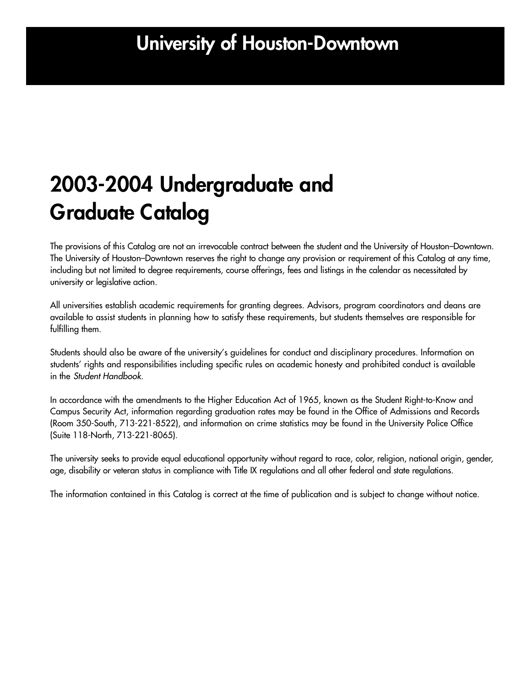# <span id="page-0-0"></span>**2003-2004 Undergraduate and Graduate Catalog**

The provisions of this Catalog are not an irrevocable contract between the student and the University of Houston–Downtown. The University of Houston–Downtown reserves the right to change any provision or requirement of this Catalog at any time, including but not limited to degree requirements, course offerings, fees and listings in the calendar as necessitated by university or legislative action.

All universities establish academic requirements for granting degrees. Advisors, program coordinators and deans are available to assist students in planning how to satisfy these requirements, but students themselves are responsible for fulfilling them.

Students should also be aware of the university's guidelines for conduct and disciplinary procedures. Information on students' rights and responsibilities including specific rules on academic honesty and prohibited conduct is available in the *Student Handbook*.

In accordance with the amendments to the Higher Education Act of 1965, known as the Student Right-to-Know and Campus Security Act, information regarding graduation rates may be found in the Office of Admissions and Records (Room 350-South, 713-221-8522), and information on crime statistics may be found in the University Police Office (Suite 118-North, 713-221-8065).

The university seeks to provide equal educational opportunity without regard to race, color, religion, national origin, gender, age, disability or veteran status in compliance with Title IX regulations and all other federal and state regulations.

The information contained in this Catalog is correct at the time of publication and is subject to change without notice.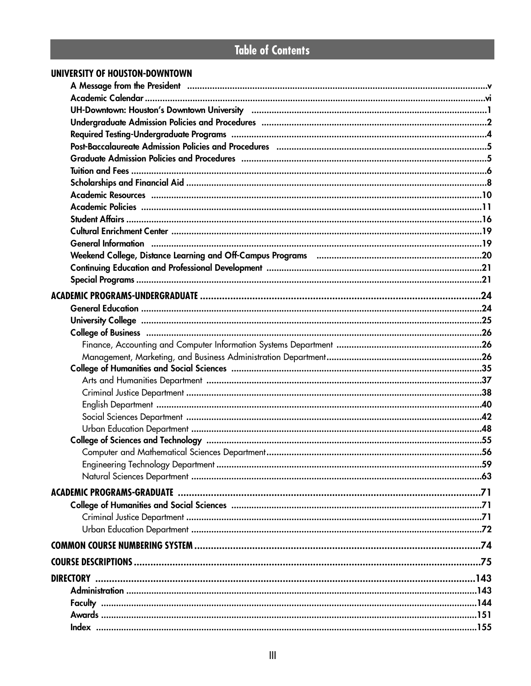# **Table of Contents**

# <span id="page-1-0"></span>UNIVERSITY OF HOUSTON-DOWNTOWN

| Post-Baccalaureate Admission Policies and Procedures (111) manuminal manuminal manuminal manuminal strategy and |  |
|-----------------------------------------------------------------------------------------------------------------|--|
|                                                                                                                 |  |
|                                                                                                                 |  |
|                                                                                                                 |  |
|                                                                                                                 |  |
|                                                                                                                 |  |
|                                                                                                                 |  |
|                                                                                                                 |  |
|                                                                                                                 |  |
|                                                                                                                 |  |
|                                                                                                                 |  |
|                                                                                                                 |  |
|                                                                                                                 |  |
|                                                                                                                 |  |
|                                                                                                                 |  |
|                                                                                                                 |  |
|                                                                                                                 |  |
|                                                                                                                 |  |
|                                                                                                                 |  |
|                                                                                                                 |  |
|                                                                                                                 |  |
|                                                                                                                 |  |
|                                                                                                                 |  |
|                                                                                                                 |  |
|                                                                                                                 |  |
|                                                                                                                 |  |
|                                                                                                                 |  |
|                                                                                                                 |  |
|                                                                                                                 |  |
|                                                                                                                 |  |
|                                                                                                                 |  |
|                                                                                                                 |  |
|                                                                                                                 |  |
|                                                                                                                 |  |
| <b>DIRECTORY </b>                                                                                               |  |
|                                                                                                                 |  |
|                                                                                                                 |  |
|                                                                                                                 |  |
|                                                                                                                 |  |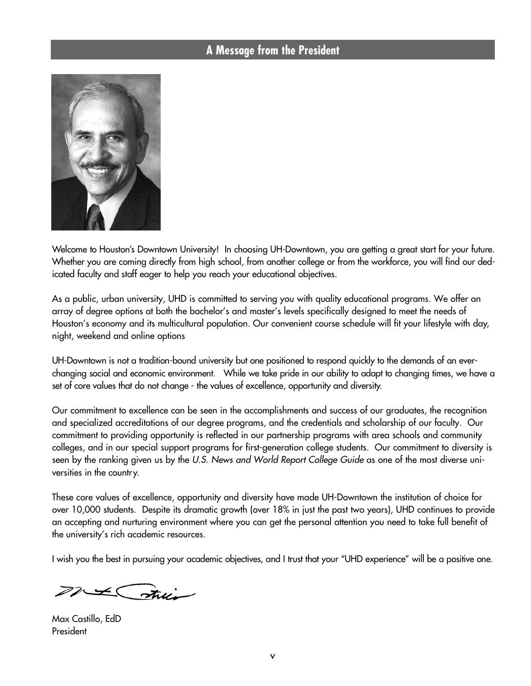# **A Message from the President**

<span id="page-2-0"></span>

Welcome to Houston's Downtown University! In choosing UH-Downtown, you are getting a great start for your future. Whether you are coming directly from high school, from another college or from the workforce, you will find our dedicated faculty and staff eager to help you reach your educational objectives.

As a public, urban university, UHD is committed to serving you with quality educational programs. We offer an array of degree options at both the bachelor's and master's levels specifically designed to meet the needs of Houston's economy and its multicultural population. Our convenient course schedule will fit your lifestyle with day, night, weekend and online options

UH-Downtown is not a tradition-bound university but one positioned to respond quickly to the demands of an everchanging social and economic environment. While we take pride in our ability to adapt to changing times, we have a set of core values that do not change - the values of excellence, opportunity and diversity.

Our commitment to excellence can be seen in the accomplishments and success of our graduates, the recognition and specialized accreditations of our degree programs, and the credentials and scholarship of our faculty. Our commitment to providing opportunity is reflected in our partnership programs with area schools and community colleges, and in our special support programs for first-generation college students. Our commitment to diversity is seen by the ranking given us by the *U.S. News and World Report College Guide* as one of the most diverse universities in the country.

These core values of excellence, opportunity and diversity have made UH-Downtown the institution of choice for over 10,000 students. Despite its dramatic growth (over 18% in just the past two years), UHD continues to provide an accepting and nurturing environment where you can get the personal attention you need to take full benefit of the university's rich academic resources.

I wish you the best in pursuing your academic objectives, and I trust that your "UHD experience" will be a positive one.

mt Inie

Max Castillo, EdD President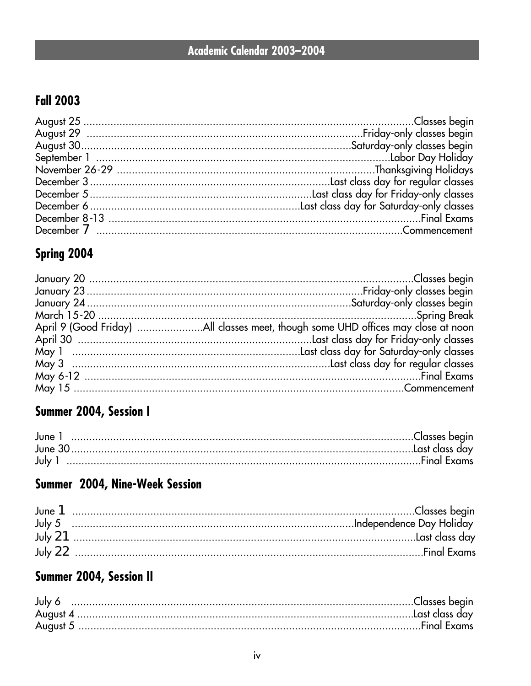# **Fall 2003**

# Spring 2004

# Summer 2004, Session I

| June   |  |
|--------|--|
|        |  |
| July 1 |  |

# Summer 2004, Nine-Week Session

| June 1   |  |
|----------|--|
| July $5$ |  |
|          |  |
|          |  |
|          |  |

# Summer 2004, Session II

| July 6   |  |
|----------|--|
|          |  |
| August 5 |  |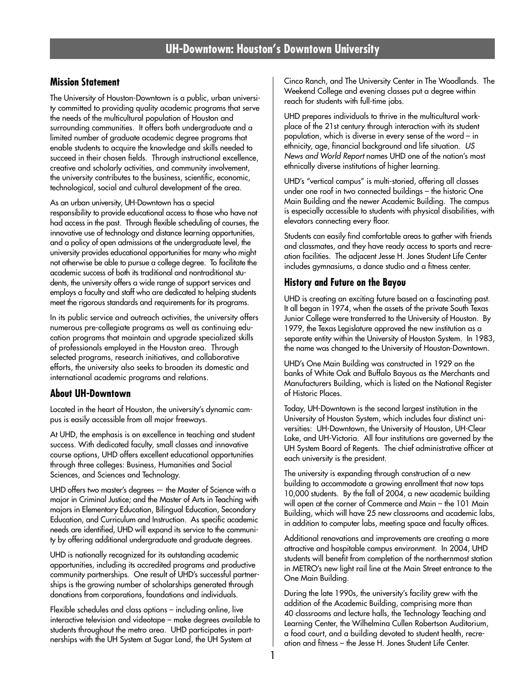### <span id="page-4-0"></span>**Mission Statement**

The University of Houston-Downtown is a public, urban university committed to providing quality academic programs that serve the needs of the multicultural population of Houston and surrounding communities. It offers both undergraduate and a limited number of graduate academic degree programs that enable students to acquire the knowledge and skills needed to succeed in their chosen fields. Through instructional excellence, creative and scholarly activities, and community involvement, the university contributes to the business, scientific, economic, technological, social and cultural development of the area.

As an urban university, UH-Downtown has a special responsibility to provide educational access to those who have not had access in the past. Through flexible scheduling of courses, the innovative use of technology and distance learning opportunities, and a policy of open admissions at the undergraduate level, the university provides educational opportunities for many who might not otherwise be able to pursue a college degree. To facilitate the academic success of both its traditional and nontraditional students, the university offers a wide range of support services and employs a faculty and staff who are dedicated to helping students meet the rigorous standards and requirements for its programs.

In its public service and outreach activities, the university offers numerous pre-collegiate programs as well as continuing education programs that maintain and upgrade specialized skills of professionals employed in the Houston area. Through selected programs, research initiatives, and collaborative efforts, the university also seeks to broaden its domestic and international academic programs and relations.

# **About UH-Downtown**

Located in the heart of Houston, the university's dynamic campus is easily accessible from all major freeways.

At UHD, the emphasis is on excellence in teaching and student success. With dedicated faculty, small classes and innovative course options, UHD offers excellent educational opportunities through three colleges: Business, Humanities and Social Sciences, and Sciences and Technology.

UHD offers two master's degrees — the Master of Science with a major in Criminal Justice; and the Master of Arts in Teaching with majors in Elementary Education, Bilingual Education, Secondary Education, and Curriculum and Instruction. As specific academic needs are identified, UHD will expand its service to the community by offering additional undergraduate and graduate degrees.

UHD is nationally recognized for its outstanding academic opportunities, including its accredited programs and productive community partnerships. One result of UHD's successful partnerships is the growing number of scholarships generated through donations from corporations, foundations and individuals.

Flexible schedules and class options – including online, live interactive television and videotape – make degrees available to students throughout the metro area. UHD participates in partnerships with the UH System at Sugar Land, the UH System at

Cinco Ranch, and The University Center in The Woodlands. The Weekend College and evening classes put a degree within reach for students with full-time jobs.

UHD prepares individuals to thrive in the multicultural workplace of the 21st century through interaction with its student population, which is diverse in every sense of the word – in ethnicity, age, financial background and life situation. *US News and World Report* names UHD one of the nation's most ethnically diverse institutions of higher learning.

UHD's "vertical campus" is multi-storied, offering all classes under one roof in two connected buildings – the historic One Main Building and the newer Academic Building. The campus is especially accessible to students with physical disabilities, with elevators connecting every floor.

Students can easily find comfortable areas to gather with friends and classmates, and they have ready access to sports and recreation facilities. The adjacent Jesse H. Jones Student Life Center includes gymnasiums, a dance studio and a fitness center.

# **History and Future on the Bayou**

UHD is creating an exciting future based on a fascinating past. It all began in 1974, when the assets of the private South Texas Junior College were transferred to the University of Houston. By 1979, the Texas Legislature approved the new institution as a separate entity within the University of Houston System. In 1983, the name was changed to the University of Houston-Downtown.

UHD's One Main Building was constructed in 1929 on the banks of White Oak and Buffalo Bayous as the Merchants and Manufacturers Building, which is listed on the National Register of Historic Places.

Today, UH-Downtown is the second largest institution in the University of Houston System, which includes four distinct universities: UH-Downtown, the University of Houston, UH-Clear Lake, and UH-Victoria. All four institutions are governed by the UH System Board of Regents. The chief administrative officer at each university is the president.

The university is expanding through construction of a new building to accommodate a growing enrollment that now tops 10,000 students. By the fall of 2004, a new academic building will open at the corner of Commerce and Main – the 101 Main Building, which will have 25 new classrooms and academic labs, in addition to computer labs, meeting space and faculty offices.

Additional renovations and improvements are creating a more attractive and hospitable campus environment. In 2004, UHD students will benefit from completion of the northernmost station in METRO's new light rail line at the Main Street entrance to the One Main Building.

During the late 1990s, the university's facility grew with the addition of the Academic Building, comprising more than 40 classrooms and lecture halls, the Technology Teaching and Learning Center, the Wilhelmina Cullen Robertson Auditorium, a food court, and a building devoted to student health, recreation and fitness – the Jesse H. Jones Student Life Center.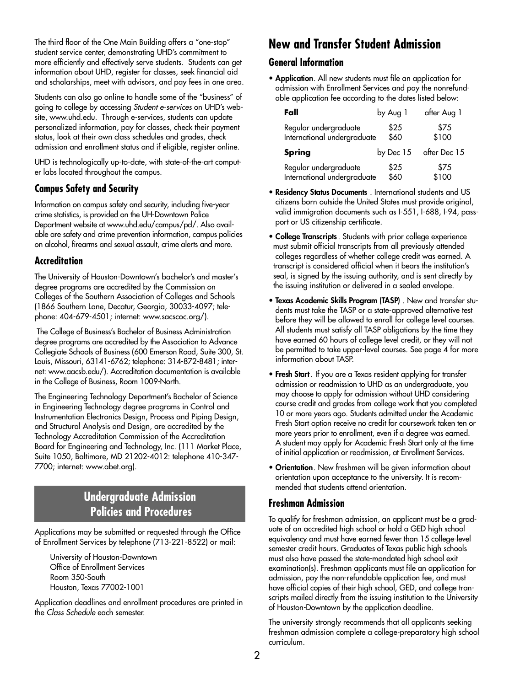The third floor of the One Main Building offers a "one-stop" student service center, demonstrating UHD's commitment to more efficiently and effectively serve students. Students can get information about UHD, register for classes, seek financial aid and scholarships, meet with advisors, and pay fees in one area.

Students can also go online to handle some of the "business" of going to college by accessing *Student e-services* on UHD's website, www.uhd.edu. Through e-services, students can update personalized information, pay for classes, check their payment status, look at their own class schedules and grades, check admission and enrollment status and if eligible, register online.

UHD is technologically up-to-date, with state-of-the-art computer labs located throughout the campus.

# **Campus Safety and Security**

Information on campus safety and security, including five-year crime statistics, is provided on the UH-Downtown Police Department website at www.uhd.edu/campus/pd/. Also available are safety and crime prevention information, campus policies on alcohol, firearms and sexual assault, crime alerts and more.

# <span id="page-5-0"></span>**Accreditation**

The University of Houston-Downtown's bachelor's and master's degree programs are accredited by the Commission on Colleges of the Southern Association of Colleges and Schools (1866 Southern Lane, Decatur, Georgia, 30033-4097; telephone: 404-679-4501; internet: www.sacscoc.org/).

The College of Business's Bachelor of Business Administration degree programs are accredited by the Association to Advance Collegiate Schools of Business (600 Emerson Road, Suite 300, St. Louis, Missouri, 63141-6762; telephone: 314-872-8481; internet: www.aacsb.edu/). Accreditation documentation is available in the College of Business, Room 1009-North.

The Engineering Technology Department's Bachelor of Science in Engineering Technology degree programs in Control and Instrumentation Electronics Design, Process and Piping Design, and Structural Analysis and Design, are accredited by the Technology Accreditation Commission of the Accreditation Board for Engineering and Technology, Inc. (111 Market Place, Suite 1050, Baltimore, MD 21202-4012: telephone 410-347- 7700; internet: www.abet.org).

# **Undergraduate Admission Policies and Procedures**

Applications may be submitted or requested through the Office of Enrollment Services by telephone (713-221-8522) or mail:

University of Houston-Downtown Office of Enrollment Services Room 350-South Houston, Texas 77002-1001

Application deadlines and enrollment procedures are printed in the *Class Schedule* each semester.

# **New and Transfer Student Admission**

# **General Information**

• **Application**. All new students must file an application for admission with Enrollment Services and pay the nonrefundable application fee according to the dates listed below:

| Fall                        | by Aug 1  | after Aug 1  |
|-----------------------------|-----------|--------------|
| Regular undergraduate       | \$25      | \$75         |
| International undergraduate | \$60      | \$100        |
| <b>Spring</b>               | by Dec 15 | after Dec 15 |
| Regular undergraduate       | \$25      | \$75         |
| International undergraduate | \$60      | \$100        |

- **Residency Status Documents** . International students and US citizens born outside the United States must provide original, valid immigration documents such as I-551, I-688, I-94, passport or US citizenship certificate.
- **College Transcripts**. Students with prior college experience must submit official transcripts from all previously attended colleges regardless of whether college credit was earned. A transcript is considered official when it bears the institution's seal, is signed by the issuing authority, and is sent directly by the issuing institution or delivered in a sealed envelope.
- **Texas Academic Skills Program (TASP)** . New and transfer students must take the TASP or a state-approved alternative test before they will be allowed to enroll for college level courses. All students must satisfy all TASP obligations by the time they have earned 60 hours of college level credit, or they will not be permitted to take upper-level courses. See page 4 for more information about TASP.
- **Fresh Start** . If you are a Texas resident applying for transfer admission or readmission to UHD as an undergraduate, you may choose to apply for admission without UHD considering course credit and grades from college work that you completed 10 or more years ago. Students admitted under the Academic Fresh Start option receive no credit for coursework taken ten or more years prior to enrollment, even if a degree was earned. A student may apply for Academic Fresh Start only at the time of initial application or readmission, at Enrollment Services.
- **Orientation**. New freshmen will be given information about orientation upon acceptance to the university. It is recommended that students attend orientation.

# **Freshman Admission**

To qualify for freshman admission, an applicant must be a graduate of an accredited high school or hold a GED high school equivalency and must have earned fewer than 15 college-level semester credit hours. Graduates of Texas public high schools must also have passed the state-mandated high school exit examination(s). Freshman applicants must file an application for admission, pay the non-refundable application fee, and must have official copies of their high school, GED, and college transcripts mailed directly from the issuing institution to the University of Houston-Downtown by the application deadline.

The university strongly recommends that all applicants seeking freshman admission complete a college-preparatory high school curriculum.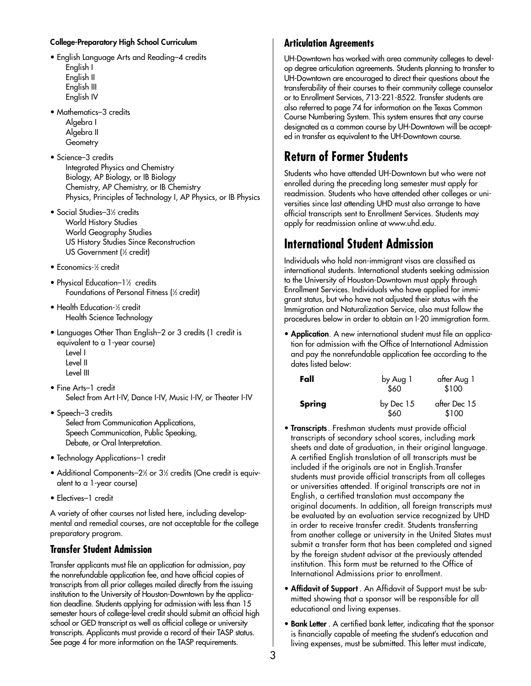#### **College-Preparatory High School Curriculum**

- English Language Arts and Reading–4 credits English I English II English III English IV
- Mathematics-3 credits Algebra I Algebra II **Geometry**
- Science–3 credits Integrated Physics and Chemistry Biology, AP Biology, or IB Biology Chemistry, AP Chemistry, or IB Chemistry Physics, Principles of Technology I, AP Physics, or IB Physics
- Social Studies–3½ credits World History Studies World Geography Studies US History Studies Since Reconstruction US Government (½ credit)
- Economics-½ credit
- Physical Education–1½ credits Foundations of Personal Fitness (<sup>1</sup> ⁄<sup>2</sup> credit)
- Health Education-½ credit Health Science Technology
- Languages Other Than English–2 or 3 credits (1 credit is equivalent to a 1-year course) Level I Level II Level III
- Fine Arts–1 credit Select from Art I-IV, Dance I-IV, Music I-IV, or Theater I-IV
- Speech-3 credits Select from Communication Applications, Speech Communication, Public Speaking, Debate, or Oral Interpretation.
- Technology Applications–1 credit
- $\bullet$  Additional Components–2½ or 3½ credits (One credit is equivalent to a 1-year course)
- Electives–1 credit

A variety of other courses not listed here, including developmental and remedial courses, are not acceptable for the college preparatory program.

# **Transfer Student Admission**

Transfer applicants must file an application for admission, pay the nonrefundable application fee, and have official copies of transcripts from all prior colleges mailed directly from the issuing institution to the University of Houston-Downtown by the application deadline. Students applying for admission with less than 15 semester hours of college-level credit should submit an official high school or GED transcript as well as official college or university transcripts. Applicants must provide a record of their TASP status. See page 4 for more information on the TASP requirements.

# **Articulation Agreements**

UH-Downtown has worked with area community colleges to develop degree articulation agreements. Students planning to transfer to UH-Downtown are encouraged to direct their questions about the transferability of their courses to their community college counselor or to Enrollment Services, 713-221-8522. Transfer students are also referred to page 74 for information on the Texas Common Course Numbering System. This system ensures that any course designated as a common course by UH-Downtown will be accepted in transfer as equivalent to the UH-Downtown course.

# **Return of Former Students**

Students who have attended UH-Downtown but who were not enrolled during the preceding long semester must apply for readmission. Students who have attended other colleges or universities since last attending UHD must also arrange to have official transcripts sent to Enrollment Services. Students may apply for readmission online at www.uhd.edu.

# **International Student Admission**

Individuals who hold non-immigrant visas are classified as international students. International students seeking admission to the University of Houston-Downtown must apply through Enrollment Services. Individuals who have applied for immigrant status, but who have not adjusted their status with the Immigration and Naturalization Service, also must follow the procedures below in order to obtain an I-20 immigration form.

• **Application**. A new international student must file an application for admission with the Office of International Admission and pay the nonrefundable application fee according to the dates listed below:

| Fall          | by Aug 1<br>\$60  | after Aug 1<br>\$100  |
|---------------|-------------------|-----------------------|
| <b>Spring</b> | by Dec 15<br>\$60 | after Dec 15<br>\$100 |

- **Transcripts**. Freshman students must provide official transcripts of secondary school scores, including mark sheets and date of graduation, in their original language. A certified English translation of all transcripts must be included if the originals are not in English.Transfer students must provide official transcripts from all colleges or universities attended. If original transcripts are not in English, a certified translation must accompany the original documents. In addition, all foreign transcripts must be evaluated by an evaluation service recognized by UHD in order to receive transfer credit. Students transferring from another college or university in the United States must submit a transfer form that has been completed and signed by the foreign student advisor at the previously attended institution. This form must be returned to the Office of International Admissions prior to enrollment.
- **A ffidavit of Support** . An Affidavit of Support must be submitted showing that a sponsor will be responsible for all educational and living expenses.
- **Bank Letter** . A certified bank letter, indicating that the sponsor is financially capable of meeting the student's education and living expenses, must be submitted. This letter must indicate,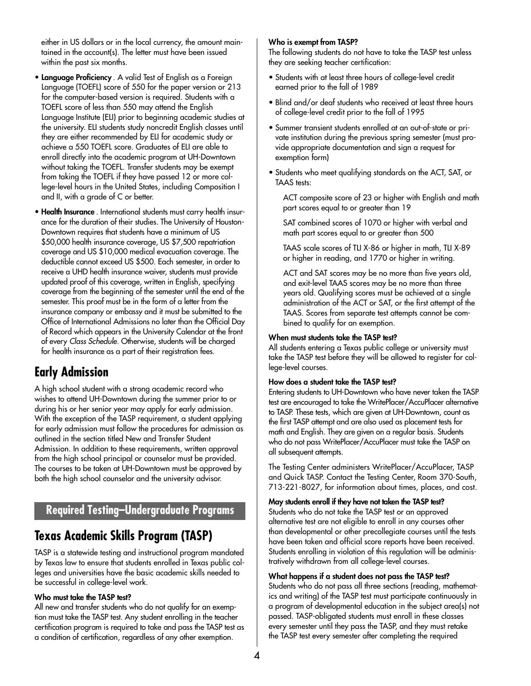either in US dollars or in the local currency, the amount maintained in the account(s). The letter must have been issued within the past six months.

- **Language Proficiency** . A valid Test of English as a Foreign Language (TOEFL) score of 550 for the paper version or 213 for the computer-based version is required. Students with a TOEFL score of less than 550 may attend the English Language Institute (ELI) prior to beginning academic studies at the university. ELI students study noncredit English classes until they are either recommended by ELI for academic study or achieve a 550 TOEFL score. Graduates of ELI are able to enroll directly into the academic program at UH-Downtown without taking the TOEFL. Transfer students may be exempt from taking the TOEFL if they have passed 12 or more college-level hours in the United States, including Composition I and II, with a grade of C or better.
- <span id="page-7-0"></span>• **Health Insurance** . International students must carry health insurance for the duration of their studies. The University of Houston-Downtown requires that students have a minimum of US \$50,000 health insurance coverage, US \$7,500 repatriation coverage and US \$10,000 medical evacuation coverage. The deductible cannot exceed US \$500. Each semester, in order to receive a UHD health insurance waiver, students must provide updated proof of this coverage, written in English, specifying coverage from the beginning of the semester until the end of the semester. This proof must be in the form of a letter from the insurance company or embassy and it must be submitted to the Office of International Admissions no later than the Official Day of Record which appears in the University Calendar at the front of every *Class Schedule*. Otherwise, students will be charged for health insurance as a part of their registration fees.

# **Early Admission**

A high school student with a strong academic record who wishes to attend UH-Downtown during the summer prior to or during his or her senior year may apply for early admission. With the exception of the TASP requirement, a student applying for early admission must follow the procedures for admission as outlined in the section titled New and Transfer Student Admission. In addition to these requirements, written approval from the high school principal or counselor must be provided. The courses to be taken at UH-Downtown must be approved by both the high school counselor and the university advisor.

# **Required Testing–Undergraduate Programs**

# **Texas Academic Skills Program (TASP)**

TASP is a statewide testing and instructional program mandated by Texas law to ensure that students enrolled in Texas public colleges and universities have the basic academic skills needed to be successful in college-level work.

#### **Who must take the TASP test?**

All new and transfer students who do not qualify for an exemption must take the TASP test. Any student enrolling in the teacher certification program is required to take and pass the TASP test as a condition of certification, regardless of any other exemption.

#### **Who is exempt from TASP?**

The following students do not have to take the TASP test unless they are seeking teacher certification:

- Students with at least three hours of college-level credit earned prior to the fall of 1989
- Blind and/or deaf students who received at least three hours of college-level credit prior to the fall of 1995
- Summer transient students enrolled at an out-of-state or private institution during the previous spring semester (must provide appropriate documentation and sign a request for exemption form)
- Students who meet qualifying standards on the ACT, SAT, or TAAS tests:

ACT composite score of 23 or higher with English and math part scores equal to or greater than 19

SAT combined scores of 1070 or higher with verbal and math part scores equal to or greater than 500

TAAS scale scores of TLI X-86 or higher in math, TLI X-89 or higher in reading, and 1770 or higher in writing.

ACT and SAT scores may be no more than five years old, and exit-level TAAS scores may be no more than three years old. Qualifying scores must be achieved at a single administration of the ACT or SAT, or the first attempt of the TAAS. Scores from separate test attempts cannot be combined to qualify for an exemption.

#### **When must students take the TASP test?**

All students entering a Texas public college or university must take the TASP test before they will be allowed to register for college-level courses.

#### **How does a student take the TASP test?**

Entering students to UH-Downtown who have never taken the TASP test are encouraged to take the WritePlacer/AccuPlacer alternative to TASP. These tests, which are given at UH-Downtown, count as the first TASP attempt and are also used as placement tests for math and English. They are given on a regular basis. Students who do not pass WritePlacer/AccuPlacer must take the TASP on all subsequent attempts.

The Testing Center administers WritePlacer/AccuPlacer, TASP and Quick TASP. Contact the Testing Center, Room 370-South, 713-221-8027, for information about times, places, and cost.

**May students enroll if they have not taken the TASP test?**

Students who do not take the TASP test or an approved alternative test are not eligible to enroll in any courses other than developmental or other precollegiate courses until the tests have been taken and official score reports have been received. Students enrolling in violation of this regulation will be administratively withdrawn from all college-level courses.

#### **What happens if a student does not pass the TASP test?**

Students who do not pass all three sections (reading, mathematics and writing) of the TASP test must participate continuously in a program of developmental education in the subject area(s) not passed. TASP-obligated students must enroll in these classes every semester until they pass the TASP, and they must retake the TASP test every semester after completing the required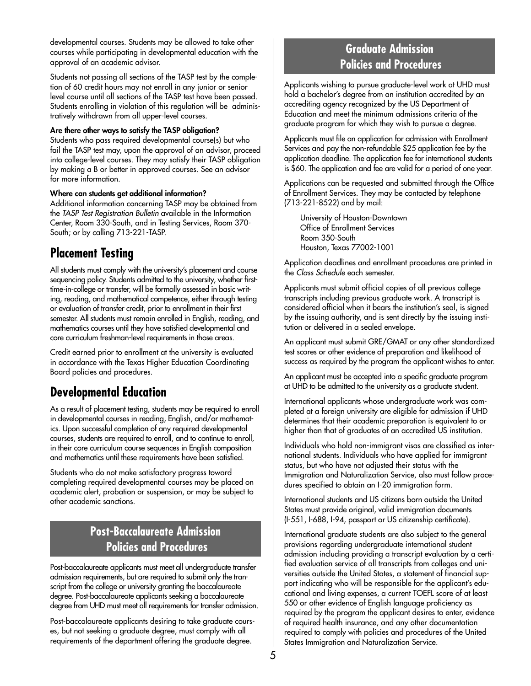<span id="page-8-1"></span>developmental courses. Students may be allowed to take other courses while participating in developmental education with the approval of an academic advisor.

Students not passing all sections of the TASP test by the completion of 60 credit hours may not enroll in any junior or senior level course until all sections of the TASP test have been passed. Students enrolling in violation of this regulation will be administratively withdrawn from all upper-level courses.

#### **Are there other ways to satisfy the TASP obligation?**

Students who pass required developmental course(s) but who fail the TASP test may, upon the approval of an advisor, proceed into college-level courses. They may satisfy their TASP obligation by making a B or better in approved courses. See an advisor for more information.

#### **Where can students get additional information?**

Additional information concerning TASP may be obtained from the *TASP Test Registration Bulletin* available in the Information Center, Room 330-South, and in Testing Services, Room 370- South; or by calling 713-221-TASP.

# <span id="page-8-0"></span>**Placement Testing**

All students must comply with the university's placement and course sequencing policy. Students admitted to the university, whether firsttime-in-college or transfer, will be formally assessed in basic writing, reading, and mathematical competence, either through testing or evaluation of transfer credit, prior to enrollment in their first semester. All students must remain enrolled in English, reading, and mathematics courses until they have satisfied developmental and core curriculum freshman-level requirements in those areas.

Credit earned prior to enrollment at the university is evaluated in accordance with the Texas Higher Education Coordinating Board policies and procedures.

# **Developmental Education**

As a result of placement testing, students may be required to enroll in developmental courses in reading, English, and/or mathematics. Upon successful completion of any required developmental courses, students are required to enroll, and to continue to enroll, in their core curriculum course sequences in English composition and mathematics until these requirements have been satisfied.

Students who do not make satisfactory progress toward completing required developmental courses may be placed on academic alert, probation or suspension, or may be subject to other academic sanctions.

# **Post-Baccalaureate Admission Policies and Procedures**

Post-baccalaureate applicants must meet all undergraduate transfer admission requirements, but are required to submit only the transcript from the college or university granting the baccalaureate degree. Post-baccalaureate applicants seeking a baccalaureate degree from UHD must meet all requirements for transfer admission.

Post-baccalaureate applicants desiring to take graduate courses, but not seeking a graduate degree, must comply with all requirements of the department offering the graduate degree.

# **Graduate Admission Policies and Procedures**

Applicants wishing to pursue graduate-level work at UHD must hold a bachelor's degree from an institution accredited by an accrediting agency recognized by the US Department of Education and meet the minimum admissions criteria of the graduate program for which they wish to pursue a degree.

Applicants must file an application for admission with Enrollment Services and pay the non-refundable \$25 application fee by the application deadline. The application fee for international students is \$60. The application and fee are valid for a period of one year.

Applications can be requested and submitted through the Office of Enrollment Services. They may be contacted by telephone (713-221-8522) and by mail:

University of Houston-Downtown Office of Enrollment Services Room 350-South Houston, Texas 77002-1001

Application deadlines and enrollment procedures are printed in the *Class Schedule* each semester.

Applicants must submit official copies of all previous college transcripts including previous graduate work. A transcript is considered official when it bears the institution's seal, is signed by the issuing authority, and is sent directly by the issuing institution or delivered in a sealed envelope.

An applicant must submit GRE/GMAT or any other standardized test scores or other evidence of preparation and likelihood of success as required by the program the applicant wishes to enter.

An applicant must be accepted into a specific graduate program at UHD to be admitted to the university as a graduate student.

International applicants whose undergraduate work was completed at a foreign university are eligible for admission if UHD determines that their academic preparation is equivalent to or higher than that of graduates of an accredited US institution.

Individuals who hold non-immigrant visas are classified as international students. Individuals who have applied for immigrant status, but who have not adjusted their status with the Immigration and Naturalization Service, also must follow procedures specified to obtain an I-20 immigration form.

International students and US citizens born outside the United States must provide original, valid immigration documents (I-551, I-688, I-94, passport or US citizenship certificate).

International graduate students are also subject to the general provisions regarding undergraduate international student admission including providing a transcript evaluation by a certified evaluation service of all transcripts from colleges and universities outside the United States, a statement of financial support indicating who will be responsible for the applicant's educational and living expenses, a current TOEFL score of at least 550 or other evidence of English language proficiency as required by the program the applicant desires to enter, evidence of required health insurance, and any other documentation required to comply with policies and procedures of the United States Immigration and Naturalization Service.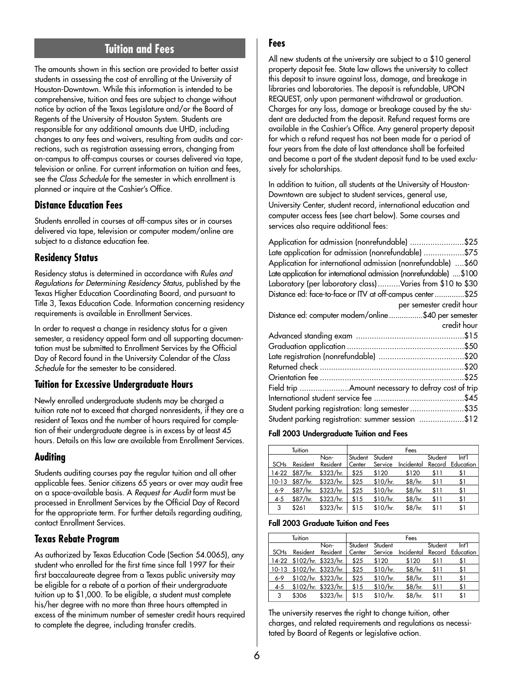# **Tuition and Fees**

<span id="page-9-0"></span>The amounts shown in this section are provided to better assist students in assessing the cost of enrolling at the University of Houston-Downtown. While this information is intended to be comprehensive, tuition and fees are subject to change without notice by action of the Texas Legislature and/or the Board of Regents of the University of Houston System. Students are responsible for any additional amounts due UHD, including changes to any fees and waivers, resulting from audits and corrections, such as registration assessing errors, changing from on-campus to off-campus courses or courses delivered via tape, television or online. For current information on tuition and fees, see the *Class Schedule* for the semester in which enrollment is planned or inquire at the Cashier's Office.

### **Distance Education Fees**

Students enrolled in courses at off-campus sites or in courses delivered via tape, television or computer modem/online are subject to a distance education fee.

### **Residency Status**

Residency status is determined in accordance with *Rules and Regulations for Determining Residency Status*, published by the Texas Higher Education Coordinating Board, and pursuant to Title 3, Texas Education Code. Information concerning residency requirements is available in Enrollment Services.

In order to request a change in residency status for a given semester, a residency appeal form and all supporting documentation must be submitted to Enrollment Services by the Official Day of Record found in the University Calendar of the *Class Schedule* for the semester to be considered.

# **Tuition for Excessive Undergraduate Hours**

Newly enrolled undergraduate students may be charged a tuition rate not to exceed that charged nonresidents, if they are a resident of Texas and the number of hours required for completion of their undergraduate degree is in excess by at least 45 hours. Details on this law are available from Enrollment Services.

# **Auditing**

Students auditing courses pay the regular tuition and all other applicable fees. Senior citizens 65 years or over may audit free on a space-available basis. A *Request for Audit* form must be processed in Enrollment Services by the Official Day of Record for the appropriate term. For further details regarding auditing, contact Enrollment Services.

# **Texas Rebate Program**

As authorized by Texas Education Code (Section 54.0065), any student who enrolled for the first time since fall 1997 for their first baccalaureate degree from a Texas public university may be eligible for a rebate of a portion of their undergraduate tuition up to \$1,000. To be eligible, a student must complete his/her degree with no more than three hours attempted in excess of the minimum number of semester credit hours required to complete the degree, including transfer credits.

#### **Fees**

All new students at the university are subject to a \$10 general property deposit fee. State law allows the university to collect this deposit to insure against loss, damage, and breakage in libraries and laboratories. The deposit is refundable, UPON REQUEST, only upon permanent withdrawal or graduation. Charges for any loss, damage or breakage caused by the student are deducted from the deposit. Refund request forms are available in the Cashier's Office. Any general property deposit for which a refund request has not been made for a period of four years from the date of last attendance shall be forfeited and become a part of the student deposit fund to be used exclusively for scholarships.

In addition to tuition, all students at the University of Houston-Downtown are subject to student services, general use, University Center, student record, international education and computer access fees (see chart below). Some courses and services also require additional fees:

| Application for admission (nonrefundable) \$25                     |             |
|--------------------------------------------------------------------|-------------|
| Late application for admission (nonrefundable) \$75                |             |
| Application for international admission (nonrefundable) \$60       |             |
| Late application for international admission (nonrefundable) \$100 |             |
| Laboratory (per laboratory class)Varies from \$10 to \$30          |             |
| Distance ed: face-to-face or ITV at off-campus center \$25         |             |
| per semester credit hour                                           |             |
| Distance ed: computer modem/online\$40 per semester                |             |
|                                                                    | credit hour |
|                                                                    |             |
|                                                                    |             |
|                                                                    |             |
|                                                                    |             |
|                                                                    |             |
|                                                                    |             |
|                                                                    |             |
| Student parking registration: long semester\$35                    |             |
| Student parking registration: summer session \$12                  |             |
|                                                                    |             |

#### **Fall 2003 Undergraduate Tuition and Fees**

|                        | Tuition  |                                 |         |          | Fees                                       |         |      |
|------------------------|----------|---------------------------------|---------|----------|--------------------------------------------|---------|------|
|                        |          | Non-                            | Student | Student  |                                            | Student | lnf  |
| <b>SCH<sub>s</sub></b> |          | Resident Resident               |         |          | Center Service Incidental Record Education |         |      |
|                        |          | 14-22 \$87/hr. \$323/hr.   \$25 |         | \$120    | \$120                                      | \$11    | -\$1 |
|                        |          | 10-13 \$87/hr. \$323/hr.   \$25 |         | \$10/hr. | $$8/hr$ .                                  | \$11    | -\$1 |
| $6 - 9$                |          | $$87/hr.$ $$323/hr.$ $$25$      |         | \$10/hr. | $$8/hr$ .                                  | \$11    | \$1  |
| $4 - 5$                | \$87/hr. | \$323/hr.                       | \$15    | \$10/hr. | $$8/hr$ .                                  | \$11    | \$1  |
| 3                      | \$261    | \$323/hr.                       | \$15    | \$10/hr. | $$8/hr$ .                                  | \$11    | \$1  |

#### **Fall 2003 Graduate Tuition and Fees**

|                        | Tuition           |                                |         |          | Fees                                |         |      |
|------------------------|-------------------|--------------------------------|---------|----------|-------------------------------------|---------|------|
|                        |                   | Non-                           | Student | Student  |                                     | Student | Int' |
| <b>SCH<sub>s</sub></b> | Resident Resident |                                | Center  |          | Service Incidental Record Education |         |      |
|                        |                   | 14-22 \$102/hr. \$323/hr.      | \$25    | \$120    | \$120                               | \$11    | \$1  |
|                        |                   | 10-13 \$102/hr. \$323/hr. \$25 |         | \$10/hr. | $$8/hr.$ \$11                       |         | \$1  |
| 6-9                    |                   | \$102/hr. \$323/hr.            | \$25    | \$10/hr. | \$8/hr.                             | - \$11  | \$1  |
|                        |                   | 4-5 \$102/hr. \$323/hr.        | \$15    | \$10/hr. | \$8/hr.                             | - \$11  | \$1  |
| 3                      | \$306             | \$323/hr.                      | \$15    | \$10/hr. | $$8/hr$ .                           | \$11    | \$1  |

The university reserves the right to change tuition, other charges, and related requirements and regulations as necessitated by Board of Regents or legislative action.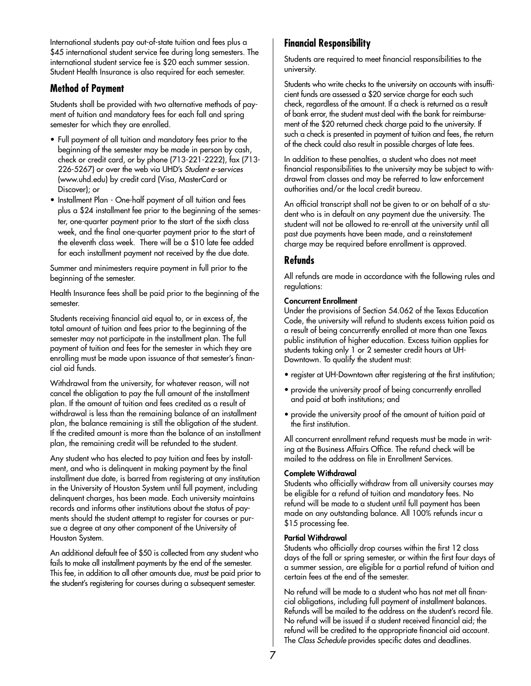International students pay out-of-state tuition and fees plus a \$45 international student service fee during long semesters. The international student service fee is \$20 each summer session. Student Health Insurance is also required for each semester.

# **Method of Payment**

Students shall be provided with two alternative methods of payment of tuition and mandatory fees for each fall and spring semester for which they are enrolled.

- Full payment of all tuition and mandatory fees prior to the beginning of the semester may be made in person by cash, check or credit card, or by phone (713-221-2222), fax (713- 226-5267) or over the web via UHD's *Student e-services* (www.uhd.edu) by credit card (Visa, MasterCard or Discover); or
- Installment Plan One-half payment of all tuition and fees plus a \$24 installment fee prior to the beginning of the semester, one-quarter payment prior to the start of the sixth class week, and the final one-quarter payment prior to the start of the eleventh class week. There will be a \$10 late fee added for each installment payment not received by the due date.

Summer and minimesters require payment in full prior to the beginning of the semester.

Health Insurance fees shall be paid prior to the beginning of the semester.

Students receiving financial aid equal to, or in excess of, the total amount of tuition and fees prior to the beginning of the semester may not participate in the installment plan. The full payment of tuition and fees for the semester in which they are enrolling must be made upon issuance of that semester's financial aid funds.

Withdrawal from the university, for whatever reason, will not cancel the obligation to pay the full amount of the installment plan. If the amount of tuition and fees credited as a result of withdrawal is less than the remaining balance of an installment plan, the balance remaining is still the obligation of the student. If the credited amount is more than the balance of an installment plan, the remaining credit will be refunded to the student.

Any student who has elected to pay tuition and fees by installment, and who is delinquent in making payment by the final installment due date, is barred from registering at any institution in the University of Houston System until full payment, including delinquent charges, has been made. Each university maintains records and informs other institutions about the status of payments should the student attempt to register for courses or pursue a degree at any other component of the University of Houston System.

An additional default fee of \$50 is collected from any student who fails to make all installment payments by the end of the semester. This fee, in addition to all other amounts due, must be paid prior to the student's registering for courses during a subsequent semester.

# **Financial Responsibility**

Students are required to meet financial responsibilities to the university.

Students who write checks to the university on accounts with insufficient funds are assessed a \$20 service charge for each such check, regardless of the amount. If a check is returned as a result of bank error, the student must deal with the bank for reimbursement of the \$20 returned check charge paid to the university. If such a check is presented in payment of tuition and fees, the return of the check could also result in possible charges of late fees.

In addition to these penalties, a student who does not meet financial responsibilities to the university may be subject to withdrawal from classes and may be referred to law enforcement authorities and/or the local credit bureau.

An official transcript shall not be given to or on behalf of a student who is in default on any payment due the university. The student will not be allowed to re-enroll at the university until all past due payments have been made, and a reinstatement charge may be required before enrollment is approved.

### **Refunds**

All refunds are made in accordance with the following rules and regulations:

#### **Concurrent Enrollment**

Under the provisions of Section 54.062 of the Texas Education Code, the university will refund to students excess tuition paid as a result of being concurrently enrolled at more than one Texas public institution of higher education. Excess tuition applies for students taking only 1 or 2 semester credit hours at UH-Downtown. To qualify the student must:

- register at UH-Downtown after registering at the first institution;
- provide the university proof of being concurrently enrolled and paid at both institutions; and
- provide the university proof of the amount of tuition paid at the first institution.

All concurrent enrollment refund requests must be made in writing at the Business Affairs Office. The refund check will be mailed to the address on file in Enrollment Services.

#### **Complete Withdrawal**

Students who officially withdraw from all university courses may be eligible for a refund of tuition and mandatory fees. No refund will be made to a student until full payment has been made on any outstanding balance. All 100% refunds incur a \$15 processing fee.

#### **Partial Withdrawal**

Students who officially drop courses within the first 12 class days of the fall or spring semester, or within the first four days of a summer session, are eligible for a partial refund of tuition and certain fees at the end of the semester.

No refund will be made to a student who has not met all financial obligations, including full payment of installment balances. Refunds will be mailed to the address on the student's record file. No refund will be issued if a student received financial aid; the refund will be credited to the appropriate financial aid account. The *Class Schedule* provides specific dates and deadlines.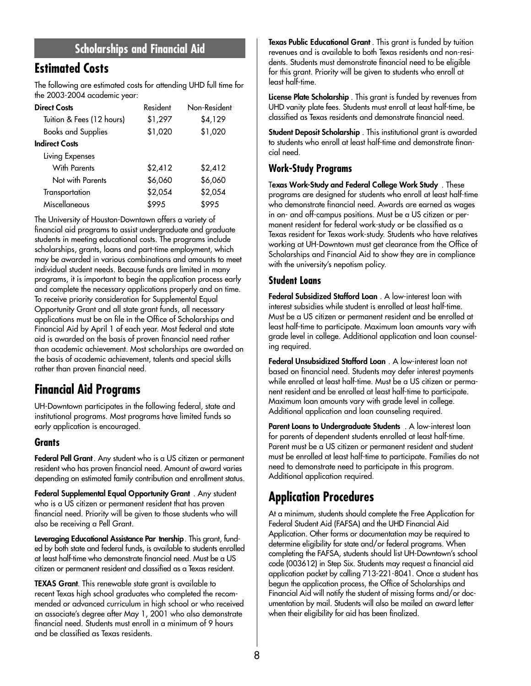# **Scholarships and Financial Aid**

# <span id="page-11-0"></span>**Estimated Costs**

The following are estimated costs for attending UHD full time for the 2003-2004 academic year:

| <b>Direct Costs</b>       | Resident           | Non-Resident |  |
|---------------------------|--------------------|--------------|--|
| Tuition & Fees (12 hours) | \$1,297            | \$4,129      |  |
| <b>Books and Supplies</b> | \$1,020<br>\$1,020 |              |  |
| <b>Indirect Costs</b>     |                    |              |  |
| Living Expenses           |                    |              |  |
| With Parents              | \$2,412            | \$2,412      |  |
| Not with Parents          | \$6,060            | \$6,060      |  |
| Transportation            | \$2,054            | \$2,054      |  |
| Miscellaneous             | \$995              | \$995        |  |

The University of Houston-Downtown offers a variety of financial aid programs to assist undergraduate and graduate students in meeting educational costs. The programs include scholarships, grants, loans and part-time employment, which may be awarded in various combinations and amounts to meet individual student needs. Because funds are limited in many programs, it is important to begin the application process early and complete the necessary applications properly and on time. To receive priority consideration for Supplemental Equal Opportunity Grant and all state grant funds, all necessary applications must be on file in the Office of Scholarships and Financial Aid by April 1 of each year. Most federal and state aid is awarded on the basis of proven financial need rather than academic achievement. Most scholarships are awarded on the basis of academic achievement, talents and special skills rather than proven financial need.

# **Financial Aid Programs**

UH-Downtown participates in the following federal, state and institutional programs. Most programs have limited funds so early application is encouraged.

# **Grants**

Federal Pell Grant. Any student who is a US citizen or permanent resident who has proven financial need. Amount of award varies depending on estimated family contribution and enrollment status.

**Federal Supplemental Equal Opportunity Grant** . Any student who is a US citizen or permanent resident that has proven financial need. Priority will be given to those students who will also be receiving a Pell Grant.

Leveraging Educational Assistance Par tnership. This grant, funded by both state and federal funds, is available to students enrolled at least half-time who demonstrate financial need. Must be a US citizen or permanent resident and classified as a Texas resident.

**TEXAS Grant**. This renewable state grant is available to recent Texas high school graduates who completed the recommended or advanced curriculum in high school or who received an associate's degree after May 1, 2001 who also demonstrate financial need. Students must enroll in a minimum of 9 hours and be classified as Texas residents.

**Texas Public Educational Grant** . This grant is funded by tuition revenues and is available to both Texas residents and non-residents. Students must demonstrate financial need to be eligible for this grant. Priority will be given to students who enroll at least half-time.

**License Plate Scholarship** . This grant is funded by revenues from UHD vanity plate fees. Students must enroll at least half-time, be classified as Texas residents and demonstrate financial need.

**Student Deposit Scholarship** . This institutional grant is awarded to students who enroll at least half-time and demonstrate financial need.

# **Work-Study Programs**

T**exas Work-Study and Federal College Work Study** . These programs are designed for students who enroll at least half-time who demonstrate financial need. Awards are earned as wages in on- and off-campus positions. Must be a US citizen or permanent resident for federal work-study or be classified as a Texas resident for Texas work-study. Students who have relatives working at UH-Downtown must get clearance from the Office of Scholarships and Financial Aid to show they are in compliance with the university's nepotism policy.

### **Student Loans**

**Federal Subsidized Stafford Loan** . A low-interest loan with interest subsidies while student is enrolled at least half-time. Must be a US citizen or permanent resident and be enrolled at least half-time to participate. Maximum loan amounts vary with grade level in college. Additional application and loan counseling required.

**Federal Unsubsidized Stafford Loan** . A low-interest loan not based on financial need. Students may defer interest payments while enrolled at least half-time. Must be a US citizen or permanent resident and be enrolled at least half-time to participate. Maximum loan amounts vary with grade level in college. Additional application and loan counseling required.

**Parent Loans to Undergraduate Students** . A low-interest loan for parents of dependent students enrolled at least half-time. Parent must be a US citizen or permanent resident and student must be enrolled at least half-time to participate. Families do not need to demonstrate need to participate in this program. Additional application required.

# **Application Procedures**

At a minimum, students should complete the Free Application for Federal Student Aid (FAFSA) and the UHD Financial Aid Application. Other forms or documentation may be required to determine eligibility for state and/or federal programs. When completing the FAFSA, students should list UH-Downtown's school code (003612) in Step Six. Students may request a financial aid application packet by calling 713-221-8041. Once a student has begun the application process, the Office of Scholarships and Financial Aid will notify the student of missing forms and/or documentation by mail. Students will also be mailed an award letter when their eligibility for aid has been finalized.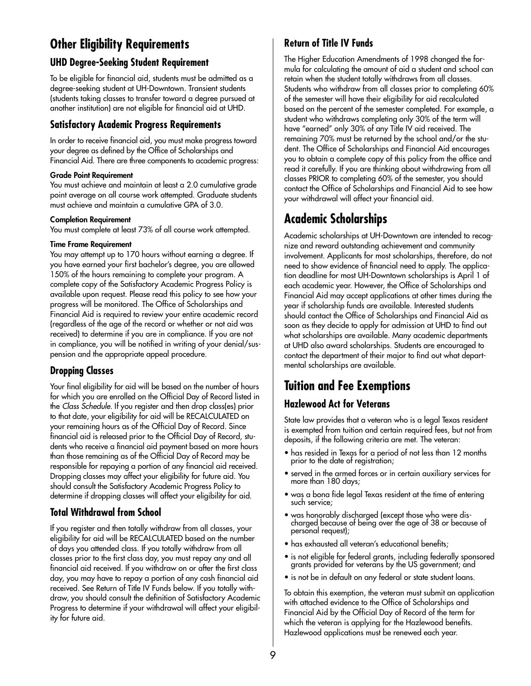# **Other Eligibility Requirements**

# **UHD Degree-Seeking Student Requirement**

To be eligible for financial aid, students must be admitted as a degree-seeking student at UH-Downtown. Transient students (students taking classes to transfer toward a degree pursued at another institution) are not eligible for financial aid at UHD.

# **Satisfactory Academic Progress Requirements**

In order to receive financial aid, you must make progress toward your degree as defined by the Office of Scholarships and Financial Aid. There are three components to academic progress:

#### **Grade Point Requirement**

You must achieve and maintain at least a 2.0 cumulative grade point average on all course work attempted. Graduate students must achieve and maintain a cumulative GPA of 3.0.

#### **Completion Requirement**

You must complete at least 73% of all course work attempted.

#### **Time Frame Requirement**

You may attempt up to 170 hours without earning a degree. If you have earned your first bachelor's degree, you are allowed 150% of the hours remaining to complete your program. A complete copy of the Satisfactory Academic Progress Policy is available upon request. Please read this policy to see how your progress will be monitored. The Office of Scholarships and Financial Aid is required to review your entire academic record (regardless of the age of the record or whether or not aid was received) to determine if you are in compliance. If you are not in compliance, you will be notified in writing of your denial/suspension and the appropriate appeal procedure.

# **Dropping Classes**

Your final eligibility for aid will be based on the number of hours for which you are enrolled on the Official Day of Record listed in the *Class Schedule*. If you register and then drop class(es) prior to that date, your eligibility for aid will be RECALCULATED on your remaining hours as of the Official Day of Record. Since financial aid is released prior to the Official Day of Record, students who receive a financial aid payment based on more hours than those remaining as of the Official Day of Record may be responsible for repaying a portion of any financial aid received. Dropping classes may affect your eligibility for future aid. You should consult the Satisfactory Academic Progress Policy to determine if dropping classes will affect your eligibility for aid.

# **Total Withdrawal from School**

If you register and then totally withdraw from all classes, your eligibility for aid will be RECALCULATED based on the number of days you attended class. If you totally withdraw from all classes prior to the first class day, you must repay any and all financial aid received. If you withdraw on or after the first class day, you may have to repay a portion of any cash financial aid received. See Return of Title IV Funds below. If you totally withdraw, you should consult the definition of Satisfactory Academic Progress to determine if your withdrawal will affect your eligibility for future aid.

# **Return of Title IV Funds**

The Higher Education Amendments of 1998 changed the formula for calculating the amount of aid a student and school can retain when the student totally withdraws from all classes. Students who withdraw from all classes prior to completing 60% of the semester will have their eligibility for aid recalculated based on the percent of the semester completed. For example, a student who withdraws completing only 30% of the term will have "earned" only 30% of any Title IV aid received. The remaining 70% must be returned by the school and/or the student. The Office of Scholarships and Financial Aid encourages you to obtain a complete copy of this policy from the office and read it carefully. If you are thinking about withdrawing from all classes PRIOR to completing 60% of the semester, you should contact the Office of Scholarships and Financial Aid to see how your withdrawal will affect your financial aid.

# **Academic Scholarships**

Academic scholarships at UH-Downtown are intended to recognize and reward outstanding achievement and community involvement. Applicants for most scholarships, therefore, do not need to show evidence of financial need to apply. The application deadline for most UH-Downtown scholarships is April 1 of each academic year. However, the Office of Scholarships and Financial Aid may accept applications at other times during the year if scholarship funds are available. Interested students should contact the Office of Scholarships and Financial Aid as soon as they decide to apply for admission at UHD to find out what scholarships are available. Many academic departments at UHD also award scholarships. Students are encouraged to contact the department of their major to find out what departmental scholarships are available.

# **Tuition and Fee Exemptions**

# **Hazlewood Act for Veterans**

State law provides that a veteran who is a legal Texas resident is exempted from tuition and certain required fees, but not from deposits, if the following criteria are met. The veteran:

- has resided in Texas for a period of not less than 12 months prior to the date of registration;
- served in the armed forces or in certain auxiliary services for more than 180 days;
- was a bona fide legal Texas resident at the time of entering such service;
- was honorably discharged (except those who were discharged because of being over the age of 38 or because of personal request);
- has exhausted all veteran's educational benefits;
- is not eligible for federal grants, including federally sponsored grants provided for veterans by the US government; and
- is not be in default on any federal or state student loans.

To obtain this exemption, the veteran must submit an application with attached evidence to the Office of Scholarships and Financial Aid by the Official Day of Record of the term for which the veteran is applying for the Hazlewood benefits. Hazlewood applications must be renewed each year.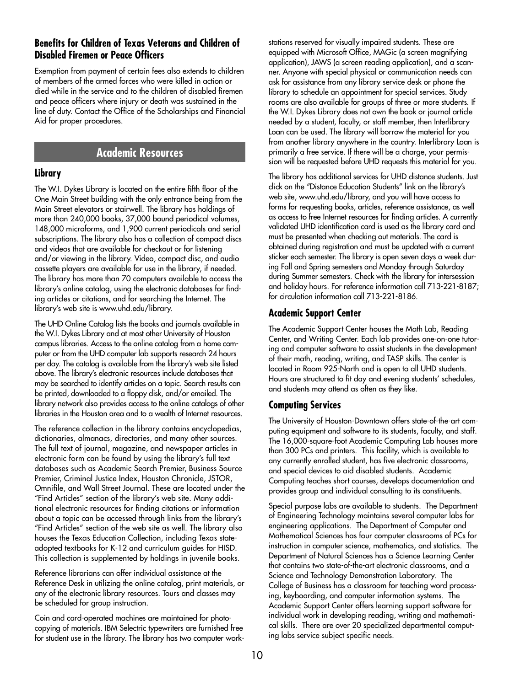# **Benefits for Children of Texas Veterans and Children of Disabled Firemen or Peace Officers**

Exemption from payment of certain fees also extends to children of members of the armed forces who were killed in action or died while in the service and to the children of disabled firemen and peace officers where injury or death was sustained in the line of duty. Contact the Office of the Scholarships and Financial Aid for proper procedures.

# **Academic Resources**

### <span id="page-13-0"></span>**Library**

The W.I. Dykes Library is located on the entire fifth floor of the One Main Street building with the only entrance being from the Main Street elevators or stairwell. The library has holdings of more than 240,000 books, 37,000 bound periodical volumes, 148,000 microforms, and 1,900 current periodicals and serial subscriptions. The library also has a collection of compact discs and videos that are available for checkout or for listening and/or viewing in the library. Video, compact disc, and audio cassette players are available for use in the library, if needed. The library has more than 70 computers available to access the library's online catalog, using the electronic databases for finding articles or citations, and for searching the Internet. The library's web site is www.uhd.edu/library.

The UHD Online Catalog lists the books and journals available in the W.I. Dykes Library and at most other University of Houston campus libraries. Access to the online catalog from a home computer or from the UHD computer lab supports research 24 hours per day. The catalog is available from the library 's web site listed above. The library's electronic resources include databases that may be searched to identify articles on a topic. Search results can be printed, downloaded to a floppy disk, and/or emailed. The library network also provides access to the online catalogs of other libraries in the Houston area and to a wealth of Internet resources.

The reference collection in the library contains encyclopedias, dictionaries, almanacs, directories, and many other sources. The full text of journal, magazine, and newspaper articles in electronic form can be found by using the library's full text databases such as Academic Search Premier, Business Source Premier, Criminal Justice Index, Houston Chronicle, JSTOR, Omnifile, and Wall Street Journal. These are located under the "Find Articles" section of the library's web site. Many additional electronic resources for finding citations or information about a topic can be accessed through links from the library's "Find Articles" section of the web site as well. The library also houses the Texas Education Collection, including Texas stateadopted textbooks for K-12 and curriculum guides for HISD. This collection is supplemented by holdings in juvenile books.

Reference librarians can offer individual assistance at the Reference Desk in utilizing the online catalog, print materials, or any of the electronic library resources. Tours and classes may be scheduled for group instruction.

Coin and card-operated machines are maintained for photocopying of materials. IBM Selectric typewriters are furnished free for student use in the library. The library has two computer workstations reserved for visually impaired students. These are equipped with Microsoft Office, MAGic (a screen magnifying application), JAWS (a screen reading application), and a scanner. Anyone with special physical or communication needs can ask for assistance from any library service desk or phone the library to schedule an appointment for special services. Study rooms are also available for groups of three or more students. If the W.I. Dykes Library does not own the book or journal article needed by a student, faculty, or staff member, then Interlibrary Loan can be used. The library will borrow the material for you from another library anywhere in the country. Interlibrary Loan is primarily a free service. If there will be a charge, your permission will be requested before UHD requests this material for you.

The library has additional services for UHD distance students. Just click on the "Distance Education Students" link on the library's web site, www.uhd.edu/library, and you will have access to forms for requesting books, articles, reference assistance, as well as access to free Internet resources for finding articles. A currently validated UHD identification card is used as the library card and must be presented when checking out materials. The card is obtained during registration and must be updated with a current sticker each semester. The library is open seven days a week during Fall and Spring semesters and Monday through Saturday during Summer semesters. Check with the library for intersession and holiday hours. For reference information call 713-221-8187; for circulation information call 713-221-8186.

# **Academic Support Center**

The Academic Support Center houses the Math Lab, Reading Center, and Writing Center. Each lab provides one-on-one tutoring and computer software to assist students in the development of their math, reading, writing, and TASP skills. The center is located in Room 925-North and is open to all UHD students. Hours are structured to fit day and evening students' schedules, and students may attend as often as they like.

# **Computing Services**

The University of Houston-Downtown offers state-of-the-art computing equipment and software to its students, faculty, and staff. The 16,000-square-foot Academic Computing Lab houses more than 300 PCs and printers. This facility, which is available to any currently enrolled student, has five electronic classrooms, and special devices to aid disabled students. Academic Computing teaches short courses, develops documentation and provides group and individual consulting to its constituents.

Special purpose labs are available to students. The Department of Engineering Technology maintains several computer labs for engineering applications. The Department of Computer and Mathematical Sciences has four computer classrooms of PCs for instruction in computer science, mathematics, and statistics. The Department of Natural Sciences has a Science Learning Center that contains two state-of-the-art electronic classrooms, and a Science and Technology Demonstration Laboratory. The College of Business has a classroom for teaching word processing, keyboarding, and computer information systems. The Academic Support Center offers learning support software for individual work in developing reading, writing and mathematical skills. There are over 20 specialized departmental computing labs service subject specific needs.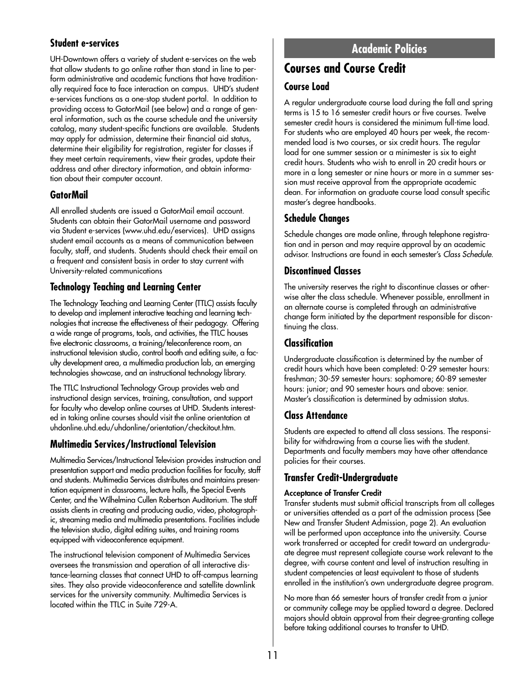# <span id="page-14-0"></span>**Student e-services**

UH-Downtown offers a variety of student e-services on the web that allow students to go online rather than stand in line to perform administrative and academic functions that have traditionally required face to face interaction on campus. UHD's student e-services functions as a one-stop student portal. In addition to providing access to GatorMail (see below) and a range of general information, such as the course schedule and the university catalog, many student-specific functions are available. Students may apply for admission, determine their financial aid status, determine their eligibility for registration, register for classes if they meet certain requirements, view their grades, update their address and other directory information, and obtain information about their computer account.

# **GatorMail**

All enrolled students are issued a GatorMail email account. Students can obtain their GatorMail username and password via Student e-services (www.uhd.edu/eservices). UHD assigns student email accounts as a means of communication between faculty, staff, and students. Students should check their email on a frequent and consistent basis in order to stay current with University-related communications

# **Technology Teaching and Learning Center**

The Technology Teaching and Learning Center (TTLC) assists faculty to develop and implement interactive teaching and learning technologies that increase the effectiveness of their pedagogy. Offering a wide range of programs, tools, and activities, the TTLC houses five electronic classrooms, a training/teleconference room, an instructional television studio, control booth and editing suite, a faculty development area, a multimedia production lab, an emerging technologies showcase, and an instructional technology library.

The TTLC Instructional Technology Group provides web and instructional design services, training, consultation, and support for faculty who develop online courses at UHD. Students interested in taking online courses should visit the online orientation at uhdonline.uhd.edu/uhdonline/orientation/checkitout.htm.

# **Multimedia Services/Instructional Television**

Multimedia Services/Instructional Television provides instruction and presentation support and media production facilities for faculty, staff and students. Multimedia Services distributes and maintains presentation equipment in classrooms, lecture halls, the Special Events Center, and the Wilhelmina Cullen Robertson Auditorium. The staff assists clients in creating and producing audio, video, photographic, streaming media and multimedia presentations. Facilities include the television studio, digital editing suites, and training rooms equipped with videoconference equipment.

The instructional television component of Multimedia Services oversees the transmission and operation of all interactive distance-learning classes that connect UHD to off-campus learning sites. They also provide videoconference and satellite downlink services for the university community. Multimedia Services is located within the TTLC in Suite 729-A.

# **Academic Policies**

# **Courses and Course Credit**

### **Course Load**

A regular undergraduate course load during the fall and spring terms is 15 to 16 semester credit hours or five courses. Twelve semester credit hours is considered the minimum full-time load. For students who are employed 40 hours per week, the recommended load is two courses, or six credit hours. The regular load for one summer session or a minimester is six to eight credit hours. Students who wish to enroll in 20 credit hours or more in a long semester or nine hours or more in a summer session must receive approval from the appropriate academic dean. For information on graduate course load consult specific master's degree handbooks.

# **Schedule Changes**

Schedule changes are made online, through telephone registration and in person and may require approval by an academic advisor. Instructions are found in each semester's *Class Schedule*.

# **Discontinued Classes**

The university reserves the right to discontinue classes or otherwise alter the class schedule. Whenever possible, enrollment in an alternate course is completed through an administrative change form initiated by the department responsible for discontinuing the class.

# **Classification**

Undergraduate classification is determined by the number of credit hours which have been completed: 0-29 semester hours: freshman; 30-59 semester hours: sophomore; 60-89 semester hours: junior; and 90 semester hours and above: senior. Master's classification is determined by admission status.

# **Class Attendance**

Students are expected to attend all class sessions. The responsibility for withdrawing from a course lies with the student. Departments and faculty members may have other attendance policies for their courses.

# **Transfer Credit-Undergraduate**

### **Acceptance of Transfer Credit**

Transfer students must submit official transcripts from all colleges or universities attended as a part of the admission process (See New and Transfer Student Admission, page 2). An evaluation will be performed upon acceptance into the university. Course work transferred or accepted for credit toward an undergraduate degree must represent collegiate course work relevant to the degree, with course content and level of instruction resulting in student competencies at least equivalent to those of students enrolled in the institution's own undergraduate degree program.

No more than 66 semester hours of transfer credit from a junior or community college may be applied toward a degree. Declared majors should obtain approval from their degree-granting college before taking additional courses to transfer to UHD.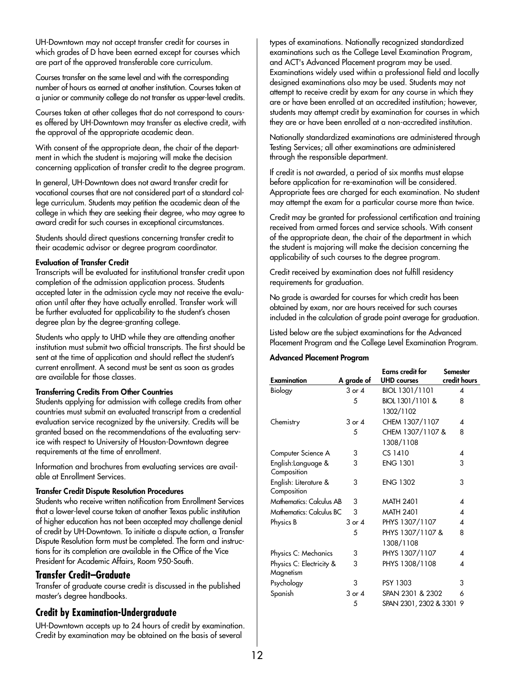UH-Downtown may not accept transfer credit for courses in which grades of D have been earned except for courses which are part of the approved transferable core curriculum.

Courses transfer on the same level and with the corresponding number of hours as earned at another institution. Courses taken at a junior or community college do not transfer as upper-level credits.

Courses taken at other colleges that do not correspond to courses offered by UH-Downtown may transfer as elective credit, with the approval of the appropriate academic dean.

With consent of the appropriate dean, the chair of the department in which the student is majoring will make the decision concerning application of transfer credit to the degree program.

In general, UH-Downtown does not award transfer credit for vocational courses that are not considered part of a standard college curriculum. Students may petition the academic dean of the college in which they are seeking their degree, who may agree to award credit for such courses in exceptional circumstances.

Students should direct questions concerning transfer credit to their academic advisor or degree program coordinator.

#### **Evaluation of Transfer Credit**

Transcripts will be evaluated for institutional transfer credit upon completion of the admission application process. Students accepted later in the admission cycle may not receive the evaluation until after they have actually enrolled. Transfer work will be further evaluated for applicability to the student's chosen degree plan by the degree-granting college.

Students who apply to UHD while they are attending another institution must submit two official transcripts. The first should be sent at the time of application and should reflect the student's current enrollment. A second must be sent as soon as grades are available for those classes.

#### **Transferring Credits From Other Countries**

Students applying for admission with college credits from other countries must submit an evaluated transcript from a credential evaluation service recognized by the university. Credits will be granted based on the recommendations of the evaluating service with respect to University of Houston-Downtown degree requirements at the time of enrollment.

Information and brochures from evaluating services are available at Enrollment Services.

#### **Transfer Credit Dispute Resolution Procedures**

Students who receive written notification from Enrollment Services that a lower-level course taken at another Texas public institution of higher education has not been accepted may challenge denial of credit by UH-Downtown. To initiate a dispute action, a Transfer Dispute Resolution form must be completed. The form and instructions for its completion are available in the Office of the Vice President for Academic Affairs, Room 950-South.

### **Transfer Credit–Graduate**

Transfer of graduate course credit is discussed in the published master's degree handbooks.

# **Credit by Examination-Undergraduate**

UH-Downtown accepts up to 24 hours of credit by examination. Credit by examination may be obtained on the basis of several

types of examinations. Nationally recognized standardized examinations such as the College Level Examination Program, and ACT's Advanced Placement program may be used. Examinations widely used within a professional field and locally designed examinations also may be used. Students may not attempt to receive credit by exam for any course in which they are or have been enrolled at an accredited institution; however, students may attempt credit by examination for courses in which they are or have been enrolled at a non-accredited institution.

Nationally standardized examinations are administered through Testing Services; all other examinations are administered through the responsible department.

If credit is not awarded, a period of six months must elapse before application for re-examination will be considered. Appropriate fees are charged for each examination. No student may attempt the exam for a particular course more than twice.

Credit may be granted for professional certification and training received from armed forces and service schools. With consent of the appropriate dean, the chair of the department in which the student is majoring will make the decision concerning the applicability of such courses to the degree program.

Credit received by examination does not fulfill residency requirements for graduation.

No grade is awarded for courses for which credit has been obtained by exam, nor are hours received for such courses included in the calculation of grade point average for graduation.

Listed below are the subject examinations for the Advanced Placement Program and the College Level Examination Program.

#### **Advanced Placement Program**

|                          |            | Earns credit for       | <b>Semester</b> |
|--------------------------|------------|------------------------|-----------------|
| Examination              | A grade of | <b>UHD</b> courses     | credit hours    |
| Biology                  | $3$ or $4$ | BIOL 1301/1101         | 4               |
|                          | 5          | BIOL 1301/1101 &       | 8               |
|                          |            | 1302/1102              |                 |
| Chemistry                | 3 or 4     | CHEM 1307/1107         | 4               |
|                          | 5          | CHEM 1307/1107 &       | 8               |
|                          |            | 1308/1108              |                 |
| Computer Science A       | 3          | CS 1410                | 4               |
| English: Language &      | 3          | <b>ENG 1301</b>        | 3               |
| Composition              |            |                        |                 |
| English: Literature &    | 3          | <b>ENG 1302</b>        | 3               |
| Composition              |            |                        |                 |
| Mathematics: Calculus AB | 3          | <b>MATH 2401</b>       | ◢               |
| Mathematics: Calculus BC | 3          | <b>MATH 2401</b>       | 4               |
| Physics B                | $3$ or $4$ | PHYS 1307/1107         | 4               |
|                          | 5          | PHYS 1307/1107 &       | 8               |
|                          |            | 1308/1108              |                 |
| Physics C: Mechanics     | 3          | PHYS 1307/1107         | 4               |
| Physics C: Electricity & | 3          | PHYS 1308/1108         | 4               |
| Magnetism                |            |                        |                 |
| Psychology               | 3          | PSY 1303               | 3               |
| Spanish                  | $3$ or $4$ | SPAN 2301 & 2302       | 6               |
|                          | 5          | SPAN 2301, 2302 & 3301 | 9               |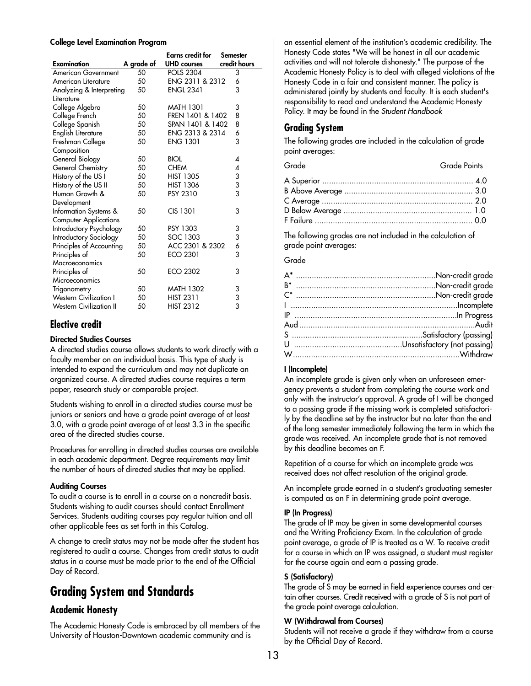#### **College Level Examination Program**

| Examination                    |                  | Earns credit for<br><b>UHD</b> courses | <b>Semester</b><br>credit hours            |
|--------------------------------|------------------|----------------------------------------|--------------------------------------------|
| American Government            | A grade of<br>50 | <b>POLS 2304</b>                       | 3                                          |
| American Literature            | 50               | ENG 2311 & 2312                        |                                            |
|                                |                  |                                        | 6<br>3                                     |
| Analyzing & Interpreting       | 50               | <b>ENGL 2341</b>                       |                                            |
| Literature                     |                  |                                        |                                            |
| College Algebra                | 50               | <b>MATH 1301</b>                       | 3                                          |
| College French                 | 50               | FREN 1401 & 1402                       | 8                                          |
| College Spanish                | 50               | SPAN 1401 & 1402                       | 8                                          |
| English Literature             | 50               | ENG 2313 & 2314                        | 6                                          |
| Freshman College               | 50               | <b>ENG 1301</b>                        | 3                                          |
| Composition                    |                  |                                        |                                            |
| General Biology                | 50               | <b>BIOL</b>                            | 4                                          |
| General Chemistry              | 50               | <b>CHEM</b>                            |                                            |
| History of the US I            | 50               | <b>HIST 1305</b>                       |                                            |
| History of the US II           | 50               | <b>HIST 1306</b>                       | $\begin{array}{c} 4 \\ 3 \\ 3 \end{array}$ |
| Human Growth &                 | 50               | PSY 2310                               |                                            |
| Development                    |                  |                                        |                                            |
| Information Systems &          | 50               | CIS 1301                               | 3                                          |
| <b>Computer Applications</b>   |                  |                                        |                                            |
| Introductory Psychology        | 50               | PSY 1303                               |                                            |
| Introductory Sociology         | 50               | SOC 1303                               |                                            |
| Principles of Accounting       | 50               | ACC 2301 & 2302                        |                                            |
| Principles of                  | 50               | ECO 2301                               | 3363                                       |
| Macroeconomics                 |                  |                                        |                                            |
| Principles of                  | 50               | ECO 2302                               | 3                                          |
| Microeconomics                 |                  |                                        |                                            |
| Trigonometry                   | 50               | <b>MATH 1302</b>                       | 3                                          |
| <b>Western Civilization I</b>  | 50               | <b>HIST 2311</b>                       |                                            |
| <b>Western Civilization II</b> | 50               | <b>HIST 2312</b>                       | 3<br>3                                     |

# **Elective credit**

#### **Directed Studies Courses**

A directed studies course allows students to work directly with a faculty member on an individual basis. This type of study is intended to expand the curriculum and may not duplicate an organized course. A directed studies course requires a term paper, research study or comparable project.

Students wishing to enroll in a directed studies course must be juniors or seniors and have a grade point average of at least 3.0, with a grade point average of at least 3.3 in the specific area of the directed studies course.

Procedures for enrolling in directed studies courses are available in each academic department. Degree requirements may limit the number of hours of directed studies that may be applied.

#### **Auditing Courses**

To audit a course is to enroll in a course on a noncredit basis. Students wishing to audit courses should contact Enrollment Services. Students auditing courses pay regular tuition and all other applicable fees as set forth in this Catalog.

A change to credit status may not be made after the student has registered to audit a course. Changes from credit status to audit status in a course must be made prior to the end of the Official Day of Record.

# **Grading System and Standards**

# **Academic Honesty**

The Academic Honesty Code is embraced by all members of the University of Houston-Downtown academic community and is

an essential element of the institution's academic credibility. The Honesty Code states "We will be honest in all our academic activities and will not tolerate dishonesty." The purpose of the Academic Honesty Policy is to deal with alleged violations of the Honesty Code in a fair and consistent manner. The policy is administered jointly by students and faculty. It is each student's responsibility to read and understand the Academic Honesty Policy. It may be found in the *Student Handbook* 

# **Grading System**

The following grades are included in the calculation of grade point averages:

| Grade | Grade Points |
|-------|--------------|
|       |              |
|       |              |
|       |              |
|       |              |
|       |              |
|       |              |

The following grades are not included in the calculation of grade point averages:

#### Grade

### **I (Incomplete)**

An incomplete grade is given only when an unforeseen emergency prevents a student from completing the course work and only with the instructor's approval. A grade of I will be changed to a passing grade if the missing work is completed satisfactorily by the deadline set by the instructor but no later than the end of the long semester immediately following the term in which the grade was received. An incomplete grade that is not removed by this deadline becomes an F.

Repetition of a course for which an incomplete grade was received does not affect resolution of the original grade.

An incomplete grade earned in a student's graduating semester is computed as an F in determining grade point average.

#### **IP (In Progress)**

The grade of IP may be given in some developmental courses and the Writing Proficiency Exam. In the calculation of grade point average, a grade of IP is treated as a W. To receive credit for a course in which an IP was assigned, a student must register for the course again and earn a passing grade.

#### **S (Satisfactory)**

The grade of S may be earned in field experience courses and certain other courses. Credit received with a grade of S is not part of the grade point average calculation.

#### **W (Withdrawal from Courses)**

Students will not receive a grade if they withdraw from a course by the Official Day of Record.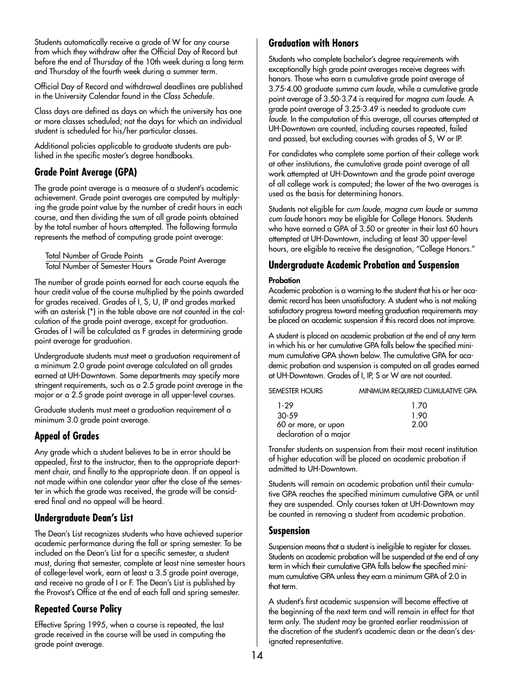Students automatically receive a grade of W for any course from which they withdraw after the Official Day of Record but before the end of Thursday of the 10th week during a long term and Thursday of the fourth week during a summer term.

Official Day of Record and withdrawal deadlines are published in the University Calendar found in the *Class Schedule*.

Class days are defined as days on which the university has one or more classes scheduled; not the days for which an individual student is scheduled for his/her particular classes.

Additional policies applicable to graduate students are published in the specific master's degree handbooks.

# **Grade Point Average (GPA)**

The grade point average is a measure of a student's academic achievement. Grade point averages are computed by multiplying the grade point value by the number of credit hours in each course, and then dividing the sum of all grade points obtained by the total number of hours attempted. The following formula represents the method of computing grade point average:

Total Number of Grade Points<br>Total Number of Semester Hours

The number of grade points earned for each course equals the hour credit value of the course multiplied by the points awarded for grades received. Grades of I, S, U, IP and grades marked with an asterisk (\*) in the table above are not counted in the calculation of the grade point average, except for graduation. Grades of I will be calculated as F grades in determining grade point average for graduation.

Undergraduate students must meet a graduation requirement of a minimum 2.0 grade point average calculated on all grades earned at UH-Downtown. Some departments may specify more stringent requirements, such as a 2.5 grade point average in the major or a 2.5 grade point average in all upper-level courses.

Graduate students must meet a graduation requirement of a minimum 3.0 grade point average.

# **Appeal of Grades**

Any grade which a student believes to be in error should be appealed, first to the instructor, then to the appropriate department chair, and finally to the appropriate dean. If an appeal is not made within one calendar year after the close of the semester in which the grade was received, the grade will be considered final and no appeal will be heard.

# **Undergraduate Dean's List**

The Dean's List recognizes students who have achieved superior academic performance during the fall or spring semester. To be included on the Dean's List for a specific semester, a student must, during that semester, complete at least nine semester hours of college-level work, earn at least a 3.5 grade point average, and receive no grade of I or F. The Dean's List is published by the Provost's Office at the end of each fall and spring semester.

# **Repeated Course Policy**

Effective Spring 1995, when a course is repeated, the last grade received in the course will be used in computing the grade point average.

# **Graduation with Honors**

Students who complete bachelor's degree requirements with exceptionally high grade point averages receive degrees with honors. Those who earn a cumulative grade point average of 3.75-4.00 graduate *summa cum laude*, while a cumulative grade point average of 3.50-3.74 is required for *magna cum laude*. A grade point average of 3.25-3.49 is needed to graduate *cum laude*. In the computation of this average, all courses attempted at UH-Downtown are counted, including courses repeated, failed and passed, but excluding courses with grades of S, W or IP.

For candidates who complete some portion of their college work at other institutions, the cumulative grade point average of all work attempted at UH-Downtown and the grade point average of all college work is computed; the lower of the two averages is used as the basis for determining honors.

Students not eligible for *cum laude, magna cum laude* or *summa cum laude* honors may be eligible for College Honors. Students who have earned a GPA of 3.50 or greater in their last 60 hours attempted at UH-Downtown, including at least 30 upper-level hours, are eligible to receive the designation, "College Honors."

# **Undergraduate Academic Probation and Suspension**

#### **Probation**

Academic probation is a warning to the student that his or her academic record has been unsatisfactory. A student who is not making satisfactory progress toward meeting graduation requirements may be placed on academic suspension if this record does not improve.

A student is placed on academic probation at the end of any term in which his or her cumulative GPA falls below the specified minimum cumulative GPA shown below. The cumulative GPA for academic probation and suspension is computed on all grades earned at UH-Downtown. Grades of I, IP, S or W are not counted.

| <b>SEMESTER HOURS</b>  | MINIMUM REQUIRED CUMULATIVE GPA |
|------------------------|---------------------------------|
| 1-29                   | 1.70                            |
| $30-59$                | 1.90                            |
| 60 or more, or upon    | 2.00                            |
| declaration of a major |                                 |

Transfer students on suspension from their most recent institution of higher education will be placed on academic probation if admitted to UH-Downtown.

Students will remain on academic probation until their cumulative GPA reaches the specified minimum cumulative GPA or until they are suspended. Only courses taken at UH-Downtown may be counted in removing a student from academic probation.

# **Suspension**

Suspension means that a student is ineligible to register for classes. Students on academic probation will be suspended at the end of any term in which their cumulative GPA falls below the specified minimum cumulative GPA unless they earn a minimum GPA of 2.0 in that term.

A student's first academic suspension will become effective at the beginning of the next term and will remain in effect for that term only. The student may be granted earlier readmission at the discretion of the student's academic dean or the dean's designated representative.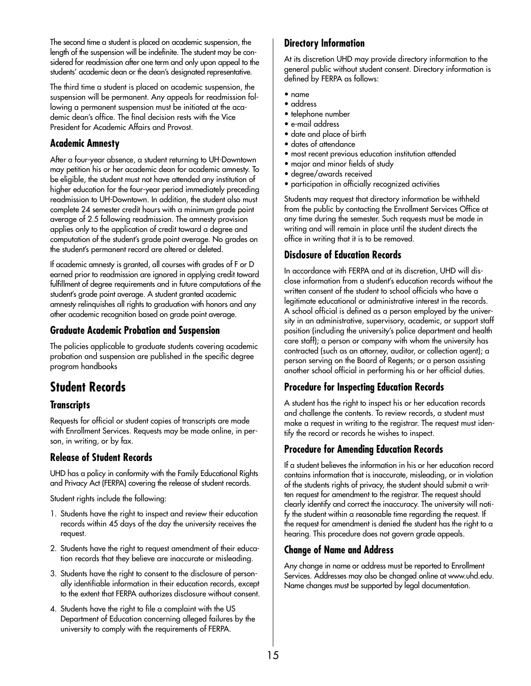The second time a student is placed on academic suspension, the length of the suspension will be indefinite. The student may be considered for readmission after one term and only upon appeal to the students' academic dean or the dean's designated representative.

The third time a student is placed on academic suspension, the suspension will be permanent. Any appeals for readmission following a permanent suspension must be initiated at the academic dean's office. The final decision rests with the Vice President for Academic Affairs and Provost.

### **Academic Amnesty**

After a four-year absence, a student returning to UH-Downtown may petition his or her academic dean for academic amnesty. To be eligible, the student must not have attended any institution of higher education for the four-year period immediately preceding readmission to UH-Downtown. In addition, the student also must complete 24 semester credit hours with a minimum grade point average of 2.5 following readmission. The amnesty provision applies only to the application of credit toward a degree and computation of the student's grade point average. No grades on the student's permanent record are altered or deleted.

If academic amnesty is granted, all courses with grades of F or D earned prior to readmission are ignored in applying credit toward fulfillment of degree requirements and in future computations of the student's grade point average. A student granted academic amnesty relinquishes all rights to graduation with honors and any other academic recognition based on grade point average.

### **Graduate Academic Probation and Suspension**

The policies applicable to graduate students covering academic probation and suspension are published in the specific degree program handbooks

# **Student Records**

# **Transcripts**

Requests for official or student copies of transcripts are made with Enrollment Services. Requests may be made online, in person, in writing, or by fax.

### **Release of Student Records**

UHD has a policy in conformity with the Family Educational Rights and Privacy Act (FERPA) covering the release of student records.

Student rights include the following:

- 1. Students have the right to inspect and review their education records within 45 days of the day the university receives the request.
- 2. Students have the right to request amendment of their education records that they believe are inaccurate or misleading.
- 3. Students have the right to consent to the disclosure of personally identifiable information in their education records, except to the extent that FERPA authorizes disclosure without consent.
- 4. Students have the right to file a complaint with the US Department of Education concerning alleged failures by the university to comply with the requirements of FERPA.

### **Directory Information**

At its discretion UHD may provide directory information to the general public without student consent. Directory information is defined by FERPA as follows:

- name
- address
- telephone number
- e-mail address
- date and place of birth
- dates of attendance
- most recent previous education institution attended
- major and minor fields of study
- degree/awards received
- participation in officially recognized activities

Students may request that directory information be withheld from the public by contacting the Enrollment Services Office at any time during the semester. Such requests must be made in writing and will remain in place until the student directs the office in writing that it is to be removed.

# **Disclosure of Education Records**

In accordance with FERPA and at its discretion, UHD will disclose information from a student's education records without the written consent of the student to school officials who have a legitimate educational or administrative interest in the records. A school official is defined as a person employed by the university in an administrative, supervisory, academic, or support staff position (including the university's police department and health care staff); a person or company with whom the university has contracted (such as an attorney, auditor, or collection agent); a person serving on the Board of Regents; or a person assisting another school official in performing his or her official duties.

# **Procedure for Inspecting Education Records**

A student has the right to inspect his or her education records and challenge the contents. To review records, a student must make a request in writing to the registrar. The request must identify the record or records he wishes to inspect.

# **Procedure for Amending Education Records**

If a student believes the information in his or her education record contains information that is inaccurate, misleading, or in violation of the students rights of privacy, the student should submit a written request for amendment to the registrar. The request should clearly identify and correct the inaccuracy. The university will notify the student within a reasonable time regarding the request. If the request for amendment is denied the student has the right to a hearing. This procedure does not govern grade appeals.

# **Change of Name and Address**

Any change in name or address must be reported to Enrollment Services. Addresses may also be changed online at www.uhd.edu. Name changes must be supported by legal documentation.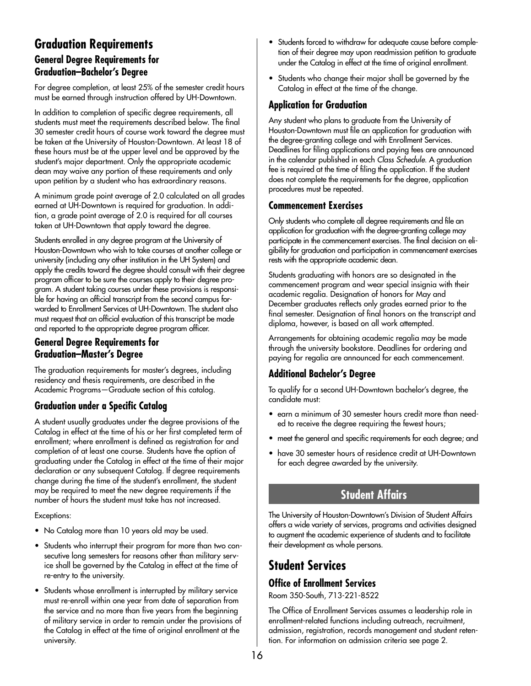# **Graduation Requirements General Degree Requirements for Graduation–Bachelor's Degree**

For degree completion, at least 25% of the semester credit hours must be earned through instruction offered by UH-Downtown.

In addition to completion of specific degree requirements, all students must meet the requirements described below. The final 30 semester credit hours of course work toward the degree must be taken at the University of Houston-Downtown. At least 18 of these hours must be at the upper level and be approved by the student's major department. Only the appropriate academic dean may waive any portion of these requirements and only upon petition by a student who has extraordinary reasons.

A minimum grade point average of 2.0 calculated on all grades earned at UH-Downtown is required for graduation. In addition, a grade point average of 2.0 is required for all courses taken at UH-Downtown that apply toward the degree.

<span id="page-19-0"></span>Students enrolled in any degree program at the University of Houston-Downtown who wish to take courses at another college or university (including any other institution in the UH System) and apply the credits toward the degree should consult with their degree program officer to be sure the courses apply to their degree program. A student taking courses under these provisions is responsible for having an official transcript from the second campus forwarded to Enrollment Services at UH-Downtown. The student also must request that an official evaluation of this transcript be made and reported to the appropriate degree program officer.

# **General Degree Requirements for Graduation–Master's Degree**

The graduation requirements for master's degrees, including residency and thesis requirements, are described in the Academic Programs—Graduate section of this catalog.

# **Graduation under a Specific Catalog**

A student usually graduates under the degree provisions of the Catalog in effect at the time of his or her first completed term of enrollment; where enrollment is defined as registration for and completion of at least one course. Students have the option of graduating under the Catalog in effect at the time of their major declaration or any subsequent Catalog. If degree requirements change during the time of the student's enrollment, the student may be required to meet the new degree requirements if the number of hours the student must take has not increased.

Exceptions:

- No Catalog more than 10 years old may be used.
- Students who interrupt their program for more than two consecutive long semesters for reasons other than military service shall be governed by the Catalog in effect at the time of re-entry to the university.
- Students whose enrollment is interrupted by military service must re-enroll within one year from date of separation from the service and no more than five years from the beginning of military service in order to remain under the provisions of the Catalog in effect at the time of original enrollment at the university.
- Students forced to withdraw for adequate cause before completion of their degree may upon readmission petition to graduate under the Catalog in effect at the time of original enrollment.
- Students who change their major shall be governed by the Catalog in effect at the time of the change.

# **Application for Graduation**

Any student who plans to graduate from the University of Houston-Downtown must file an application for graduation with the degree-granting college and with Enrollment Services. Deadlines for filing applications and paying fees are announced in the calendar published in each *Class Schedule*. A graduation fee is required at the time of filing the application. If the student does not complete the requirements for the degree, application procedures must be repeated.

# **Commencement Exercises**

Only students who complete all degree requirements and file an application for graduation with the degree-granting college may participate in the commencement exercises. The final decision on eligibility for graduation and participation in commencement exercises rests with the appropriate academic dean.

Students graduating with honors are so designated in the commencement program and wear special insignia with their academic regalia. Designation of honors for May and December graduates reflects only grades earned prior to the final semester. Designation of final honors on the transcript and diploma, however, is based on all work attempted.

Arrangements for obtaining academic regalia may be made through the university bookstore. Deadlines for ordering and paying for regalia are announced for each commencement.

# **Additional Bachelor's Degree**

To qualify for a second UH-Downtown bachelor's degree, the candidate must:

- earn a minimum of 30 semester hours credit more than needed to receive the degree requiring the fewest hours;
- meet the general and specific requirements for each degree; and
- have 30 semester hours of residence credit at UH-Downtown for each degree awarded by the university.

# **Student Affairs**

The University of Houston-Downtown's Division of Student Affairs offers a wide variety of services, programs and activities designed to augment the academic experience of students and to facilitate their development as whole persons.

# **Student Services**

# **Office of Enrollment Services**

Room 350-South, 713-221-8522

The Office of Enrollment Services assumes a leadership role in enrollment-related functions including outreach, recruitment, admission, registration, records management and student retention. For information on admission criteria see page 2.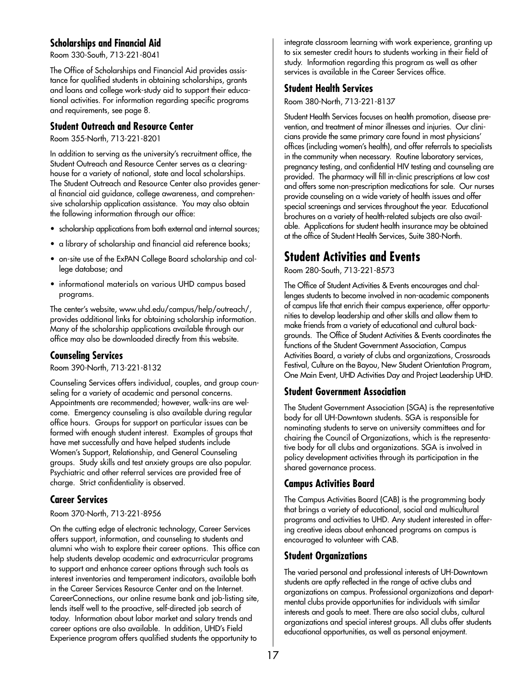# **Scholarships and Financial Aid**

Room 330-South, 713-221-8041

The Office of Scholarships and Financial Aid provides assistance for qualified students in obtaining scholarships, grants and loans and college work-study aid to support their educational activities. For information regarding specific programs and requirements, see page 8.

### **Student Outreach and Resource Center**

Room 355-North, 713-221-8201

In addition to serving as the university's recruitment office, the Student Outreach and Resource Center serves as a clearinghouse for a variety of national, state and local scholarships. The Student Outreach and Resource Center also provides general financial aid guidance, college awareness, and comprehensive scholarship application assistance. You may also obtain the following information through our office:

- scholarship applications from both external and internal sources;
- a library of scholarship and financial aid reference books;
- on-site use of the ExPAN College Board scholarship and college database; and
- informational materials on various UHD campus based programs.

The center's website, www.uhd.edu/campus/help/outreach/, provides additional links for obtaining scholarship information. Many of the scholarship applications available through our office may also be downloaded directly from this website.

### **Counseling Services**

Room 390-North, 713-221-8132

Counseling Services offers individual, couples, and group counseling for a variety of academic and personal concerns. Appointments are recommended; however, walk-ins are welcome. Emergency counseling is also available during regular office hours. Groups for support on particular issues can be formed with enough student interest. Examples of groups that have met successfully and have helped students include Women's Support, Relationship, and General Counseling groups. Study skills and test anxiety groups are also popular. Psychiatric and other referral services are provided free of charge. Strict confidentiality is observed.

# **Career Services**

Room 370-North, 713-221-8956

On the cutting edge of electronic technology, Career Services offers support, information, and counseling to students and alumni who wish to explore their career options. This office can help students develop academic and extracurricular programs to support and enhance career options through such tools as interest inventories and temperament indicators, available both in the Career Services Resource Center and on the Internet. CareerConnections, our online resume bank and job-listing site, lends itself well to the proactive, self-directed job search of today. Information about labor market and salary trends and career options are also available. In addition, UHD's Field Experience program offers qualified students the opportunity to

integrate classroom learning with work experience, granting up to six semester credit hours to students working in their field of study. Information regarding this program as well as other services is available in the Career Services office.

# **Student Health Services**

Room 380-North, 713-221-8137

Student Health Services focuses on health promotion, disease prevention, and treatment of minor illnesses and injuries. Our clinicians provide the same primary care found in most physicians' offices (including women's health), and offer referrals to specialists in the community when necessary. Routine laboratory services, pregnancy testing, and confidential HIV testing and counseling are provided. The pharmacy will fill in-clinic prescriptions at low cost and offers some non-prescription medications for sale. Our nurses provide counseling on a wide variety of health issues and offer special screenings and services throughout the year. Educational brochures on a variety of health-related subjects are also available. Applications for student health insurance may be obtained at the office of Student Health Services, Suite 380-North.

# **Student Activities and Events**

Room 280-South, 713-221-8573

The Office of Student Activities & Events encourages and challenges students to become involved in non-academic components of campus life that enrich their campus experience, offer opportunities to develop leadership and other skills and allow them to make friends from a variety of educational and cultural backgrounds. The Office of Student Activities & Events coordinates the functions of the Student Government Association, Campus Activities Board, a variety of clubs and organizations, Crossroads Festival, Culture on the Bayou, New Student Orientation Program, One Main Event, UHD Activities Day and Project Leadership UHD.

# **Student Government Association**

The Student Government Association (SGA) is the representative body for all UH-Downtown students. SGA is responsible for nominating students to serve on university committees and for chairing the Council of Organizations, which is the representative body for all clubs and organizations. SGA is involved in policy development activities through its participation in the shared governance process.

# **Campus Activities Board**

The Campus Activities Board (CAB) is the programming body that brings a variety of educational, social and multicultural programs and activities to UHD. Any student interested in offering creative ideas about enhanced programs on campus is encouraged to volunteer with CAB.

# **Student Organizations**

The varied personal and professional interests of UH-Downtown students are aptly reflected in the range of active clubs and organizations on campus. Professional organizations and departmental clubs provide opportunities for individuals with similar interests and goals to meet. There are also social clubs, cultural organizations and special interest groups. All clubs offer students educational opportunities, as well as personal enjoyment.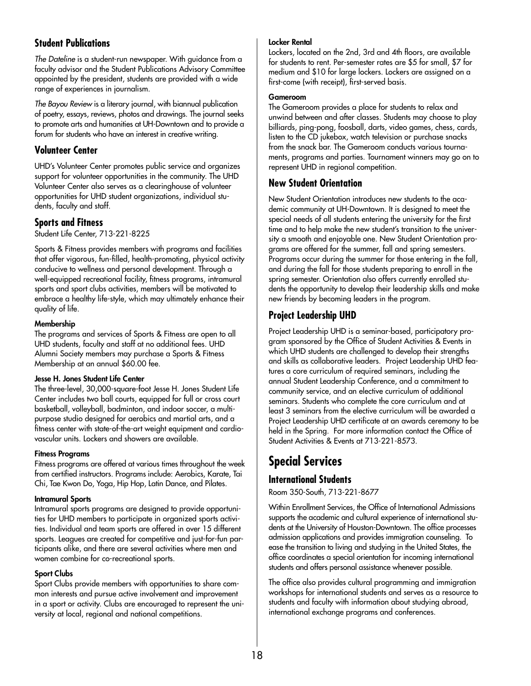# **Student Publications**

*The Dateline* is a student-run newspaper. With guidance from a faculty advisor and the Student Publications Advisory Committee appointed by the president, students are provided with a wide range of experiences in journalism.

*The Bayou Review* is a literary journal, with biannual publication of poetry, essays, reviews, photos and drawings. The journal seeks to promote arts and humanities at UH-Downtown and to provide a forum for students who have an interest in creative writing.

# **Volunteer Center**

UHD's Volunteer Center promotes public service and organizes support for volunteer opportunities in the community. The UHD Volunteer Center also serves as a clearinghouse of volunteer opportunities for UHD student organizations, individual students, faculty and staff.

# **Sports and Fitness**

Student Life Center, 713-221-8225

Sports & Fitness provides members with programs and facilities that offer vigorous, fun-filled, health-promoting, physical activity conducive to wellness and personal development. Through a well-equipped recreational facility, fitness programs, intramural sports and sport clubs activities, members will be motivated to embrace a healthy life-style, which may ultimately enhance their quality of life.

#### **Membership**

The programs and services of Sports & Fitness are open to all UHD students, faculty and staff at no additional fees. UHD Alumni Society members may purchase a Sports & Fitness Membership at an annual \$60.00 fee.

#### **Jesse H. Jones Student Life Center**

The three-level, 30,000-square-foot Jesse H. Jones Student Life Center includes two ball courts, equipped for full or cross court basketball, volleyball, badminton, and indoor soccer, a multipurpose studio designed for aerobics and martial arts, and a fitness center with state-of-the-art weight equipment and cardiovascular units. Lockers and showers are available.

#### **Fitness Programs**

Fitness programs are offered at various times throughout the week from certified instructors. Programs include: Aerobics, Karate, Tai Chi, Tae Kwon Do, Yoga, Hip Hop, Latin Dance, and Pilates.

#### **Intramural Sports**

Intramural sports programs are designed to provide opportunities for UHD members to participate in organized sports activities. Individual and team sports are offered in over 15 different sports. Leagues are created for competitive and just-for-fun participants alike, and there are several activities where men and women combine for co-recreational sports.

#### **Sport Clubs**

Sport Clubs provide members with opportunities to share common interests and pursue active involvement and improvement in a sport or activity. Clubs are encouraged to represent the university at local, regional and national competitions.

#### **Locker Rental**

Lockers, located on the 2nd, 3rd and 4th floors, are available for students to rent. Per-semester rates are \$5 for small, \$7 for medium and \$10 for large lockers. Lockers are assigned on a first-come (with receipt), first-served basis.

#### **Gameroom**

The Gameroom provides a place for students to relax and unwind between and after classes. Students may choose to play billiards, ping-pong, foosball, darts, video games, chess, cards, listen to the CD jukebox, watch television or purchase snacks from the snack bar. The Gameroom conducts various tournaments, programs and parties. Tournament winners may go on to represent UHD in regional competition.

# **New Student Orientation**

New Student Orientation introduces new students to the academic community at UH-Downtown. It is designed to meet the special needs of all students entering the university for the first time and to help make the new student's transition to the university a smooth and enjoyable one. New Student Orientation programs are offered for the summer, fall and spring semesters. Programs occur during the summer for those entering in the fall, and during the fall for those students preparing to enroll in the spring semester. Orientation also offers currently enrolled students the opportunity to develop their leadership skills and make new friends by becoming leaders in the program.

# **Project Leadership UHD**

Project Leadership UHD is a seminar-based, participatory program sponsored by the Office of Student Activities & Events in which UHD students are challenged to develop their strengths and skills as collaborative leaders. Project Leadership UHD features a core curriculum of required seminars, including the annual Student Leadership Conference, and a commitment to community service, and an elective curriculum of additional seminars. Students who complete the core curriculum and at least 3 seminars from the elective curriculum will be awarded a Project Leadership UHD certificate at an awards ceremony to be held in the Spring. For more information contact the Office of Student Activities & Events at 713-221-8573.

# **Special Services**

# **International Students**

Room 350-South, 713-221-8677

Within Enrollment Services, the Office of International Admissions supports the academic and cultural experience of international students at the University of Houston-Downtown. The office processes admission applications and provides immigration counseling. To ease the transition to living and studying in the United States, the office coordinates a special orientation for incoming international students and offers personal assistance whenever possible.

The office also provides cultural programming and immigration workshops for international students and serves as a resource to students and faculty with information about studying abroad, international exchange programs and conferences.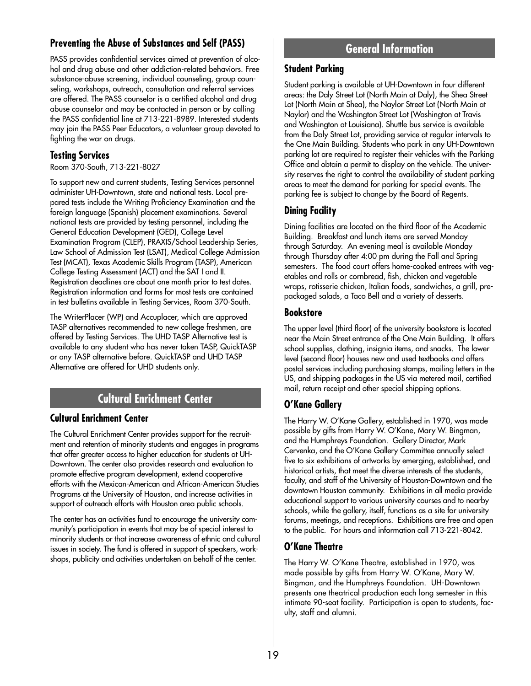# <span id="page-22-1"></span>**Preventing the Abuse of Substances and Self (PASS)**

PASS provides confidential services aimed at prevention of alcohol and drug abuse and other addiction-related behaviors. Free substance-abuse screening, individual counseling, group counseling, workshops, outreach, consultation and referral services are offered. The PASS counselor is a certified alcohol and drug abuse counselor and may be contacted in person or by calling the PASS confidential line at 713-221-8989. Interested students may join the PASS Peer Educators, a volunteer group devoted to fighting the war on drugs.

### **Testing Services**

Room 370-South, 713-221-8027

<span id="page-22-0"></span>To support new and current students, Testing Services personnel administer UH-Downtown, state and national tests. Local prepared tests include the Writing Proficiency Examination and the foreign language (Spanish) placement examinations. Several national tests are provided by testing personnel, including the General Education Development (GED), College Level Examination Program (CLEP), PRAXIS/School Leadership Series, Law School of Admission Test (LSAT), Medical College Admission Test (MCAT), Texas Academic Skills Program (TASP), American College Testing Assessment (ACT) and the SAT I and II. Registration deadlines are about one month prior to test dates. Registration information and forms for most tests are contained in test bulletins available in Testing Services, Room 370-South.

The WriterPlacer (WP) and Accuplacer, which are approved TASP alternatives recommended to new college freshmen, are offered by Testing Services. The UHD TASP Alternative test is available to any student who has never taken TASP, QuickTASP or any TASP alternative before. QuickTASP and UHD TASP Alternative are offered for UHD students only.

# **Cultural Enrichment Center**

# **Cultural Enrichment Center**

The Cultural Enrichment Center provides support for the recruitment and retention of minority students and engages in programs that offer greater access to higher education for students at UH-Downtown. The center also provides research and evaluation to promote effective program development, extend cooperative efforts with the Mexican-American and African-American Studies Programs at the University of Houston, and increase activities in support of outreach efforts with Houston area public schools.

The center has an activities fund to encourage the university community's participation in events that may be of special interest to minority students or that increase awareness of ethnic and cultural issues in society. The fund is offered in support of speakers, workshops, publicity and activities undertaken on behalf of the center.

# **General Information**

### **Student Parking**

Student parking is available at UH-Downtown in four different areas: the Daly Street Lot (North Main at Daly), the Shea Street Lot (North Main at Shea), the Naylor Street Lot (North Main at Naylor) and the Washington Street Lot (Washington at Travis and Washington at Louisiana). Shuttle bus service is available from the Daly Street Lot, providing service at regular intervals to the One Main Building. Students who park in any UH-Downtown parking lot are required to register their vehicles with the Parking Office and obtain a permit to display on the vehicle. The university reserves the right to control the availability of student parking areas to meet the demand for parking for special events. The parking fee is subject to change by the Board of Regents.

# **Dining Facility**

Dining facilities are located on the third floor of the Academic Building. Breakfast and lunch items are served Monday through Saturday. An evening meal is available Monday through Thursday after 4:00 pm during the Fall and Spring semesters. The food court offers home-cooked entrees with vegetables and rolls or cornbread, fish, chicken and vegetable wraps, rotisserie chicken, Italian foods, sandwiches, a grill, prepackaged salads, a Taco Bell and a variety of desserts.

# **Bookstore**

The upper level (third floor) of the university bookstore is located near the Main Street entrance of the One Main Building. It offers school supplies, clothing, insignia items, and snacks. The lower level (second floor) houses new and used textbooks and offers postal services including purchasing stamps, mailing letters in the US, and shipping packages in the US via metered mail, certified mail, return receipt and other special shipping options.

# **O'Kane Gallery**

The Harry W. O'Kane Gallery, established in 1970, was made possible by gifts from Harry W. O'Kane, Mary W. Bingman, and the Humphreys Foundation. Gallery Director, Mark Cervenka, and the O'Kane Gallery Committee annually select five to six exhibitions of artworks by emerging, established, and historical artists, that meet the diverse interests of the students, faculty, and staff of the University of Houston-Downtown and the downtown Houston community. Exhibitions in all media provide educational support to various university courses and to nearby schools, while the gallery, itself, functions as a site for university forums, meetings, and receptions. Exhibitions are free and open to the public. For hours and information call 713-221-8042.

# **O'Kane Theatre**

The Harry W. O'Kane Theatre, established in 1970, was made possible by gifts from Harry W. O'Kane, Mary W. Bingman, and the Humphreys Foundation. UH-Downtown presents one theatrical production each long semester in this intimate 90-seat facility. Participation is open to students, faculty, staff and alumni.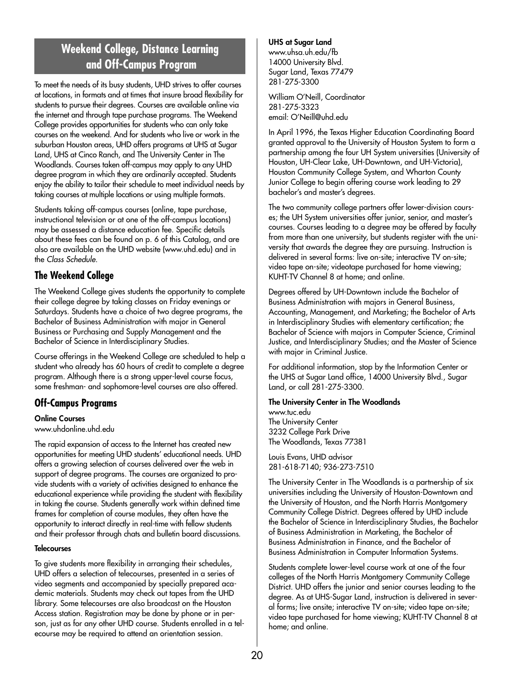# <span id="page-23-0"></span>**Weekend College, Distance Learning and Off-Campus Program**

To meet the needs of its busy students, UHD strives to offer courses at locations, in formats and at times that insure broad flexibility for students to pursue their degrees. Courses are available online via the internet and through tape purchase programs. The Weekend College provides opportunities for students who can only take courses on the weekend. And for students who live or work in the suburban Houston areas, UHD offers programs at UHS at Sugar Land, UHS at Cinco Ranch, and The University Center in The Woodlands. Courses taken off-campus may apply to any UHD degree program in which they are ordinarily accepted. Students enjoy the ability to tailor their schedule to meet individual needs by taking courses at multiple locations or using multiple formats.

Students taking off-campus courses (online, tape purchase, instructional television or at one of the off-campus locations) may be assessed a distance education fee. Specific details about these fees can be found on p. 6 of this Catalog, and are also are available on the UHD website (www.uhd.edu) and in the *Class Schedule*.

# **The Weekend College**

The Weekend College gives students the opportunity to complete their college degree by taking classes on Friday evenings or Saturdays. Students have a choice of two degree programs, the Bachelor of Business Administration with major in General Business or Purchasing and Supply Management and the Bachelor of Science in Interdisciplinary Studies.

Course offerings in the Weekend College are scheduled to help a student who already has 60 hours of credit to complete a degree program. Although there is a strong upper-level course focus, some freshman- and sophomore-level courses are also offered.

# **Off-Campus Programs**

#### **Online Courses**

www.uhdonline.uhd.edu

The rapid expansion of access to the Internet has created new opportunities for meeting UHD students' educational needs. UHD offers a growing selection of courses delivered over the web in support of degree programs. The courses are organized to provide students with a variety of activities designed to enhance the educational experience while providing the student with flexibility in taking the course. Students generally work within defined time frames for completion of course modules, they often have the opportunity to interact directly in real-time with fellow students and their professor through chats and bulletin board discussions.

#### **Telecourses**

To give students more flexibility in arranging their schedules, UHD offers a selection of telecourses, presented in a series of video segments and accompanied by specially prepared academic materials. Students may check out tapes from the UHD library. Some telecourses are also broadcast on the Houston Access station. Registration may be done by phone or in person, just as for any other UHD course. Students enrolled in a telecourse may be required to attend an orientation session.

#### **UHS at Sugar Land**

www.uhsa.uh.edu/fb 14000 University Blvd. Sugar Land, Texas 77479 281-275-3300

William O'Neill, Coordinator 281-275-3323 email: O'Neill@uhd.edu

In April 1996, the Texas Higher Education Coordinating Board granted approval to the University of Houston System to form a partnership among the four UH System universities (University of Houston, UH-Clear Lake, UH-Downtown, and UH-Victoria), Houston Community College System, and Wharton County Junior College to begin offering course work leading to 29 bachelor's and master's degrees.

The two community college partners offer lower-division courses; the UH System universities offer junior, senior, and master's courses. Courses leading to a degree may be offered by faculty from more than one university, but students register with the university that awards the degree they are pursuing. Instruction is delivered in several forms: live on-site; interactive TV on-site; video tape on-site; videotape purchased for home viewing; KUHT-TV Channel 8 at home; and online.

Degrees offered by UH-Downtown include the Bachelor of Business Administration with majors in General Business, Accounting, Management, and Marketing; the Bachelor of Arts in Interdisciplinary Studies with elementary certification; the Bachelor of Science with majors in Computer Science, Criminal Justice, and Interdisciplinary Studies; and the Master of Science with major in Criminal Justice.

For additional information, stop by the Information Center or the UHS at Sugar Land office, 14000 University Blvd., Sugar Land, or call 281-275-3300.

#### **The University Center in The Woodlands**

www.tuc.edu The University Center 3232 College Park Drive The Woodlands, Texas 77381

Louis Evans, UHD advisor 281-618-7140; 936-273-7510

The University Center in The Woodlands is a partnership of six universities including the University of Houston-Downtown and the University of Houston, and the North Harris Montgomery Community College District. Degrees offered by UHD include the Bachelor of Science in Interdisciplinary Studies, the Bachelor of Business Administration in Marketing, the Bachelor of Business Administration in Finance, and the Bachelor of Business Administration in Computer Information Systems.

Students complete lower-level course work at one of the four colleges of the North Harris Montgomery Community College District. UHD offers the junior and senior courses leading to the degree. As at UHS-Sugar Land, instruction is delivered in several forms; live onsite; interactive TV on-site; video tape on-site; video tape purchased for home viewing; KUHT-TV Channel 8 at home; and online.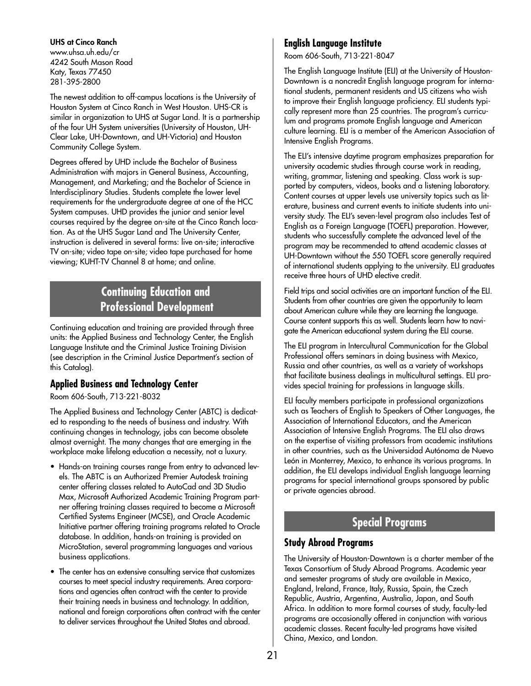#### **UHS at Cinco Ranch**

www.uhsa.uh.edu/cr 4242 South Mason Road Katy, Texas 77450 281-395-2800

The newest addition to off-campus locations is the University of Houston System at Cinco Ranch in West Houston. UHS-CR is similar in organization to UHS at Sugar Land. It is a partnership of the four UH System universities (University of Houston, UH-Clear Lake, UH-Downtown, and UH-Victoria) and Houston Community College System.

<span id="page-24-0"></span>Degrees offered by UHD include the Bachelor of Business Administration with majors in General Business, Accounting, Management, and Marketing; and the Bachelor of Science in Interdisciplinary Studies. Students complete the lower level requirements for the undergraduate degree at one of the HCC System campuses. UHD provides the junior and senior level courses required by the degree on-site at the Cinco Ranch location. As at the UHS Sugar Land and The University Center, instruction is delivered in several forms: live on-site; interactive TV on-site; video tape on-site; video tape purchased for home viewing; KUHT-TV Channel 8 at home; and online.

# **Continuing Education and Professional Development**

<span id="page-24-1"></span>Continuing education and training are provided through three units: the Applied Business and Technology Center, the English Language Institute and the Criminal Justice Training Division (see description in the Criminal Justice Department's section of this Catalog).

# **Applied Business and Technology Center**

Room 606-South, 713-221-8032

The Applied Business and Technology Center (ABTC) is dedicated to responding to the needs of business and industry. With continuing changes in technology, jobs can become obsolete almost overnight. The many changes that are emerging in the workplace make lifelong education a necessity, not a luxury.

- Hands-on training courses range from entry to advanced levels. The ABTC is an Authorized Premier Autodesk training center offering classes related to AutoCad and 3D Studio Max, Microsoft Authorized Academic Training Program partner offering training classes required to become a Microsoft Certified Systems Engineer (MCSE), and Oracle Academic Initiative partner offering training programs related to Oracle database. In addition, hands-on training is provided on MicroStation, several programming languages and various business applications.
- The center has an extensive consulting service that customizes courses to meet special industry requirements. Area corporations and agencies often contract with the center to provide their training needs in business and technology. In addition, national and foreign corporations often contract with the center to deliver services throughout the United States and abroad.

# **English Language Institute**

Room 606-South, 713-221-8047

The English Language Institute (ELI) at the University of Houston-Downtown is a noncredit English language program for international students, permanent residents and US citizens who wish to improve their English language proficiency. ELI students typically represent more than 25 countries. The program's curriculum and programs promote English language and American culture learning. ELI is a member of the American Association of Intensive English Programs.

The ELI's intensive daytime program emphasizes preparation for university academic studies through course work in reading, writing, grammar, listening and speaking. Class work is supported by computers, videos, books and a listening laboratory. Content courses at upper levels use university topics such as literature, business and current events to initiate students into university study. The ELI's seven-level program also includes Test of English as a Foreign Language (TOEFL) preparation. However, students who successfully complete the advanced level of the program may be recommended to attend academic classes at UH-Downtown without the 550 TOEFL score generally required of international students applying to the university. ELI graduates receive three hours of UHD elective credit.

Field trips and social activities are an important function of the ELI. Students from other countries are given the opportunity to learn about American culture while they are learning the language. Course content supports this as well. Students learn how to navigate the American educational system during the ELI course.

The ELI program in Intercultural Communication for the Global Professional offers seminars in doing business with Mexico, Russia and other countries, as well as a variety of workshops that facilitate business dealings in multicultural settings. ELI provides special training for professions in language skills.

ELI faculty members participate in professional organizations such as Teachers of English to Speakers of Other Languages, the Association of International Educators, and the American Association of Intensive English Programs. The ELI also draws on the expertise of visiting professors from academic institutions in other countries, such as the Universidad Autónoma de Nuevo León in Monterrey, Mexico, to enhance its various programs. In addition, the ELI develops individual English language learning programs for special international groups sponsored by public or private agencies abroad.

# **Special Programs**

# **Study Abroad Programs**

The University of Houston-Downtown is a charter member of the Texas Consortium of Study Abroad Programs. Academic year and semester programs of study are available in Mexico, England, Ireland, France, Italy, Russia, Spain, the Czech Republic, Austria, Argentina, Australia, Japan, and South Africa. In addition to more formal courses of study, faculty-led programs are occasionally offered in conjunction with various academic classes. Recent faculty-led programs have visited China, Mexico, and London.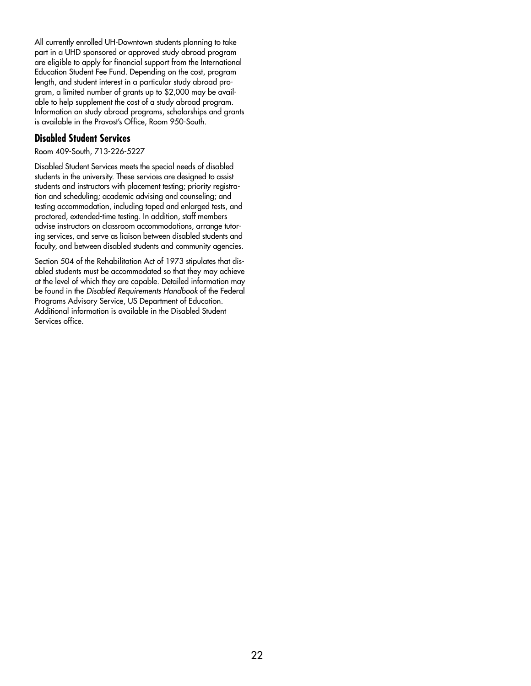All currently enrolled UH-Downtown students planning to take part in a UHD sponsored or approved study abroad program are eligible to apply for financial support from the International Education Student Fee Fund. Depending on the cost, program length, and student interest in a particular study abroad program, a limited number of grants up to \$2,000 may be available to help supplement the cost of a study abroad program. Information on study abroad programs, scholarships and grants is available in the Provost's Office, Room 950-South.

### **Disabled Student Services**

Room 409-South, 713-226-5227

Disabled Student Services meets the special needs of disabled students in the university. These services are designed to assist students and instructors with placement testing; priority registration and scheduling; academic advising and counseling; and testing accommodation, including taped and enlarged tests, and proctored, extended-time testing. In addition, staff members advise instructors on classroom accommodations, arrange tutoring services, and serve as liaison between disabled students and faculty, and between disabled students and community agencies.

Section 504 of the Rehabilitation Act of 1973 stipulates that disabled students must be accommodated so that they may achieve at the level of which they are capable. Detailed information may be found in the *Disabled Requirements Handbook* of the Federal Programs Advisory Service, US Department of Education. Additional information is available in the Disabled Student Services office.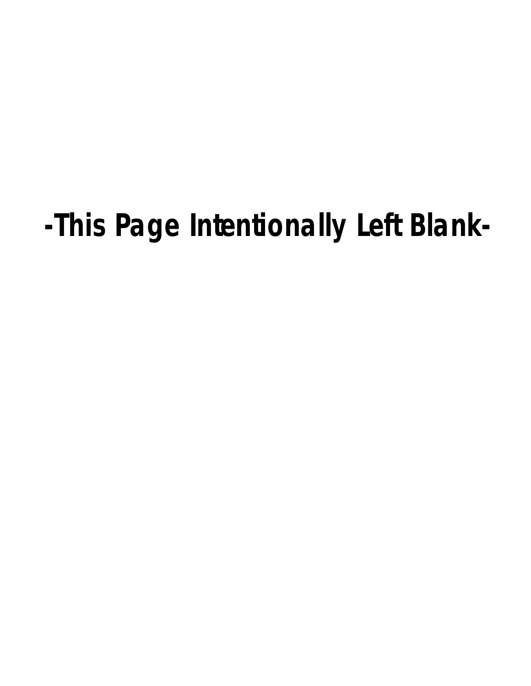# **-This Page Intentionally Left Blank-**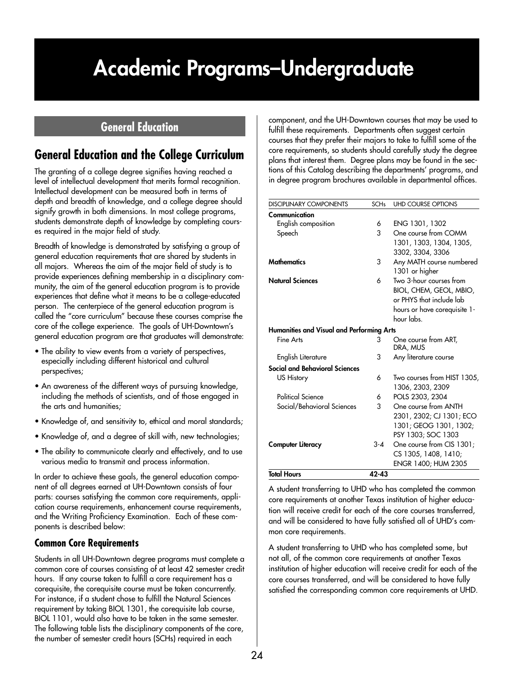# <span id="page-27-0"></span>**Academic Programs–Undergraduate**

# **General Education**

# <span id="page-27-1"></span>**General Education and the College Curriculum**

The granting of a college degree signifies having reached a level of intellectual development that merits formal recognition. Intellectual development can be measured both in terms of depth and breadth of knowledge, and a college degree should signify growth in both dimensions. In most college programs, students demonstrate depth of knowledge by completing courses required in the major field of study.

Breadth of knowledge is demonstrated by satisfying a group of general education requirements that are shared by students in all majors. Whereas the aim of the major field of study is to provide experiences defining membership in a disciplinary community, the aim of the general education program is to provide experiences that define what it means to be a college-educated person. The centerpiece of the general education program is called the "core curriculum" because these courses comprise the core of the college experience. The goals of UH-Downtown's general education program are that graduates will demonstrate:

- The ability to view events from a variety of perspectives, especially including different historical and cultural perspectives;
- An awareness of the different ways of pursuing knowledge, including the methods of scientists, and of those engaged in the arts and humanities;
- Knowledge of, and sensitivity to, ethical and moral standards;
- Knowledge of, and a degree of skill with, new technologies;
- The ability to communicate clearly and effectively, and to use various media to transmit and process information.

In order to achieve these goals, the general education component of all degrees earned at UH-Downtown consists of four parts: courses satisfying the common core requirements, application course requirements, enhancement course requirements, and the Writing Proficiency Examination. Each of these components is described below:

# **Common Core Requirements**

Students in all UH-Downtown degree programs must complete a common core of courses consisting of at least 42 semester credit hours. If any course taken to fulfill a core requirement has a corequisite, the corequisite course must be taken concurrently. For instance, if a student chose to fulfill the Natural Sciences requirement by taking BIOL 1301, the corequisite lab course, BIOL 1101, would also have to be taken in the same semester. The following table lists the disciplinary components of the core, the number of semester credit hours (SCHs) required in each

component, and the UH-Downtown courses that may be used to fulfill these requirements. Departments often suggest certain courses that they prefer their majors to take to fulfill some of the core requirements, so students should carefully study the degree plans that interest them. Degree plans may be found in the sections of this Catalog describing the departments' programs, and in degree program brochures available in departmental offices.

| <b>DISCIPLINARY COMPONENTS</b>                   | <b>SCH<sub>s</sub></b> | <b>UHD COURSE OPTIONS</b>        |
|--------------------------------------------------|------------------------|----------------------------------|
| Communication                                    |                        |                                  |
| English composition                              | 6                      | ENG 1301, 1302                   |
| Speech                                           | 3                      | One course from COMM             |
|                                                  |                        | 1301, 1303, 1304, 1305,          |
|                                                  |                        | 3302, 3304, 3306                 |
| <b>Mathematics</b>                               | 3                      | Any MATH course numbered         |
|                                                  |                        | 1301 or higher                   |
| <b>Natural Sciences</b>                          | 6                      | Two 3-hour courses from          |
|                                                  |                        | BIOL, CHEM, GEOL, MBIO,          |
|                                                  |                        | or PHYS that include lab         |
|                                                  |                        | hours or have corequisite 1-     |
|                                                  |                        | hour labs                        |
| <b>Humanities and Visual and Performing Arts</b> |                        |                                  |
| Fine Arts                                        | 3                      | One course from ART,<br>DRA, MUS |
| English Literature                               | 3                      | Any literature course            |
| Social and Behavioral Sciences                   |                        |                                  |
| US History                                       | 6                      | Two courses from HIST 1305,      |
|                                                  |                        | 1306, 2303, 2309                 |
| Political Science                                | 6                      | POLS 2303, 2304                  |
| Social/Behavioral Sciences                       | 3                      | One course from ANTH             |
|                                                  |                        | 2301, 2302; CJ 1301; ECO         |
|                                                  |                        | 1301; GEOG 1301, 1302;           |
|                                                  |                        | PSY 1303; SOC 1303               |
| <b>Computer Literacy</b>                         | $3 - 4$                | One course from CIS 1301;        |
|                                                  |                        | CS 1305, 1408, 1410;             |
|                                                  |                        | ENGR 1400; HUM 2305              |
| <b>Total Hours</b>                               | 42-43                  |                                  |

A student transferring to UHD who has completed the common core requirements at another Texas institution of higher education will receive credit for each of the core courses transferred, and will be considered to have fully satisfied all of UHD's common core requirements.

A student transferring to UHD who has completed some, but not all, of the common core requirements at another Texas institution of higher education will receive credit for each of the core courses transferred, and will be considered to have fully satisfied the corresponding common core requirements at UHD.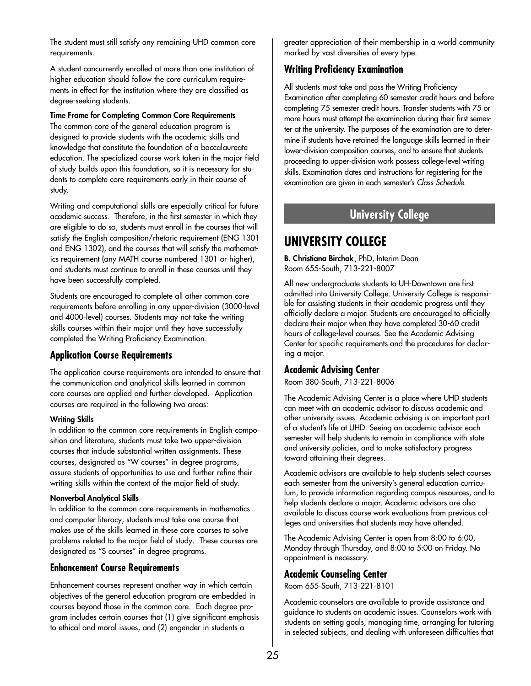The student must still satisfy any remaining UHD common core requirements.

A student concurrently enrolled at more than one institution of higher education should follow the core curriculum requirements in effect for the institution where they are classified as degree-seeking students.

#### **Time Frame for Completing Common Core Requirements**

The common core of the general education program is designed to provide students with the academic skills and knowledge that constitute the foundation of a baccalaureate education. The specialized course work taken in the major field of study builds upon this foundation, so it is necessary for students to complete core requirements early in their course of study.

<span id="page-28-0"></span>Writing and computational skills are especially critical for future academic success. Therefore, in the first semester in which they are eligible to do so, students must enroll in the courses that will satisfy the English composition/rhetoric requirement (ENG 1301 and ENG 1302), and the courses that will satisfy the mathematics requirement (any MATH course numbered 1301 or higher), and students must continue to enroll in these courses until they have been successfully completed.

Students are encouraged to complete all other common core requirements before enrolling in any upper-division (3000-level and 4000-level) courses. Students may not take the writing skills courses within their major until they have successfully completed the Writing Proficiency Examination.

# **Application Course Requirements**

The application course requirements are intended to ensure that the communication and analytical skills learned in common core courses are applied and further developed. Application courses are required in the following two areas:

#### **Writing Skills**

In addition to the common core requirements in English composition and literature, students must take two upper-division courses that include substantial written assignments. These courses, designated as "W courses" in degree programs, assure students of opportunities to use and further refine their writing skills within the context of the major field of study.

#### **Nonverbal Analytical Skills**

In addition to the common core requirements in mathematics and computer literacy, students must take one course that makes use of the skills learned in these core courses to solve problems related to the major field of study. These courses are designated as "S courses" in degree programs.

### **Enhancement Course Requirements**

Enhancement courses represent another way in which certain objectives of the general education program are embedded in courses beyond those in the common core. Each degree program includes certain courses that (1) give significant emphasis to ethical and moral issues, and (2) engender in students a

greater appreciation of their membership in a world community marked by vast diversities of every type.

# **Writing Proficiency Examination**

All students must take and pass the Writing Proficiency Examination after completing 60 semester credit hours and before completing 75 semester credit hours. Transfer students with 75 or more hours must attempt the examination during their first semester at the university. The purposes of the examination are to determine if students have retained the language skills learned in their lower-division composition courses, and to ensure that students proceeding to upper-division work possess college-level writing skills. Examination dates and instructions for registering for the examination are given in each semester's *Class Schedule*.

# **University College**

# **UNIVERSITY COLLEGE**

**B. Christiana Birchak** , PhD, Interim Dean Room 655-South, 713-221-8007

All new undergraduate students to UH-Downtown are first admitted into University College. University College is responsible for assisting students in their academic progress until they officially declare a major. Students are encouraged to officially declare their major when they have completed 30-60 credit hours of college-level courses. See the Academic Advising Center for specific requirements and the procedures for declaring a major.

# **Academic Advising Center**

Room 380-South, 713-221-8006

The Academic Advising Center is a place where UHD students can meet with an academic advisor to discuss academic and other university issues. Academic advising is an important part of a student's life at UHD. Seeing an academic advisor each semester will help students to remain in compliance with state and university policies, and to make satisfactory progress toward attaining their degrees.

Academic advisors are available to help students select courses each semester from the university's general education curriculum, to provide information regarding campus resources, and to help students declare a major. Academic advisors are also available to discuss course work evaluations from previous colleges and universities that students may have attended.

The Academic Advising Center is open from 8:00 to 6:00, Monday through Thursday, and 8:00 to 5:00 on Friday. No appointment is necessary.

### **Academic Counseling Center**

Room 655-South, 713-221-8101

Academic counselors are available to provide assistance and guidance to students on academic issues. Counselors work with students on setting goals, managing time, arranging for tutoring in selected subjects, and dealing with unforeseen difficulties that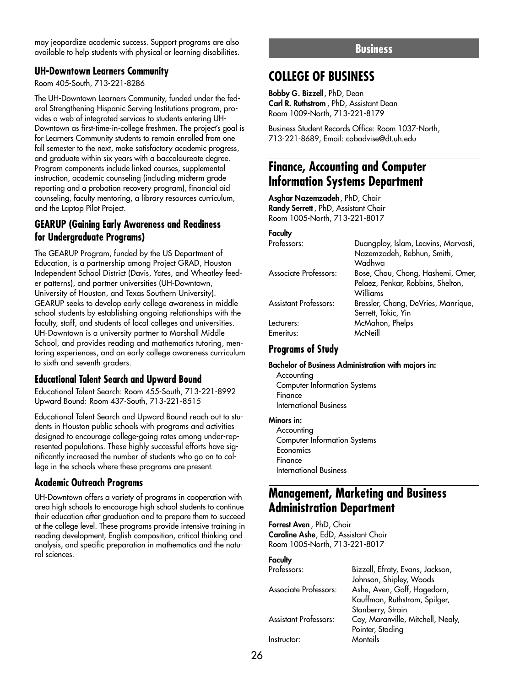<span id="page-29-0"></span>may jeopardize academic success. Support programs are also available to help students with physical or learning disabilities.

### <span id="page-29-1"></span>**UH-Downtown Learners Community**

Room 405-South, 713-221-8286

The UH-Downtown Learners Community, funded under the federal Strengthening Hispanic Serving Institutions program, provides a web of integrated services to students entering UH-Downtown as first-time-in-college freshmen. The project's goal is for Learners Community students to remain enrolled from one fall semester to the next, make satisfactory academic progress, and graduate within six years with a baccalaureate degree. Program components include linked courses, supplemental instruction, academic counseling (including midterm grade reporting and a probation recovery program), financial aid counseling, faculty mentoring, a library resources curriculum, and the Laptop Pilot Project.

# <span id="page-29-2"></span>**GEARUP (Gaining Early Awareness and Readiness for Undergraduate Programs)**

The GEARUP Program, funded by the US Department of Education, is a partnership among Project GRAD, Houston Independent School District (Davis, Yates, and Wheatley feeder patterns), and partner universities (UH-Downtown, University of Houston, and Texas Southern University). GEARUP seeks to develop early college awareness in middle school students by establishing ongoing relationships with the faculty, staff, and students of local colleges and universities. UH-Downtown is a university partner to Marshall Middle School, and provides reading and mathematics tutoring, mentoring experiences, and an early college awareness curriculum to sixth and seventh graders.

# **Educational Talent Search and Upward Bound**

Educational Talent Search: Room 455-South, 713-221-8992 Upward Bound: Room 437-South, 713-221-8515

Educational Talent Search and Upward Bound reach out to students in Houston public schools with programs and activities designed to encourage college-going rates among under-represented populations. These highly successful efforts have significantly increased the number of students who go on to college in the schools where these programs are present.

# **Academic Outreach Programs**

UH-Downtown offers a variety of programs in cooperation with area high schools to encourage high school students to continue their education after graduation and to prepare them to succeed at the college level. These programs provide intensive training in reading development, English composition, critical thinking and analysis, and specific preparation in mathematics and the natural sciences.

# **COLLEGE OF BUSINESS**

**Bobby G. Bizzell**, PhD, Dean **Carl R. Ruthstrom** , PhD, Assistant Dean Room 1009-North, 713-221-8179

Business Student Records Office: Room 1037-North, 713-221-8689, Email: cobadvise@dt.uh.edu

# **Finance, Accounting and Computer Information Systems Department**

**Asghar Nazemzadeh**, PhD, Chair **Randy Serrett** , PhD, Assistant Chair Room 1005-North, 713-221-8017

#### **Faculty**

| Professors:           | Duangploy, Islam, Leavins, Marvasti, |
|-----------------------|--------------------------------------|
|                       | Nazemzadeh, Rebhun, Smith,           |
|                       | Wadhwa                               |
| Associate Professors: | Bose, Chau, Chong, Hashemi, Omer,    |
|                       | Pelaez, Penkar, Robbins, Shelton,    |
|                       | Williams                             |
| Assistant Professors: | Bressler, Chang, DeVries, Manrique,  |
|                       | Serrett, Tokic, Yin                  |
| Lecturers:            | McMahon, Phelps                      |
| Emeritus:             | McNeill                              |
|                       |                                      |

# **Programs of Study**

#### **Bachelor of Business Administration with majors in:**

Accounting Computer Information Systems Finance International Business

#### **Minors in:**

**Accounting** Computer Information Systems **Economics** Finance International Business

# **Management, Marketing and Business Administration Department**

**Forrest Aven** , PhD, Chair **Caroline Ashe**, EdD, Assistant Chair Room 1005-North, 713-221-8017

### **Faculty**

| Professors:                  | Bizzell, Efraty, Evans, Jackson,  |
|------------------------------|-----------------------------------|
|                              | Johnson, Shipley, Woods           |
| Associate Professors:        | Ashe, Aven, Goff, Hagedorn,       |
|                              | Kauffman, Ruthstrom, Spilger,     |
|                              | Stanberry, Strain                 |
| <b>Assistant Professors:</b> | Coy, Maranville, Mitchell, Nealy, |
|                              | Pointer, Stading                  |
| Instructor:                  | Monteils                          |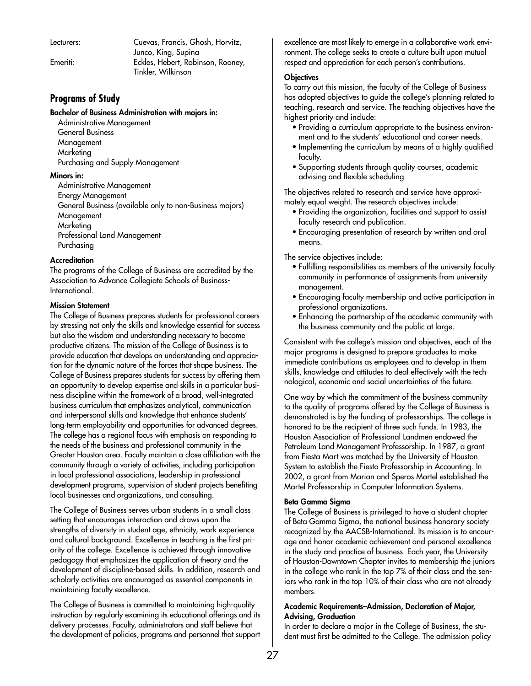Lecturers: Cuevas, Francis, Ghosh, Horvitz, Junco, King, Supina Emeriti: Eckles, Hebert, Robinson, Rooney, Tinkler, Wilkinson

# **Programs of Study**

#### **Bachelor of Business Administration with majors in:**

Administrative Management General Business Management **Marketing** Purchasing and Supply Management

#### **Minors in:**

Administrative Management Energy Management General Business (available only to non-Business majors) Management **Marketing** Professional Land Management Purchasing

#### **Accreditation**

The programs of the College of Business are accredited by the Association to Advance Collegiate Schools of Business-International.

#### **Mission Statement**

The College of Business prepares students for professional careers by stressing not only the skills and knowledge essential for success but also the wisdom and understanding necessary to become productive citizens. The mission of the College of Business is to provide education that develops an understanding and appreciation for the dynamic nature of the forces that shape business. The College of Business prepares students for success by offering them an opportunity to develop expertise and skills in a particular business discipline within the framework of a broad, well-integrated business curriculum that emphasizes analytical, communication and interpersonal skills and knowledge that enhance students' long-term employability and opportunities for advanced degrees. The college has a regional focus with emphasis on responding to the needs of the business and professional community in the Greater Houston area. Faculty maintain a close affiliation with the community through a variety of activities, including participation in local professional associations, leadership in professional development programs, supervision of student projects benefiting local businesses and organizations, and consulting.

The College of Business serves urban students in a small class setting that encourages interaction and draws upon the strengths of diversity in student age, ethnicity, work experience and cultural background. Excellence in teaching is the first priority of the college. Excellence is achieved through innovative pedagogy that emphasizes the application of theory and the development of discipline-based skills. In addition, research and scholarly activities are encouraged as essential components in maintaining faculty excellence.

The College of Business is committed to maintaining high-quality instruction by regularly examining its educational offerings and its delivery processes. Faculty, administrators and staff believe that the development of policies, programs and personnel that support

excellence are most likely to emerge in a collaborative work environment. The college seeks to create a culture built upon mutual respect and appreciation for each person's contributions.

#### **Objectives**

To carry out this mission, the faculty of the College of Business has adopted objectives to guide the college's planning related to teaching, research and service. The teaching objectives have the highest priority and include:

- Providing a curriculum appropriate to the business environment and to the students' educational and career needs.
- Implementing the curriculum by means of a highly qualified faculty.
- Supporting students through quality courses, academic advising and flexible scheduling.

The objectives related to research and service have approximately equal weight. The research objectives include:

- Providing the organization, facilities and support to assist faculty research and publication.
- Encouraging presentation of research by written and oral means.

The service objectives include:

- Fulfilling responsibilities as members of the university faculty community in performance of assignments from university management.
- Encouraging faculty membership and active participation in professional organizations.
- Enhancing the partnership of the academic community with the business community and the public at large.

Consistent with the college's mission and objectives, each of the major programs is designed to prepare graduates to make immediate contributions as employees and to develop in them skills, knowledge and attitudes to deal effectively with the technological, economic and social uncertainties of the future.

One way by which the commitment of the business community to the quality of programs offered by the College of Business is demonstrated is by the funding of professorships. The college is honored to be the recipient of three such funds. In 1983, the Houston Association of Professional Landmen endowed the Petroleum Land Management Professorship. In 1987, a grant from Fiesta Mart was matched by the University of Houston System to establish the Fiesta Professorship in Accounting. In 2002, a grant from Marian and Speros Martel established the Martel Professorship in Computer Information Systems.

#### **Beta Gamma Sigma**

The College of Business is privileged to have a student chapter of Beta Gamma Sigma, the national business honorary society recognized by the AACSB-International. Its mission is to encourage and honor academic achievement and personal excellence in the study and practice of business. Each year, the University of Houston-Downtown Chapter invites to membership the juniors in the college who rank in the top 7% of their class and the seniors who rank in the top 10% of their class who are not already members.

#### **Academic Requirements–Admission, Declaration of Major, Advising, Graduation**

In order to declare a major in the College of Business, the student must first be admitted to the College. The admission policy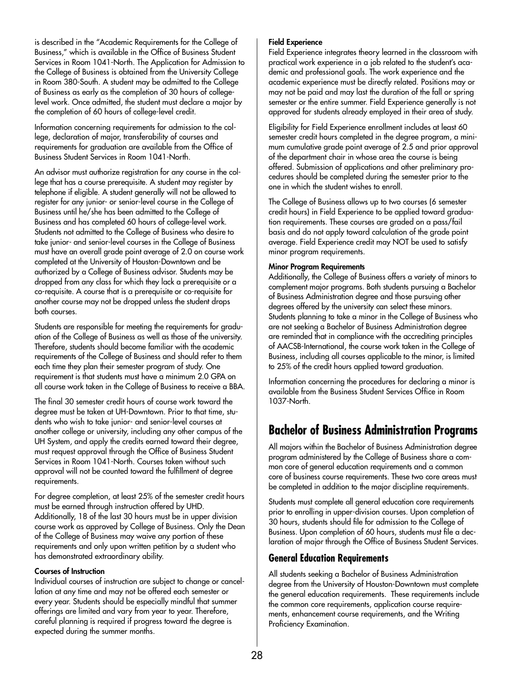is described in the "Academic Requirements for the College of Business," which is available in the Office of Business Student Services in Room 1041-North. The Application for Admission to the College of Business is obtained from the University College in Room 380-South. A student may be admitted to the College of Business as early as the completion of 30 hours of collegelevel work. Once admitted, the student must declare a major by the completion of 60 hours of college-level credit.

Information concerning requirements for admission to the college, declaration of major, transferability of courses and requirements for graduation are available from the Office of Business Student Services in Room 1041-North.

An advisor must authorize registration for any course in the college that has a course prerequisite. A student may register by telephone if eligible. A student generally will not be allowed to register for any junior- or senior-level course in the College of Business until he/she has been admitted to the College of Business and has completed 60 hours of college-level work. Students not admitted to the College of Business who desire to take junior- and senior-level courses in the College of Business must have an overall grade point average of 2.0 on course work completed at the University of Houston-Downtown and be authorized by a College of Business advisor. Students may be dropped from any class for which they lack a prerequisite or a co-requisite. A course that is a prerequisite or co-requisite for another course may not be dropped unless the student drops both courses.

Students are responsible for meeting the requirements for graduation of the College of Business as well as those of the university. Therefore, students should become familiar with the academic requirements of the College of Business and should refer to them each time they plan their semester program of study. One requirement is that students must have a minimum 2.0 GPA on all course work taken in the College of Business to receive a BBA.

The final 30 semester credit hours of course work toward the degree must be taken at UH-Downtown. Prior to that time, students who wish to take junior- and senior-level courses at another college or university, including any other campus of the UH System, and apply the credits earned toward their degree, must request approval through the Office of Business Student Services in Room 1041-North. Courses taken without such approval will not be counted toward the fulfillment of degree requirements.

For degree completion, at least 25% of the semester credit hours must be earned through instruction offered by UHD. Additionally, 18 of the last 30 hours must be in upper division course work as approved by College of Business. Only the Dean of the College of Business may waive any portion of these requirements and only upon written petition by a student who has demonstrated extraordinary ability.

#### **Courses of Instruction**

Individual courses of instruction are subject to change or cancellation at any time and may not be offered each semester or every year. Students should be especially mindful that summer offerings are limited and vary from year to year. Therefore, careful planning is required if progress toward the degree is expected during the summer months.

#### **Field Experience**

Field Experience integrates theory learned in the classroom with practical work experience in a job related to the student's academic and professional goals. The work experience and the academic experience must be directly related. Positions may or may not be paid and may last the duration of the fall or spring semester or the entire summer. Field Experience generally is not approved for students already employed in their area of study.

Eligibility for Field Experience enrollment includes at least 60 semester credit hours completed in the degree program, a minimum cumulative grade point average of 2.5 and prior approval of the department chair in whose area the course is being offered. Submission of applications and other preliminary procedures should be completed during the semester prior to the one in which the student wishes to enroll.

The College of Business allows up to two courses (6 semester credit hours) in Field Experience to be applied toward graduation requirements. These courses are graded on a pass/fail basis and do not apply toward calculation of the grade point average. Field Experience credit may NOT be used to satisfy minor program requirements.

#### **Minor Program Requirements**

Additionally, the College of Business offers a variety of minors to complement major programs. Both students pursuing a Bachelor of Business Administration degree and those pursuing other degrees offered by the university can select these minors. Students planning to take a minor in the College of Business who are not seeking a Bachelor of Business Administration degree are reminded that in compliance with the accrediting principles of AACSB-International, the course work taken in the College of Business, including all courses applicable to the minor, is limited to 25% of the credit hours applied toward graduation.

Information concerning the procedures for declaring a minor is available from the Business Student Services Office in Room 1037-North.

# **Bachelor of Business Administration Programs**

All majors within the Bachelor of Business Administration degree program administered by the College of Business share a common core of general education requirements and a common core of business course requirements. These two core areas must be completed in addition to the major discipline requirements.

Students must complete all general education core requirements prior to enrolling in upper-division courses. Upon completion of 30 hours, students should file for admission to the College of Business. Upon completion of 60 hours, students must file a declaration of major through the Office of Business Student Services.

### **General Education Requirements**

All students seeking a Bachelor of Business Administration degree from the University of Houston-Downtown must complete the general education requirements. These requirements include the common core requirements, application course requirements, enhancement course requirements, and the Writing Proficiency Examination.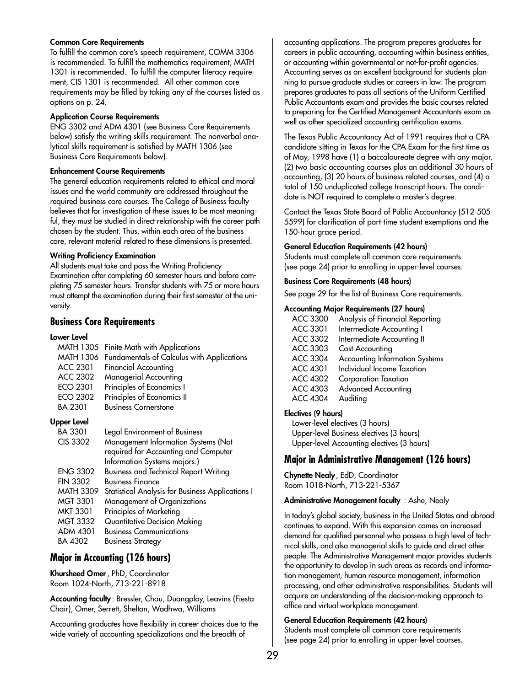#### **Common Core Requirements**

To fulfill the common core's speech requirement, COMM 3306 is recommended. To fulfill the mathematics requirement, MATH 1301 is recommended. To fulfill the computer literacy requirement, CIS 1301 is recommended. All other common core requirements may be filled by taking any of the courses listed as options on p. 24.

#### **Application Course Requirements**

ENG 3302 and ADM 4301 (see Business Core Requirements below) satisfy the writing skills requirement. The nonverbal analytical skills requirement is satisfied by MATH 1306 (see Business Core Requirements below).

#### **Enhancement Course Requirements**

The general education requirements related to ethical and moral issues and the world community are addressed throughout the required business core courses. The College of Business faculty believes that for investigation of these issues to be most meaningful, they must be studied in direct relationship with the career path chosen by the student. Thus, within each area of the business core, relevant material related to these dimensions is presented.

#### **Writing Proficiency Examination**

All students must take and pass the Writing Proficiency Examination after completing 60 semester hours and before completing 75 semester hours. Transfer students with 75 or more hours must attempt the examination during their first semester at the university.

### **Business Core Requirements**

#### **Lower Level**

| Lower Level      |                                                  |
|------------------|--------------------------------------------------|
| <b>MATH 1305</b> | Finite Math with Applications                    |
| MATH 1306        | Fundamentals of Calculus with Applications       |
| ACC 2301         | <b>Financial Accounting</b>                      |
| ACC 2302         | Managerial Accounting                            |
| ECO 2301         | Principles of Economics I                        |
| ECO 2302         | Principles of Economics II                       |
| BA 2301          | <b>Business Cornerstone</b>                      |
| Upper Level      |                                                  |
| <b>BA 3301</b>   | Legal Environment of Business                    |
| CIS 3302         | Management Information Systems (Not              |
|                  | required for Accounting and Computer             |
|                  | Information Systems majors.)                     |
| ENG 3302         | <b>Business and Technical Report Writing</b>     |
| FIN 3302         | <b>Business Finance</b>                          |
| <b>MATH 3309</b> | Statistical Analysis for Business Applications I |
| <b>MGT 3301</b>  | Management of Organizations                      |
| <b>MKT 3301</b>  | Principles of Marketing                          |
|                  |                                                  |

| Quantitative Decision Making |  |
|------------------------------|--|
|                              |  |

- ADM 4301 Business Communications
- BA 4302 Business Strategy

### **Major in Accounting (126 hours)**

**Khursheed Omer**, PhD, Coordinator Room 1024-North, 713-221-8918

**Accounting faculty** : Bressler, Chau, Duangploy, Leavins (Fiesta Chair), Omer, Serrett, Shelton, Wadhwa, Williams

Accounting graduates have flexibility in career choices due to the wide variety of accounting specializations and the breadth of

accounting applications. The program prepares graduates for careers in public accounting, accounting within business entities, or accounting within governmental or not-for-profit agencies. Accounting serves as an excellent background for students planning to pursue graduate studies or careers in law. The program prepares graduates to pass all sections of the Uniform Certified Public Accountants exam and provides the basic courses related to preparing for the Certified Management Accountants exam as well as other specialized accounting certification exams.

The Texas Public Accountancy Act of 1991 requires that a CPA candidate sitting in Texas for the CPA Exam for the first time as of May, 1998 have (1) a baccalaureate degree with any major, (2) two basic accounting courses plus an additional 30 hours of accounting, (3) 20 hours of business related courses, and (4) a total of 150 unduplicated college transcript hours. The candidate is NOT required to complete a master's degree.

Contact the Texas State Board of Public Accountancy (512-505- 5599) for clarification of part-time student exemptions and the 150-hour grace period.

#### **General Education Requirements (42 hours)**

Students must complete all common core requirements (see page 24) prior to enrolling in upper-level courses.

#### **Business Core Requirements (48 hours)**

See page 29 for the list of Business Core requirements.

#### **Accounting Major Requirements (27 hours)**

| <b>ACC 3304</b>                                                                                                                                                          | Analysis of Financial Reporting |
|--------------------------------------------------------------------------------------------------------------------------------------------------------------------------|---------------------------------|
| <b>Accounting Information Systems</b>                                                                                                                                    | Intermediate Accounting II      |
| Individual Income Taxation<br><b>ACC 4301</b><br><b>ACC 4302</b><br>Corporation Taxation<br><b>Advanced Accounting</b><br><b>ACC 4303</b><br><b>ACC 4304</b><br>Auditing |                                 |

#### **Electives (9 hours)**

Lower-level electives (3 hours) Upper-level Business electives (3 hours) Upper-level Accounting electives (3 hours)

### **Major in Administrative Management (126 hours)**

**Chynette Nealy** , EdD, Coordinator Room 1018-North, 713-221-5367

#### **Administrative Management faculty** : Ashe, Nealy

In today's global society, business in the United States and abroad continues to expand. With this expansion comes an increased demand for qualified personnel who possess a high level of technical skills, and also managerial skills to guide and direct other people. The Administrative Management major provides students the opportunity to develop in such areas as records and information management, human resource management, information processing, and other administrative responsibilities. Students will acquire an understanding of the decision-making approach to office and virtual workplace management.

#### **General Education Requirements (42 hours)**

Students must complete all common core requirements (see page 24) prior to enrolling in upper-level courses.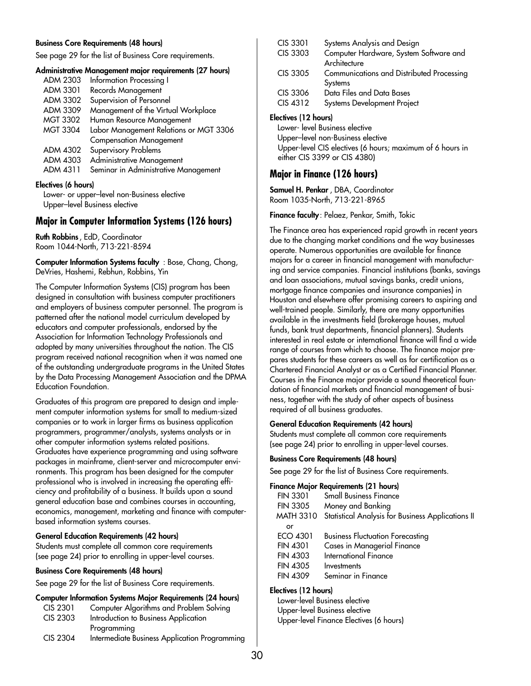#### **Business Core Requirements (48 hours)**

See page 29 for the list of Business Core requirements.

#### **Administrative Management major requirements (27 hours)**

| ADM 2303        | Information Processing I               |
|-----------------|----------------------------------------|
| ADM 3301        | Records Management                     |
| ADM 3302        | Supervision of Personnel               |
| ADM 3309        | Management of the Virtual Workplace    |
| <b>MGT 3302</b> | Human Resource Management              |
| <b>MGT 3304</b> | Labor Management Relations or MGT 3306 |
|                 | <b>Compensation Management</b>         |
| ADM 4302        | Supervisory Problems                   |
| ADM 4303        | Administrative Management              |
| ADM 4311        | Seminar in Administrative Management   |
|                 |                                        |

#### **Electives (6 hours)**

Lower- or upper–level non-Business elective Upper–level Business elective

#### **Major in Computer Information Systems (126 hours)**

**Ruth Robbins**, EdD, Coordinator Room 1044-North, 713-221-8594

**Computer Information Systems faculty** : Bose, Chang, Chong, DeVries, Hashemi, Rebhun, Robbins, Yin

The Computer Information Systems (CIS) program has been designed in consultation with business computer practitioners and employers of business computer personnel. The program is patterned after the national model curriculum developed by educators and computer professionals, endorsed by the Association for Information Technology Professionals and adopted by many universities throughout the nation. The CIS program received national recognition when it was named one of the outstanding undergraduate programs in the United States by the Data Processing Management Association and the DPMA Education Foundation.

Graduates of this program are prepared to design and implement computer information systems for small to medium-sized companies or to work in larger firms as business application programmers, programmer/analysts, systems analysts or in other computer information systems related positions. Graduates have experience programming and using software packages in mainframe, client-server and microcomputer environments. This program has been designed for the computer professional who is involved in increasing the operating efficiency and profitability of a business. It builds upon a sound general education base and combines courses in accounting, economics, management, marketing and finance with computerbased information systems courses.

#### **General Education Requirements (42 hours)**

Students must complete all common core requirements (see page 24) prior to enrolling in upper-level courses.

#### **Business Core Requirements (48 hours)**

See page 29 for the list of Business Core requirements.

#### **Computer Information Systems Major Requirements (24 hours)**

| CIS 2301 | Computer Algorithms and Problem Solving       |
|----------|-----------------------------------------------|
| CIS 2303 | Introduction to Business Application          |
|          | Programming                                   |
| CIS 2304 | Intermediate Business Application Programming |

| CIS 3301 | Systems Analysis and Design               |
|----------|-------------------------------------------|
| CIS 3303 | Computer Hardware, System Software and    |
|          | Architecture                              |
| CIS 3305 | Communications and Distributed Processing |
|          | <b>Systems</b>                            |
| CIS 3306 | Data Files and Data Bases                 |
| CIS 4312 | Systems Development Project               |

#### **Electives (12 hours)**

Lower- level Business elective Upper–level non-Business elective Upper-level CIS electives (6 hours; maximum of 6 hours in either CIS 3399 or CIS 4380)

#### **Major in Finance (126 hours)**

**Samuel H. Penkar** , DBA, Coordinator Room 1035-North, 713-221-8965

#### **Finance faculty** : Pelaez, Penkar, Smith, Tokic

The Finance area has experienced rapid growth in recent years due to the changing market conditions and the way businesses operate. Numerous opportunities are available for finance majors for a career in financial management with manufacturing and service companies. Financial institutions (banks, savings and loan associations, mutual savings banks, credit unions, mortgage finance companies and insurance companies) in Houston and elsewhere offer promising careers to aspiring and well-trained people. Similarly, there are many opportunities available in the investments field (brokerage houses, mutual funds, bank trust departments, financial planners). Students interested in real estate or international finance will find a wide range of courses from which to choose. The finance major prepares students for these careers as well as for certification as a Chartered Financial Analyst or as a Certified Financial Planner. Courses in the Finance major provide a sound theoretical foundation of financial markets and financial management of business, together with the study of other aspects of business required of all business graduates.

#### **General Education Requirements (42 hours)**

Students must complete all common core requirements (see page 24) prior to enrolling in upper-level courses.

#### **Business Core Requirements (48 hours)**

See page 29 for the list of Business Core requirements.

#### **Finance Major Requirements (21 hours)**

| <b>Small Business Finance</b>                     |
|---------------------------------------------------|
| Money and Banking                                 |
| Statistical Analysis for Business Applications II |
|                                                   |
| <b>Business Fluctuation Forecasting</b>           |
| Cases in Managerial Finance                       |
| <b>International Finance</b>                      |
| Investments                                       |
| Seminar in Finance                                |
|                                                   |

#### **Electives (12 hours)**

Lower-level Business elective Upper-level Business elective Upper-level Finance Electives (6 hours)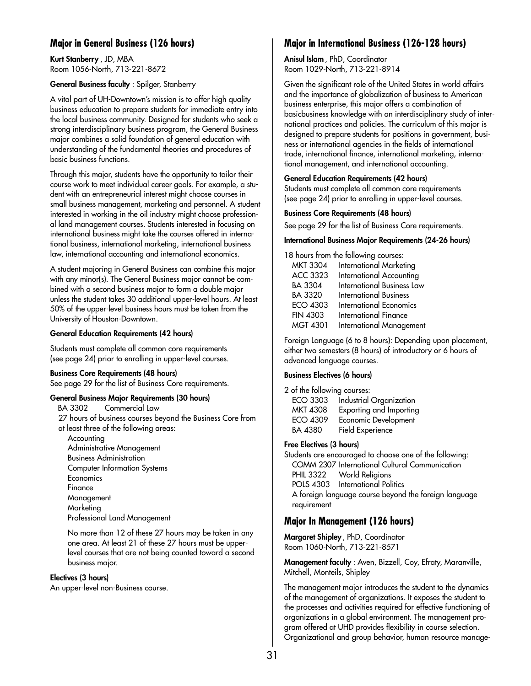# **Major in General Business (126 hours)**

**Kurt Stanberry** , JD, MBA Room 1056-North, 713-221-8672

**General Business faculty** : Spilger, Stanberry

A vital part of UH-Downtown's mission is to offer high quality business education to prepare students for immediate entry into the local business community. Designed for students who seek a strong interdisciplinary business program, the General Business major combines a solid foundation of general education with understanding of the fundamental theories and procedures of basic business functions.

Through this major, students have the opportunity to tailor their course work to meet individual career goals. For example, a student with an entrepreneurial interest might choose courses in small business management, marketing and personnel. A student interested in working in the oil industry might choose professional land management courses. Students interested in focusing on international business might take the courses offered in international business, international marketing, international business law, international accounting and international economics.

A student majoring in General Business can combine this major with any minor(s). The General Business major cannot be combined with a second business major to form a double major unless the student takes 30 additional upper-level hours. At least 50% of the upper-level business hours must be taken from the University of Houston-Downtown.

#### **General Education Requirements (42 hours)**

Students must complete all common core requirements (see page 24) prior to enrolling in upper-level courses.

### **Business Core Requirements (48 hours)**

See page 29 for the list of Business Core requirements.

#### **General Business Major Requirements (30 hours)**

BA 3302 Commercial Law 27 hours of business courses beyond the Business Core from at least three of the following areas: Accounting Administrative Management Business Administration Computer Information Systems Economics

Finance Management Marketing Professional Land Management

No more than 12 of these 27 hours may be taken in any one area. At least 21 of these 27 hours must be upperlevel courses that are not being counted toward a second business major.

#### **Electives (3 hours)**

An upper-level non-Business course.

# **Major in International Business (126-128 hours)**

**Anisul Islam** , PhD, Coordinator Room 1029-North, 713-221-8914

Given the significant role of the United States in world affairs and the importance of globalization of business to American business enterprise, this major offers a combination of basicbusiness knowledge with an interdisciplinary study of international practices and policies. The curriculum of this major is designed to prepare students for positions in government, business or international agencies in the fields of international trade, international finance, international marketing, international management, and international accounting.

#### **General Education Requirements (42 hours)**

Students must complete all common core requirements (see page 24) prior to enrolling in upper-level courses.

#### **Business Core Requirements (48 hours)**

See page 29 for the list of Business Core requirements.

#### **International Business Major Requirements (24-26 hours)**

18 hours from the following courses:

| <b>MKT 3304</b> | International Marketing         |
|-----------------|---------------------------------|
| <b>ACC 3323</b> | International Accounting        |
| BA 3304         | International Business Law      |
| BA 3320         | International Business          |
| ECO 4303        | International Economics         |
| <b>FIN 4303</b> | International Finance           |
| <b>MGT 4301</b> | <b>International Management</b> |
|                 |                                 |

Foreign Language (6 to 8 hours): Depending upon placement, either two semesters (8 hours) of introductory or 6 hours of advanced language courses.

#### **Business Electives (6 hours)**

| 2 of the following courses: |                                |
|-----------------------------|--------------------------------|
| ECO 3303                    | Industrial Organization        |
| <b>MKT 4308</b>             | <b>Exporting and Importing</b> |
| ECO 4309                    | Economic Development           |
| BA 4380                     | Field Experience               |

#### **Free Electives (3 hours)**

Students are encouraged to choose one of the following: COMM 2307 International Cultural Communication PHIL 3322 World Religions POLS 4303 International Politics A foreign language course beyond the foreign language requirement

### **Major In Management (126 hours)**

**Margaret Shipley** , PhD, Coordinator Room 1060-North, 713-221-8571

**Management faculty** : Aven, Bizzell, Coy, Efraty, Maranville, Mitchell, Monteils, Shipley

The management major introduces the student to the dynamics of the management of organizations. It exposes the student to the processes and activities required for effective functioning of organizations in a global environment. The management program offered at UHD provides flexibility in course selection. Organizational and group behavior, human resource manage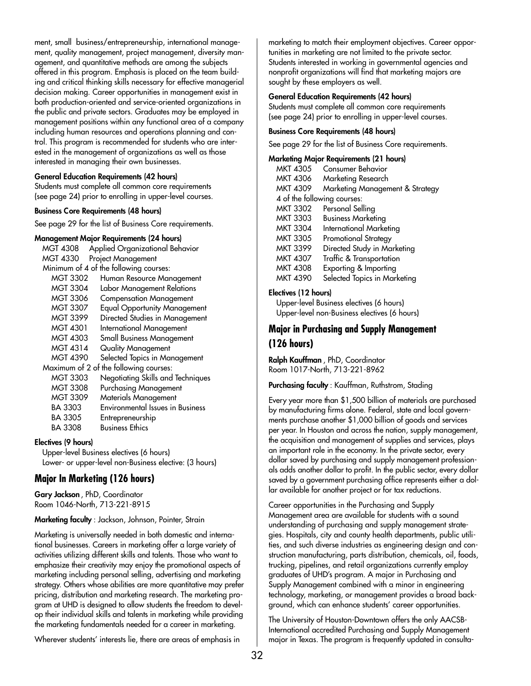ment, small business/entrepreneurship, international management, quality management, project management, diversity management, and quantitative methods are among the subjects offered in this program. Emphasis is placed on the team building and critical thinking skills necessary for effective managerial decision making. Career opportunities in management exist in both production-oriented and service-oriented organizations in the public and private sectors. Graduates may be employed in management positions within any functional area of a company including human resources and operations planning and control. This program is recommended for students who are interested in the management of organizations as well as those interested in managing their own businesses.

#### **General Education Requirements (42 hours)**

Students must complete all common core requirements (see page 24) prior to enrolling in upper-level courses.

#### **Business Core Requirements (48 hours)**

See page 29 for the list of Business Core requirements.

#### **Management Major Requirements (24 hours)**

| MGT 4308                               | Applied Organizational Behavior         |  |  |  |
|----------------------------------------|-----------------------------------------|--|--|--|
| <b>MGT 4330</b>                        | Project Management                      |  |  |  |
| Minimum of 4 of the following courses: |                                         |  |  |  |
| MGT 3302                               | Human Resource Management               |  |  |  |
| MGT 3304                               | Labor Management Relations              |  |  |  |
| MGT 3306                               | <b>Compensation Management</b>          |  |  |  |
| <b>MGT 3307</b>                        | <b>Equal Opportunity Management</b>     |  |  |  |
| MGT 3399                               | Directed Studies in Management          |  |  |  |
| MGT 4301                               | International Management                |  |  |  |
| MGT 4303                               | Small Business Management               |  |  |  |
| MGT 4314                               | Quality Management                      |  |  |  |
| MGT 4390                               | Selected Topics in Management           |  |  |  |
| Maximum of 2 of the following courses: |                                         |  |  |  |
| MGT 3303                               | Negotiating Skills and Techniques       |  |  |  |
| MGT 3308                               | Purchasing Management                   |  |  |  |
| MGT 3309                               | Materials Management                    |  |  |  |
| BA 3303                                | <b>Environmental Issues in Business</b> |  |  |  |
| BA 3305                                | Entrepreneurship                        |  |  |  |
| BA 3308                                | <b>Business Ethics</b>                  |  |  |  |

#### **Electives (9 hours)**

Upper-level Business electives (6 hours) Lower- or upper-level non-Business elective: (3 hours)

#### **Major In Marketing (126 hours)**

**Gary Jackson** , PhD, Coordinator Room 1046-North, 713-221-8915

#### **Marketing faculty** : Jackson, Johnson, Pointer, Strain

Marketing is universally needed in both domestic and international businesses. Careers in marketing offer a large variety of activities utilizing different skills and talents. Those who want to emphasize their creativity may enjoy the promotional aspects of marketing including personal selling, advertising and marketing strategy. Others whose abilities are more quantitative may prefer pricing, distribution and marketing research. The marketing program at UHD is designed to allow students the freedom to develop their individual skills and talents in marketing while providing the marketing fundamentals needed for a career in marketing.

Wherever students' interests lie, there are areas of emphasis in

marketing to match their employment objectives. Career opportunities in marketing are not limited to the private sector. Students interested in working in governmental agencies and nonprofit organizations will find that marketing majors are sought by these employers as well.

#### **General Education Requirements (42 hours)**

Students must complete all common core requirements (see page 24) prior to enrolling in upper-level courses.

#### **Business Core Requirements (48 hours)**

See page 29 for the list of Business Core requirements.

#### **Marketing Major Requirements (21 hours)**

| <b>MKT 4305</b> | Consumer Behavior               |
|-----------------|---------------------------------|
| <b>MKT 4306</b> | Marketing Research              |
| MKT 4309        | Marketing Management & Strategy |
|                 | 4 of the following courses:     |
| <b>MKT 3302</b> | Personal Selling                |
| MKT 3303        | <b>Business Marketing</b>       |
| <b>MKT 3304</b> | International Marketing         |
| <b>MKT 3305</b> | Promotional Strategy            |
| MKT 3399        | Directed Study in Marketing     |
| <b>MKT 4307</b> | Traffic & Transportation        |
| <b>MKT 4308</b> | Exporting & Importing           |
| MKT 4390        | Selected Topics in Marketing    |
|                 |                                 |

#### **Electives (12 hours)**

Upper-level Business electives (6 hours) Upper-level non-Business electives (6 hours)

#### **Major in Purchasing and Supply Management**

#### **(126 hours)**

**Ralph Kauffman** , PhD, Coordinator Room 1017-North, 713-221-8962

**Purchasing faculty** : Kauffman, Ruthstrom, Stading

Every year more than \$1,500 billion of materials are purchased by manufacturing firms alone. Federal, state and local governments purchase another \$1,000 billion of goods and services per year. In Houston and across the nation, supply management, the acquisition and management of supplies and services, plays an important role in the economy. In the private sector, every dollar saved by purchasing and supply management professionals adds another dollar to profit. In the public sector, every dollar saved by a government purchasing office represents either a dollar available for another project or for tax reductions.

Career opportunities in the Purchasing and Supply Management area are available for students with a sound understanding of purchasing and supply management strategies. Hospitals, city and county health departments, public utilities, and such diverse industries as engineering design and construction manufacturing, parts distribution, chemicals, oil, foods, trucking, pipelines, and retail organizations currently employ graduates of UHD's program. A major in Purchasing and Supply Management combined with a minor in engineering technology, marketing, or management provides a broad background, which can enhance students' career opportunities.

The University of Houston-Downtown offers the only AACSB-International accredited Purchasing and Supply Management major in Texas. The program is frequently updated in consulta-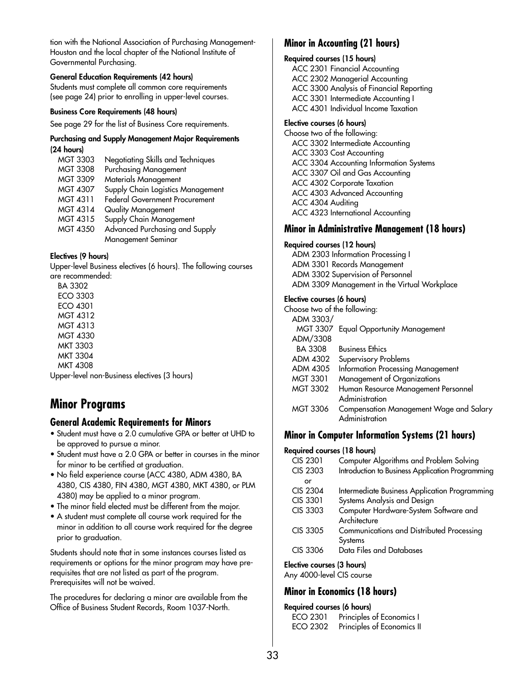tion with the National Association of Purchasing Management-Houston and the local chapter of the National Institute of Governmental Purchasing.

#### **General Education Requirements (42 hours)**

Students must complete all common core requirements (see page 24) prior to enrolling in upper-level courses.

#### **Business Core Requirements (48 hours)**

See page 29 for the list of Business Core requirements.

#### **Purchasing and Supply Management Major Requirements (24 hours)**

| <b>MGT 3303</b> | Negotiating Skills and Techniques |
|-----------------|-----------------------------------|
| <b>MGT 3308</b> | Purchasing Management             |
| <b>MGT 3309</b> | Materials Management              |
| <b>MGT 4307</b> | Supply Chain Logistics Management |
| MGT 4311        | Federal Government Procurement    |
| MGT 4314        | Quality Management                |
| MGT 4315        | Supply Chain Management           |
| <b>MGT 4350</b> | Advanced Purchasing and Supply    |
|                 | Management Seminar                |

### **Electives (9 hours)**

Upper-level Business electives (6 hours). The following courses are recommended:

BA 3302 ECO 3303 ECO 4301 MGT 4312 MGT 4313 MGT 4330 MKT 3303 MKT 3304 MKT 4308

Upper-level non-Business electives (3 hours)

# **Minor Programs**

## **General Academic Requirements for Minors**

- Student must have a 2.0 cumulative GPA or better at UHD to be approved to pursue a minor.
- Student must have a 2.0 GPA or better in courses in the minor for minor to be certified at graduation.
- No field experience course (ACC 4380, ADM 4380, BA 4380, CIS 4380, FIN 4380, MGT 4380, MKT 4380, or PLM 4380) may be applied to a minor program.
- The minor field elected must be different from the major.
- A student must complete all course work required for the minor in addition to all course work required for the degree prior to graduation.

Students should note that in some instances courses listed as requirements or options for the minor program may have prerequisites that are not listed as part of the program. Prerequisites will not be waived.

The procedures for declaring a minor are available from the Office of Business Student Records, Room 1037-North.

# **Minor in Accounting (21 hours)**

#### **Required courses (15 hours)**

ACC 2301 Financial Accounting ACC 2302 Managerial Accounting ACC 3300 Analysis of Financial Reporting ACC 3301 Intermediate Accounting I ACC 4301 Individual Income Taxation

### **Elective courses (6 hours)**

Choose two of the following: ACC 3302 Intermediate Accounting ACC 3303 Cost Accounting ACC 3304 Accounting Information Systems ACC 3307 Oil and Gas Accounting ACC 4302 Corporate Taxation ACC 4303 Advanced Accounting ACC 4304 Auditing ACC 4323 International Accounting

## **Minor in Administrative Management (18 hours)**

#### **Required courses (12 hours)**

ADM 2303 Information Processing I ADM 3301 Records Management ADM 3302 Supervision of Personnel ADM 3309 Management in the Virtual Workplace

## **Elective courses (6 hours)**

| Choose two of the following: |                                                           |  |
|------------------------------|-----------------------------------------------------------|--|
| ADM 3303/                    |                                                           |  |
| <b>MGT 3307</b>              | <b>Equal Opportunity Management</b>                       |  |
| ADM/3308                     |                                                           |  |
| BA 3308                      | <b>Business Ethics</b>                                    |  |
| ADM 4302                     | Supervisory Problems                                      |  |
| ADM 4305                     | Information Processing Management                         |  |
| <b>MGT 3301</b>              | Management of Organizations                               |  |
| <b>MGT 3302</b>              | Human Resource Management Personnel<br>Administration     |  |
| <b>MGT 3306</b>              | Compensation Management Wage and Salary<br>Administration |  |

# **Minor in Computer Information Systems (21 hours)**

#### **Required courses (18 hours)**

| CIS 2301 | Computer Algorithms and Problem Solving               |
|----------|-------------------------------------------------------|
| CIS 2303 | Introduction to Business Application Programming      |
| or       |                                                       |
| CIS 2304 | Intermediate Business Application Programming         |
| CIS 3301 | Systems Analysis and Design                           |
| CIS 3303 | Computer Hardware-System Software and<br>Architecture |
| CIS 3305 | Communications and Distributed Processing<br>Systems  |
| CIS 3306 | Data Files and Databases                              |
|          |                                                       |

**Elective courses (3 hours)**

Any 4000-level CIS course

## **Minor in Economics (18 hours)**

#### **Required courses (6 hours)**

ECO 2301 Principles of Economics I ECO 2302 Principles of Economics II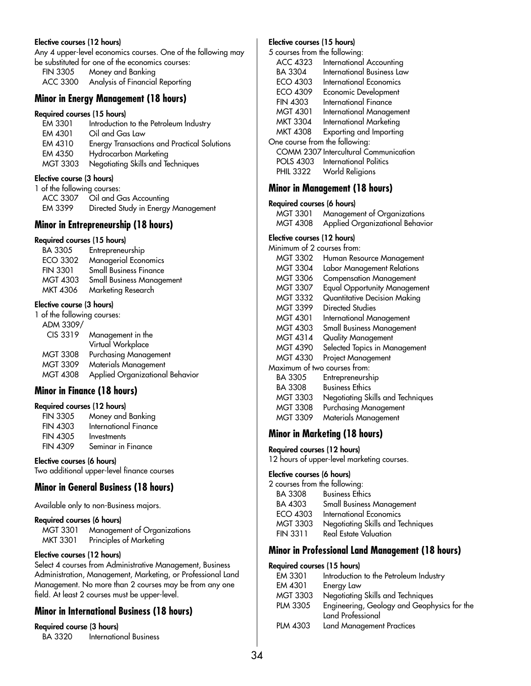### **Elective courses (12 hours)**

Any 4 upper-level economics courses. One of the following may be substituted for one of the economics courses:

FIN 3305 Money and Banking ACC 3300 Analysis of Financial Reporting

# **Minor in Energy Management (18 hours)**

# **Required courses (15 hours)**

| EM 3301         | Introduction to the Petroleum Industry             |
|-----------------|----------------------------------------------------|
| EM 4301         | Oil and Gas Law                                    |
| EM 4310         | <b>Energy Transactions and Practical Solutions</b> |
| EM 4350         | Hydrocarbon Marketing                              |
| <b>MGT 3303</b> | Negotiating Skills and Techniques                  |
|                 |                                                    |

# **Elective course (3 hours)**

| 1 of the following courses: |                                     |  |
|-----------------------------|-------------------------------------|--|
|                             | ACC 3307 Oil and Gas Accounting     |  |
| EM 3399                     | Directed Study in Energy Management |  |

# **Minor in Entrepreneurship (18 hours)**

# **Required courses (15 hours)**

| BA 3305         | Entrepreneurship                 |
|-----------------|----------------------------------|
| ECO 3302        | Managerial Economics             |
| <b>FIN 3301</b> | <b>Small Business Finance</b>    |
| <b>MGT 4303</b> | <b>Small Business Management</b> |
| <b>MKT 4306</b> | Marketing Research               |
|                 |                                  |

# **Elective course (3 hours)**

| 1 of the following courses: |                                 |
|-----------------------------|---------------------------------|
| ADM 3309/                   |                                 |
| CIS 3319                    | Management in the               |
|                             | Virtual Workplace               |
| <b>MGT 3308</b>             | <b>Purchasing Management</b>    |
| <b>MGT 3309</b>             | Materials Management            |
| <b>MGT 4308</b>             | Applied Organizational Behavior |
|                             |                                 |

# **Minor in Finance (18 hours)**

# **Required courses (12 hours)**

| <b>FIN 3305</b> | Money and Banking     |
|-----------------|-----------------------|
| <b>FIN 4303</b> | International Finance |
| <b>FIN 4305</b> | Investments           |
| <b>FIN 4309</b> | Seminar in Finance    |

**Elective courses (6 hours)**

Two additional upper-level finance courses

# **Minor in General Business (18 hours)**

Available only to non-Business majors.

# **Required courses (6 hours)**

| <b>MGT 3301</b> | Management of Organizations |
|-----------------|-----------------------------|
| <b>MKT 3301</b> | Principles of Marketing     |

# **Elective courses (12 hours)**

Select 4 courses from Administrative Management, Business Administration, Management, Marketing, or Professional Land Management. No more than 2 courses may be from any one field. At least 2 courses must be upper-level.

# **Minor in International Business (18 hours)**

**Required course (3 hours)** BA 3320 International Business

## **Elective courses (15 hours)**

| 5 courses from the following: |                                              |
|-------------------------------|----------------------------------------------|
| <b>ACC 4323</b>               | <b>International Accounting</b>              |
| BA 3304                       | International Business Law                   |
| ECO 4303                      | International Economics                      |
| <b>ECO 4309</b>               | Economic Development                         |
| <b>FIN 4303</b>               | International Finance                        |
| <b>MGT 4301</b>               | <b>International Management</b>              |
| MKT 3304                      | <b>International Marketing</b>               |
| <b>MKT 4308</b>               | Exporting and Importing                      |
|                               | One course from the following:               |
|                               | <b>COMM 2307 Intercultural Communication</b> |
| POLS 4303                     | International Politics                       |
| <b>PHIL 3322</b>              | <b>World Religions</b>                       |
|                               |                                              |

# **Minor in Management (18 hours)**

## **Required courses (6 hours)**

MGT 3301 Management of Organizations MGT 4308 Applied Organizational Behavior

### **Elective courses (12 hours)**

Minimum of 2 courses from:

| MGT 3302                     | Human Resource Management           |  |  |
|------------------------------|-------------------------------------|--|--|
| MGT 3304                     | Labor Management Relations          |  |  |
| MGT 3306                     | <b>Compensation Management</b>      |  |  |
| MGT 3307                     | <b>Equal Opportunity Management</b> |  |  |
| MGT 3332                     | <b>Quantitative Decision Making</b> |  |  |
| <b>MGT 3399</b>              | Directed Studies                    |  |  |
| MGT 4301                     | <b>International Management</b>     |  |  |
| MGT 4303                     | <b>Small Business Management</b>    |  |  |
| MGT 4314                     | Quality Management                  |  |  |
| MGT 4390                     | Selected Topics in Management       |  |  |
| MGT 4330                     | Project Management                  |  |  |
| Maximum of two courses from: |                                     |  |  |
| BA 3305                      | Entrepreneurship                    |  |  |
| BA 3308                      | <b>Business Ethics</b>              |  |  |
| <b>MGT 3303</b>              | Negotiating Skills and Techniques   |  |  |
| <b>MGT 3308</b>              | <b>Purchasing Management</b>        |  |  |
| MGT 3309                     | Materials Management                |  |  |
|                              |                                     |  |  |

# **Minor in Marketing (18 hours)**

### **Required courses (12 hours)**

12 hours of upper-level marketing courses.

### **Elective courses (6 hours)**

| 2 courses from the following: |                                   |  |
|-------------------------------|-----------------------------------|--|
| <b>BA 3308</b>                | <b>Business Ethics</b>            |  |
| BA 4303                       | <b>Small Business Management</b>  |  |
| ECO 4303                      | <b>International Economics</b>    |  |
| <b>MGT 3303</b>               | Negotiating Skills and Techniques |  |
| <b>FIN 3311</b>               | <b>Real Estate Valuation</b>      |  |

# **Minor in Professional Land Management (18 hours)**

### **Required courses (15 hours)**

| EM 3301         | Introduction to the Petroleum Industry      |
|-----------------|---------------------------------------------|
| EM 4301         | Energy Law                                  |
| <b>MGT 3303</b> | Negotiating Skills and Techniques           |
| <b>PLM 3305</b> | Engineering, Geology and Geophysics for the |
|                 | Land Professional                           |
| <b>PLM 4303</b> | Land Management Practices                   |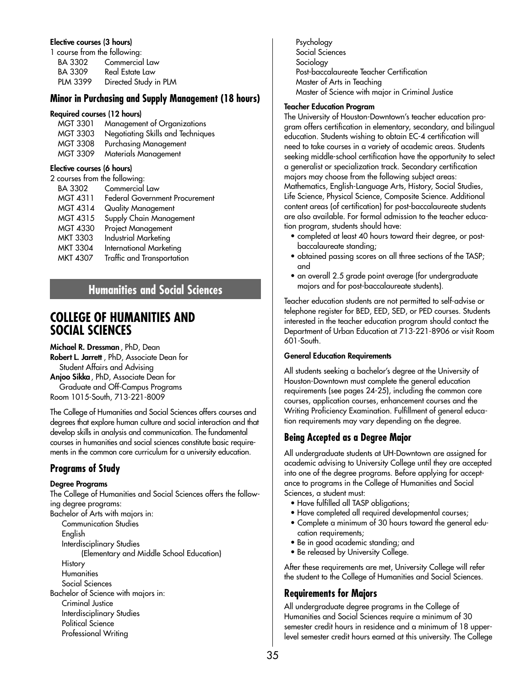### **Elective courses (3 hours)**

| 1 course from the following: |                       |
|------------------------------|-----------------------|
| BA 3302                      | Commercial Law        |
| BA 3309                      | Real Estate Law       |
| <b>PLM 3399</b>              | Directed Study in PLM |

# **Minor in Purchasing and Supply Management (18 hours)**

### **Required courses (12 hours)**

| <b>MGT 3301</b> | Management of Organizations       |
|-----------------|-----------------------------------|
| <b>MGT 3303</b> | Negotiating Skills and Techniques |
| <b>MGT 3308</b> | Purchasing Management             |
| <b>MGT 3309</b> | Materials Management              |

## **Elective courses (6 hours)**

|                 | 2 courses from the following:         |
|-----------------|---------------------------------------|
| BA 3302         | Commercial Law                        |
| MGT 4311        | <b>Federal Government Procurement</b> |
| MGT 4314        | Quality Management                    |
| MGT 4315        | Supply Chain Management               |
| <b>MGT 4330</b> | Project Management                    |
| <b>MKT 3303</b> | <b>Industrial Marketing</b>           |
| <b>MKT 3304</b> | <b>International Marketing</b>        |
| <b>MKT 4307</b> | Traffic and Transportation            |
|                 |                                       |
|                 |                                       |

# **Humanities and Social Sciences**

# **COLLEGE OF HUMANITIES AND SOCIAL SCIENCES**

**Michael R. Dressman** , PhD, Dean **Robert L. Jarrett** , PhD, Associate Dean for Student Affairs and Advising **Anjoo Sikka**, PhD, Associate Dean for Graduate and Off-Campus Programs Room 1015-South, 713-221-8009

The College of Humanities and Social Sciences offers courses and degrees that explore human culture and social interaction and that develop skills in analysis and communication. The fundamental courses in humanities and social sciences constitute basic requirements in the common core curriculum for a university education.

# **Programs of Study**

## **Degree Programs**

The College of Humanities and Social Sciences offers the following degree programs: Bachelor of Arts with majors in: Communication Studies English Interdisciplinary Studies (Elementary and Middle School Education) History **Humanities** Social Sciences Bachelor of Science with majors in: Criminal Justice Interdisciplinary Studies Political Science Professional Writing

Psychology Social Sciences Sociology Post-baccalaureate Teacher Certification Master of Arts in Teaching Master of Science with major in Criminal Justice

## **Teacher Education Program**

The University of Houston-Downtown's teacher education program offers certification in elementary, secondary, and bilingual education. Students wishing to obtain EC-4 certification will need to take courses in a variety of academic areas. Students seeking middle-school certification have the opportunity to select a generalist or specialization track. Secondary certification majors may choose from the following subject areas: Mathematics, English-Language Arts, History, Social Studies, Life Science, Physical Science, Composite Science. Additional content areas (of certification) for post-baccalaureate students are also available. For formal admission to the teacher education program, students should have:

- completed at least 40 hours toward their degree, or postbaccalaureate standing;
- obtained passing scores on all three sections of the TASP; and
- an overall 2.5 grade point average (for undergraduate majors and for post-baccalaureate students).

Teacher education students are not permitted to self-advise or telephone register for BED, EED, SED, or PED courses. Students interested in the teacher education program should contact the Department of Urban Education at 713-221-8906 or visit Room 601-South.

## **General Education Requirements**

All students seeking a bachelor's degree at the University of Houston-Downtown must complete the general education requirements (see pages 24-25), including the common core courses, application courses, enhancement courses and the Writing Proficiency Examination. Fulfillment of general education requirements may vary depending on the degree.

# **Being Accepted as a Degree Major**

All undergraduate students at UH-Downtown are assigned for academic advising to University College until they are accepted into one of the degree programs. Before applying for acceptance to programs in the College of Humanities and Social Sciences, a student must:

- Have fulfilled all TASP obligations;
- Have completed all required developmental courses;
- Complete a minimum of 30 hours toward the general education requirements;
- Be in good academic standing; and
- Be released by University College.

After these requirements are met, University College will refer the student to the College of Humanities and Social Sciences.

# **Requirements for Majors**

All undergraduate degree programs in the College of Humanities and Social Sciences require a minimum of 30 semester credit hours in residence and a minimum of 18 upperlevel semester credit hours earned at this university. The College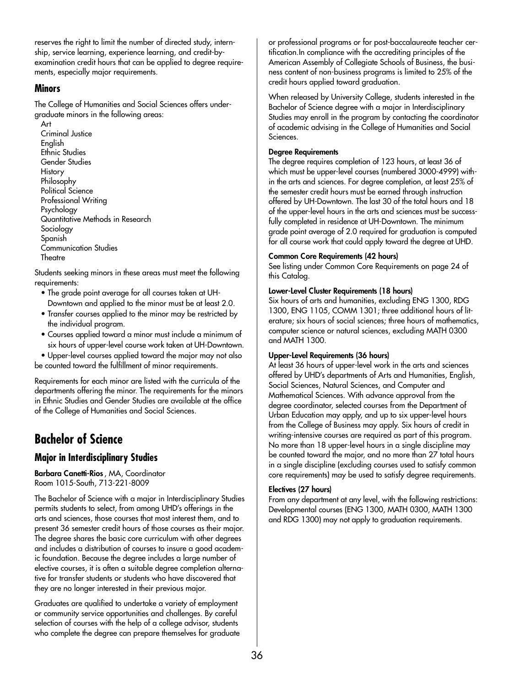reserves the right to limit the number of directed study, internship, service learning, experience learning, and credit-byexamination credit hours that can be applied to degree requirements, especially major requirements.

## **Minors**

The College of Humanities and Social Sciences offers undergraduate minors in the following areas:

Art Criminal Justice English Ethnic Studies Gender Studies History Philosophy Political Science Professional Writing Psychology Quantitative Methods in Research Sociology Spanish Communication Studies **Theatre** 

Students seeking minors in these areas must meet the following requirements:

- The grade point average for all courses taken at UH-Downtown and applied to the minor must be at least 2.0.
- Transfer courses applied to the minor may be restricted by the individual program.
- Courses applied toward a minor must include a minimum of six hours of upper-level course work taken at UH-Downtown.

• Upper-level courses applied toward the major may not also be counted toward the fulfillment of minor requirements.

Requirements for each minor are listed with the curricula of the departments offering the minor. The requirements for the minors in Ethnic Studies and Gender Studies are available at the office of the College of Humanities and Social Sciences.

# **Bachelor of Science**

# **Major in Interdisciplinary Studies**

**Barbara Canetti-Rios**, MA, Coordinator Room 1015-South, 713-221-8009

The Bachelor of Science with a major in Interdisciplinary Studies permits students to select, from among UHD's offerings in the arts and sciences, those courses that most interest them, and to present 36 semester credit hours of those courses as their major. The degree shares the basic core curriculum with other degrees and includes a distribution of courses to insure a good academic foundation. Because the degree includes a large number of elective courses, it is often a suitable degree completion alternative for transfer students or students who have discovered that they are no longer interested in their previous major.

Graduates are qualified to undertake a variety of employment or community service opportunities and challenges. By careful selection of courses with the help of a college advisor, students who complete the degree can prepare themselves for graduate or professional programs or for post-baccalaureate teacher certification.In compliance with the accrediting principles of the American Assembly of Collegiate Schools of Business, the business content of non-business programs is limited to 25% of the credit hours applied toward graduation.

When released by University College, students interested in the Bachelor of Science degree with a major in Interdisciplinary Studies may enroll in the program by contacting the coordinator of academic advising in the College of Humanities and Social Sciences.

## **Degree Requirements**

The degree requires completion of 123 hours, at least 36 of which must be upper-level courses (numbered 3000-4999) within the arts and sciences. For degree completion, at least 25% of the semester credit hours must be earned through instruction offered by UH-Downtown. The last 30 of the total hours and 18 of the upper-level hours in the arts and sciences must be successfully completed in residence at UH-Downtown. The minimum grade point average of 2.0 required for graduation is computed for all course work that could apply toward the degree at UHD.

## **Common Core Requirements (42 hours)**

See listing under Common Core Requirements on page 24 of this Catalog.

## **Lower-Level Cluster Requirements (18 hours)**

Six hours of arts and humanities, excluding ENG 1300, RDG 1300, ENG 1105, COMM 1301; three additional hours of literature; six hours of social sciences; three hours of mathematics, computer science or natural sciences, excluding MATH 0300 and MATH 1300.

## **Upper-Level Requirements (36 hours)**

At least 36 hours of upper-level work in the arts and sciences offered by UHD's departments of Arts and Humanities, English, Social Sciences, Natural Sciences, and Computer and Mathematical Sciences. With advance approval from the degree coordinator, selected courses from the Department of Urban Education may apply, and up to six upper-level hours from the College of Business may apply. Six hours of credit in writing-intensive courses are required as part of this program. No more than 18 upper-level hours in a single discipline may be counted toward the major, and no more than 27 total hours in a single discipline (excluding courses used to satisfy common core requirements) may be used to satisfy degree requirements.

### **Electives (27 hours)**

From any department at any level, with the following restrictions: Developmental courses (ENG 1300, MATH 0300, MATH 1300 and RDG 1300) may not apply to graduation requirements.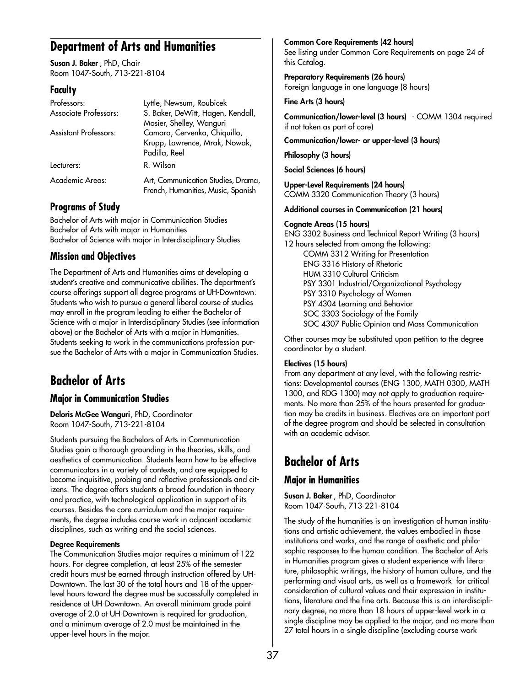# **Department of Arts and Humanities**

**Susan J. Baker** , PhD, Chair Room 1047-South, 713-221-8104

# **Faculty**

| Professors:<br><b>Associate Professors:</b> | Lyttle, Newsum, Roubicek<br>S. Baker, DeWitt, Hagen, Kendall,<br>Mosier, Shelley, Wanguri |
|---------------------------------------------|-------------------------------------------------------------------------------------------|
| <b>Assistant Professors:</b>                | Camara, Cervenka, Chiquillo,<br>Krupp, Lawrence, Mrak, Nowak,<br>Padilla, Reel            |
| Lecturers:                                  | R. Wilson                                                                                 |
| Academic Areas:                             | Art, Communication Studies, Drama,<br>French, Humanities, Music, Spanish                  |

# **Programs of Study**

Bachelor of Arts with major in Communication Studies Bachelor of Arts with major in Humanities Bachelor of Science with major in Interdisciplinary Studies

# **Mission and Objectives**

The Department of Arts and Humanities aims at developing a student's creative and communicative abilities. The department's course offerings support all degree programs at UH-Downtown. Students who wish to pursue a general liberal course of studies may enroll in the program leading to either the Bachelor of Science with a major in Interdisciplinary Studies (see information above) or the Bachelor of Arts with a major in Humanities. Students seeking to work in the communications profession pursue the Bachelor of Arts with a major in Communication Studies.

# **Bachelor of Arts**

# **Major in Communication Studies**

**Deloris McGee Wanguri**, PhD, Coordinator Room 1047-South, 713-221-8104

Students pursuing the Bachelors of Arts in Communication Studies gain a thorough grounding in the theories, skills, and aesthetics of communication. Students learn how to be effective communicators in a variety of contexts, and are equipped to become inquisitive, probing and reflective professionals and citizens. The degree offers students a broad foundation in theory and practice, with technological application in support of its courses. Besides the core curriculum and the major requirements, the degree includes course work in adjacent academic disciplines, such as writing and the social sciences.

## **Degree Requirements**

The Communication Studies major requires a minimum of 122 hours. For degree completion, at least 25% of the semester credit hours must be earned through instruction offered by UH-Downtown. The last 30 of the total hours and 18 of the upperlevel hours toward the degree must be successfully completed in residence at UH-Downtown. An overall minimum grade point average of 2.0 at UH-Downtown is required for graduation, and a minimum average of 2.0 must be maintained in the upper-level hours in the major.

# **Common Core Requirements (42 hours)**

See listing under Common Core Requirements on page 24 of this Catalog.

# **Preparatory Requirements (26 hours)**

Foreign language in one language (8 hours)

## **Fine Arts (3 hours)**

**Communication/lower-level (3 hours)** - COMM 1304 required if not taken as part of core)

# **Communication/lower- or upper-level (3 hours)**

**Philosophy (3 hours)**

**Social Sciences (6 hours)**

**Upper-Level Requirements (24 hours)** COMM 3320 Communication Theory (3 hours)

# **Additional courses in Communication (21 hours)**

## **Cognate Areas (15 hours)**

ENG 3302 Business and Technical Report Writing (3 hours) 12 hours selected from among the following: COMM 3312 Writing for Presentation ENG 3316 History of Rhetoric HUM 3310 Cultural Criticism PSY 3301 Industrial/Organizational Psychology PSY 3310 Psychology of Women PSY 4304 Learning and Behavior SOC 3303 Sociology of the Family SOC 4307 Public Opinion and Mass Communication

Other courses may be substituted upon petition to the degree coordinator by a student.

# **Electives (15 hours)**

From any department at any level, with the following restrictions: Developmental courses (ENG 1300, MATH 0300, MATH 1300, and RDG 1300) may not apply to graduation requirements. No more than 25% of the hours presented for graduation may be credits in business. Electives are an important part of the degree program and should be selected in consultation with an academic advisor.

# **Bachelor of Arts**

# **Major in Humanities**

**Susan J. Baker** , PhD, Coordinator Room 1047-South, 713-221-8104

The study of the humanities is an investigation of human institutions and artistic achievement, the values embodied in those institutions and works, and the range of aesthetic and philosophic responses to the human condition. The Bachelor of Arts in Humanities program gives a student experience with literature, philosophic writings, the history of human culture, and the performing and visual arts, as well as a framework for critical consideration of cultural values and their expression in institutions, literature and the fine arts. Because this is an interdisciplinary degree, no more than 18 hours of upper-level work in a single discipline may be applied to the major, and no more than 27 total hours in a single discipline (excluding course work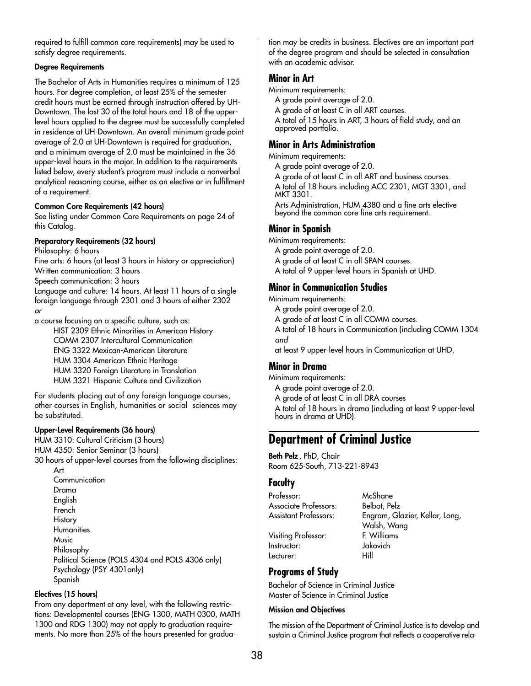required to fulfill common core requirements) may be used to satisfy degree requirements.

## **Degree Requirements**

The Bachelor of Arts in Humanities requires a minimum of 125 hours. For degree completion, at least 25% of the semester credit hours must be earned through instruction offered by UH-Downtown. The last 30 of the total hours and 18 of the upperlevel hours applied to the degree must be successfully completed in residence at UH-Downtown. An overall minimum grade point average of 2.0 at UH-Downtown is required for graduation, and a minimum average of 2.0 must be maintained in the 36 upper-level hours in the major. In addition to the requirements listed below, every student's program must include a nonverbal analytical reasoning course, either as an elective or in fulfillment of a requirement.

## **Common Core Requirements (42 hours)**

See listing under Common Core Requirements on page 24 of this Catalog.

## **Preparatory Requirements (32 hours)**

Philosophy: 6 hours

Fine arts: 6 hours (at least 3 hours in history or appreciation) Written communication: 3 hours

Speech communication: 3 hours

Language and culture: 14 hours. At least 11 hours of a single foreign language through 2301 and 3 hours of either 2302 *or*

a course focusing on a specific culture, such as:

HIST 2309 Ethnic Minorities in American History COMM 2307 Intercultural Communication ENG 3322 Mexican-American Literature HUM 3304 American Ethnic Heritage HUM 3320 Foreign Literature in Translation HUM 3321 Hispanic Culture and Civilization

For students placing out of any foreign language courses, other courses in English, humanities or social sciences may be substituted.

## **Upper-Level Requirements (36 hours)**

HUM 3310: Cultural Criticism (3 hours) HUM 4350: Senior Seminar (3 hours) 30 hours of upper-level courses from the following disciplines:

Art **Communication** Drama English French **History Humanities** Music Philosophy Political Science (POLS 4304 and POLS 4306 only) Psychology (PSY 4301only) Spanish

## **Electives (15 hours)**

From any department at any level, with the following restrictions: Developmental courses (ENG 1300, MATH 0300, MATH 1300 and RDG 1300) may not apply to graduation requirements. No more than 25% of the hours presented for graduation may be credits in business. Electives are an important part of the degree program and should be selected in consultation with an academic advisor.

# **Minor in Art**

Minimum requirements:

- A grade point average of 2.0.
- A grade of at least C in all ART courses.

A total of 15 hours in ART, 3 hours of field study, and an approved portfolio.

# **Minor in Arts Administration**

Minimum requirements:

A grade point average of 2.0.

A grade of at least C in all ART and business courses.

A total of 18 hours including ACC 2301, MGT 3301, and MKT 3301.

Arts Administration, HUM 4380 and a fine arts elective beyond the common core fine arts requirement.

# **Minor in Spanish**

Minimum requirements:

- A grade point average of 2.0.
- A grade of at least C in all SPAN courses.
- A total of 9 upper-level hours in Spanish at UHD.

# **Minor in Communication Studies**

- Minimum requirements:
- A grade point average of 2.0.
- A grade of at least C in all COMM courses.
- A total of 18 hours in Communication (including COMM 1304 *and*

at least 9 upper-level hours in Communication at UHD.

# **Minor in Drama**

- Minimum requirements:
- A grade point average of 2.0.
- A grade of at least C in all DRA courses

A total of 18 hours in drama (including at least 9 upper-level hours in drama at UHD).

# **Department of Criminal Justice**

**Beth Pelz** , PhD, Chair Room 625-South, 713-221-8943

# **Faculty**

Professor: McShane Associate Professors: Belbot, Pelz

Assistant Professors: Engram, Glazier, Kellar, Long, Walsh, Wang Visiting Professor: F. Williams Instructor: Jakovich Lecturer: Hill

# **Programs of Study**

Bachelor of Science in Criminal Justice Master of Science in Criminal Justice

## **Mission and Objectives**

The mission of the Department of Criminal Justice is to develop and sustain a Criminal Justice program that reflects a cooperative rela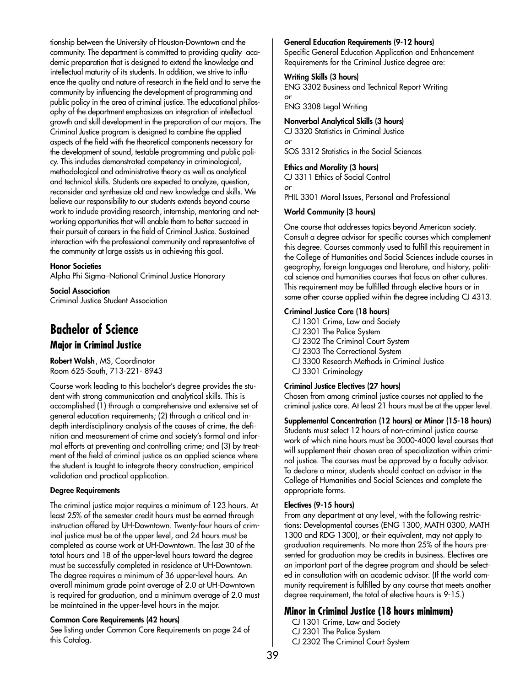tionship between the University of Houston-Downtown and the community. The department is committed to providing quality academic preparation that is designed to extend the knowledge and intellectual maturity of its students. In addition, we strive to influence the quality and nature of research in the field and to serve the community by influencing the development of programming and public policy in the area of criminal justice. The educational philosophy of the department emphasizes an integration of intellectual growth and skill development in the preparation of our majors. The Criminal Justice program is designed to combine the applied aspects of the field with the theoretical components necessary for the development of sound, testable programming and public policy. This includes demonstrated competency in criminological, methodological and administrative theory as well as analytical and technical skills. Students are expected to analyze, question, reconsider and synthesize old and new knowledge and skills. We believe our responsibility to our students extends beyond course work to include providing research, internship, mentoring and networking opportunities that will enable them to better succeed in their pursuit of careers in the field of Criminal Justice. Sustained interaction with the professional community and representative of the community at large assists us in achieving this goal.

### **Honor Societies**

Alpha Phi Sigma–National Criminal Justice Honorary

**Social Association** Criminal Justice Student Association

# **Bachelor of Science**

# **Major in Criminal Justice**

**Robert Walsh**, MS, Coordinator Room 625-South, 713-221- 8943

Course work leading to this bachelor's degree provides the student with strong communication and analytical skills. This is accomplished (1) through a comprehensive and extensive set of general education requirements; (2) through a critical and indepth interdisciplinary analysis of the causes of crime, the definition and measurement of crime and society's formal and informal efforts at preventing and controlling crime; and (3) by treatment of the field of criminal justice as an applied science where the student is taught to integrate theory construction, empirical validation and practical application.

### **Degree Requirements**

The criminal justice major requires a minimum of 123 hours. At least 25% of the semester credit hours must be earned through instruction offered by UH-Downtown. Twenty-four hours of criminal justice must be at the upper level, and 24 hours must be completed as course work at UH-Downtown. The last 30 of the total hours and 18 of the upper-level hours toward the degree must be successfully completed in residence at UH-Downtown. The degree requires a minimum of 36 upper-level hours. An overall minimum grade point average of 2.0 at UH-Downtown is required for graduation, and a minimum average of 2.0 must be maintained in the upper-level hours in the major.

## **Common Core Requirements (42 hours)**

See listing under Common Core Requirements on page 24 of this Catalog.

## **General Education Requirements (9-12 hours)**

Specific General Education Application and Enhancement Requirements for the Criminal Justice degree are:

## **Writing Skills (3 hours)**

ENG 3302 Business and Technical Report Writing *or*

ENG 3308 Legal Writing

## **Nonverbal Analytical Skills (3 hours)**

CJ 3320 Statistics in Criminal Justice *or*

SOS 3312 Statistics in the Social Sciences

## **Ethics and Morality (3 hours)**

CJ 3311 Ethics of Social Control *or*

PHIL 3301 Moral Issues, Personal and Professional

## **World Community (3 hours)**

One course that addresses topics beyond American society. Consult a degree advisor for specific courses which complement this degree. Courses commonly used to fulfill this requirement in the College of Humanities and Social Sciences include courses in geography, foreign languages and literature, and history, political science and humanities courses that focus on other cultures. This requirement may be fulfilled through elective hours or in some other course applied within the degree including CJ 4313.

## **Criminal Justice Core (18 hours)**

CJ 1301 Crime, Law and Society CJ 2301 The Police System CJ 2302 The Criminal Court System CJ 2303 The Correctional System CJ 3300 Research Methods in Criminal Justice CJ 3301 Criminology

## **Criminal Justice Electives (27 hours)**

Chosen from among criminal justice courses not applied to the criminal justice core. At least 21 hours must be at the upper level.

**Supplemental Concentration (12 hours) or Minor (15-18 hours)** Students must select 12 hours of non-criminal justice course work of which nine hours must be 3000-4000 level courses that will supplement their chosen area of specialization within criminal justice. The courses must be approved by a faculty advisor. To declare a minor, students should contact an advisor in the

College of Humanities and Social Sciences and complete the

# appropriate forms. **Electives (9-15 hours)**

From any department at any level, with the following restrictions: Developmental courses (ENG 1300, MATH 0300, MATH 1300 and RDG 1300), or their equivalent, may not apply to graduation requirements. No more than 25% of the hours presented for graduation may be credits in business. Electives are an important part of the degree program and should be selected in consultation with an academic advisor. (If the world community requirement is fulfilled by any course that meets another degree requirement, the total of elective hours is 9-15.)

# **Minor in Criminal Justice (18 hours minimum)**

CJ 1301 Crime, Law and Society CJ 2301 The Police System CJ 2302 The Criminal Court System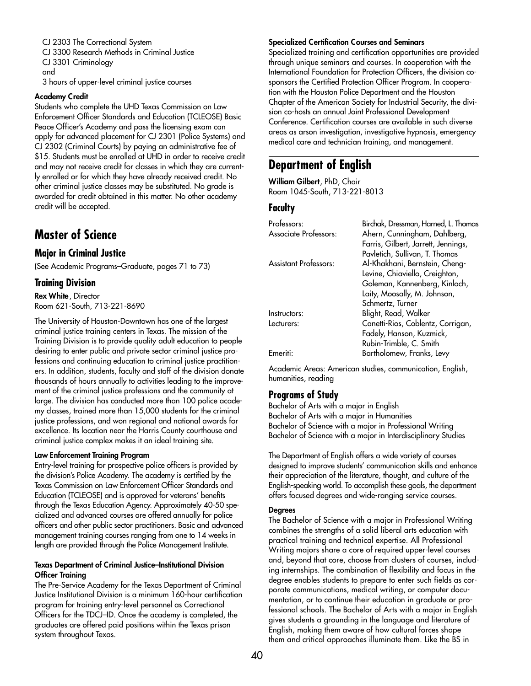CJ 2303 The Correctional System CJ 3300 Research Methods in Criminal Justice CJ 3301 Criminology and 3 hours of upper-level criminal justice courses

## **Academy Credit**

Students who complete the UHD Texas Commission on Law Enforcement Officer Standards and Education (TCLEOSE) Basic Peace Officer's Academy and pass the licensing exam can apply for advanced placement for CJ 2301 (Police Systems) and CJ 2302 (Criminal Courts) by paying an administrative fee of \$15. Students must be enrolled at UHD in order to receive credit and may not receive credit for classes in which they are currently enrolled or for which they have already received credit. No other criminal justice classes may be substituted. No grade is awarded for credit obtained in this matter. No other academy credit will be accepted.

# **Master of Science**

# **Major in Criminal Justice**

(See Academic Programs–Graduate, pages 71 to 73)

# **Training Division**

**Rex White**, Director Room 621-South, 713-221-8690

The University of Houston-Downtown has one of the largest criminal justice training centers in Texas. The mission of the Training Division is to provide quality adult education to people desiring to enter public and private sector criminal justice professions and continuing education to criminal justice practitioners. In addition, students, faculty and staff of the division donate thousands of hours annually to activities leading to the improvement of the criminal justice professions and the community at large. The division has conducted more than 100 police academy classes, trained more than 15,000 students for the criminal justice professions, and won regional and national awards for excellence. Its location near the Harris County courthouse and criminal justice complex makes it an ideal training site.

### **Law Enforcement Training Program**

Entry-level training for prospective police officers is provided by the division's Police Academy. The academy is certified by the Texas Commission on Law Enforcement Officer Standards and Education (TCLEOSE) and is approved for veterans' benefits through the Texas Education Agency. Approximately 40-50 specialized and advanced courses are offered annually for police officers and other public sector practitioners. Basic and advanced management training courses ranging from one to 14 weeks in length are provided through the Police Management Institute.

### **Texas Department of Criminal Justice–Institutional Division Officer Training**

The Pre-Service Academy for the Texas Department of Criminal Justice Institutional Division is a minimum 160-hour certification program for training entry-level personnel as Correctional Officers for the TDCJ–ID. Once the academy is completed, the graduates are offered paid positions within the Texas prison system throughout Texas.

## **Specialized Certification Courses and Seminars**

Specialized training and certification opportunities are provided through unique seminars and courses. In cooperation with the International Foundation for Protection Officers, the division cosponsors the Certified Protection Officer Program. In cooperation with the Houston Police Department and the Houston Chapter of the American Society for Industrial Security, the division co-hosts an annual Joint Professional Development Conference. Certification courses are available in such diverse areas as arson investigation, investigative hypnosis, emergency medical care and technician training, and management.

# **Department of English**

**William Gilbert**, PhD, Chair Room 1045-South, 713-221-8013

# **Faculty**

| Birchak, Dressman, Harned, L. Thomas |
|--------------------------------------|
| Ahern, Cunningham, Dahlberg,         |
| Farris, Gilbert, Jarrett, Jennings,  |
| Pavletich, Sullivan, T. Thomas       |
| Al-Khakhani, Bernstein, Cheng-       |
| Levine, Chiaviello, Creighton,       |
| Goleman, Kannenberg, Kinloch,        |
| Laity, Moosally, M. Johnson,         |
| Schmertz, Turner                     |
| Blight, Read, Walker                 |
| Canetti-Rios, Coblentz, Corrigan,    |
| Fadely, Hanson, Kuzmick,             |
| Rubin-Trimble, C. Smith              |
| Bartholomew, Franks, Levy            |
|                                      |

Academic Areas: American studies, communication, English, humanities, reading

# **Programs of Study**

Bachelor of Arts with a major in English Bachelor of Arts with a major in Humanities Bachelor of Science with a major in Professional Writing Bachelor of Science with a major in Interdisciplinary Studies

The Department of English offers a wide variety of courses designed to improve students' communication skills and enhance their appreciation of the literature, thought, and culture of the English-speaking world. To accomplish these goals, the department offers focused degrees and wide-ranging service courses.

## **Degrees**

The Bachelor of Science with a major in Professional Writing combines the strengths of a solid liberal arts education with practical training and technical expertise. All Professional Writing majors share a core of required upper-level courses and, beyond that core, choose from clusters of courses, including internships. The combination of flexibility and focus in the degree enables students to prepare to enter such fields as corporate communications, medical writing, or computer documentation, or to continue their education in graduate or professional schools. The Bachelor of Arts with a major in English gives students a grounding in the language and literature of English, making them aware of how cultural forces shape them and critical approaches illuminate them. Like the BS in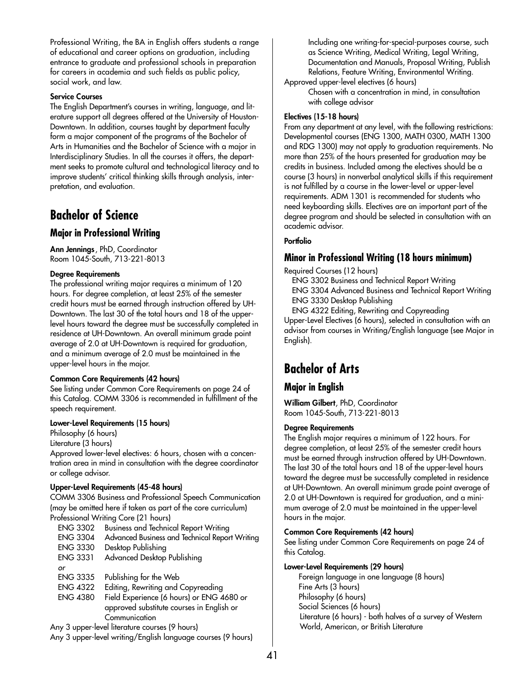Professional Writing, the BA in English offers students a range of educational and career options on graduation, including entrance to graduate and professional schools in preparation for careers in academia and such fields as public policy, social work, and law.

### **Service Courses**

The English Department's courses in writing, language, and literature support all degrees offered at the University of Houston-Downtown. In addition, courses taught by department faculty form a major component of the programs of the Bachelor of Arts in Humanities and the Bachelor of Science with a major in Interdisciplinary Studies. In all the courses it offers, the department seeks to promote cultural and technological literacy and to improve students' critical thinking skills through analysis, interpretation, and evaluation.

# **Bachelor of Science**

# **Major in Professional Writing**

**Ann Jennings**, PhD, Coordinator Room 1045-South, 713-221-8013

# **Degree Requirements**

The professional writing major requires a minimum of 120 hours. For degree completion, at least 25% of the semester credit hours must be earned through instruction offered by UH-Downtown. The last 30 of the total hours and 18 of the upperlevel hours toward the degree must be successfully completed in residence at UH-Downtown. An overall minimum grade point average of 2.0 at UH-Downtown is required for graduation, and a minimum average of 2.0 must be maintained in the upper-level hours in the major.

## **Common Core Requirements (42 hours)**

See listing under Common Core Requirements on page 24 of this Catalog. COMM 3306 is recommended in fulfillment of the speech requirement.

## **Lower-Level Requirements (15 hours)**

Philosophy (6 hours)

Literature (3 hours)

Approved lower-level electives: 6 hours, chosen with a concentration area in mind in consultation with the degree coordinator or college advisor.

## **Upper-Level Requirements (45-48 hours)**

COMM 3306 Business and Professional Speech Communication (may be omitted here if taken as part of the core curriculum) Professional Writing Core (21 hours)

- ENG 3302 Business and Technical Report Writing
- ENG 3304 Advanced Business and Technical Report Writing
- ENG 3330 Desktop Publishing
- ENG 3331 Advanced Desktop Publishing
- *or* ENG 3335 Publishing for the Web
- ENG 4322 Editing, Rewriting and Copyreading
- ENG 4380 Field Experience (6 hours) or ENG 4680 or approved substitute courses in English or Communication

Any 3 upper-level literature courses (9 hours)

Any 3 upper-level writing/English language courses (9 hours)

Including one writing-for-special-purposes course, such as Science Writing, Medical Writing, Legal Writing, Documentation and Manuals, Proposal Writing, Publish Relations, Feature Writing, Environmental Writing.

Approved upper-level electives (6 hours) Chosen with a concentration in mind, in consultation with college advisor

## **Electives (15-18 hours)**

From any department at any level, with the following restrictions: Developmental courses (ENG 1300, MATH 0300, MATH 1300 and RDG 1300) may not apply to graduation requirements. No more than 25% of the hours presented for graduation may be credits in business. Included among the electives should be a course (3 hours) in nonverbal analytical skills if this requirement is not fulfilled by a course in the lower-level or upper-level requirements. ADM 1301 is recommended for students who need keyboarding skills. Electives are an important part of the degree program and should be selected in consultation with an academic advisor.

# **Portfolio**

# **Minor in Professional Writing (18 hours minimum)**

Required Courses (12 hours)

ENG 3302 Business and Technical Report Writing ENG 3304 Advanced Business and Technical Report Writing ENG 3330 Desktop Publishing

ENG 4322 Editing, Rewriting and Copyreading

Upper-Level Electives (6 hours), selected in consultation with an advisor from courses in Writing/English language (see Major in English).

# **Bachelor of Arts**

# **Major in English**

**William Gilbert**, PhD, Coordinator Room 1045-South, 713-221-8013

## **Degree Requirements**

The English major requires a minimum of 122 hours. For degree completion, at least 25% of the semester credit hours must be earned through instruction offered by UH-Downtown. The last 30 of the total hours and 18 of the upper-level hours toward the degree must be successfully completed in residence at UH-Downtown. An overall minimum grade point average of 2.0 at UH-Downtown is required for graduation, and a minimum average of 2.0 must be maintained in the upper-level hours in the major.

## **Common Core Requirements (42 hours)**

See listing under Common Core Requirements on page 24 of this Catalog.

## **Lower-Level Requirements (29 hours)**

Foreign language in one language (8 hours) Fine Arts (3 hours) Philosophy (6 hours) Social Sciences (6 hours) Literature (6 hours) - both halves of a survey of Western World, American, or British Literature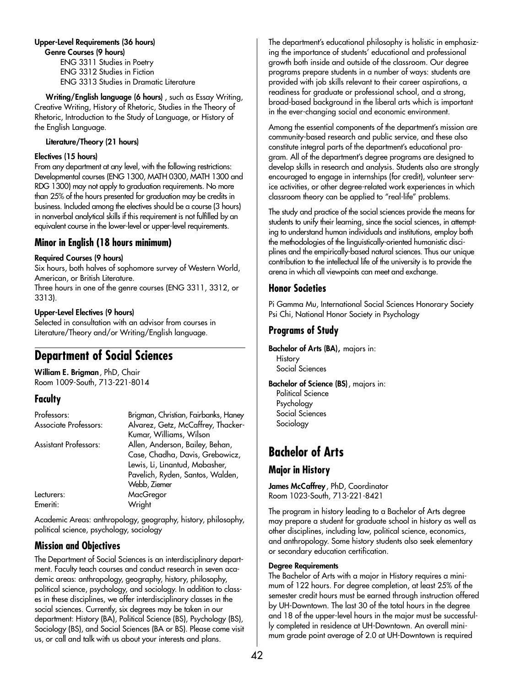## **Upper-Level Requirements (36 hours)**

**Genre Courses (9 hours)** ENG 3311 Studies in Poetry ENG 3312 Studies in Fiction ENG 3313 Studies in Dramatic Literature

**Writing/English language (6 hours)** , such as Essay Writing, Creative Writing, History of Rhetoric, Studies in the Theory of Rhetoric, Introduction to the Study of Language, or History of the English Language.

## **Literature/Theory (21 hours)**

## **Electives (15 hours)**

From any department at any level, with the following restrictions: Developmental courses (ENG 1300, MATH 0300, MATH 1300 and RDG 1300) may not apply to graduation requirements. No more than 25% of the hours presented for graduation may be credits in business. Included among the electives should be a course (3 hours) in nonverbal analytical skills if this requirement is not fulfilled by an equivalent course in the lower-level or upper-level requirements.

# **Minor in English (18 hours minimum)**

## **Required Courses (9 hours)**

Six hours, both halves of sophomore survey of Western World, American, or British Literature.

Three hours in one of the genre courses (ENG 3311, 3312, or 3313).

## **Upper-Level Electives (9 hours)**

Selected in consultation with an advisor from courses in Literature/Theory and/or Writing/English language.

# **Department of Social Sciences**

**William E. Brigman**, PhD, Chair Room 1009-South, 713-221-8014

# **Faculty**

| Professors:                  | Brigman, Christian, Fairbanks, Haney |
|------------------------------|--------------------------------------|
| Associate Professors:        | Alvarez, Getz, McCaffrey, Thacker-   |
|                              | Kumar, Williams, Wilson              |
| <b>Assistant Professors:</b> | Allen, Anderson, Bailey, Behan,      |
|                              | Case, Chadha, Davis, Grebowicz,      |
|                              | Lewis, Li, Linantud, Mobasher,       |
|                              | Pavelich, Ryden, Santos, Walden,     |
|                              | Webb, Ziemer                         |
| Lecturers:                   | MacGregor                            |
| Emeriti:                     | Wright                               |
|                              |                                      |

Academic Areas: anthropology, geography, history, philosophy, political science, psychology, sociology

# **Mission and Objectives**

The Department of Social Sciences is an interdisciplinary department. Faculty teach courses and conduct research in seven academic areas: anthropology, geography, history, philosophy, political science, psychology, and sociology. In addition to classes in these disciplines, we offer interdisciplinary classes in the social sciences. Currently, six degrees may be taken in our department: History (BA), Political Science (BS), Psychology (BS), Sociology (BS), and Social Sciences (BA or BS). Please come visit us, or call and talk with us about your interests and plans.

The department's educational philosophy is holistic in emphasizing the importance of students' educational and professional growth both inside and outside of the classroom. Our degree programs prepare students in a number of ways: students are provided with job skills relevant to their career aspirations, a readiness for graduate or professional school, and a strong, broad-based background in the liberal arts which is important in the ever-changing social and economic environment.

Among the essential components of the department's mission are community-based research and public service, and these also constitute integral parts of the department's educational program. All of the department's degree programs are designed to develop skills in research and analysis. Students also are strongly encouraged to engage in internships (for credit), volunteer service activities, or other degree-related work experiences in which classroom theory can be applied to "real-life" problems.

The study and practice of the social sciences provide the means for students to unify their learning, since the social sciences, in attempting to understand human individuals and institutions, employ both the methodologies of the linguistically-oriented humanistic disciplines and the empirically-based natural sciences. Thus our unique contribution to the intellectual life of the university is to provide the arena in which all viewpoints can meet and exchange.

# **Honor Societies**

Pi Gamma Mu, International Social Sciences Honorary Society Psi Chi, National Honor Society in Psychology

# **Programs of Study**

**Bachelor of Arts (BA),** majors in: History

Social Sciences

**Bachelor of Science (BS)**, majors in: Political Science

Psychology Social Sciences Sociology

# **Bachelor of Arts**

# **Major in History**

**James McCaffrey** , PhD, Coordinator Room 1023-South, 713-221-8421

The program in history leading to a Bachelor of Arts degree may prepare a student for graduate school in history as well as other disciplines, including law, political science, economics, and anthropology. Some history students also seek elementary or secondary education certification.

### **Degree Requirements**

The Bachelor of Arts with a major in History requires a minimum of 122 hours. For degree completion, at least 25% of the semester credit hours must be earned through instruction offered by UH-Downtown. The last 30 of the total hours in the degree and 18 of the upper-level hours in the major must be successfully completed in residence at UH-Downtown. An overall minimum grade point average of 2.0 at UH-Downtown is required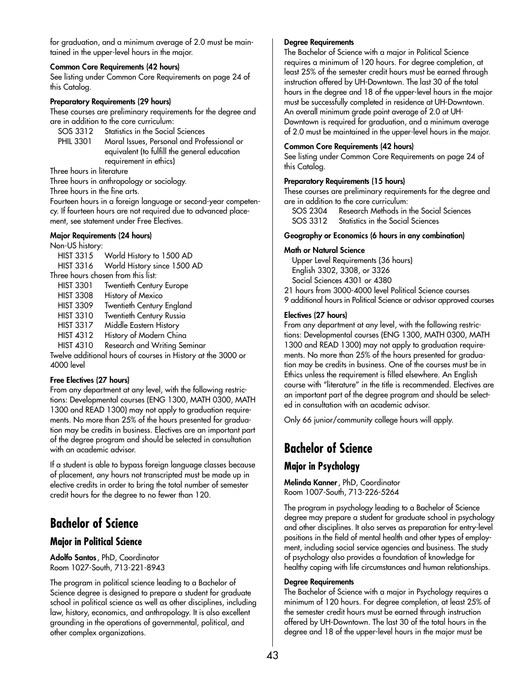for graduation, and a minimum average of 2.0 must be maintained in the upper-level hours in the major.

## **Common Core Requirements (42 hours)**

See listing under Common Core Requirements on page 24 of this Catalog.

### **Preparatory Requirements (29 hours)**

These courses are preliminary requirements for the degree and are in addition to the core curriculum:

SOS 3312 Statistics in the Social Sciences PHIL 3301 Moral Issues, Personal and Professional or equivalent (to fulfill the general education requirement in ethics)

Three hours in literature

Three hours in anthropology or sociology.

Three hours in the fine arts.

Fourteen hours in a foreign language or second-year competency. If fourteen hours are not required due to advanced placement, see statement under Free Electives.

### **Major Requirements (24 hours)**

Non-US history:

HIST 3315 World History to 1500 AD HIST 3316 World History since 1500 AD

Three hours chosen from this list:

- HIST 3301 Twentieth Century Europe
- HIST 3308 History of Mexico
- HIST 3309 Twentieth Century England

HIST 3310 Twentieth Century Russia

HIST 3317 Middle Eastern History

HIST 4312 History of Modern China

HIST 4310 Research and Writing Seminar

Twelve additional hours of courses in History at the 3000 or 4000 level

## **Free Electives (27 hours)**

From any department at any level, with the following restrictions: Developmental courses (ENG 1300, MATH 0300, MATH 1300 and READ 1300) may not apply to graduation requirements. No more than 25% of the hours presented for graduation may be credits in business. Electives are an important part of the degree program and should be selected in consultation with an academic advisor.

If a student is able to bypass foreign language classes because of placement, any hours not transcripted must be made up in elective credits in order to bring the total number of semester credit hours for the degree to no fewer than 120.

# **Bachelor of Science**

# **Major in Political Science**

**Adolfo Santos**, PhD, Coordinator Room 1027-South, 713-221-8943

The program in political science leading to a Bachelor of Science degree is designed to prepare a student for graduate school in political science as well as other disciplines, including law, history, economics, and anthropology. It is also excellent grounding in the operations of governmental, political, and other complex organizations.

## **Degree Requirements**

The Bachelor of Science with a major in Political Science requires a minimum of 120 hours. For degree completion, at least 25% of the semester credit hours must be earned through instruction offered by UH-Downtown. The last 30 of the total hours in the degree and 18 of the upper-level hours in the major must be successfully completed in residence at UH-Downtown. An overall minimum grade point average of 2.0 at UH-Downtown is required for graduation, and a minimum average of 2.0 must be maintained in the upper-level hours in the major.

## **Common Core Requirements (42 hours)**

See listing under Common Core Requirements on page 24 of this Catalog.

## **Preparatory Requirements (15 hours)**

These courses are preliminary requirements for the degree and are in addition to the core curriculum:

SOS 2304 Research Methods in the Social Sciences SOS 3312 Statistics in the Social Sciences

### **Geography or Economics (6 hours in any combination)**

### **Math or Natural Science**

Upper Level Requirements (36 hours) English 3302, 3308, or 3326 Social Sciences 4301 or 4380 21 hours from 3000-4000 level Political Science courses 9 additional hours in Political Science or advisor approved courses

### **Electives (27 hours)**

From any department at any level, with the following restrictions: Developmental courses (ENG 1300, MATH 0300, MATH 1300 and READ 1300) may not apply to graduation requirements. No more than 25% of the hours presented for graduation may be credits in business. One of the courses must be in Ethics unless the requirement is filled elsewhere. An English course with "literature" in the title is recommended. Electives are an important part of the degree program and should be selected in consultation with an academic advisor.

Only 66 junior/community college hours will apply.

# **Bachelor of Science**

# **Major in Psychology**

**Melinda Kanner**, PhD, Coordinator Room 1007-South, 713-226-5264

The program in psychology leading to a Bachelor of Science degree may prepare a student for graduate school in psychology and other disciplines. It also serves as preparation for entry-level positions in the field of mental health and other types of employment, including social service agencies and business. The study of psychology also provides a foundation of knowledge for healthy coping with life circumstances and human relationships.

## **Degree Requirements**

The Bachelor of Science with a major in Psychology requires a minimum of 120 hours. For degree completion, at least 25% of the semester credit hours must be earned through instruction offered by UH-Downtown. The last 30 of the total hours in the degree and 18 of the upper-level hours in the major must be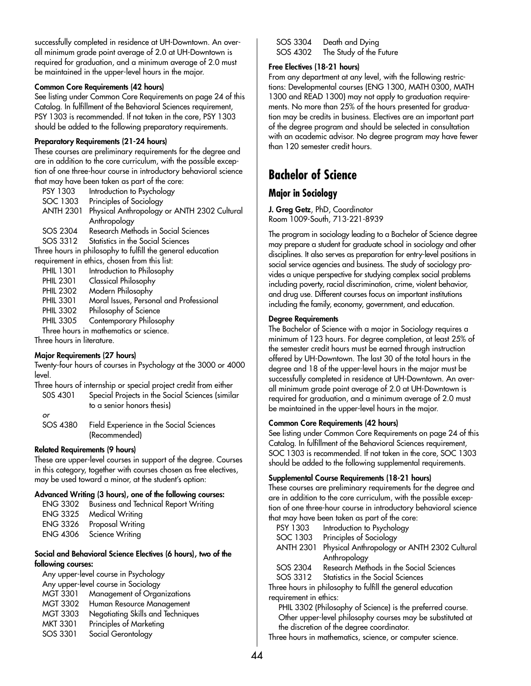successfully completed in residence at UH-Downtown. An overall minimum grade point average of 2.0 at UH-Downtown is required for graduation, and a minimum average of 2.0 must be maintained in the upper-level hours in the major.

### **Common Core Requirements (42 hours)**

See listing under Common Core Requirements on page 24 of this Catalog. In fulfillment of the Behavioral Sciences requirement, PSY 1303 is recommended. If not taken in the core, PSY 1303 should be added to the following preparatory requirements.

# **Preparatory Requirements (21-24 hours)**

These courses are preliminary requirements for the degree and are in addition to the core curriculum, with the possible exception of one three-hour course in introductory behavioral science that may have been taken as part of the core:

| PSY 1303         | Introduction to Psychology                                  |
|------------------|-------------------------------------------------------------|
| SOC 1303         | Principles of Sociology                                     |
| <b>ANTH 2301</b> | Physical Anthropology or ANTH 2302 Cultural<br>Anthropology |
| SOS 2304         | Research Methods in Social Sciences                         |
| SOS 3312         | Statistics in the Social Sciences                           |
|                  | Three hours in philosophy to fulfill the general education  |
|                  | requirement in ethics, chosen from this list:               |
| <b>PHIL 1301</b> | Introduction to Philosophy                                  |
| <b>PHIL 2301</b> | Classical Philosophy                                        |
| <b>PHIL 2302</b> | Modern Philosophy                                           |
|                  | .                                                           |

| <b>PHIL 3301</b> | Moral Issues, Personal and Professional |
|------------------|-----------------------------------------|
|                  | PHIL 3302 Philosophy of Science         |
|                  | PHIL 3305 Contemporary Philosophy       |
|                  |                                         |

Three hours in mathematics or science.

Three hours in literature.

## **Major Requirements (27 hours)**

Twenty-four hours of courses in Psychology at the 3000 or 4000 level.

Three hours of internship or special project credit from either S0S 4301 Special Projects in the Social Sciences (similar to a senior honors thesis)

*or*

SOS 4380 Field Experience in the Social Sciences (Recommended)

## **Related Requirements (9 hours)**

These are upper-level courses in support of the degree. Courses in this category, together with courses chosen as free electives, may be used toward a minor, at the student's option:

## **Advanced Writing (3 hours), one of the following courses:**

| <b>ENG 3302</b> | <b>Business and Technical Report Writing</b> |
|-----------------|----------------------------------------------|
| <b>ENG 3325</b> | <b>Medical Writing</b>                       |
| <b>ENG 3326</b> | Proposal Writing                             |
| ENG 4306        | Science Writing                              |
|                 |                                              |

## **Social and Behavioral Science Electives (6 hours), two of the following courses:**

Any upper-level course in Psychology Any upper-level course in Sociology MGT 3301 Management of Organizations MGT 3302 Human Resource Management MGT 3303 Negotiating Skills and Techniques MKT 3301 Principles of Marketing SOS 3301 Social Gerontology

| SOS 3304 | Death and Dying         |
|----------|-------------------------|
| SOS 4302 | The Study of the Future |

## **Free Electives (18-21 hours)**

From any department at any level, with the following restrictions: Developmental courses (ENG 1300, MATH 0300, MATH 1300 and READ 1300) may not apply to graduation requirements. No more than 25% of the hours presented for graduation may be credits in business. Electives are an important part of the degree program and should be selected in consultation with an academic advisor. No degree program may have fewer than 120 semester credit hours.

# **Bachelor of Science**

# **Major in Sociology**

**J. Greg Getz**, PhD, Coordinator Room 1009-South, 713-221-8939

The program in sociology leading to a Bachelor of Science degree may prepare a student for graduate school in sociology and other disciplines. It also serves as preparation for entry-level positions in social service agencies and business. The study of sociology provides a unique perspective for studying complex social problems including poverty, racial discrimination, crime, violent behavior, and drug use. Different courses focus on important institutions including the family, economy, government, and education.

## **Degree Requirements**

The Bachelor of Science with a major in Sociology requires a minimum of 123 hours. For degree completion, at least 25% of the semester credit hours must be earned through instruction offered by UH-Downtown. The last 30 of the total hours in the degree and 18 of the upper-level hours in the major must be successfully completed in residence at UH-Downtown. An overall minimum grade point average of 2.0 at UH-Downtown is required for graduation, and a minimum average of 2.0 must be maintained in the upper-level hours in the major.

### **Common Core Requirements (42 hours)**

See listing under Common Core Requirements on page 24 of this Catalog. In fulfillment of the Behavioral Sciences requirement, SOC 1303 is recommended. If not taken in the core, SOC 1303 should be added to the following supplemental requirements.

## **Supplemental Course Requirements (18-21 hours)**

These courses are preliminary requirements for the degree and are in addition to the core curriculum, with the possible exception of one three-hour course in introductory behavioral science that may have been taken as part of the core:

| PSY 1303               | Introduction to Psychology                                 |
|------------------------|------------------------------------------------------------|
| SOC 1303               | Principles of Sociology                                    |
| <b>ANTH 2301</b>       | Physical Anthropology or ANTH 2302 Cultural                |
|                        | Anthropology                                               |
| SOS 2304               | Research Methods in the Social Sciences                    |
| SOS 3312               | Statistics in the Social Sciences                          |
|                        | Three hours in philosophy to fulfill the general education |
| requirement in ethics: |                                                            |
|                        |                                                            |

PHIL 3302 (Philosophy of Science) is the preferred course. Other upper-level philosophy courses may be substituted at the discretion of the degree coordinator.

Three hours in mathematics, science, or computer science.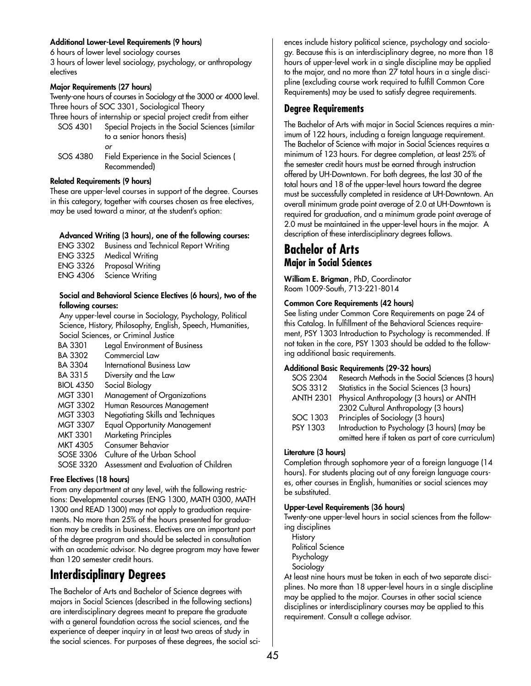## **Additional Lower-Level Requirements (9 hours)**

6 hours of lower level sociology courses

3 hours of lower level sociology, psychology, or anthropology electives

## **Major Requirements (27 hours)**

Twenty-one hours of courses in Sociology at the 3000 or 4000 level. Three hours of SOC 3301, Sociological Theory

- Three hours of internship or special project credit from either SOS 4301 Special Projects in the Social Sciences (similar
	- to a senior honors thesis)
	- *or* SOS 4380 Field Experience in the Social Sciences ( Recommended)

## **Related Requirements (9 hours)**

These are upper-level courses in support of the degree. Courses in this category, together with courses chosen as free electives, may be used toward a minor, at the student's option:

## **Advanced Writing (3 hours), one of the following courses:**

| <b>ENG 3302</b> Business and Technical Report Writing |
|-------------------------------------------------------|
| ENG 3325 Medical Writing                              |
| ENG 3326 Proposal Writing                             |
| ENG 4306 Science Writing                              |
|                                                       |

## **Social and Behavioral Science Electives (6 hours), two of the following courses:**

Any upper-level course in Sociology, Psychology, Political Science, History, Philosophy, English, Speech, Humanities, Social Sciences, or Criminal Justice

| BA 3301          | Legal Environment of Business         |
|------------------|---------------------------------------|
| BA 3302          | Commercial Law                        |
| <b>BA 3304</b>   | International Business Law            |
| BA 3315          | Diversity and the Law                 |
| <b>BIOL 4350</b> | Social Biology                        |
| <b>MGT 3301</b>  | Management of Organizations           |
| <b>MGT 3302</b>  | Human Resources Management            |
| <b>MGT 3303</b>  | Negotiating Skills and Techniques     |
| <b>MGT 3307</b>  | <b>Equal Opportunity Management</b>   |
| <b>MKT 3301</b>  | <b>Marketing Principles</b>           |
| <b>MKT 4305</b>  | <b>Consumer Behavior</b>              |
| SOSE 3306        | Culture of the Urban School           |
| SOSE 3320        | Assessment and Evaluation of Children |
|                  |                                       |

## **Free Electives (18 hours)**

From any department at any level, with the following restrictions: Developmental courses (ENG 1300, MATH 0300, MATH 1300 and READ 1300) may not apply to graduation requirements. No more than 25% of the hours presented for graduation may be credits in business. Electives are an important part of the degree program and should be selected in consultation with an academic advisor. No degree program may have fewer than 120 semester credit hours.

# **Interdisciplinary Degrees**

The Bachelor of Arts and Bachelor of Science degrees with majors in Social Sciences (described in the following sections) are interdisciplinary degrees meant to prepare the graduate with a general foundation across the social sciences, and the experience of deeper inquiry in at least two areas of study in the social sciences. For purposes of these degrees, the social sciences include history political science, psychology and sociology. Because this is an interdisciplinary degree, no more than 18 hours of upper-level work in a single discipline may be applied to the major, and no more than 27 total hours in a single discipline (excluding course work required to fulfill Common Core Requirements) may be used to satisfy degree requirements.

# **Degree Requirements**

The Bachelor of Arts with major in Social Sciences requires a minimum of 122 hours, including a foreign language requirement. The Bachelor of Science with major in Social Sciences requires a minimum of 123 hours. For degree completion, at least 25% of the semester credit hours must be earned through instruction offered by UH-Downtown. For both degrees, the last 30 of the total hours and 18 of the upper-level hours toward the degree must be successfully completed in residence at UH-Downtown. An overall minimum grade point average of 2.0 at UH-Downtown is required for graduation, and a minimum grade point average of 2.0 must be maintained in the upper-level hours in the major. A description of these interdisciplinary degrees follows.

# **Bachelor of Arts Major in Social Sciences**

**William E. Brigman**, PhD, Coordinator Room 1009-South, 713-221-8014

## **Common Core Requirements (42 hours)**

See listing under Common Core Requirements on page 24 of this Catalog. In fulfillment of the Behavioral Sciences requirement, PSY 1303 Introduction to Psychology is recommended. If not taken in the core, PSY 1303 should be added to the following additional basic requirements.

## **Additional Basic Requirements (29-32 hours)**

| SOS 2304         | Research Methods in the Social Sciences (3 hours) |
|------------------|---------------------------------------------------|
| SOS 3312         | Statistics in the Social Sciences (3 hours)       |
| <b>ANTH 2301</b> | Physical Anthropology (3 hours) or ANTH           |
|                  | 2302 Cultural Anthropology (3 hours)              |
| SOC 1303         | Principles of Sociology (3 hours)                 |
| PSY 1303         | Introduction to Psychology (3 hours) (may be      |
|                  | omitted here if taken as part of core curriculum) |
|                  |                                                   |

## **Literature (3 hours)**

Completion through sophomore year of a foreign language (14 hours). For students placing out of any foreign language courses, other courses in English, humanities or social sciences may be substituted.

## **Upper-Level Requirements (36 hours)**

Twenty-one upper-level hours in social sciences from the following disciplines

History Political Science Psychology Sociology

At least nine hours must be taken in each of two separate disciplines. No more than 18 upper-level hours in a single discipline may be applied to the major. Courses in other social science disciplines or interdisciplinary courses may be applied to this requirement. Consult a college advisor.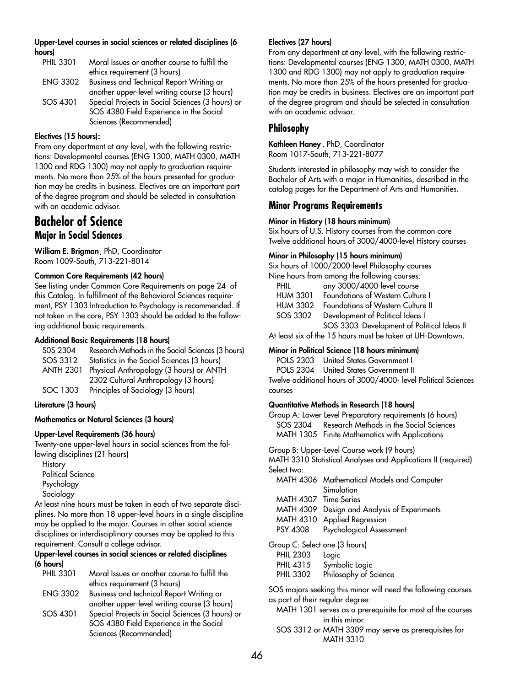## **Upper-Level courses in social sciences or related disciplines (6 hours)**

| <b>PHIL 3301</b> | Moral Issues or another course to fulfill the    |
|------------------|--------------------------------------------------|
|                  | ethics requirement (3 hours)                     |
| <b>ENG 3302</b>  | Business and Technical Report Writing or         |
|                  | another upper-level writing course (3 hours)     |
| SOS 4301         | Special Projects in Social Sciences (3 hours) or |
|                  | SOS 4380 Field Experience in the Social          |
|                  | Sciences (Recommended)                           |
|                  |                                                  |

## **Electives (15 hours):**

From any department at any level, with the following restrictions: Developmental courses (ENG 1300, MATH 0300, MATH 1300 and RDG 1300) may not apply to graduation requirements. No more than 25% of the hours presented for graduation may be credits in business. Electives are an important part of the degree program and should be selected in consultation with an academic advisor.

# **Bachelor of Science Major in Social Sciences**

**William E. Brigman**, PhD, Coordinator Room 1009-South, 713-221-8014

# **Common Core Requirements (42 hours)**

See listing under Common Core Requirements on page 24 of this Catalog. In fulfillment of the Behavioral Sciences requirement, PSY 1303 Introduction to Psychology is recommended. If not taken in the core, PSY 1303 should be added to the following additional basic requirements.

# **Additional Basic Requirements (18 hours)**

| SOS 2304 | Research Methods in the Social Sciences (3 hours) |
|----------|---------------------------------------------------|
| SOS 3312 | Statistics in the Social Sciences (3 hours)       |
|          | ANTH 2301 Physical Anthropology (3 hours) or ANTH |
|          | 2302 Cultural Anthropology (3 hours)              |
| SOC 1303 | Principles of Sociology (3 hours)                 |

# **Literature (3 hours)**

# **Mathematics or Natural Sciences (3 hours)**

## **Upper-Level Requirements (36 hours)**

Twenty-one upper-level hours in social sciences from the following disciplines (21 hours)

History Political Science Psychology Sociology

At least nine hours must be taken in each of two separate disciplines. No more than 18 upper-level hours in a single discipline may be applied to the major. Courses in other social science disciplines or interdisciplinary courses may be applied to this requirement. Consult a college advisor.

### **Upper-level courses in social sciences or related disciplines (6 hours)**

| <b>PHIL 3301</b> | Moral Issues or another course to fulfill the    |
|------------------|--------------------------------------------------|
|                  | ethics requirement (3 hours)                     |
| <b>ENG 3302</b>  | Business and technical Report Writing or         |
|                  | another upper-level writing course (3 hours)     |
| SOS 4301         | Special Projects in Social Sciences (3 hours) or |
|                  | SOS 4380 Field Experience in the Social          |
|                  | Sciences (Recommended)                           |

# **Electives (27 hours)**

From any department at any level, with the following restrictions: Developmental courses (ENG 1300, MATH 0300, MATH 1300 and RDG 1300) may not apply to graduation requirements. No more than 25% of the hours presented for graduation may be credits in business. Electives are an important part of the degree program and should be selected in consultation with an academic advisor.

# **Philosophy**

**Kathleen Haney** , PhD, Coordinator Room 1017-South, 713-221-8077

Students interested in philosophy may wish to consider the Bachelor of Arts with a major in Humanities, described in the catalog pages for the Department of Arts and Humanities.

# **Minor Programs Requirements**

## **Minor in History (18 hours minimum)**

Six hours of U.S. History courses from the common core Twelve additional hours of 3000/4000-level History courses

## **Minor in Philosophy (15 hours minimum)**

Six hours of 1000/2000-level Philosophy courses Nine hours from among the following courses:

| <b>PHIL</b>     | any 3000/4000-level course                                 |
|-----------------|------------------------------------------------------------|
| <b>HUM 3301</b> | Foundations of Western Culture I                           |
| <b>HUM 3302</b> | Foundations of Western Culture II                          |
| SOS 3302        | Development of Political Ideas I                           |
|                 | SOS 3303 Development of Political Ideas II                 |
|                 | At least six of the 15 hours must be taken at UH-Downtown. |
|                 |                                                            |

## **Minor in Political Science (18 hours minimum)**

POLS 2303 United States Government I

POLS 2304 United States Government II

Twelve additional hours of 3000/4000- level Political Sciences courses

## **Quantitative Methods in Research (18 hours)**

Group A: Lower Level Preparatory requirements (6 hours) SOS 2304 Research Methods in the Social Sciences MATH 1305 Finite Mathematics with Applications

Group B: Upper-Level Course work (9 hours) MATH 3310 Statistical Analyses and Applications II (required)

Select two: MATH 4306 Mathematical Models and Computer

- **Simulation**
- MATH 4307 Time Series
- MATH 4309 Design and Analysis of Experiments
- MATH 4310 Applied Regression
- PSY 4308 Psychological Assessment
- Group C: Select one (3 hours)

| <b>PHIL 2303</b> | Logic |  |
|------------------|-------|--|
|                  |       |  |

- PHIL 4315 Symbolic Logic
- PHIL 3302 Philosophy of Science

SOS majors seeking this minor will need the following courses as part of their regular degree:

- MATH 1301 serves as a prerequisite for most of the courses in this minor.
- SOS 3312 or MATH 3309 may serve as prerequisites for MATH 3310.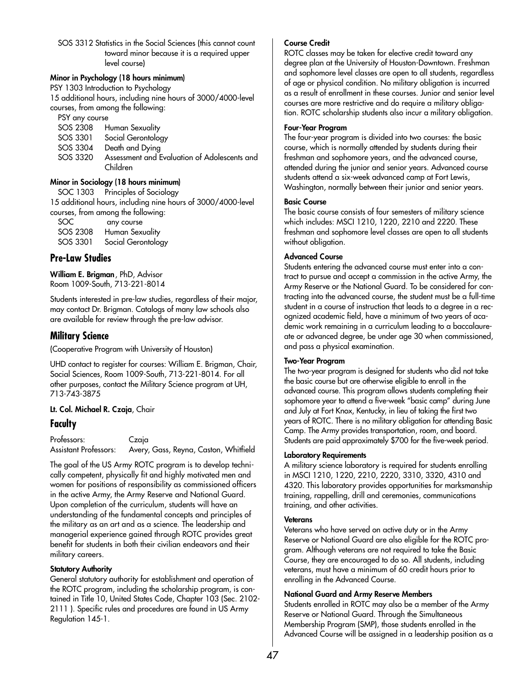SOS 3312 Statistics in the Social Sciences (this cannot count toward minor because it is a required upper level course)

### **Minor in Psychology (18 hours minimum)**

PSY 1303 Introduction to Psychology 15 additional hours, including nine hours of 3000/4000-level courses, from among the following:

PSY any course

- SOS 2308 Human Sexuality
- SOS 3301 Social Gerontology
- SOS 3304 Death and Dying
- SOS 3320 Assessment and Evaluation of Adolescents and Children

## **Minor in Sociology (18 hours minimum)**

SOC 1303 Principles of Sociology 15 additional hours, including nine hours of 3000/4000-level courses, from among the following: SOC any course

SOS 2308 Human Sexuality SOS 3301 Social Gerontology

# **Pre-Law Studies**

**William E. Brigman**, PhD, Advisor Room 1009-South, 713-221-8014

Students interested in pre-law studies, regardless of their major, may contact Dr. Brigman. Catalogs of many law schools also are available for review through the pre-law advisor.

# **Military Science**

(Cooperative Program with University of Houston)

UHD contact to register for courses: William E. Brigman, Chair, Social Sciences, Room 1009-South, 713-221-8014. For all other purposes, contact the Military Science program at UH, 713-743-3875

## **Lt. Col. Michael R. Czaja**, Chair

# **Faculty**

Professors: Czaja Assistant Professors: Avery, Gass, Reyna, Caston, Whitfield

The goal of the US Army ROTC program is to develop technically competent, physically fit and highly motivated men and women for positions of responsibility as commissioned officers in the active Army, the Army Reserve and National Guard. Upon completion of the curriculum, students will have an understanding of the fundamental concepts and principles of the military as an art and as a science. The leadership and managerial experience gained through ROTC provides great benefit for students in both their civilian endeavors and their military careers.

## **Statutory Authority**

General statutory authority for establishment and operation of the ROTC program, including the scholarship program, is contained in Title 10, United States Code, Chapter 103 (Sec. 2102- 2111 ). Specific rules and procedures are found in US Army Regulation 145-1.

### **Course Credit**

ROTC classes may be taken for elective credit toward any degree plan at the University of Houston-Downtown. Freshman and sophomore level classes are open to all students, regardless of age or physical condition. No military obligation is incurred as a result of enrollment in these courses. Junior and senior level courses are more restrictive and do require a military obligation. ROTC scholarship students also incur a military obligation.

## **Four-Year Program**

The four-year program is divided into two courses: the basic course, which is normally attended by students during their freshman and sophomore years, and the advanced course, attended during the junior and senior years. Advanced course students attend a six-week advanced camp at Fort Lewis, Washington, normally between their junior and senior years.

## **Basic Course**

The basic course consists of four semesters of military science which includes: MSCI 1210, 1220, 2210 and 2220. These freshman and sophomore level classes are open to all students without obligation.

## **Advanced Course**

Students entering the advanced course must enter into a contract to pursue and accept a commission in the active Army, the Army Reserve or the National Guard. To be considered for contracting into the advanced course, the student must be a full-time student in a course of instruction that leads to a degree in a recognized academic field, have a minimum of two years of academic work remaining in a curriculum leading to a baccalaureate or advanced degree, be under age 30 when commissioned, and pass a physical examination.

### **Two-Year Program**

The two-year program is designed for students who did not take the basic course but are otherwise eligible to enroll in the advanced course. This program allows students completing their sophomore year to attend a five-week "basic camp" during June and July at Fort Knox, Kentucky, in lieu of taking the first two years of ROTC. There is no military obligation for attending Basic Camp. The Army provides transportation, room, and board. Students are paid approximately \$700 for the five-week period.

### **Laboratory Requirements**

A military science laboratory is required for students enrolling in MSCI 1210, 1220, 2210, 2220, 3310, 3320, 4310 and 4320. This laboratory provides opportunities for marksmanship training, rappelling, drill and ceremonies, communications training, and other activities.

### **Veterans**

Veterans who have served on active duty or in the Army Reserve or National Guard are also eligible for the ROTC program. Although veterans are not required to take the Basic Course, they are encouraged to do so. All students, including veterans, must have a minimum of 60 credit hours prior to enrolling in the Advanced Course.

## **National Guard and Army Reserve Members**

Students enrolled in ROTC may also be a member of the Army Reserve or National Guard. Through the Simultaneous Membership Program (SMP), those students enrolled in the Advanced Course will be assigned in a leadership position as a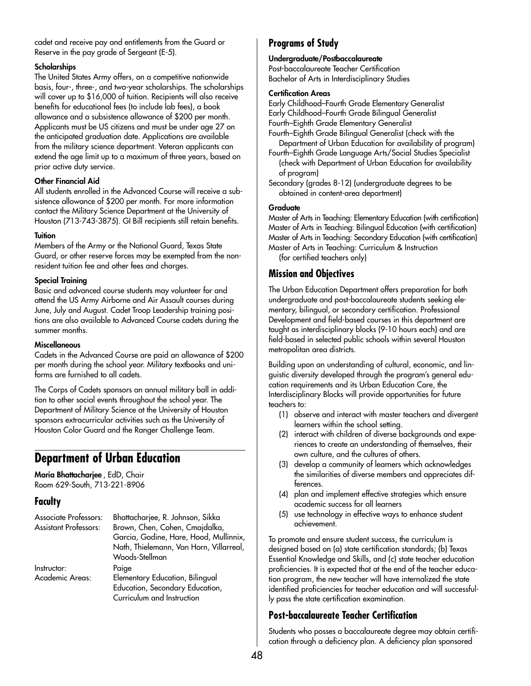cadet and receive pay and entitlements from the Guard or Reserve in the pay grade of Sergeant (E-5).

## **Scholarships**

The United States Army offers, on a competitive nationwide basis, four-, three-, and two-year scholarships. The scholarships will cover up to \$16,000 of tuition. Recipients will also receive benefits for educational fees (to include lab fees), a book allowance and a subsistence allowance of \$200 per month. Applicants must be US citizens and must be under age 27 on the anticipated graduation date. Applications are available from the military science department. Veteran applicants can extend the age limit up to a maximum of three years, based on prior active duty service.

## **Other Financial Aid**

All students enrolled in the Advanced Course will receive a subsistence allowance of \$200 per month. For more information contact the Military Science Department at the University of Houston (713-743-3875). GI Bill recipients still retain benefits.

### **Tuition**

Members of the Army or the National Guard, Texas State Guard, or other reserve forces may be exempted from the nonresident tuition fee and other fees and charges.

## **Special Training**

Basic and advanced course students may volunteer for and attend the US Army Airborne and Air Assault courses during June, July and August. Cadet Troop Leadership training positions are also available to Advanced Course cadets during the summer months.

### **Miscellaneous**

Cadets in the Advanced Course are paid an allowance of \$200 per month during the school year. Military textbooks and uniforms are furnished to all cadets.

The Corps of Cadets sponsors an annual military ball in addition to other social events throughout the school year. The Department of Military Science at the University of Houston sponsors extracurricular activities such as the University of Houston Color Guard and the Ranger Challenge Team.

# **Department of Urban Education**

**Maria Bhattacharjee** , EdD, Chair Room 629-South, 713-221-8906

# **Faculty**

| <b>Associate Professors:</b> | Bhattacharjee, R. Johnson, Sikka        |
|------------------------------|-----------------------------------------|
| <b>Assistant Professors:</b> | Brown, Chen, Cohen, Cmajdalka,          |
|                              | Garcia, Godine, Hare, Hood, Mullinnix,  |
|                              | Nath, Thielemann, Van Horn, Villarreal, |
|                              | Woods-Stellman                          |
| Instructor:                  | Paige                                   |
| <b>Academic Areas:</b>       | Elementary Education, Bilingual         |
|                              | Education, Secondary Education,         |
|                              | Curriculum and Instruction              |

# **Programs of Study**

**Undergraduate/Postbaccalaureate**

Post-baccalaureate Teacher Certification Bachelor of Arts in Interdisciplinary Studies

### **Certification Areas**

Early Childhood–Fourth Grade Elementary Generalist Early Childhood–Fourth Grade Bilingual Generalist Fourth–Eighth Grade Elementary Generalist Fourth–Eighth Grade Bilingual Generalist (check with the

Department of Urban Education for availability of program)

Fourth–Eighth Grade Language Arts/Social Studies Specialist (check with Department of Urban Education for availability of program)

Secondary (grades 8-12) (undergraduate degrees to be obtained in content-area department)

## **Graduate**

Master of Arts in Teaching: Elementary Education (with certification) Master of Arts in Teaching: Bilingual Education (with certification) Master of Arts in Teaching: Secondary Education (with certification) Master of Arts in Teaching: Curriculum & Instruction

(for certified teachers only)

# **Mission and Objectives**

The Urban Education Department offers preparation for both undergraduate and post-baccalaureate students seeking elementary, bilingual, or secondary certification. Professional Development and field-based courses in this department are taught as interdisciplinary blocks (9-10 hours each) and are field-based in selected public schools within several Houston metropolitan area districts.

Building upon an understanding of cultural, economic, and linguistic diversity developed through the program's general education requirements and its Urban Education Core, the Interdisciplinary Blocks will provide opportunities for future teachers to:

- (1) observe and interact with master teachers and divergent learners within the school setting.
- (2) interact with children of diverse backgrounds and experiences to create an understanding of themselves, their own culture, and the cultures of others.
- (3) develop a community of learners which acknowledges the similarities of diverse members and appreciates differences.
- (4) plan and implement effective strategies which ensure academic success for all learners
- (5) use technology in effective ways to enhance student achievement.

To promote and ensure student success, the curriculum is designed based on (a) state certification standards; (b) Texas Essential Knowledge and Skills, and (c) state teacher education proficiencies. It is expected that at the end of the teacher education program, the new teacher will have internalized the state identified proficiencies for teacher education and will successfully pass the state certification examination.

# **Post-baccalaureate Teacher Certification**

Students who posses a baccalaureate degree may obtain certification through a deficiency plan. A deficiency plan sponsored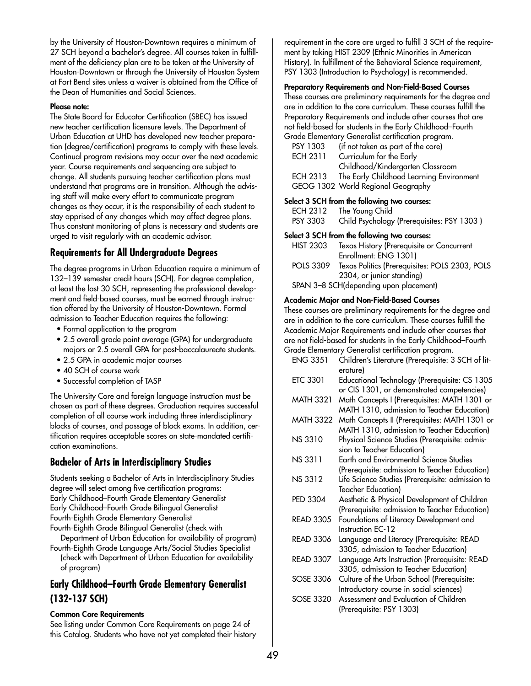by the University of Houston-Downtown requires a minimum of 27 SCH beyond a bachelor's degree. All courses taken in fulfillment of the deficiency plan are to be taken at the University of Houston-Downtown or through the University of Houston System at Fort Bend sites unless a waiver is obtained from the Office of the Dean of Humanities and Social Sciences.

### **Please note:**

The State Board for Educator Certification (SBEC) has issued new teacher certification licensure levels. The Department of Urban Education at UHD has developed new teacher preparation (degree/certification) programs to comply with these levels. Continual program revisions may occur over the next academic year. Course requirements and sequencing are subject to change. All students pursuing teacher certification plans must understand that programs are in transition. Although the advising staff will make every effort to communicate program changes as they occur, it is the responsibility of each student to stay apprised of any changes which may affect degree plans. Thus constant monitoring of plans is necessary and students are urged to visit regularly with an academic advisor.

# **Requirements for All Undergraduate Degrees**

The degree programs in Urban Education require a minimum of 132–139 semester credit hours (SCH). For degree completion, at least the last 30 SCH, representing the professional development and field-based courses, must be earned through instruction offered by the University of Houston-Downtown. Formal admission to Teacher Education requires the following:

- Formal application to the program
- 2.5 overall grade point average (GPA) for undergraduate majors or 2.5 overall GPA for post-baccalaureate students.
- 2.5 GPA in academic major courses
- 40 SCH of course work
- Successful completion of TASP

The University Core and foreign language instruction must be chosen as part of these degrees. Graduation requires successful completion of all course work including three interdisciplinary blocks of courses, and passage of block exams. In addition, certification requires acceptable scores on state-mandated certification examinations.

# **Bachelor of Arts in Interdisciplinary Studies**

Students seeking a Bachelor of Arts in Interdisciplinary Studies degree will select among five certification programs: Early Childhood–Fourth Grade Elementary Generalist Early Childhood–Fourth Grade Bilingual Generalist Fourth-Eighth Grade Elementary Generalist Fourth-Eighth Grade Bilingual Generalist (check with Department of Urban Education for availability of program) Fourth-Eighth Grade Language Arts/Social Studies Specialist (check with Department of Urban Education for availability

# of program) **Early Childhood–Fourth Grade Elementary Generalist**

# **(132-137 SCH)**

## **Common Core Requirements**

See listing under Common Core Requirements on page 24 of this Catalog. Students who have not yet completed their history requirement in the core are urged to fulfill 3 SCH of the requirement by taking HIST 2309 (Ethnic Minorities in American History). In fulfillment of the Behavioral Science requirement, PSY 1303 (Introduction to Psychology) is recommended.

## **Preparatory Requirements and Non-Field-Based Courses**

These courses are preliminary requirements for the degree and are in addition to the core curriculum. These courses fulfill the Preparatory Requirements and include other courses that are not field-based for students in the Early Childhood–Fourth Grade Elementary Generalist certification program.

|          | ruue Lienieniury Oenerunsi ceriniculion program. |
|----------|--------------------------------------------------|
| PSY 1303 | (if not taken as part of the core)               |
| ECH 2311 | Curriculum for the Early                         |
|          | Childhood/Kindergarten Classroom                 |
| ECH 2313 | The Early Childhood Learning Environment         |
|          | GEOG 1302 World Regional Geography               |
|          |                                                  |

#### **Select 3 SCH from the following two courses:**

| ECH 2312 | The Young Child                            |
|----------|--------------------------------------------|
| PSY 3303 | Child Psychology (Prerequisites: PSY 1303) |
|          |                                            |

## **Select 3 SCH from the following two courses:**

| <b>HIST 2303</b> | Texas History (Prerequisite or Concurrent      |
|------------------|------------------------------------------------|
|                  | Enrollment: ENG 1301)                          |
| <b>POLS 3309</b> | Texas Politics (Prerequisites: POLS 2303, POLS |
|                  | 2304, or junior standing)                      |
|                  | SPAN 3-8 SCH(depending upon placement)         |

## **Academic Major and Non-Field-Based Courses**

These courses are preliminary requirements for the degree and are in addition to the core curriculum. These courses fulfill the Academic Major Requirements and include other courses that are not field-based for students in the Early Childhood–Fourth Grade Elementary Generalist certification program.

| <b>ENG 3351</b>  | $\frac{1}{2}$<br>Children's Literature (Prerequisite: 3 SCH of lit-                            |
|------------------|------------------------------------------------------------------------------------------------|
|                  | erature)                                                                                       |
| ETC 3301         | Educational Technology (Prerequisite: CS 1305<br>or CIS 1301, or demonstrated competencies)    |
| <b>MATH 3321</b> | Math Concepts I (Prerequisites: MATH 1301 or<br>MATH 1310, admission to Teacher Education)     |
| <b>MATH 3322</b> | Math Concepts II (Prerequisites: MATH 1301 or<br>MATH 1310, admission to Teacher Education)    |
| <b>NS 3310</b>   | Physical Science Studies (Prerequisite: admis-<br>sion to Teacher Education)                   |
| NS 3311          | Earth and Environmental Science Studies<br>(Prerequisite: admission to Teacher Education)      |
| <b>NS 3312</b>   | Life Science Studies (Prerequisite: admission to<br><b>Teacher Education)</b>                  |
| PED 3304         | Aesthetic & Physical Development of Children<br>(Prerequisite: admission to Teacher Education) |
| <b>READ 3305</b> | Foundations of Literacy Development and<br><b>Instruction EC-12</b>                            |
| <b>READ 3306</b> | Language and Literacy (Prerequisite: READ<br>3305, admission to Teacher Education)             |
| <b>READ 3307</b> | Language Arts Instruction (Prerequisite: READ<br>3305, admission to Teacher Education)         |
| SOSE 3306        | Culture of the Urban School (Prerequisite:<br>Introductory course in social sciences)          |
| <b>SOSE 3320</b> | Assessment and Evaluation of Children<br>(Prerequisite: PSY 1303)                              |
|                  |                                                                                                |
|                  |                                                                                                |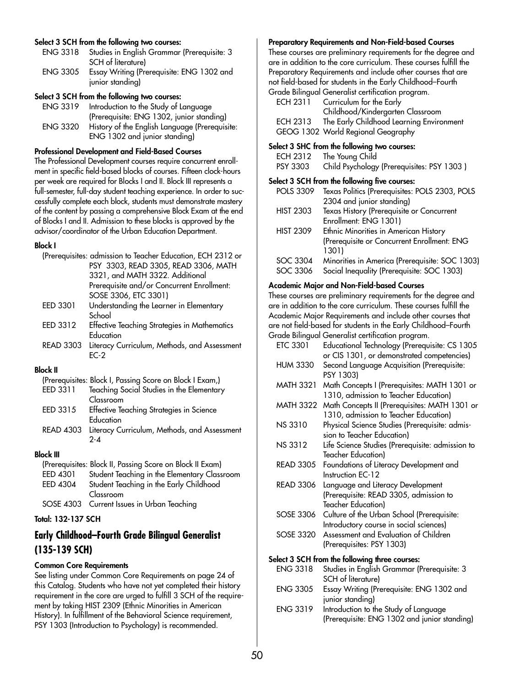### **Select 3 SCH from the following two courses:**

| <b>ENG 3318</b> | Studies in English Grammar (Prerequisite: 3 |
|-----------------|---------------------------------------------|
|                 |                                             |
|                 | SCH of literature)                          |
| <b>ENG 3305</b> | Essay Writing (Prerequisite: ENG 1302 and   |

junior standing)

**Select 3 SCH from the following two courses:**

| <b>ENG 3319</b> | Introduction to the Study of Language          |
|-----------------|------------------------------------------------|
|                 | (Prerequisite: ENG 1302, junior standing)      |
| <b>ENG 3320</b> | History of the English Language (Prerequisite: |
|                 | ENG 1302 and junior standing)                  |

# **Professional Development and Field-Based Courses**

The Professional Development courses require concurrent enrollment in specific field-based blocks of courses. Fifteen clock-hours per week are required for Blocks I and II. Block III represents a full-semester, full-day student teaching experience. In order to successfully complete each block, students must demonstrate mastery of the content by passing a comprehensive Block Exam at the end of Blocks I and II. Admission to these blocks is approved by the advisor/coordinator of the Urban Education Department.

# **Block I**

|                  | (Prerequisites: admission to Teacher Education, ECH 2312 or |
|------------------|-------------------------------------------------------------|
|                  | PSY 3303, READ 3305, READ 3306, MATH                        |
|                  | 3321, and MATH 3322. Additional                             |
|                  | Prerequisite and/or Concurrent Enrollment:                  |
|                  | SOSE 3306, ETC 3301)                                        |
| EED 3301         | Understanding the Learner in Elementary                     |
|                  | School                                                      |
| EED 3312         | <b>Effective Teaching Strategies in Mathematics</b>         |
|                  | Education                                                   |
| <b>READ 3303</b> | Literacy Curriculum, Methods, and Assessment                |
|                  | $FC-2$                                                      |

# **Block II**

| EED 3311         | Teaching Social Studies in the Elementary    |
|------------------|----------------------------------------------|
|                  | Classroom                                    |
| EED 3315         | Effective Teaching Strategies in Science     |
|                  | Education                                    |
| <b>READ 4303</b> | Literacy Curriculum, Methods, and Assessment |
|                  | $2 - 1$                                      |

# **Block III**

|          | (Prerequisites: Block II, Passing Score on Block II Exam) |
|----------|-----------------------------------------------------------|
| EED 4301 | Student Teaching in the Elementary Classroom              |
| EED 4304 | Student Teaching in the Early Childhood                   |
|          | Classroom                                                 |
|          | SOSE 4303 Current Issues in Urban Teaching                |

**Total: 132-137 SCH**

# **Early Childhood–Fourth Grade Bilingual Generalist (135-139 SCH)**

## **Common Core Requirements**

See listing under Common Core Requirements on page 24 of this Catalog. Students who have not yet completed their history requirement in the core are urged to fulfill 3 SCH of the requirement by taking HIST 2309 (Ethnic Minorities in American History). In fulfillment of the Behavioral Science requirement, PSY 1303 (Introduction to Psychology) is recommended.

# **Preparatory Requirements and Non-Field-based Courses**

These courses are preliminary requirements for the degree and are in addition to the core curriculum. These courses fulfill the Preparatory Requirements and include other courses that are not field-based for students in the Early Childhood–Fourth

|                  | Grade Bilingual Generalist certification program. |
|------------------|---------------------------------------------------|
|                  | ECH 2311 Curriculum for the Early                 |
|                  | Childhood/Kindergarten Classroom                  |
|                  | ECH 2313 The Early Childhood Learning Environment |
|                  | GEOG 1302 World Regional Geography                |
|                  | Select 3 SHC from the following two courses:      |
|                  | ECH 2312 The Young Child                          |
| PSY 3303         | Child Psychology (Prerequisites: PSY 1303)        |
|                  | Select 3 SCH from the following five courses:     |
| POLS 3309        | Texas Politics (Prerequisites: POLS 2303, POLS    |
|                  | 2304 and junior standing)                         |
| <b>HIST 2303</b> | Texas History (Prerequisite or Concurrent         |
|                  | Enrollment: ENG 1301)                             |
| <b>HIST 2309</b> | Ethnic Minorities in American History             |
|                  | (Prerequisite or Concurrent Enrollment: ENG       |
|                  | 1301)                                             |
| SOC 3304         | Minorities in America (Prerequisite: SOC 1303)    |
| SOC 3306         | Social Inequality (Prerequisite: SOC 1303)        |

## **Academic Major and Non-Field-based Courses**

These courses are preliminary requirements for the degree and are in addition to the core curriculum. These courses fulfill the Academic Major Requirements and include other courses that are not field-based for students in the Early Childhood–Fourth Grade Bilingual Generalist certification program.

| <b>ETC 3301</b>                                | Educational Technology (Prerequisite: CS 1305<br>or CIS 1301, or demonstrated competencies)              |  |
|------------------------------------------------|----------------------------------------------------------------------------------------------------------|--|
| <b>HUM 3330</b>                                | Second Language Acquisition (Prerequisite:<br>PSY 1303)                                                  |  |
| <b>MATH 3321</b>                               | Math Concepts I (Prerequisites: MATH 1301 or<br>1310, admission to Teacher Education)                    |  |
| <b>MATH 3322</b>                               | Math Concepts II (Prerequisites: MATH 1301 or<br>1310, admission to Teacher Education)                   |  |
| NS 3310                                        | Physical Science Studies (Prerequisite: admis-<br>sion to Teacher Education)                             |  |
| <b>NS 3312</b>                                 | Life Science Studies (Prerequisite: admission to<br>Teacher Education)                                   |  |
| <b>READ 3305</b>                               | Foundations of Literacy Development and<br>Instruction EC-12                                             |  |
| <b>READ 3306</b>                               | Language and Literacy Development<br>(Prerequisite: READ 3305, admission to<br><b>Teacher Education)</b> |  |
| SOSE 3306                                      | Culture of the Urban School (Prerequisite:<br>Introductory course in social sciences)                    |  |
| SOSE 3320                                      | Assessment and Evaluation of Children<br>(Prerequisites: PSY 1303)                                       |  |
| Select 3 SCH from the following three courses: |                                                                                                          |  |
| <b>ENG 3318</b>                                | Studies in English Grammar (Prerequisite: 3<br>SCH of literature)                                        |  |
| <b>ENG 3305</b>                                | Essay Writing (Prerequisite: ENG 1302 and                                                                |  |

junior standing) ENG 3319 Introduction to the Study of Language (Prerequisite: ENG 1302 and junior standing)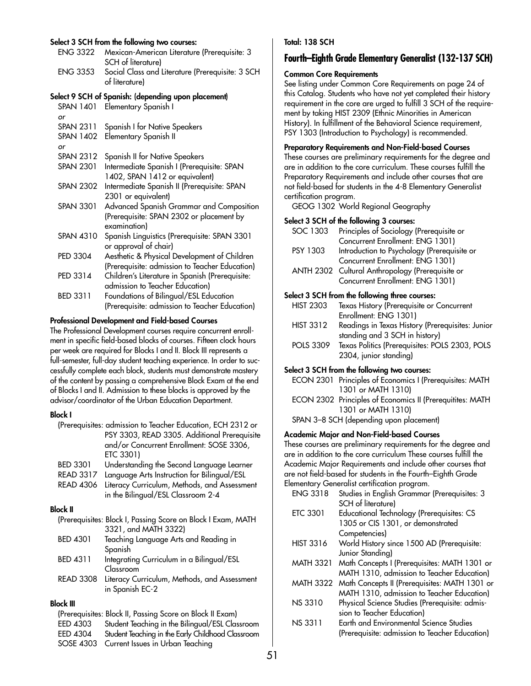#### **Select 3 SCH from the following two courses:**

|                        | ENG 3322 Mexican-American Literature (Prerequisite: 3<br>SCH of literature)                          |
|------------------------|------------------------------------------------------------------------------------------------------|
| ENG 3353               | Social Class and Literature (Prerequisite: 3 SCH<br>of literature)                                   |
|                        | Select 9 SCH of Spanish: (depending upon placement)                                                  |
| <b>SPAN 1401</b><br>or | Elementary Spanish I                                                                                 |
| <b>SPAN 2311</b>       | Spanish I for Native Speakers                                                                        |
| SPAN 1402              | Elementary Spanish II                                                                                |
| or                     |                                                                                                      |
| <b>SPAN 2312</b>       | Spanish II for Native Speakers                                                                       |
| <b>SPAN 2301</b>       | Intermediate Spanish I (Prerequisite: SPAN<br>1402, SPAN 1412 or equivalent)                         |
| <b>SPAN 2302</b>       | Intermediate Spanish II (Prerequisite: SPAN<br>2301 or equivalent)                                   |
| <b>SPAN 3301</b>       | Advanced Spanish Grammar and Composition<br>(Prerequisite: SPAN 2302 or placement by<br>examination) |
| <b>SPAN 4310</b>       | Spanish Linguistics (Prerequisite: SPAN 3301<br>or approval of chair)                                |
| PED 3304               | Aesthetic & Physical Development of Children                                                         |
|                        | (Prerequisite: admission to Teacher Education)                                                       |
| PED 3314               | Children's Literature in Spanish (Prerequisite:<br>admission to Teacher Education)                   |
| <b>BED 3311</b>        | Foundations of Bilingual/ESL Education                                                               |
|                        | (Prerequisite: admission to Teacher Education)                                                       |

# **Professional Development and Field-based Courses**

The Professional Development courses require concurrent enrollment in specific field-based blocks of courses. Fifteen clock hours per week are required for Blocks I and II. Block III represents a full-semester, full-day student teaching experience. In order to successfully complete each block, students must demonstrate mastery of the content by passing a comprehensive Block Exam at the end of Blocks I and II. Admission to these blocks is approved by the advisor/coordinator of the Urban Education Department.

## **Block I**

|                  | (Prerequisites: admission to Teacher Education, ECH 2312 or<br>PSY 3303, READ 3305. Additional Prerequisite<br>and/or Concurrent Enrollment: SOSE 3306,<br>ETC 3301) |
|------------------|----------------------------------------------------------------------------------------------------------------------------------------------------------------------|
| BED 3301         | Understanding the Second Language Learner                                                                                                                            |
| READ 3317        | Language Arts Instruction for Bilingual/ESL                                                                                                                          |
| READ 4306        | Literacy Curriculum, Methods, and Assessment<br>in the Bilingual/ESL Classroom 2-4                                                                                   |
| Block II         |                                                                                                                                                                      |
|                  | (Prerequisites: Block I, Passing Score on Block I Exam, MATH<br>3321, and MATH 3322)                                                                                 |
| BED 4301         | Teaching Language Arts and Reading in<br>Spanish                                                                                                                     |
| BED 4311         | Integrating Curriculum in a Bilingual/ESL<br>Classroom                                                                                                               |
| <b>READ 3308</b> | Literacy Curriculum, Methods, and Assessment<br>in Spanish EC-2                                                                                                      |
| Block III        |                                                                                                                                                                      |

| DIULK III |                                                           |  |
|-----------|-----------------------------------------------------------|--|
|           | (Prerequisites: Block II, Passing Score on Block II Exam) |  |
| EED 4303  | Student Teaching in the Bilingual/ESL Clas                |  |
| FED 1001  |                                                           |  |

| EED 4303 | Student Teaching in the Bilingual/ESL Classroom   |
|----------|---------------------------------------------------|
| EED 4304 | Student Teaching in the Early Childhood Classroom |
|          | SOSE 4303 Current Issues in Urban Teaching        |

# **Total: 138 SCH**

# **Fourth–Eighth Grade Elementary Generalist (132-137 SCH)**

# **Common Core Requirements**

See listing under Common Core Requirements on page 24 of this Catalog. Students who have not yet completed their history requirement in the core are urged to fulfill 3 SCH of the requirement by taking HIST 2309 (Ethnic Minorities in American History). In fulfillment of the Behavioral Science requirement, PSY 1303 (Introduction to Psychology) is recommended.

# **Preparatory Requirements and Non-Field-based Courses**

These courses are preliminary requirements for the degree and are in addition to the core curriculum. These courses fulfill the Preparatory Requirements and include other courses that are not field-based for students in the 4-8 Elementary Generalist certification program.

GEOG 1302 World Regional Geography

# **Select 3 SCH of the following 3 courses:**

| SOC 1303                                       | Principles of Sociology (Prerequisite or                                                                                                                                                                                        |
|------------------------------------------------|---------------------------------------------------------------------------------------------------------------------------------------------------------------------------------------------------------------------------------|
|                                                | Concurrent Enrollment: ENG 1301)                                                                                                                                                                                                |
| PSY 1303                                       | Introduction to Psychology (Prerequisite or                                                                                                                                                                                     |
|                                                | Concurrent Enrollment: ENG 1301)                                                                                                                                                                                                |
|                                                | ANTH 2302 Cultural Anthropology (Prerequisite or                                                                                                                                                                                |
|                                                | Concurrent Enrollment: ENG 1301)                                                                                                                                                                                                |
| Select 3 SCH from the following three courses: |                                                                                                                                                                                                                                 |
|                                                | $111$ $27.222$ $7.111$ $1.11$ $1.11$ $1.11$ $1.11$ $1.11$ $1.11$ $1.11$ $1.11$ $1.11$ $1.11$ $1.11$ $1.11$ $1.11$ $1.11$ $1.11$ $1.11$ $1.11$ $1.11$ $1.11$ $1.11$ $1.11$ $1.11$ $1.11$ $1.11$ $1.11$ $1.11$ $1.11$ $1.11$ $1.$ |

| <b>HIST 2303</b> | Texas History (Prerequisite or Concurrent |
|------------------|-------------------------------------------|
|                  | Enrollment: ENG 1301)                     |
|                  |                                           |

| <b>HIST 3312</b> | Readings in Texas History (Prerequisites: Junior |
|------------------|--------------------------------------------------|
|                  | standing and 3 SCH in history)                   |

POLS 3309 Texas Politics (Prerequisites: POLS 2303, POLS 2304, junior standing)

# **Select 3 SCH from the following two courses:**

- ECON 2301 Principles of Economics I (Prerequisites: MATH 1301 or MATH 1310)
- ECON 2302 Principles of Economics II (Prerequitites: MATH 1301 or MATH 1310)
- SPAN 3–8 SCH (depending upon placement)

# **Academic Major and Non-Field-based Courses**

These courses are preliminary requirements for the degree and are in addition to the core curriculum These courses fulfill the Academic Major Requirements and include other courses that are not field-based for students in the Fourth–Eighth Grade Elementary Generalist certification program.

| <b>ENG 3318</b>  | Studies in English Grammar (Prerequisites: 3     |
|------------------|--------------------------------------------------|
|                  | SCH of literature)                               |
| <b>ETC 3301</b>  | <b>Educational Technology (Prerequisites: CS</b> |
|                  | 1305 or CIS 1301, or demonstrated                |
|                  | Competencies)                                    |
| <b>HIST 3316</b> | World History since 1500 AD (Prerequisite:       |
|                  | Junior Standing)                                 |
| <b>MATH 3321</b> | Math Concepts I (Prerequisites: MATH 1301 or     |
|                  | MATH 1310, admission to Teacher Education)       |
| <b>MATH 3322</b> | Math Concepts II (Prerequisites: MATH 1301 or    |
|                  | MATH 1310, admission to Teacher Education)       |
| <b>NS 3310</b>   | Physical Science Studies (Prerequisite: admis-   |
|                  | sion to Teacher Education)                       |
| <b>NS 3311</b>   | Earth and Environmental Science Studies          |
|                  | (Prerequisite: admission to Teacher Education)   |
|                  |                                                  |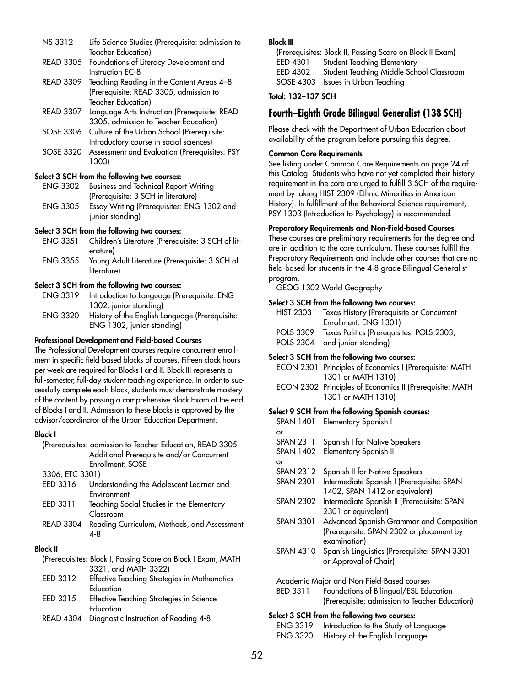| <b>NS 3312</b>   | Life Science Studies (Prerequisite: admission to |
|------------------|--------------------------------------------------|
|                  | <b>Teacher Education)</b>                        |
| <b>READ 3305</b> | Foundations of Literacy Development and          |
|                  | Instruction EC-8                                 |
| <b>READ 3309</b> | Teaching Reading in the Content Areas 4-8        |
|                  | (Prerequisite: READ 3305, admission to           |
|                  | <b>Teacher Education)</b>                        |
| <b>READ 3307</b> | Language Arts Instruction (Prerequisite: READ    |
|                  | 3305, admission to Teacher Education)            |
| SOSE 3306        | Culture of the Urban School (Prerequisite:       |
|                  | Introductory course in social sciences)          |
|                  |                                                  |

SOSE 3320 Assessment and Evaluation (Prerequisites: PSY 1303)

### **Select 3 SCH from the following two courses:**

| <b>ENG 3302</b> | <b>Business and Technical Report Writing</b> |
|-----------------|----------------------------------------------|
|                 | (Prerequisite: 3 SCH in literature)          |
| <b>ENG 3305</b> | Essay Writing (Prerequisites: ENG 1302 and   |
|                 | junior standing)                             |

### **Select 3 SCH from the following two courses:**

| <b>ENG 3351</b>  | Children's Literature (Prerequisite: 3 SCH of lit- |
|------------------|----------------------------------------------------|
|                  | erature)                                           |
| <b>ENIC OOEE</b> | News Additionation Directors 2000 LL               |

ENG 3355 Young Adult Literature (Prerequisite: 3 SCH of literature)

## **Select 3 SCH from the following two courses:**

| <b>ENG 3319</b> | Introduction to Language (Prerequisite: ENG    |
|-----------------|------------------------------------------------|
|                 | 1302, junior standing)                         |
| <b>ENG 3320</b> | History of the English Language (Prerequisite: |
|                 | ENG 1302, junior standing)                     |

## **Professional Development and Field-based Courses**

The Professional Development courses require concurrent enrollment in specific field-based blocks of courses. Fifteen clock hours per week are required for Blocks I and II. Block III represents a full-semester, full-day student teaching experience. In order to successfully complete each block, students must demonstrate mastery of the content by passing a comprehensive Block Exam at the end of Blocks I and II. Admission to these blocks is approved by the advisor/coordinator of the Urban Education Department.

(Prerequisites: admission to Teacher Education, READ 3305.

### **Block I**

|                 | Additional Prerequisite and/or Concurrent                    |
|-----------------|--------------------------------------------------------------|
|                 | Enrollment: SOSE                                             |
| 3306, ETC 3301) |                                                              |
| EED 3316        | Understanding the Adolescent Learner and                     |
|                 | Environment                                                  |
| EED 3311        | Teaching Social Studies in the Elementary                    |
|                 | Classroom                                                    |
| READ 3304       | Reading Curriculum, Methods, and Assessment                  |
|                 | $4 - 8$                                                      |
| <b>Block II</b> |                                                              |
|                 | (Prerequisites: Block I, Passing Score on Block I Exam, MATH |
|                 | 3321, and MATH 3322)                                         |
| EED 3312        | <b>Effective Teaching Strategies in Mathematics</b>          |
|                 | Education                                                    |
| EED 3315        | Effective Teaching Strategies in Science                     |
|                 | Education                                                    |
|                 |                                                              |

READ 4304 Diagnostic Instruction of Reading 4-8

## **Block III**

(Prerequisites: Block II, Passing Score on Block II Exam) EED 4301 Student Teaching Elementary EED 4302 Student Teaching Middle School Classroom SOSE 4303 Issues in Urban Teaching

## **Total: 132–137 SCH**

# **Fourth–Eighth Grade Bilingual Generalist (138 SCH)**

Please check with the Department of Urban Education about availability of the program before pursuing this degree.

## **Common Core Requirements**

See listing under Common Core Requirements on page 24 of this Catalog. Students who have not yet completed their history requirement in the core are urged to fulfill 3 SCH of the requirement by taking HIST 2309 (Ethnic Minorities in American History). In fulfillment of the Behavioral Science requirement, PSY 1303 (Introduction to Psychology) is recommended.

## **Preparatory Requirements and Non-Field-based Courses**

These courses are preliminary requirements for the degree and are in addition to the core curriculum. These courses fulfill the Preparatory Requirements and include other courses that are no field-based for students in the 4-8 grade Bilingual Generalist program.

GEOG 1302 World Geography

## **Select 3 SCH from the following two courses:**

| <b>HIST 2303</b> | Texas History (Prerequisite or Concurrent<br>Enrollment: ENG 1301)          |
|------------------|-----------------------------------------------------------------------------|
| <b>POLS 3309</b> | Texas Politics (Prerequisites: POLS 2303,<br>POLS 2304 and junior standing) |

### **Select 3 SCH from the following two courses:**

ECON 2301 Principles of Economics I (Prerequisite: MATH 1301 or MATH 1310)

ECON 2302 Principles of Economics II (Prerequisite: MATH 1301 or MATH 1310)

### **Select 9 SCH from the following Spanish courses:**

ENG 3320 History of the English Language

SPAN 1401 Elementary Spanish I or SPAN 2311 Spanish I for Native Speakers SPAN 1402 Elementary Spanish II or SPAN 2312 Spanish II for Native Speakers SPAN 2301 Intermediate Spanish I (Prerequisite: SPAN 1402, SPAN 1412 or equivalent) SPAN 2302 Intermediate Spanish II (Prerequisite: SPAN 2301 or equivalent) SPAN 3301 Advanced Spanish Grammar and Composition (Prerequisite: SPAN 2302 or placement by examination) SPAN 4310 Spanish Linguistics (Prerequisite: SPAN 3301 or Approval of Chair) Academic Major and Non-Field-Based courses BED 3311 Foundations of Bilingual/ESL Education (Prerequisite: admission to Teacher Education) **Select 3 SCH from the following two courses:** ENG 3319 Introduction to the Study of Language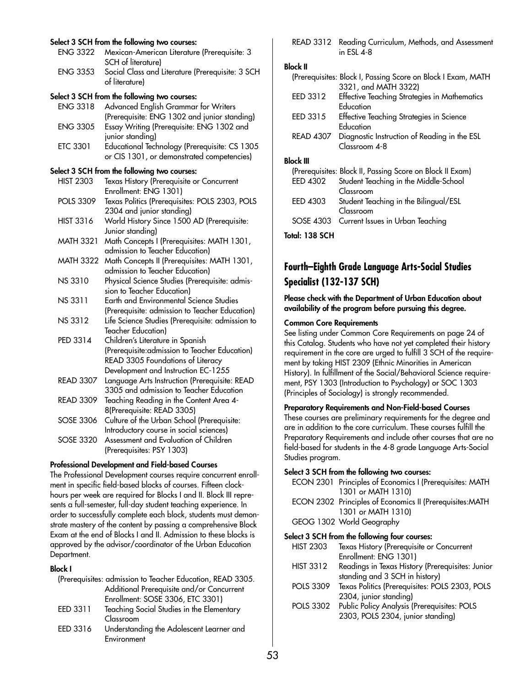#### **Select 3 SCH from the following two courses:**

|                  | Select 3 SCH from the following two courses:                                                                  |
|------------------|---------------------------------------------------------------------------------------------------------------|
| <b>ENG 3322</b>  | Mexican-American Literature (Prerequisite: 3<br>SCH of literature)                                            |
| <b>ENG 3353</b>  | Social Class and Literature (Prerequisite: 3 SCH<br>of literature)                                            |
|                  | Select 3 SCH from the following two courses:                                                                  |
| <b>ENG 3318</b>  | Advanced English Grammar for Writers                                                                          |
| <b>ENG 3305</b>  | (Prerequisite: ENG 1302 and junior standing)<br>Essay Writing (Prerequisite: ENG 1302 and<br>junior standing) |
| <b>ETC 3301</b>  | Educational Technology (Prerequisite: CS 1305<br>or CIS 1301, or demonstrated competencies)                   |
|                  | Select 3 SCH from the following two courses:                                                                  |
| <b>HIST 2303</b> | Texas History (Prerequisite or Concurrent<br>Enrollment: ENG 1301)                                            |
| POLS 3309        | Texas Politics (Prerequisites: POLS 2303, POLS<br>2304 and junior standing)                                   |
| <b>HIST 3316</b> | World History Since 1500 AD (Prerequisite:<br>Junior standing)                                                |
| <b>MATH 3321</b> | Math Concepts I (Prerequisites: MATH 1301,<br>admission to Teacher Education)                                 |
| <b>MATH 3322</b> | Math Concepts II (Prerequisites: MATH 1301,<br>admission to Teacher Education)                                |
| <b>NS 3310</b>   | Physical Science Studies (Prerequisite: admis-<br>sion to Teacher Education)                                  |
| NS 3311          | Earth and Environmental Science Studies<br>(Prerequisite: admission to Teacher Education)                     |
| <b>NS 3312</b>   | Life Science Studies (Prerequisite: admission to<br><b>Teacher Education)</b>                                 |
| PED 3314         | Children's Literature in Spanish<br>(Prerequisite: admission to Teacher Education)                            |
|                  | READ 3305 Foundations of Literacy<br>Development and Instruction EC-1255                                      |
| <b>READ 3307</b> | Language Arts Instruction (Prerequisite: READ<br>3305 and admission to Teacher Education                      |
| <b>READ 3309</b> | Teaching Reading in the Content Area 4-<br>8(Prerequisite: READ 3305)                                         |
| SOSE 3306        | Culture of the Urban School (Prerequisite:<br>Introductory course in social sciences)                         |
| <b>SOSE 3320</b> | Assessment and Evaluation of Children<br>(Prerequisites: PSY 1303)                                            |
|                  |                                                                                                               |

### **Professional Development and Field-based Courses**

The Professional Development courses require concurrent enrollment in specific field-based blocks of courses. Fifteen clockhours per week are required for Blocks I and II. Block III represents a full-semester, full-day student teaching experience. In order to successfully complete each block, students must demonstrate mastery of the content by passing a comprehensive Block Exam at the end of Blocks I and II. Admission to these blocks is approved by the advisor/coordinator of the Urban Education Department.

### **Block I**

|          | (Prerequisites: admission to Teacher Education, READ 3305. |
|----------|------------------------------------------------------------|
|          | Additional Prerequisite and/or Concurrent                  |
|          | Enrollment: SOSE 3306, ETC 3301)                           |
| EED 3311 | Teaching Social Studies in the Elementary                  |
|          | Classroom                                                  |

EED 3316 Understanding the Adolescent Learner and Environment

| READ 3312 Reading Curriculum, Methods, and Assessment |
|-------------------------------------------------------|
| in ESL $4-8$                                          |

### **Block II**

|           | (Prerequisites: Block I, Passing Score on Block I Exam, MATH<br>3321, and MATH 3322) |
|-----------|--------------------------------------------------------------------------------------|
| EED 3312  | <b>Effective Teaching Strategies in Mathematics</b><br>Education                     |
| EED 3315  | Effective Teaching Strategies in Science<br>Education                                |
| READ 4307 | Diagnostic Instruction of Reading in the ESL<br>Classroom 4-8                        |
| Block III |                                                                                      |
|           | (Prerequisites: Block II, Passing Score on Block II Exam)                            |
| FFD 4302  | Student Teaching in the Middle-School<br>Classroom                                   |
| EED 4303  | Student Teaching in the Bilingual/ESL<br>Classroom                                   |
| SOSE 4303 | Current Issues in Urban Teaching                                                     |

**Total: 138 SCH**

# **Fourth–Eighth Grade Language Arts-Social Studies Specialist (132-137 SCH)**

**Please check with the Department of Urban Education about availability of the program before pursuing this degree.**

#### **Common Core Requirements**

See listing under Common Core Requirements on page 24 of this Catalog. Students who have not yet completed their history requirement in the core are urged to fulfill 3 SCH of the requirement by taking HIST 2309 (Ethnic Minorities in American History). In fulfillment of the Social/Behavioral Science requirement, PSY 1303 (Introduction to Psychology) or SOC 1303 (Principles of Sociology) is strongly recommended.

### **Preparatory Requirements and Non-Field-based Courses**

These courses are preliminary requirements for the degree and are in addition to the core curriculum. These courses fulfill the Preparatory Requirements and include other courses that are no field-based for students in the 4-8 grade Language Arts-Social Studies program.

### **Select 3 SCH from the following two courses:**

| ECON 2301 Principles of Economics I (Prerequisites: MATH                                                                                                                                                                                                                                                                                                                                                                                                                                   |
|--------------------------------------------------------------------------------------------------------------------------------------------------------------------------------------------------------------------------------------------------------------------------------------------------------------------------------------------------------------------------------------------------------------------------------------------------------------------------------------------|
| 1301 or MATH 1310)                                                                                                                                                                                                                                                                                                                                                                                                                                                                         |
| ECON 2302 Principles of Economics II (Prerequisites: MATH                                                                                                                                                                                                                                                                                                                                                                                                                                  |
| 1301 or MATH 1310)                                                                                                                                                                                                                                                                                                                                                                                                                                                                         |
| GEOG 1302 World Geography                                                                                                                                                                                                                                                                                                                                                                                                                                                                  |
| Select 3 SCH from the following four courses:                                                                                                                                                                                                                                                                                                                                                                                                                                              |
|                                                                                                                                                                                                                                                                                                                                                                                                                                                                                            |
| HIST 2303 Texas History (Prerequisite or Concurrent                                                                                                                                                                                                                                                                                                                                                                                                                                        |
| $\blacksquare$ $\blacksquare$ $\blacksquare$ $\blacksquare$ $\blacksquare$ $\blacksquare$ $\blacksquare$ $\blacksquare$ $\blacksquare$ $\blacksquare$ $\blacksquare$ $\blacksquare$ $\blacksquare$ $\blacksquare$ $\blacksquare$ $\blacksquare$ $\blacksquare$ $\blacksquare$ $\blacksquare$ $\blacksquare$ $\blacksquare$ $\blacksquare$ $\blacksquare$ $\blacksquare$ $\blacksquare$ $\blacksquare$ $\blacksquare$ $\blacksquare$ $\blacksquare$ $\blacksquare$ $\blacksquare$ $\blacks$ |

#### Enrollment: ENG 1301) HIST 3312 Readings in Texas History (Prerequisites: Junior standing and 3 SCH in history)

- POLS 3309 Texas Politics (Prerequisites: POLS 2303, POLS 2304, junior standing)
- POLS 3302 Public Policy Analysis (Prerequisites: POLS 2303, POLS 2304, junior standing)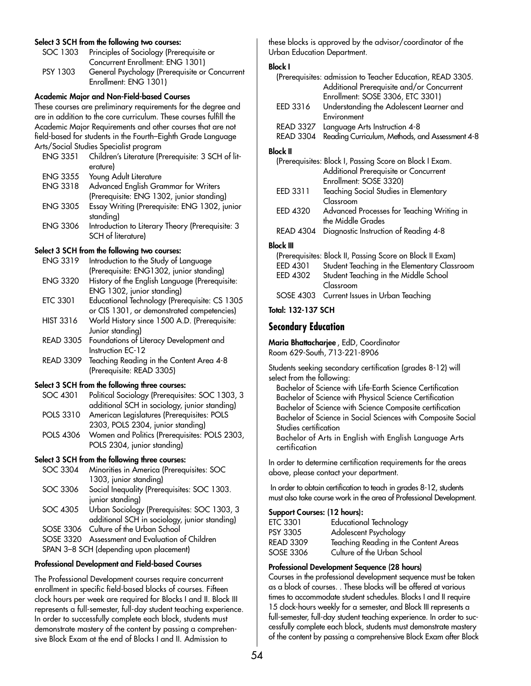## **Select 3 SCH from the following two courses:**

| SOC 1303 | Principles of Sociology (Prerequisite or       |
|----------|------------------------------------------------|
|          | Concurrent Enrollment: ENG 1301)               |
| PSY 1303 | General Psychology (Prerequisite or Concurrent |
|          | Enrollment: ENG 1301)                          |
|          |                                                |

# **Academic Major and Non-Field-based Courses**

These courses are preliminary requirements for the degree and are in addition to the core curriculum. These courses fulfill the Academic Major Requirements and other courses that are not field-based for students in the Fourth–Eighth Grade Language Arts/Social Studies Specialist program

| <b>ENG 3351</b> | Children's Literature (Prerequisite: 3 SCH of lit- |
|-----------------|----------------------------------------------------|
|                 | erature)                                           |
| <b>ENG 3355</b> | Young Adult Literature                             |
| <b>ENG 3318</b> | Advanced English Grammar for Writers               |
|                 | (Prerequisite: ENG 1302, junior standing)          |
| <b>ENG 3305</b> | Essay Writing (Prerequisite: ENG 1302, junior      |
|                 | standing)                                          |
| <b>ENG 3306</b> | Introduction to Literary Theory (Prerequisite: 3   |
|                 | SCH of literature)                                 |

# **Select 3 SCH from the following two courses:**

| <b>ENG 3319</b>  | Introduction to the Study of Language          |
|------------------|------------------------------------------------|
|                  | (Prerequisite: ENG1302, junior standing)       |
| <b>ENG 3320</b>  | History of the English Language (Prerequisite: |
|                  | ENG 1302, junior standing)                     |
| <b>ETC 3301</b>  | Educational Technology (Prerequisite: CS 1305  |
|                  | or CIS 1301, or demonstrated competencies)     |
| <b>HIST 3316</b> | World History since 1500 A.D. (Prerequisite:   |
|                  | Junior standing)                               |
| <b>READ 3305</b> | Foundations of Literacy Development and        |
|                  | Instruction EC-12                              |
| <b>READ 3309</b> | Teaching Reading in the Content Area 4-8       |
|                  | (Prerequisite: READ 3305)                      |
|                  |                                                |

# **Select 3 SCH from the following three courses:**

| SOC 4301         | Political Sociology (Prerequisites: SOC 1303, 3 |
|------------------|-------------------------------------------------|
|                  | additional SCH in sociology, junior standing)   |
| <b>POLS 3310</b> | American Legislatures (Prerequisites: POLS      |
|                  | 2303, POLS 2304, junior standing)               |
| POLS 4306        | Women and Politics (Prerequisites: POLS 2303,   |
|                  | POLS 2304, junior standing)                     |
|                  | $\sim$ 1 . A court in the $\sim$ -1             |

# **Select 3 SCH from the following three courses:**

| SOC 3304  | Minorities in America (Prerequisites: SOC       |
|-----------|-------------------------------------------------|
|           | 1303, junior standing)                          |
| SOC 3306  | Social Inequality (Prerequisites: SOC 1303.     |
|           | junior standing)                                |
| SOC 4305  | Urban Sociology (Prerequisites: SOC 1303, 3     |
|           | additional SCH in sociology, junior standing)   |
| SOSE 3306 | Culture of the Urban School                     |
|           | SOSE 3320 Assessment and Evaluation of Children |
|           | SPAN 3-8 SCH (depending upon placement)         |
|           |                                                 |

# **Professional Development and Field-based Courses**

The Professional Development courses require concurrent enrollment in specific field-based blocks of courses. Fifteen clock hours per week are required for Blocks I and II. Block III represents a full-semester, full-day student teaching experience. In order to successfully complete each block, students must demonstrate mastery of the content by passing a comprehensive Block Exam at the end of Blocks I and II. Admission to

these blocks is approved by the advisor/coordinator of the Urban Education Department.

# **Block I**

|                  | (Prerequisites: admission to Teacher Education, READ 3305.<br>Additional Prerequisite and/or Concurrent<br>Enrollment: SOSE 3306, ETC 3301) |
|------------------|---------------------------------------------------------------------------------------------------------------------------------------------|
| EED 3316         | Understanding the Adolescent Learner and<br>Environment                                                                                     |
| READ 3327        | Language Arts Instruction 4-8                                                                                                               |
| <b>READ 3304</b> | Reading Curriculum, Methods, and Assessment 4-8                                                                                             |
| Block II         |                                                                                                                                             |
|                  | (Prerequisites: Block I, Passing Score on Block I Exam.                                                                                     |
|                  | Additional Prerequisite or Concurrent                                                                                                       |
|                  | Enrollment: SOSE 3320)                                                                                                                      |
| EED 3311         | Teaching Social Studies in Elementary<br>Classroom                                                                                          |
| EED 4320         | Advanced Processes for Teaching Writing in<br>the Middle Grades                                                                             |
| <b>READ 4304</b> | Diagnostic Instruction of Reading 4-8                                                                                                       |
| Block III        |                                                                                                                                             |
|                  | (Prerequisites: Block II, Passing Score on Block II Exam)<br>_______                                                                        |

|          | (Prerequisites: Block II, Passing Score on Block II Exam) |
|----------|-----------------------------------------------------------|
| EED 4301 | Student Teaching in the Elementary Classroom              |
| EED 4302 | Student Teaching in the Middle School                     |
|          | Classroom                                                 |
|          | SOSE 4303 Current Issues in Urban Teaching                |

# **Total: 132-137 SCH**

# **Secondary Education**

### **Maria Bhattacharjee** , EdD, Coordinator Room 629-South, 713-221-8906

Students seeking secondary certification (grades 8-12) will select from the following:

Bachelor of Science with Life-Earth Science Certification Bachelor of Science with Physical Science Certification Bachelor of Science with Science Composite certification Bachelor of Science in Social Sciences with Composite Social Studies certification

Bachelor of Arts in English with English Language Arts certification

In order to determine certification requirements for the areas above, please contact your department.

In order to obtain certification to teach in grades 8-12, students must also take course work in the area of Professional Development.

## **Support Courses: (12 hours):**

| ETC 3301         | <b>Educational Technology</b>         |
|------------------|---------------------------------------|
| <b>PSY 3305</b>  | Adolescent Psychology                 |
| <b>READ 3309</b> | Teaching Reading in the Content Areas |
| SOSE 3306        | Culture of the Urban School           |

## **Professional Development Sequence (28 hours)**

Courses in the professional development sequence must be taken as a block of courses. . These blocks will be offered at various times to accommodate student schedules. Blocks I and II require 15 clock-hours weekly for a semester, and Block III represents a full-semester, full-day student teaching experience. In order to successfully complete each block, students must demonstrate mastery of the content by passing a comprehensive Block Exam after Block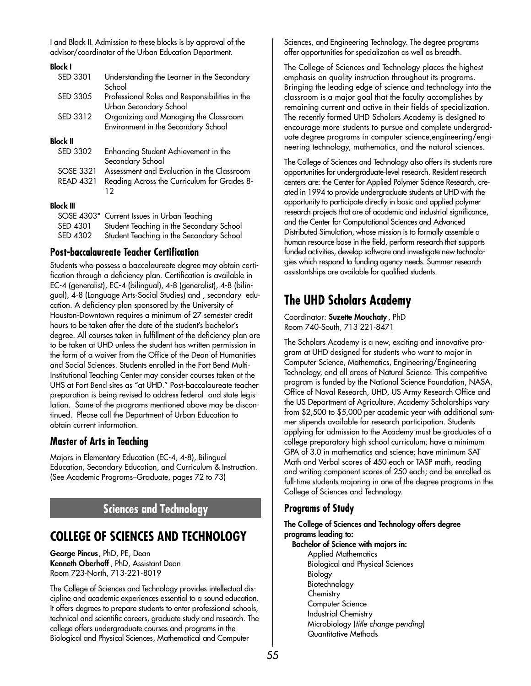I and Block II. Admission to these blocks is by approval of the advisor/coordinator of the Urban Education Department.

### **Block I**

| SED 3301         | Understanding the Learner in the Secondary<br>School                         |
|------------------|------------------------------------------------------------------------------|
| SED 3305         | Professional Roles and Responsibilities in the<br>Urban Secondary School     |
| SED 3312         | Organizing and Managing the Classroom<br>Environment in the Secondary School |
| <b>Block II</b>  |                                                                              |
| SED 3302         | Enhancing Student Achievement in the<br>Secondary School                     |
| SOSE 3321        | Assessment and Evaluation in the Classroom                                   |
| <b>READ 4321</b> | Reading Across the Curriculum for Grades 8-<br>12                            |
| <b>Block</b>     |                                                                              |

|          | SOSE 4303* Current Issues in Urban Teaching       |
|----------|---------------------------------------------------|
| SED 4301 | Student Teaching in the Secondary School          |
|          | SED 4302 Student Teaching in the Secondary School |

# **Post-baccalaureate Teacher Certification**

Students who possess a baccalaureate degree may obtain certification through a deficiency plan. Certification is available in EC-4 (generalist), EC-4 (bilingual), 4-8 (generalist), 4-8 (bilingual), 4-8 (Language Arts-Social Studies) and , secondary education. A deficiency plan sponsored by the University of Houston-Downtown requires a minimum of 27 semester credit hours to be taken after the date of the student's bachelor's degree. All courses taken in fulfillment of the deficiency plan are to be taken at UHD unless the student has written permission in the form of a waiver from the Office of the Dean of Humanities and Social Sciences. Students enrolled in the Fort Bend Multi-Institutional Teaching Center may consider courses taken at the UHS at Fort Bend sites as "at UHD." Post-baccalaureate teacher preparation is being revised to address federal and state legislation. Some of the programs mentioned above may be discontinued. Please call the Department of Urban Education to obtain current information.

# **Master of Arts in Teaching**

Majors in Elementary Education (EC-4, 4-8), Bilingual Education, Secondary Education, and Curriculum & Instruction. (See Academic Programs–Graduate, pages 72 to 73)

# **Sciences and Technology**

# **COLLEGE OF SCIENCES AND TECHNOLOGY**

**George Pincus**, PhD, PE, Dean **Kenneth Oberhoff** , PhD, Assistant Dean Room 723-North, 713-221-8019

The College of Sciences and Technology provides intellectual discipline and academic experiences essential to a sound education. It offers degrees to prepare students to enter professional schools, technical and scientific careers, graduate study and research. The college offers undergraduate courses and programs in the Biological and Physical Sciences, Mathematical and Computer

Sciences, and Engineering Technology. The degree programs offer opportunities for specialization as well as breadth.

The College of Sciences and Technology places the highest emphasis on quality instruction throughout its programs. Bringing the leading edge of science and technology into the classroom is a major goal that the faculty accomplishes by remaining current and active in their fields of specialization. The recently formed UHD Scholars Academy is designed to encourage more students to pursue and complete undergraduate degree programs in computer science,engineering/engineering technology, mathematics, and the natural sciences.

The College of Sciences and Technology also offers its students rare opportunities for undergraduate-level research. Resident research centers are: the Center for Applied Polymer Science Research, created in 1994 to provide undergraduate students at UHD with the opportunity to participate directly in basic and applied polymer research projects that are of academic and industrial significance, and the Center for Computational Sciences and Advanced Distributed Simulation, whose mission is to formally assemble a human resource base in the field, perform research that supports funded activities, develop software and investigate new technologies which respond to funding agency needs. Summer research assistantships are available for qualified students.

# **The UHD Scholars Academy**

Coordinator: **Suzette Mouchaty** , PhD Room 740-South, 713 221-8471

The Scholars Academy is a new, exciting and innovative program at UHD designed for students who want to major in Computer Science, Mathematics, Engineering/Engineering Technology, and all areas of Natural Science. This competitive program is funded by the National Science Foundation, NASA, Office of Naval Research, UHD, US Army Research Office and the US Department of Agriculture. Academy Scholarships vary from \$2,500 to \$5,000 per academic year with additional summer stipends available for research participation. Students applying for admission to the Academy must be graduates of a college-preparatory high school curriculum; have a minimum GPA of 3.0 in mathematics and science; have minimum SAT Math and Verbal scores of 450 each or TASP math, reading and writing component scores of 250 each; and be enrolled as full-time students majoring in one of the degree programs in the College of Sciences and Technology.

# **Programs of Study**

**The College of Sciences and Technology offers degree programs leading to: Bachelor of Science with majors in:**

Applied Mathematics Biological and Physical Sciences Biology Biotechnology **Chemistry** Computer Science Industrial Chemistry Microbiology (*title change pending*) Quantitative Methods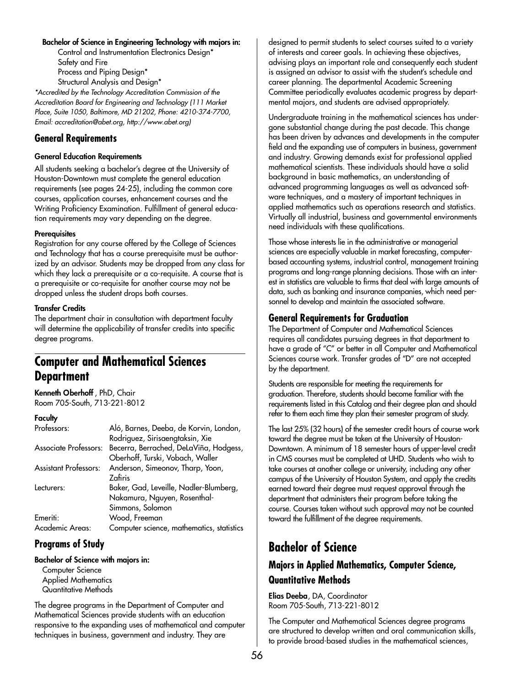### **Bachelor of Science in Engineering Technology with majors in:**

Control and Instrumentation Electronics Design\* Safety and Fire Process and Piping Design\* Structural Analysis and Design\* *\*Accredited by the Technology Accreditation Commission of the Accreditation Board for Engineering and Technology (111 Market Place, Suite 1050, Baltimore, MD 21202, Phone: 4210-374-7700,*

*Email: accreditation@abet.org, http://www.abet.org)* 

# **General Requirements**

#### **General Education Requirements**

All students seeking a bachelor's degree at the University of Houston-Downtown must complete the general education requirements (see pages 24-25), including the common core courses, application courses, enhancement courses and the Writing Proficiency Examination. Fulfillment of general education requirements may vary depending on the degree.

#### **Prerequisites**

Registration for any course offered by the College of Sciences and Technology that has a course prerequisite must be authorized by an advisor. Students may be dropped from any class for which they lack a prerequisite or a co-requisite. A course that is a prerequisite or co-requisite for another course may not be dropped unless the student drops both courses.

### **Transfer Credits**

The department chair in consultation with department faculty will determine the applicability of transfer credits into specific degree programs.

# **Computer and Mathematical Sciences Department**

**Kenneth Oberhoff** , PhD, Chair Room 705-South, 713-221-8012

#### **Faculty**

| Professors:                  | Aló, Barnes, Deeba, de Korvin, London,    |
|------------------------------|-------------------------------------------|
|                              | Rodriguez, Sirisaengtaksin, Xie           |
| Associate Professors:        | Becerra, Berrached, DeLaViña, Hodgess,    |
|                              | Oberhoff, Turski, Vobach, Waller          |
| <b>Assistant Professors:</b> | Anderson, Simeonov, Tharp, Yoon,          |
|                              | Zafiris                                   |
| Lecturers:                   | Baker, Gad, Leveille, Nadler-Blumberg,    |
|                              | Nakamura, Nguyen, Rosenthal-              |
|                              | Simmons, Solomon                          |
| Emeriti:                     | Wood, Freeman                             |
| Academic Areas:              | Computer science, mathematics, statistics |

# **Programs of Study**

#### **Bachelor of Science with majors in:**

Computer Science Applied Mathematics Quantitative Methods

The degree programs in the Department of Computer and Mathematical Sciences provide students with an education responsive to the expanding uses of mathematical and computer techniques in business, government and industry. They are

designed to permit students to select courses suited to a variety of interests and career goals. In achieving these objectives, advising plays an important role and consequently each student is assigned an advisor to assist with the student's schedule and career planning. The departmental Academic Screening Committee periodically evaluates academic progress by departmental majors, and students are advised appropriately.

Undergraduate training in the mathematical sciences has undergone substantial change during the past decade. This change has been driven by advances and developments in the computer field and the expanding use of computers in business, government and industry. Growing demands exist for professional applied mathematical scientists. These individuals should have a solid background in basic mathematics, an understanding of advanced programming languages as well as advanced software techniques, and a mastery of important techniques in applied mathematics such as operations research and statistics. Virtually all industrial, business and governmental environments need individuals with these qualifications.

Those whose interests lie in the administrative or managerial sciences are especially valuable in market forecasting, computerbased accounting systems, industrial control, management training programs and long-range planning decisions. Those with an interest in statistics are valuable to firms that deal with large amounts of data, such as banking and insurance companies, which need personnel to develop and maintain the associated software.

## **General Requirements for Graduation**

The Department of Computer and Mathematical Sciences requires all candidates pursuing degrees in that department to have a grade of "C" or better in all Computer and Mathematical Sciences course work. Transfer grades of "D" are not accepted by the department.

Students are responsible for meeting the requirements for graduation. Therefore, students should become familiar with the requirements listed in this Catalog and their degree plan and should refer to them each time they plan their semester program of study.

The last 25% (32 hours) of the semester credit hours of course work toward the degree must be taken at the University of Houston-Downtown. A minimum of 18 semester hours of upper-level credit in CMS courses must be completed at UHD. Students who wish to take courses at another college or university, including any other campus of the University of Houston System, and apply the credits earned toward their degree must request approval through the department that administers their program before taking the course. Courses taken without such approval may not be counted toward the fulfillment of the degree requirements.

# **Bachelor of Science**

# **Majors in Applied Mathematics, Computer Science, Quantitative Methods**

**Elias Deeba**, DA, Coordinator Room 705-South, 713-221-8012

The Computer and Mathematical Sciences degree programs are structured to develop written and oral communication skills, to provide broad-based studies in the mathematical sciences,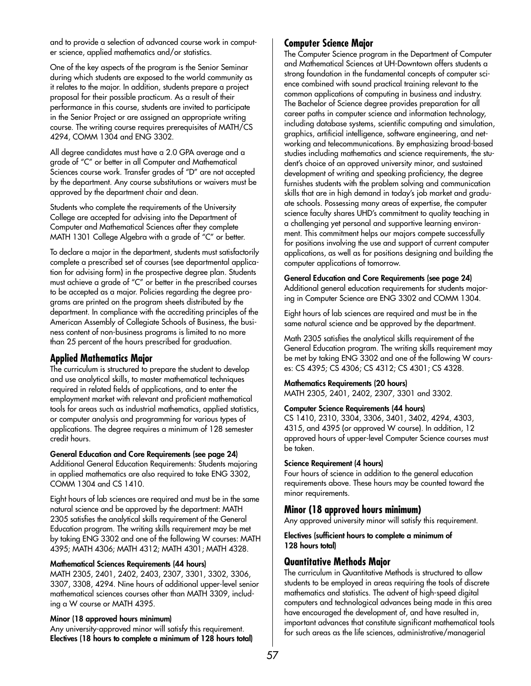and to provide a selection of advanced course work in computer science, applied mathematics and/or statistics.

One of the key aspects of the program is the Senior Seminar during which students are exposed to the world community as it relates to the major. In addition, students prepare a project proposal for their possible practicum. As a result of their performance in this course, students are invited to participate in the Senior Project or are assigned an appropriate writing course. The writing course requires prerequisites of MATH/CS 4294, COMM 1304 and ENG 3302.

All degree candidates must have a 2.0 GPA average and a grade of "C" or better in all Computer and Mathematical Sciences course work. Transfer grades of "D" are not accepted by the department. Any course substitutions or waivers must be approved by the department chair and dean.

Students who complete the requirements of the University College are accepted for advising into the Department of Computer and Mathematical Sciences after they complete MATH 1301 College Algebra with a grade of "C" or better.

To declare a major in the department, students must satisfactorily complete a prescribed set of courses (see departmental application for advising form) in the prospective degree plan. Students must achieve a grade of "C" or better in the prescribed courses to be accepted as a major. Policies regarding the degree programs are printed on the program sheets distributed by the department. In compliance with the accrediting principles of the American Assembly of Collegiate Schools of Business, the business content of non-business programs is limited to no more than 25 percent of the hours prescribed for graduation.

# **Applied Mathematics Major**

The curriculum is structured to prepare the student to develop and use analytical skills, to master mathematical techniques required in related fields of applications, and to enter the employment market with relevant and proficient mathematical tools for areas such as industrial mathematics, applied statistics, or computer analysis and programming for various types of applications. The degree requires a minimum of 128 semester credit hours.

### **General Education and Core Requirements (see page 24)**

Additional General Education Requirements: Students majoring in applied mathematics are also required to take ENG 3302, COMM 1304 and CS 1410.

Eight hours of lab sciences are required and must be in the same natural science and be approved by the department: MATH 2305 satisfies the analytical skills requirement of the General Education program. The writing skills requirement may be met by taking ENG 3302 and one of the following W courses: MATH 4395; MATH 4306; MATH 4312; MATH 4301; MATH 4328.

### **Mathematical Sciences Requirements (44 hours)**

MATH 2305, 2401, 2402, 2403, 2307, 3301, 3302, 3306, 3307, 3308, 4294. Nine hours of additional upper-level senior mathematical sciences courses other than MATH 3309, including a W course or MATH 4395.

### **Minor (18 approved hours minimum)**

Any university-approved minor will satisfy this requirement. **Electives (18 hours to complete a minimum of 128 hours total)**

# **Computer Science Major**

The Computer Science program in the Department of Computer and Mathematical Sciences at UH-Downtown offers students a strong foundation in the fundamental concepts of computer science combined with sound practical training relevant to the common applications of computing in business and industry. The Bachelor of Science degree provides preparation for all career paths in computer science and information technology, including database systems, scientific computing and simulation, graphics, artificial intelligence, software engineering, and networking and telecommunications. By emphasizing broad-based studies including mathematics and science requirements, the student's choice of an approved university minor, and sustained development of writing and speaking proficiency, the degree furnishes students with the problem solving and communication skills that are in high demand in today's job market and graduate schools. Possessing many areas of expertise, the computer science faculty shares UHD's commitment to quality teaching in a challenging yet personal and supportive learning environment. This commitment helps our majors compete successfully for positions involving the use and support of current computer applications, as well as for positions designing and building the computer applications of tomorrow.

#### **General Education and Core Requirements (see page 24)** Additional general education requirements for students majoring in Computer Science are ENG 3302 and COMM 1304.

Eight hours of lab sciences are required and must be in the same natural science and be approved by the department.

Math 2305 satisfies the analytical skills requirement of the General Education program. The writing skills requirement may be met by taking ENG 3302 and one of the following W courses: CS 4395; CS 4306; CS 4312; CS 4301; CS 4328.

# **Mathematics Requirements (20 hours)**

MATH 2305, 2401, 2402, 2307, 3301 and 3302.

## **Computer Science Requirements (44 hours)**

CS 1410, 2310, 3304, 3306, 3401, 3402, 4294, 4303, 4315, and 4395 (or approved W course). In addition, 12 approved hours of upper-level Computer Science courses must be taken.

### **Science Requirement (4 hours)**

Four hours of science in addition to the general education requirements above. These hours may be counted toward the minor requirements.

# **Minor (18 approved hours minimum)**

Any approved university minor will satisfy this requirement.

## **Electives (sufficient hours to complete a minimum of 128 hours total)**

# **Quantitative Methods Major**

The curriculum in Quantitative Methods is structured to allow students to be employed in areas requiring the tools of discrete mathematics and statistics. The advent of high-speed digital computers and technological advances being made in this area have encouraged the development of, and have resulted in, important advances that constitute significant mathematical tools for such areas as the life sciences, administrative/managerial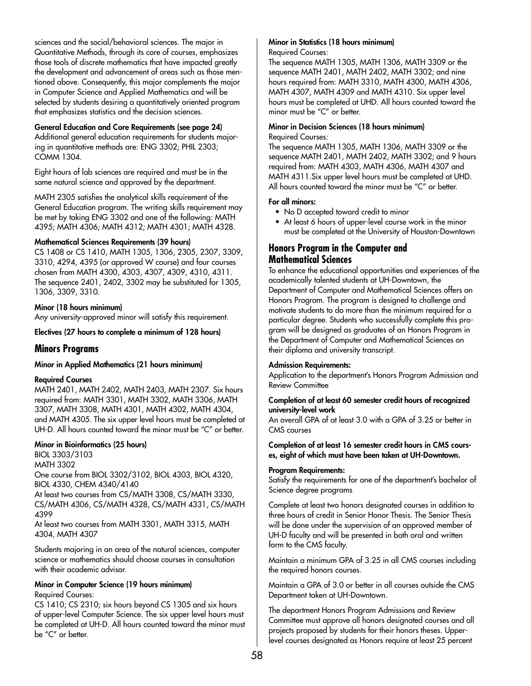sciences and the social/behavioral sciences. The major in Quantitative Methods, through its core of courses, emphasizes those tools of discrete mathematics that have impacted greatly the development and advancement of areas such as those mentioned above. Consequently, this major complements the major in Computer Science and Applied Mathematics and will be selected by students desiring a quantitatively oriented program that emphasizes statistics and the decision sciences.

### **General Education and Core Requirements (see page 24)**

Additional general education requirements for students majoring in quantitative methods are: ENG 3302; PHIL 2303; COMM 1304.

Eight hours of lab sciences are required and must be in the same natural science and approved by the department.

MATH 2305 satisfies the analytical skills requirement of the General Education program. The writing skills requirement may be met by taking ENG 3302 and one of the following: MATH 4395; MATH 4306; MATH 4312; MATH 4301; MATH 4328.

#### **Mathematical Sciences Requirements (39 hours)**

CS 1408 or CS 1410, MATH 1305, 1306, 2305, 2307, 3309, 3310, 4294, 4395 (or approved W course) and four courses chosen from MATH 4300, 4303, 4307, 4309, 4310, 4311. The sequence 2401, 2402, 3302 may be substituted for 1305, 1306, 3309, 3310.

#### **Minor (18 hours minimum)**

Any university-approved minor will satisfy this requirement.

**Electives (27 hours to complete a minimum of 128 hours)**

## **Minors Programs**

#### **Minor in Applied Mathematics (21 hours minimum)**

#### **Required Courses**

M ATH 2401, MATH 2402, MATH 2403, MATH 2307. Six hours required from: MATH 3301, MATH 3302, MATH 3306, MATH 3307, MATH 3308, MATH 4301, MATH 4302, MATH 4304, and MATH 4305. The six upper level hours must be completed at UH-D. All hours counted toward the minor must be "C" or better.

### **Minor in Bioinformatics (25 hours)**

BIOL 3303/3103

MATH 3302

One course from BIOL 3302/3102, BIOL 4303, BIOL 4320, BIOL 4330, CHEM 4340/4140

At least two courses from CS/MATH 3308, CS/MATH 3330, CS/MATH 4306, CS/MATH 4328, CS/MATH 4331, CS/MATH 4399

At least two courses from MATH 3301, MATH 3315, MATH 4304, MATH 4307

Students majoring in an area of the natural sciences, computer science or mathematics should choose courses in consultation with their academic advisor.

### **Minor in Computer Science (19 hours minimum)** Required Courses:

CS 1410; CS 2310; six hours beyond CS 1305 and six hours of upper-level Computer Science. The six upper level hours must be completed at UH-D. All hours counted toward the minor must be "C" or better.

# **Minor in Statistics (18 hours minimum)**

#### Required Courses:

The sequence MATH 1305, MATH 1306, MATH 3309 or the sequence MATH 2401, MATH 2402, MATH 3302; and nine hours required from: MATH 3310, MATH 4300, MATH 4306, MATH 4307, MATH 4309 and MATH 4310. Six upper level hours must be completed at UHD. All hours counted toward the minor must be "C" or better.

#### **Minor in Decision Sciences (18 hours minimum)** Required Courses:

The sequence MATH 1305, MATH 1306, MATH 3309 or the sequence MATH 2401, MATH 2402, MATH 3302; and 9 hours required from: MATH 4303, MATH 4306, MATH 4307 and MATH 4311.Six upper level hours must be completed at UHD. All hours counted toward the minor must be "C" or better.

#### **For all minors:**

- No D accepted toward credit to minor
- At least 6 hours of upper-level course work in the minor must be completed at the University of Houston-Downtown

# **Honors Program in the Computer and Mathematical Sciences**

To enhance the educational opportunities and experiences of the academically talented students at UH-Downtown, the Department of Computer and Mathematical Sciences offers an Honors Program. The program is designed to challenge and motivate students to do more than the minimum required for a particular degree. Students who successfully complete this program will be designed as graduates of an Honors Program in the Department of Computer and Mathematical Sciences on their diploma and university transcript.

### **Admission Requirements:**

Application to the department's Honors Program Admission and Review Committee

#### **Completion of at least 60 semester credit hours of recognized university-level work**

An overall GPA of at least 3.0 with a GPA of 3.25 or better in CMS courses

#### **Completion of at least 16 semester credit hours in CMS courses, eight of which must have been taken at UH-Downtown.**

#### **Program Requirements:**

Satisfy the requirements for one of the department's bachelor of Science degree programs

Complete at least two honors designated courses in addition to three hours of credit in Senior Honor Thesis. The Senior Thesis will be done under the supervision of an approved member of UH-D faculty and will be presented in both oral and written form to the CMS faculty.

Maintain a minimum GPA of 3.25 in all CMS courses including the required honors courses.

Maintain a GPA of 3.0 or better in all courses outside the CMS Department taken at UH-Downtown.

The department Honors Program Admissions and Review Committee must approve all honors designated courses and all projects proposed by students for their honors theses. Upperlevel courses designated as Honors require at least 25 percent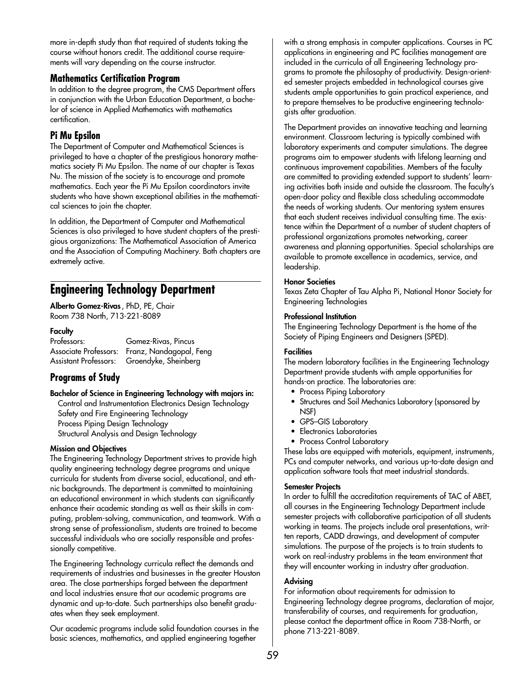more in-depth study than that required of students taking the course without honors credit. The additional course requirements will vary depending on the course instructor.

# **Mathematics Certification Program**

In addition to the degree program, the CMS Department offers in conjunction with the Urban Education Department, a bachelor of science in Applied Mathematics with mathematics certification.

# **Pi Mu Epsilon**

The Department of Computer and Mathematical Sciences is privileged to have a chapter of the prestigious honorary mathematics society Pi Mu Epsilon. The name of our chapter is Texas Nu. The mission of the society is to encourage and promote mathematics. Each year the Pi Mu Epsilon coordinators invite students who have shown exceptional abilities in the mathematical sciences to join the chapter.

In addition, the Department of Computer and Mathematical Sciences is also privileged to have student chapters of the prestigious organizations: The Mathematical Association of America and the Association of Computing Machinery. Both chapters are extremely active.

# **Engineering Technology Department**

**Alberto Gomez-Rivas**, PhD, PE, Chair Room 738 North, 713-221-8089

## **Faculty**

| Professors: | Gomez-Rivas, Pincus                           |
|-------------|-----------------------------------------------|
|             | Associate Professors: Franz, Nandagopal, Feng |
|             | Assistant Professors: Groendyke, Sheinberg    |

# **Programs of Study**

### **Bachelor of Science in Engineering Technology with majors in:**

Control and Instrumentation Electronics Design Technology Safety and Fire Engineering Technology Process Piping Design Technology Structural Analysis and Design Technology

## **Mission and Objectives**

The Engineering Technology Department strives to provide high quality engineering technology degree programs and unique curricula for students from diverse social, educational, and ethnic backgrounds. The department is committed to maintaining an educational environment in which students can significantly enhance their academic standing as well as their skills in computing, problem-solving, communication, and teamwork. With a strong sense of professionalism, students are trained to become successful individuals who are socially responsible and professionally competitive.

The Engineering Technology curricula reflect the demands and requirements of industries and businesses in the greater Houston area. The close partnerships forged between the department and local industries ensure that our academic programs are dynamic and up-to-date. Such partnerships also benefit graduates when they seek employment.

Our academic programs include solid foundation courses in the basic sciences, mathematics, and applied engineering together

with a strong emphasis in computer applications. Courses in PC applications in engineering and PC facilities management are included in the curricula of all Engineering Technology programs to promote the philosophy of productivity. Design-oriented semester projects embedded in technological courses give students ample opportunities to gain practical experience, and to prepare themselves to be productive engineering technologists after graduation.

The Department provides an innovative teaching and learning environment. Classroom lecturing is typically combined with laboratory experiments and computer simulations. The degree programs aim to empower students with lifelong learning and continuous improvement capabilities. Members of the faculty are committed to providing extended support to students' learning activities both inside and outside the classroom. The faculty's open-door policy and flexible class scheduling accommodate the needs of working students. Our mentoring system ensures that each student receives individual consulting time. The existence within the Department of a number of student chapters of professional organizations promotes networking, career awareness and planning opportunities. Special scholarships are available to promote excellence in academics, service, and leadership.

## **Honor Societies**

Texas Zeta Chapter of Tau Alpha Pi, National Honor Society for Engineering Technologies

## **Professional Institution**

The Engineering Technology Department is the home of the Society of Piping Engineers and Designers (SPED).

### **Facilities**

The modern laboratory facilities in the Engineering Technology Department provide students with ample opportunities for hands-on practice. The laboratories are:

- Process Piping Laboratory
- Structures and Soil Mechanics Laboratory (sponsored by NSF)
- GPS–GIS Laboratory
- Electronics Laboratories
- Process Control Laboratory

These labs are equipped with materials, equipment, instruments, PCs and computer networks, and various up-to-date design and application software tools that meet industrial standards.

## **Semester Projects**

In order to fulfill the accreditation requirements of TAC of ABET, all courses in the Engineering Technology Department include semester projects with collaborative participation of all students working in teams. The projects include oral presentations, written reports, CADD drawings, and development of computer simulations. The purpose of the projects is to train students to work on real-industry problems in the team environment that they will encounter working in industry after graduation.

# **Advising**

For information about requirements for admission to Engineering Technology degree programs, declaration of major, transferability of courses, and requirements for graduation, please contact the department office in Room 738-North, or phone 713-221-8089.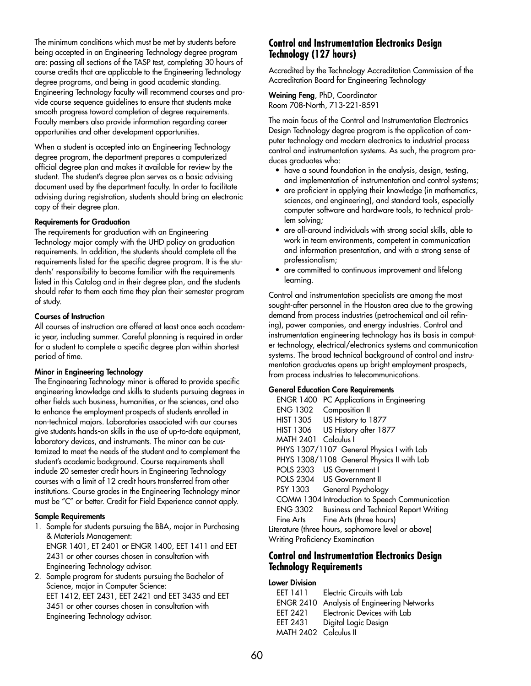The minimum conditions which must be met by students before being accepted in an Engineering Technology degree program are: passing all sections of the TASP test, completing 30 hours of course credits that are applicable to the Engineering Technology degree programs, and being in good academic standing. Engineering Technology faculty will recommend courses and provide course sequence guidelines to ensure that students make smooth progress toward completion of degree requirements. Faculty members also provide information regarding career opportunities and other development opportunities.

When a student is accepted into an Engineering Technology degree program, the department prepares a computerized official degree plan and makes it available for review by the student. The student's degree plan serves as a basic advising document used by the department faculty. In order to facilitate advising during registration, students should bring an electronic copy of their degree plan.

### **Requirements for Graduation**

The requirements for graduation with an Engineering Technology major comply with the UHD policy on graduation requirements. In addition, the students should complete all the requirements listed for the specific degree program. It is the students' responsibility to become familiar with the requirements listed in this Catalog and in their degree plan, and the students should refer to them each time they plan their semester program of study.

### **Courses of Instruction**

All courses of instruction are offered at least once each academic year, including summer. Careful planning is required in order for a student to complete a specific degree plan within shortest period of time.

### **Minor in Engineering Technology**

The Engineering Technology minor is offered to provide specific engineering knowledge and skills to students pursuing degrees in other fields such business, humanities, or the sciences, and also to enhance the employment prospects of students enrolled in non-technical majors. Laboratories associated with our courses give students hands-on skills in the use of up-to-date equipment, laboratory devices, and instruments. The minor can be customized to meet the needs of the student and to complement the student's academic background. Course requirements shall include 20 semester credit hours in Engineering Technology courses with a limit of 12 credit hours transferred from other institutions. Course grades in the Engineering Technology minor must be "C" or better. Credit for Field Experience cannot apply.

### **Sample Requirements**

1. Sample for students pursuing the BBA, major in Purchasing & Materials Management: ENGR 1401, ET 2401 or ENGR 1400, EET 1411 and EET 2431 or other courses chosen in consultation with Engineering Technology advisor.

2. Sample program for students pursuing the Bachelor of Science, major in Computer Science: EET 1412, EET 2431, EET 2421 and EET 3435 and EET 3451 or other courses chosen in consultation with Engineering Technology advisor.

# **Control and Instrumentation Electronics Design Technology (127 hours)**

Accredited by the Technology Accreditation Commission of the Accreditation Board for Engineering Technology

#### **Weining Feng**, PhD, Coordinator Room 708-North, 713-221-8591

The main focus of the Control and Instrumentation Electronics Design Technology degree program is the application of computer technology and modern electronics to industrial process control and instrumentation systems. As such, the program produces graduates who:

- have a sound foundation in the analysis, design, testing, and implementation of instrumentation and control systems;
- are proficient in applying their knowledge (in mathematics, sciences, and engineering), and standard tools, especially computer software and hardware tools, to technical problem solving;
- are all-around individuals with strong social skills, able to work in team environments, competent in communication and information presentation, and with a strong sense of professionalism;
- are committed to continuous improvement and lifelong learning.

Control and instrumentation specialists are among the most sought-after personnel in the Houston area due to the growing demand from process industries (petrochemical and oil refining), power companies, and energy industries. Control and instrumentation engineering technology has its basis in computer technology, electrical/electronics systems and communication systems. The broad technical background of control and instrumentation graduates opens up bright employment prospects, from process industries to telecommunications.

### **General Education Core Requirements**

| <b>ENGR 1400</b>     | PC Applications in Engineering                     |
|----------------------|----------------------------------------------------|
| <b>ENG 1302</b>      | Composition II                                     |
| <b>HIST 1305</b>     | US History to 1877                                 |
| HIST 1306            | US History after 1877                              |
| MATH 2401 Calculus I |                                                    |
|                      | PHYS 1307/1107 General Physics I with Lab          |
|                      | PHYS 1308/1108 General Physics II with Lab         |
|                      | POLS 2303 US Government I                          |
|                      | POLS 2304 US Government II                         |
| PSY 1303             | General Psychology                                 |
|                      | COMM 1304 Introduction to Speech Communication     |
| ENG 3302             | <b>Business and Technical Report Writing</b>       |
| Fine Arts            | Fine Arts (three hours)                            |
|                      | Literature (three hours, sophomore level or above) |

Writing Proficiency Examination

# **Control and Instrumentation Electronics Design Technology Requirements**

**Lower Division**

EET 1411 Electric Circuits with Lab ENGR 2410 Analysis of Engineering Networks EET 2421 Electronic Devices with Lab EET 2431 Digital Logic Design MATH 2402 Calculus II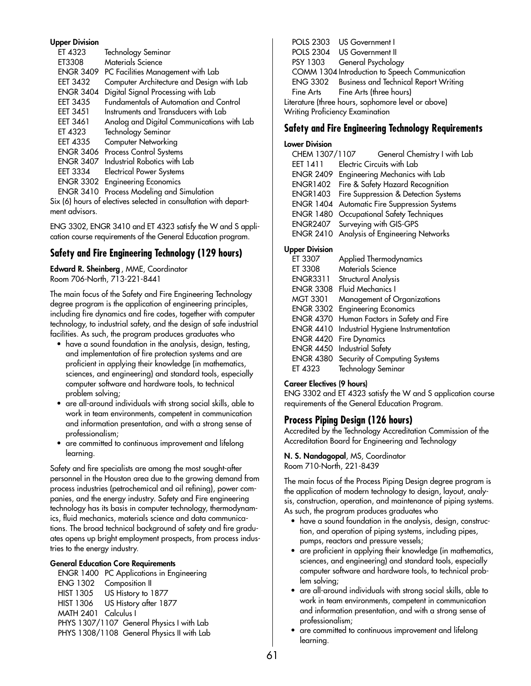#### **Upper Division**

| ET 4323          | Technology Seminar                         |
|------------------|--------------------------------------------|
| ET3308           | Materials Science                          |
| <b>ENGR 3409</b> | PC Facilities Management with Lab          |
| <b>EET 3432</b>  | Computer Architecture and Design with Lab  |
| <b>ENGR 3404</b> | Digital Signal Processing with Lab         |
| <b>EET 3435</b>  | Fundamentals of Automation and Control     |
| <b>EET 3451</b>  | Instruments and Transducers with Lab       |
| EET 3461         | Analog and Digital Communications with Lab |
| ET 4323          | Technology Seminar                         |
| EET 4335         | Computer Networking                        |
| <b>ENGR 3406</b> | Process Control Systems                    |
| <b>ENGR 3407</b> | Industrial Robotics with Lab               |
| <b>EET 3334</b>  | <b>Electrical Power Systems</b>            |
| <b>ENGR 3302</b> | <b>Engineering Economics</b>               |
| <b>ENGR 3410</b> | Process Modeling and Simulation            |
|                  |                                            |

Six (6) hours of electives selected in consultation with department advisors.

ENG 3302, ENGR 3410 and ET 4323 satisfy the W and S application course requirements of the General Education program.

# **Safety and Fire Engineering Technology (129 hours)**

**Edward R. Sheinberg** , MME, Coordinator Room 706-North, 713-221-8441

The main focus of the Safety and Fire Engineering Technology degree program is the application of engineering principles, including fire dynamics and fire codes, together with computer technology, to industrial safety, and the design of safe industrial facilities. As such, the program produces graduates who

- have a sound foundation in the analysis, design, testing, and implementation of fire protection systems and are proficient in applying their knowledge (in mathematics, sciences, and engineering) and standard tools, especially computer software and hardware tools, to technical problem solving;
- are all-around individuals with strong social skills, able to work in team environments, competent in communication and information presentation, and with a strong sense of professionalism;
- are committed to continuous improvement and lifelong learning.

Safety and fire specialists are among the most sought-after personnel in the Houston area due to the growing demand from process industries (petrochemical and oil refining), power companies, and the energy industry. Safety and Fire engineering technology has its basis in computer technology, thermodynamics, fluid mechanics, materials science and data communications. The broad technical background of safety and fire graduates opens up bright employment prospects, from process industries to the energy industry.

### **General Education Core Requirements**

ENGR 1400 PC Applications in Engineering ENG 1302 Composition II HIST 1305 US History to 1877 HIST 1306 US History after 1877 MATH 2401 Calculus I PHYS 1307/1107 General Physics I with Lab PHYS 1308/1108 General Physics II with Lab

POLS 2303 US Government I POLS 2304 US Government II PSY 1303 General Psychology COMM 1304 Introduction to Speech Communication ENG 3302 Business and Technical Report Writing Fine Arts Fine Arts (three hours) Literature (three hours, sophomore level or above) Writing Proficiency Examination

## **Safety and Fire Engineering Technology Requirements**

#### **Lower Division**

|          | CHEM 1307/1107 General Chemistry I with Lab         |
|----------|-----------------------------------------------------|
| EET 1411 | Electric Circuits with Lab                          |
|          | ENGR 2409 Engineering Mechanics with Lab            |
|          | ENGR1402 Fire & Safety Hazard Recognition           |
|          | ENGR1403 Fire Suppression & Detection Systems       |
|          | <b>ENGR 1404</b> Automatic Fire Suppression Systems |
|          | <b>ENGR 1480</b> Occupational Safety Techniques     |
|          | ENGR2407 Surveying with GIS-GPS                     |
|          | ENGR 2410 Analysis of Engineering Networks          |
|          |                                                     |

#### **Upper Division**

| ET 3307          | Applied Thermodynamics             |
|------------------|------------------------------------|
| ET 3308          | <b>Materials Science</b>           |
| <b>ENGR3311</b>  | Structural Analysis                |
| <b>ENGR 3308</b> | Fluid Mechanics I                  |
| <b>MGT 3301</b>  | Management of Organizations        |
| <b>ENGR 3302</b> | <b>Engineering Economics</b>       |
| <b>ENGR 4370</b> | Human Factors in Safety and Fire   |
| <b>ENGR 4410</b> | Industrial Hygiene Instrumentation |
| <b>ENGR 4420</b> | <b>Fire Dynamics</b>               |
| <b>ENGR 4450</b> | <b>Industrial Safety</b>           |
| <b>ENGR 4380</b> | Security of Computing Systems      |
| ET 4323          | Technology Seminar                 |

#### **Career Electives (9 hours)**

ENG 3302 and ET 4323 satisfy the W and S application course requirements of the General Education Program.

# **Process Piping Design (126 hours)**

Accredited by the Technology Accreditation Commission of the Accreditation Board for Engineering and Technology

**N. S. Nandagopal**, MS, Coordinator Room 710-North, 221-8439

The main focus of the Process Piping Design degree program is the application of modern technology to design, layout, analysis, construction, operation, and maintenance of piping systems. As such, the program produces graduates who

- have a sound foundation in the analysis, design, construction, and operation of piping systems, including pipes, pumps, reactors and pressure vessels;
- are proficient in applying their knowledge (in mathematics, sciences, and engineering) and standard tools, especially computer software and hardware tools, to technical problem solving;
- are all-around individuals with strong social skills, able to work in team environments, competent in communication and information presentation, and with a strong sense of professionalism;
- are committed to continuous improvement and lifelong learning.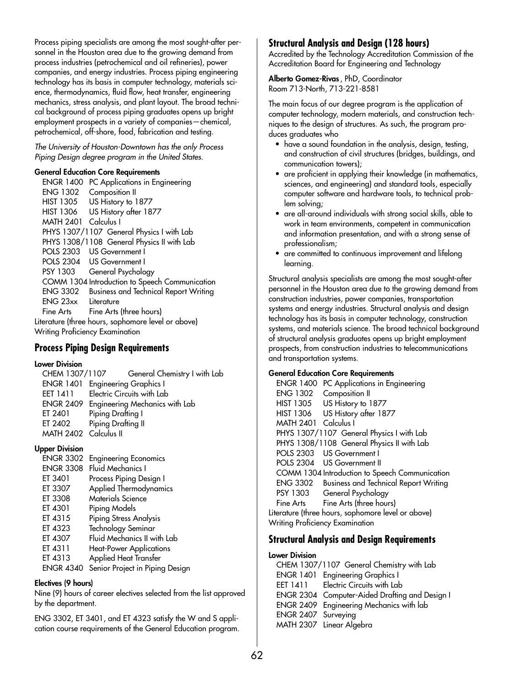Process piping specialists are among the most sought-after personnel in the Houston area due to the growing demand from process industries (petrochemical and oil refineries), power companies, and energy industries. Process piping engineering technology has its basis in computer technology, materials science, thermodynamics, fluid flow, heat transfer, engineering mechanics, stress analysis, and plant layout. The broad technical background of process piping graduates opens up bright employment prospects in a variety of companies—chemical, petrochemical, off-shore, food, fabrication and testing.

*The University of Houston-Downtown has the only Process Piping Design degree program in the United States.*

### **General Education Core Requirements**

| <b>ENGR 1400</b>                | PC Applications in Engineering                     |
|---------------------------------|----------------------------------------------------|
| ENG 1302                        | Composition II                                     |
| <b>HIST 1305</b>                | US History to 1877                                 |
| <b>HIST 1306</b>                | US History after 1877                              |
| MATH 2401                       | Calculus I                                         |
|                                 | PHYS 1307/1107 General Physics I with Lab          |
|                                 | PHYS 1308/1108 General Physics II with Lab         |
| POLS 2303                       | US Government I                                    |
|                                 | POLS 2304 US Government I                          |
| PSY 1303                        | General Psychology                                 |
|                                 | COMM 1304 Introduction to Speech Communication     |
| <b>ENG 3302</b>                 | <b>Business and Technical Report Writing</b>       |
| ENG 23xx                        | Literature                                         |
| Fine Arts                       | Fine Arts (three hours)                            |
|                                 | Literature (three hours, sophomore level or above) |
| Writing Proficiency Examination |                                                    |

# **Process Piping Design Requirements**

#### **Lower Division**

| CHEM 1307/1107        | General Chemistry I with Lab                    |
|-----------------------|-------------------------------------------------|
|                       | <b>ENGR 1401</b> Engineering Graphics I         |
| EET 1411              | Electric Circuits with Lab                      |
|                       | <b>ENGR 2409</b> Engineering Mechanics with Lab |
| ET 2401               | Piping Drafting I                               |
| ET 2402               | Piping Drafting II                              |
| MATH 2402 Calculus II |                                                 |

### **Upper Division**

| <b>Engineering Economics</b>    |
|---------------------------------|
| <b>Fluid Mechanics I</b>        |
| Process Piping Design I         |
| Applied Thermodynamics          |
| Materials Science               |
| Piping Models                   |
| <b>Piping Stress Analysis</b>   |
| Technology Seminar              |
| Fluid Mechanics II with Lab     |
| <b>Heat-Power Applications</b>  |
| <b>Applied Heat Transfer</b>    |
| Senior Project in Piping Design |
|                                 |

#### **Electives (9 hours)**

Nine (9) hours of career electives selected from the list approved by the department.

ENG 3302, ET 3401, and ET 4323 satisfy the W and S application course requirements of the General Education program.

# **Structural Analysis and Design (128 hours)**

Accredited by the Technology Accreditation Commission of the Accreditation Board for Engineering and Technology

#### **Alberto Gomez-Rivas**, PhD, Coordinator Room 713-North, 713-221-8581

The main focus of our degree program is the application of computer technology, modern materials, and construction techniques to the design of structures. As such, the program produces graduates who

- have a sound foundation in the analysis, design, testing, and construction of civil structures (bridges, buildings, and communication towers);
- are proficient in applying their knowledge (in mathematics, sciences, and engineering) and standard tools, especially computer software and hardware tools, to technical problem solving;
- are all-around individuals with strong social skills, able to work in team environments, competent in communication and information presentation, and with a strong sense of professionalism;
- are committed to continuous improvement and lifelong learning.

Structural analysis specialists are among the most sought-after personnel in the Houston area due to the growing demand from construction industries, power companies, transportation systems and energy industries. Structural analysis and design technology has its basis in computer technology, construction systems, and materials science. The broad technical background of structural analysis graduates opens up bright employment prospects, from construction industries to telecommunications and transportation systems.

#### **General Education Core Requirements**

| <b>ENGR 1400</b>                | PC Applications in Engineering                     |
|---------------------------------|----------------------------------------------------|
| ENG 1302                        | Composition II                                     |
| <b>HIST 1305</b>                | US History to 1877                                 |
| HIST 1306                       | US History after 1877                              |
| MATH 2401 Calculus I            |                                                    |
|                                 | PHYS 1307/1107 General Physics I with Lab          |
|                                 | PHYS 1308/1108 General Physics II with Lab         |
| <b>POLS 2303</b>                | US Government I                                    |
|                                 | POLS 2304 US Government II                         |
|                                 | COMM 1304 Introduction to Speech Communication     |
| <b>ENG 3302</b>                 | <b>Business and Technical Report Writing</b>       |
| PSY 1303                        | General Psychology                                 |
| Fine Arts                       | Fine Arts (three hours)                            |
|                                 | Literature (three hours, sophomore level or above) |
| Writing Proficiency Examination |                                                    |

# **Structural Analysis and Design Requirements**

### **Lower Division**

CHEM 1307/1107 General Chemistry with Lab ENGR 1401 Engineering Graphics I EET 1411 Electric Circuits with Lab ENGR 2304 Computer-Aided Drafting and Design I ENGR 2409 Engineering Mechanics with lab ENGR 2407 Surveying MATH 2307 Linear Algebra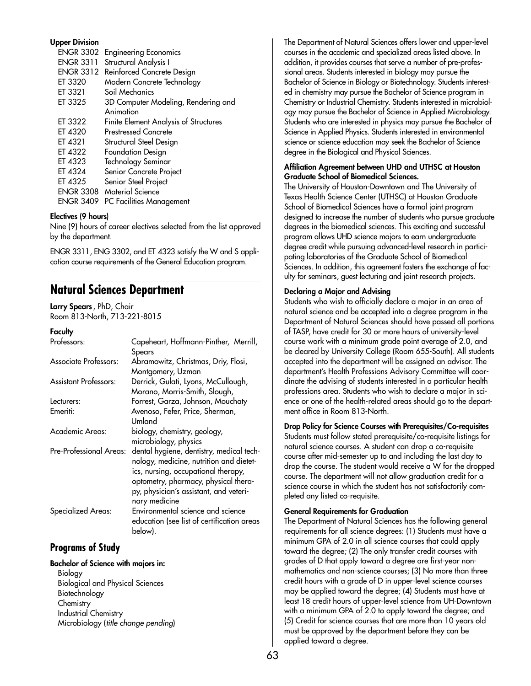| <b>Upper Division</b> |                                              |
|-----------------------|----------------------------------------------|
| <b>ENGR 3302</b>      | <b>Engineering Economics</b>                 |
| <b>ENGR 3311</b>      | Structural Analysis I                        |
| <b>ENGR 3312</b>      | Reinforced Concrete Design                   |
| ET 3320               | Modern Concrete Technology                   |
| ET 3321               | Soil Mechanics                               |
| ET 3325               | 3D Computer Modeling, Rendering and          |
|                       | Animation                                    |
| ET 3322               | <b>Finite Element Analysis of Structures</b> |
| ET 4320               | <b>Prestressed Concrete</b>                  |
| ET 4321               | Structural Steel Design                      |
| ET 4322               | Foundation Design                            |
| ET 4323               | Technology Seminar                           |
| ET 4324               | Senior Concrete Project                      |
| ET 4325               | Senior Steel Project                         |
| <b>ENGR 3308</b>      | Material Science                             |
| <b>ENGR 3409</b>      | PC Facilities Management                     |

#### **Electives (9 hours)**

Nine (9) hours of career electives selected from the list approved by the department.

ENGR 3311, ENG 3302, and ET 4323 satisfy the W and S application course requirements of the General Education program.

# **Natural Sciences Department**

**Larry Spears**, PhD, Chair Room 813-North, 713-221-8015

#### **Faculty**

| Professors:             | Capeheart, Hoffmann-Pinther, Merrill,<br>Spears                                                                                                                                                                               |
|-------------------------|-------------------------------------------------------------------------------------------------------------------------------------------------------------------------------------------------------------------------------|
| Associate Professors:   | Abramowitz, Christmas, Driy, Flosi,<br>Montgomery, Uzman                                                                                                                                                                      |
| Assistant Professors:   | Derrick, Gulati, Lyons, McCullough,<br>Morano, Morris-Smith, Slough,                                                                                                                                                          |
| Lecturers:              | Forrest, Garza, Johnson, Mouchaty                                                                                                                                                                                             |
| Emeriti:                | Avenoso, Fefer, Price, Sherman,<br>Umland                                                                                                                                                                                     |
| Academic Areas:         | biology, chemistry, geology,<br>microbiology, physics                                                                                                                                                                         |
| Pre-Professional Areas: | dental hygiene, dentistry, medical tech-<br>nology, medicine, nutrition and dietet-<br>ics, nursing, occupational therapy,<br>optometry, pharmacy, physical thera-<br>py, physician's assistant, and veteri-<br>nary medicine |
| Specialized Areas:      | Environmental science and science<br>education (see list of certification areas<br>below).                                                                                                                                    |

# **Programs of Study**

#### **Bachelor of Science with majors in:**

Biology Biological and Physical Sciences Biotechnology **Chemistry** Industrial Chemistry Microbiology (*title change pending*) The Department of Natural Sciences offers lower and upper-level courses in the academic and specialized areas listed above. In addition, it provides courses that serve a number of pre-professional areas. Students interested in biology may pursue the Bachelor of Science in Biology or Biotechnology. Students interested in chemistry may pursue the Bachelor of Science program in Chemistry or Industrial Chemistry. Students interested in microbiology may pursue the Bachelor of Science in Applied Microbiology. Students who are interested in physics may pursue the Bachelor of Science in Applied Physics. Students interested in environmental science or science education may seek the Bachelor of Science degree in the Biological and Physical Sciences.

#### **Affiliation Agreement between UHD and UTHSC at Houston Graduate School of Biomedical Sciences.**

The University of Houston-Downtown and The University of Texas Health Science Center (UTHSC) at Houston Graduate School of Biomedical Sciences have a formal joint program designed to increase the number of students who pursue graduate degrees in the biomedical sciences. This exciting and successful program allows UHD science majors to earn undergraduate degree credit while pursuing advanced-level research in participating laboratories of the Graduate School of Biomedical Sciences. In addition, this agreement fosters the exchange of faculty for seminars, guest lecturing and joint research projects.

### **Declaring a Major and Advising**

Students who wish to officially declare a major in an area of natural science and be accepted into a degree program in the Department of Natural Sciences should have passed all portions of TASP, have credit for 30 or more hours of university-level course work with a minimum grade point average of 2.0, and be cleared by University College (Room 655-South). All students accepted into the department will be assigned an advisor. The department's Health Professions Advisory Committee will coordinate the advising of students interested in a particular health professions area. Students who wish to declare a major in science or one of the health-related areas should go to the department office in Room 813-North.

**Drop Policy for Science Courses with Prerequisites/Co-requisites**

Students must follow stated prerequisite/co-requisite listings for natural science courses. A student can drop a co-requisite course after mid-semester up to and including the last day to drop the course. The student would receive a W for the dropped course. The department will not allow graduation credit for a science course in which the student has not satisfactorily completed any listed co-requisite.

#### **General Requirements for Graduation**

The Department of Natural Sciences has the following general requirements for all science degrees: (1) Students must have a minimum GPA of 2.0 in all science courses that could apply toward the degree; (2) The only transfer credit courses with grades of D that apply toward a degree are first-year nonmathematics and non-science courses; (3) No more than three credit hours with a grade of D in upper-level science courses may be applied toward the degree; (4) Students must have at least 18 credit hours of upper-level science from UH-Downtown with a minimum GPA of 2.0 to apply toward the degree; and (5) Credit for science courses that are more than 10 years old must be approved by the department before they can be applied toward a degree.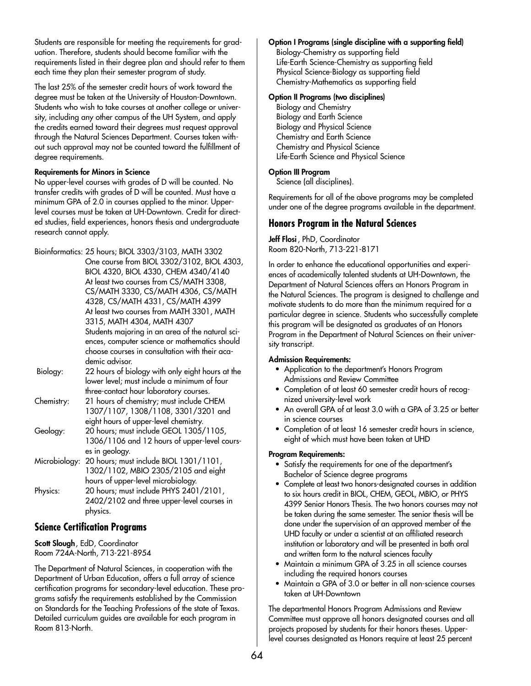Students are responsible for meeting the requirements for graduation. Therefore, students should become familiar with the requirements listed in their degree plan and should refer to them each time they plan their semester program of study.

The last 25% of the semester credit hours of work toward the degree must be taken at the University of Houston-Downtown. Students who wish to take courses at another college or university, including any other campus of the UH System, and apply the credits earned toward their degrees must request approval through the Natural Sciences Department. Courses taken without such approval may not be counted toward the fulfillment of degree requirements.

## **Requirements for Minors in Science**

No upper-level courses with grades of D will be counted. No transfer credits with grades of D will be counted. Must have a minimum GPA of 2.0 in courses applied to the minor. Upperlevel courses must be taken at UH-Downtown. Credit for directed studies, field experiences, honors thesis and undergraduate research cannot apply.

Bioinformatics: 25 hours; BIOL 3303/3103, MATH 3302

One course from BIOL 3302/3102, BIOL 4303, BIOL 4320, BIOL 4330, CHEM 4340/4140 At least two courses from CS/MATH 3308, CS/MATH 3330, CS/MATH 4306, CS/MATH 4328, CS/MATH 4331, CS/MATH 4399 At least two courses from MATH 3301, MATH 3315, MATH 4304, MATH 4307 Students majoring in an area of the natural sciences, computer science or mathematics should

choose courses in consultation with their academic advisor.

- Biology: 22 hours of biology with only eight hours at the lower level; must include a minimum of four three-contact hour laboratory courses.
- Chemistry: 21 hours of chemistry; must include CHEM 1307/1107, 1308/1108, 3301/3201 and eight hours of upper-level chemistry.
- Geology: 20 hours; must include GEOL 1305/1105, 1306/1106 and 12 hours of upper-level courses in geology.
- Microbiology: 20 hours; must include BIOL 1301/1101, 1302/1102, MBIO 2305/2105 and eight hours of upper-level microbiology. Physics: 20 hours; must include PHYS 2401/2101,
- 2402/2102 and three upper-level courses in physics.

# **Science Certification Programs**

**Scott Slough**, EdD, Coordinator Room 724A-North, 713-221-8954

The Department of Natural Sciences, in cooperation with the Department of Urban Education, offers a full array of science certification programs for secondary-level education. These programs satisfy the requirements established by the Commission on Standards for the Teaching Professions of the state of Texas. Detailed curriculum guides are available for each program in Room 813-North.

## **Option I Programs (single discipline with a supporting field)**

Biology-Chemistry as supporting field Life-Earth Science-Chemistry as supporting field Physical Science-Biology as supporting field Chemistry-Mathematics as supporting field

### **Option II Programs (two disciplines)**

Biology and Chemistry Biology and Earth Science Biology and Physical Science Chemistry and Earth Science Chemistry and Physical Science Life-Earth Science and Physical Science

# **Option III Program**

Science (all disciplines).

Requirements for all of the above programs may be completed under one of the degree programs available in the department.

# **Honors Program in the Natural Sciences**

**Jeff Flosi**, PhD, Coordinator Room 820-North, 713-221-8171

In order to enhance the educational opportunities and experiences of academically talented students at UH-Downtown, the Department of Natural Sciences offers an Honors Program in the Natural Sciences. The program is designed to challenge and motivate students to do more than the minimum required for a particular degree in science. Students who successfully complete this program will be designated as graduates of an Honors Program in the Department of Natural Sciences on their university transcript.

### **Admission Requirements:**

- Application to the department's Honors Program Admissions and Review Committee
- Completion of at least 60 semester credit hours of recognized university-level work
- An overall GPA of at least 3.0 with a GPA of 3.25 or better in science courses
- Completion of at least 16 semester credit hours in science, eight of which must have been taken at UHD

### **Program Requirements:**

- Satisfy the requirements for one of the department's Bachelor of Science degree programs
- Complete at least two honors-designated courses in addition to six hours credit in BIOL, CHEM, GEOL, MBIO, or PHYS 4399 Senior Honors Thesis. The two honors courses may not be taken during the same semester. The senior thesis will be done under the supervision of an approved member of the UHD faculty or under a scientist at an affiliated research institution or laboratory and will be presented in both oral and written form to the natural sciences faculty
- Maintain a minimum GPA of 3.25 in all science courses including the required honors courses
- Maintain a GPA of 3.0 or better in all non-science courses taken at UH-Downtown

The departmental Honors Program Admissions and Review Committee must approve all honors designated courses and all projects proposed by students for their honors theses. Upperlevel courses designated as Honors require at least 25 percent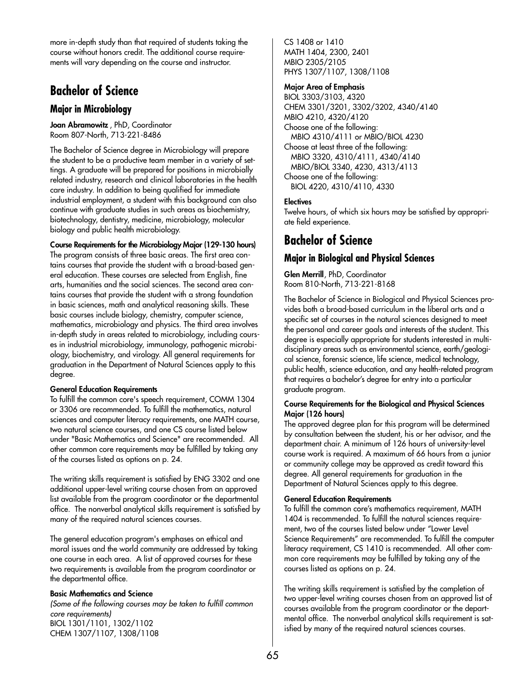more in-depth study than that required of students taking the course without honors credit. The additional course requirements will vary depending on the course and instructor.

# **Bachelor of Science**

# **Major in Microbiology**

**Joan Abramowitz** , PhD, Coordinator Room 807-North, 713-221-8486

The Bachelor of Science degree in Microbiology will prepare the student to be a productive team member in a variety of settings. A graduate will be prepared for positions in microbially related industry, research and clinical laboratories in the health care industry. In addition to being qualified for immediate industrial employment, a student with this background can also continue with graduate studies in such areas as biochemistry, biotechnology, dentistry, medicine, microbiology, molecular biology and public health microbiology.

## **Course Requirements for the Microbiology Major (129-130 hours)**

The program consists of three basic areas. The first area contains courses that provide the student with a broad-based general education. These courses are selected from English, fine arts, humanities and the social sciences. The second area contains courses that provide the student with a strong foundation in basic sciences, math and analytical reasoning skills. These basic courses include biology, chemistry, computer science, mathematics, microbiology and physics. The third area involves in-depth study in areas related to microbiology, including courses in industrial microbiology, immunology, pathogenic microbiology, biochemistry, and virology. All general requirements for graduation in the Department of Natural Sciences apply to this degree.

### **General Education Requirements**

To fulfill the common core's speech requirement, COMM 1304 or 3306 are recommended. To fulfill the mathematics, natural sciences and computer literacy requirements, one MATH course, two natural science courses, and one CS course listed below under "Basic Mathematics and Science" are recommended. All other common core requirements may be fulfilled by taking any of the courses listed as options on p. 24.

The writing skills requirement is satisfied by ENG 3302 and one additional upper-level writing course chosen from an approved list available from the program coordinator or the departmental office. The nonverbal analytical skills requirement is satisfied by many of the required natural sciences courses.

The general education program's emphases on ethical and moral issues and the world community are addressed by taking one course in each area. A list of approved courses for these two requirements is available from the program coordinator or the departmental office.

## **Basic Mathematics and Science**

*(Some of the following courses may be taken to fulfill common core requirements)* BIOL 1301/1101, 1302/1102 CHEM 1307/1107, 1308/1108

CS 1408 or 1410 MATH 1404, 2300, 2401 MBIO 2305/2105 PHYS 1307/1107, 1308/1108

### **Major Area of Emphasis**

BIOL 3303/3103, 4320 CHEM 3301/3201, 3302/3202, 4340/4140 MBIO 4210, 4320/4120 Choose one of the following: MBIO 4310/4111 or MBIO/BIOL 4230 Choose at least three of the following: MBIO 3320, 4310/4111, 4340/4140 MBIO/BIOL 3340, 4230, 4313/4113 Choose one of the following: BIOL 4220, 4310/4110, 4330

# **Electives**

Twelve hours, of which six hours may be satisfied by appropriate field experience.

# **Bachelor of Science**

# **Major in Biological and Physical Sciences**

**Glen Merrill**, PhD, Coordinator Room 810-North, 713-221-8168

The Bachelor of Science in Biological and Physical Sciences provides both a broad-based curriculum in the liberal arts and a specific set of courses in the natural sciences designed to meet the personal and career goals and interests of the student. This degree is especially appropriate for students interested in multidisciplinary areas such as environmental science, earth/geological science, forensic science, life science, medical technology, public health, science education, and any health-related program that requires a bachelor's degree for entry into a particular graduate program .

### **Course Requirements for the Biological and Physical Sciences Major (126 hours)**

The approved degree plan for this program will be determined by consultation between the student, his or her advisor, and the department chair. A minimum of 126 hours of university-level course work is required. A maximum of 66 hours from a junior or community college may be approved as credit toward this degree. All general requirements for graduation in the Department of Natural Sciences apply to this degree.

### **General Education Requirements**

To fulfill the common core's mathematics requirement, MATH 1404 is recommended. To fulfill the natural sciences requirement, two of the courses listed below under "Lower Level Science Requirements" are recommended. To fulfill the computer literacy requirement, CS 1410 is recommended. All other common core requirements may be fulfilled by taking any of the courses listed as options on p. 24.

The writing skills requirement is satisfied by the completion of two upper-level writing courses chosen from an approved list of courses available from the program coordinator or the departmental office. The nonverbal analytical skills requirement is satisfied by many of the required natural sciences courses.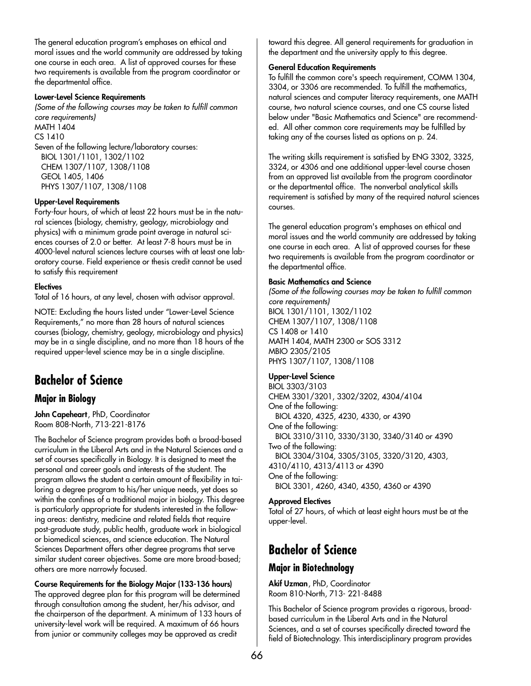The general education program's emphases on ethical and moral issues and the world community are addressed by taking one course in each area. A list of approved courses for these two requirements is available from the program coordinator or the departmental office.

## **Lower-Level Science Requirements**

*(Some of the following courses may be taken to fulfill common core requirements)* MATH 1404 CS 1410 Seven of the following lecture/laboratory courses: BIOL 1301/1101, 1302/1102 CHEM 1307/1107, 1308/1108 GEOL 1405, 1406 PHYS 1307/1107, 1308/1108

## **Upper-Level Requirements**

Forty-four hours, of which at least 22 hours must be in the natural sciences (biology, chemistry, geology, microbiology and physics) with a minimum grade point average in natural sciences courses of 2.0 or better. At least 7-8 hours must be in 4000-level natural sciences lecture courses with at least one laboratory course. Field experience or thesis credit cannot be used to satisfy this requirement

## **Electives**

Total of 16 hours, at any level, chosen with advisor approval.

NOTE: Excluding the hours listed under "Lower-Level Science Requirements," no more than 28 hours of natural sciences courses (biology, chemistry, geology, microbiology and physics) may be in a single discipline, and no more than 18 hours of the required upper-level science may be in a single discipline.

# **Bachelor of Science**

# **Major in Biology**

**John Capeheart**, PhD, Coordinator Room 808-North, 713-221-8176

The Bachelor of Science program provides both a broad-based curriculum in the Liberal Arts and in the Natural Sciences and a set of courses specifically in Biology. It is designed to meet the personal and career goals and interests of the student. The program allows the student a certain amount of flexibility in tailoring a degree program to his/her unique needs, yet does so within the confines of a traditional major in biology. This degree is particularly appropriate for students interested in the following areas: dentistry, medicine and related fields that require post-graduate study, public health, graduate work in biological or biomedical sciences, and science education. The Natural Sciences Department offers other degree programs that serve similar student career objectives. Some are more broad-based; others are more narrowly focused.

**Course Requirements for the Biology Major (133-136 hours)** The approved degree plan for this program will be determined through consultation among the student, her/his advisor, and the chairperson of the department. A minimum of 133 hours of university-level work will be required. A maximum of 66 hours from junior or community colleges may be approved as credit

toward this degree. All general requirements for graduation in the department and the university apply to this degree.

### **General Education Requirements**

To fulfill the common core's speech requirement, COMM 1304, 3304, or 3306 are recommended. To fulfill the mathematics, natural sciences and computer literacy requirements, one MATH course, two natural science courses, and one CS course listed below under "Basic Mathematics and Science" are recommended. All other common core requirements may be fulfilled by taking any of the courses listed as options on p. 24.

The writing skills requirement is satisfied by ENG 3302, 3325, 3324, or 4306 and one additional upper-level course chosen from an approved list available from the program coordinator or the departmental office. The nonverbal analytical skills requirement is satisfied by many of the required natural sciences courses.

The general education program's emphases on ethical and moral issues and the world community are addressed by taking one course in each area. A list of approved courses for these two requirements is available from the program coordinator or the departmental office.

## **Basic Mathematics and Science**

*(Some of the following courses may be taken to fulfill common core requirements)* BIOL 1301/1101, 1302/1102 CHEM 1307/1107, 1308/1108 CS 1408 or 1410 MATH 1404, MATH 2300 or SOS 3312 MBIO 2305/2105 PHYS 1307/1107, 1308/1108

## **Upper-Level Science**

BIOL 3303/3103 CHEM 3301/3201, 3302/3202, 4304/4104 One of the following: BIOL 4320, 4325, 4230, 4330, or 4390 One of the following: BIOL 3310/3110, 3330/3130, 3340/3140 or 4390 Two of the following: BIOL 3304/3104, 3305/3105, 3320/3120, 4303, 4310/4110, 4313/4113 or 4390 One of the following: BIOL 3301, 4260, 4340, 4350, 4360 or 4390

## **Approved Electives**

Total of 27 hours, of which at least eight hours must be at the upper-level.

# **Bachelor of Science**

# **Major in Biotechnology**

**Akif Uzman**, PhD, Coordinator Room 810-North, 713- 221-8488

This Bachelor of Science program provides a rigorous, broadbased curriculum in the Liberal Arts and in the Natural Sciences, and a set of courses specifically directed toward the field of Biotechnology. This interdisciplinary program provides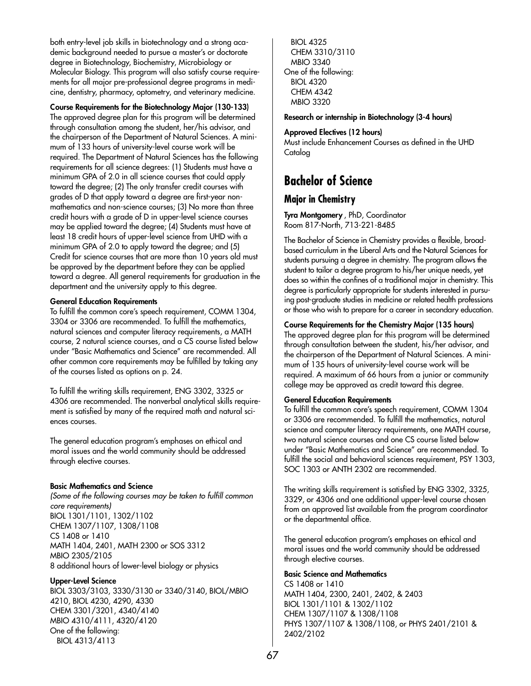both entry-level job skills in biotechnology and a strong academic background needed to pursue a master's or doctorate degree in Biotechnology, Biochemistry, Microbiology or Molecular Biology. This program will also satisfy course requirements for all major pre-professional degree programs in medicine, dentistry, pharmacy, optometry, and veterinary medicine.

**Course Requirements for the Biotechnology Major (130-133)** The approved degree plan for this program will be determined through consultation among the student, her/his advisor, and the chairperson of the Department of Natural Sciences. A minimum of 133 hours of university-level course work will be required. The Department of Natural Sciences has the following requirements for all science degrees: (1) Students must have a minimum GPA of 2.0 in all science courses that could apply toward the degree; (2) The only transfer credit courses with grades of D that apply toward a degree are first-year nonmathematics and non-science courses; (3) No more than three credit hours with a grade of D in upper-level science courses may be applied toward the degree; (4) Students must have at least 18 credit hours of upper-level science from UHD with a minimum GPA of 2.0 to apply toward the degree; and (5) Credit for science courses that are more than 10 years old must be approved by the department before they can be applied toward a degree. All general requirements for graduation in the department and the university apply to this degree.

### **General Education Requirements**

To fulfill the common core's speech requirement, COMM 1304, 3304 or 3306 are recommended. To fulfill the mathematics, natural sciences and computer literacy requirements, a MATH course, 2 natural science courses, and a CS course listed below under "Basic Mathematics and Science" are recommended. All other common core requirements may be fulfilled by taking any of the courses listed as options on p. 24.

To fulfill the writing skills requirement, ENG 3302, 3325 or 4306 are recommended. The nonverbal analytical skills requirement is satisfied by many of the required math and natural sciences courses.

The general education program's emphases on ethical and moral issues and the world community should be addressed through elective courses.

#### **Basic Mathematics and Science**

*(Some of the following courses may be taken to fulfill common core requirements)* BIOL 1301/1101, 1302/1102 CHEM 1307/1107, 1308/1108 CS 1408 or 1410 MATH 1404, 2401, MATH 2300 or SOS 3312 MBIO 2305/2105 8 additional hours of lower-level biology or physics

### **Upper-Level Science**

BIOL 3303/3103, 3330/3130 or 3340/3140, BIOL/MBIO 4210, BIOL 4230, 4290, 4330 CHEM 3301/3201, 4340/4140 MBIO 4310/4111, 4320/4120 One of the following: BIOL 4313/4113

BIOL 4325 CHEM 3310/3110 MBIO 3340 One of the following: BIOL 4320 CHEM 4342 MBIO 3320

#### **Research or internship in Biotechnology (3-4 hours)**

#### **Approved Electives (12 hours)**

Must include Enhancement Courses as defined in the UHD Catalog

# **Bachelor of Science**

# **Major in Chemistry**

**Tyra Montgomery** , PhD, Coordinator Room 817-North, 713-221-8485

The Bachelor of Science in Chemistry provides a flexible, broadbased curriculum in the Liberal Arts and the Natural Sciences for students pursuing a degree in chemistry. The program allows the student to tailor a degree program to his/her unique needs, yet does so within the confines of a traditional major in chemistry. This degree is particularly appropriate for students interested in pursuing post-graduate studies in medicine or related health professions or those who wish to prepare for a career in secondary education.

## **Course Requirements for the Chemistry Major (135 hours)**

The approved degree plan for this program will be determined through consultation between the student, his/her advisor, and the chairperson of the Department of Natural Sciences. A minimum of 135 hours of university-level course work will be required. A maximum of 66 hours from a junior or community college may be approved as credit toward this degree.

### **General Education Requirements**

To fulfill the common core's speech requirement, COMM 1304 or 3306 are recommended. To fulfill the mathematics, natural science and computer literacy requirements, one MATH course, two natural science courses and one CS course listed below under "Basic Mathematics and Science" are recommended. To fulfill the social and behavioral sciences requirement, PSY 1303, SOC 1303 or ANTH 2302 are recommended.

The writing skills requirement is satisfied by ENG 3302, 3325, 3329, or 4306 and one additional upper-level course chosen from an approved list available from the program coordinator or the departmental office.

The general education program's emphases on ethical and moral issues and the world community should be addressed through elective courses.

#### **Basic Science and Mathematics**

CS 1408 or 1410 MATH 1404, 2300, 2401, 2402, & 2403 BIOL 1301/1101 & 1302/1102 CHEM 1307/1107 & 1308/1108 PHYS 1307/1107 & 1308/1108, or PHYS 2401/2101 & 2402/2102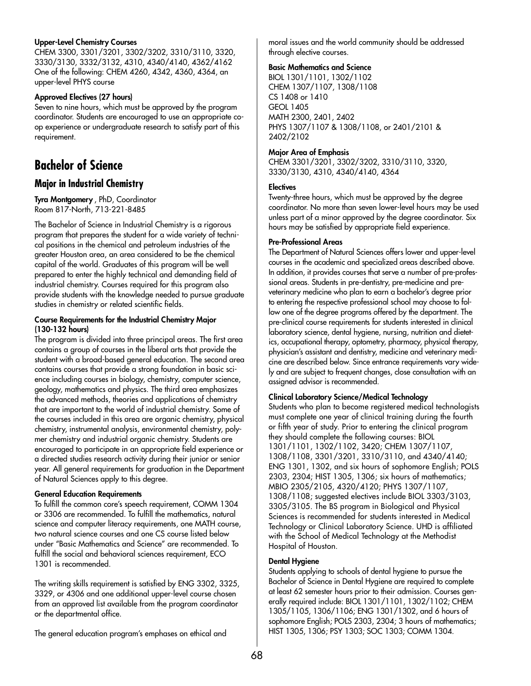## **Upper-Level Chemistry Courses**

CHEM 3300, 3301/3201, 3302/3202, 3310/3110, 3320, 3330/3130, 3332/3132, 4310, 4340/4140, 4362/4162 One of the following: CHEM 4260, 4342, 4360, 4364, an upper-level PHYS course

### **Approved Electives (27 hours)**

Seven to nine hours, which must be approved by the program coordinator. Students are encouraged to use an appropriate coop experience or undergraduate research to satisfy part of this requirement.

# **Bachelor of Science**

# **Major in Industrial Chemistry**

**Tyra Montgomery** , PhD, Coordinator Room 817-North, 713-221-8485

The Bachelor of Science in Industrial Chemistry is a rigorous program that prepares the student for a wide variety of technical positions in the chemical and petroleum industries of the greater Houston area, an area considered to be the chemical capital of the world. Graduates of this program will be well prepared to enter the highly technical and demanding field of industrial chemistry. Courses required for this program also provide students with the knowledge needed to pursue graduate studies in chemistry or related scientific fields.

### **Course Requirements for the Industrial Chemistry Major (130-132 hours)**

The program is divided into three principal areas. The first area contains a group of courses in the liberal arts that provide the student with a broad-based general education. The second area contains courses that provide a strong foundation in basic science including courses in biology, chemistry, computer science, geology, mathematics and physics. The third area emphasizes the advanced methods, theories and applications of chemistry that are important to the world of industrial chemistry. Some of the courses included in this area are organic chemistry, physical chemistry, instrumental analysis, environmental chemistry, polymer chemistry and industrial organic chemistry. Students are encouraged to participate in an appropriate field experience or a directed studies research activity during their junior or senior year. All general requirements for graduation in the Department of Natural Sciences apply to this degree.

### **General Education Requirements**

To fulfill the common core's speech requirement, COMM 1304 or 3306 are recommended. To fulfill the mathematics, natural science and computer literacy requirements, one MATH course, two natural science courses and one CS course listed below under "Basic Mathematics and Science" are recommended. To fulfill the social and behavioral sciences requirement, ECO 1301 is recommended.

The writing skills requirement is satisfied by ENG 3302, 3325, 3329, or 4306 and one additional upper-level course chosen from an approved list available from the program coordinator or the departmental office.

The general education program's emphases on ethical and

moral issues and the world community should be addressed through elective courses.

## **Basic Mathematics and Science**

BIOL 1301/1101, 1302/1102 CHEM 1307/1107, 1308/1108 CS 1408 or 1410 GEOL 1405 MATH 2300, 2401, 2402 PHYS 1307/1107 & 1308/1108, or 2401/2101 & 2402/2102

## **Major Area of Emphasis**

CHEM 3301/3201, 3302/3202, 3310/3110, 3320, 3330/3130, 4310, 4340/4140, 4364

### **Electives**

Twenty-three hours, which must be approved by the degree coordinator. No more than seven lower-level hours may be used unless part of a minor approved by the degree coordinator. Six hours may be satisfied by appropriate field experience.

### **Pre-Professional Areas**

The Department of Natural Sciences offers lower and upper-level courses in the academic and specialized areas described above. In addition, it provides courses that serve a number of pre-professional areas. Students in pre-dentistry, pre-medicine and preveterinary medicine who plan to earn a bachelor's degree prior to entering the respective professional school may choose to follow one of the degree programs offered by the department. The pre-clinical course requirements for students interested in clinical laboratory science, dental hygiene, nursing, nutrition and dietetics, occupational therapy, optometry, pharmacy, physical therapy, physician's assistant and dentistry, medicine and veterinary medicine are described below. Since entrance requirements vary widely and are subject to frequent changes, close consultation with an assigned advisor is recommended.

### **Clinical Laboratory Science/Medical Technology**

Students who plan to become registered medical technologists must complete one year of clinical training during the fourth or fifth year of study. Prior to entering the clinical program they should complete the following courses: BIOL 1301/1101, 1302/1102, 3420; CHEM 1307/1107, 1308/1108, 3301/3201, 3310/3110, and 4340/4140; ENG 1301, 1302, and six hours of sophomore English; POLS 2303, 2304; HIST 1305, 1306; six hours of mathematics; MBIO 2305/2105, 4320/4120; PHYS 1307/1107, 1308/1108; suggested electives include BIOL 3303/3103, 3305/3105. The BS program in Biological and Physical Sciences is recommended for students interested in Medical Technology or Clinical Laboratory Science. UHD is affiliated with the School of Medical Technology at the Methodist Hospital of Houston.

### **Dental Hygiene**

Students applying to schools of dental hygiene to pursue the Bachelor of Science in Dental Hygiene are required to complete at least 62 semester hours prior to their admission. Courses generally required include: BIOL 1301/1101, 1302/1102; CHEM 1305/1105, 1306/1106; ENG 1301/1302, and 6 hours of sophomore English; POLS 2303, 2304; 3 hours of mathematics; HIST 1305, 1306; PSY 1303; SOC 1303; COMM 1304.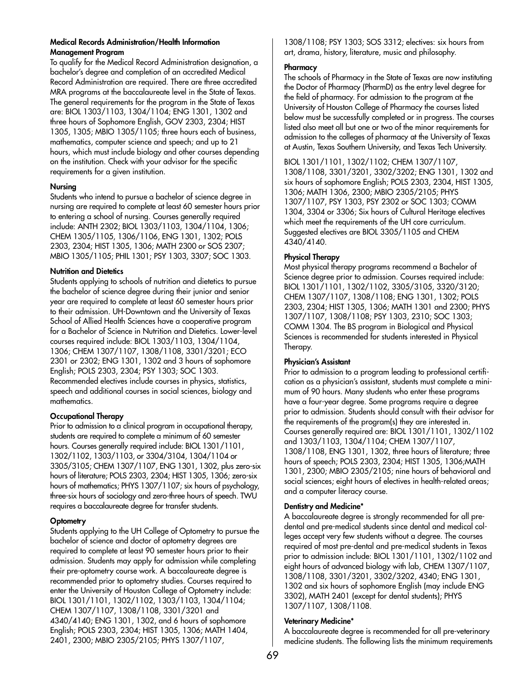#### **Medical Records Administration/Health Information Management Program**

To qualify for the Medical Record Administration designation, a bachelor's degree and completion of an accredited Medical Record Administration are required. There are three accredited MRA programs at the baccalaureate level in the State of Texas. The general requirements for the program in the State of Texas are: BIOL 1303/1103, 1304/1104; ENG 1301, 1302 and three hours of Sophomore English, GOV 2303, 2304; HIST 1305, 1305; MBIO 1305/1105; three hours each of business, mathematics, computer science and speech; and up to 21 hours, which must include biology and other courses depending on the institution. Check with your advisor for the specific requirements for a given institution.

#### **Nursing**

Students who intend to pursue a bachelor of science degree in nursing are required to complete at least 60 semester hours prior to entering a school of nursing. Courses generally required include: ANTH 2302; BIOL 1303/1103, 1304/1104, 1306; CHEM 1305/1105, 1306/1106, ENG 1301, 1302; POLS 2303, 2304; HIST 1305, 1306; MATH 2300 or SOS 2307; MBIO 1305/1105; PHIL 1301; PSY 1303, 3307; SOC 1303.

#### **Nutrition and Dietetics**

Students applying to schools of nutrition and dietetics to pursue the bachelor of science degree during their junior and senior year are required to complete at least 60 semester hours prior to their admission. UH-Downtown and the University of Texas School of Allied Health Sciences have a cooperative program for a Bachelor of Science in Nutrition and Dietetics. Lower-level courses required include: BIOL 1303/1103, 1304/1104, 1306; CHEM 1307/1107, 1308/1108, 3301/3201; ECO 2301 or 2302; ENG 1301, 1302 and 3 hours of sophomore English; POLS 2303, 2304; PSY 1303; SOC 1303. Recommended electives include courses in physics, statistics, speech and additional courses in social sciences, biology and mathematics.

#### **Occupational Therapy**

Prior to admission to a clinical program in occupational therapy, students are required to complete a minimum of 60 semester hours. Courses generally required include: BIOL 1301/1101, 1302/1102, 1303/1103, or 3304/3104, 1304/1104 or 3305/3105; CHEM 1307/1107, ENG 1301, 1302, plus zero-six hours of literature; POLS 2303, 2304; HIST 1305, 1306; zero-six hours of mathematics; PHYS 1307/1107; six hours of psychology, three-six hours of sociology and zero-three hours of speech. TWU requires a baccalaureate degree for transfer students.

#### **Optometry**

Students applying to the UH College of Optometry to pursue the bachelor of science and doctor of optometry degrees are required to complete at least 90 semester hours prior to their admission. Students may apply for admission while completing their pre-optometry course work. A baccalaureate degree is recommended prior to optometry studies. Courses required to enter the University of Houston College of Optometry include: BIOL 1301/1101, 1302/1102, 1303/1103, 1304/1104; CHEM 1307/1107, 1308/1108, 3301/3201 and 4340/4140; ENG 1301, 1302, and 6 hours of sophomore English; POLS 2303, 2304; HIST 1305, 1306; MATH 1404, 2401, 2300; MBIO 2305/2105; PHYS 1307/1107,

1308/1108; PSY 1303; SOS 3312; electives: six hours from art, drama, history, literature, music and philosophy.

### **Pharmacy**

The schools of Pharmacy in the State of Texas are now instituting the Doctor of Pharmacy (PharmD) as the entry level degree for the field of pharmacy. For admission to the program at the University of Houston College of Pharmacy the courses listed below must be successfully completed or in progress. The courses listed also meet all but one or two of the minor requirements for admission to the colleges of pharmacy at the University of Texas at Austin, Texas Southern University, and Texas Tech University.

BIOL 1301/1101, 1302/1102; CHEM 1307/1107, 1308/1108, 3301/3201, 3302/3202; ENG 1301, 1302 and six hours of sophomore English; POLS 2303, 2304, HIST 1305, 1306; MATH 1306, 2300; MBIO 2305/2105; PHYS 1307/1107, PSY 1303, PSY 2302 or SOC 1303; COMM 1304, 3304 or 3306; Six hours of Cultural Heritage electives which meet the requirements of the UH core curriculum. Suggested electives are BIOL 3305/1105 and CHEM 4340/4140.

### **Physical Therapy**

Most physical therapy programs recommend a Bachelor of Science degree prior to admission. Courses required include: BIOL 1301/1101, 1302/1102, 3305/3105, 3320/3120; CHEM 1307/1107, 1308/1108; ENG 1301, 1302; POLS 2303, 2304; HIST 1305, 1306; MATH 1301 and 2300; PHYS 1307/1107, 1308/1108; PSY 1303, 2310; SOC 1303; COMM 1304. The BS program in Biological and Physical Sciences is recommended for students interested in Physical Therapy.

### **Physician's Assistant**

Prior to admission to a program leading to professional certification as a physician's assistant, students must complete a minimum of 90 hours. Many students who enter these programs have a four-year degree. Some programs require a degree prior to admission. Students should consult with their advisor for the requirements of the program(s) they are interested in. Courses generally required are: BIOL 1301/1101, 1302/1102 and 1303/1103, 1304/1104; CHEM 1307/1107, 1308/1108, ENG 1301, 1302, three hours of literature; three hours of speech; POLS 2303, 2304; HIST 1305, 1306;MATH 1301, 2300; MBIO 2305/2105; nine hours of behavioral and social sciences; eight hours of electives in health-related areas; and a computer literacy course.

### **Dentistry and Medicine\***

A baccalaureate degree is strongly recommended for all predental and pre-medical students since dental and medical colleges accept very few students without a degree. The courses required of most pre-dental and pre-medical students in Texas prior to admission include: BIOL 1301/1101, 1302/1102 and eight hours of advanced biology with lab, CHEM 1307/1107, 1308/1108, 3301/3201, 3302/3202, 4340; ENG 1301, 1302 and six hours of sophomore English (may include ENG 3302), MATH 2401 (except for dental students); PHYS 1307/1107, 1308/1108.

#### **Veterinary Medicine\***

A baccalaureate degree is recommended for all pre-veterinary medicine students. The following lists the minimum requirements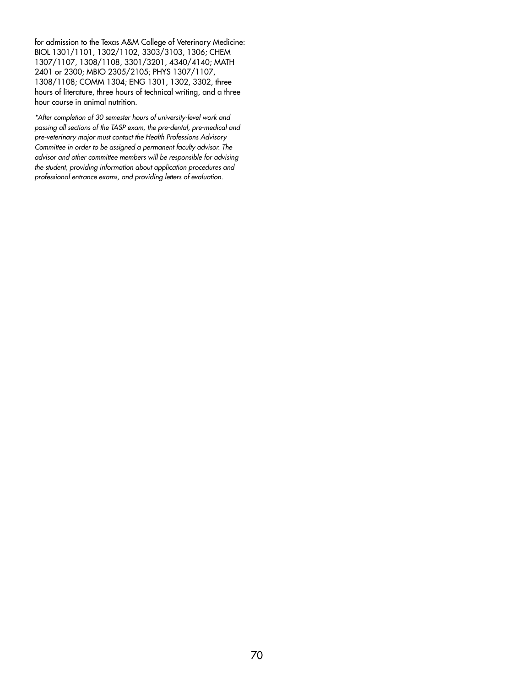for admission to the Texas A&M College of Veterinary Medicine: BIOL 1301/1101, 1302/1102, 3303/3103, 1306; CHEM 1307/1107, 1308/1108, 3301/3201, 4340/4140; MATH 2401 or 2300; MBIO 2305/2105; PHYS 1307/1107, 1308/1108; COMM 1304; ENG 1301, 1302, 3302, three hours of literature, three hours of technical writing, and a three hour course in animal nutrition.

*\*After completion of 30 semester hours of university-level work and passing all sections of the TASP exam, the pre-dental, pre-medical and pre-veterinary major must contact the Health Professions Advisory Committee in order to be assigned a permanent faculty advisor. The advisor and other committee members will be responsible for advising the student, providing information about application procedures and professional entrance exams, and providing letters of evaluation.*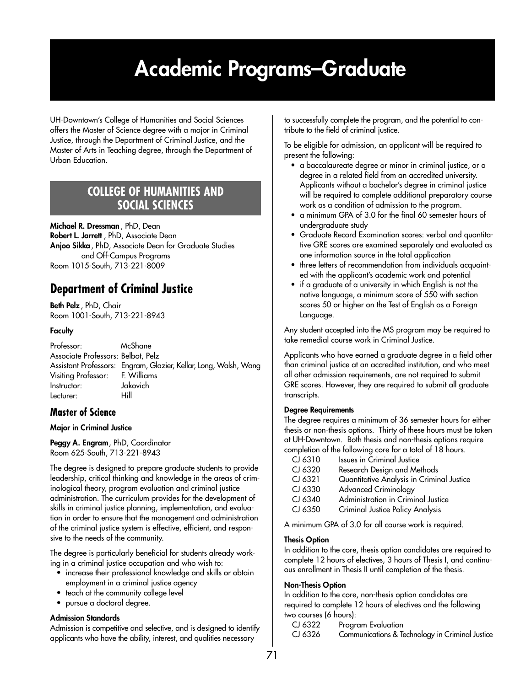# **Academic Programs–Graduate**

UH-Downtown's College of Humanities and Social Sciences offers the Master of Science degree with a major in Criminal Justice, through the Department of Criminal Justice, and the Master of Arts in Teaching degree, through the Department of Urban Education.

## **COLLEGE OF HUMANITIES AND SOCIAL SCIENCES**

**Michael R. Dressman** , PhD, Dean **Robert L. Jarrett** , PhD, Associate Dean **Anjoo Sikka**, PhD, Associate Dean for Graduate Studies and Off-Campus Programs Room 1015-South, 713-221-8009

# **Department of Criminal Justice**

**Beth Pelz** , PhD, Chair Room 1001-South, 713-221-8943

#### **Faculty**

Professor: McShane Associate Professors: Belbot, Pelz Assistant Professors: Engram, Glazier, Kellar, Long, Walsh, Wang Visiting Professor: F. Williams Instructor: Lecturer: Hill

### **Master of Science**

**Major in Criminal Justice**

**Peggy A. Engram**, PhD, Coordinator Room 625-South, 713-221-8943

The degree is designed to prepare graduate students to provide leadership, critical thinking and knowledge in the areas of criminological theory, program evaluation and criminal justice administration. The curriculum provides for the development of skills in criminal justice planning, implementation, and evaluation in order to ensure that the management and administration of the criminal justice system is effective, efficient, and responsive to the needs of the community.

The degree is particularly beneficial for students already working in a criminal justice occupation and who wish to:

- increase their professional knowledge and skills or obtain employment in a criminal justice agency
- teach at the community college level
- pursue a doctoral degree.

#### **Admission Standards**

Admission is competitive and selective, and is designed to identify applicants who have the ability, interest, and qualities necessary

to successfully complete the program, and the potential to contribute to the field of criminal justice.

To be eligible for admission, an applicant will be required to present the following:

- a baccalaureate degree or minor in criminal justice, or a degree in a related field from an accredited university. Applicants without a bachelor's degree in criminal justice will be required to complete additional preparatory course work as a condition of admission to the program.
- a minimum GPA of 3.0 for the final 60 semester hours of undergraduate study
- Graduate Record Examination scores: verbal and quantitative GRE scores are examined separately and evaluated as one information source in the total application
- three letters of recommendation from individuals acquainted with the applicant's academic work and potential
- if a graduate of a university in which English is not the native language, a minimum score of 550 with section scores 50 or higher on the Test of English as a Foreign Language.

Any student accepted into the MS program may be required to take remedial course work in Criminal Justice.

Applicants who have earned a graduate degree in a field other than criminal justice at an accredited institution, and who meet all other admission requirements, are not required to submit GRE scores. However, they are required to submit all graduate transcripts.

#### **Degree Requirements**

The degree requires a minimum of 36 semester hours for either thesis or non-thesis options. Thirty of these hours must be taken at UH-Downtown. Both thesis and non-thesis options require completion of the following core for a total of 18 hours.

- CJ 6310 Issues in Criminal Justice
- CJ 6320 Research Design and Methods
- CJ 6321 Quantitative Analysis in Criminal Justice
- CJ 6330 Advanced Criminology
- CJ 6340 Administration in Criminal Justice
- CJ 6350 Criminal Justice Policy Analysis

A minimum GPA of 3.0 for all course work is required.

#### **Thesis Option**

In addition to the core, thesis option candidates are required to complete 12 hours of electives, 3 hours of Thesis I, and continuous enrollment in Thesis II until completion of the thesis.

#### **Non-Thesis Option**

In addition to the core, non-thesis option candidates are required to complete 12 hours of electives and the following two courses (6 hours):

CJ 6322 Program Evaluation

CJ 6326 Communications & Technology in Criminal Justice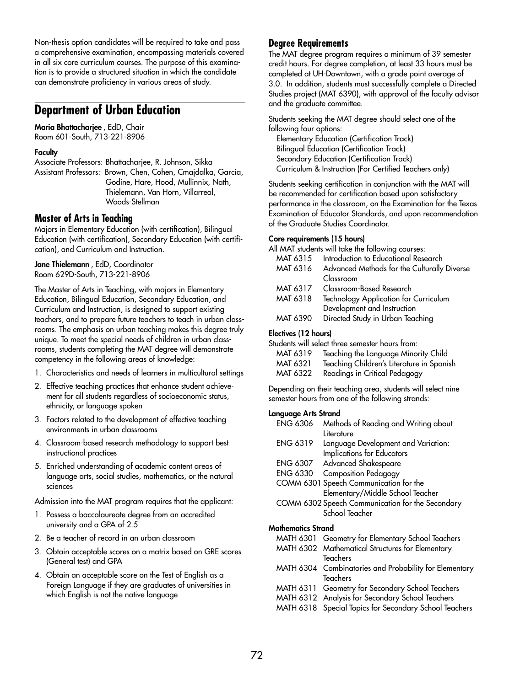Non-thesis option candidates will be required to take and pass a comprehensive examination, encompassing materials covered in all six core curriculum courses. The purpose of this examination is to provide a structured situation in which the candidate can demonstrate proficiency in various areas of study.

## **Department of Urban Education**

**Maria Bhattacharjee** , EdD, Chair Room 601-South, 713-221-8906

#### **Faculty**

Associate Professors: Bhattacharjee, R. Johnson, Sikka Assistant Professors: Brown, Chen, Cohen, Cmajdalka, Garcia, Godine, Hare, Hood, Mullinnix, Nath, Thielemann, Van Horn, Villarreal, Woods-Stellman

#### **Master of Arts in Teaching**

Majors in Elementary Education (with certification), Bilingual Education (with certification), Secondary Education (with certification), and Curriculum and Instruction.

**Jane Thielemann** , EdD, Coordinator Room 629D-South, 713-221-8906

The Master of Arts in Teaching, with majors in Elementary Education, Bilingual Education, Secondary Education, and Curriculum and Instruction, is designed to support existing teachers, and to prepare future teachers to teach in urban classrooms. The emphasis on urban teaching makes this degree truly unique. To meet the special needs of children in urban classrooms, students completing the MAT degree will demonstrate competency in the following areas of knowledge:

- 1. Characteristics and needs of learners in multicultural settings
- 2. Effective teaching practices that enhance student achievement for all students regardless of socioeconomic status, ethnicity, or language spoken
- 3. Factors related to the development of effective teaching environments in urban classrooms
- 4. Classroom-based research methodology to support best instructional practices
- 5. Enriched understanding of academic content areas of language arts, social studies, mathematics, or the natural sciences

Admission into the MAT program requires that the applicant:

- 1. Possess a baccalaureate degree from an accredited university and a GPA of 2.5
- 2. Be a teacher of record in an urban classroom
- 3. Obtain acceptable scores on a matrix based on GRE scores (General test) and GPA
- 4. Obtain an acceptable score on the Test of English as a Foreign Language if they are graduates of universities in which English is not the native language

#### **Degree Requirements**

The MAT degree program requires a minimum of 39 semester credit hours. For degree completion, at least 33 hours must be completed at UH-Downtown, with a grade point average of 3.0. In addition, students must successfully complete a Directed Studies project (MAT 6390), with approval of the faculty advisor and the graduate committee.

Students seeking the MAT degree should select one of the following four options:

Elementary Education (Certification Track) Bilingual Education (Certification Track) Secondary Education (Certification Track) Curriculum & Instruction (For Certified Teachers only)

Students seeking certification in conjunction with the MAT will be recommended for certification based upon satisfactory performance in the classroom, on the Examination for the Texas Examination of Educator Standards, and upon recommendation of the Graduate Studies Coordinator.

#### **Core requirements (15 hours)**

All MAT students will take the following courses:

| MAT 6315 | Introduction to Educational Research        |
|----------|---------------------------------------------|
| MAT 6316 | Advanced Methods for the Culturally Diverse |
|          | Classroom                                   |
| MAT 6317 | Classroom-Based Research                    |
| MAT 6318 | Technology Application for Curriculum       |
|          | Development and Instruction                 |
| MAT 6390 | Directed Study in Urban Teaching            |
|          |                                             |

#### **Electives (12 hours)**

Students will select three semester hours from:

- MAT 6319 Teaching the Language Minority Child
- MAT 6321 Teaching Children's Literature in Spanish
- MAT 6322 Readings in Critical Pedagogy

Depending on their teaching area, students will select nine semester hours from one of the following strands:

#### **Language Arts Strand**

- ENG 6306 Methods of Reading and Writing about Literature
- ENG 6319 Language Development and Variation: Implications for Educators
- ENG 6307 Advanced Shakespeare
- ENG 6330 Composition Pedagogy
- COMM 6301 Speech Communication for the Elementary/Middle School Teacher
- COMM 6302 Speech Communication for the Secondary School Teacher

#### **Mathematics Strand**

MATH 6301 Geometry for Elementary School Teachers

- MATH 6302 Mathematical Structures for Elementary Teachers
- MATH 6304 Combinatories and Probability for Elementary **Teachers**
- MATH 6311 Geometry for Secondary School Teachers
- MATH 6312 Analysis for Secondary School Teachers
- MATH 6318 Special Topics for Secondary School Teachers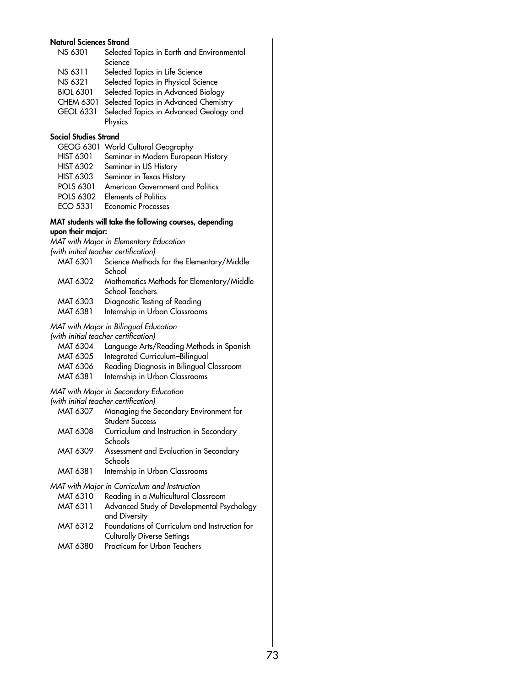#### **Natural Sciences Strand**

| <b>NS 6301</b>   | Selected Topics in Earth and Environmental |
|------------------|--------------------------------------------|
|                  | Science                                    |
| NS 6311          | Selected Topics in Life Science            |
| <b>NS 6321</b>   | Selected Topics in Physical Science        |
| <b>BIOL 6301</b> | Selected Topics in Advanced Biology        |
| <b>CHEM 6301</b> | Selected Topics in Advanced Chemistry      |
| <b>GEOL 6331</b> | Selected Topics in Advanced Geology and    |
|                  | Physics                                    |
|                  |                                            |

#### **Social Studies Strand**

- GEOG 6301 World Cultural Geography
- HIST 6301 Seminar in Modern European History
- HIST 6302 Seminar in US History
- HIST 6303 Seminar in Texas History
- POLS 6301 American Government and Politics
- POLS 6302 Elements of Politics
- ECO 5331 Economic Processes

#### **MAT students will take the following courses, depending upon their major:**

- *MAT with Major in Elementary Education*
- *(with initial teacher certification)*
- MAT 6301 Science Methods for the Elementary/Middle **School**
- MAT 6302 Mathematics Methods for Elementary/Middle School Teachers
- MAT 6303 Diagnostic Testing of Reading
- MAT 6381 Internship in Urban Classrooms

#### *MAT with Major in Bilingual Education*

*(with initial teacher certification)*

- MAT 6304 Language Arts/Reading Methods in Spanish
- MAT 6305 Integrated Curriculum–Bilingual
- MAT 6306 Reading Diagnosis in Bilingual Classroom
- MAT 6381 Internship in Urban Classrooms

#### *MAT with Major in Secondary Education*

*(with initial teacher certification)*

| MAT 6307 | Managing the Secondary Environment for           |
|----------|--------------------------------------------------|
|          | <b>Student Success</b>                           |
|          | MAT 6308 Curriculum and Instruction in Secondary |

- Schools MAT 6309 Assessment and Evaluation in Secondary
- **Schools**
- MAT 6381 Internship in Urban Classrooms

#### *MAT with Major in Curriculum and Instruction*

- MAT 6310 Reading in a Multicultural Classroom
- MAT 6311 Advanced Study of Developmental Psychology and Diversity
- MAT 6312 Foundations of Curriculum and Instruction for Culturally Diverse Settings
- MAT 6380 Practicum for Urban Teachers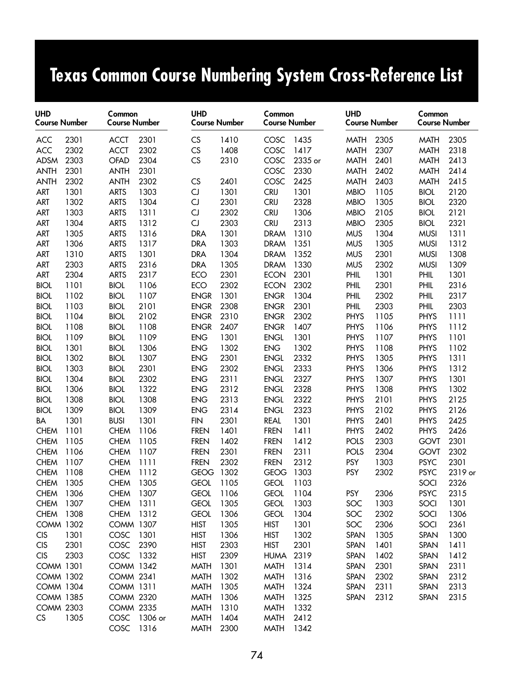# **Texas Common Course Numbering System Cross-Reference List**

| <b>UHD</b><br><b>Course Number</b> |      | Common<br><b>Course Number</b> |              | <b>UHD</b>                 | <b>Course Number</b> |                            | Common<br><b>Course Number</b> |             | <b>UHD</b><br><b>Course Number</b> |             | Common<br><b>Course Number</b> |  |
|------------------------------------|------|--------------------------------|--------------|----------------------------|----------------------|----------------------------|--------------------------------|-------------|------------------------------------|-------------|--------------------------------|--|
| <b>ACC</b>                         | 2301 | <b>ACCT</b>                    | 2301         | CS                         | 1410                 | COSC                       | 1435                           | <b>MATH</b> | 2305                               | <b>MATH</b> | 2305                           |  |
| <b>ACC</b>                         | 2302 | <b>ACCT</b>                    | 2302         | CS                         | 1408                 | COSC                       | 1417                           | <b>MATH</b> | 2307                               | <b>MATH</b> | 2318                           |  |
| <b>ADSM</b>                        | 2303 | <b>OFAD</b>                    | 2304         | CS                         | 2310                 | COSC                       | 2335 or                        | <b>MATH</b> | 2401                               | <b>MATH</b> | 2413                           |  |
| <b>ANTH</b>                        | 2301 | <b>ANTH</b>                    | 2301         |                            |                      | COSC                       | 2330                           | <b>MATH</b> | 2402                               | <b>MATH</b> | 2414                           |  |
| <b>ANTH</b>                        | 2302 | <b>ANTH</b>                    | 2302         | <b>CS</b>                  | 2401                 | COSC                       | 2425                           | <b>MATH</b> | 2403                               | <b>MATH</b> | 2415                           |  |
| <b>ART</b>                         | 1301 | <b>ARTS</b>                    | 1303         | CJ                         | 1301                 | <b>CRIJ</b>                | 1301                           | <b>MBIO</b> | 1105                               | <b>BIOL</b> | 2120                           |  |
| <b>ART</b>                         | 1302 | <b>ARTS</b>                    | 1304         | CJ                         | 2301                 | <b>CRIJ</b>                | 2328                           | <b>MBIO</b> | 1305                               | <b>BIOL</b> | 2320                           |  |
| ART                                | 1303 | <b>ARTS</b>                    | 1311         | CJ                         | 2302                 | <b>CRIJ</b>                | 1306                           | <b>MBIO</b> | 2105                               | <b>BIOL</b> | 2121                           |  |
| ART                                | 1304 | <b>ARTS</b>                    | 1312         | CJ                         | 2303                 | <b>CRIJ</b>                | 2313                           | <b>MBIO</b> | 2305                               | <b>BIOL</b> | 2321                           |  |
| ART                                | 1305 | <b>ARTS</b>                    | 1316         | <b>DRA</b>                 | 1301                 | <b>DRAM</b>                | 1310                           | <b>MUS</b>  | 1304                               | <b>MUSI</b> | 1311                           |  |
| ART                                | 1306 | <b>ARTS</b>                    | 1317         | <b>DRA</b>                 | 1303                 | <b>DRAM</b>                | 1351                           | <b>MUS</b>  | 1305                               | <b>MUSI</b> | 1312                           |  |
| ART                                | 1310 | <b>ARTS</b>                    | 1301         | <b>DRA</b>                 | 1304                 | <b>DRAM</b>                | 1352                           | <b>MUS</b>  | 2301                               | <b>MUSI</b> | 1308                           |  |
| ART                                | 2303 | <b>ARTS</b>                    | 2316         | <b>DRA</b>                 | 1305                 | <b>DRAM</b>                | 1330                           | <b>MUS</b>  | 2302                               | <b>MUSI</b> | 1309                           |  |
| ART                                | 2304 | <b>ARTS</b>                    | 2317         | ECO                        | 2301                 | <b>ECON</b>                | 2301                           | <b>PHIL</b> | 1301                               | <b>PHIL</b> | 1301                           |  |
| <b>BIOL</b>                        | 1101 | <b>BIOL</b>                    | 1106         | <b>ECO</b>                 | 2302                 | <b>ECON</b>                | 2302                           | <b>PHIL</b> | 2301                               | <b>PHIL</b> | 2316                           |  |
| <b>BIOL</b>                        | 1102 | <b>BIOL</b>                    | 1107         | <b>ENGR</b>                | 1301                 | <b>ENGR</b>                | 1304                           | <b>PHIL</b> | 2302                               | <b>PHIL</b> | 2317                           |  |
| <b>BIOL</b>                        | 1103 | <b>BIOL</b>                    | 2101         | <b>ENGR</b>                | 2308                 | <b>ENGR</b>                | 2301                           | <b>PHIL</b> | 2303                               | <b>PHIL</b> | 2303                           |  |
| <b>BIOL</b>                        | 1104 | <b>BIOL</b>                    | 2102         | <b>ENGR</b>                | 2310                 | <b>ENGR</b>                | 2302                           | PHYS        | 1105                               | PHYS        | 1111                           |  |
| <b>BIOL</b>                        | 1108 | <b>BIOL</b>                    | 1108         | <b>ENGR</b>                | 2407                 | <b>ENGR</b>                | 1407                           | PHYS        | 1106                               | PHYS        | 1112                           |  |
| <b>BIOL</b>                        | 1109 | <b>BIOL</b>                    | 1109         | <b>ENG</b>                 | 1301                 | <b>ENGL</b>                | 1301                           | PHYS        | 1107                               | PHYS        | 1101                           |  |
| <b>BIOL</b>                        | 1301 | <b>BIOL</b>                    | 1306         | <b>ENG</b>                 | 1302                 | <b>ENG</b>                 | 1302                           | PHYS        | 1108                               | PHYS        | 1102                           |  |
| <b>BIOL</b>                        | 1302 | <b>BIOL</b>                    | 1307         | <b>ENG</b>                 | 2301                 | <b>ENGL</b>                | 2332                           | PHYS        | 1305                               | <b>PHYS</b> | 1311                           |  |
| <b>BIOL</b>                        | 1303 | <b>BIOL</b>                    | 2301         | <b>ENG</b>                 | 2302                 | <b>ENGL</b>                | 2333                           | PHYS        | 1306                               | <b>PHYS</b> | 1312                           |  |
| <b>BIOL</b>                        | 1304 | <b>BIOL</b>                    | 2302         | <b>ENG</b>                 | 2311                 | <b>ENGL</b>                | 2327                           | PHYS        | 1307                               | <b>PHYS</b> | 1301                           |  |
| <b>BIOL</b>                        | 1306 | <b>BIOL</b>                    | 1322         | <b>ENG</b>                 | 2312                 | <b>ENGL</b>                | 2328                           | PHYS        | 1308                               | <b>PHYS</b> | 1302                           |  |
| <b>BIOL</b>                        | 1308 | <b>BIOL</b>                    | 1308         | <b>ENG</b>                 | 2313                 | <b>ENGL</b>                | 2322                           | PHYS        | 2101                               | PHYS        | 2125                           |  |
| <b>BIOL</b>                        | 1309 | <b>BIOL</b>                    | 1309         | <b>ENG</b>                 | 2314                 | <b>ENGL</b>                | 2323                           | PHYS        | 2102                               | <b>PHYS</b> | 2126                           |  |
| BA                                 | 1301 | <b>BUSI</b>                    | 1301         | <b>FIN</b>                 | 2301                 | <b>REAL</b>                | 1301                           | PHYS        | 2401                               | PHYS        | 2425                           |  |
| <b>CHEM</b>                        | 1101 | <b>CHEM</b>                    | 1106         | <b>FREN</b>                | 1401                 | <b>FREN</b>                | 1411                           | PHYS        | 2402                               | PHYS        | 2426                           |  |
| <b>CHEM</b>                        | 1105 | <b>CHEM</b>                    | 1105         | <b>FREN</b>                | 1402                 | <b>FREN</b>                | 1412                           | <b>POLS</b> | 2303                               | GOVT        | 2301                           |  |
| <b>CHEM</b>                        | 1106 | <b>CHEM</b>                    | 1107         | <b>FREN</b>                | 2301                 | <b>FREN</b>                | 2311                           | <b>POLS</b> | 2304                               | GOVT        | 2302                           |  |
| <b>CHEM</b>                        | 1107 | <b>CHEM</b>                    | 1111         | <b>FREN</b>                | 2302                 | <b>FREN</b>                | 2312                           | <b>PSY</b>  | 1303                               | <b>PSYC</b> | 2301                           |  |
| <b>CHEM</b>                        | 1108 | <b>CHEM</b>                    | 1112         | <b>GEOG</b>                | 1302                 | <b>GEOG</b>                | 1303                           | <b>PSY</b>  | 2302                               | <b>PSYC</b> | 2319 or                        |  |
| <b>CHEM</b>                        | 1305 | <b>CHEM</b>                    | 1305         | <b>GEOL</b>                | 1105                 | <b>GEOL</b>                | 1103                           |             |                                    | SOCI        | 2326                           |  |
| <b>CHEM</b>                        | 1306 | CHEM 1307                      |              | <b>GEOL</b>                | 1106                 | <b>GEOL</b>                | 1104                           | <b>PSY</b>  | 2306                               | <b>PSYC</b> | 2315                           |  |
| <b>CHEM</b>                        | 1307 | CHEM 1311                      |              | <b>GEOL</b>                | 1305                 | <b>GEOL</b>                | 1303                           | SOC         | 1303                               | SOCI        | 1301                           |  |
| <b>CHEM</b>                        | 1308 | CHEM 1312                      |              | <b>GEOL</b>                | 1306                 | <b>GEOL</b>                | 1304                           | SOC         | 2302                               | SOCI        | 1306                           |  |
| <b>COMM 1302</b>                   |      | COMM 1307                      |              | <b>HIST</b>                | 1305                 | <b>HIST</b>                | 1301                           | SOC         | 2306                               | SOCI        | 2361                           |  |
| <b>CIS</b>                         | 1301 | COSC                           | 1301         | <b>HIST</b>                | 1306                 | <b>HIST</b>                | 1302                           | SPAN        | 1305                               | SPAN        | 1300                           |  |
| <b>CIS</b>                         | 2301 | COSC 2390                      |              | <b>HIST</b>                | 2303                 | <b>HIST</b>                | 2301                           | SPAN        | 1401                               | SPAN        | 1411                           |  |
| <b>CIS</b>                         | 2303 | COSC 1332                      |              | <b>HIST</b>                | 2309                 | <b>HUMA</b>                | 2319                           | SPAN        | 1402                               | SPAN        | 1412                           |  |
| <b>COMM 1301</b>                   |      | <b>COMM 1342</b>               |              | <b>MATH</b>                | 1301                 | <b>MATH</b>                | 1314                           | SPAN        | 2301                               | SPAN        | 2311                           |  |
| <b>COMM 1302</b>                   |      | <b>COMM 2341</b>               |              | <b>MATH</b>                | 1302                 | <b>MATH</b>                | 1316                           | SPAN        | 2302                               | SPAN        | 2312                           |  |
| <b>COMM 1304</b>                   |      | <b>COMM 1311</b>               |              | <b>MATH</b>                | 1305                 | <b>MATH</b>                | 1324                           | SPAN        | 2311                               | SPAN        | 2313                           |  |
| <b>COMM 1385</b>                   |      | <b>COMM 2320</b>               |              | <b>MATH</b>                | 1306                 | <b>MATH</b>                | 1325                           | SPAN        | 2312                               | SPAN        | 2315                           |  |
| <b>COMM 2303</b>                   |      | COMM 2335                      |              | <b>MATH</b>                | 1310                 | <b>MATH</b>                | 1332                           |             |                                    |             |                                |  |
|                                    | 1305 |                                | COSC 1306 or |                            |                      |                            | 2412                           |             |                                    |             |                                |  |
| CS                                 |      | COSC 1316                      |              | <b>MATH</b><br><b>MATH</b> | 1404<br>2300         | <b>MATH</b><br><b>MATH</b> | 1342                           |             |                                    |             |                                |  |
|                                    |      |                                |              |                            |                      |                            |                                |             |                                    |             |                                |  |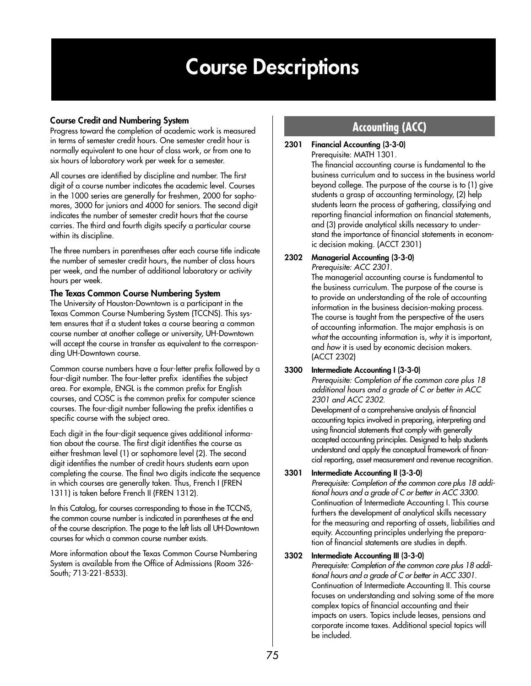# **Course Descriptions**

#### **Course Credit and Numbering System**

Progress toward the completion of academic work is measured in terms of semester credit hours. One semester credit hour is normally equivalent to one hour of class work, or from one to six hours of laboratory work per week for a semester.

All courses are identified by discipline and number. The first digit of a course number indicates the academic level. Courses in the 1000 series are generally for freshmen, 2000 for sophomores, 3000 for juniors and 4000 for seniors. The second digit indicates the number of semester credit hours that the course carries. The third and fourth digits specify a particular course within its discipline.

The three numbers in parentheses after each course title indicate the number of semester credit hours, the number of class hours per week, and the number of additional laboratory or activity hours per week.

### **The Texas Common Course Numbering System**

The University of Houston-Downtown is a participant in the Texas Common Course Numbering System (TCCNS). This system ensures that if a student takes a course bearing a common course number at another college or university, UH-Downtown will accept the course in transfer as equivalent to the corresponding UH-Downtown course.

Common course numbers have a four-letter prefix followed by a four-digit number. The four-letter prefix identifies the subject area. For example, ENGL is the common prefix for English courses, and COSC is the common prefix for computer science courses. The four-digit number following the prefix identifies a specific course with the subject area.

Each digit in the four-digit sequence gives additional information about the course. The first digit identifies the course as either freshman level (1) or sophomore level (2). The second digit identifies the number of credit hours students earn upon completing the course. The final two digits indicate the sequence in which courses are generally taken. Thus, French I (FREN 1311) is taken before French II (FREN 1312).

In this Catalog, for courses corresponding to those in the TCCNS, the common course number is indicated in parentheses at the end of the course description. The page to the left lists all UH-Downtown courses for which a common course number exists.

More information about the Texas Common Course Numbering System is available from the Office of Admissions (Room 326- South; 713-221-8533).

# **Accounting (ACC)**

## **2301 Financial Accounting (3-3-0)**

Prerequisite: MATH 1301. The financial accounting course is fundamental to the business curriculum and to success in the business world beyond college. The purpose of the course is to (1) give students a grasp of accounting terminology, (2) help students learn the process of gathering, classifying and reporting financial information on financial statements, and (3) provide analytical skills necessary to understand the importance of financial statements in economic decision making. (ACCT 2301)

## **2302 Managerial Accounting (3-3-0)**

*Prerequisite: ACC 2301.*

The managerial accounting course is fundamental to the business curriculum. The purpose of the course is to provide an understanding of the role of accounting information in the business decision-making process. The course is taught from the perspective of the users of accounting information. The major emphasis is on *what* the accounting information is, *why* it is important, and *how* it is used by economic decision makers. (ACCT 2302)

### **3300 Intermediate Accounting I (3-3-0)**

*Prerequisite: Completion of the common core plus 18 additional hours and a grade of C or better in ACC 2301 and ACC 2302.*

Development of a comprehensive analysis of financial accounting topics involved in preparing, interpreting and using financial statements that comply with generally accepted accounting principles. Designed to help students understand and apply the conceptual framework of financial reporting, asset measurement and revenue recognition.

#### **3301 Intermediate Accounting II (3-3-0)**

*Prerequisite: Completion of the common core plus 18 additional hours and a grade of C or better in ACC 3300.* Continuation of Intermediate Accounting I. This course furthers the development of analytical skills necessary for the measuring and reporting of assets, liabilities and equity. Accounting principles underlying the preparation of financial statements are studies in depth.

#### **3302 Intermediate Accounting III (3-3-0)**

*Prerequisite: Completion of the common core plus 18 additional hours and a grade of C or better in ACC 3301.* Continuation of Intermediate Accounting II. This course focuses on understanding and solving some of the more complex topics of financial accounting and their impacts on users. Topics include leases, pensions and corporate income taxes. Additional special topics will be included.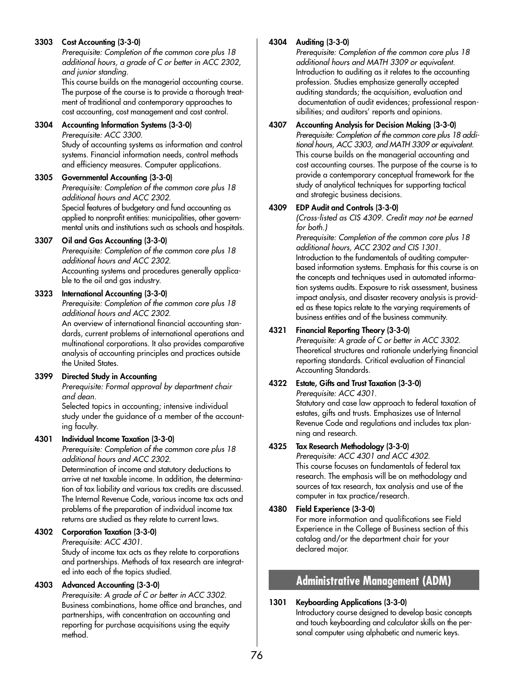#### **3303 Cost Accounting (3-3-0)**

*Prerequisite: Completion of the common core plus 18 additional hours, a grade of C or better in ACC 2302, and junior standing.*

This course builds on the managerial accounting course. The purpose of the course is to provide a thorough treatment of traditional and contemporary approaches to cost accounting, cost management and cost control.

#### **3304 Accounting Information Systems (3-3-0)**

*Prerequisite: ACC 3300.*

Study of accounting systems as information and control systems. Financial information needs, control methods and efficiency measures. Computer applications.

#### **3305 Governmental Accounting (3-3-0)**

*Prerequisite: Completion of the common core plus 18 additional hours and ACC 2302.* Special features of budgetary and fund accounting as

applied to nonprofit entities: municipalities, other governmental units and institutions such as schools and hospitals.

#### **3307 Oil and Gas Accounting (3-3-0)**

*Prerequisite: Completion of the common core plus 18 additional hours and ACC 2302.* Accounting systems and procedures generally applicable to the oil and gas industry.

#### **3323 International Accounting (3-3-0)**

*Prerequisite: Completion of the common core plus 18 additional hours and ACC 2302.*

An overview of international financial accounting standards, current problems of international operations and multinational corporations. It also provides comparative analysis of accounting principles and practices outside the United States.

### **3399 Directed Study in Accounting**

*Prerequisite: Formal approval by department chair and dean.*

Selected topics in accounting; intensive individual study under the guidance of a member of the accounting faculty.

### **4301 Individual Income Taxation (3-3-0)**

*Prerequisite: Completion of the common core plus 18 additional hours and ACC 2302.*

Determination of income and statutory deductions to arrive at net taxable income. In addition, the determination of tax liability and various tax credits are discussed. The Internal Revenue Code, various income tax acts and problems of the preparation of individual income tax returns are studied as they relate to current laws.

#### **4302 Corporation Taxation (3-3-0)**

*Prerequisite: ACC 4301.*

Study of income tax acts as they relate to corporations and partnerships. Methods of tax research are integrated into each of the topics studied.

#### **4303 Advanced Accounting (3-3-0)**

*Prerequisite: A grade of C or better in ACC 3302.* Business combinations, home office and branches, and partnerships, with concentration on accounting and reporting for purchase acquisitions using the equity method.

#### **4304 Auditing (3-3-0)**

*Prerequisite: Completion of the common core plus 18 additional hours and MATH 3309 or equivalent.* Introduction to auditing as it relates to the accounting profession. Studies emphasize generally accepted auditing standards; the acquisition, evaluation and documentation of audit evidences; professional responsibilities; and auditors' reports and opinions.

## **4307 Accounting Analysis for Decision Making (3-3-0)**

*Prerequisite: Completion of the common core plus 18 additional hours, ACC 3303, and MATH 3309 or equivalent.* This course builds on the managerial accounting and cost accounting courses. The purpose of the course is to provide a contemporary conceptual framework for the study of analytical techniques for supporting tactical and strategic business decisions.

#### **4309 EDP Audit and Controls (3-3-0)**

*(Cross-listed as CIS 4309. Credit may not be earned for both.)*

*Prerequisite: Completion of the common core plus 18 additional hours, ACC 2302 and CIS 1301.* Introduction to the fundamentals of auditing computerbased information systems. Emphasis for this course is on the concepts and techniques used in automated information systems audits. Exposure to risk assessment, business impact analysis, and disaster recovery analysis is provided as these topics relate to the varying requirements of business entities and of the business community.

#### **4321 Financial Reporting Theory (3-3-0)**

*Prerequisite: A grade of C or better in ACC 3302.* Theoretical structures and rationale underlying financial reporting standards. Critical evaluation of Financial Accounting Standards.

#### **4322 Estate, Gifts and Trust Taxation (3-3-0)** *Prerequisite: ACC 4301.* Statutory and case law approach to federal taxation of estates, gifts and trusts. Emphasizes use of Internal Revenue Code and regulations and includes tax planning and research.

#### **4325 Tax Research Methodology (3-3-0)**

*Prerequisite: ACC 4301 and ACC 4302.* This course focuses on fundamentals of federal tax research. The emphasis will be on methodology and sources of tax research, tax analysis and use of the computer in tax practice/research.

#### **4380 Field Experience (3-3-0)**

For more information and qualifications see Field Experience in the College of Business section of this catalog and/or the department chair for your declared major.

## **Administrative Management (ADM)**

### **1301 Keyboarding Applications (3-3-0)**

Introductory course designed to develop basic concepts and touch keyboarding and calculator skills on the personal computer using alphabetic and numeric keys.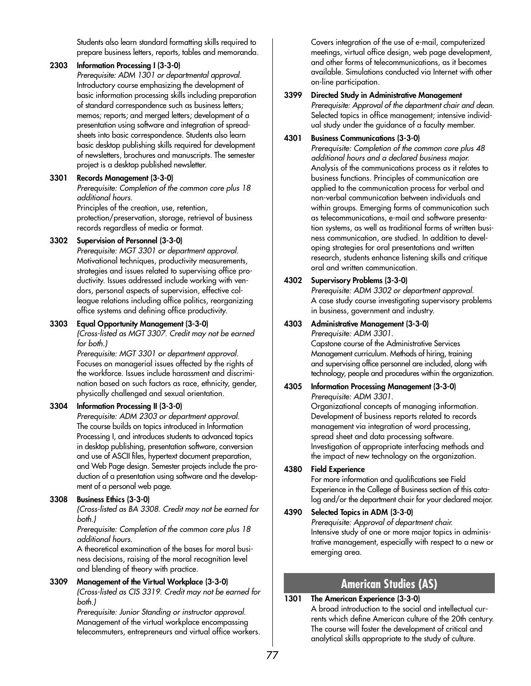Students also learn standard formatting skills required to prepare business letters, reports, tables and memoranda.

#### **2303 Information Processing I (3-3-0)**

*Prerequisite: ADM 1301 or departmental approval.* Introductory course emphasizing the development of basic information processing skills including preparation of standard correspondence such as business letters; memos; reports; and merged letters; development of a presentation using software and integration of spreadsheets into basic correspondence. Students also learn basic desktop publishing skills required for development of newsletters, brochures and manuscripts. The semester project is a desktop published newsletter.

#### **3301 Records Management (3-3-0)**

*Prerequisite: Completion of the common core plus 18 additional hours.*

Principles of the creation, use, retention, protection/preservation, storage, retrieval of business records regardless of media or format.

#### **3302 Supervision of Personnel (3-3-0)**

*Prerequisite: MGT 3301 or department approval.* Motivational techniques, productivity measurements, strategies and issues related to supervising office productivity. Issues addressed include working with vendors, personal aspects of supervision, effective colleague relations including office politics, reorganizing office systems and defining office productivity.

#### **3303 Equal Opportunity Management (3-3-0)**

*(Cross-listed as MGT 3307. Credit may not be earned for both.)*

*Prerequisite: MGT 3301 or department approval.* Focuses on managerial issues affected by the rights of the workforce. Issues include harassment and discrimination based on such factors as race, ethnicity, gender, physically challenged and sexual orientation.

#### **3304 Information Processing II (3-3-0)**

*Prerequisite: ADM 2303 or department approval.* The course builds on topics introduced in Information Processing I, and introduces students to advanced topics in desktop publishing, presentation software, conversion and use of ASCII files, hypertext document preparation, and Web Page design. Semester projects include the production of a presentation using software and the development of a personal web page.

#### **3308 Business Ethics (3-3-0)**

*(Cross-listed as BA 3308. Credit may not be earned for both.)*

*Prerequisite: Completion of the common core plus 18 additional hours.*

A theoretical examination of the bases for moral business decisions, raising of the moral recognition level and blending of theory with practice.

#### **3309 Management of the Virtual Workplace (3-3-0)**

*(Cross-listed as CIS 3319. Credit may not be earned for both.)*

*Prerequisite: Junior Standing or instructor approval.* Management of the virtual workplace encompassing telecommuters, entrepreneurs and virtual office workers.

Covers integration of the use of e-mail, computerized meetings, virtual office design, web page development, and other forms of telecommunications, as it becomes available. Simulations conducted via Internet with other on-line participation.

#### **3399 Directed Study in Administrative Management** *Prerequisite: Approval of the department chair and dean.* Selected topics in office management; intensive individual study under the guidance of a faculty member.

#### **4301 Business Communications (3-3-0)**

*Prerequisite: Completion of the common core plus 48 additional hours and a declared business major.* Analysis of the communications process as it relates to business functions. Principles of communication are applied to the communication process for verbal and non-verbal communication between individuals and within groups. Emerging forms of communication such as telecommunications, e-mail and software presentation systems, as well as traditional forms of written business communication, are studied. In addition to developing strategies for oral presentations and written research, students enhance listening skills and critique oral and written communication.

#### **4302 Supervisory Problems (3-3-0)**

*Prerequisite: ADM 3302 or department approval.* A case study course investigating supervisory problems in business, government and industry.

#### **4303 Administrative Management (3-3-0)**

*Prerequisite: ADM 3301.* Capstone course of the Administrative Services Management curriculum. Methods of hiring, training and supervising office personnel are included, along with technology, people and procedures within the organization.

#### **4305 Information Processing Management (3-3-0)**

*Prerequisite: ADM 3301.*

Organizational concepts of managing information. Development of business reports related to records management via integration of word processing, spread sheet and data processing software. Investigation of appropriate interfacing methods and the impact of new technology on the organization.

#### **4380 Field Experience**

For more information and qualifications see Field Experience in the College of Business section of this catalog and/or the department chair for your declared major.

#### **4390 Selected Topics in ADM (3-3-0)**

*Prerequisite: Approval of department chair.* Intensive study of one or more major topics in administrative management, especially with respect to a new or emerging area.

## **American Studies (AS)**

#### **1301 The American Experience (3-3-0)**

A broad introduction to the social and intellectual currents which define American culture of the 20th century. The course will foster the development of critical and analytical skills appropriate to the study of culture.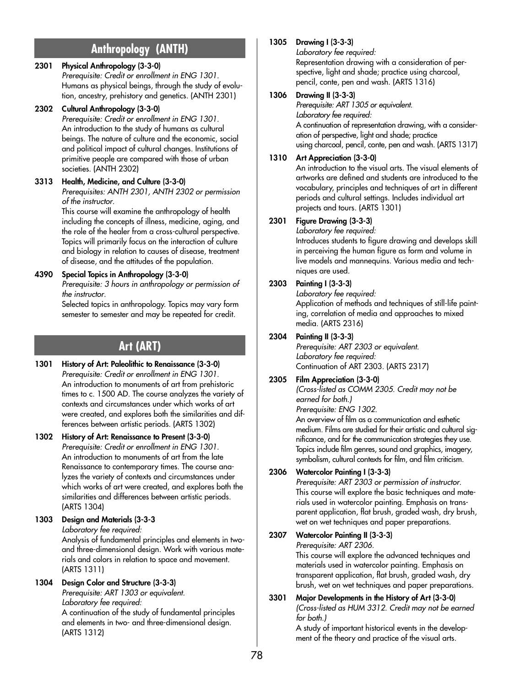# **Anthropology (ANTH)**

#### **2301 Physical Anthropology (3-3-0)**

*Prerequisite: Credit or enrollment in ENG 1301.* Humans as physical beings, through the study of evolution, ancestry, prehistory and genetics. (ANTH 2301)

#### **2302 Cultural Anthropology (3-3-0)**

*Prerequisite: Credit or enrollment in ENG 1301.* An introduction to the study of humans as cultural beings. The nature of culture and the economic, social and political impact of cultural changes. Institutions of primitive people are compared with those of urban societies. (ANTH 2302)

#### **3313 Health, Medicine, and Culture (3-3-0)**

*Prerequisites: ANTH 2301, ANTH 2302 or permission of the instructor.*

This course will examine the anthropology of health including the concepts of illness, medicine, aging, and the role of the healer from a cross-cultural perspective. Topics will primarily focus on the interaction of culture and biology in relation to causes of disease, treatment of disease, and the attitudes of the population.

#### **4390 Special Topics in Anthropology (3-3-0)**

*Prerequisite: 3 hours in anthropology or permission of the instructor.*

Selected topics in anthropology. Topics may vary form semester to semester and may be repeated for credit.

# **Art (ART)**

**1301 History of Art: Paleolithic to Renaissance (3-3-0)** *Prerequisite: Credit or enrollment in ENG 1301.* An introduction to monuments of art from prehistoric times to c. 1500 AD. The course analyzes the variety of contexts and circumstances under which works of art were created, and explores both the similarities and differences between artistic periods. (ARTS 1302)

### **1302 History of Art: Renaissance to Present (3-3-0)**

*Prerequisite: Credit or enrollment in ENG 1301.* An introduction to monuments of art from the late Renaissance to contemporary times. The course analyzes the variety of contexts and circumstances under which works of art were created, and explores both the similarities and differences between artistic periods. (ARTS 1304)

#### **1303 Design and Materials (3-3-3**

*Laboratory fee required:* 

Analysis of fundamental principles and elements in twoand three-dimensional design. Work with various materials and colors in relation to space and movement. (ARTS 1311)

#### **1304 Design Color and Structure (3-3-3)**

*Prerequisite: ART 1303 or equivalent. Laboratory fee required:* A continuation of the study of fundamental principles and elements in two- and three-dimensional design. (ARTS 1312)

#### **1305 Drawing I (3-3-3)**

*Laboratory fee required:*  Representation drawing with a consideration of perspective, light and shade; practice using charcoal, pencil, conte, pen and wash. (ARTS 1316)

#### **1306 Drawing II (3-3-3)**

*Prerequisite: ART 1305 or equivalent. Laboratory fee required:*  A continuation of representation drawing, with a consideration of perspective, light and shade; practice using charcoal, pencil, conte, pen and wash. (ARTS 1317)

#### **1310 Art Appreciation (3-3-0)**

An introduction to the visual arts. The visual elements of artworks are defined and students are introduced to the vocabulary, principles and techniques of art in different periods and cultural settings. Includes individual art projects and tours. (ARTS 1301)

#### **2301 Figure Drawing (3-3-3)**

*Laboratory fee required:* Introduces students to figure drawing and develops skill in perceiving the human figure as form and volume in live models and mannequins. Various media and techniques are used.

#### **2303 Painting I (3-3-3)**

*Laboratory fee required:* Application of methods and techniques of still-life painting, correlation of media and approaches to mixed media. (ARTS 2316)

#### **2304 Painting II (3-3-3)**

*Prerequisite: ART 2303 or equivalent. Laboratory fee required:*  Continuation of ART 2303. (ARTS 2317)

#### **2305 Film Appreciation (3-3-0)**

*(Cross-listed as COMM 2305. Credit may not be earned for both.)* 

*Prerequisite: ENG 1302.*

An overview of film as a communication and esthetic medium. Films are studied for their artistic and cultural significance, and for the communication strategies they use. Topics include film genres, sound and graphics, imagery, symbolism, cultural contexts for film, and film criticism.

#### **2306 Watercolor Painting I (3-3-3)**

*Prerequisite: ART 2303 or permission of instructor.* This course will explore the basic techniques and materials used in watercolor painting. Emphasis on transparent application, flat brush, graded wash, dry brush, wet on wet techniques and paper preparations.

#### **2307 Watercolor Painting II (3-3-3)**

*Prerequisite: ART 2306.*

This course will explore the advanced techniques and materials used in watercolor painting. Emphasis on transparent application, flat brush, graded wash, dry brush, wet on wet techniques and paper preparations*.*

#### **3301 Major Developments in the History of Art (3-3-0)** *(Cross-listed as HUM 3312. Credit may not be earned for both.)*

A study of important historical events in the development of the theory and practice of the visual arts.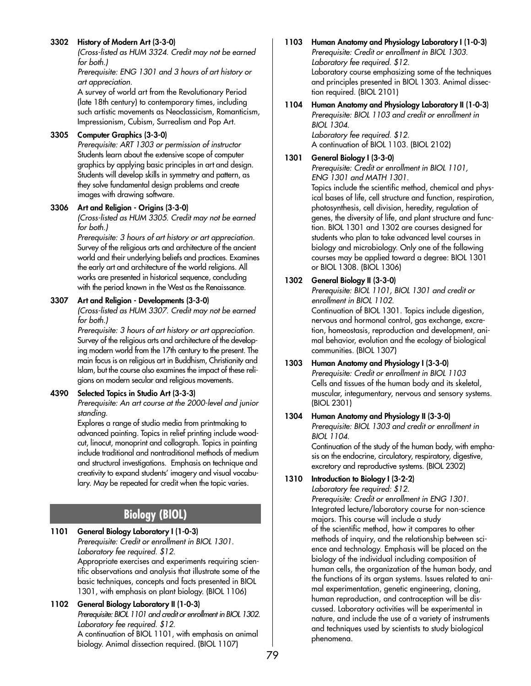#### **3302 History of Modern Art (3-3-0)**

*(Cross-listed as HUM 3324. Credit may not be earned for both.)*

*Prerequisite: ENG 1301 and 3 hours of art history or art appreciation.*

A survey of world art from the Revolutionary Period (late 18th century) to contemporary times, including such artistic movements as Neoclassicism, Romanticism, Impressionism, Cubism, Surrealism and Pop Art.

#### **3305 Computer Graphics (3-3-0)**

*Prerequisite: ART 1303 or permission of instructor* Students learn about the extensive scope of computer graphics by applying basic principles in art and design. Students will develop skills in symmetry and pattern, as they solve fundamental design problems and create images with drawing software.

#### **3306 Art and Religion - Origins (3-3-0)**

*(Cross-listed as HUM 3305. Credit may not be earned for both.)*

*Prerequisite: 3 hours of art history or art appreciation.* Survey of the religious arts and architecture of the ancient world and their underlying beliefs and practices. Examines the early art and architecture of the world religions. All works are presented in historical sequence, concluding with the period known in the West as the Renaissance.

#### **3307 Art and Religion - Developments (3-3-0)**

*(Cross-listed as HUM 3307. Credit may not be earned for both.)*

*Prerequisite: 3 hours of art history or art appreciation.* Survey of the religious arts and architecture of the developing modern world from the 17th century to the present. The main focus is on religious art in Buddhism, Christianity and Islam, but the course also examines the impact of these religions on modern secular and religious movements.

#### **4390 Selected Topics in Studio Art (3-3-3)**

*Prerequisite: An art course at the 2000-level and junior standing.*

Explores a range of studio media from printmaking to advanced painting. Topics in relief printing include woodcut, linocut, monoprint and collograph. Topics in painting include traditional and nontraditional methods of medium and structural investigations. Emphasis on technique and creativity to expand students' imagery and visual vocabulary. May be repeated for credit when the topic varies.

# **Biology (BIOL)**

**1101 General Biology Laboratory I (1-0-3)**

*Prerequisite: Credit or enrollment in BIOL 1301. Laboratory fee required. \$12.*

Appropriate exercises and experiments requiring scientific observations and analysis that illustrate some of the basic techniques, concepts and facts presented in BIOL 1301, with emphasis on plant biology. (BIOL 1106)

### **1102 General Biology Laboratory II (1-0-3)** *Prerequisite: BIOL 1101 and credit or enrollment in BIOL 1302. Laboratory fee required. \$12.*

A continuation of BIOL 1101, with emphasis on animal biology. Animal dissection required. (BIOL 1107)

#### **1103 Human Anatomy and Physiology Laboratory I (1-0-3)** *Prerequisite: Credit or enrollment in BIOL 1303. Laboratory fee required. \$12.* Laboratory course emphasizing some of the techniques and principles presented in BIOL 1303. Animal dissection required. (BIOL 2101)

#### **1104 Human Anatomy and Physiology Laboratory II (1-0-3)** *Prerequisite: BIOL 1103 and credit or enrollment in BIOL 1304. Laboratory fee required. \$12.* A continuation of BIOL 1103. (BIOL 2102)

#### **1301 General Biology I (3-3-0)**

*Prerequisite: Credit or enrollment in BIOL 1101, ENG 1301 and MATH 1301.*

Topics include the scientific method, chemical and physical bases of life, cell structure and function, respiration, photosynthesis, cell division, heredity, regulation of genes, the diversity of life, and plant structure and function. BIOL 1301 and 1302 are courses designed for students who plan to take advanced level courses in biology and microbiology. Only one of the following courses may be applied toward a degree: BIOL 1301 or BIOL 1308. (BIOL 1306)

#### **1302 General Biology II (3-3-0)**

*Prerequisite: BIOL 1101, BIOL 1301 and credit or enrollment in BIOL 1102.*

Continuation of BIOL 1301. Topics include digestion, nervous and hormonal control, gas exchange, excretion, homeostasis, reproduction and development, animal behavior, evolution and the ecology of biological communities. (BIOL 1307)

#### **1303 Human Anatomy and Physiology I (3-3-0)** *Prerequisite: Credit or enrollment in BIOL 1103* Cells and tissues of the human body and its skeletal, muscular, integumentary, nervous and sensory systems. (BIOL 2301)

#### **1304 Human Anatomy and Physiology II (3-3-0)**

*Prerequisite: BIOL 1303 and credit or enrollment in BIOL 1104.*

Continuation of the study of the human body, with emphasis on the endocrine, circulatory, respiratory, digestive, excretory and reproductive systems. (BIOL 2302)

#### **1310 Introduction to Biology I (3-2-2)**

*Laboratory fee required: \$12. Prerequisite: Credit or enrollment in ENG 1301.* Integrated lecture/laboratory course for non-science majors. This course will include a study of the scientific method, how it compares to other methods of inquiry, and the relationship between science and technology. Emphasis will be placed on the biology of the individual including composition of human cells, the organization of the human body, and the functions of its organ systems. Issues related to animal experimentation, genetic engineering, cloning, human reproduction, and contraception will be discussed. Laboratory activities will be experimental in nature, and include the use of a variety of instruments and techniques used by scientists to study biological phenomena.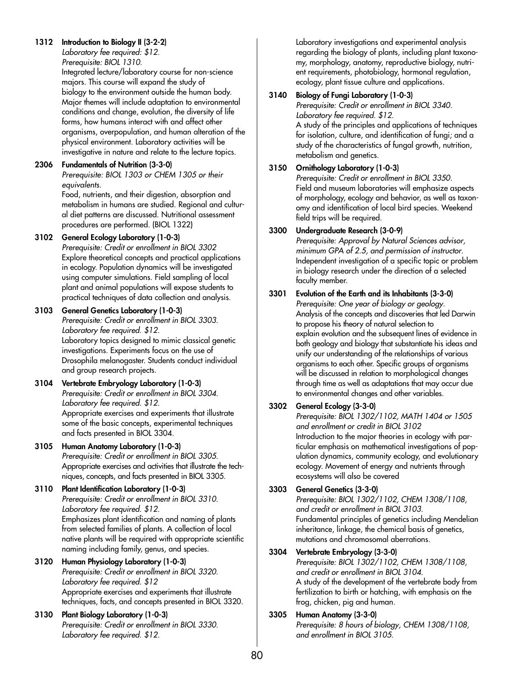#### **1312 Introduction to Biology II (3-2-2)**

*Laboratory fee required: \$12. Prerequisite: BIOL 1310.*

Integrated lecture/laboratory course for non-science majors. This course will expand the study of biology to the environment outside the human body. Major themes will include adaptation to environmental conditions and change, evolution, the diversity of life forms, how humans interact with and affect other organisms, overpopulation, and human alteration of the physical environment. Laboratory activities will be investigative in nature and relate to the lecture topics.

#### **2306 Fundamentals of Nutrition (3-3-0)**

*Prerequisite: BIOL 1303 or CHEM 1305 or their*  $equivalents.$ 

Food, nutrients, and their digestion, absorption and metabolism in humans are studied. Regional and cultural diet patterns are discussed. Nutritional assessment procedures are performed. (BIOL 1322)

### **3102 General Ecology Laboratory (1-0-3)**

*Prerequisite: Credit or enrollment in BIOL 3302* Explore theoretical concepts and practical applications in ecology. Population dynamics will be investigated using computer simulations. Field sampling of local plant and animal populations will expose students to practical techniques of data collection and analysis.

#### **3103 General Genetics Laboratory (1-0-3)**

*Prerequisite: Credit or enrollment in BIOL 3303. Laboratory fee required. \$12.* Laboratory topics designed to mimic classical genetic investigations. Experiments focus on the use of Drosophila melanogaster. Students conduct individual and group research projects.

#### **3104 Vertebrate Embryology Laboratory (1-0-3)** *Prerequisite: Credit or enrollment in BIOL 3304. Laboratory fee required. \$12.* Appropriate exercises and experiments that illustrate some of the basic concepts, experimental techniques and facts presented in BIOL 3304.

## **3105 Human Anatomy Laboratory (1-0-3)**

*Prerequisite: Credit or enrollment in BIOL 3305.* Appropriate exercises and activities that illustrate the techniques, concepts, and facts presented in BIOL 3305.

#### **3110 Plant Identification Laboratory (1-0-3)** *Prerequisite: Credit or enrollment in BIOL 3310. Laboratory fee required. \$12.* Emphasizes plant identification and naming of plants from selected families of plants. A collection of local native plants will be required with appropriate scientific naming including family, genus, and species.

#### **3120 Human Physiology Laboratory (1-0-3)** *Prerequisite: Credit or enrollment in BIOL 3320. Laboratory fee required. \$12* Appropriate exercises and experiments that illustrate techniques, facts, and concepts presented in BIOL 3320.

### **3130 Plant Biology Laboratory (1-0-3)** *Prerequisite: Credit or enrollment in BIOL 3330. Laboratory fee required. \$12.*

Laboratory investigations and experimental analysis regarding the biology of plants, including plant taxonomy, morphology, anatomy, reproductive biology, nutrient requirements, photobiology, hormonal regulation, ecology, plant tissue culture and applications.

## **3140 Biology of Fungi Laboratory (1-0-3)**

*Prerequisite: Credit or enrollment in BIOL 3340. Laboratory fee required. \$12.* A study of the principles and applications of techniques for isolation, culture, and identification of fungi; and a study of the characteristics of fungal growth, nutrition, metabolism and genetics.

## **3150 Ornithology Laboratory (1-0-3)**

*Prerequisite: Credit or enrollment in BIOL 3350.* Field and museum laboratories will emphasize aspects of morphology, ecology and behavior, as well as taxonomy and identification of local bird species. Weekend field trips will be required.

## **3300 Undergraduate Research (3-0-9)**

*Prerequisite: Approval by Natural Sciences advisor, minimum GPA of 2.5, and permission of instructor.* Independent investigation of a specific topic or problem in biology research under the direction of a selected faculty member.

#### **3301 Evolution of the Earth and its Inhabitants (3-3-0)** *Prerequisite: One year of biology or geology.* Analysis of the concepts and discoveries that led Darwin to propose his theory of natural selection to explain evolution and the subsequent lines of evidence in both geology and biology that substantiate his ideas and unify our understanding of the relationships of various organisms to each other. Specific groups of organisms will be discussed in relation to morphological changes through time as well as adaptations that may occur due to environmental changes and other variables.

## **3302 General Ecology (3-3-0)**

*Prerequisite: BIOL 1302/1102, MATH 1404 or 1505 and enrollment or credit in BIOL 3102* Introduction to the major theories in ecology with particular emphasis on mathematical investigations of population dynamics, community ecology, and evolutionary ecology. Movement of energy and nutrients through ecosystems will also be covered

## **3303 General Genetics (3-3-0)**

*Prerequisite: BIOL 1302/1102, CHEM 1308/1108, and credit or enrollment in BIOL 3103.* Fundamental principles of genetics including Mendelian inheritance, linkage, the chemical basis of genetics, mutations and chromosomal aberrations.

## **3304 Vertebrate Embryology (3-3-0)**

*Prerequisite: BIOL 1302/1102, CHEM 1308/1108, and credit or enrollment in BIOL 3104.* A study of the development of the vertebrate body from fertilization to birth or hatching, with emphasis on the frog, chicken, pig and human.

## **3305 Human Anatomy (3-3-0)**

*Prerequisite: 8 hours of biology, CHEM 1308/1108, and enrollment in BIOL 3105.*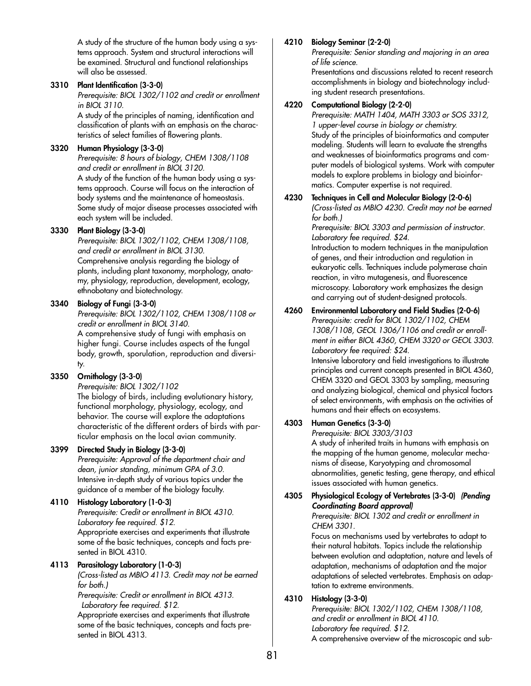A study of the structure of the human body using a systems approach. System and structural interactions will be examined. Structural and functional relationships will also be assessed.

#### **3310 Plant Identification (3-3-0)**

*Prerequisite: BIOL 1302/1102 and credit or enrollment in BIOL 3110.*

A study of the principles of naming, identification and classification of plants with an emphasis on the characteristics of select families of flowering plants.

#### **3320 Human Physiology (3-3-0)**

*Prerequisite: 8 hours of biology, CHEM 1308/1108 and credit or enrollment in BIOL 3120.* A study of the function of the human body using a systems approach. Course will focus on the interaction of body systems and the maintenance of homeostasis. Some study of major disease processes associated with each system will be included.

#### **3330 Plant Biology (3-3-0)**

*Prerequisite: BIOL 1302/1102, CHEM 1308/1108, and credit or enrollment in BIOL 3130.* Comprehensive analysis regarding the biology of plants, including plant taxonomy, morphology, anatomy, physiology, reproduction, development, ecology, ethnobotany and biotechnology.

#### **3340 Biology of Fungi (3-3-0)**

*Prerequisite: BIOL 1302/1102, CHEM 1308/1108 or credit or enrollment in BIOL 3140.*

A comprehensive study of fungi with emphasis on higher fungi. Course includes aspects of the fungal body, growth, sporulation, reproduction and diversitv.

#### **3350 Ornithology (3-3-0)**

*Prerequisite: BIOL 1302/1102*

The biology of birds, including evolutionary history, functional morphology, physiology, ecology, and behavior. The course will explore the adaptations characteristic of the different orders of birds with particular emphasis on the local avian community.

#### **3399 Directed Study in Biology (3-3-0)**

*Prerequisite: Approval of the department chair and dean, junior standing, minimum GPA of 3.0.* Intensive in-depth study of various topics under the guidance of a member of the biology faculty.

### **4110 Histology Laboratory (1-0-3)**

*Prerequisite: Credit or enrollment in BIOL 4310. Laboratory fee required. \$12.* Appropriate exercises and experiments that illustrate

some of the basic techniques, concepts and facts presented in BIOL 4310.

#### **4113 Parasitology Laboratory (1-0-3)**

*(Cross-listed as MBIO 4113. Credit may not be earned for both.)*

*Prerequisite: Credit or enrollment in BIOL 4313. Laboratory fee required. \$12.*

Appropriate exercises and experiments that illustrate some of the basic techniques, concepts and facts presented in BIOL 4313.

#### **4210 Biology Seminar (2-2-0)**

*Prerequisite: Senior standing and majoring in an area of life science.*

Presentations and discussions related to recent research accomplishments in biology and biotechnology including student research presentations.

#### **4220 Computational Biology (2-2-0)**

*Prerequisite: MATH 1404, MATH 3303 or SOS 3312, 1 upper-level course in biology or chemistry.* Study of the principles of bioinformatics and computer modeling. Students will learn to evaluate the strengths and weaknesses of bioinformatics programs and computer models of biological systems. Work with computer models to explore problems in biology and bioinformatics. Computer expertise is not required.

#### **4230 Techniques in Cell and Molecular Biology (2-0-6)**

*(Cross-listed as MBIO 4230. Credit may not be earned for both.)*

*Prerequisite: BIOL 3303 and permission of instructor. Laboratory fee required. \$24.*

Introduction to modern techniques in the manipulation of genes, and their introduction and regulation in eukaryotic cells. Techniques include polymerase chain reaction, in vitro mutagenesis, and fluorescence microscopy. Laboratory work emphasizes the design and carrying out of student-designed protocols.

#### **4260 Environmental Laboratory and Field Studies (2-0-6)**

*Prerequisite: credit for BIOL 1302/1102, CHEM 1308/1108, GEOL 1306/1106 and credit or enrollment in either BIOL 4360, CHEM 3320 or GEOL 3303. Laboratory fee required: \$24.*

Intensive laboratory and field investigations to illustrate principles and current concepts presented in BIOL 4360, CHEM 3320 and GEOL 3303 by sampling, measuring and analyzing biological, chemical and physical factors of select environments, with emphasis on the activities of humans and their effects on ecosystems.

#### **4303 Human Genetics (3-3-0)**

*Prerequisite: BIOL 3303/3103* A study of inherited traits in humans with emphasis on

the mapping of the human genome, molecular mechanisms of disease, Karyotyping and chromosomal abnormalities, genetic testing, gene therapy, and ethical issues associated with human genetics.

#### **4305 Physiological Ecology of Vertebrates (3-3-0)** *(Pending Coordinating Board approval)*

*Prerequisite: BIOL 1302 and credit or enrollment in CHEM 3301.*

Focus on mechanisms used by vertebrates to adapt to their natural habitats. Topics include the relationship between evolution and adaptation, nature and levels of adaptation, mechanisms of adaptation and the major adaptations of selected vertebrates. Emphasis on adaptation to extreme environments.

#### **4310 Histology (3-3-0)**

*Prerequisite: BIOL 1302/1102, CHEM 1308/1108, and credit or enrollment in BIOL 4110. Laboratory fee required. \$12.* A comprehensive overview of the microscopic and sub-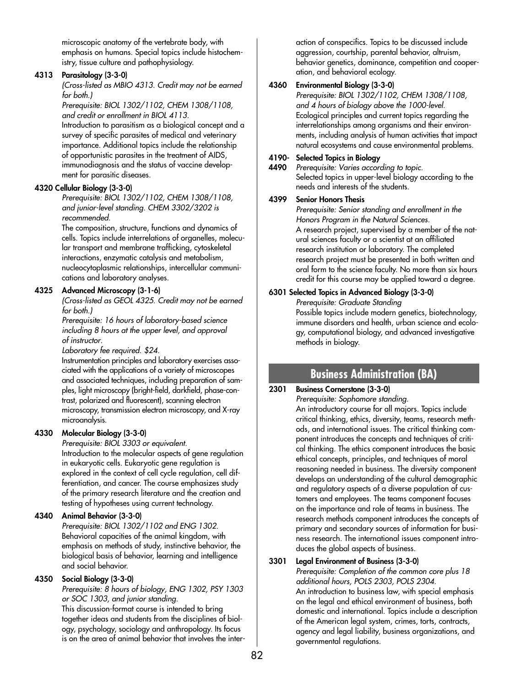microscopic anatomy of the vertebrate body, with emphasis on humans. Special topics include histochemistry, tissue culture and pathophysiology.

#### **4313 Parasitology (3-3-0)**

*(Cross-listed as MBIO 4313. Credit may not be earned for both.)*

*Prerequisite: BIOL 1302/1102, CHEM 1308/1108, and credit or enrollment in BIOL 4113.* Introduction to parasitism as a biological concept and a survey of specific parasites of medical and veterinary importance. Additional topics include the relationship of opportunistic parasites in the treatment of AIDS, immunodiagnosis and the status of vaccine development for parasitic diseases.

#### **4320 Cellular Biology (3-3-0)**

*Prerequisite: BIOL 1302/1102, CHEM 1308/1108, and junior-level standing. CHEM 3302/3202 is recommended.*

The composition, structure, functions and dynamics of cells. Topics include interrelations of organelles, molecular transport and membrane trafficking, cytoskeletal interactions, enzymatic catalysis and metabolism, nucleocytoplasmic relationships, intercellular communications and laboratory analyses.

### **4325 Advanced Microscopy (3-1-6)**

*(Cross-listed as GEOL 4325. Credit may not be earned for both.)*

*Prerequisite: 16 hours of laboratory-based science including 8 hours at the upper level, and approval of instructor.*

*Laboratory fee required. \$24.*

Instrumentation principles and laboratory exercises associated with the applications of a variety of microscopes and associated techniques, including preparation of samples, light microscopy (bright-field, darkfield, phase-contrast, polarized and fluorescent), scanning electron microscopy, transmission electron microscopy, and X-ray microanalysis.

### **4330 Molecular Biology (3-3-0)**

*Prerequisite: BIOL 3303 or equivalent.* Introduction to the molecular aspects of gene regulation in eukaryotic cells. Eukaryotic gene regulation is explored in the context of cell cycle regulation, cell differentiation, and cancer. The course emphasizes study of the primary research literature and the creation and testing of hypotheses using current technology.

#### **4340 Animal Behavior (3-3-0)**

*Prerequisite: BIOL 1302/1102 and ENG 1302.* Behavioral capacities of the animal kingdom, with emphasis on methods of study, instinctive behavior, the biological basis of behavior, learning and intelligence and social behavior.

#### **4350 Social Biology (3-3-0)**

*Prerequisite: 8 hours of biology, ENG 1302, PSY 1303 or SOC 1303, and junior standing.*

This discussion-format course is intended to bring together ideas and students from the disciplines of biology, psychology, sociology and anthropology. Its focus is on the area of animal behavior that involves the interaction of conspecifics. Topics to be discussed include aggression, courtship, parental behavior, altruism, behavior genetics, dominance, competition and cooperation, and behavioral ecology.

## **4360 Environmental Biology (3-3-0)**

*Prerequisite: BIOL 1302/1102, CHEM 1308/1108, and 4 hours of biology above the 1000-level.* Ecological principles and current topics regarding the interrelationships among organisms and their environments, including analysis of human activities that impact natural ecosystems and cause environmental problems.

## **4190- Selected Topics in Biology**

**4490** *Prerequisite: Varies according to topic.* Selected topics in upper-level biology according to the needs and interests of the students.

## **4399 Senior Honors Thesis**

*Prerequisite: Senior standing and enrollment in the Honors Program in the Natural Sciences.* A research project, supervised by a member of the natural sciences faculty or a scientist at an affiliated research institution or laboratory. The completed research project must be presented in both written and oral form to the science faculty. No more than six hours credit for this course may be applied toward a degree.

## **6301 Selected Topics in Advanced Biology (3-3-0)**

*Prerequisite: Graduate Standing* Possible topics include modern genetics, biotechnology, immune disorders and health, urban science and ecology, computational biology, and advanced investigative methods in biology.

# **Business Administration (BA)**

## **2301 Business Cornerstone (3-3-0)**

*Prerequisite: Sophomore standing.* An introductory course for all majors. Topics include critical thinking, ethics, diversity, teams, research methods, and international issues. The critical thinking component introduces the concepts and techniques of critical thinking. The ethics component introduces the basic ethical concepts, principles, and techniques of moral reasoning needed in business. The diversity component develops an understanding of the cultural demographic and regulatory aspects of a diverse population of customers and employees. The teams component focuses on the importance and role of teams in business. The research methods component introduces the concepts of primary and secondary sources of information for business research. The international issues component introduces the global aspects of business.

## **3301 Legal Environment of Business (3-3-0)**

*Prerequisite: Completion of the common core plus 18 additional hours, POLS 2303, POLS 2304.*

An introduction to business law, with special emphasis on the legal and ethical environment of business, both domestic and international. Topics include a description of the American legal system, crimes, torts, contracts, agency and legal liability, business organizations, and governmental regulations.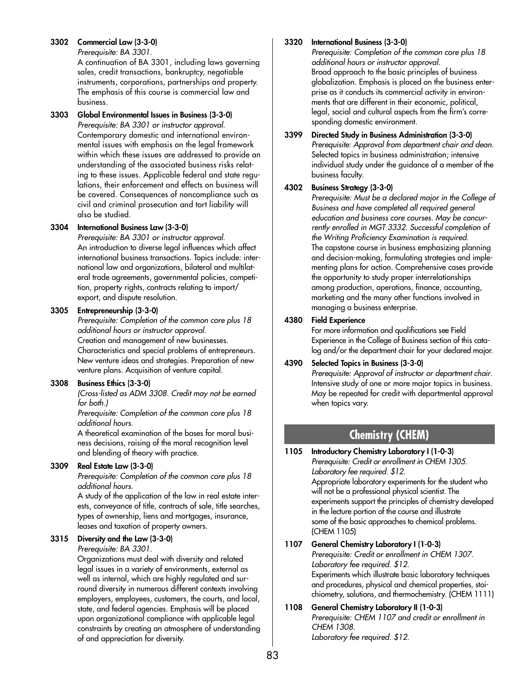#### **3302 Commercial Law (3-3-0)**

#### *Prerequisite: BA 3301.*

A continuation of BA 3301, including laws governing sales, credit transactions, bankruptcy, negotiable instruments, corporations, partnerships and property. The emphasis of this course is commercial law and business.

#### **3303 Global Environmental Issues in Business (3-3-0)**

*Prerequisite: BA 3301 or instructor approval.* Contemporary domestic and international environmental issues with emphasis on the legal framework within which these issues are addressed to provide an understanding of the associated business risks relating to these issues. Applicable federal and state regulations, their enforcement and effects on business will be covered. Consequences of noncompliance such as civil and criminal prosecution and tort liability will also be studied.

#### **3304 International Business Law (3-3-0)**

*Prerequisite: BA 3301 or instructor approval.* An introduction to diverse legal influences which affect international business transactions. Topics include: international law and organizations, bilateral and multilateral trade agreements, governmental policies, competition, property rights, contracts relating to import/ export, and dispute resolution.

#### **3305 Entrepreneurship (3-3-0)**

*Prerequisite: Completion of the common core plus 18 additional hours or instructor approval.* Creation and management of new businesses. Characteristics and special problems of entrepreneurs. New venture ideas and strategies. Preparation of new venture plans. Acquisition of venture capital.

#### **3308 Business Ethics (3-3-0)**

*(Cross-listed as ADM 3308. Credit may not be earned for both.)*

*Prerequisite: Completion of the common core plus 18 additional hours.*

A theoretical examination of the bases for moral business decisions, raising of the moral recognition level and blending of theory with practice.

#### **3309 Real Estate Law (3-3-0)**

*Prerequisite: Completion of the common core plus 18 additional hours.*

A study of the application of the law in real estate interests, conveyance of title, contracts of sale, title searches, types of ownership, liens and mortgages, insurance, leases and taxation of property owners.

#### **3315 Diversity and the Law (3-3-0)**

*Prerequisite: BA 3301.*

Organizations must deal with diversity and related legal issues in a variety of environments, external as well as internal, which are highly regulated and surround diversity in numerous different contexts involving employers, employees, customers, the courts, and local, state, and federal agencies. Emphasis will be placed upon organizational compliance with applicable legal constraints by creating an atmosphere of understanding of and appreciation for diversity.

#### **3320 International Business (3-3-0)**

*Prerequisite: Completion of the common core plus 18 additional hours or instructor approval.* Broad approach to the basic principles of business globalization. Emphasis is placed on the business enterprise as it conducts its commercial activity in environments that are different in their economic, political, legal, social and cultural aspects from the firm's corresponding domestic environment.

**3399 Directed Study in Business Administration (3-3-0)** *Prerequisite: Approval from department chair and dean.* Selected topics in business administration; intensive individual study under the guidance of a member of the business faculty.

#### **4302 Business Strategy (3-3-0)**

*Prerequisite: Must be a declared major in the College of Business and have completed all required general education and business core courses. May be concurrently enrolled in MGT 3332. Successful completion of the Writing Proficiency Examination is required.* The capstone course in business emphasizing planning and decision-making, formulating strategies and implementing plans for action. Comprehensive cases provide the opportunity to study proper interrelationships among production, operations, finance, accounting, marketing and the many other functions involved in managing a business enterprise.

#### **4380 Field Experience**

For more information and qualifications see Field Experience in the College of Business section of this catalog and/or the department chair for your declared major.

#### **4390 Selected Topics in Business (3-3-0)**

*Prerequisite: Approval of instructor or department chair.* Intensive study of one or more major topics in business. May be repeated for credit with departmental approval when topics vary.

# **Chemistry (CHEM)**

#### **1105 Introductory Chemistry Laboratory I (1-0-3)** *Prerequisite: Credit or enrollment in CHEM 1305. Laboratory fee required. \$12.*

Appropriate laboratory experiments for the student who will not be a professional physical scientist. The experiments support the principles of chemistry developed in the lecture portion of the course and illustrate some of the basic approaches to chemical problems. (CHEM 1105)

#### **1107 General Chemistry Laboratory I (1-0-3)** *Prerequisite: Credit or enrollment in CHEM 1307. Laboratory fee required. \$12.*

Experiments which illustrate basic laboratory techniques and procedures, physical and chemical properties, stoichiometry, solutions, and thermochemistry. (CHEM 1111)

# **1108 General Chemistry Laboratory II (1-0-3)**

*Prerequisite: CHEM 1107 and credit or enrollment in CHEM 1308. Laboratory fee required. \$12.*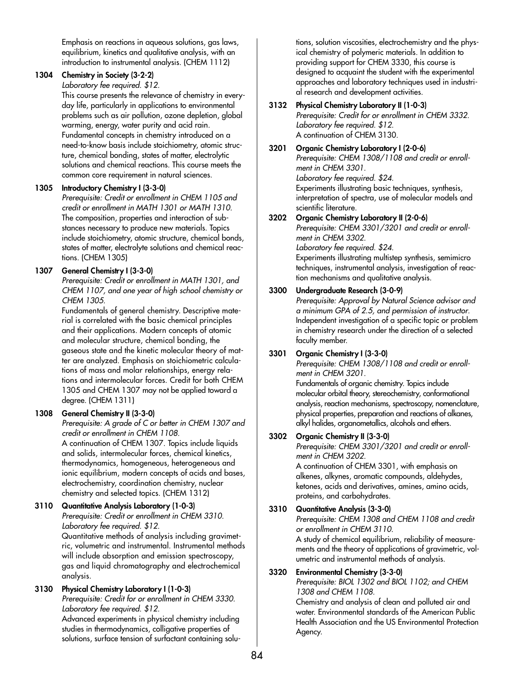Emphasis on reactions in aqueous solutions, gas laws, equilibrium, kinetics and qualitative analysis, with an introduction to instrumental analysis. (CHEM 1112)

#### **1304 Chemistry in Society (3-2-2)**

*Laboratory fee required. \$12.*

This course presents the relevance of chemistry in everyday life, particularly in applications to environmental problems such as air pollution, ozone depletion, global warming, energy, water purity and acid rain. Fundamental concepts in chemistry introduced on a need-to-know basis include stoichiometry, atomic structure, chemical bonding, states of matter, electrolytic solutions and chemical reactions. This course meets the common core requirement in natural sciences.

#### **1305 Introductory Chemistry I (3-3-0)**

*Prerequisite: Credit or enrollment in CHEM 1105 and credit or enrollment in MATH 1301 or MATH 1310.* The composition, properties and interaction of substances necessary to produce new materials. Topics include stoichiometry, atomic structure, chemical bonds, states of matter, electrolyte solutions and chemical reactions. (CHEM 1305)

#### **1307 General Chemistry I (3-3-0)**

*Prerequisite: Credit or enrollment in MATH 1301, and CHEM 1107, and one year of high school chemistry or CHEM 1305.*

Fundamentals of general chemistry. Descriptive material is correlated with the basic chemical principles and their applications. Modern concepts of atomic and molecular structure, chemical bonding, the gaseous state and the kinetic molecular theory of matter are analyzed. Emphasis on stoichiometric calculations of mass and molar relationships, energy relations and intermolecular forces. Credit for both CHEM 1305 and CHEM 1307 may not be applied toward a degree. (CHEM 1311)

#### **1308 General Chemistry II (3-3-0)**

*Prerequisite: A grade of C or better in CHEM 1307 and credit or enrollment in CHEM 1108.*

A continuation of CHEM 1307. Topics include liquids and solids, intermolecular forces, chemical kinetics, thermodynamics, homogeneous, heterogeneous and ionic equilibrium, modern concepts of acids and bases, electrochemistry, coordination chemistry, nuclear chemistry and selected topics. (CHEM 1312)

### **3110 Quantitative Analysis Laboratory (1-0-3)**

*Prerequisite: Credit or enrollment in CHEM 3310. Laboratory fee required. \$12.*

Quantitative methods of analysis including gravimetric, volumetric and instrumental. Instrumental methods will include absorption and emission spectroscopy, gas and liquid chromatography and electrochemical analysis.

#### **3130 Physical Chemistry Laboratory I (1-0-3)**

*Prerequisite: Credit for or enrollment in CHEM 3330. Laboratory fee required. \$12.*

Advanced experiments in physical chemistry including studies in thermodynamics, colligative properties of solutions, surface tension of surfactant containing solutions, solution viscosities, electrochemistry and the physical chemistry of polymeric materials. In addition to providing support for CHEM 3330, this course is designed to acquaint the student with the experimental approaches and laboratory techniques used in industrial research and development activities.

#### **3132 Physical Chemistry Laboratory II (1-0-3)**

*Prerequisite: Credit for or enrollment in CHEM 3332. Laboratory fee required. \$12.* A continuation of CHEM 3130.

#### **3201 Organic Chemistry Laboratory I (2-0-6)**

*Prerequisite: CHEM 1308/1108 and credit or enrollment in CHEM 3301. Laboratory fee required. \$24.* Experiments illustrating basic techniques, synthesis, interpretation of spectra, use of molecular models and

#### scientific literature. **3202 Organic Chemistry Laboratory II (2-0-6)**

*Prerequisite: CHEM 3301/3201 and credit or enrollment in CHEM 3302.*

*Laboratory fee required. \$24.* Experiments illustrating multistep synthesis, semimicro techniques, instrumental analysis, investigation of reaction mechanisms and qualitative analysis.

#### **3300 Undergraduate Research (3-0-9)**

*Prerequisite: Approval by Natural Science advisor and a minimum GPA of 2.5, and permission of instructor.* Independent investigation of a specific topic or problem in chemistry research under the direction of a selected faculty member.

#### **3301 Organic Chemistry I (3-3-0)**

*Prerequisite: CHEM 1308/1108 and credit or enrollment in CHEM 3201.*

Fundamentals of organic chemistry. Topics include molecular orbital theory, stereochemistry, conformational analysis, reaction mechanisms, spectroscopy, nomenclature, physical properties, preparation and reactions of alkanes, alkyl halides, organometallics, alcohols and ethers.

#### **3302 Organic Chemistry II (3-3-0)**

*Prerequisite: CHEM 3301/3201 and credit or enrollment in CHEM 3202.*

A continuation of CHEM 3301, with emphasis on alkenes, alkynes, aromatic compounds, aldehydes, ketones, acids and derivatives, amines, amino acids, proteins, and carbohydrates.

#### **3310 Quantitative Analysis (3-3-0)**

*Prerequisite: CHEM 1308 and CHEM 1108 and credit or enrollment in CHEM 3110.* A study of chemical equilibrium, reliability of measure-

ments and the theory of applications of gravimetric, volumetric and instrumental methods of analysis.

#### **3320 Environmental Chemistry (3-3-0)**

*Prerequisite: BIOL 1302 and BIOL 1102; and CHEM 1308 and CHEM 1108.*

Chemistry and analysis of clean and polluted air and water. Environmental standards of the American Public Health Association and the US Environmental Protection Agency.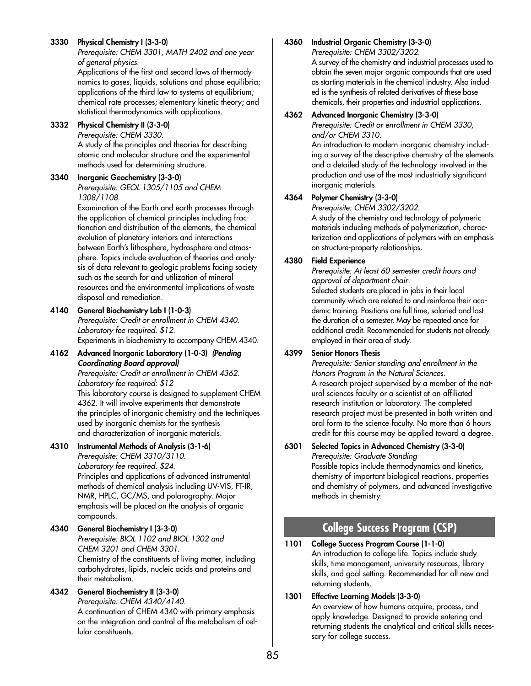#### **3330 Physical Chemistry I (3-3-0)**

*Prerequisite: CHEM 3301, MATH 2402 and one year of general physics.*

Applications of the first and second laws of thermodynamics to gases, liquids, solutions and phase equilibria; applications of the third law to systems at equilibrium; chemical rate processes; elementary kinetic theory; and statistical thermodynamics with applications.

#### **3332 Physical Chemistry II (3-3-0)**

*Prerequisite: CHEM 3330.*

A study of the principles and theories for describing atomic and molecular structure and the experimental methods used for determining structure.

#### **3340 Inorganic Geochemistry (3-3-0)**

*Prerequisite: GEOL 1305/1105 and CHEM 1308/1108.*

Examination of the Earth and earth processes through the application of chemical principles including fractionation and distribution of the elements, the chemical evolution of planetary interiors and interactions between Earth's lithosphere, hydrosphere and atmosphere. Topics include evaluation of theories and analysis of data relevant to geologic problems facing society such as the search for and utilization of mineral resources and the environmental implications of waste disposal and remediation.

#### **4140 General Biochemistry Lab I (1-0-3)**

*Prerequisite: Credit or enrollment in CHEM 4340. Laboratory fee required. \$12.* Experiments in biochemistry to accompany CHEM 4340.

## **4162 Advanced Inorganic Laboratory (1-0-3)** *(Pending Coordinating Board approval)*

*Prerequisite: Credit or enrollment in CHEM 4362. Laboratory fee required: \$12*

This laboratory course is designed to supplement CHEM 4362. It will involve experiments that demonstrate the principles of inorganic chemistry and the techniques used by inorganic chemists for the synthesis and characterization of inorganic materials.

## **4310 Instrumental Methods of Analysis (3-1-6)**

*Prerequisite: CHEM 3310/3110. Laboratory fee required. \$24.* Principles and applications of advanced instrumental methods of chemical analysis including UV-VIS, FT-IR, NMR, HPLC, GC/MS, and polarography. Major emphasis will be placed on the analysis of organic compounds.

#### **4340 General Biochemistry I (3-3-0)** *Prerequisite: BIOL 1102 and BIOL 1302 and CHEM 3201 and CHEM 3301.* Chemistry of the constituents of living matter, including carbohydrates, lipids, nucleic acids and proteins and their metabolism.

## **4342 General Biochemistry II (3-3-0)**

*Prerequisite: CHEM 4340/4140.*

A continuation of CHEM 4340 with primary emphasis on the integration and control of the metabolism of cellular constituents.

#### **4360 Industrial Organic Chemistry (3-3-0)**

*Prerequisite: CHEM 3302/3202.* A survey of the chemistry and industrial processes used to obtain the seven major organic compounds that are used as starting materials in the chemical industry. Also included is the synthesis of related derivatives of these base chemicals, their properties and industrial applications.

#### **4362 Advanced Inorganic Chemistry (3-3-0)**

*Prerequisite: Credit or enrollment in CHEM 3330, and/or CHEM 3310.*

An introduction to modern inorganic chemistry including a survey of the descriptive chemistry of the elements and a detailed study of the technology involved in the production and use of the most industrially significant inorganic materials.

#### **4364 Polymer Chemistry (3-3-0)**

*Prerequisite: CHEM 3302/3202.*

A study of the chemistry and technology of polymeric materials including methods of polymerization, characterization and applications of polymers with an emphasis on structure-property relationships.

#### **4380 Field Experience**

*Prerequisite: At least 60 semester credit hours and approval of department chair.*

Selected students are placed in jobs in their local community which are related to and reinforce their academic training. Positions are full time, salaried and last the duration of a semester. May be repeated once for additional credit. Recommended for students not already employed in their area of study.

#### **4399 Senior Honors Thesis**

*Prerequisite: Senior standing and enrollment in the Honors Program in the Natural Sciences.* A research project supervised by a member of the natural sciences faculty or a scientist at an affiliated research institution or laboratory. The completed research project must be presented in both written and oral form to the science faculty. No more than 6 hours credit for this course may be applied toward a degree.

#### **6301 Selected Topics in Advanced Chemistry (3-3-0)**

*Prerequisite: Graduate Standing*

Possible topics include thermodynamics and kinetics, chemistry of important biological reactions, properties and chemistry of polymers, and advanced investigative methods in chemistry.

## **College Success Program (CSP)**

#### **1101 College Success Program Course (1-1-0)** An introduction to college life. Topics include study skills, time management, university resources, library skills, and goal setting. Recommended for all new and returning students.

#### **1301 Effective Learning Models (3-3-0)**

An overview of how humans acquire, process, and apply knowledge. Designed to provide entering and returning students the analytical and critical skills necessary for college success.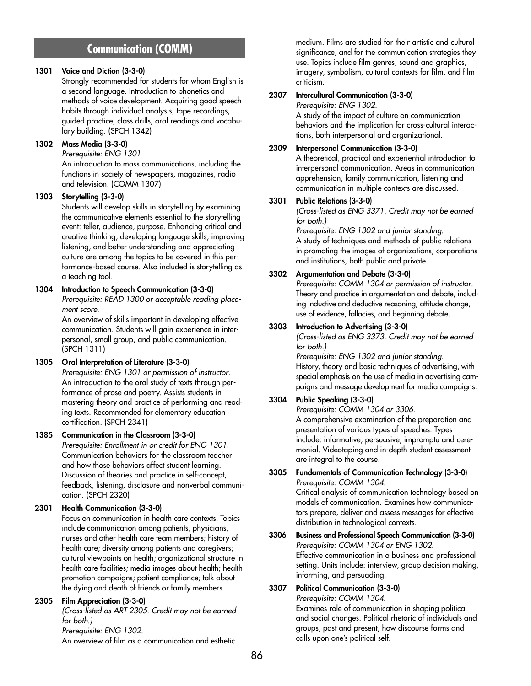## **Communication (COMM)**

#### **1301 Voice and Diction (3-3-0)**

Strongly recommended for students for whom English is a second language. Introduction to phonetics and methods of voice development. Acquiring good speech habits through individual analysis, tape recordings, guided practice, class drills, oral readings and vocabulary building. (SPCH 1342)

#### **1302 Mass Media (3-3-0)**

*Prerequisite: ENG 1301*

An introduction to mass communications, including the functions in society of newspapers, magazines, radio and television. (COMM 1307)

#### **1303 Storytelling (3-3-0)**

Students will develop skills in storytelling by examining the communicative elements essential to the storytelling event: teller, audience, purpose. Enhancing critical and creative thinking, developing language skills, improving listening, and better understanding and appreciating culture are among the topics to be covered in this performance-based course. Also included is storytelling as a teaching tool.

#### **1304 Introduction to Speech Communication (3-3-0)**

*Prerequisite: READ 1300 or acceptable reading placement score.*

An overview of skills important in developing effective communication. Students will gain experience in interpersonal, small group, and public communication. (SPCH 1311)

#### **1305 Oral Interpretation of Literature (3-3-0)**

*Prerequisite: ENG 1301 or permission of instructor.* An introduction to the oral study of texts through performance of prose and poetry. Assists students in mastering theory and practice of performing and reading texts. Recommended for elementary education certification. (SPCH 2341)

#### **1385 Communication in the Classroom (3-3-0)**

*Prerequisite: Enrollment in or credit for ENG 1301.* Communication behaviors for the classroom teacher and how those behaviors affect student learning. Discussion of theories and practice in self-concept, feedback, listening, disclosure and nonverbal communication. (SPCH 2320)

#### **2301 Health Communication (3-3-0)**

Focus on communication in health care contexts. Topics include communication among patients, physicians, nurses and other health care team members; history of health care; diversity among patients and caregivers; cultural viewpoints on health; organizational structure in health care facilities; media images about health; health promotion campaigns; patient compliance; talk about the dying and death of friends or family members.

#### **2305 Film Appreciation (3-3-0)**

*(Cross-listed as ART 2305. Credit may not be earned for both.) Prerequisite: ENG 1302.*

An overview of film as a communication and esthetic

medium. Films are studied for their artistic and cultural significance, and for the communication strategies they use. Topics include film genres, sound and graphics, imagery, symbolism, cultural contexts for film, and film criticism.

## **2307 Intercultural Communication (3-3-0)**

*Prerequisite: ENG 1302.*

A study of the impact of culture on communication behaviors and the implication for cross-cultural interactions, both interpersonal and organizational.

#### **2309 Interpersonal Communication (3-3-0)**

A theoretical, practical and experiential introduction to interpersonal communication. Areas in communication apprehension, family communication, listening and communication in multiple contexts are discussed.

#### **3301 Public Relations (3-3-0)**

*(Cross-listed as ENG 3371. Credit may not be earned for both.)*

*Prerequisite: ENG 1302 and junior standing.* A study of techniques and methods of public relations in promoting the images of organizations, corporations and institutions, both public and private.

#### **3302 Argumentation and Debate (3-3-0)**

*Prerequisite: COMM 1304 or permission of instructor.* Theory and practice in argumentation and debate, including inductive and deductive reasoning, attitude change, use of evidence, fallacies, and beginning debate.

#### **3303 Introduction to Advertising (3-3-0)**

*(Cross-listed as ENG 3373. Credit may not be earned for both.)*

*Prerequisite: ENG 1302 and junior standing.* History, theory and basic techniques of advertising, with special emphasis on the use of media in advertising campaigns and message development for media campaigns.

### **3304 Public Speaking (3-3-0)**

*Prerequisite: COMM 1304 or 3306.* A comprehensive examination of the preparation and presentation of various types of speeches. Types include: informative, persuasive, impromptu and ceremonial. Videotaping and in-depth student assessment are integral to the course.

- **3305 Fundamentals of Communication Technology (3-3-0)**  *Prerequisite: COMM 1304.* Critical analysis of communication technology based on models of communication. Examines how communicators prepare, deliver and assess messages for effective distribution in technological contexts.
- **3306 Business and Professional Speech Communication (3-3-0)** *Prerequisite: COMM 1304 or ENG 1302.* Effective communication in a business and professional setting. Units include: interview, group decision making, informing, and persuading.

#### **3307 Political Communication (3-3-0)**  *Prerequisite: COMM 1304.*

Examines role of communication in shaping political and social changes. Political rhetoric of individuals and groups, past and present; how discourse forms and calls upon one's political self.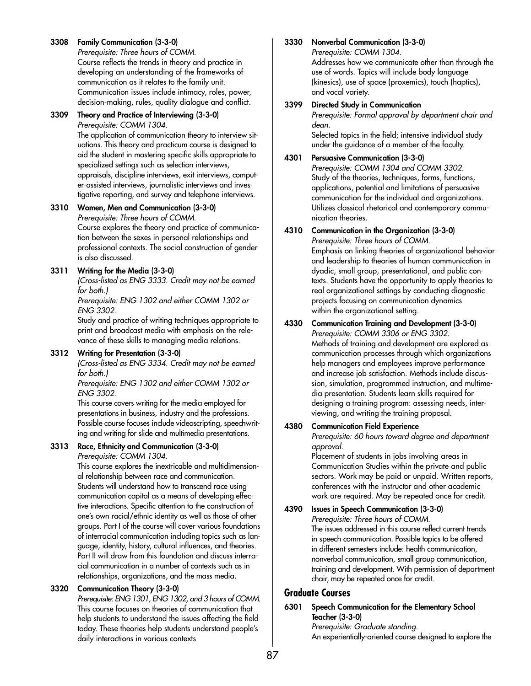#### **3308 Family Communication (3-3-0)**

*Prerequisite: Three hours of COMM.* Course reflects the trends in theory and practice in developing an understanding of the frameworks of communication as it relates to the family unit. Communication issues include intimacy, roles, power, decision-making, rules, quality dialogue and conflict.

#### **3309 Theory and Practice of Interviewing (3-3-0)**  *Prerequisite: COMM 1304.*

The application of communication theory to interview situations. This theory and practicum course is designed to aid the student in mastering specific skills appropriate to specialized settings such as selection interviews, appraisals, discipline interviews, exit interviews, computer-assisted interviews, journalistic interviews and investigative reporting, and survey and telephone interviews.

#### **3310 Women, Men and Communication (3-3-0)** *Prerequisite: Three hours of COMM.*

Course explores the theory and practice of communication between the sexes in personal relationships and professional contexts. The social construction of gender is also discussed.

#### **3311 Writing for the Media (3-3-0)**

*(Cross-listed as ENG 3333. Credit may not be earned for both.)*

*Prerequisite: ENG 1302 and either COMM 1302 or ENG 3302.*

Study and practice of writing techniques appropriate to print and broadcast media with emphasis on the relevance of these skills to managing media relations.

#### **3312 Writing for Presentation (3-3-0)**

*(Cross-listed as ENG 3334. Credit may not be earned for both.)*

*Prerequisite: ENG 1302 and either COMM 1302 or ENG 3302.*

This course covers writing for the media employed for presentations in business, industry and the professions. Possible course focuses include videoscripting, speechwriting and writing for slide and multimedia presentations.

#### **3313 Race, Ethnicity and Communication (3-3-0)**

#### *Prerequisite: COMM 1304.*

This course explores the inextricable and multidimensional relationship between race and communication. Students will understand how to transcend race using communication capital as a means of developing effective interactions. Specific attention to the construction of one's own racial/ethnic identity as well as those of other groups. Part I of the course will cover various foundations of interracial communication including topics such as language, identity, history, cultural influences, and theories. Part II will draw from this foundation and discuss interracial communication in a number of contexts such as in relationships, organizations, and the mass media.

#### **3320 Communication Theory (3-3-0)**

*Prerequisite: ENG 1301, ENG 1302, and 3 hours of COMM.* This course focuses on theories of communication that help students to understand the issues affecting the field today. These theories help students understand people's daily interactions in various contexts

#### **3330 Nonverbal Communication (3-3-0)**

*Prerequisite: COMM 1304.* Addresses how we communicate other than through the use of words. Topics will include body language (kinesics), use of space (proxemics), touch (haptics), and vocal variety.

#### **3399 Directed Study in Communication**

*Prerequisite: Formal approval by department chair and dean.*

Selected topics in the field; intensive individual study under the guidance of a member of the faculty.

#### **4301 Persuasive Communication (3-3-0)**

*Prerequisite: COMM 1304 and COMM 3302.* Study of the theories, techniques, forms, functions, applications, potential and limitations of persuasive communication for the individual and organizations. Utilizes classical rhetorical and contemporary communication theories.

**4310 Communication in the Organization (3-3-0)**

*Prerequisite: Three hours of COMM.* Emphasis on linking theories of organizational behavior and leadership to theories of human communication in dyadic, small group, presentational, and public contexts. Students have the opportunity to apply theories to real organizational settings by conducting diagnostic projects focusing on communication dynamics within the organizational setting.

## **4330 Communication Training and Development (3-3-0)** *Prerequisite: COMM 3306 or ENG 3302.* Methods of training and development are explored as

communication processes through which organizations help managers and employees improve performance and increase job satisfaction. Methods include discussion, simulation, programmed instruction, and multimedia presentation. Students learn skills required for designing a training program: assessing needs, interviewing, and writing the training proposal.

#### **4380 Communication Field Experience**

*Prerequisite: 60 hours toward degree and department approval.*

Placement of students in jobs involving areas in Communication Studies within the private and public sectors. Work may be paid or unpaid. Written reports, conferences with the instructor and other academic work are required. May be repeated once for credit.

### **4390 Issues in Speech Communication (3-3-0)**

*Prerequisite: Three hours of COMM.* The issues addressed in this course reflect current trends in speech communication. Possible topics to be offered in different semesters include: health communication, nonverbal communication, small group communication, training and development. With permission of department chair, may be repeated once for credit.

## **Graduate Courses**

#### **6301 Speech Communication for the Elementary School Teacher (3-3-0)**

*Prerequisite: Graduate standing.* An experientially-oriented course designed to explore the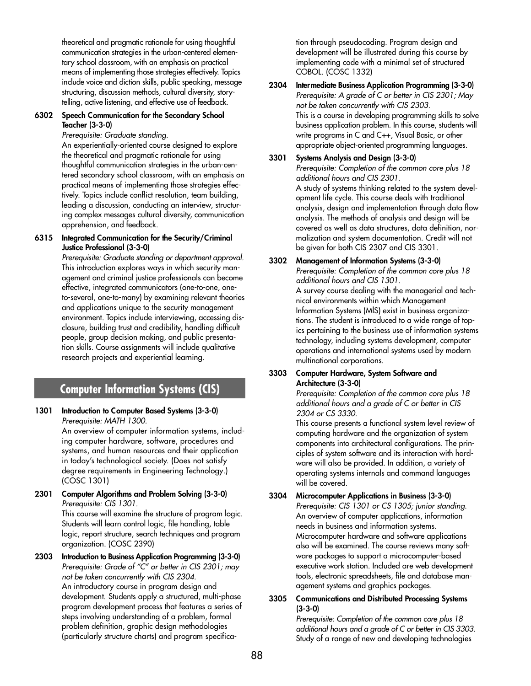theoretical and pragmatic rationale for using thoughtful communication strategies in the urban-centered elementary school classroom, with an emphasis on practical means of implementing those strategies effectively. Topics include voice and diction skills, public speaking, message structuring, discussion methods, cultural diversity, storytelling, active listening, and effective use of feedback.

#### **6302 Speech Communication for the Secondary School Teacher (3-3-0)**

#### *Prerequisite: Graduate standing.*

An experientially-oriented course designed to explore the theoretical and pragmatic rationale for using thoughtful communication strategies in the urban-centered secondary school classroom, with an emphasis on practical means of implementing those strategies effectively. Topics include conflict resolution, team building, leading a discussion, conducting an interview, structuring complex messages cultural diversity, communication apprehension, and feedback.

#### **6315 Integrated Communication for the Security/Criminal Justice Professional (3-3-0)**

*Prerequisite: Graduate standing or department approval.* This introduction explores ways in which security management and criminal justice professionals can become effective, integrated communicators (one-to-one, oneto-several, one-to-many) by examining relevant theories and applications unique to the security management environment. Topics include interviewing, accessing disclosure, building trust and credibility, handling difficult people, group decision making, and public presentation skills. Course assignments will include qualitative research projects and experiential learning.

# **Computer Information Systems (CIS)**

**1301 Introduction to Computer Based Systems (3-3-0)** *Prerequisite: MATH 1300.*

An overview of computer information systems, including computer hardware, software, procedures and systems, and human resources and their application in today's technological society. (Does not satisfy degree requirements in Engineering Technology.) (COSC 1301)

**2301 Computer Algorithms and Problem Solving (3-3-0)** *Prerequisite: CIS 1301.*

This course will examine the structure of program logic. Students will learn control logic, file handling, table logic, report structure, search techniques and program organization. (COSC 2390)

**2303 Introduction to Business Application Programming (3-3-0)** *Prerequisite: Grade of "C" or better in CIS 2301; may not be taken concurrently with CIS 2304.* An introductory course in program design and development. Students apply a structured, multi-phase program development process that features a series of steps involving understanding of a problem, formal problem definition, graphic design methodologies (particularly structure charts) and program specification through pseudocoding. Program design and development will be illustrated during this course by implementing code with a minimal set of structured COBOL. (COSC 1332)

- **2304 Intermediate Business Application Programming (3-3-0)** *Prerequisite: A grade of C or better in CIS 2301; May not be taken concurrently with CIS 2303.* This is a course in developing programming skills to solve business application problem. In this course, students will write programs in C and C++, Visual Basic, or other appropriate object-oriented programming languages.
- **3301 Systems Analysis and Design (3-3-0)** *Prerequisite: Completion of the common core plus 18 additional hours and CIS 2301.*

A study of systems thinking related to the system development life cycle. This course deals with traditional analysis, design and implementation through data flow analysis. The methods of analysis and design will be covered as well as data structures, data definition, normalization and system documentation. Credit will not be given for both CIS 2307 and CIS 3301.

#### **3302 Management of Information Systems (3-3-0)** *Prerequisite: Completion of the common core plus 18 additional hours and CIS 1301.*

A survey course dealing with the managerial and technical environments within which Management Information Systems (MlS) exist in business organizations. The student is introduced to a wide range of topics pertaining to the business use of information systems technology, including systems development, computer operations and international systems used by modern multinational corporations.

## **3303 Computer Hardware, System Software and Architecture (3-3-0)**

*Prerequisite: Completion of the common core plus 18 additional hours and a grade of C or better in CIS 2304 or CS 3330.*

This course presents a functional system level review of computing hardware and the organization of system components into architectural configurations. The principles of system software and its interaction with hardware will also be provided. In addition, a variety of operating systems internals and command languages will be covered.

#### **3304 Microcomputer Applications in Business (3-3-0)** *Prerequisite: CIS 1301 or CS 1305; junior standing.* An overview of computer applications, information needs in business and information systems. Microcomputer hardware and software applications also will be examined. The course reviews many software packages to support a microcomputer-based executive work station. Included are web development tools, electronic spreadsheets, file and database management systems and graphics packages.

#### **3305 Communications and Distributed Processing Systems (3-3-0)**

*Prerequisite: Completion of the common core plus 18 additional hours and a grade of C or better in CIS 3303.* Study of a range of new and developing technologies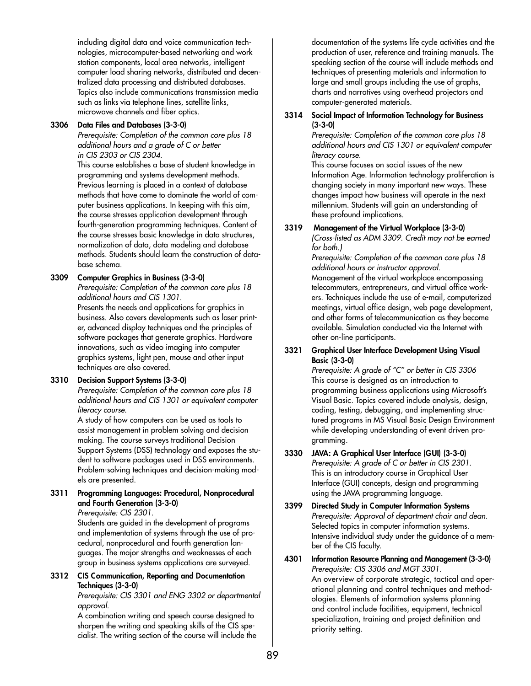including digital data and voice communication technologies, microcomputer-based networking and work station components, local area networks, intelligent computer load sharing networks, distributed and decentralized data processing and distributed databases. Topics also include communications transmission media such as links via telephone lines, satellite links, microwave channels and fiber optics.

#### **3306 Data Files and Databases (3-3-0)**

*Prerequisite: Completion of the common core plus 18 additional hours and a grade of C or better in CIS 2303 or CIS 2304.*

This course establishes a base of student knowledge in programming and systems development methods. Previous learning is placed in a context of database methods that have come to dominate the world of computer business applications. In keeping with this aim, the course stresses application development through fourth-generation programming techniques. Content of the course stresses basic knowledge in data structures, normalization of data, data modeling and database methods. Students should learn the construction of database schema.

#### **3309 Computer Graphics in Business (3-3-0)**

*Prerequisite: Completion of the common core plus 18 additional hours and CIS 1301.*

Presents the needs and applications for graphics in business. Also covers developments such as laser printer, advanced display techniques and the principles of software packages that generate graphics. Hardware innovations, such as video imaging into computer graphics systems, light pen, mouse and other input techniques are also covered.

#### **3310 Decision Support Systems (3-3-0)**

*Prerequisite: Completion of the common core plus 18 additional hours and CIS 1301 or equivalent computer literacy course.*

A study of how computers can be used as tools to assist management in problem solving and decision making. The course surveys traditional Decision Support Systems (DSS) technology and exposes the student to software packages used in DSS environments. Problem-solving techniques and decision-making models are presented.

### **3311 Programming Languages: Procedural, Nonprocedural and Fourth Generation (3-3-0)**

#### *Prerequisite: CIS 2301.*

Students are guided in the development of programs and implementation of systems through the use of procedural, nonprocedural and fourth generation languages. The major strengths and weaknesses of each group in business systems applications are surveyed.

#### **3312 CIS Communication, Reporting and Documentation Techniques (3-3-0)**

*Prerequisite: CIS 3301 and ENG 3302 or departmental approval.*

A combination writing and speech course designed to sharpen the writing and speaking skills of the CIS specialist. The writing section of the course will include the documentation of the systems life cycle activities and the production of user, reference and training manuals. The speaking section of the course will include methods and techniques of presenting materials and information to large and small groups including the use of graphs, charts and narratives using overhead projectors and computer-generated materials.

#### **3314 Social Impact of Information Technology for Business (3-3-0)**

*Prerequisite: Completion of the common core plus 18 additional hours and CIS 1301 or equivalent computer literacy course.*

This course focuses on social issues of the new Information Age. Information technology proliferation is changing society in many important new ways. These changes impact how business will operate in the next millennium. Students will gain an understanding of these profound implications.

#### **3319 Management of the Virtual Workplace (3-3-0)**

*(Cross-listed as ADM 3309. Credit may not be earned for both.)*

*Prerequisite: Completion of the common core plus 18 additional hours or instructor approval.*

Management of the virtual workplace encompassing telecommuters, entrepreneurs, and virtual office workers. Techniques include the use of e-mail, computerized meetings, virtual office design, web page development, and other forms of telecommunication as they become available. Simulation conducted via the Internet with other on-line participants.

#### **3321 Graphical User Interface Development Using Visual Basic (3-3-0)**

*Prerequisite: A grade of "C" or better in CIS 3306* This course is designed as an introduction to programming business applications using Microsoft's Visual Basic. Topics covered include analysis, design, coding, testing, debugging, and implementing structured programs in MS Visual Basic Design Environment while developing understanding of event driven programming.

#### **3330 JAVA: A Graphical User Interface (GUI) (3-3-0)** *Prerequisite: A grade of C or better in CIS 2301.* This is an introductory course in Graphical User Interface (GUI) concepts, design and programming using the JAVA programming language.

**3399 Directed Study in Computer Information Systems** *Prerequisite: Approval of department chair and dean.* Selected topics in computer information systems. Intensive individual study under the guidance of a member of the CIS faculty.

#### **4301 Information Resource Planning and Management (3-3-0)** *Prerequisite: CIS 3306 and MGT 3301.*

An overview of corporate strategic, tactical and operational planning and control techniques and methodologies. Elements of information systems planning and control include facilities, equipment, technical specialization, training and project definition and priority setting.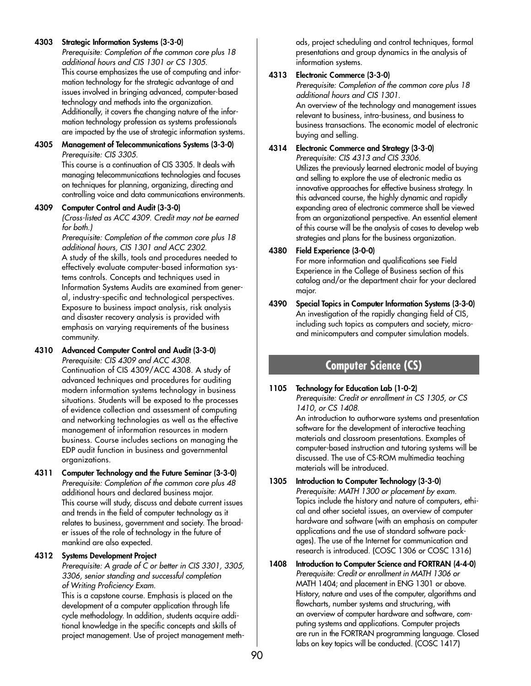#### **4303 Strategic Information Systems (3-3-0)**

*Prerequisite: Completion of the common core plus 18 additional hours and CIS 1301 or CS 1305.* This course emphasizes the use of computing and information technology for the strategic advantage of and issues involved in bringing advanced, computer-based technology and methods into the organization. Additionally, it covers the changing nature of the information technology profession as systems professionals are impacted by the use of strategic information systems.

#### **4305 Management of Telecommunications Systems (3-3-0)** *Prerequisite: CIS 3305.*

This course is a continuation of CIS 3305. It deals with managing telecommunications technologies and focuses on techniques for planning, organizing, directing and controlling voice and data communications environments.

#### **4309 Computer Control and Audit (3-3-0)**

*(Cross-listed as ACC 4309. Credit may not be earned for both.)*

*Prerequisite: Completion of the common core plus 18 additional hours, CIS 1301 and ACC 2302.* A study of the skills, tools and procedures needed to e ffectively evaluate computer-based information systems controls. Concepts and techniques used in Information Systems Audits are examined from general, industry-specific and technological perspectives. Exposure to business impact analysis, risk analysis and disaster recovery analysis is provided with emphasis on varying requirements of the business community.

#### **4310 Advanced Computer Control and Audit (3-3-0)** *Prerequisite: CIS 4309 and ACC 4308.*

Continuation of CIS 4309/ACC 4308. A study of advanced techniques and procedures for auditing modern information systems technology in business situations. Students will be exposed to the processes of evidence collection and assessment of computing and networking technologies as well as the effective management of information resources in modern business. Course includes sections on managing the EDP audit function in business and governmental organizations.

**4311 Computer Technology and the Future Seminar (3-3-0)** *Prerequisite: Completion of the common core plus 48* additional hours and declared business major. This course will study, discuss and debate current issues and trends in the field of computer technology as it relates to business, government and society. The broader issues of the role of technology in the future of mankind are also expected.

#### **4312 Systems Development Project**

*Prerequisite: A grade of C or better in CIS 3301, 3305, 3306, senior standing and successful completion of Writing Proficiency Exam.*

This is a capstone course. Emphasis is placed on the development of a computer application through life cycle methodology. In addition, students acquire additional knowledge in the specific concepts and skills of project management. Use of project management methods, project scheduling and control techniques, formal presentations and group dynamics in the analysis of information systems.

#### **4313 Electronic Commerce (3-3-0)**

*Prerequisite: Completion of the common core plus 18 additional hours and CIS 1301.* An overview of the technology and management issues relevant to business, intro-business, and business to business transactions. The economic model of electronic buying and selling.

#### **4314 Electronic Commerce and Strategy (3-3-0)**

*Prerequisite: CIS 4313 and CIS 3306.* Utilizes the previously learned electronic model of buying and selling to explore the use of electronic media as innovative approaches for effective business strategy. In this advanced course, the highly dynamic and rapidly expanding area of electronic commerce shall be viewed from an organizational perspective. An essential element of this course will be the analysis of cases to develop web strategies and plans for the business organization.

#### **4380 Field Experience (3-0-0)**

For more information and qualifications see Field Experience in the College of Business section of this catalog and/or the department chair for your declared major.

**4390 Special Topics in Computer Information Systems (3-3-0)** An investigation of the rapidly changing field of CIS, including such topics as computers and society, microand minicomputers and computer simulation models.

# **Computer Science (CS)**

#### **1105 Technology for Education Lab (1-0-2)** *Prerequisite: Credit or enrollment in CS 1305, or CS 1410, or CS 1408.* An introduction to authorware systems and presentation software for the development of interactive teaching

materials and classroom presentations. Examples of computer-based instruction and tutoring systems will be discussed. The use of CS-ROM multimedia teaching materials will be introduced.

- **1305 Introduction to Computer Technology (3-3-0)** *Prerequisite: MATH 1300 or placement by exam.* Topics include the history and nature of computers, ethical and other societal issues, an overview of computer hardware and software (with an emphasis on computer applications and the use of standard software packages). The use of the Internet for communication and research is introduced. (COSC 1306 or COSC 1316)
- **1408 Introduction to Computer Science and FORTRAN (4-4-0)** *Prerequisite: Credit or enrollment in MATH 1306 or* MATH 1404; and placement in ENG 1301 or above. History, nature and uses of the computer, algorithms and flowcharts, number systems and structuring, with an overview of computer hardware and software, computing systems and applications. Computer projects are run in the FORTRAN programming language. Closed labs on key topics will be conducted. (COSC 1417)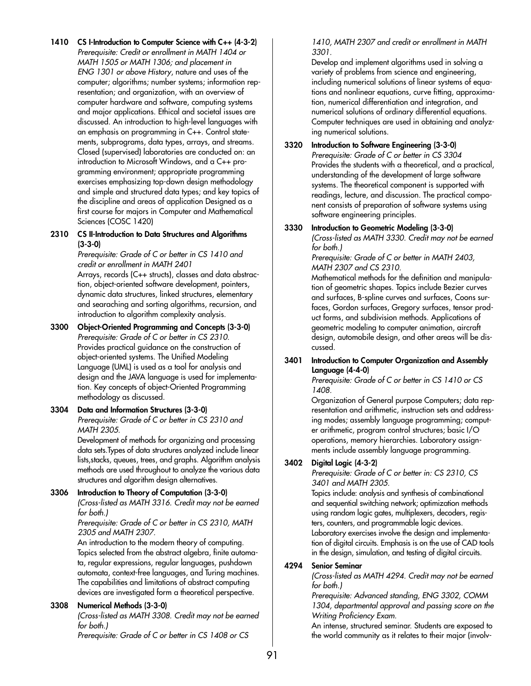**1410 CS I-Introduction to Computer Science with C++ (4-3-2)** *Prerequisite: Credit or enrollment in MATH 1404 or MATH 1505 or MATH 1306; and placement in ENG 1301 or above History*, nature and uses of the computer; algorithms; number systems; information representation; and organization, with an overview of computer hardware and software, computing systems and major applications. Ethical and societal issues are discussed. An introduction to high-level languages with an emphasis on programming in C++. Control statements, subprograms, data types, arrays, and streams. Closed (supervised) laboratories are conducted on: an introduction to Microsoft Windows, and a C++ programming environment; appropriate programming exercises emphasizing top-down design methodology and simple and structured data types; and key topics of the discipline and areas of application Designed as a first course for majors in Computer and Mathematical Sciences (COSC 1420)

#### **2310 CS II-Introduction to Data Structures and Algorithms (3-3-0)**

*Prerequisite: Grade of C or better in CS 1410 and credit or enrollment in MATH 2401*

Arrays, records (C++ structs), classes and data abstraction, object-oriented software development, pointers, dynamic data structures, linked structures, elementary and searaching and sorting algorithms, recursion, and introduction to algorithm complexity analysis.

**3300 Object-Oriented Programming and Concepts (3-3-0)** *Prerequisite: Grade of C or better in CS 2310.* Provides practical guidance on the construction of object-oriented systems. The Unified Modeling Language (UML) is used as a tool for analysis and design and the JAVA language is used for implementation. Key concepts of object-Oriented Programming methodology as discussed.

## **3304 Data and Information Structures (3-3-0)**

*Prerequisite: Grade of C or better in CS 2310 and MATH 2305.*

Development of methods for organizing and processing data sets.Types of data structures analyzed include linear lists,stacks, queues, trees, and graphs. Algorithm analysis methods are used throughout to analyze the various data structures and algorithm design alternatives.

#### **3306 Introduction to Theory of Computation (3-3-0)**

*(Cross-listed as MATH 3316. Credit may not be earned for both.)*

*Prerequisite: Grade of C or better in CS 2310, MATH 2305 and MATH 2307.*

An introduction to the modern theory of computing. Topics selected from the abstract algebra, finite automata, regular expressions, regular languages, pushdown automata, context-free languages, and Turing machines. The capabilities and limitations of abstract computing devices are investigated form a theoretical perspective.

#### **3308 Numerical Methods (3-3-0)**

*(Cross-listed as MATH 3308. Credit may not be earned for both.)*

*Prerequisite: Grade of C or better in CS 1408 or CS*

*1410, MATH 2307 and credit or enrollment in MATH 3301.*

Develop and implement algorithms used in solving a variety of problems from science and engineering, including numerical solutions of linear systems of equations and nonlinear equations, curve fitting, approximation, numerical differentiation and integration, and numerical solutions of ordinary differential equations. Computer techniques are used in obtaining and analyzing numerical solutions.

#### **3320 Introduction to Software Engineering (3-3-0)**

*Prerequisite: Grade of C or better in CS 3304* Provides the students with a theoretical, and a practical, understanding of the development of large software systems. The theoretical component is supported with readings, lecture, and discussion. The practical component consists of preparation of software systems using software engineering principles.

#### **3330 Introduction to Geometric Modeling (3-3-0)**

*(Cross-listed as MATH 3330. Credit may not be earned for both.)*

*Prerequisite: Grade of C or better in MATH 2403, MATH 2307 and CS 2310.*

Mathematical methods for the definition and manipulation of geometric shapes. Topics include Bezier curves and surfaces, B-spline curves and surfaces, Coons surfaces, Gordon surfaces, Gregory surfaces, tensor product forms, and subdivision methods. Applications of geometric modeling to computer animation, aircraft design, automobile design, and other areas will be discussed.

#### **3401 Introduction to Computer Organization and Assembly Language (4-4-0)**

*Prerequisite: Grade of C or better in CS 1410 or CS 1408.*

Organization of General purpose Computers; data representation and arithmetic, instruction sets and addressing modes; assembly language programming; computer arithmetic, program control structures; basic I/O operations, memory hierarchies. Laboratory assignments include assembly language programming.

#### **3402 Digital Logic (4-3-2)**

*Prerequisite: Grade of C or better in: CS 2310, CS 3401 and MATH 2305.*

Topics include: analysis and synthesis of combinational and sequential switching network; optimization methods using random logic gates, multiplexers, decoders, registers, counters, and programmable logic devices. Laboratory exercises involve the design and implementa-

tion of digital circuits. Emphasis is on the use of CAD tools in the design, simulation, and testing of digital circuits.

#### **4294 Senior Seminar**

*(Cross-listed as MATH 4294. Credit may not be earned for both.)*

*Prerequisite: Advanced standing, ENG 3302, COMM 1304, departmental approval and passing score on the Writing Proficiency Exam.*

An intense, structured seminar. Students are exposed to the world community as it relates to their major (involv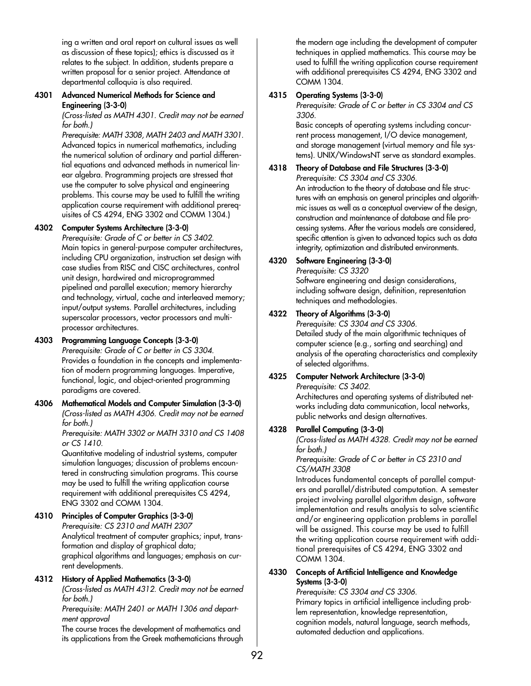ing a written and oral report on cultural issues as well as discussion of these topics); ethics is discussed as it relates to the subject. In addition, students prepare a written proposal for a senior project. Attendance at departmental colloquia is also required.

#### **4301 Advanced Numerical Methods for Science and Engineering (3-3-0)**

*(Cross-listed as MATH 4301. Credit may not be earned for both.)*

*Prerequisite: MATH 3308, MATH 2403 and MATH 3301.* Advanced topics in numerical mathematics, including the numerical solution of ordinary and partial differential equations and advanced methods in numerical linear algebra. Programming projects are stressed that use the computer to solve physical and engineering problems. This course may be used to fulfill the writing application course requirement with additional prerequisites of CS 4294, ENG 3302 and COMM 1304.)

#### **4302 Computer Systems Architecture (3-3-0)**

*Prerequisite: Grade of C or better in CS 3402.* Main topics in general-purpose computer architectures, including CPU organization, instruction set design with case studies from RISC and CISC architectures, control unit design, hardwired and microprogrammed pipelined and parallel execution; memory hierarchy and technology, virtual, cache and interleaved memory; input/output systems. Parallel architectures, including superscalar processors, vector processors and multiprocessor architectures.

**4303 Programming Language Concepts (3-3-0)** *Prerequisite: Grade of C or better in CS 3304.*

Provides a foundation in the concepts and implementation of modern programming languages. Imperative, functional, logic, and object-oriented programming paradigms are covered.

**4306 Mathematical Models and Computer Simulation (3-3-0)** *(Cross-listed as MATH 4306. Credit may not be earned for both.)*

*Prerequisite: MATH 3302 or MATH 3310 and CS 1408 or CS 1410.*

Quantitative modeling of industrial systems, computer simulation languages; discussion of problems encountered in constructing simulation programs. This course may be used to fulfill the writing application course requirement with additional prerequisites CS 4294, ENG 3302 and COMM 1304.

**4310 Principles of Computer Graphics (3-3-0)** *Prerequisite: CS 2310 and MATH 2307* Analytical treatment of computer graphics; input, transformation and display of graphical data; graphical algorithms and languages; emphasis on current developments.

#### **4312 History of Applied Mathematics (3-3-0)**

*(Cross-listed as MATH 4312. Credit may not be earned for both.)*

*Prerequisite: MATH 2401 or MATH 1306 and department approval*

The course traces the development of mathematics and its applications from the Greek mathematicians through the modern age including the development of computer techniques in applied mathematics. This course may be used to fulfill the writing application course requirement with additional prerequisites CS 4294, ENG 3302 and COMM 1304.

#### **4315 Operating Systems (3-3-0)**

*Prerequisite: Grade of C or better in CS 3304 and CS 3306.*

Basic concepts of operating systems including concurrent process management, I/O device management, and storage management (virtual memory and file systems). UNIX/WindowsNT serve as standard examples.

#### **4318 Theory of Database and File Structures (3-3-0)** *Prerequisite: CS 3304 and CS 3306.*

An introduction to the theory of database and file structures with an emphasis on general principles and algorithmic issues as well as a conceptual overview of the design, construction and maintenance of database and file processing systems. After the various models are considered, specific attention is given to advanced topics such as data integrity, optimization and distributed environments.

#### **4320 Software Engineering (3-3-0)**

*Prerequisite: CS 3320* Software engineering and design considerations, including software design, definition, representation techniques and methodologies.

### **4322 Theory of Algorithms (3-3-0)**

*Prerequisite: CS 3304 and CS 3306.* Detailed study of the main algorithmic techniques of computer science (e.g., sorting and searching) and analysis of the operating characteristics and complexity of selected algorithms.

### **4325 Computer Network Architecture (3-3-0)**

*Prerequisite: CS 3402.*

Architectures and operating systems of distributed networks including data communication, local networks, public networks and design alternatives.

#### **4328 Parallel Computing (3-3-0)**

*(Cross-listed as MATH 4328. Credit may not be earned for both.)*

*Prerequisite: Grade of C or better in CS 2310 and CS/MATH 3308*

Introduces fundamental concepts of parallel computers and parallel/distributed computation. A semester project involving parallel algorithm design, software implementation and results analysis to solve scientific and/or engineering application problems in parallel will be assigned. This course may be used to fulfill the writing application course requirement with additional prerequisites of CS 4294, ENG 3302 and COMM 1304.

#### **4330 Concepts of Artificial Intelligence and Knowledge Systems (3-3-0)**

*Prerequisite: CS 3304 and CS 3306.* Primary topics in artificial intelligence including problem representation, knowledge representation, cognition models, natural language, search methods, automated deduction and applications.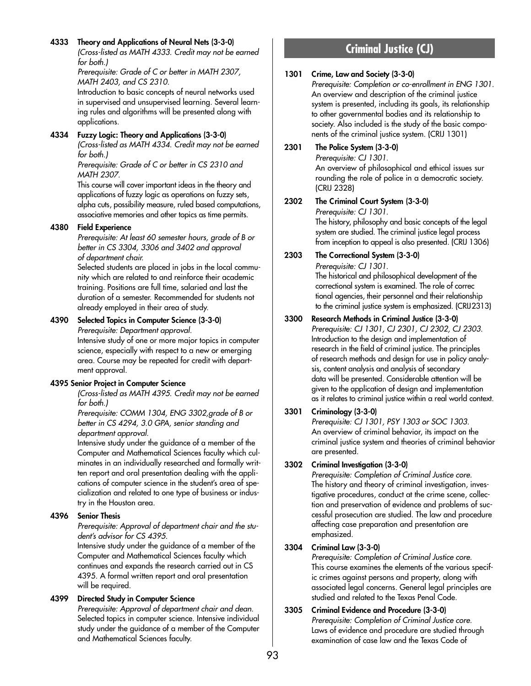#### **4333 Theory and Applications of Neural Nets (3-3-0)**

*(Cross-listed as MATH 4333. Credit may not be earned for both.)*

*Prerequisite: Grade of C or better in MATH 2307, MATH 2403, and CS 2310.*

Introduction to basic concepts of neural networks used in supervised and unsupervised learning. Several learning rules and algorithms will be presented along with applications.

#### **4334 Fuzzy Logic: Theory and Applications (3-3-0)**

*(Cross-listed as MATH 4334. Credit may not be earned for both.)*

*Prerequisite: Grade of C or better in CS 2310 and MATH 2307.*

This course will cover important ideas in the theory and applications of fuzzy logic as operations on fuzzy sets, alpha cuts, possibility measure, ruled based computations, associative memories and other topics as time permits.

#### **4380 Field Experience**

*Prerequisite: At least 60 semester hours, grade of B or better in CS 3304, 3306 and 3402 and approval of department chair.*

Selected students are placed in jobs in the local community which are related to and reinforce their academic training. Positions are full time, salaried and last the duration of a semester. Recommended for students not already employed in their area of study.

## **4390 Selected Topics in Computer Science (3-3-0)**

*Prerequisite: Department approval.*

Intensive study of one or more major topics in computer science, especially with respect to a new or emerging area. Course may be repeated for credit with department approval.

#### **4395 Senior Project in Computer Science**

*(Cross-listed as MATH 4395. Credit may not be earned for both.)*

*Prerequisite: COMM 1304, ENG 3302,grade of B or better in CS 4294, 3.0 GPA, senior standing and department approval.*

Intensive study under the guidance of a member of the Computer and Mathematical Sciences faculty which culminates in an individually researched and formally written report and oral presentation dealing with the applications of computer science in the student's area of specialization and related to one type of business or industry in the Houston area.

#### **4396 Senior Thesis**

*Prerequisite: Approval of department chair and the student's advisor for CS 4395.*

Intensive study under the guidance of a member of the Computer and Mathematical Sciences faculty which continues and expands the research carried out in CS 4395. A formal written report and oral presentation will be required.

#### **4399 Directed Study in Computer Science**

*Prerequisite: Approval of department chair and dean.* Selected topics in computer science. Intensive individual study under the guidance of a member of the Computer and Mathematical Sciences faculty.

# **Criminal Justice (CJ)**

#### **1301 Crime, Law and Society (3-3-0)**

*Prerequisite: Completion or co-enrollment in ENG 1301.* An overview and description of the criminal justice system is presented, including its goals, its relationship to other governmental bodies and its relationship to society. Also included is the study of the basic components of the criminal justice system. (CRIJ 1301)

#### **2301 The Police System (3-3-0)**

*Prerequisite: CJ 1301.* An overview of philosophical and ethical issues sur rounding the role of police in a democratic society. (CRIJ 2328)

#### **2302 The Criminal Court System (3-3-0)**

*Prerequisite: CJ 1301.* The history, philosophy and basic concepts of the legal system are studied. The criminal justice legal process from inception to appeal is also presented. (CRIJ 1306)

## **2303 The Correctional System (3-3-0)**

*Prerequisite: CJ 1301.* The historical and philosophical development of the correctional system is examined. The role of correc tional agencies, their personnel and their relationship to the criminal justice system is emphasized. (CRU2313)

## **3300 Research Methods in Criminal Justice (3-3-0)**

*Prerequisite: CJ 1301, CJ 2301, CJ 2302, CJ 2303.* Introduction to the design and implementation of research in the field of criminal justice. The principles of research methods and design for use in policy analysis, content analysis and analysis of secondary data will be presented. Considerable attention will be given to the application of design and implementation as it relates to criminal justice within a real world context.

### **3301 Criminology (3-3-0)**

*Prerequisite: CJ 1301, PSY 1303 or SOC 1303.* An overview of criminal behavior, its impact on the criminal justice system and theories of criminal behavior are presented.

#### **3302 Criminal Investigation (3-3-0)**

*Prerequisite: Completion of Criminal Justice core.* The history and theory of criminal investigation, investigative procedures, conduct at the crime scene, collection and preservation of evidence and problems of successful prosecution are studied. The law and procedure affecting case preparation and presentation are emphasized.

### **3304 Criminal Law (3-3-0)**

*Prerequisite: Completion of Criminal Justice core.* This course examines the elements of the various specific crimes against persons and property, along with associated legal concerns. General legal principles are studied and related to the Texas Penal Code.

## **3305 Criminal Evidence and Procedure (3-3-0)**

*Prerequisite: Completion of Criminal Justice core.* Laws of evidence and procedure are studied through examination of case law and the Texas Code of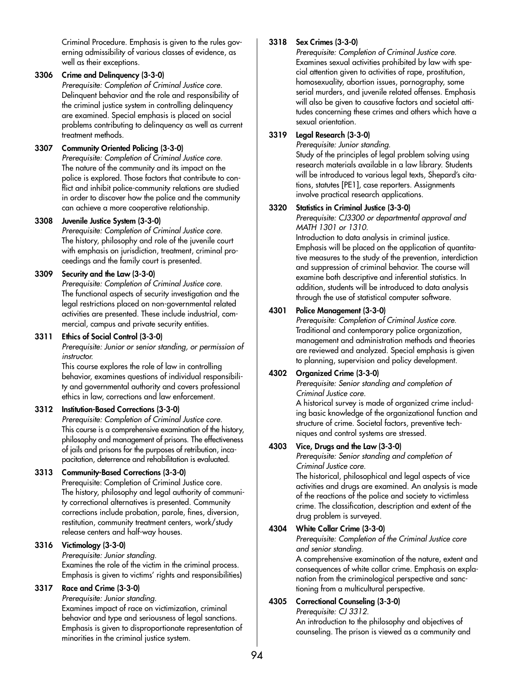Criminal Procedure. Emphasis is given to the rules governing admissibility of various classes of evidence, as well as their exceptions.

#### **3306 Crime and Delinquency (3-3-0)**

*Prerequisite: Completion of Criminal Justice core.* Delinquent behavior and the role and responsibility of the criminal justice system in controlling delinquency are examined. Special emphasis is placed on social problems contributing to delinquency as well as current treatment methods.

#### **3307 Community Oriented Policing (3-3-0)**

*Prerequisite: Completion of Criminal Justice core.* The nature of the community and its impact on the police is explored. Those factors that contribute to conflict and inhibit police-community relations are studied in order to discover how the police and the community can achieve a more cooperative relationship.

#### **3308 Juvenile Justice System (3-3-0)**

*Prerequisite: Completion of Criminal Justice core.* The history, philosophy and role of the juvenile court with emphasis on jurisdiction, treatment, criminal proceedings and the family court is presented.

#### **3309 Security and the Law (3-3-0)**

*Prerequisite: Completion of Criminal Justice core.* The functional aspects of security investigation and the legal restrictions placed on non-governmental related activities are presented. These include industrial, commercial, campus and private security entities.

#### **3311 Ethics of Social Control (3-3-0)**

*Prerequisite: Junior or senior standing, or permission of instructor.*

This course explores the role of law in controlling behavior, examines questions of individual responsibility and governmental authority and covers professional ethics in law, corrections and law enforcement.

#### **3312 Institution-Based Corrections (3-3-0)**

*Prerequisite: Completion of Criminal Justice core.* This course is a comprehensive examination of the history, philosophy and management of prisons. The effectiveness of jails and prisons for the purposes of retribution, incapacitation, deterrence and rehabilitation is evaluated.

#### **3313 Community-Based Corrections (3-3-0)**

Prerequisite: Completion of Criminal Justice core. The history, philosophy and legal authority of community correctional alternatives is presented. Community corrections include probation, parole, fines, diversion, restitution, community treatment centers, work/study release centers and half-way houses.

#### **3316 Victimology (3-3-0)**

*Prerequisite: Junior standing.* Examines the role of the victim in the criminal process. Emphasis is given to victims' rights and responsibilities)

#### **3317 Race and Crime (3-3-0)**

*Prerequisite: Junior standing.*

Examines impact of race on victimization, criminal behavior and type and seriousness of legal sanctions. Emphasis is given to disproportionate representation of minorities in the criminal justice system.

#### **3318 Sex Crimes (3-3-0)**

*Prerequisite: Completion of Criminal Justice core.* Examines sexual activities prohibited by law with special attention given to activities of rape, prostitution, homosexuality, abortion issues, pornography, some serial murders, and juvenile related offenses. Emphasis will also be given to causative factors and societal attitudes concerning these crimes and others which have a sexual orientation.

#### **3319 Legal Research (3-3-0)**

*Prerequisite: Junior standing.* Study of the principles of legal problem solving using

research materials available in a law library. Students will be introduced to various legal texts, Shepard's citations, statutes [PE1], case reporters. Assignments involve practical research applications.

#### **3320 Statistics in Criminal Justice (3-3-0)**

*Prerequisite: CJ3300 or departmental approval and MATH 1301 or 1310.*

Introduction to data analysis in criminal justice. Emphasis will be placed on the application of quantitative measures to the study of the prevention, interdiction and suppression of criminal behavior. The course will examine both descriptive and inferential statistics. In addition, students will be introduced to data analysis through the use of statistical computer software.

#### **4301 Police Management (3-3-0)**

*Prerequisite: Completion of Criminal Justice core.* Traditional and contemporary police organization, management and administration methods and theories are reviewed and analyzed. Special emphasis is given to planning, supervision and policy development.

#### **4302 Organized Crime (3-3-0)**

*Prerequisite: Senior standing and completion of Criminal Justice core.*

A historical survey is made of organized crime including basic knowledge of the organizational function and structure of crime. Societal factors, preventive techniques and control systems are stressed.

#### **4303 Vice, Drugs and the Law (3-3-0)**

*Prerequisite: Senior standing and completion of Criminal Justice core.*

The historical, philosophical and legal aspects of vice activities and drugs are examined. An analysis is made of the reactions of the police and society to victimless crime. The classification, description and extent of the drug problem is surveyed.

#### **4304 White Collar Crime (3-3-0)**

*Prerequisite: Completion of the Criminal Justice core and senior standing.*

A comprehensive examination of the nature, extent and consequences of white collar crime. Emphasis on explanation from the criminological perspective and sanctioning from a multicultural perspective.

#### **4305 Correctional Counseling (3-3-0)**

*Prerequisite: CJ 3312.* An introduction to the philosophy and objectives of counseling. The prison is viewed as a community and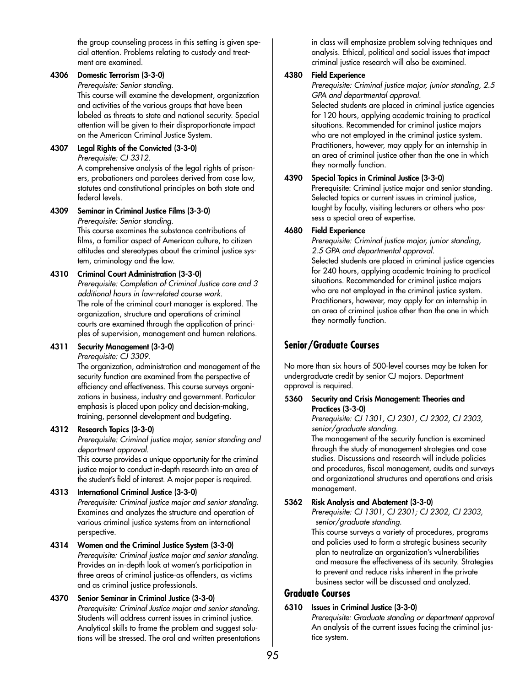the group counseling process in this setting is given special attention. Problems relating to custody and treatment are examined.

#### **4306 Domestic Terrorism (3-3-0)**

*Prerequisite: Senior standing.*

This course will examine the development, organization and activities of the various groups that have been labeled as threats to state and national security. Special attention will be given to their disproportionate impact on the American Criminal Justice System.

## **4307 Legal Rights of the Convicted (3-3-0)**

*Prerequisite: CJ 3312.*

A comprehensive analysis of the legal rights of prisoners, probationers and parolees derived from case law, statutes and constitutional principles on both state and federal levels.

#### **4309 Seminar in Criminal Justice Films (3-3-0)** *Prerequisite: Senior standing.*

This course examines the substance contributions of films, a familiar aspect of American culture, to citizen attitudes and stereotypes about the criminal justice system, criminology and the law.

#### **4310 Criminal Court Administration (3-3-0)**

*Prerequisite: Completion of Criminal Justice core and 3 additional hours in law-related course work.* The role of the criminal court manager is explored. The organization, structure and operations of criminal courts are examined through the application of principles of supervision, management and human relations.

#### **4311 Security Management (3-3-0)**

*Prerequisite: CJ 3309.*

The organization, administration and management of the security function are examined from the perspective of efficiency and effectiveness. This course surveys organizations in business, industry and government. Particular emphasis is placed upon policy and decision-making, training, personnel development and budgeting.

#### **4312 Research Topics (3-3-0)**

*Prerequisite: Criminal justice major, senior standing and department approval.*

This course provides a unique opportunity for the criminal justice major to conduct in-depth research into an area of the student's field of interest. A major paper is required.

#### **4313 International Criminal Justice (3-3-0)**

*Prerequisite: Criminal justice major and senior standing.* Examines and analyzes the structure and operation of various criminal justice systems from an international perspective.

**4314 Women and the Criminal Justice System (3-3-0)** *Prerequisite: Criminal justice major and senior standing.* Provides an in-depth look at women's participation in three areas of criminal justice-as offenders, as victims and as criminal justice professionals.

#### **4370 Senior Seminar in Criminal Justice (3-3-0)** *Prerequisite: Criminal Justice major and senior standing.* Students will address current issues in criminal justice. Analytical skills to frame the problem and suggest solutions will be stressed. The oral and written presentations

in class will emphasize problem solving techniques and analysis. Ethical, political and social issues that impact criminal justice research will also be examined.

#### **4380 Field Experience**

*Prerequisite: Criminal justice major, junior standing, 2.5 GPA and departmental approval.*

Selected students are placed in criminal justice agencies for 120 hours, applying academic training to practical situations. Recommended for criminal justice majors who are not employed in the criminal justice system. Practitioners, however, may apply for an internship in an area of criminal justice other than the one in which they normally function.

#### **4390 Special Topics in Criminal Justice (3-3-0)**

Prerequisite: Criminal justice major and senior standing. Selected topics or current issues in criminal justice, taught by faculty, visiting lecturers or others who possess a special area of expertise.

#### **4680 Field Experience**

*Prerequisite: Criminal justice major, junior standing, 2.5 GPA and departmental approval.*

Selected students are placed in criminal justice agencies for 240 hours, applying academic training to practical situations. Recommended for criminal justice majors who are not employed in the criminal justice system. Practitioners, however, may apply for an internship in an area of criminal justice other than the one in which they normally function.

## **Senior/Graduate Courses**

No more than six hours of 500-level courses may be taken for undergraduate credit by senior CJ majors. Department approval is required.

#### **5360 Security and Crisis Management: Theories and Practices (3-3-0)**

*Prerequisite: CJ 1301, CJ 2301, CJ 2302, CJ 2303, senior/graduate standing.*

The management of the security function is examined through the study of management strategies and case studies. Discussions and research will include policies and procedures, fiscal management, audits and surveys and organizational structures and operations and crisis management.

#### **5362 Risk Analysis and Abatement (3-3-0)**

*Prerequisite: CJ 1301, CJ 2301; CJ 2302, CJ 2303, senior/graduate standing.*

This course surveys a variety of procedures, programs and policies used to form a strategic business security plan to neutralize an organization's vulnerabilities and measure the effectiveness of its security. Strategies to prevent and reduce risks inherent in the private business sector will be discussed and analyzed.

## **Graduate Courses**

#### **6310 Issues in Criminal Justice (3-3-0)**

*Prerequisite: Graduate standing or department approval* An analysis of the current issues facing the criminal justice system.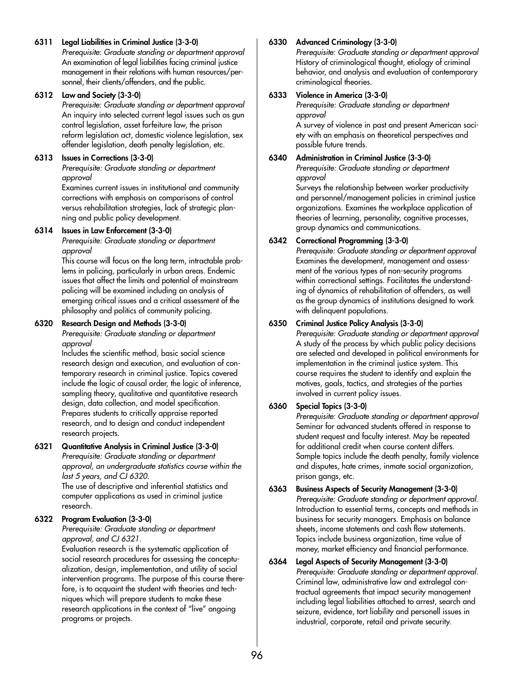#### **6311 Legal Liabilities in Criminal Justice (3-3-0)**

*Prerequisite: Graduate standing or department approval* An examination of legal liabilities facing criminal justice management in their relations with human resources/personnel, their clients/offenders, and the public.

#### **6312 Law and Society (3-3-0)**

*Prerequisite: Graduate standing or department approval* An inquiry into selected current legal issues such as gun control legislation, asset forfeiture law, the prison reform legislation act, domestic violence legislation, sex offender legislation, death penalty legislation, etc.

#### **6313 Issues in Corrections (3-3-0)**

*Prerequisite: Graduate standing or department approval*

Examines current issues in institutional and community corrections with emphasis on comparisons of control versus rehabilitation strategies, lack of strategic planning and public policy development.

#### **6314 Issues in Law Enforcement (3-3-0)**

*Prerequisite: Graduate standing or department approval*

This course will focus on the long term, intractable problems in policing, particularly in urban areas. Endemic issues that affect the limits and potential of mainstream policing will be examined including an analysis of emerging critical issues and a critical assessment of the philosophy and politics of community policing.

#### **6320 Research Design and Methods (3-3-0)**

*Prerequisite: Graduate standing or department approval*

Includes the scientific method, basic social science research design and execution, and evaluation of contemporary research in criminal justice. Topics covered include the logic of causal order, the logic of inference, sampling theory, qualitative and quantitative research design, data collection, and model specification. Prepares students to critically appraise reported research, and to design and conduct independent research projects.

#### **6321 Quantitative Analysis in Criminal Justice (3-3-0)**

*Prerequisite: Graduate standing or department approval, an undergraduate statistics course within the last 5 years, and CJ 6320.*

The use of descriptive and inferential statistics and computer applications as used in criminal justice research.

#### **6322 Program Evaluation (3-3-0)**

*Prerequisite: Graduate standing or department approval, and CJ 6321.*

Evaluation research is the systematic application of social research procedures for assessing the conceptualization, design, implementation, and utility of social intervention programs. The purpose of this course therefore, is to acquaint the student with theories and techniques which will prepare students to make these research applications in the context of "live" ongoing programs or projects.

#### **6330 Advanced Criminology (3-3-0)**

*Prerequisite: Graduate standing or department approval* History of criminological thought, etiology of criminal behavior, and analysis and evaluation of contemporary criminological theories.

#### **6333 Violence in America (3-3-0)**

*Prerequisite: Graduate standing or department approval*

A survey of violence in past and present American society with an emphasis on theoretical perspectives and possible future trends.

#### **6340 Administration in Criminal Justice (3-3-0)**

*Prerequisite: Graduate standing or department approval*

Surveys the relationship between worker productivity and personnel/management policies in criminal justice organizations. Examines the workplace application of theories of learning, personality, cognitive processes, group dynamics and communications.

#### **6342 Correctional Programming (3-3-0)**

*Prerequisite: Graduate standing or department approval* Examines the development, management and assessment of the various types of non-security programs within correctional settings. Facilitates the understanding of dynamics of rehabilitation of offenders, as well as the group dynamics of institutions designed to work with delinquent populations.

#### **6350 Criminal Justice Policy Analysis (3-3-0)**

*Prerequisite: Graduate standing or department approval* A study of the process by which public policy decisions are selected and developed in political environments for implementation in the criminal justice system. This course requires the student to identify and explain the motives, goals, tactics, and strategies of the parties involved in current policy issues.

#### **6360 Special Topics (3-3-0)**

*Prerequisite: Graduate standing or department approval* Seminar for advanced students offered in response to student request and faculty interest. May be repeated for additional credit when course content differs. Sample topics include the death penalty, family violence and disputes, hate crimes, inmate social organization, prison gangs, etc.

#### **6363 Business Aspects of Security Management (3-3-0)** *Prerequisite: Graduate standing or department approval.* Introduction to essential terms, concepts and methods in business for security managers. Emphasis on balance sheets, income statements and cash flow statements. Topics include business organization, time value of money, market efficiency and financial performance.

#### **6364 Legal Aspects of Security Management (3-3-0)**

*Prerequisite: Graduate standing or department approval.* Criminal law, administrative law and extralegal contractual agreements that impact security management including legal liabilities attached to arrest, search and seizure, evidence, tort liability and personell issues in industrial, corporate, retail and private security.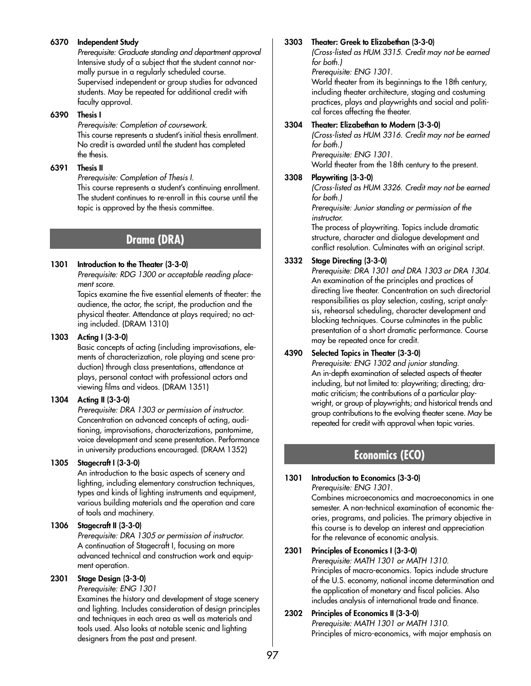#### **6370 Independent Study**

*Prerequisite: Graduate standing and department approval* Intensive study of a subject that the student cannot normally pursue in a regularly scheduled course. Supervised independent or group studies for advanced students. May be repeated for additional credit with faculty approval.

#### **6390 Thesis I**

*Prerequisite: Completion of coursework.* This course represents a student's initial thesis enrollment. No credit is awarded until the student has completed the thesis.

#### **6391 Thesis II**

*Prerequisite: Completion of Thesis I.*

This course represents a student's continuing enrollment. The student continues to re-enroll in this course until the topic is approved by the thesis committee.

## **Drama (DRA)**

#### **1301 Introduction to the Theater (3-3-0)**

*Prerequisite: RDG 1300 or acceptable reading placement score.*

Topics examine the five essential elements of theater: the audience, the actor, the script, the production and the physical theater. Attendance at plays required; no acting included. (DRAM 1310)

#### **1303 Acting I (3-3-0)**

Basic concepts of acting (including improvisations, elements of characterization, role playing and scene production) through class presentations, attendance at plays, personal contact with professional actors and viewing films and videos. (DRAM 1351)

#### **1304 Acting II (3-3-0)**

*Prerequisite: DRA 1303 or permission of instructor.* Concentration on advanced concepts of acting, auditioning, improvisations, characterizations, pantomime, voice development and scene presentation. Performance in university productions encouraged. (DRAM 1352)

#### **1305 Stagecraft I (3-3-0)**

An introduction to the basic aspects of scenery and lighting, including elementary construction techniques, types and kinds of lighting instruments and equipment, various building materials and the operation and care of tools and machinery.

#### **1306 Stagecraft II (3-3-0)**

*Prerequisite: DRA 1305 or permission of instructor.* A continuation of Stagecraft I, focusing on more advanced technical and construction work and equipment operation.

#### **2301 Stage Design (3-3-0)**

#### *Prerequisite: ENG 1301*

Examines the history and development of stage scenery and lighting. Includes consideration of design principles and techniques in each area as well as materials and tools used. Also looks at notable scenic and lighting designers from the past and present.

#### **3303 Theater: Greek to Elizabethan (3-3-0)**

*(Cross-listed as HUM 3315. Credit may not be earned for both.)*

*Prerequisite: ENG 1301.*

World theater from its beginnings to the 18th century, including theater architecture, staging and costuming practices, plays and playwrights and social and political forces affecting the theater.

#### **3304 Theater: Elizabethan to Modern (3-3-0)**

*(Cross-listed as HUM 3316. Credit may not be earned for both.)*

*Prerequisite: ENG 1301.* World theater from the 18th century to the present.

#### **3308 Playwriting (3-3-0)**

*(Cross-listed as HUM 3326. Credit may not be earned for both.)*

*Prerequisite: Junior standing or permission of the instructor.*

The process of playwriting. Topics include dramatic structure, character and dialogue development and conflict resolution. Culminates with an original script.

#### **3332 Stage Directing (3-3-0)**

*Prerequisite: DRA 1301 and DRA 1303 or DRA 1304.* An examination of the principles and practices of directing live theater. Concentration on such directorial responsibilities as play selection, casting, script analysis, rehearsal scheduling, character development and blocking techniques. Course culminates in the public presentation of a short dramatic performance. Course may be repeated once for credit.

#### **4390 Selected Topics in Theater (3-3-0)**

*Prerequisite: ENG 1302 and junior standing.* An in-depth examination of selected aspects of theater including, but not limited to: playwriting; directing; dramatic criticism; the contributions of a particular playwright, or group of playwrights; and historical trends and group contributions to the evolving theater scene. May be repeated for credit with approval when topic varies.

## **Economics (ECO)**

**1301 Introduction to Economics (3-3-0)** *Prerequisite: ENG 1301.*

Combines microeconomics and macroeconomics in one semester. A non-technical examination of economic theories, programs, and policies. The primary objective in this course is to develop an interest and appreciation for the relevance of economic analysis.

#### **2301 Principles of Economics I (3-3-0)** *Prerequisite: MATH 1301 or MATH 1310.* Principles of macro-economics. Topics include structure of the U.S. economy, national income determination and the application of monetary and fiscal policies. Also includes analysis of international trade and finance.

#### **2302 Principles of Economics II (3-3-0)** *Prerequisite: MATH 1301 or MATH 1310.* Principles of micro-economics, with major emphasis on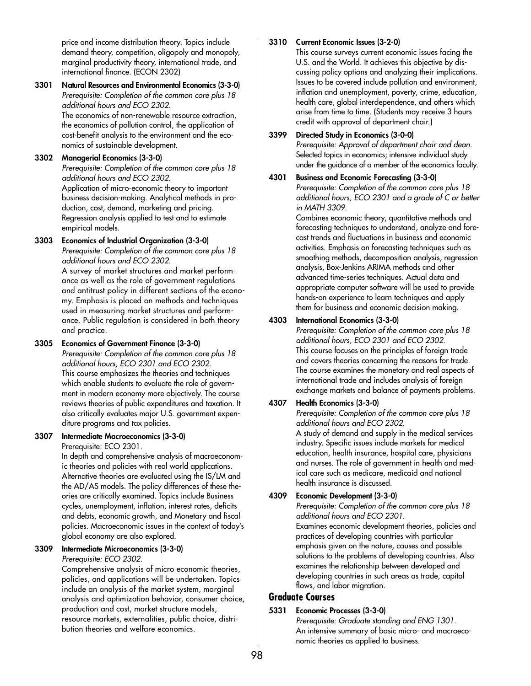price and income distribution theory. Topics include demand theory, competition, oligopoly and monopoly, marginal productivity theory, international trade, and international finance. (ECON 2302)

**3301 Natural Resources and Environmental Economics (3-3-0)** *Prerequisite: Completion of the common core plus 18 additional hours and ECO 2302.* The economics of non-renewable resource extraction, the economics of pollution control, the application of cost-benefit analysis to the environment and the economics of sustainable development.

#### **3302 Managerial Economics (3-3-0)**

*Prerequisite: Completion of the common core plus 18 additional hours and ECO 2302.*

Application of micro-economic theory to important business decision-making. Analytical methods in production, cost, demand, marketing and pricing. Regression analysis applied to test and to estimate empirical models.

#### **3303 Economics of Industrial Organization (3-3-0)**

*Prerequisite: Completion of the common core plus 18 additional hours and ECO 2302.*

A survey of market structures and market performance as well as the role of government regulations and antitrust policy in different sections of the economy. Emphasis is placed on methods and techniques used in measuring market structures and performance. Public regulation is considered in both theory and practice.

#### **3305 Economics of Government Finance (3-3-0)**

*Prerequisite: Completion of the common core plus 18 additional hours, ECO 2301 and ECO 2302.* This course emphasizes the theories and techniques which enable students to evaluate the role of government in modern economy more objectively. The course reviews theories of public expenditures and taxation. It also critically evaluates major U.S. government expenditure programs and tax policies.

## **3307 Intermediate Macroeconomics (3-3-0)**

Prerequisite: ECO 2301.

In depth and comprehensive analysis of macroeconomic theories and policies with real world applications. Alternative theories are evaluated using the IS/LM and the AD/AS models. The policy differences of these theories are critically examined. Topics include Business cycles, unemployment, inflation, interest rates, deficits and debts, economic growth, and Monetary and fiscal policies. Macroeconomic issues in the context of today's global economy are also explored.

#### **3309 Intermediate Microeconomics (3-3-0)**

*Prerequisite: ECO 2302.*

Comprehensive analysis of micro economic theories, policies, and applications will be undertaken. Topics include an analysis of the market system, marginal analysis and optimization behavior, consumer choice, production and cost, market structure models, resource markets, externalities, public choice, distribution theories and welfare economics.

#### **3310 Current Economic Issues (3-2-0)**

This course surveys current economic issues facing the U.S. and the World. It achieves this objective by discussing policy options and analyzing their implications. Issues to be covered include pollution and environment, inflation and unemployment, poverty, crime, education, health care, global interdependence, and others which arise from time to time. (Students may receive 3 hours credit with approval of department chair.)

#### **3399 Directed Study in Economics (3-0-0)**

*Prerequisite: Approval of department chair and dean.* Selected topics in economics; intensive individual study under the guidance of a member of the economics faculty.

**4301 Business and Economic Forecasting (3-3-0)** *Prerequisite: Completion of the common core plus 18 additional hours, ECO 2301 and a grade of C or better in MATH 3309.*

> Combines economic theory, quantitative methods and forecasting techniques to understand, analyze and forecast trends and fluctuations in business and economic activities. Emphasis on forecasting techniques such as smoothing methods, decomposition analysis, regression analysis, Box-Jenkins ARIMA methods and other advanced time-series techniques. Actual data and appropriate computer software will be used to provide hands-on experience to learn techniques and apply them for business and economic decision making.

#### **4303 International Economics (3-3-0)**

*Prerequisite: Completion of the common core plus 18 additional hours, ECO 2301 and ECO 2302.* This course focuses on the principles of foreign trade and covers theories concerning the reasons for trade. The course examines the monetary and real aspects of international trade and includes analysis of foreign exchange markets and balance of payments problems.

#### **4307 Health Economics (3-3-0)**

*Prerequisite: Completion of the common core plus 18 additional hours and ECO 2302.*

A study of demand and supply in the medical services industry. Specific issues include markets for medical education, health insurance, hospital care, physicians and nurses. The role of government in health and medical care such as medicare, medicaid and national health insurance is discussed.

#### **4309 Economic Development (3-3-0)**

*Prerequisite: Completion of the common core plus 18 additional hours and ECO 2301.*

Examines economic development theories, policies and practices of developing countries with particular emphasis given on the nature, causes and possible solutions to the problems of developing countries. Also examines the relationship between developed and developing countries in such areas as trade, capital flows, and labor migration.

### **Graduate Courses**

#### **5331 Economic Processes (3-3-0)**

*Prerequisite: Graduate standing and ENG 1301.* An intensive summary of basic micro- and macroeconomic theories as applied to business.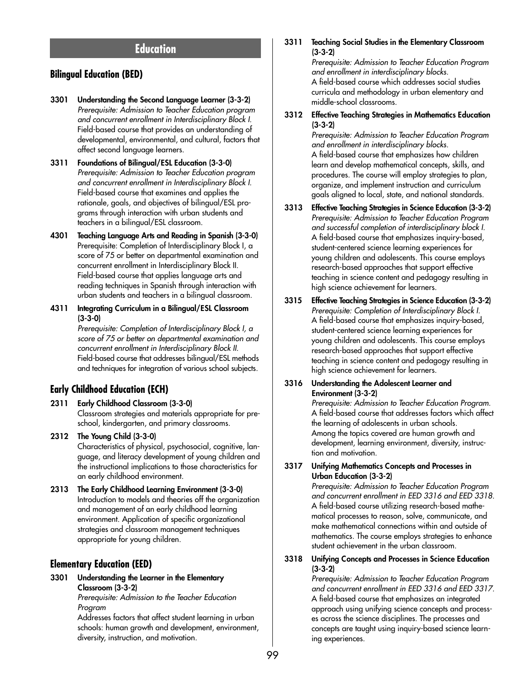## **Education**

### **Bilingual Education (BED)**

- **3301 Understanding the Second Language Learner (3-3-2)** *Prerequisite: Admission to Teacher Education program and concurrent enrollment in Interdisciplinary Block I.* Field-based course that provides an understanding of developmental, environmental, and cultural, factors that affect second language learners.
- **3311 Foundations of Bilingual/ESL Education (3-3-0)** *Prerequisite: Admission to Teacher Education program and concurrent enrollment in Interdisciplinary Block I.* Field-based course that examines and applies the rationale, goals, and objectives of bilingual/ESL programs through interaction with urban students and teachers in a bilingual/ESL classroom.
- **4301 Teaching Language Arts and Reading in Spanish (3-3-0)** Prerequisite: Completion of Interdisciplinary Block I, a score of 75 or better on departmental examination and concurrent enrollment in Interdisciplinary Block II. Field-based course that applies language arts and reading techniques in Spanish through interaction with urban students and teachers in a bilingual classroom.
- **4311 Integrating Curriculum in a Bilingual/ESL Classroom (3-3-0)**

*Prerequisite: Completion of Interdisciplinary Block I, a score of 75 or better on departmental examination and concurrent enrollment in Interdisciplinary Block II.* Field-based course that addresses bilingual/ESL methods and techniques for integration of various school subjects.

## **Early Childhood Education (ECH)**

- **2311 Early Childhood Classroom (3-3-0)** Classroom strategies and materials appropriate for preschool, kindergarten, and primary classrooms.
- **2312 The Young Child (3-3-0)** Characteristics of physical, psychosocial, cognitive, language, and literacy development of young children and the instructional implications to those characteristics for an early childhood environment.
- **2313 The Early Childhood Learning Environment (3-3-0)** Introduction to models and theories off the organization and management of an early childhood learning environment. Application of specific organizational strategies and classroom management techniques appropriate for young children.

#### **Elementary Education (EED)**

**3301 Understanding the Learner in the Elementary Classroom (3-3-2)**

*Prerequisite: Admission to the Teacher Education Program*

Addresses factors that affect student learning in urban schools: human growth and development, environment, diversity, instruction, and motivation.

**3311 Teaching Social Studies in the Elementary Classroom (3-3-2)**

> *Prerequisite: Admission to Teacher Education Program and enrollment in interdisciplinary blocks.* A field-based course which addresses social studies curricula and methodology in urban elementary and middle-school classrooms.

#### **3312 Effective Teaching Strategies in Mathematics Education (3-3-2)**

*Prerequisite: Admission to Teacher Education Program and enrollment in interdisciplinary blocks.* A field-based course that emphasizes how children learn and develop mathematical concepts, skills, and procedures. The course will employ strategies to plan, organize, and implement instruction and curriculum goals aligned to local, state, and national standards.

- **3313 E ffective Teaching Strategies in Science Education (3-3-2)** *Prerequisite: Admission to Teacher Education Program and successful completion of interdisciplinary block I.* A field-based course that emphasizes inquiry-based, student-centered science learning experiences for young children and adolescents. This course employs research-based approaches that support effective teaching in science content and pedagogy resulting in high science achievement for learners.
- **3315 E ffective Teaching Strategies in Science Education (3-3-2)** *Prerequisite: Completion of Interdisciplinary Block I.* A field-based course that emphasizes inquiry-based, student-centered science learning experiences for young children and adolescents. This course employs research-based approaches that support effective teaching in science content and pedagogy resulting in high science achievement for learners.
- **3316 Understanding the Adolescent Learner and Environment (3-3-2)**

*Prerequisite: Admission to Teacher Education Program.* A field-based course that addresses factors which affect the learning of adolescents in urban schools. Among the topics covered are human growth and development, learning environment, diversity, instruction and motivation.

#### **3317 Unifying Mathematics Concepts and Processes in Urban Education (3-3-2)**

*Prerequisite: Admission to Teacher Education Program and concurrent enrollment in EED 3316 and EED 3318.* A field-based course utilizing research-based mathematical processes to reason, solve, communicate, and make mathematical connections within and outside of mathematics. The course employs strategies to enhance student achievement in the urban classroom.

#### **3318 Unifying Concepts and Processes in Science Education (3-3-2)**

*Prerequisite: Admission to Teacher Education Program and concurrent enrollment in EED 3316 and EED 3317.* A field-based course that emphasizes an integrated approach using unifying science concepts and processes across the science disciplines. The processes and concepts are taught using inquiry-based science learning experiences.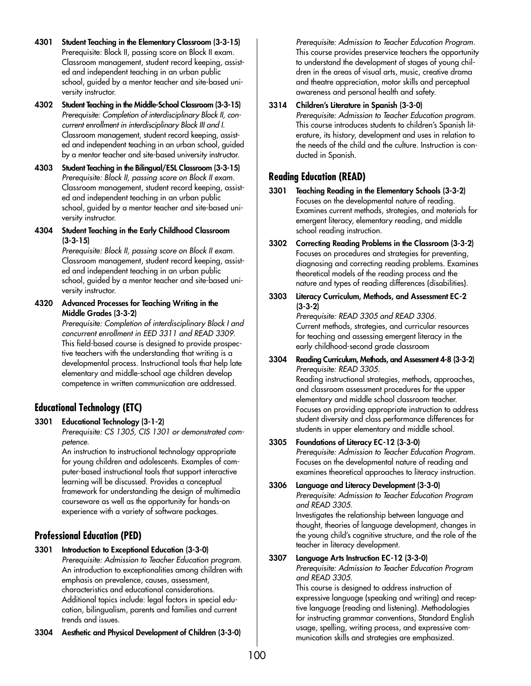- **4301 Student Teaching in the Elementary Classroom (3-3-15)** Prerequisite: Block II, passing score on Block II exam. Classroom management, student record keeping, assisted and independent teaching in an urban public school, guided by a mentor teacher and site-based university instructor.
- **4302 Student Teaching in the Middle-School Classroom (3-3-15)** *Prerequisite: Completion of interdisciplinary Block II, concurrent enrollment in interdisciplinary Block III and I.* Classroom management, student record keeping, assisted and independent teaching in an urban school, guided by a mentor teacher and site-based university instructor.
- **4303 Student Teaching in the Bilingual/ESL Classroom (3-3-15)** *Prerequisite: Block II, passing score on Block II exam.* Classroom management, student record keeping, assisted and independent teaching in an urban public school, guided by a mentor teacher and site-based university instructor.
- **4304 Student Teaching in the Early Childhood Classroom (3-3-15)**

*Prerequisite: Block II, passing score on Block II exam.* Classroom management, student record keeping, assisted and independent teaching in an urban public school, guided by a mentor teacher and site-based university instructor.

**4320 Advanced Processes for Teaching Writing in the Middle Grades (3-3-2)**

*Prerequisite: Completion of interdisciplinary Block I and concurrent enrollment in EED 3311 and READ 3309.* This field-based course is designed to provide prospective teachers with the understanding that writing is a developmental process. Instructional tools that help late elementary and middle-school age children develop competence in written communication are addressed.

## **Educational Technology (ETC)**

### **3301 Educational Technology (3-1-2)**

*Prerequisite: CS 1305, CIS 1301 or demonstrated competence.*

An instruction to instructional technology appropriate for young children and adolescents. Examples of computer-based instructional tools that support interactive learning will be discussed. Provides a conceptual framework for understanding the design of multimedia courseware as well as the opportunity for hands-on experience with a variety of software packages.

## **Professional Education (PED)**

- **3301 Introduction to Exceptional Education (3-3-0)** *Prerequisite: Admission to Teacher Education program.* An introduction to exceptionalities among children with emphasis on prevalence, causes, assessment, characteristics and educational considerations. Additional topics include: legal factors in special education, bilingualism, parents and families and current trends and issues.
- **3304 Aesthetic and Physical Development of Children (3-3-0)**

*Prerequisite: Admission to Teacher Education Program.* This course provides preservice teachers the opportunity to understand the development of stages of young children in the areas of visual arts, music, creative drama and theatre appreciation, motor skills and perceptual awareness and personal health and safety.

#### **3314 Children's Literature in Spanish (3-3-0)**

*Prerequisite: Admission to Teacher Education program.* This course introduces students to children's Spanish literature, its history, development and uses in relation to the needs of the child and the culture. Instruction is conducted in Spanish.

## **Reading Education (READ)**

- **3301 Teaching Reading in the Elementary Schools (3-3-2)** Focuses on the developmental nature of reading. Examines current methods, strategies, and materials for emergent literacy, elementary reading, and middle school reading instruction.
- **3302 Correcting Reading Problems in the Classroom (3-3-2)** Focuses on procedures and strategies for preventing, diagnosing and correcting reading problems. Examines theoretical models of the reading process and the nature and types of reading differences (disabilities).
- **3303 Literacy Curriculum, Methods, and Assessment EC-2 (3-3-2)** *Prerequisite: READ 3305 and READ 3306.* Current methods, strategies, and curricular resources for teaching and assessing emergent literacy in the early childhood-second grade classroom
- **3304 Reading Curriculum, Methods, and Assessment 4-8 (3-3-2)** *Prerequisite: READ 3305.* Reading instructional strategies, methods, approaches, and classroom assessment procedures for the upper elementary and middle school classroom teacher. Focuses on providing appropriate instruction to address student diversity and class performance differences for students in upper elementary and middle school.
- **3305 Foundations of Literacy EC-12 (3-3-0)** *Prerequisite: Admission to Teacher Education Program.* Focuses on the developmental nature of reading and examines theoretical approaches to literacy instruction.
- **3306 Language and Literacy Development (3-3-0)** *Prerequisite: Admission to Teacher Education Program and READ 3305.* Investigates the relationship between language and

thought, theories of language development, changes in the young child's cognitive structure, and the role of the teacher in literacy development.

#### **3307 Language Arts Instruction EC-12 (3-3-0)**

*Prerequisite: Admission to Teacher Education Program and READ 3305.*

This course is designed to address instruction of expressive language (speaking and writing) and receptive language (reading and listening). Methodologies for instructing grammar conventions, Standard English usage, spelling, writing process, and expressive communication skills and strategies are emphasized.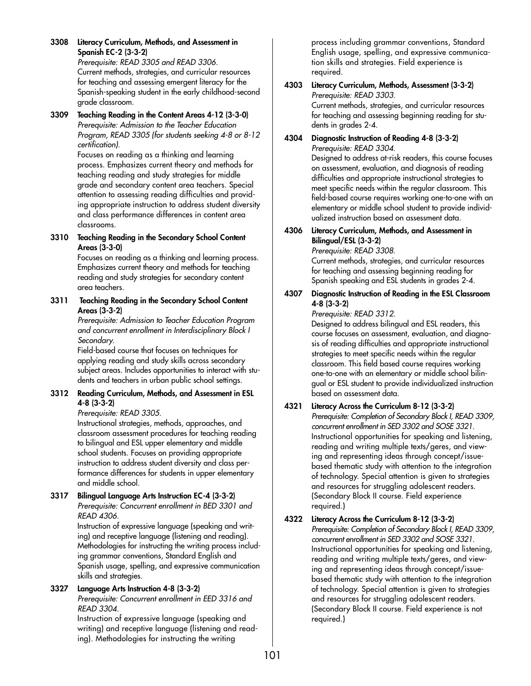**3308 Literacy Curriculum, Methods, and Assessment in Spanish EC-2 (3-3-2)** *Prerequisite: READ 3305 and READ 3306.* Current methods, strategies, and curricular resources for teaching and assessing emergent literacy for the Spanish-speaking student in the early childhood-second

**3309 Teaching Reading in the Content Areas 4-12 (3-3-0)** *Prerequisite: Admission to the Teacher Education Program, READ 3305 (for students seeking 4-8 or 8-12 certification).*

grade classroom.

Focuses on reading as a thinking and learning process. Emphasizes current theory and methods for teaching reading and study strategies for middle grade and secondary content area teachers. Special attention to assessing reading difficulties and providing appropriate instruction to address student diversity and class performance differences in content area classrooms.

**3310 Teaching Reading in the Secondary School Content Areas (3-3-0)**

> Focuses on reading as a thinking and learning process. Emphasizes current theory and methods for teaching reading and study strategies for secondary content area teachers.

**3311 Teaching Reading in the Secondary School Content Areas (3-3-2)**

*Prerequisite: Admission to Teacher Education Program and concurrent enrollment in Interdisciplinary Block I Secondary.*

Field-based course that focuses on techniques for applying reading and study skills across secondary subject areas. Includes opportunities to interact with students and teachers in urban public school settings.

#### **3312 Reading Curriculum, Methods, and Assessment in ESL 4-8 (3-3-2)**

*Prerequisite: READ 3305.*

Instructional strategies, methods, approaches, and classroom assessment procedures for teaching reading to bilingual and ESL upper elementary and middle school students. Focuses on providing appropriate instruction to address student diversity and class performance differences for students in upper elementary and middle school.

**3317 Bilingual Language Arts Instruction EC-4 (3-3-2)**  *Prerequisite: Concurrent enrollment in BED 3301 and READ 4306.*

> Instruction of expressive language (speaking and writing) and receptive language (listening and reading). Methodologies for instructing the writing process including grammar conventions, Standard English and Spanish usage, spelling, and expressive communication skills and strategies.

#### **3327 Language Arts Instruction 4-8 (3-3-2)**

*Prerequisite: Concurrent enrollment in EED 3316 and READ 3304.*

Instruction of expressive language (speaking and writing) and receptive language (listening and reading). Methodologies for instructing the writing

process including grammar conventions, Standard English usage, spelling, and expressive communication skills and strategies. Field experience is required.

#### **4303 Literacy Curriculum, Methods, Assessment (3-3-2)** *Prerequisite: READ 3303.* Current methods, strategies, and curricular resources for teaching and assessing beginning reading for students in grades 2-4.

#### **4304 Diagnostic Instruction of Reading 4-8 (3-3-2)** *Prerequisite: READ 3304.*

Designed to address at-risk readers, this course focuses on assessment, evaluation, and diagnosis of reading difficulties and appropriate instructional strategies to meet specific needs within the regular classroom. This field-based course requires working one-to-one with an elementary or middle school student to provide individualized instruction based on assessment data.

#### **4306 Literacy Curriculum, Methods, and Assessment in Bilingual/ESL (3-3-2)** *Prerequisite: READ 3308.*

Current methods, strategies, and curricular resources for teaching and assessing beginning reading for Spanish speaking and ESL students in grades 2-4.

#### **4307 Diagnostic Instruction of Reading in the ESL Classroom 4-8 (3-3-2)**

*Prerequisite: READ 3312.*

Designed to address bilingual and ESL readers, this course focuses on assessment, evaluation, and diagnosis of reading difficulties and appropriate instructional strategies to meet specific needs within the regular classroom. This field based course requires working one-to-one with an elementary or middle school bilingual or ESL student to provide individualized instruction based on assessment data.

#### **4321 Literacy Across the Curriculum 8-12 (3-3-2)**  *Prerequisite: Completion of Secondary Block I, READ 3309, concurrent enrollment in SED 3302 and SOSE 3321.* Instructional opportunities for speaking and listening, reading and writing multiple texts/geres, and viewing and representing ideas through concept/issuebased thematic study with attention to the integration of technology. Special attention is given to strategies and resources for struggling adolescent readers. (Secondary Block II course. Field experience required.)

**4322 Literacy Across the Curriculum 8-12 (3-3-2)** *Prerequisite: Completion of Secondary Block I, READ 3309, concurrent enrollment in SED 3302 and SOSE 3321.* Instructional opportunities for speaking and listening, reading and writing multiple texts/geres, and viewing and representing ideas through concept/issuebased thematic study with attention to the integration of technology. Special attention is given to strategies and resources for struggling adolescent readers. (Secondary Block II course. Field experience is not required.)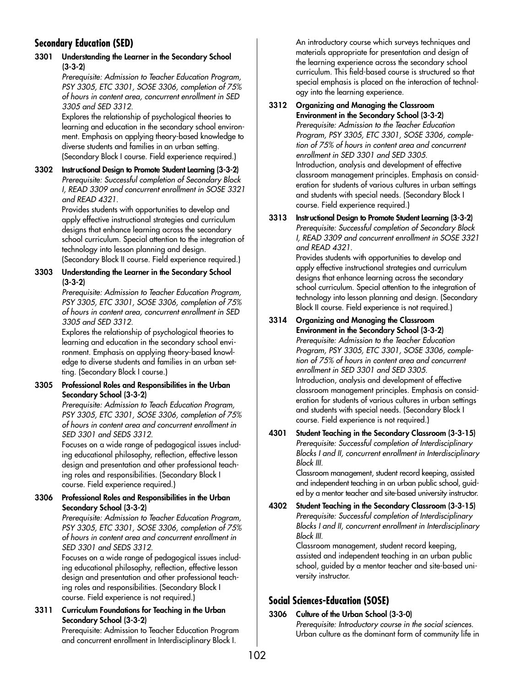## **Secondary Education (SED)**

#### **3301 Understanding the Learner in the Secondary School (3-3-2)**

*Prerequisite: Admission to Teacher Education Program, PSY 3305, ETC 3301, SOSE 3306, completion of 75% of hours in content area, concurrent enrollment in SED 3305 and SED 3312.*

Explores the relationship of psychological theories to learning and education in the secondary school environment. Emphasis on applying theory-based knowledge to diverse students and families in an urban setting. (Secondary Block I course. Field experience required.)

**3302** Instructional Design to Promote Student Learning (3-3-2) *Prerequisite: Successful completion of Secondary Block I, READ 3309 and concurrent enrollment in SOSE 3321 and READ 4321.*

Provides students with opportunities to develop and apply effective instructional strategies and curriculum designs that enhance learning across the secondary school curriculum. Special attention to the integration of technology into lesson planning and design.

(Secondary Block II course. Field experience required.)

#### **3303 Understanding the Learner in the Secondary School (3-3-2)**

*Prerequisite: Admission to Teacher Education Program, PSY 3305, ETC 3301, SOSE 3306, completion of 75% of hours in content area, concurrent enrollment in SED 3305 and SED 3312.*

Explores the relationship of psychological theories to learning and education in the secondary school environment. Emphasis on applying theory-based knowledge to diverse students and families in an urban setting. (Secondary Block I course.)

#### **3305 Professional Roles and Responsibilities in the Urban Secondary School (3-3-2)**

*Prerequisite: Admission to Teach Education Program, PSY 3305, ETC 3301, SOSE 3306, completion of 75% of hours in content area and concurrent enrollment in SED 3301 and SEDS 3312.*

Focuses on a wide range of pedagogical issues including educational philosophy, reflection, effective lesson design and presentation and other professional teaching roles and responsibilities. (Secondary Block I course. Field experience required.)

#### **3306 Professional Roles and Responsibilities in the Urban Secondary School (3-3-2)**

*Prerequisite: Admission to Teacher Education Program, PSY 3305, ETC 3301, SOSE 3306, completion of 75% of hours in content area and concurrent enrollment in SED 3301 and SEDS 3312.*

Focuses on a wide range of pedagogical issues including educational philosophy, reflection, effective lesson design and presentation and other professional teaching roles and responsibilities. (Secondary Block I course. Field experience is not required.)

#### **3311 Curriculum Foundations for Teaching in the Urban Secondary School (3-3-2)**

Prerequisite: Admission to Teacher Education Program and concurrent enrollment in Interdisciplinary Block I.

An introductory course which surveys techniques and materials appropriate for presentation and design of the learning experience across the secondary school curriculum. This field-based course is structured so that special emphasis is placed on the interaction of technology into the learning experience.

#### **3312 Organizing and Managing the Classroom Environment in the Secondary School (3-3-2)** *Prerequisite: Admission to the Teacher Education Program, PSY 3305, ETC 3301, SOSE 3306, completion of 75% of hours in content area and concurrent enrollment in SED 3301 and SED 3305.* Introduction, analysis and development of effective classroom management principles. Emphasis on consideration for students of various cultures in urban settings and students with special needs. (Secondary Block I course. Field experience required.)

#### **3313** Instructional Design to Promote Student Learning (3-3-2) *Prerequisite: Successful completion of Secondary Block I, READ 3309 and concurrent enrollment in SOSE 3321 and READ 4321.*

Provides students with opportunities to develop and apply effective instructional strategies and curriculum designs that enhance learning across the secondary school curriculum. Special attention to the integration of technology into lesson planning and design. (Secondary Block II course. Field experience is not required.)

**3314 Organizing and Managing the Classroom Environment in the Secondary School (3-3-2)** *Prerequisite: Admission to the Teacher Education Program, PSY 3305, ETC 3301, SOSE 3306, completion of 75% of hours in content area and concurrent enrollment in SED 3301 and SED 3305.* Introduction, analysis and development of effective classroom management principles. Emphasis on consideration for students of various cultures in urban settings and students with special needs. (Secondary Block I course. Field experience is not required.)

#### **4301 Student Teaching in the Secondary Classroom (3-3-15)** *Prerequisite: Successful completion of Interdisciplinary Blocks I and II, concurrent enrollment in Interdisciplinary Block III.*

Classroom management, student record keeping, assisted and independent teaching in an urban public school, guided by a mentor teacher and site-based university instructor.

#### **4302 Student Teaching in the Secondary Classroom (3-3-15)** *Prerequisite: Successful completion of Interdisciplinary Blocks I and II, concurrent enrollment in Interdisciplinary Block III.*

Classroom management, student record keeping, assisted and independent teaching in an urban public school, guided by a mentor teacher and site-based university instructor.

## **Social Sciences-Education (SOSE)**

## **3306 Culture of the Urban School (3-3-0)**

*Prerequisite: Introductory course in the social sciences.* Urban culture as the dominant form of community life in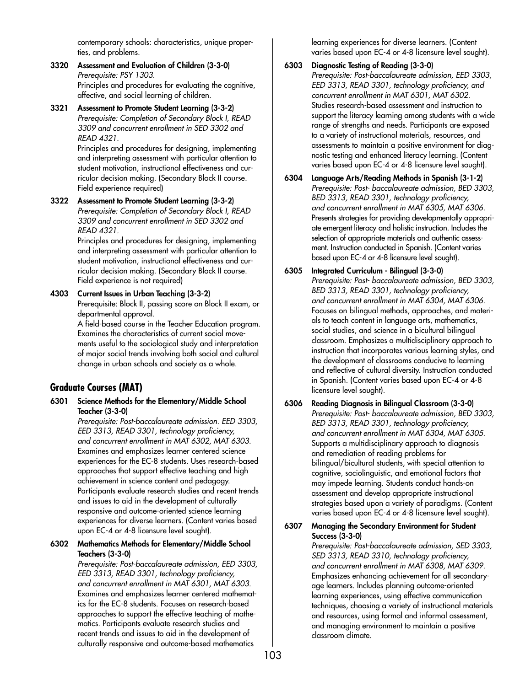contemporary schools: characteristics, unique properties, and problems.

- **3320 Assessment and Evaluation of Children (3-3-0)** *Prerequisite: PSY 1303.* Principles and procedures for evaluating the cognitive, affective, and social learning of children.
- **3321 Assessment to Promote Student Learning (3-3-2)** *Prerequisite: Completion of Secondary Block I, READ 3309 and concurrent enrollment in SED 3302 and READ 4321.*

Principles and procedures for designing, implementing and interpreting assessment with particular attention to student motivation, instructional effectiveness and curricular decision making. (Secondary Block II course. Field experience required)

**3322 Assessment to Promote Student Learning (3-3-2)** *Prerequisite: Completion of Secondary Block I, READ 3309 and concurrent enrollment in SED 3302 and READ 4321.*

Principles and procedures for designing, implementing and interpreting assessment with particular attention to student motivation, instructional effectiveness and curricular decision making. (Secondary Block II course. Field experience is not required)

**4303 Current Issues in Urban Teaching (3-3-2)**

Prerequisite: Block II, passing score on Block II exam, or departmental approval.

A field-based course in the Teacher Education program. Examines the characteristics of current social movements useful to the sociological study and interpretation of major social trends involving both social and cultural change in urban schools and society as a whole.

## **Graduate Courses (MAT)**

**6301 Science Methods for the Elementary/Middle School Teacher (3-3-0)**

*Prerequisite: Post-baccalaureate admission. EED 3303, EED 3313, READ 3301, technology proficiency, and concurrent enrollment in MAT 6302, MAT 6303.* Examines and emphasizes learner centered science experiences for the EC-8 students. Uses research-based approaches that support effective teaching and high achievement in science content and pedagogy. Participants evaluate research studies and recent trends and issues to aid in the development of culturally responsive and outcome-oriented science learning experiences for diverse learners. (Content varies based upon EC-4 or 4-8 licensure level sought).

#### **6302 Mathematics Methods for Elementary/Middle School Teachers (3-3-0)**

*Prerequisite: Post-baccalaureate admission, EED 3303, EED 3313, READ 3301, technology proficiency, and concurrent enrollment in MAT 6301, MAT 6303.* Examines and emphasizes learner centered mathematics for the EC-8 students. Focuses on research-based approaches to support the effective teaching of mathematics. Participants evaluate research studies and recent trends and issues to aid in the development of culturally responsive and outcome-based mathematics

learning experiences for diverse learners. (Content varies based upon EC-4 or 4-8 licensure level sought).

#### **6303 Diagnostic Testing of Reading (3-3-0)**

*Prerequisite: Post-baccalaureate admission, EED 3303, EED 3313, READ 3301, technology proficiency, and concurrent enrollment in MAT 6301, MAT 6302.* Studies research-based assessment and instruction to support the literacy learning among students with a wide range of strengths and needs. Participants are exposed to a variety of instructional materials, resources, and assessments to maintain a positive environment for diagnostic testing and enhanced literacy learning. (Content varies based upon EC-4 or 4-8 licensure level sought).

- **6304 Language Arts/Reading Methods in Spanish (3-1-2)** *Prerequisite: Post- baccalaureate admission, BED 3303, BED 3313, READ 3301, technology proficiency, and concurrent enrollment in MAT 6305, MAT 6306.* Presents strategies for providing developmentally appropriate emergent literacy and holistic instruction. Includes the selection of appropriate materials and authentic assessment. Instruction conducted in Spanish. (Content varies based upon EC-4 or 4-8 licensure level sought).
- **6305 Integrated Curriculum Bilingual (3-3-0)** *Prerequisite: Post- baccalaureate admission, BED 3303, BED 3313, READ 3301, technology proficiency, and concurrent enrollment in MAT 6304, MAT 6306.* Focuses on bilingual methods, approaches, and materials to teach content in language arts, mathematics, social studies, and science in a bicultural bilingual classroom. Emphasizes a multidisciplinary approach to instruction that incorporates various learning styles, and the development of classrooms conducive to learning and reflective of cultural diversity. Instruction conducted in Spanish. (Content varies based upon EC-4 or 4-8 licensure level sought).
- **6306 Reading Diagnosis in Bilingual Classroom (3-3-0)** *Prerequisite: Post- baccalaureate admission, BED 3303, BED 3313, READ 3301, technology proficiency, and concurrent enrollment in MAT 6304, MAT 6305.* Supports a multidisciplinary approach to diagnosis and remediation of reading problems for bilingual/bicultural students, with special attention to cognitive, sociolinguistic, and emotional factors that may impede learning. Students conduct hands-on assessment and develop appropriate instructional strategies based upon a variety of paradigms. (Content varies based upon EC-4 or 4-8 licensure level sought).

**6307 Managing the Secondary Environment for Student Success (3-3-0)**

*Prerequisite: Post-baccalaureate admission, SED 3303, SED 3313, READ 3310, technology proficiency, and concurrent enrollment in MAT 6308, MAT 6309.* Emphasizes enhancing achievement for all secondaryage learners. Includes planning outcome-oriented learning experiences, using effective communication techniques, choosing a variety of instructional materials and resources, using formal and informal assessment, and managing environment to maintain a positive classroom climate.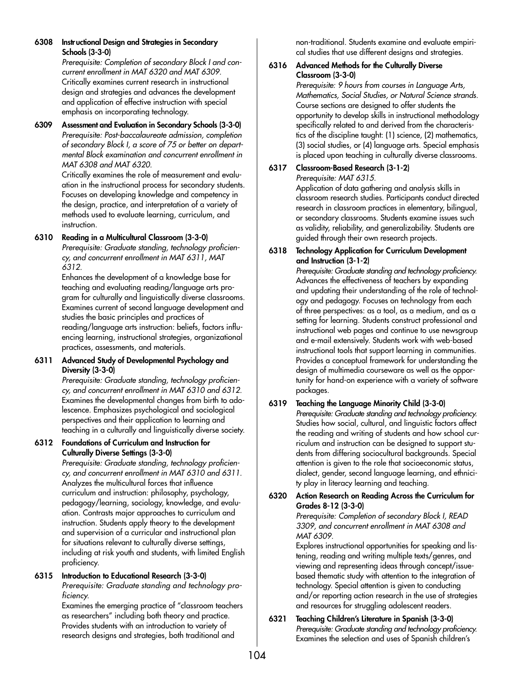**6308** Instructional Design and Strategies in Secondary **Schools (3-3-0)**

*Prerequisite: Completion of secondary Block I and concurrent enrollment in MAT 6320 and MAT 6309.* Critically examines current research in instructional design and strategies and advances the development and application of effective instruction with special emphasis on incorporating technology.

**6309 Assessment and Evaluation in Secondary Schools (3-3-0)** *Prerequisite: Post-baccalaureate admission, completion of secondary Block I, a score of 75 or better on departmental Block examination and concurrent enrollment in MAT 6308 and MAT 6320.*

Critically examines the role of measurement and evaluation in the instructional process for secondary students. Focuses on developing knowledge and competency in the design, practice, and interpretation of a variety of methods used to evaluate learning, curriculum, and instruction.

#### **6310 Reading in a Multicultural Classroom (3-3-0)**

*Prerequisite: Graduate standing, technology proficiency, and concurrent enrollment in MAT 6311, MAT 6312.*

Enhances the development of a knowledge base for teaching and evaluating reading/language arts program for culturally and linguistically diverse classrooms. Examines current of second language development and studies the basic principles and practices of reading/language arts instruction: beliefs, factors influencing learning, instructional strategies, organizational practices, assessments, and materials.

#### **6311 Advanced Study of Developmental Psychology and Diversity (3-3-0)**

*Prerequisite: Graduate standing, technology proficiency, and concurrent enrollment in MAT 6310 and 6312.* Examines the developmental changes from birth to adolescence. Emphasizes psychological and sociological perspectives and their application to learning and teaching in a culturally and linguistically diverse society.

### **6312 Foundations of Curriculum and Instruction for Culturally Diverse Settings (3-3-0)**

*Prerequisite: Graduate standing, technology proficiency, and concurrent enrollment in MAT 6310 and 6311.* Analyzes the multicultural forces that influence curriculum and instruction: philosophy, psychology, pedagogy/learning, sociology, knowledge, and evaluation. Contrasts major approaches to curriculum and instruction. Students apply theory to the development and supervision of a curricular and instructional plan for situations relevant to culturally diverse settings, including at risk youth and students, with limited English proficiency.

#### **6315 Introduction to Educational Research (3-3-0)**

*Prerequisite: Graduate standing and technology prof i c i e n c y.*

Examines the emerging practice of "classroom teachers as researchers" including both theory and practice. Provides students with an introduction to variety of research designs and strategies, both traditional and

non-traditional. Students examine and evaluate empirical studies that use different designs and strategies.

#### **6316 Advanced Methods for the Culturally Diverse Classroom (3-3-0)**

Prerequisite: 9 hours from courses in Language Arts, *Mathematics, Social Studies, or Natural Science strands.* Course sections are designed to offer students the opportunity to develop skills in instructional methodology specifically related to and derived from the characteristics of the discipline taught: (1) science, (2) mathematics, (3) social studies, or (4) language arts. Special emphasis is placed upon teaching in culturally diverse classrooms.

**6317 Classroom-Based Research (3-1-2)** *Prerequisite: MAT 6315.*

Application of data gathering and analysis skills in classroom research studies. Participants conduct directed research in classroom practices in elementary, bilingual, or secondary classrooms. Students examine issues such as validity, reliability, and generalizability. Students are guided through their own research projects.

#### **6318 Technology Application for Curriculum Development and Instruction (3-1-2)**

*Prerequisite: Graduate standing and technology proficiency.* Advances the effectiveness of teachers by expanding and updating their understanding of the role of technology and pedagogy. Focuses on technology from each of three perspectives: as a tool, as a medium, and as a setting for learning. Students construct professional and instructional web pages and continue to use newsgroup and e-mail extensively. Students work with web-based instructional tools that support learning in communities. Provides a conceptual framework for understanding the design of multimedia courseware as well as the opportunity for hand-on experience with a variety of software packages.

### **6319 Teaching the Language Minority Child (3-3-0)**

*Prerequisite: Graduate standing and technology proficiency.* Studies how social, cultural, and linguistic factors affect the reading and writing of students and how school curriculum and instruction can be designed to support students from differing sociocultural backgrounds. Special attention is given to the role that socioeconomic status, dialect, gender, second language learning, and ethnicity play in literacy learning and teaching.

**6320 Action Research on Reading Across the Curriculum for Grades 8-12 (3-3-0)**

*Prerequisite: Completion of secondary Block I, READ 3309, and concurrent enrollment in MAT 6308 and MAT 6309.*

Explores instructional opportunities for speaking and listening, reading and writing multiple texts/genres, and viewing and representing ideas through concept/issuebased thematic study with attention to the integration of technology. Special attention is given to conducting and/or reporting action research in the use of strategies and resources for struggling adolescent readers.

**6321 Teaching Children's Literature in Spanish (3-3-0)** *Prerequisite: Graduate standing and technology proficiency.* Examines the selection and uses of Spanish children's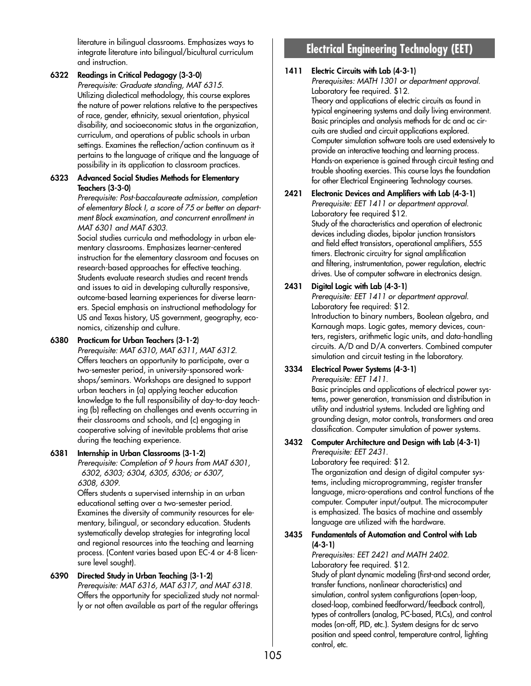literature in bilingual classrooms. Emphasizes ways to integrate literature into bilingual/bicultural curriculum and instruction.

**6322 Readings in Critical Pedagogy (3-3-0)**

*Prerequisite: Graduate standing, MAT 6315.* Utilizing dialectical methodology, this course explores the nature of power relations relative to the perspectives of race, gender, ethnicity, sexual orientation, physical disability, and socioeconomic status in the organization, curriculum, and operations of public schools in urban settings. Examines the reflection/action continuum as it pertains to the language of critique and the language of possibility in its application to classroom practices.

#### **6323 Advanced Social Studies Methods for Elementary Teachers (3-3-0)**

*Prerequisite: Post-baccalaureate admission, completion of elementary Block I, a score of 75 or better on department Block examination, and concurrent enrollment in MAT 6301 and MAT 6303.*

Social studies curricula and methodology in urban elementary classrooms. Emphasizes learner-centered instruction for the elementary classroom and focuses on research-based approaches for effective teaching. Students evaluate research studies and recent trends and issues to aid in developing culturally responsive, outcome-based learning experiences for diverse learners. Special emphasis on instructional methodology for US and Texas history, US government, geography, economics, citizenship and culture.

### **6380 Practicum for Urban Teachers (3-1-2)**

*Prerequisite: MAT 6310, MAT 6311, MAT 6312.* Offers teachers an opportunity to participate, over a two-semester period, in university-sponsored workshops/seminars. Workshops are designed to support urban teachers in (a) applying teacher education knowledge to the full responsibility of day-to-day teaching (b) reflecting on challenges and events occurring in their classrooms and schools, and (c) engaging in cooperative solving of inevitable problems that arise during the teaching experience.

### **6381 Internship in Urban Classrooms (3-1-2)**

*Prerequisite: Completion of 9 hours from MAT 6301, 6302, 6303; 6304, 6305, 6306; or 6307, 6308, 6309.*

Offers students a supervised internship in an urban educational setting over a two-semester period. Examines the diversity of community resources for elementary, bilingual, or secondary education. Students systematically develop strategies for integrating local and regional resources into the teaching and learning process. (Content varies based upon EC-4 or 4-8 licensure level sought).

#### **6390 Directed Study in Urban Teaching (3-1-2)** *Prerequisite: MAT 6316, MAT 6317, and MAT 6318.* Offers the opportunity for specialized study not normally or not often available as part of the regular offerings

# **Electrical Engineering Technology (EET)**

### **1411 Electric Circuits with Lab (4-3-1)**

*Prerequisites: MATH 1301 or department approval.* Laboratory fee required. \$12.

Theory and applications of electric circuits as found in typical engineering systems and daily living environment. Basic principles and analysis methods for dc and ac circuits are studied and circuit applications explored. Computer simulation software tools are used extensively to provide an interactive teaching and learning process. Hands-on experience is gained through circuit testing and trouble shooting exercies. This course lays the foundation for other Electrical Engineering Technology courses.

## **2421 Electronic Devices and Amplifiers with Lab (4-3-1)**

*Prerequisite: EET 1411 or department approval.* Laboratory fee required \$12.

Study of the characteristics and operation of electronic devices including diodes, bipolar junction transistors and field effect transistors, operational amplifiers, 555 timers. Electronic circuitry for signal amplification and filtering, instrumentation, power regulation, electric drives. Use of computer software in electronics design.

### **2431 Digital Logic with Lab (4-3-1)**

*Prerequisite: EET 1411 or department approval.* Laboratory fee required: \$12. Introduction to binary numbers, Boolean algebra, and Karnaugh maps. Logic gates, memory devices, counters, registers, arithmetic logic units, and data-handling circuits. A/D and D/A converters. Combined computer

simulation and circuit testing in the laboratory. **3334 Electrical Power Systems (4-3-1)**

> *Prerequisite: EET 1411.* Basic principles and applications of electrical power systems, power generation, transmission and distribution in utility and industrial systems. Included are lighting and grounding design, motor controls, transformers and area classification. Computer simulation of power systems.

#### **3432 Computer Architecture and Design with Lab (4-3-1)** *Prerequisite: EET 2431.*

Laboratory fee required: \$12.

The organization and design of digital computer systems, including microprogramming, register transfer language, micro-operations and control functions of the computer. Computer input/output. The microcomputer is emphasized. The basics of machine and assembly language are utilized with the hardware.

#### **3435 Fundamentals of Automation and Control with Lab (4-3-1)**

*Prerequisites: EET 2421 and MATH 2402.* Laboratory fee required. \$12.

Study of plant dynamic modeling (first-and second order, transfer functions, nonlinear characteristics) and simulation, control system configurations (open-loop, closed-loop, combined feedforward/feedback control), types of controllers (analog, PC-based, PLCs), and control modes (on-off, PID, etc.). System designs for dc servo position and speed control, temperature control, lighting control, etc.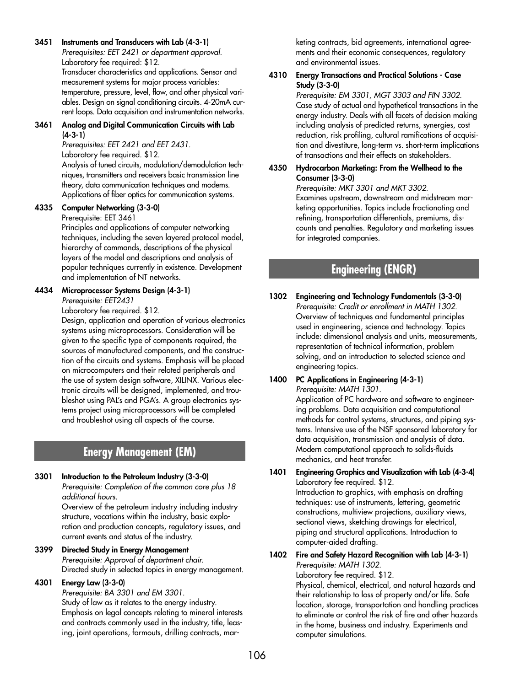### **3451 Instruments and Transducers with Lab (4-3-1)**

*Prerequisites: EET 2421 or department approval.* Laboratory fee required: \$12. Transducer characteristics and applications. Sensor and measurement systems for major process variables: temperature, pressure, level, flow, and other physical variables. Design on signal conditioning circuits. 4-20mA current loops. Data acquisition and instrumentation networks.

### **3461 Analog and Digital Communication Circuits with Lab (4-3-1)**

*Prerequisites: EET 2421 and EET 2431.* Laboratory fee required. \$12.

Analysis of tuned circuits, modulation/demodulation techniques, transmitters and receivers basic transmission line theory, data communication techniques and modems. Applications of fiber optics for communication systems.

#### **4335 Computer Networking (3-3-0)**

Prerequisite: EET 3461

Principles and applications of computer networking techniques, including the seven layered protocol model, hierarchy of commands, descriptions of the physical layers of the model and descriptions and analysis of popular techniques currently in existence. Development and implementation of NT networks.

### **4434 Microprocessor Systems Design (4-3-1)**

*Prerequisite: EET2431*

Laboratory fee required. \$12.

Design, application and operation of various electronics systems using microprocessors. Consideration will be given to the specific type of components required, the sources of manufactured components, and the construction of the circuits and systems. Emphasis will be placed on microcomputers and their related peripherals and the use of system design software, XILINX. Various electronic circuits will be designed, implemented, and troubleshot using PAL's and PGA's. A group electronics systems project using microprocessors will be completed and troubleshot using all aspects of the course.

# **Energy Management (EM)**

### **3301 Introduction to the Petroleum Industry (3-3-0)**

*Prerequisite: Completion of the common core plus 18 additional hours.*

Overview of the petroleum industry including industry structure, vocations within the industry, basic exploration and production concepts, regulatory issues, and current events and status of the industry.

**3399 Directed Study in Energy Management** *Prerequisite: Approval of department chair.* Directed study in selected topics in energy management.

### **4301 Energy Law (3-3-0)**

*Prerequisite: BA 3301 and EM 3301.* Study of law as it relates to the energy industry. Emphasis on legal concepts relating to mineral interests and contracts commonly used in the industry, title, leasing, joint operations, farmouts, drilling contracts, marketing contracts, bid agreements, international agreements and their economic consequences, regulatory and environmental issues.

#### **4310 Energy Transactions and Practical Solutions - Case Study (3-3-0)**

*Prerequisite: EM 3301, MGT 3303 and FIN 3302.* Case study of actual and hypothetical transactions in the energy industry. Deals with all facets of decision making including analysis of predicted returns, synergies, cost reduction, risk profiling, cultural ramifications of acquisition and divestiture, long-term vs. short-term implications of transactions and their effects on stakeholders.

#### **4350 Hydrocarbon Marketing: From the Wellhead to the Consumer (3-3-0)**

*Prerequisite: MKT 3301 and MKT 3302.* Examines upstream, downstream and midstream marketing opportunities. Topics include fractionating and refining, transportation differentials, premiums, discounts and penalties. Regulatory and marketing issues for integrated companies.

# **Engineering (ENGR)**

**1302 Engineering and Technology Fundamentals (3-3-0)** *Prerequisite: Credit or enrollment in MATH 1302.* Overview of techniques and fundamental principles used in engineering, science and technology. Topics include: dimensional analysis and units, measurements, representation of technical information, problem solving, and an introduction to selected science and engineering topics.

#### **1400 PC Applications in Engineering (4-3-1)** *Prerequisite: MATH 1301.* Application of PC hardware and software to engineering problems. Data acquisition and computational methods for control systems, structures, and piping systems. Intensive use of the NSF sponsored laboratory for

data acquisition, transmission and analysis of data. Modern computational approach to solids-fluids mechanics, and heat transfer.

**1401 Engineering Graphics and Visualization with Lab (4-3-4)** Laboratory fee required. \$12. Introduction to graphics, with emphasis on drafting techniques: use of instruments, lettering, geometric constructions, multiview projections, auxiliary views, sectional views, sketching drawings for electrical, piping and structural applications. Introduction to computer-aided drafting.

#### **1402 Fire and Safety Hazard Recognition with Lab (4-3-1)** *Prerequisite: MATH 1302.* Laboratory fee required. \$12.

Physical, chemical, electrical, and natural hazards and their relationship to loss of property and/or life. Safe location, storage, transportation and handling practices to eliminate or control the risk of fire and other hazards in the home, business and industry. Experiments and computer simulations.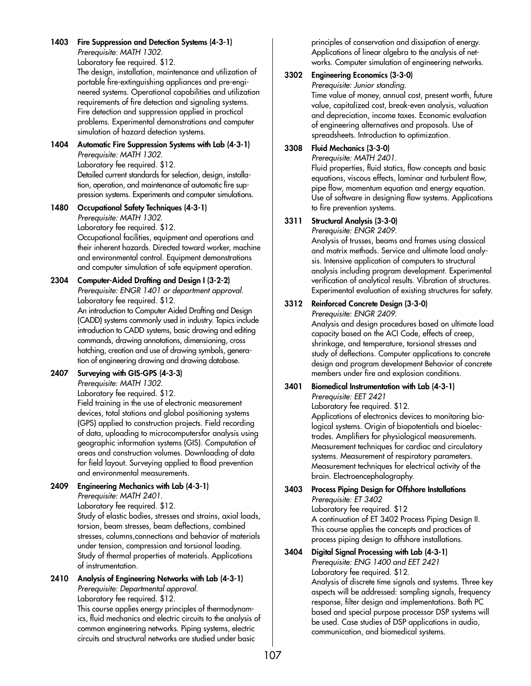**1403 Fire Suppression and Detection Systems (4-3-1)** *Prerequisite: MATH 1302.* Laboratory fee required. \$12.

The design, installation, maintenance and utilization of portable fire-extinguishing appliances and pre-engineered systems. Operational capabilities and utilization requirements of fire detection and signaling systems. Fire detection and suppression applied in practical problems. Experimental demonstrations and computer simulation of hazard detection systems.

**1404 Automatic Fire Suppression Systems with Lab (4-3-1)** *Prerequisite: MATH 1302.* Laboratory fee required. \$12. Detailed current standards for selection, design, installation, operation, and maintenance of automatic fire suppression systems. Experiments and computer simulations.

**1480 Occupational Safety Techniques (4-3-1)** *Prerequisite: MATH 1302.* Laboratory fee required. \$12. Occupational facilities, equipment and operations and their inherent hazards. Directed toward worker, machine and environmental control. Equipment demonstrations and computer simulation of safe equipment operation.

### **2304 Computer-Aided Drafting and Design I (3-2-2)** *Prerequisite: ENGR 1401 or department approval.* Laboratory fee required. \$12. An introduction to Computer Aided Drafting and Design

(CADD) systems commonly used in industry. Topics include introduction to CADD systems, basic drawing and editing commands, drawing annotations, dimensioning, cross hatching, creation and use of drawing symbols, generation of engineering drawing and drawing database.

# **2407 Surveying with GIS-GPS (4-3-3)**

*Prerequisite: MATH 1302.*

Laboratory fee required. \$12. Field training in the use of electronic measurement devices, total stations and global positioning systems (GPS) applied to construction projects. Field recording of data, uploading to microcomputersfor analysis using geographic information systems (GIS). Computation of areas and construction volumes. Downloading of data for field layout. Surveying applied to flood prevention and environmental measurements.

#### **2409 Engineering Mechanics with Lab (4-3-1)** *Prerequisite: MATH 2401.*

Laboratory fee required. \$12.

Study of elastic bodies, stresses and strains, axial loads, torsion, beam stresses, beam deflections, combined stresses, columns,connections and behavior of materials under tension, compression and torsional loading. Study of thermal properties of materials. Applications of instrumentation.

## **2410 Analysis of Engineering Networks with Lab (4-3-1)**

*Prerequisite: Departmental approval.* Laboratory fee required. \$12.

This course applies energy principles of thermodynamics, fluid mechanics and electric circuits to the analysis of common engineering networks. Piping systems, electric circuits and structural networks are studied under basic

principles of conservation and dissipation of energy. Applications of linear algebra to the analysis of networks. Computer simulation of engineering networks.

## **3302 Engineering Economics (3-3-0)**

*Prerequisite: Junior standing.*

Time value of money, annual cost, present worth, future value, capitalized cost, break-even analysis, valuation and depreciation, income taxes. Economic evaluation of engineering alternatives and proposals. Use of spreadsheets. Introduction to optimization.

## **3308 Fluid Mechanics (3-3-0)**

*Prerequisite: MATH 2401.*

Fluid properties, fluid statics, flow concepts and basic equations, viscous effects, laminar and turbulent flow, pipe flow, momentum equation and energy equation. Use of software in designing flow systems. Applications to fire prevention systems.

## **3311 Structural Analysis (3-3-0)**

*Prerequisite: ENGR 2409.* Analysis of trusses, beams and frames using classical and matrix methods. Service and ultimate load analysis. Intensive application of computers to structural analysis including program development. Experimental

# **3312 Reinforced Concrete Design (3-3-0)**

*Prerequisite: ENGR 2409.*

Analysis and design procedures based on ultimate load capacity based on the ACI Code, effects of creep, shrinkage, and temperature, torsional stresses and study of deflections. Computer applications to concrete design and program development Behavior of concrete members under fire and explosion conditions.

verification of analytical results. Vibration of structures. Experimental evaluation of existing structures for safety.

## **3401 Biomedical Instrumentation with Lab (4-3-1)**

*Prerequisite: EET 2421*

Laboratory fee required. \$12. Applications of electronics devices to monitoring biological systems. Origin of biopotentials and bioelectrodes. Amplifiers for physiological measurements. Measurement techniques for cardiac and circulatory systems. Measurement of respiratory parameters. Measurement techniques for electrical activity of the brain. Electroencephalography.

### **3403 Process Piping Design for Offshore Installations** *Prerequisite: ET 3402*

Laboratory fee required. \$12 A continuation of ET 3402 Process Piping Design II. This course applies the concepts and practices of process piping design to offshore installations.

## **3404 Digital Signal Processing with Lab (4-3-1)** *Prerequisite: ENG 1400 and EET 2421* Laboratory fee required. \$12.

Analysis of discrete time signals and systems. Three key aspects will be addressed: sampling signals, frequency response, filter design and implementations. Both PC based and special purpose processor DSP systems will be used. Case studies of DSP applications in audio, communication, and biomedical systems.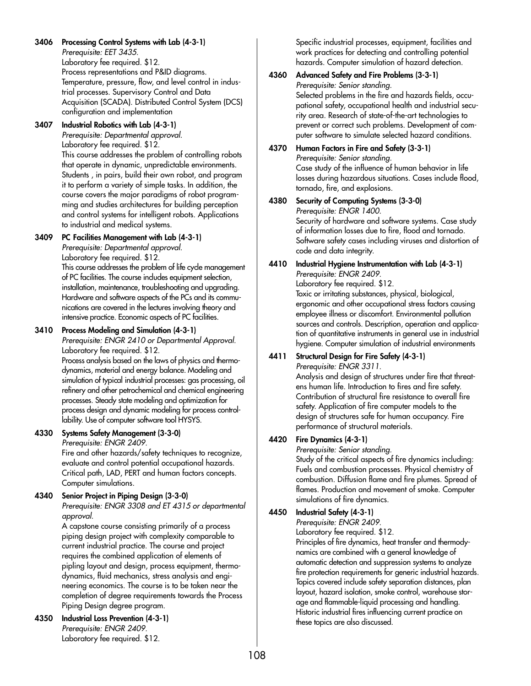**3406 Processing Control Systems with Lab (4-3-1)** *Prerequisite: EET 3435.* Laboratory fee required. \$12. Process representations and P&ID diagrams. Temperature, pressure, flow, and level control in industrial processes. Supervisory Control and Data Acquisition (SCADA). Distributed Control System (DCS) configuration and implementation

### **3407 Industrial Robotics with Lab (4-3-1)**

*Prerequisite: Departmental approval.*

Laboratory fee required. \$12.

This course addresses the problem of controlling robots that operate in dynamic, unpredictable environments. Students , in pairs, build their own robot, and program it to perform a variety of simple tasks. In addition, the course covers the major paradigms of robot programming and studies architectures for building perception and control systems for intelligent robots. Applications to industrial and medical systems.

### **3409 PC Facilities Management with Lab (4-3-1)**

*Prerequisite: Departmental approval.*

Laboratory fee required. \$12.

This course addresses the problem of life cycle management of PC facilities. The course includes equipment selection, installation, maintenance, troubleshooting and upgrading. Hardware and software aspects of the PCs and its communications are covered in the lectures involving theory and intensive practice. Economic aspects of PC facilities.

### **3410 Process Modeling and Simulation (4-3-1)**

*Prerequisite: ENGR 2410 or Departmental Approval.* Laboratory fee required. \$12.

Process analysis based on the laws of physics and thermodynamics, material and energy balance. Modeling and simulation of typical industrial processes: gas processing, oil refinery and other petrochemical and chemical engineering processes. Steady state modeling and optimization for process design and dynamic modeling for process controllability. Use of computer software tool HYSYS.

### **4330 Systems Safety Management (3-3-0)**

*Prerequisite: ENGR 2409.*

Fire and other hazards/safety techniques to recognize, evaluate and control potential occupational hazards. Critical path, LAD, PERT and human factors concepts. Computer simulations.

### **4340 Senior Project in Piping Design (3-3-0)**

*Prerequisite: ENGR 3308 and ET 4315 or departmental approval.*

A capstone course consisting primarily of a process piping design project with complexity comparable to current industrial practice. The course and project requires the combined application of elements of pipling layout and design, process equipment, thermodynamics, fluid mechanics, stress analysis and engineering economics. The course is to be taken near the completion of degree requirements towards the Process Piping Design degree program.

**4350 Industrial Loss Prevention (4-3-1)** *Prerequisite: ENGR 2409.* Laboratory fee required. \$12.

Specific industrial processes, equipment, facilities and work practices for detecting and controlling potential hazards. Computer simulation of hazard detection.

## **4360 Advanced Safety and Fire Problems (3-3-1)**

*Prerequisite: Senior standing.* Selected problems in the fire and hazards fields, occupational safety, occupational health and industrial security area. Research of state-of-the-art technologies to prevent or correct such problems. Development of computer software to simulate selected hazard conditions.

#### **4370 Human Factors in Fire and Safety (3-3-1)** *Prerequisite: Senior standing.* Case study of the influence of human behavior in life losses during hazardous situations. Cases include flood, tornado, fire, and explosions.

### **4380 Security of Computing Systems (3-3-0)**

*Prerequisite: ENGR 1400.* Security of hardware and software systems. Case study of information losses due to fire, flood and tornado. Software safety cases including viruses and distortion of code and data integrity.

#### **4410 Industrial Hygiene Instrumentation with Lab (4-3-1)** *Prerequisite: ENGR 2409.* Laboratory fee required. \$12. Toxic or irritating substances, physical, biological,

ergonomic and other occupational stress factors causing employee illness or discomfort. Environmental pollution sources and controls. Description, operation and application of quantitative instruments in general use in industrial hygiene. Computer simulation of industrial environments

## **4411 Structural Design for Fire Safety (4-3-1)**

*Prerequisite: ENGR 3311.*

Analysis and design of structures under fire that threatens human life. Introduction to fires and fire safety. Contribution of structural fire resistance to overall fire safety. Application of fire computer models to the design of structures safe for human occupancy. Fire performance of structural materials.

### **4420 Fire Dynamics (4-3-1)**

*Prerequisite: Senior standing.*

Study of the critical aspects of fire dynamics including: Fuels and combustion processes. Physical chemistry of combustion. Diffusion flame and fire plumes. Spread of flames. Production and movement of smoke. Computer simulations of fire dynamics.

### **4450 Industrial Safety (4-3-1)**

*Prerequisite: ENGR 2409.*

Laboratory fee required. \$12. Principles of fire dynamics, heat transfer and thermodynamics are combined with a general knowledge of automatic detection and suppression systems to analyze fire protection requirements for generic industrial hazards. Topics covered include safety separation distances, plan layout, hazard isolation, smoke control, warehouse storage and flammable-liquid processing and handling. Historic industrial fires influencing current practice on these topics are also discussed.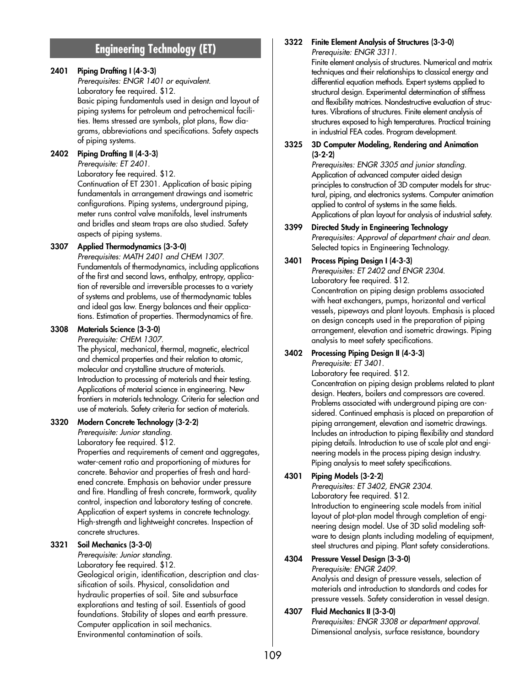# **Engineering Technology (ET)**

#### **2401 Piping Drafting I (4-3-3)**

*Prerequisites: ENGR 1401 or equivalent.* Laboratory fee required. \$12. Basic piping fundamentals used in design and layout of piping systems for petroleum and petrochemical facilities. Items stressed are symbols, plot plans, flow diagrams, abbreviations and specifications. Safety aspects of piping systems.

#### **2402 Piping Drafting II (4-3-3)**

*Prerequisite: ET 2401.*

Laboratory fee required. \$12. Continuation of ET 2301. Application of basic piping fundamentals in arrangement drawings and isometric configurations. Piping systems, underground piping, meter runs control valve manifolds, level instruments and bridles and steam traps are also studied. Safety aspects of piping systems.

### **3307 Applied Thermodynamics (3-3-0)**

*Prerequisites: MATH 2401 and CHEM 1307.* Fundamentals of thermodynamics, including applications of the first and second laws, enthalpy, entropy, application of reversible and irreversible processes to a variety of systems and problems, use of thermodynamic tables and ideal gas law. Energy balances and their applications. Estimation of properties. Thermodynamics of fire.

### **3308 Materials Science (3-3-0)**

*Prerequisite: CHEM 1307.*

The physical, mechanical, thermal, magnetic, electrical and chemical properties and their relation to atomic, molecular and crystalline structure of materials. Introduction to processing of materials and their testing. Applications of material science in engineering. New frontiers in materials technology. Criteria for selection and use of materials. Safety criteria for section of materials.

### **3320 Modern Concrete Technology (3-2-2)**

*Prerequisite: Junior standing.*

Laboratory fee required. \$12.

Properties and requirements of cement and aggregates, water-cement ratio and proportioning of mixtures for concrete. Behavior and properties of fresh and hardened concrete. Emphasis on behavior under pressure and fire. Handling of fresh concrete, formwork, quality control, inspection and laboratory testing of concrete. Application of expert systems in concrete technology. High-strength and lightweight concretes. Inspection of concrete structures.

### **3321 Soil Mechanics (3-3-0)**

*Prerequisite: Junior standing.* Laboratory fee required. \$12. Geological origin, identification, description and classification of soils. Physical, consolidation and hydraulic properties of soil. Site and subsurface explorations and testing of soil. Essentials of good foundations. Stability of slopes and earth pressure. Computer application in soil mechanics. Environmental contamination of soils.

# **3322 Finite Element Analysis of Structures (3-3-0)**

*Prerequisite: ENGR 3311.* Finite element analysis of structures. Numerical and matrix techniques and their relationships to classical energy and differential equation methods. Expert systems applied to structural design. Experimental determination of stiffness and flexibility matrices. Nondestructive evaluation of structures. Vibrations of structures. Finite element analysis of structures exposed to high temperatures. Practical training in industrial FEA codes. Program development.

### **3325 3D Computer Modeling, Rendering and Animation (3-2-2)**

*Prerequisites: ENGR 3305 and junior standing.* Application of advanced computer aided design principles to construction of 3D computer models for structural, piping, and electronics systems. Computer animation applied to control of systems in the same fields. Applications of plan layout for analysis of industrial safety.

#### **3399 Directed Study in Engineering Technology** *Prerequisites: Approval of department chair and dean.* Selected topics in Engineering Technology.

### **3401 Process Piping Design I (4-3-3)**

*Prerequisites: ET 2402 and ENGR 2304.* Laboratory fee required. \$12.

Concentration on piping design problems associated with heat exchangers, pumps, horizontal and vertical vessels, pipeways and plant layouts. Emphasis is placed on design concepts used in the preparation of piping arrangement, elevation and isometric drawings. Piping analysis to meet safety specifications.

## **3402 Processing Piping Design II (4-3-3)**

*Prerequisite: ET 3401.*

Laboratory fee required. \$12.

Concentration on piping design problems related to plant design. Heaters, boilers and compressors are covered. Problems associated with underground piping are considered. Continued emphasis is placed on preparation of piping arrangement, elevation and isometric drawings. Includes an introduction to piping flexibility and standard piping details. Introduction to use of scale plot and engineering models in the process piping design industry. Piping analysis to meet safety specifications.

### **4301 Piping Models (3-2-2)**

*Prerequisites: ET 3402, ENGR 2304.*

Laboratory fee required. \$12.

Introduction to engineering scale models from initial layout of plot-plan model through completion of engineering design model. Use of 3D solid modeling software to design plants including modeling of equipment, steel structures and piping. Plant safety considerations.

### **4304 Pressure Vessel Design (3-3-0)**

*Prerequisite: ENGR 2409.*

Analysis and design of pressure vessels, selection of materials and introduction to standards and codes for pressure vessels. Safety consideration in vessel design.

### **4307 Fluid Mechanics II (3-3-0)**

*Prerequisites: ENGR 3308 or department approval.* Dimensional analysis, surface resistance, boundary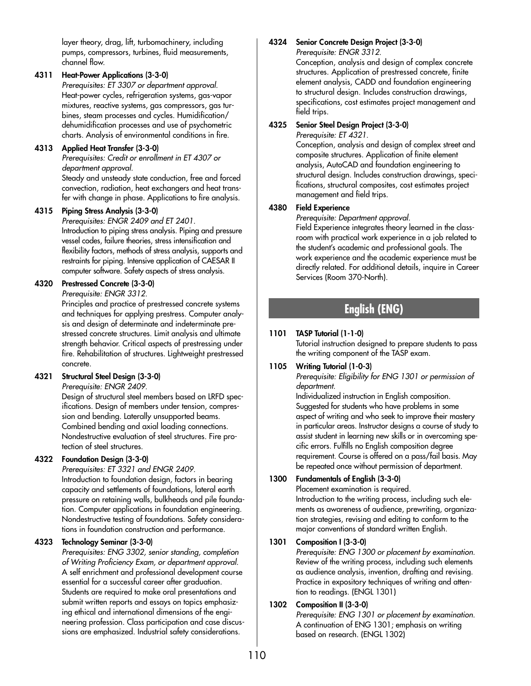layer theory, drag, lift, turbomachinery, including pumps, compressors, turbines, fluid measurements, channel flow.

### **4311 Heat-Power Applications (3-3-0)**

*Prerequisites: ET 3307 or department approval.* Heat-power cycles, refrigeration systems, gas-vapor mixtures, reactive systems, gas compressors, gas turbines, steam processes and cycles. Humidification/ dehumidification processes and use of psychometric charts. Analysis of environmental conditions in fire.

### **4313 Applied Heat Transfer (3-3-0)**

*Prerequisites: Credit or enrollment in ET 4307 or department approval.*

Steady and unsteady state conduction, free and forced convection, radiation, heat exchangers and heat transfer with change in phase. Applications to fire analysis.

#### **4315 Piping Stress Analysis (3-3-0)**

*Prerequisites: ENGR 2409 and ET 2401.* Introduction to piping stress analysis. Piping and pressure vessel codes, failure theories, stress intensification and flexibility factors, methods of stress analysis, supports and restraints for piping. Intensive application of CAESAR II computer software. Safety aspects of stress analysis.

### **4320 Prestressed Concrete (3-3-0)**

*Prerequisite: ENGR 3312.*

Principles and practice of prestressed concrete systems and techniques for applying prestress. Computer analysis and design of determinate and indeterminate prestressed concrete structures. Limit analysis and ultimate strength behavior. Critical aspects of prestressing under fire. Rehabilitation of structures. Lightweight prestressed concrete.

### **4321 Structural Steel Design (3-3-0)**

*Prerequisite: ENGR 2409.*

Design of structural steel members based on LRFD specifications. Design of members under tension, compression and bending. Laterally unsupported beams. Combined bending and axial loading connections. Nondestructive evaluation of steel structures. Fire protection of steel structures.

#### **4322 Foundation Design (3-3-0)**

*Prerequisites: ET 3321 and ENGR 2409.* Introduction to foundation design, factors in bearing capacity and settlements of foundations, lateral earth pressure on retaining walls, bulkheads and pile foundation. Computer applications in foundation engineering. Nondestructive testing of foundations. Safety considerations in foundation construction and performance.

### **4323 Technology Seminar (3-3-0)**

*Prerequisites: ENG 3302, senior standing, completion of Writing Proficiency Exam, or department approval.* A self enrichment and professional development course essential for a successful career after graduation. Students are required to make oral presentations and submit written reports and essays on topics emphasizing ethical and international dimensions of the engineering profession. Class participation and case discussions are emphasized. Industrial safety considerations.

### **4324 Senior Concrete Design Project (3-3-0)**

*Prerequisite: ENGR 3312.*

Conception, analysis and design of complex concrete structures. Application of prestressed concrete, finite element analysis, CADD and foundation engineering to structural design. Includes construction drawings, specifications, cost estimates project management and field trips.

### **4325 Senior Steel Design Project (3-3-0)**

*Prerequisite: ET 4321.*

Conception, analysis and design of complex street and composite structures. Application of finite element analysis, AutoCAD and foundation engineering to structural design. Includes construction drawings, specifications, structural composites, cost estimates project management and field trips.

#### **4380 Field Experience**

*Prerequisite: Department approval.*

Field Experience integrates theory learned in the classroom with practical work experience in a job related to the student's academic and professional goals. The work experience and the academic experience must be directly related. For additional details, inquire in Career Services (Room 370-North).

# **English (ENG)**

#### **1101 TASP Tutorial (1-1-0)**

Tutorial instruction designed to prepare students to pass the writing component of the TASP exam.

### **1105 Writing Tutorial (1-0-3)**

*Prerequisite: Eligibility for ENG 1301 or permission of department.*

Individualized instruction in English composition. Suggested for students who have problems in some aspect of writing and who seek to improve their mastery in particular areas. Instructor designs a course of study to assist student in learning new skills or in overcoming specific errors. Fulfills no English composition degree requirement. Course is offered on a pass/fail basis. May be repeated once without permission of department.

### **1300 Fundamentals of English (3-3-0)**

Placement examination is required. Introduction to the writing process, including such elements as awareness of audience, prewriting, organization strategies, revising and editing to conform to the major conventions of standard written English.

### **1301 Composition I (3-3-0)**

*Prerequisite: ENG 1300 or placement by examination.* Review of the writing process, including such elements as audience analysis, invention, drafting and revising. Practice in expository techniques of writing and attention to readings. (ENGL 1301)

### **1302 Composition II (3-3-0)**

*Prerequisite: ENG 1301 or placement by examination.* A continuation of ENG 1301; emphasis on writing based on research. (ENGL 1302)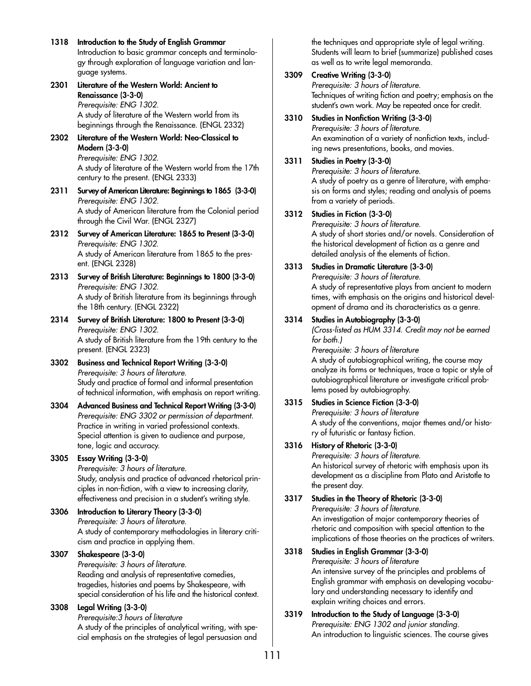**1318 Introduction to the Study of English Grammar** Introduction to basic grammar concepts and terminology through exploration of language variation and lan-

#### **2301 Literature of the Western World: Ancient to Renaissance (3-3-0)** *Prerequisite: ENG 1302.* A study of literature of the Western world from its beginnings through the Renaissance. (ENGL 2332)

guage systems.

- **2302 Literature of the Western World: Neo-Classical to Modern (3-3-0)** *Prerequisite: ENG 1302.* A study of literature of the Western world from the 17th century to the present. (ENGL 2333)
- 2311 Survey of American Literature: Beginnings to 1865 (3-3-0) *Prerequisite: ENG 1302.* A study of American literature from the Colonial period through the Civil War. (ENGL 2327)
- 2312 Survey of American Literature: 1865 to Present (3-3-0) *Prerequisite: ENG 1302.* A study of American literature from 1865 to the present. (ENGL 2328)
- 2313 Survey of British Literature: Beginnings to 1800 (3-3-0) *Prerequisite: ENG 1302.* A study of British literature from its beginnings through the 18th century. (ENGL 2322)
- **2314 Survey of British Literature: 1800 to Present (3-3-0)** *Prerequisite: ENG 1302.* A study of British literature from the 19th century to the present. (ENGL 2323)
- **3302 Business and Technical Report Writing (3-3-0)** *Prerequisite: 3 hours of literature.* Study and practice of formal and informal presentation of technical information, with emphasis on report writing.
- **3304 Advanced Business and Technical Report Writing (3-3-0)** *Prerequisite: ENG 3302 or permission of department.* Practice in writing in varied professional contexts. Special attention is given to audience and purpose, tone, logic and accuracy.

### **3305 Essay Writing (3-3-0)**

- *Prerequisite: 3 hours of literature.* Study, analysis and practice of advanced rhetorical principles in non-fiction, with a view to increasing clarity, effectiveness and precision in a student's writing style.
- **3306 Introduction to Literary Theory (3-3-0)** *Prerequisite: 3 hours of literature.* A study of contemporary methodologies in literary criticism and practice in applying them.

### **3307 Shakespeare (3-3-0)**

*Prerequisite: 3 hours of literature.* Reading and analysis of representative comedies, tragedies, histories and poems by Shakespeare, with special consideration of his life and the historical context.

### **3308 Legal Writing (3-3-0)**

*Prerequisite:3 hours of literature* A study of the principles of analytical writing, with special emphasis on the strategies of legal persuasion and the techniques and appropriate style of legal writing. Students will learn to brief (summarize) published cases as well as to write legal memoranda.

### **3309 Creative Writing (3-3-0)**

*Prerequisite: 3 hours of literature.* Techniques of writing fiction and poetry; emphasis on the student's own work. May be repeated once for credit.

### **3310 Studies in Nonfiction Writing (3-3-0)**

*Prerequisite: 3 hours of literature.* An examination of a variety of nonfiction texts, including news presentations, books, and movies.

### **3311 Studies in Poetry (3-3-0)**

*Prerequisite: 3 hours of literature.* A study of poetry as a genre of literature, with emphasis on forms and styles; reading and analysis of poems from a variety of periods.

#### **3312 Studies in Fiction (3-3-0)**

*Prerequisite: 3 hours of literature.* A study of short stories and/or novels. Consideration of the historical development of fiction as a genre and detailed analysis of the elements of fiction.

### **3313 Studies in Dramatic Literature (3-3-0)**

*Prerequisite: 3 hours of literature.* A study of representative plays from ancient to modern times, with emphasis on the origins and historical development of drama and its characteristics as a genre.

### **3314 Studies in Autobiography (3-3-0)**

*(Cross-listed as HUM 3314. Credit may not be earned for both.)*

*Prerequisite: 3 hours of literature* A study of autobiographical writing, the course may analyze its forms or techniques, trace a topic or style of autobiographical literature or investigate critical problems posed by autobiography.

### **3315 Studies in Science Fiction (3-3-0)**

*Prerequisite: 3 hours of literature* A study of the conventions, major themes and/or history of futuristic or fantasy fiction.

### **3316 History of Rhetoric (3-3-0)**

*Prerequisite: 3 hours of literature.* An historical survey of rhetoric with emphasis upon its development as a discipline from Plato and Aristotle to the present day.

### **3317 Studies in the Theory of Rhetoric (3-3-0)**

*Prerequisite: 3 hours of literature.* An investigation of major contemporary theories of rhetoric and composition with special attention to the implications of those theories on the practices of writers.

### **3318 Studies in English Grammar (3-3-0)**

*Prerequisite: 3 hours of literature* An intensive survey of the principles and problems of English grammar with emphasis on developing vocabulary and understanding necessary to identify and explain writing choices and errors.

#### **3319 Introduction to the Study of Language (3-3-0)** *Prerequisite: ENG 1302 and junior standing.* An introduction to linguistic sciences. The course gives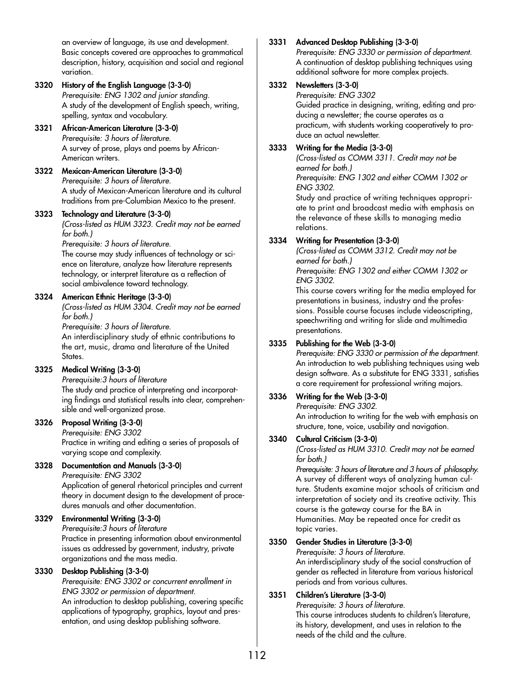an overview of language, its use and development. Basic concepts covered are approaches to grammatical description, history, acquisition and social and regional variation.

- **3320 History of the English Language (3-3-0)** *Prerequisite: ENG 1302 and junior standing.* A study of the development of English speech, writing, spelling, syntax and vocabulary.
- **3321 African-American Literature (3-3-0)** *Prerequisite: 3 hours of literature.* A survey of prose, plays and poems by African-American writers.
- **3322 Mexican-American Literature (3-3-0)** *Prerequisite: 3 hours of literature.* A study of Mexican-American literature and its cultural traditions from pre-Columbian Mexico to the present.
- **3323 Technology and Literature (3-3-0)** *(Cross-listed as HUM 3323. Credit may not be earned for both.)*

*Prerequisite: 3 hours of literature.* The course may study influences of technology or science on literature, analyze how literature represents technology, or interpret literature as a reflection of social ambivalence toward technology.

### **3324 American Ethnic Heritage (3-3-0)**

*(Cross-listed as HUM 3304. Credit may not be earned for both.)*

*Prerequisite: 3 hours of literature.* An interdisciplinary study of ethnic contributions to the art, music, drama and literature of the United States.

### **3325 Medical Writing (3-3-0)**

*Prerequisite:3 hours of literature* The study and practice of interpreting and incorporating findings and statistical results into clear, comprehensible and well-organized prose.

#### **3326 Proposal Writing (3-3-0)**

*Prerequisite: ENG 3302* Practice in writing and editing a series of proposals of varying scope and complexity.

### **3328 Documentation and Manuals (3-3-0)**

*Prerequisite: ENG 3302* Application of general rhetorical principles and current theory in document design to the development of procedures manuals and other documentation.

### **3329 Environmental Writing (3-3-0)**

*Prerequisite:3 hours of literature* Practice in presenting information about environmental issues as addressed by government, industry, private organizations and the mass media.

### **3330 Desktop Publishing (3-3-0)**

*Prerequisite: ENG 3302 or concurrent enrollment in ENG 3302 or permission of department.* An introduction to desktop publishing, covering specific applications of typography, graphics, layout and presentation, and using desktop publishing software.

### **3331 Advanced Desktop Publishing (3-3-0)**

*Prerequisite: ENG 3330 or permission of department.* A continuation of desktop publishing techniques using additional software for more complex projects.

## **3332 Newsletters (3-3-0)**

*Prerequisite: ENG 3302* Guided practice in designing, writing, editing and producing a newsletter; the course operates as a practicum, with students working cooperatively to produce an actual newsletter.

### **3333 Writing for the Media (3-3-0)**

*(Cross-listed as COMM 3311. Credit may not be earned for both.)*

*Prerequisite: ENG 1302 and either COMM 1302 or ENG 3302.*

Study and practice of writing techniques appropriate to print and broadcast media with emphasis on the relevance of these skills to managing media relations.

### **3334 Writing for Presentation (3-3-0)**

*(Cross-listed as COMM 3312. Credit may not be earned for both.) Prerequisite: ENG 1302 and either COMM 1302 or*

*ENG 3302.* This course covers writing for the media employed for presentations in business, industry and the professions. Possible course focuses include videoscripting, speechwriting and writing for slide and multimedia presentations.

### **3335 Publishing for the Web (3-3-0)**

*Prerequisite: ENG 3330 or permission of the department.* An introduction to web publishing techniques using web design software. As a substitute for ENG 3331, satisfies a core requirement for professional writing majors.

## **3336 Writing for the Web (3-3-0)**

*Prerequisite: ENG 3302.* An introduction to writing for the web with emphasis on structure, tone, voice, usability and navigation.

### **3340 Cultural Criticism (3-3-0)**

*(Cross-listed as HUM 3310. Credit may not be earned for both.)*

*Prerequisite: 3 hours of literature and 3 hours of philosophy.*  A survey of different ways of analyzing human culture. Students examine major schools of criticism and interpretation of society and its creative activity. This course is the gateway course for the BA in Humanities. May be repeated once for credit as topic varies.

### **3350 Gender Studies in Literature (3-3-0)**

*Prerequisite: 3 hours of literature.* An interdisciplinary study of the social construction of gender as reflected in literature from various historical periods and from various cultures.

### **3351 Children's Literature (3-3-0)**

*Prerequisite: 3 hours of literature.* This course introduces students to children's literature, its history, development, and uses in relation to the needs of the child and the culture.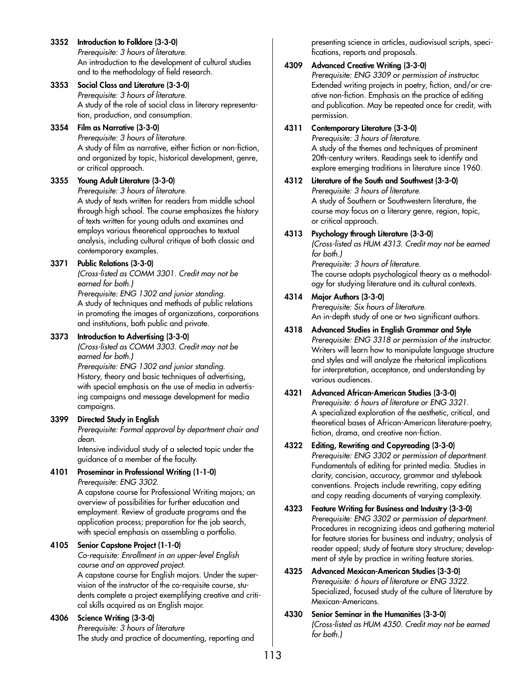**3352 Introduction to Folklore (3-3-0)** *Prerequisite: 3 hours of literature.* An introduction to the development of cultural studies

and to the methodology of field research. **3353 Social Class and Literature (3-3-0)**

*Prerequisite: 3 hours of literature.* A study of the role of social class in literary representation, production, and consumption.

### **3354 Film as Narrative (3-3-0)**

*Prerequisite: 3 hours of literature.* A study of film as narrative, either fiction or non-fiction, and organized by topic, historical development, genre, or critical approach.

### **3355 Young Adult Literature (3-3-0)**

*Prerequisite: 3 hours of literature.*

A study of texts written for readers from middle school through high school. The course emphasizes the history of texts written for young adults and examines and employs various theoretical approaches to textual analysis, including cultural critique of both classic and contemporary examples.

### **3371 Public Relations (3-3-0)**

*(Cross-listed as COMM 3301. Credit may not be earned for both.)*

*Prerequisite: ENG 1302 and junior standing.* A study of techniques and methods of public relations in promoting the images of organizations, corporations and institutions, both public and private.

### **3373 Introduction to Advertising (3-3-0)**

*(Cross-listed as COMM 3303. Credit may not be earned for both.)*

*Prerequisite: ENG 1302 and junior standing.* History, theory and basic techniques of advertising, with special emphasis on the use of media in advertising campaigns and message development for media campaigns.

### **3399 Directed Study in English**

*Prerequisite: Formal approval by department chair and dean.*

Intensive individual study of a selected topic under the guidance of a member of the faculty.

#### **4101 Proseminar in Professional Writing (1-1-0)** *Prerequisite: ENG 3302.*

A capstone course for Professional Writing majors; an overview of possibilities for further education and employment. Review of graduate programs and the application process; preparation for the job search, with special emphasis on assembling a portfolio.

### **4105 Senior Capstone Project (1-1-0)**

*Co-requisite: Enrollment in an upper-level English course and an approved project.*

A capstone course for English majors. Under the supervision of the instructor of the co-requisite course, students complete a project exemplifying creative and critical skills acquired as an English major.

### **4306 Science Writing (3-3-0)**

*Prerequisite: 3 hours of literature* The study and practice of documenting, reporting and presenting science in articles, audiovisual scripts, specifications, reports and proposals.

### **4309 Advanced Creative Writing (3-3-0)**

*Prerequisite: ENG 3309 or permission of instructor.* Extended writing projects in poetry, fiction, and/or creative non-fiction. Emphasis on the practice of editing and publication. May be repeated once for credit, with permission.

### **4311 Contemporary Literature (3-3-0)**

*Prerequisite: 3 hours of literature.* A study of the themes and techniques of prominent 20th-century writers. Readings seek to identify and explore emerging traditions in literature since 1960.

**4312 Literature of the South and Southwest (3-3-0)** *Prerequisite: 3 hours of literature.* A study of Southern or Southwestern literature, the course may focus on a literary genre, region, topic, or critical approach.

### **4313 Psychology through Literature (3-3-0)**

*(Cross-listed as HUM 4313. Credit may not be earned for both.)*

*Prerequisite: 3 hours of literature.* The course adopts psychological theory as a methodology for studying literature and its cultural contexts.

### **4314 Major Authors (3-3-0)**

*Prerequisite: Six hours of literature.* An in-depth study of one or two significant authors.

### **4318 Advanced Studies in English Grammar and Style**

*Prerequisite: ENG 3318 or permission of the instructor.* Writers will learn how to manipulate language structure and styles and will analyze the rhetorical implications for interpretation, acceptance, and understanding by various audiences.

#### **4321 Advanced African-American Studies (3-3-0)** *Prerequisite: 6 hours of literature or ENG 3321.* A specialized exploration of the aesthetic, critical, and theoretical bases of African-American literature-poetry, fiction, drama, and creative non-fiction.

**4322 Editing, Rewriting and Copyreading (3-3-0)** *Prerequisite: ENG 3302 or permission of department.* Fundamentals of editing for printed media. Studies in clarity, concision, accuracy, grammar and stylebook conventions. Projects include rewriting, copy editing and copy reading documents of varying complexity.

#### **4323 Feature Writing for Business and Industry (3-3-0)** *Prerequisite: ENG 3302 or permission of department.* Procedures in recognizing ideas and gathering material for feature stories for business and industry; analysis of reader appeal; study of feature story structure; development of style by practice in writing feature stories.

### **4325 Advanced Mexican-American Studies (3-3-0)** *Prerequisite: 6 hours of literature or ENG 3322.* Specialized, focused study of the culture of literature by Mexican-Americans.

#### **4330 Senior Seminar in the Humanities (3-3-0)** *(Cross-listed as HUM 4350. Credit may not be earned for both.)*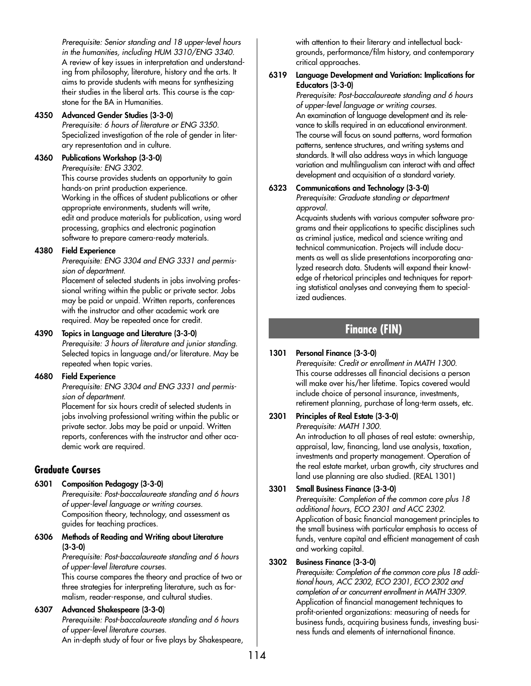*Prerequisite: Senior standing and 18 upper-level hours in the humanities, including HUM 3310/ENG 3340.* A review of key issues in interpretation and understanding from philosophy, literature, history and the arts. It aims to provide students with means for synthesizing their studies in the liberal arts. This course is the capstone for the BA in Humanities.

### **4350 Advanced Gender Studies (3-3-0)**

*Prerequisite: 6 hours of literature or ENG 3350.* Specialized investigation of the role of gender in literary representation and in culture.

### **4360 Publications Workshop (3-3-0)**

*Prerequisite: ENG 3302.*

This course provides students an opportunity to gain hands-on print production experience. Working in the offices of student publications or other appropriate environments, students will write, edit and produce materials for publication, using word processing, graphics and electronic pagination software to prepare camera-ready materials.

### **4380 Field Experience**

*Prerequisite: ENG 3304 and ENG 3331 and permission of department.*

Placement of selected students in jobs involving professional writing within the public or private sector. Jobs may be paid or unpaid. Written reports, conferences with the instructor and other academic work are required. May be repeated once for credit.

#### **4390 Topics in Language and Literature (3-3-0)**

*Prerequisite: 3 hours of literature and junior standing.* Selected topics in language and/or literature. May be repeated when topic varies.

### **4680 Field Experience**

*Prerequisite: ENG 3304 and ENG 3331 and permission of department.*

Placement for six hours credit of selected students in jobs involving professional writing within the public or private sector. Jobs may be paid or unpaid. Written reports, conferences with the instructor and other academic work are required.

## **Graduate Courses**

**6301 Composition Pedagogy (3-3-0)**

*Prerequisite: Post-baccalaureate standing and 6 hours of upper-level language or writing courses.* Composition theory, technology, and assessment as guides for teaching practices.

#### **6306 Methods of Reading and Writing about Literature (3-3-0)**

*Prerequisite: Post-baccalaureate standing and 6 hours of upper-level literature courses.*

This course compares the theory and practice of two or three strategies for interpreting literature, such as formalism, reader-response, and cultural studies.

### **6307 Advanced Shakespeare (3-3-0)**

*Prerequisite: Post-baccalaureate standing and 6 hours of upper-level literature courses.* An in-depth study of four or five plays by Shakespeare, with attention to their literary and intellectual backgrounds, performance/film history, and contemporary critical approaches.

#### **6319 Language Development and Variation: Implications for Educators (3-3-0)**

*Prerequisite: Post-baccalaureate standing and 6 hours of upper-level language or writing courses.* An examination of language development and its relevance to skills required in an educational environment. The course will focus on sound patterns, word formation patterns, sentence structures, and writing systems and standards. It will also address ways in which language variation and multilingualism can interact with and affect development and acquisition of a standard variety.

### **6323 Communications and Technology (3-3-0)**

*Prerequisite: Graduate standing or department approval.*

Acquaints students with various computer software programs and their applications to specific disciplines such as criminal justice, medical and science writing and technical communication. Projects will include documents as well as slide presentations incorporating analyzed research data. Students will expand their knowledge of rhetorical principles and techniques for reporting statistical analyses and conveying them to specialized audiences.

# **Finance (FIN)**

### **1301 Personal Finance (3-3-0)**

*Prerequisite: Credit or enrollment in MATH 1300.* This course addresses all financial decisions a person will make over his/her lifetime. Topics covered would include choice of personal insurance, investments, retirement planning, purchase of long-term assets, etc.

### **2301 Principles of Real Estate (3-3-0)**

*Prerequisite: MATH 1300.*

An introduction to all phases of real estate: ownership, appraisal, law, financing, land use analysis, taxation, investments and property management. Operation of the real estate market, urban growth, city structures and land use planning are also studied. (REAL 1301)

### **3301 Small Business Finance (3-3-0)**

*Prerequisite: Completion of the common core plus 18 additional hours, ECO 2301 and ACC 2302.* Application of basic financial management principles to the small business with particular emphasis to access of funds, venture capital and efficient management of cash and working capital.

### **3302 Business Finance (3-3-0)**

*Prerequisite: Completion of the common core plus 18 additional hours, ACC 2302, ECO 2301, ECO 2302 and completion of or concurrent enrollment in MATH 3309.* Application of financial management techniques to profit-oriented organizations: measuring of needs for business funds, acquiring business funds, investing business funds and elements of international finance.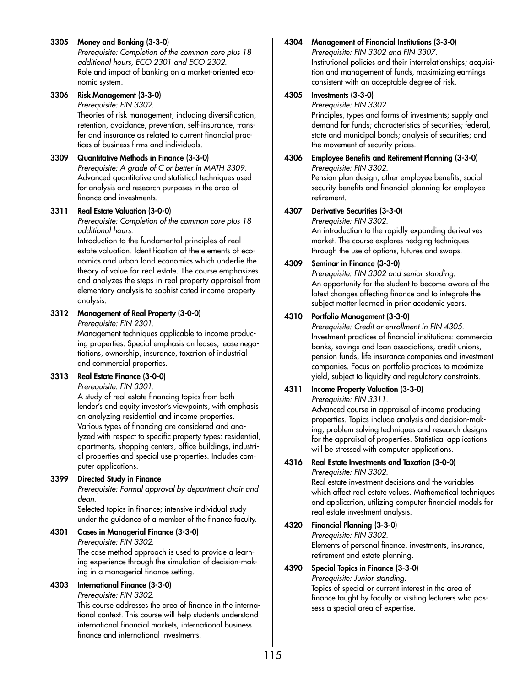### **3305 Money and Banking (3-3-0)**

*Prerequisite: Completion of the common core plus 18 additional hours, ECO 2301 and ECO 2302.* Role and impact of banking on a market-oriented economic system.

## **3306 Risk Management (3-3-0)**

*Prerequisite: FIN 3302.* Theories of risk management, including diversification, retention, avoidance, prevention, self-insurance, transfer and insurance as related to current financial practices of business firms and individuals.

### **3309 Quantitative Methods in Finance (3-3-0)**

*Prerequisite: A grade of C or better in MATH 3309.* Advanced quantitative and statistical techniques used for analysis and research purposes in the area of finance and investments.

#### **3311 Real Estate Valuation (3-0-0)**

*Prerequisite: Completion of the common core plus 18 additional hours.*

Introduction to the fundamental principles of real estate valuation. Identification of the elements of economics and urban land economics which underlie the theory of value for real estate. The course emphasizes and analyzes the steps in real property appraisal from elementary analysis to sophisticated income property analysis.

# **3312 Management of Real Property (3-0-0)**

*Prerequisite: FIN 2301.*

Management techniques applicable to income producing properties. Special emphasis on leases, lease negotiations, ownership, insurance, taxation of industrial and commercial properties.

### **3313 Real Estate Finance (3-0-0)**

*Prerequisite: FIN 3301.*

A study of real estate financing topics from both lender's and equity investor's viewpoints, with emphasis on analyzing residential and income properties. Various types of financing are considered and analyzed with respect to specific property types: residential, apartments, shopping centers, office buildings, industrial properties and special use properties. Includes computer applications.

### **3399 Directed Study in Finance**

*Prerequisite: Formal approval by department chair and dean.*

Selected topics in finance; intensive individual study under the guidance of a member of the finance faculty.

### **4301 Cases in Managerial Finance (3-3-0)**

*Prerequisite: FIN 3302.*

The case method approach is used to provide a learning experience through the simulation of decision-making in a managerial finance setting.

## **4303 International Finance (3-3-0)**

*Prerequisite: FIN 3302.*

This course addresses the area of finance in the international context. This course will help students understand international financial markets, international business finance and international investments.

### **4304 Management of Financial Institutions (3-3-0)**

*Prerequisite: FIN 3302 and FIN 3307.* Institutional policies and their interrelationships; acquisition and management of funds, maximizing earnings consistent with an acceptable degree of risk.

### **4305 Investments (3-3-0)**

*Prerequisite: FIN 3302.*

Principles, types and forms of investments; supply and demand for funds; characteristics of securities; federal, state and municipal bonds; analysis of securities; and the movement of security prices.

#### **4306 Employee Benefits and Retirement Planning (3-3-0)** *Prerequisite: FIN 3302.* Pension plan design, other employee benefits, social security benefits and financial planning for employee retirement.

### **4307 Derivative Securities (3-3-0)**

*Prerequisite: FIN 3302.*

An introduction to the rapidly expanding derivatives market. The course explores hedging techniques through the use of options, futures and swaps.

### **4309 Seminar in Finance (3-3-0)**

*Prerequisite: FIN 3302 and senior standing.* An opportunity for the student to become aware of the latest changes affecting finance and to integrate the subject matter learned in prior academic years.

### **4310 Portfolio Management (3-3-0)**

*Prerequisite: Credit or enrollment in FIN 4305.* Investment practices of financial institutions: commercial banks, savings and loan associations, credit unions, pension funds, life insurance companies and investment companies. Focus on portfolio practices to maximize yield, subject to liquidity and regulatory constraints.

### **4311 Income Property Valuation (3-3-0)**

*Prerequisite: FIN 3311.*

Advanced course in appraisal of income producing properties. Topics include analysis and decision-making, problem solving techniques and research designs for the appraisal of properties. Statistical applications will be stressed with computer applications.

# **4316 Real Estate Investments and Taxation (3-0-0)**

*Prerequisite: FIN 3302.*

Real estate investment decisions and the variables which affect real estate values. Mathematical techniques and application, utilizing computer financial models for real estate investment analysis.

**4320 Financial Planning (3-3-0)**

*Prerequisite: FIN 3302.* Elements of personal finance, investments, insurance, retirement and estate planning.

### **4390 Special Topics in Finance (3-3-0)**

*Prerequisite: Junior standing.* Topics of special or current interest in the area of finance taught by faculty or visiting lecturers who possess a special area of expertise.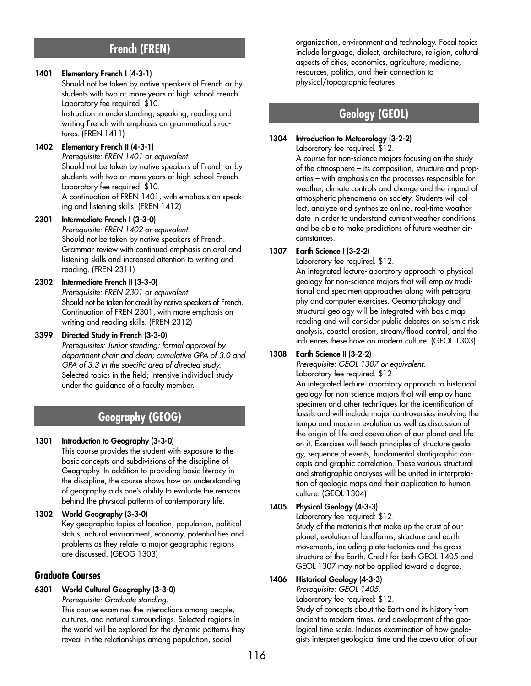# **French (FREN)**

### **1401 Elementary French I (4-3-1)**

Should not be taken by native speakers of French or by students with two or more years of high school French. Laboratory fee required. \$10.

Instruction in understanding, speaking, reading and writing French with emphasis on grammatical structures. (FREN 1411)

### **1402 Elementary French II (4-3-1)**

*Prerequisite: FREN 1401 or equivalent.*  Should not be taken by native speakers of French or by students with two or more years of high school French. Laboratory fee required. \$10. A continuation of FREN 1401, with emphasis on speaking and listening skills. (FREN 1412)

### **2301 Intermediate French I (3-3-0)**

*Prerequisite: FREN 1402 or equivalent.*  Should not be taken by native speakers of French. Grammar review with continued emphasis on oral and listening skills and increased attention to writing and reading. (FREN 2311)

### **2302 Intermediate French II (3-3-0)**

*Prerequisite: FREN 2301 or equivalent.*  Should not be taken for credit by native speakers of French. Continuation of FREN 2301, with more emphasis on writing and reading skills. (FREN 2312)

### **3399 Directed Study in French (3-3-0)**

*Prerequisites: Junior standing; formal approval by department chair and dean; cumulative GPA of 3.0 and GPA of 3.3 in the specific area of directed study.* Selected topics in the field; intensive individual study under the guidance of a faculty member.

# **Geography (GEOG)**

### **1301 Introduction to Geography (3-3-0)**

This course provides the student with exposure to the basic concepts and subdivisions of the discipline of Geography. In addition to providing basic literacy in the discipline, the course shows how an understanding of geography aids one's ability to evaluate the reasons behind the physical patterns of contemporary life.

**1302 World Geography (3-3-0)** Key geographic topics of location, population, political status, natural environment, economy, potentialities and problems as they relate to major geographic regions are discussed. (GEOG 1303)

## **Graduate Courses**

### **6301 World Cultural Geography (3-3-0)**

*Prerequisite: Graduate standing.*

This course examines the interactions among people, cultures, and natural surroundings. Selected regions in the world will be explored for the dynamic patterns they reveal in the relationships among population, social

organization, environment and technology. Focal topics include language, dialect, architecture, religion, cultural aspects of cities, economics, agriculture, medicine, resources, politics, and their connection to physical/topographic features.

# **Geology (GEOL)**

### **1304 Introduction to Meteorology (3-2-2)**

Laboratory fee required. \$12.

A course for non-science majors focusing on the study of the atmosphere – its composition, structure and properties – with emphasis on the processes responsible for weather, climate controls and change and the impact of atmospheric phenomena on society. Students will collect, analyze and synthesize online, real-time weather data in order to understand current weather conditions and be able to make predictions of future weather circumstances.

### **1307 Earth Science I (3-2-2)**

Laboratory fee required. \$12.

An integrated lecture-laboratory approach to physical geology for non-science majors that will employ traditional and specimen approaches along with petrography and computer exercises. Geomorphology and structural geology will be integrated with basic map reading and will consider public debates on seismic risk analysis, coastal erosion, stream/flood control, and the influences these have on modern culture. (GEOL 1303)

### **1308 Earth Science II (3-2-2)**

*Prerequisite: GEOL 1307 or equivalent.* Laboratory fee required. \$12.

An integrated lecture-laboratory approach to historical geology for non-science majors that will employ hand specimen and other techniques for the identification of fossils and will include major controversies involving the tempo and mode in evolution as well as discussion of the origin of life and coevolution of our planet and life on it. Exercises will teach principles of structure geology, sequence of events, fundamental stratigraphic concepts and graphic correlation. These various structural and stratigraphic analyses will be united in interpretation of geologic maps and their application to human culture. (GEOL 1304)

### **1405 Physical Geology (4-3-3)**

Laboratory fee required: \$12. Study of the materials that make up the crust of our planet, evolution of landforms, structure and earth movements, including plate tectonics and the gross structure of the Earth. Credit for both GEOL 1405 and GEOL 1307 may not be applied toward a degree.

### **1406 Historical Geology (4-3-3)**

*Prerequisite: GEOL 1405.*

Laboratory fee required: \$12.

Study of concepts about the Earth and its history from ancient to modern times, and development of the geological time scale. Includes examination of how geologists interpret geological time and the coevolution of our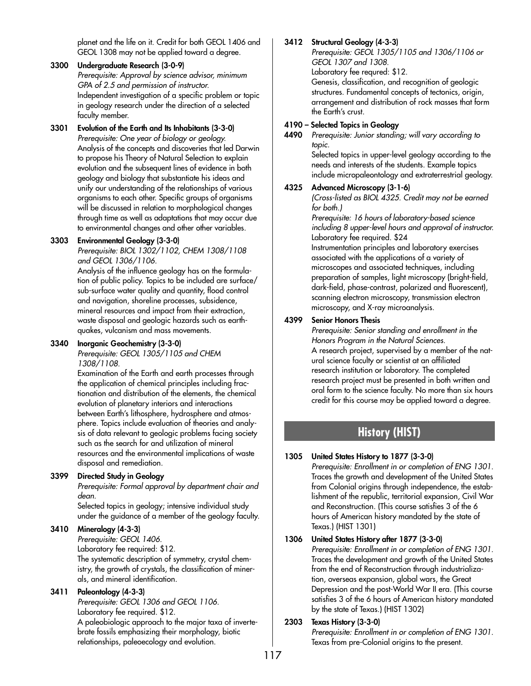planet and the life on it. Credit for both GEOL 1406 and GEOL 1308 may not be applied toward a degree.

#### **3300 Undergraduate Research (3-0-9)** *Prerequisite: Approval by science advisor, minimum GPA of 2.5 and permission of instructor.* Independent investigation of a specific problem or topic in geology research under the direction of a selected faculty member.

#### **3301 Evolution of the Earth and Its Inhabitants (3-3-0)** *Prerequisite: One year of biology or geology.* Analysis of the concepts and discoveries that led Darwin to propose his Theory of Natural Selection to explain evolution and the subsequent lines of evidence in both geology and biology that substantiate his ideas and unify our understanding of the relationships of various organisms to each other. Specific groups of organisms will be discussed in relation to morphological changes through time as well as adaptations that may occur due to environmental changes and other other variables.

#### **3303 Environmental Geology (3-3-0)**

*Prerequisite: BIOL 1302/1102, CHEM 1308/1108 and GEOL 1306/1106.*

Analysis of the influence geology has on the formulation of public policy. Topics to be included are surface/ sub-surface water quality and quantity, flood control and navigation, shoreline processes, subsidence, mineral resources and impact from their extraction, waste disposal and geologic hazards such as earthquakes, vulcanism and mass movements.

#### **3340 Inorganic Geochemistry (3-3-0)**

*Prerequisite: GEOL 1305/1105 and CHEM 1308/1108.*

Examination of the Earth and earth processes through the application of chemical principles including fractionation and distribution of the elements, the chemical evolution of planetary interiors and interactions between Earth's lithosphere, hydrosphere and atmosphere. Topics include evaluation of theories and analysis of data relevant to geologic problems facing society such as the search for and utilization of mineral resources and the environmental implications of waste disposal and remediation.

### **3399 Directed Study in Geology**

*Prerequisite: Formal approval by department chair and dean.*

Selected topics in geology; intensive individual study under the guidance of a member of the geology faculty.

#### **3410 Mineralogy (4-3-3)**

*Prerequisite: GEOL 1406.* Laboratory fee required: \$12. The systematic description of symmetry, crystal chemistry, the growth of crystals, the classification of minerals, and mineral identification.

### **3411 Paleontology (4-3-3)**

*Prerequisite: GEOL 1306 and GEOL 1106.* Laboratory fee required. \$12. A paleobiologic approach to the major taxa of invertebrate fossils emphasizing their morphology, biotic relationships, paleoecology and evolution.

### **3412 Structural Geology (4-3-3)**

*Prerequisite: GEOL 1305/1105 and 1306/1106 or GEOL 1307 and 1308.* Laboratory fee requred: \$12. Genesis, classification, and recognition of geologic structures. Fundamental concepts of tectonics, origin, arrangement and distribution of rock masses that form

### the Earth's crust. **4190 – Selected Topics in Geology**

**4490** *Prerequisite: Junior standing; will vary according to topic.*

> Selected topics in upper-level geology according to the needs and interests of the students. Example topics include micropaleontology and extraterrestrial geology.

#### **4325 Advanced Microscopy (3-1-6)**

*(Cross-listed as BIOL 4325. Credit may not be earned for both.)*

*Prerequisite: 16 hours of laboratory-based science including 8 upper-level hours and approval of instructor.*  Laboratory fee required. \$24

Instrumentation principles and laboratory exercises associated with the applications of a variety of microscopes and associated techniques, including preparation of samples, light microscopy (bright-field, dark-field, phase-contrast, polarized and fluorescent), scanning electron microscopy, transmission electron microscopy, and X-ray microanalysis.

### **4399 Senior Honors Thesis**

*Prerequisite: Senior standing and enrollment in the Honors Program in the Natural Sciences.*

A research project, supervised by a member of the natural science faculty or scientist at an affiliated research institution or laboratory. The completed research project must be presented in both written and oral form to the science faculty. No more than six hours credit for this course may be applied toward a degree.

# **History (HIST)**

### **1305 United States History to 1877 (3-3-0)**

*Prerequisite: Enrollment in or completion of ENG 1301.* Traces the growth and development of the United States from Colonial origins through independence, the establishment of the republic, territorial expansion, Civil War and Reconstruction. (This course satisfies 3 of the 6 hours of American history mandated by the state of Texas.) (HIST 1301)

### **1306 United States History after 1877 (3-3-0)**

*Prerequisite: Enrollment in or completion of ENG 1301.* Traces the development and growth of the United States from the end of Reconstruction through industrialization, overseas expansion, global wars, the Great Depression and the post-World War II era. (This course satisfies 3 of the 6 hours of American history mandated by the state of Texas.) (HIST 1302)

### **2303 Texas History (3-3-0)**

*Prerequisite: Enrollment in or completion of ENG 1301.* Texas from pre-Colonial origins to the present.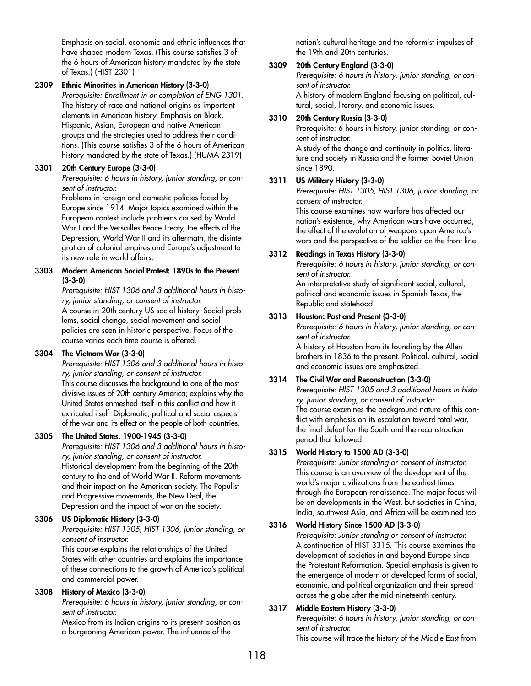Emphasis on social, economic and ethnic influences that have shaped modern Texas. (This course satisfies 3 of the 6 hours of American history mandated by the state of Texas.) (HIST 2301)

#### **2309 Ethnic Minorities in American History (3-3-0)** *Prerequisite: Enrollment in or completion of ENG 1301.* The history of race and national origins as important elements in American history. Emphasis on Black, Hispanic, Asian, European and native American groups and the strategies used to address their conditions. (This course satisfies 3 of the 6 hours of American history mandated by the state of Texas.) (HUMA 2319)

### **3301 20th Century Europe (3-3-0)**

*Prerequisite: 6 hours in history, junior standing, or consent of instructor.*

Problems in foreign and domestic policies faced by Europe since 1914. Major topics examined within the European context include problems caused by World War I and the Versailles Peace Treaty, the effects of the Depression, World War II and its aftermath, the disintegration of colonial empires and Europe's adjustment to its new role in world affairs.

#### **3303 Modern American Social Protest: 1890s to the Present (3-3-0)**

*Prerequisite: HIST 1306 and 3 additional hours in history, junior standing, or consent of instructor.* A course in 20th century US social history. Social problems, social change, social movement and social policies are seen in historic perspective. Focus of the course varies each time course is offered.

### **3304 The Vietnam War (3-3-0)**

*Prerequisite: HIST 1306 and 3 additional hours in history, junior standing, or consent of instructor.* This course discusses the background to one of the most divisive issues of 20th century America; explains why the United States enmeshed itself in this conflict and how it extricated itself. Diplomatic, political and social aspects of the war and its effect on the people of both countries.

### **3305 The United States, 1900-1945 (3-3-0)**

*Prerequisite: HIST 1306 and 3 additional hours in history, junior standing, or consent of instructor.* Historical development from the beginning of the 20th century to the end of World War II. Reform movements and their impact on the American society. The Populist and Progressive movements, the New Deal, the Depression and the impact of war on the society.

### **3306 US Diplomatic History (3-3-0)**

*Prerequisite: HIST 1305, HIST 1306, junior standing, or consent of instructor.*

This course explains the relationships of the United States with other countries and explains the importance of these connections to the growth of America's political and commercial power.

#### **3308 History of Mexico (3-3-0)**

*Prerequisite: 6 hours in history, junior standing, or consent of instructor.*

Mexico from its Indian origins to its present position as a burgeoning American power. The influence of the

nation's cultural heritage and the reformist impulses of the 19th and 20th centuries.

### **3309 20th Century England (3-3-0)**

*Prerequisite: 6 hours in history, junior standing, or consent of instructor.*

A history of modern England focusing on political, cultural, social, literary, and economic issues.

#### **3310 20th Century Russia (3-3-0)**

Prerequisite: 6 hours in history, junior standing, or consent of instructor.

A study of the change and continuity in politics, literature and society in Russia and the former Soviet Union since 1890.

### **3311 US Military History (3-3-0)**

*Prerequisite: HIST 1305, HIST 1306, junior standing, or consent of instructor.*

This course examines how warfare has affected our nation's existence, why American wars have occurred, the effect of the evolution of weapons upon America's wars and the perspective of the soldier on the front line.

#### **3312 Readings in Texas History (3-3-0)**

*Prerequisite: 6 hours in history, junior standing, or consent of instructor.*

An interpretative study of significant social, cultural, political and economic issues in Spanish Texas, the Republic and statehood.

#### **3313 Houston: Past and Present (3-3-0)**

*Prerequisite: 6 hours in history, junior standing, or consent of instructor.*

A history of Houston from its founding by the Allen brothers in 1836 to the present. Political, cultural, social and economic issues are emphasized.

#### **3314 The Civil War and Reconstruction (3-3-0)**

*Prerequisite: HIST 1305 and 3 additional hours in history, junior standing, or consent of instructor.* The course examines the background nature of this conflict with emphasis on its escalation toward total war, the final defeat for the South and the reconstruction period that followed.

### **3315 World History to 1500 AD (3-3-0)**

*Prerequisite: Junior standing or consent of instructor.* This course is an overview of the development of the world's major civilizations from the earliest times through the European renaissance. The major focus will be on developments in the West, but societies in China, India, southwest Asia, and Africa will be examined too.

### **3316 World History Since 1500 AD (3-3-0)**

*Prerequisite: Junior standing or consent of instructor.* A continuation of HIST 3315. This course examines the development of societies in and beyond Europe since the Protestant Reformation. Special emphasis is given to the emergence of modern or developed forms of social, economic, and political organization and their spread across the globe after the mid-nineteenth century.

#### **3317 Middle Eastern History (3-3-0)**

*Prerequisite: 6 hours in history, junior standing, or consent of instructor.*

This course will trace the history of the Middle East from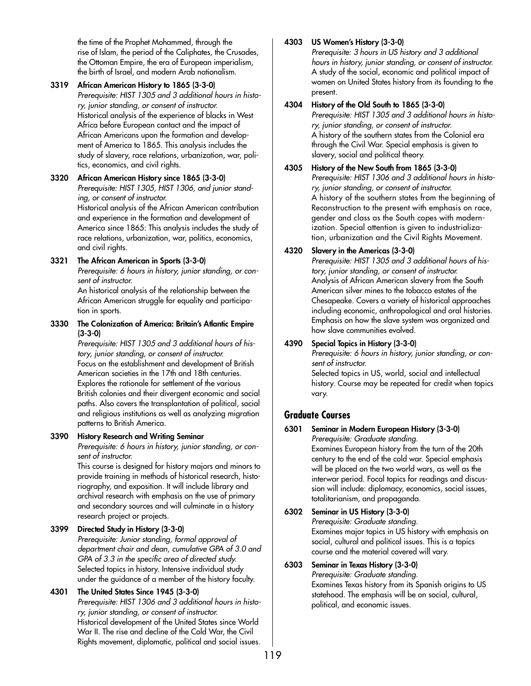the time of the Prophet Mohammed, through the rise of Islam, the period of the Caliphates, the Crusades, the Ottoman Empire, the era of European imperialism, the birth of Israel, and modern Arab nationalism.

- **3319 African American History to 1865 (3-3-0)** *Prerequisite: HIST 1305 and 3 additional hours in history, junior standing, or consent of instructor.* Historical analysis of the experience of blacks in West Africa before European contact and the impact of African Americans upon the formation and development of America to 1865. This analysis includes the study of slavery, race relations, urbanization, war, politics, economics, and civil rights.
- **3320 African American History since 1865 (3-3-0)** *Prerequisite: HIST 1305, HIST 1306, and junior standing, or consent of instructor.* Historical analysis of the African American contribution and experience in the formation and development of America since 1865: This analysis includes the study of race relations, urbanization, war, politics, economics,

and civil rights.

**3321 The African American in Sports (3-3-0)** *Prerequisite: 6 hours in history, junior standing, or consent of instructor.*

An historical analysis of the relationship between the African American struggle for equality and participation in sports.

**3330 The Colonization of America: Britain's Atlantic Empire (3-3-0)** 

*Prerequisite: HIST 1305 and 3 additional hours of history, junior standing, or consent of instructor.* Focus on the establishment and development of British American societies in the 17th and 18th centuries. Explores the rationale for settlement of the various British colonies and their divergent economic and social paths. Also covers the transplantation of political, social and religious institutions as well as analyzing migration patterns to British America.

### **3390 History Research and Writing Seminar**

*Prerequisite: 6 hours in history, junior standing, or consent of instructor.*

This course is designed for history majors and minors to provide training in methods of historical research, historiography, and exposition. It will include library and archival research with emphasis on the use of primary and secondary sources and will culminate in a history research project or projects.

### **3399 Directed Study in History (3-3-0)**

*Prerequisite: Junior standing, formal approval of department chair and dean, cumulative GPA of 3.0 and GPA of 3.3 in the specific area of directed study.* Selected topics in history. Intensive individual study under the guidance of a member of the history faculty.

#### **4301 The United States Since 1945 (3-3-0)**

*Prerequisite: HIST 1306 and 3 additional hours in history, junior standing, or consent of instructor.* Historical development of the United States since World War II. The rise and decline of the Cold War, the Civil Rights movement, diplomatic, political and social issues.

### **4303 US Women's History (3-3-0)**

*Prerequisite: 3 hours in US history and 3 additional hours in history, junior standing, or consent of instructor.* A study of the social, economic and political impact of women on United States history from its founding to the present.

### **4304 History of the Old South to 1865 (3-3-0)**

*Prerequisite: HIST 1305 and 3 additional hours in history, junior standing, or consent of instructor.* A history of the southern states from the Colonial era through the Civil War. Special emphasis is given to slavery, social and political theory.

### **4305 History of the New South from 1865 (3-3-0)**

*Prerequisite: HIST 1306 and 3 additional hours in history, junior standing, or consent of instructor.* A history of the southern states from the beginning of Reconstruction to the present with emphasis on race, gender and class as the South copes with modernization. Special attention is given to industrialization, urbanization and the Civil Rights Movement.

### **4320 Slavery in the Americas (3-3-0)**

*Prerequisite: HIST 1305 and 3 additional hours of history, junior standing, or consent of instructor.* Analysis of African American slavery from the South American silver mines to the tobacco estates of the Chesapeake. Covers a variety of historical approaches including economic, anthropological and oral histories. Emphasis on how the slave system was organized and how slave communities evolved.

### **4390 Special Topics in History (3-3-0)**

*Prerequisite: 6 hours in history, junior standing, or consent of instructor.*

Selected topics in US, world, social and intellectual history. Course may be repeated for credit when topics vary.

### **Graduate Courses**

### **6301 Seminar in Modern European History (3-3-0)**

*Prerequisite: Graduate standing.* Examines European history from the turn of the 20th century to the end of the cold war. Special emphasis will be placed on the two world wars, as well as the interwar period. Focal topics for readings and discussion will include: diplomacy, economics, social issues, totalitarianism, and propaganda.

**6302 Seminar in US History (3-3-0)** *Prerequisite: Graduate standing.* Examines major topics in US history with emphasis on social, cultural and political issues. This is a topics course and the material covered will vary.

### **6303 Seminar in Texas History (3-3-0)**

*Prerequisite: Graduate standing.* Examines Texas history from its Spanish origins to US statehood. The emphasis will be on social, cultural, political, and economic issues.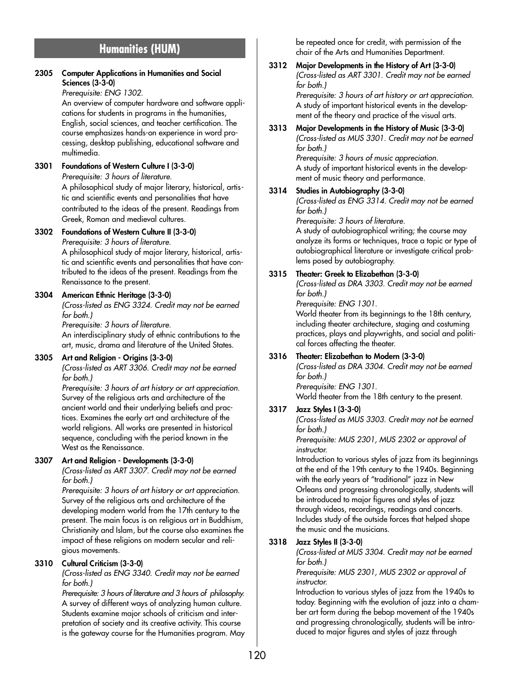# **Humanities (HUM)**

#### **2305 Computer Applications in Humanities and Social Sciences (3-3-0)**

*Prerequisite: ENG 1302.*

An overview of computer hardware and software applications for students in programs in the humanities, English, social sciences, and teacher certification. The course emphasizes hands-on experience in word processing, desktop publishing, educational software and multimedia.

### **3301 Foundations of Western Culture I (3-3-0)**

*Prerequisite: 3 hours of literature.*

A philosophical study of major literary, historical, artistic and scientific events and personalities that have contributed to the ideas of the present. Readings from Greek, Roman and medieval cultures.

### **3302 Foundations of Western Culture II (3-3-0)**

*Prerequisite: 3 hours of literature.*

A philosophical study of major literary, historical, artistic and scientific events and personalities that have contributed to the ideas of the present. Readings from the Renaissance to the present.

#### **3304 American Ethnic Heritage (3-3-0)**

*(Cross-listed as ENG 3324. Credit may not be earned for both.)*

*Prerequisite: 3 hours of literature.*

An interdisciplinary study of ethnic contributions to the art, music, drama and literature of the United States.

#### **3305 Art and Religion - Origins (3-3-0)**

*(Cross-listed as ART 3306. Credit may not be earned for both.)*

*Prerequisite: 3 hours of art history or art appreciation.* Survey of the religious arts and architecture of the ancient world and their underlying beliefs and practices. Examines the early art and architecture of the world religions. All works are presented in historical sequence, concluding with the period known in the West as the Renaissance.

#### **3307 Art and Religion - Developments (3-3-0)**

*(Cross-listed as ART 3307. Credit may not be earned for both.)*

*Prerequisite: 3 hours of art history or art appreciation.* Survey of the religious arts and architecture of the developing modern world from the 17th century to the present. The main focus is on religious art in Buddhism, Christianity and Islam, but the course also examines the impact of these religions on modern secular and religious movements.

#### **3310 Cultural Criticism (3-3-0)**

*(Cross-listed as ENG 3340. Credit may not be earned for both.)*

*Prerequisite: 3 hours of literature and 3 hours of philosophy.* A survey of different ways of analyzing human culture. Students examine major schools of criticism and interpretation of society and its creative activity. This course is the gateway course for the Humanities program. May be repeated once for credit, with permission of the chair of the Arts and Humanities Department.

#### **3312 Major Developments in the History of Art (3-3-0)** *(Cross-listed as ART 3301. Credit may not be earned for both.) Prerequisite: 3 hours of art history or art appreciation.*

A study of important historical events in the development of the theory and practice of the visual arts.

#### **3313 Major Developments in the History of Music (3-3-0)** *(Cross-listed as MUS 3301. Credit may not be earned for both.)*

*Prerequisite: 3 hours of music appreciation.* A study of important historical events in the development of music theory and performance.

#### **3314 Studies in Autobiography (3-3-0)**

*(Cross-listed as ENG 3314. Credit may not be earned for both.)*

*Prerequisite: 3 hours of literature.*

A study of autobiographical writing; the course may analyze its forms or techniques, trace a topic or type of autobiographical literature or investigate critical problems posed by autobiography.

#### **3315 Theater: Greek to Elizabethan (3-3-0)**

*(Cross-listed as DRA 3303. Credit may not be earned for both.)*

*Prerequisite: ENG 1301.*

World theater from its beginnings to the 18th century, including theater architecture, staging and costuming practices, plays and playwrights, and social and political forces affecting the theater.

#### **3316 Theater: Elizabethan to Modern (3-3-0)**

*(Cross-listed as DRA 3304. Credit may not be earned for both.)*

*Prerequisite: ENG 1301.*

World theater from the 18th century to the present.

#### **3317 Jazz Styles I (3-3-0)**

*(Cross-listed as MUS 3303. Credit may not be earned for both.)*

*Prerequisite: MUS 2301, MUS 2302 or approval of instructor.*

Introduction to various styles of jazz from its beginnings at the end of the 19th century to the 1940s. Beginning with the early years of "traditional" jazz in New Orleans and progressing chronologically, students will be introduced to major figures and styles of jazz through videos, recordings, readings and concerts. Includes study of the outside forces that helped shape the music and the musicians.

#### **3318 Jazz Styles II (3-3-0)**

*(Cross-listed at MUS 3304. Credit may not be earned for both.)*

#### *Prerequisite: MUS 2301, MUS 2302 or approval of instructor.*

Introduction to various styles of jazz from the 1940s to today. Beginning with the evolution of jazz into a chamber art form during the bebop movement of the 1940s and progressing chronologically, students will be introduced to major figures and styles of jazz through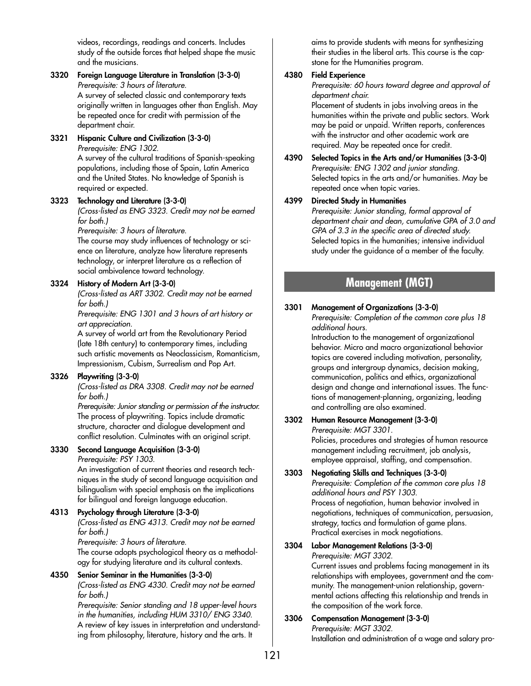videos, recordings, readings and concerts. Includes study of the outside forces that helped shape the music and the musicians.

#### **3320 Foreign Language Literature in Translation (3-3-0)** *Prerequisite: 3 hours of literature.* A survey of selected classic and contemporary texts originally written in languages other than English. May be repeated once for credit with permission of the department chair.

#### **3321 Hispanic Culture and Civilization (3-3-0)** *Prerequisite: ENG 1302.*

A survey of the cultural traditions of Spanish-speaking populations, including those of Spain, Latin America and the United States. No knowledge of Spanish is required or expected.

### **3323 Technology and Literature (3-3-0)**

*(Cross-listed as ENG 3323. Credit may not be earned for both.)*

*Prerequisite: 3 hours of literature.*

The course may study influences of technology or science on literature, analyze how literature represents technology, or interpret literature as a reflection of social ambivalence toward technology.

### **3324 History of Modern Art (3-3-0)**

*(Cross-listed as ART 3302. Credit may not be earned for both.)*

*Prerequisite: ENG 1301 and 3 hours of art history or art appreciation.*

A survey of world art from the Revolutionary Period (late 18th century) to contemporary times, including such artistic movements as Neoclassicism, Romanticism, Impressionism, Cubism, Surrealism and Pop Art.

### **3326 Playwriting (3-3-0)**

*(Cross-listed as DRA 3308. Credit may not be earned for both.)*

*Prerequisite: Junior standing or permission of the instructor.* The process of playwriting. Topics include dramatic structure, character and dialogue development and conflict resolution. Culminates with an original script.

### **3330 Second Language Acquisition (3-3-0)**

#### *Prerequisite: PSY 1303.*

An investigation of current theories and research techniques in the study of second language acquisition and bilingualism with special emphasis on the implications for bilingual and foreign language education.

### **4313 Psychology through Literature (3-3-0)**

*(Cross-listed as ENG 4313. Credit may not be earned for both.)*

*Prerequisite: 3 hours of literature.*

The course adopts psychological theory as a methodology for studying literature and its cultural contexts.

### **4350 Senior Seminar in the Humanities (3-3-0)**

*(Cross-listed as ENG 4330. Credit may not be earned for both.)*

*Prerequisite: Senior standing and 18 upper-level hours in the humanities, including HUM 3310/ ENG 3340.* A review of key issues in interpretation and understanding from philosophy, literature, history and the arts. It

aims to provide students with means for synthesizing their studies in the liberal arts. This course is the capstone for the Humanities program.

### **4380 Field Experience**

*Prerequisite: 60 hours toward degree and approval of department chair.*

Placement of students in jobs involving areas in the humanities within the private and public sectors. Work may be paid or unpaid. Written reports, conferences with the instructor and other academic work are required. May be repeated once for credit.

**4390 Selected Topics in the Arts and/or Humanities (3-3-0)** *Prerequisite: ENG 1302 and junior standing.* Selected topics in the arts and/or humanities. May be repeated once when topic varies.

### **4399 Directed Study in Humanities**

*Prerequisite: Junior standing, formal approval of department chair and dean, cumulative GPA of 3.0 and GPA of 3.3 in the specific area of directed study.* Selected topics in the humanities; intensive individual study under the guidance of a member of the faculty.

# **Management (MGT)**

### **3301 Management of Organizations (3-3-0)**

*Prerequisite: Completion of the common core plus 18 additional hours.*

Introduction to the management of organizational behavior. Micro and macro organizational behavior topics are covered including motivation, personality, groups and intergroup dynamics, decision making, communication, politics and ethics, organizational design and change and international issues. The functions of management-planning, organizing, leading and controlling are also examined.

## **3302 Human Resource Management (3-3-0)**

*Prerequisite: MGT 3301.*

Policies, procedures and strategies of human resource management including recruitment, job analysis, employee appraisal, staffing, and compensation.

### **3303 Negotiating Skills and Techniques (3-3-0)**

*Prerequisite: Completion of the common core plus 18 additional hours and PSY 1303.* Process of negotiation, human behavior involved in negotiations, techniques of communication, persuasion, strategy, tactics and formulation of game plans. Practical exercises in mock negotiations.

### **3304 Labor Management Relations (3-3-0)**

*Prerequisite: MGT 3302.*

Current issues and problems facing management in its relationships with employees, government and the community. The management-union relationship, governmental actions affecting this relationship and trends in the composition of the work force.

**3306 Compensation Management (3-3-0)** *Prerequisite: MGT 3302.* Installation and administration of a wage and salary pro-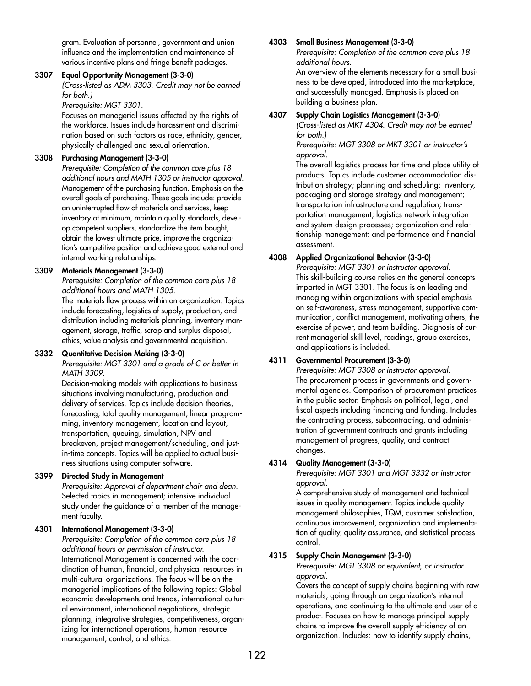gram. Evaluation of personnel, government and union influence and the implementation and maintenance of various incentive plans and fringe benefit packages.

### **3307 Equal Opportunity Management (3-3-0)**

*(Cross-listed as ADM 3303. Credit may not be earned for both.)*

*Prerequisite: MGT 3301.*

Focuses on managerial issues affected by the rights of the workforce. Issues include harassment and discrimination based on such factors as race, ethnicity, gender, physically challenged and sexual orientation.

### **3308 Purchasing Management (3-3-0)**

*Prerequisite: Completion of the common core plus 18 additional hours and MATH 1305 or instructor approval.* Management of the purchasing function. Emphasis on the overall goals of purchasing. These goals include: provide an uninterrupted flow of materials and services, keep inventory at minimum, maintain quality standards, develop competent suppliers, standardize the item bought, obtain the lowest ultimate price, improve the organization's competitive position and achieve good external and internal working relationships.

### **3309 Materials Management (3-3-0)**

*Prerequisite: Completion of the common core plus 18 additional hours and MATH 1305.*

The materials flow process within an organization. Topics include forecasting, logistics of supply, production, and distribution including materials planning, inventory management, storage, traffic, scrap and surplus disposal, ethics, value analysis and governmental acquisition.

### **3332 Quantitative Decision Making (3-3-0)**

*Prerequisite: MGT 3301 and a grade of C or better in MATH 3309.*

Decision-making models with applications to business situations involving manufacturing, production and delivery of services. Topics include decision theories, forecasting, total quality management, linear programming, inventory management, location and layout, transportation, queuing, simulation, NPV and breakeven, project management/scheduling, and justin-time concepts. Topics will be applied to actual business situations using computer software.

### **3399 Directed Study in Management**

*Prerequisite: Approval of department chair and dean.* Selected topics in management; intensive individual study under the guidance of a member of the management faculty.

### **4301 International Management (3-3-0)**

*Prerequisite: Completion of the common core plus 18 additional hours or permission of instructor.* International Management is concerned with the coordination of human, financial, and physical resources in multi-cultural organizations. The focus will be on the managerial implications of the following topics: Global economic developments and trends, international cultural environment, international negotiations, strategic planning, integrative strategies, competitiveness, organizing for international operations, human resource management, control, and ethics.

### **4303 Small Business Management (3-3-0)**

*Prerequisite: Completion of the common core plus 18 additional hours.*

An overview of the elements necessary for a small business to be developed, introduced into the marketplace, and successfully managed. Emphasis is placed on building a business plan.

#### **4307 Supply Chain Logistics Management (3-3-0)**

*(Cross-listed as MKT 4304. Credit may not be earned for both.)*

*Prerequisite: MGT 3308 or MKT 3301 or instructor's approval.*

The overall logistics process for time and place utility of products. Topics include customer accommodation distribution strategy; planning and scheduling; inventory, packaging and storage strategy and management; transportation infrastructure and regulation; transportation management; logistics network integration and system design processes; organization and relationship management; and performance and financial assessment.

### **4308 Applied Organizational Behavior (3-3-0)**

*Prerequisite: MGT 3301 or instructor approval.* This skill-building course relies on the general concepts imparted in MGT 3301. The focus is on leading and managing within organizations with special emphasis on self-awareness, stress management, supportive communication, conflict management, motivating others, the exercise of power, and team building. Diagnosis of current managerial skill level, readings, group exercises, and applications is included.

### **4311 Governmental Procurement (3-3-0)**

*Prerequisite: MGT 3308 or instructor approval.* The procurement process in governments and governmental agencies. Comparison of procurement practices in the public sector. Emphasis on political, legal, and fiscal aspects including financing and funding. Includes the contracting process, subcontracting, and administration of government contracts and grants including management of progress, quality, and contract changes.

### **4314 Quality Management (3-3-0)**

*Prerequisite: MGT 3301 and MGT 3332 or instructor approval.*

A comprehensive study of management and technical issues in quality management. Topics include quality management philosophies, TQM, customer satisfaction, continuous improvement, organization and implementation of quality, quality assurance, and statistical process control.

### **4315 Supply Chain Management (3-3-0)**

*Prerequisite: MGT 3308 or equivalent, or instructor approval.*

Covers the concept of supply chains beginning with raw materials, going through an organization's internal operations, and continuing to the ultimate end user of a product. Focuses on how to manage principal supply chains to improve the overall supply efficiency of an organization. Includes: how to identify supply chains,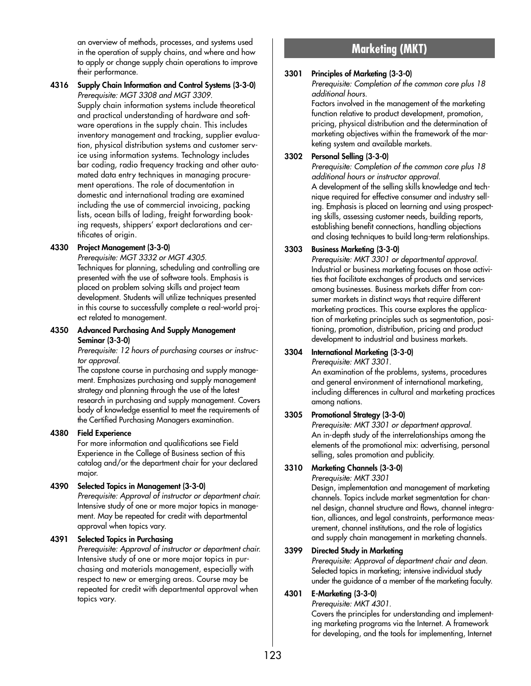an overview of methods, processes, and systems used in the operation of supply chains, and where and how to apply or change supply chain operations to improve their performance.

**4316 Supply Chain Information and Control Systems (3-3-0)**  *Prerequisite: MGT 3308 and MGT 3309.* Supply chain information systems include theoretical and practical understanding of hardware and software operations in the supply chain. This includes inventory management and tracking, supplier evaluation, physical distribution systems and customer service using information systems. Technology includes bar coding, radio frequency tracking and other automated data entry techniques in managing procurement operations. The role of documentation in domestic and international trading are examined including the use of commercial invoicing, packing lists, ocean bills of lading, freight forwarding booking requests, shippers' export declarations and certificates of origin.

#### **4330 Project Management (3-3-0)**

*Prerequisite: MGT 3332 or MGT 4305.* Techniques for planning, scheduling and controlling are presented with the use of software tools. Emphasis is placed on problem solving skills and project team development. Students will utilize techniques presented in this course to successfully complete a real-world project related to management.

#### **4350 Advanced Purchasing And Supply Management Seminar (3-3-0)**

*Prerequisite: 12 hours of purchasing courses or instructor approval.*

The capstone course in purchasing and supply management. Emphasizes purchasing and supply management strategy and planning through the use of the latest research in purchasing and supply management. Covers body of knowledge essential to meet the requirements of the Certified Purchasing Managers examination.

#### **4380 Field Experience**

For more information and qualifications see Field Experience in the College of Business section of this catalog and/or the department chair for your declared major.

# **4390 Selected Topics in Management (3-3-0)**

*Prerequisite: Approval of instructor or department chair.* Intensive study of one or more major topics in management. May be repeated for credit with departmental approval when topics vary.

### **4391 Selected Topics in Purchasing**

*Prerequisite: Approval of instructor or department chair.* Intensive study of one or more major topics in purchasing and materials management, especially with respect to new or emerging areas. Course may be repeated for credit with departmental approval when topics vary.

# **Marketing (MKT)**

### **3301 Principles of Marketing (3-3-0)**

*Prerequisite: Completion of the common core plus 18 additional hours.*

Factors involved in the management of the marketing function relative to product development, promotion, pricing, physical distribution and the determination of marketing objectives within the framework of the marketing system and available markets.

### **3302 Personal Selling (3-3-0)**

*Prerequisite: Completion of the common core plus 18 additional hours or instructor approval.*

A development of the selling skills knowledge and technique required for effective consumer and industry selling. Emphasis is placed on learning and using prospecting skills, assessing customer needs, building reports, establishing benefit connections, handling objections and closing techniques to build long-term relationships.

### **3303 Business Marketing (3-3-0)**

*Prerequisite: MKT 3301 or departmental approval.* Industrial or business marketing focuses on those activities that facilitate exchanges of products and services among businesses. Business markets differ from consumer markets in distinct ways that require different marketing practices. This course explores the application of marketing principles such as segmentation, positioning, promotion, distribution, pricing and product development to industrial and business markets.

### **3304 International Marketing (3-3-0)**

*Prerequisite: MKT 3301.* An examination of the problems, systems, procedures and general environment of international marketing, including differences in cultural and marketing practices among nations.

### **3305 Promotional Strategy (3-3-0)**

*Prerequisite: MKT 3301 or department approval.* An in-depth study of the interrelationships among the elements of the promotional mix: advertising, personal selling, sales promotion and publicity.

### **3310 Marketing Channels (3-3-0)**

*Prerequisite: MKT 3301*

Design, implementation and management of marketing channels. Topics include market segmentation for channel design, channel structure and flows, channel integration, alliances, and legal constraints, performance measurement, channel institutions, and the role of logistics and supply chain management in marketing channels.

## **3399 Directed Study in Marketing**

*Prerequisite: Approval of department chair and dean.* Selected topics in marketing; intensive individual study under the guidance of a member of the marketing faculty.

### **4301 E-Marketing (3-3-0)**

*Prerequisite: MKT 4301.*

Covers the principles for understanding and implementing marketing programs via the Internet. A framework for developing, and the tools for implementing, Internet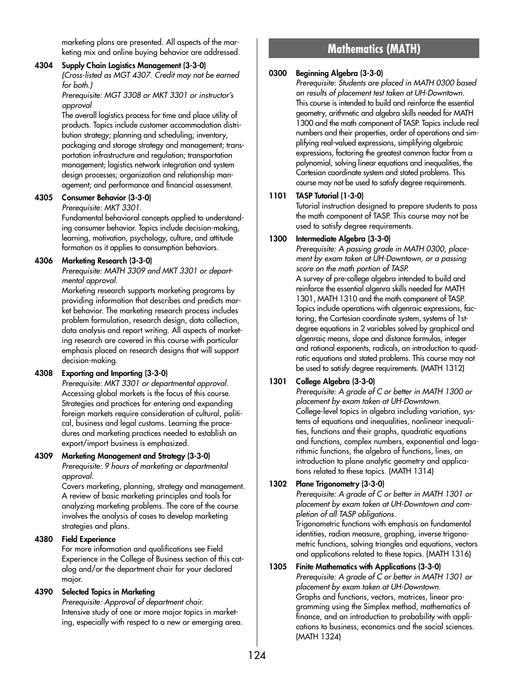marketing plans are presented. All aspects of the marketing mix and online buying behavior are addressed.

### **4304 Supply Chain Logistics Management (3-3-0)**

*(Cross-listed as MGT 4307. Credit may not be earned for both.)*

*Prerequisite: MGT 3308 or MKT 3301 or instructor's approval*

The overall logistics process for time and place utility of products. Topics include customer accommodation distribution strategy; planning and scheduling; inventory, packaging and storage strategy and management; transportation infrastructure and regulation; transportation management; logistics network integration and system design processes; organization and relationship management; and performance and financial assessment.

#### **4305 Consumer Behavior (3-3-0)**

*Prerequisite: MKT 3301.*

Fundamental behavioral concepts applied to understanding consumer behavior. Topics include decision-making, learning, motivation, psychology, culture, and attitude formation as it applies to consumption behaviors.

#### **4306 Marketing Research (3-3-0)**

*Prerequisite: MATH 3309 and MKT 3301 or departmental approval.*

Marketing research supports marketing programs by providing information that describes and predicts market behavior. The marketing research process includes problem formulation, research design, data collection, data analysis and report writing. All aspects of marketing research are covered in this course with particular emphasis placed on research designs that will support decision-making.

### **4308 Exporting and Importing (3-3-0)**

*Prerequisite: MKT 3301 or departmental approval.* Accessing global markets is the focus of this course. Strategies and practices for entering and expanding foreign markets require consideration of cultural, political, business and legal customs. Learning the procedures and marketing practices needed to establish an export/import business is emphasized.

#### **4309 Marketing Management and Strategy (3-3-0)**

*Prerequisite: 9 hours of marketing or departmental approval.*

Covers marketing, planning, strategy and management. A review of basic marketing principles and tools for analyzing marketing problems. The core of the course involves the analysis of cases to develop marketing strategies and plans.

#### **4380 Field Experience**

For more information and qualifications see Field Experience in the College of Business section of this catalog and/or the department chair for your declared major.

#### **4390 Selected Topics in Marketing**

*Prerequisite: Approval of department chair.* Intensive study of one or more major topics in marketing, especially with respect to a new or emerging area.

# **Mathematics (MATH)**

#### **0300 Beginning Algebra (3-3-0)**

*Prerequisite: Students are placed in MATH 0300 based on results of placement test taken at UH-Downtown.* This course is intended to build and reinforce the essential geometry, arithmetic and algebra skills needed for MATH 1300 and the math component of TASP. Topics include real numbers and their properties, order of operations and simplifying real-valued expressions, simplifying algebraic expressions, factoring the greatest common factor from a polynomial, solving linear equations and inequalities, the Cartesian coordinate system and stated problems. This course may not be used to satisfy degree requirements.

#### **1101 TASP Tutorial (1-3-0)**

Tutorial instruction designed to prepare students to pass the math component of TASP. This course may not be used to satisfy degree requirements.

#### **1300 Intermediate Algebra (3-3-0)**

*Prerequisite: A passing grade in MATH 0300, placement by exam taken at UH-Downtown, or a passing score on the math portion of TASP.* A survey of pre-college algebra intended to build and reinforce the essential algenra skills needed for MATH 1301, MATH 1310 and the math component of TASP. Topics include operations with algenraic expressions, factoring, the Cartesian coordinate system, systems of 1stdegree equations in 2 variables solved by graphical and algenraic means, slope and distance formulas, integer and rational exponents, radicals, an introduction to quadratic equations and stated problems. This course may not be used to satisfy degree requirements. (MATH 1312)

### **1301 College Algebra (3-3-0)**

*Prerequisite: A grade of C or better in MATH 1300 or placement by exam taken at UH-Downtown.* College-level topics in algebra including variation, systems of equations and inequalities, nonlinear inequalities, functions and their graphs, quadratic equations and functions, complex numbers, exponential and logarithmic functions, the algebra of functions, lines, an introduction to plane analytic geometry and applications related to these topics. (MATH 1314)

#### **1302 Plane Trigonometry (3-3-0)**

*Prerequisite: A grade of C or better in MATH 1301 or placement by exam taken at UH-Downtown and completion of all TASP obligations.*

Trigonometric functions with emphasis on fundamental identities, radian measure, graphing, inverse trigonometric functions, solving triangles and equations, vectors and applications related to these topics. (MATH 1316)

#### **1305 Finite Mathematics with Applications (3-3-0)**

*Prerequisite: A grade of C or better in MATH 1301 or placement by exam taken at UH-Downtown.* Graphs and functions, vectors, matrices, linear programming using the Simplex method, mathematics of finance, and an introduction to probability with applications to business, economics and the social sciences. (MATH 1324)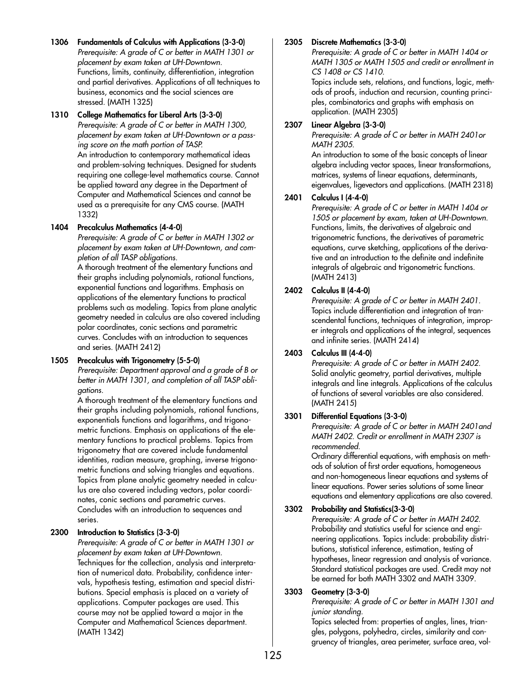**1306 Fundamentals of Calculus with Applications (3-3-0)** *Prerequisite: A grade of C or better in MATH 1301 or placement by exam taken at UH-Downtown.* Functions, limits, continuity, differentiation, integration and partial derivatives. Applications of all techniques to business, economics and the social sciences are stressed. (MATH 1325)

### **1310 College Mathematics for Liberal Arts (3-3-0)**

*Prerequisite: A grade of C or better in MATH 1300, placement by exam taken at UH-Downtown or a passing score on the math portion of TASP.* An introduction to contemporary mathematical ideas and problem-solving techniques. Designed for students requiring one college-level mathematics course. Cannot be applied toward any degree in the Department of Computer and Mathematical Sciences and cannot be used as a prerequisite for any CMS course. (MATH 1332)

#### **1404 Precalculus Mathematics (4-4-0)**

*Prerequisite: A grade of C or better in MATH 1302 or placement by exam taken at UH-Downtown, and completion of all TASP obligations.*

A thorough treatment of the elementary functions and their graphs including polynomials, rational functions, exponential functions and logarithms. Emphasis on applications of the elementary functions to practical problems such as modeling. Topics from plane analytic geometry needed in calculus are also covered including polar coordinates, conic sections and parametric curves. Concludes with an introduction to sequences and series. (MATH 2412)

### **1505 Precalculus with Trigonometry (5-5-0)**

*Prerequisite: Department approval and a grade of B or better in MATH 1301, and completion of all TASP obligations.*

A thorough treatment of the elementary functions and their graphs including polynomials, rational functions, exponentials functions and logarithms, and trigonometric functions. Emphasis on applications of the elementary functions to practical problems. Topics from trigonometry that are covered include fundamental identities, radian measure, graphing, inverse trigonometric functions and solving triangles and equations. Topics from plane analytic geometry needed in calculus are also covered including vectors, polar coordinates, conic sections and parametric curves. Concludes with an introduction to sequences and series.

### **2300 Introduction to Statistics (3-3-0)**

*Prerequisite: A grade of C or better in MATH 1301 or placement by exam taken at UH-Downtown.* Techniques for the collection, analysis and interpretation of numerical data. Probability, confidence intervals, hypothesis testing, estimation and special distributions. Special emphasis is placed on a variety of applications. Computer packages are used. This course may not be applied toward a major in the Computer and Mathematical Sciences department. (MATH 1342)

### **2305 Discrete Mathematics (3-3-0)**

*Prerequisite: A grade of C or better in MATH 1404 or MATH 1305 or MATH 1505 and credit or enrollment in CS 1408 or CS 1410.*

Topics include sets, relations, and functions, logic, methods of proofs, induction and recursion, counting principles, combinatorics and graphs with emphasis on application. (MATH 2305)

### **2307 Linear Algebra (3-3-0)**

*Prerequisite: A grade of C or better in MATH 2401or MATH 2305.*

An introduction to some of the basic concepts of linear algebra including vector spaces, linear transformations, matrices, systems of linear equations, determinants, eigenvalues, ligevectors and applications. (MATH 2318)

### **2401 Calculus I (4-4-0)**

*Prerequisite: A grade of C or better in MATH 1404 or 1505 or placement by exam, taken at UH-Downtown.* Functions, limits, the derivatives of algebraic and trigonometric functions, the derivatives of parametric equations, curve sketching, applications of the derivative and an introduction to the definite and indefinite integrals of algebraic and trigonometric functions. (MATH 2413)

### **2402 Calculus II (4-4-0)**

*Prerequisite: A grade of C or better in MATH 2401.* Topics include differentiation and integration of transcendental functions, techniques of integration, improper integrals and applications of the integral, sequences and infinite series. (MATH 2414)

### **2403 Calculus III (4-4-0)**

*Prerequisite: A grade of C or better in MATH 2402.* Solid analytic geometry, partial derivatives, multiple integrals and line integrals. Applications of the calculus of functions of several variables are also considered. (MATH 2415)

### **3301 Differential Equations (3-3-0)**

*Prerequisite: A grade of C or better in MATH 2401and MATH 2402. Credit or enrollment in MATH 2307 is recommended.*

Ordinary differential equations, with emphasis on methods of solution of first order equations, homogeneous and non-homogeneous linear equations and systems of linear equations. Power series solutions of some linear equations and elementary applications are also covered.

### **3302 Probability and Statistics(3-3-0)**

*Prerequisite: A grade of C or better in MATH 2402.* Probability and statistics useful for science and engineering applications. Topics include: probability distributions, statistical inference, estimation, testing of hypotheses, linear regression and analysis of variance. Standard statistical packages are used. Credit may not be earned for both MATH 3302 and MATH 3309.

### **3303 Geometry (3-3-0)**

*Prerequisite: A grade of C or better in MATH 1301 and junior standing.*

Topics selected from: properties of angles, lines, triangles, polygons, polyhedra, circles, similarity and congruency of triangles, area perimeter, surface area, vol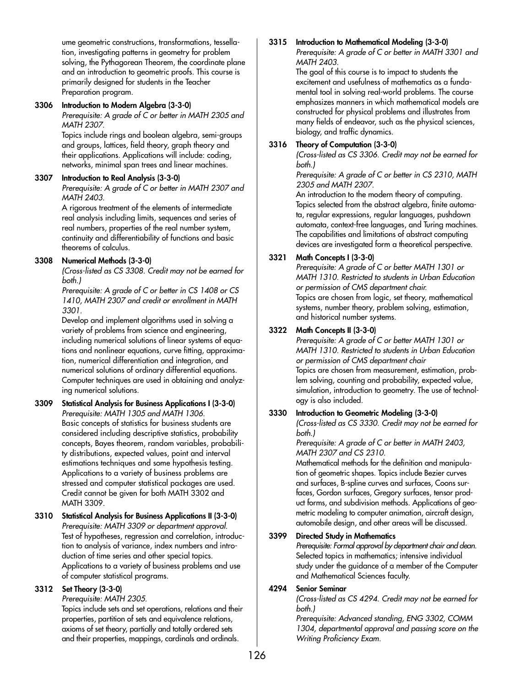ume geometric constructions, transformations, tessellation, investigating patterns in geometry for problem solving, the Pythagorean Theorem, the coordinate plane and an introduction to geometric proofs. This course is primarily designed for students in the Teacher Preparation program.

#### **3306 Introduction to Modern Algebra (3-3-0)**

*Prerequisite: A grade of C or better in MATH 2305 and MATH 2307.*

Topics include rings and boolean algebra, semi-groups and groups, lattices, field theory, graph theory and their applications. Applications will include: coding, networks, minimal span trees and linear machines.

#### **3307 Introduction to Real Analysis (3-3-0)**

*Prerequisite: A grade of C or better in MATH 2307 and MATH 2403.*

A rigorous treatment of the elements of intermediate real analysis including limits, sequences and series of real numbers, properties of the real number system, continuity and differentiability of functions and basic theorems of calculus.

#### **3308 Numerical Methods (3-3-0)**

*(Cross-listed as CS 3308. Credit may not be earned for both.)*

*Prerequisite: A grade of C or better in CS 1408 or CS 1410, MATH 2307 and credit or enrollment in MATH 3301.*

Develop and implement algorithms used in solving a variety of problems from science and engineering, including numerical solutions of linear systems of equations and nonlinear equations, curve fitting, approximation, numerical differentiation and integration, and numerical solutions of ordinary differential equations. Computer techniques are used in obtaining and analyzing numerical solutions.

- **3309 Statistical Analysis for Business Applications I (3-3-0)** *Prerequisite: MATH 1305 and MATH 1306.* Basic concepts of statistics for business students are considered including descriptive statistics, probability concepts, Bayes theorem, random variables, probability distributions, expected values, point and interval estimations techniques and some hypothesis testing. Applications to a variety of business problems are stressed and computer statistical packages are used. Credit cannot be given for both MATH 3302 and MATH 3309.
- **3310 Statistical Analysis for Business Applications II (3-3-0)** *Prerequisite: MATH 3309 or department approval.* Test of hypotheses, regression and correlation, introduction to analysis of variance, index numbers and introduction of time series and other special topics. Applications to a variety of business problems and use of computer statistical programs.

### **3312 Set Theory (3-3-0)**

*Prerequisite: MATH 2305.*

Topics include sets and set operations, relations and their properties, partition of sets and equivalence relations, axioms of set theory, partially and totally ordered sets and their properties, mappings, cardinals and ordinals.

#### **3315 Introduction to Mathematical Modeling (3-3-0)**

*Prerequisite: A grade of C or better in MATH 3301 and MATH 2403.*

The goal of this course is to impact to students the excitement and usefulness of mathematics as a fundamental tool in solving real-world problems. The course emphasizes manners in which mathematical models are constructed for physical problems and illustrates from many fields of endeavor, such as the physical sciences, biology, and traffic dynamics.

#### **3316 Theory of Computation (3-3-0)**

*(Cross-listed as CS 3306. Credit may not be earned for both.)*

*Prerequisite: A grade of C or better in CS 2310, MATH 2305 and MATH 2307.*

An introduction to the modern theory of computing. Topics selected from the abstract algebra, finite automata, regular expressions, regular languages, pushdown automata, context-free languages, and Turing machines. The capabilities and limitations of abstract computing devices are investigated form a theoretical perspective.

#### **3321 Math Concepts I (3-3-0)**

*Prerequisite: A grade of C or better MATH 1301 or MATH 1310. Restricted to students in Urban Education or permission of CMS department chair.* Topics are chosen from logic, set theory, mathematical systems, number theory, problem solving, estimation, and historical number systems.

#### **3322 Math Concepts II (3-3-0)**

*Prerequisite: A grade of C or better MATH 1301 or MATH 1310. Restricted to students in Urban Education or permission of CMS department chair* Topics are chosen from measurement, estimation, problem solving, counting and probability, expected value, simulation, introduction to geometry. The use of technology is also included.

#### **3330 Introduction to Geometric Modeling (3-3-0)**

*(Cross-listed as CS 3330. Credit may not be earned for both.)*

*Prerequisite: A grade of C or better in MATH 2403, MATH 2307 and CS 2310.*

Mathematical methods for the definition and manipulation of geometric shapes. Topics include Bezier curves and surfaces, B-spline curves and surfaces, Coons surfaces, Gordon surfaces, Gregory surfaces, tensor product forms, and subdivision methods. Applications of geometric modeling to computer animation, aircraft design, automobile design, and other areas will be discussed.

### **3399 Directed Study in Mathematics**

*Prerequisite: Formal approval by department chair and dean.* Selected topics in mathematics; intensive individual study under the guidance of a member of the Computer and Mathematical Sciences faculty.

#### **4294 Senior Seminar**

*(Cross-listed as CS 4294. Credit may not be earned for both.)*

*Prerequisite: Advanced standing, ENG 3302, COMM 1304, departmental approval and passing score on the Writing Proficiency Exam.*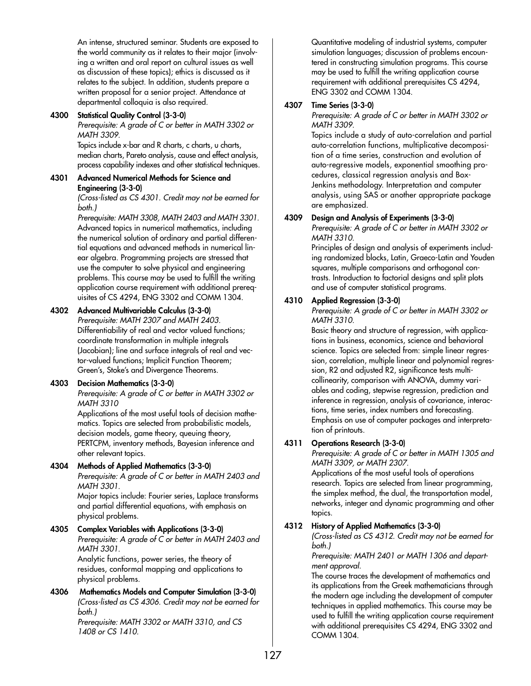An intense, structured seminar. Students are exposed to the world community as it relates to their major (involving a written and oral report on cultural issues as well as discussion of these topics); ethics is discussed as it relates to the subject. In addition, students prepare a written proposal for a senior project. Attendance at departmental colloquia is also required.

#### **4300 Statistical Quality Control (3-3-0)**

*Prerequisite: A grade of C or better in MATH 3302 or MATH 3309.*

Topics include x-bar and R charts, c charts, u charts, median charts, Pareto analysis, cause and effect analysis, process capability indexes and other statistical techniques.

### **4301 Advanced Numerical Methods for Science and Engineering (3-3-0)**

*(Cross-listed as CS 4301. Credit may not be earned for both.)*

*Prerequisite: MATH 3308, MATH 2403 and MATH 3301.* Advanced topics in numerical mathematics, including the numerical solution of ordinary and partial differential equations and advanced methods in numerical linear algebra. Programming projects are stressed that use the computer to solve physical and engineering problems. This course may be used to fulfill the writing application course requirement with additional prerequisites of CS 4294, ENG 3302 and COMM 1304.

### **4302 Advanced Multivariable Calculus (3-3-0)**

*Prerequisite: MATH 2307 and MATH 2403.* Differentiability of real and vector valued functions; coordinate transformation in multiple integrals (Jacobian); line and surface integrals of real and vector-valued functions; Implicit Function Theorem; Green's, Stoke's and Divergence Theorems.

### **4303 Decision Mathematics (3-3-0)**

*Prerequisite: A grade of C or better in MATH 3302 or MATH 3310*

Applications of the most useful tools of decision mathematics. Topics are selected from probabilistic models, decision models, game theory, queuing theory, PERTCPM, inventory methods, Bayesian inference and other relevant topics.

### **4304 Methods of Applied Mathematics (3-3-0)**

*Prerequisite: A grade of C or better in MATH 2403 and MATH 3301.*

Major topics include: Fourier series, Laplace transforms and partial differential equations, with emphasis on physical problems.

**4305 Complex Variables with Applications (3-3-0)** *Prerequisite: A grade of C or better in MATH 2403 and MATH 3301.* Analytic functions, power series, the theory of residues, conformal mapping and applications to physical problems.

**4306 Mathematics Models and Computer Simulation (3-3-0)** *(Cross-listed as CS 4306. Credit may not be earned for both.)*

*Prerequisite: MATH 3302 or MATH 3310, and CS 1408 or CS 1410.*

Quantitative modeling of industrial systems, computer simulation languages; discussion of problems encountered in constructing simulation programs. This course may be used to fulfill the writing application course requirement with additional prerequisites CS 4294, ENG 3302 and COMM 1304.

### **4307 Time Series (3-3-0)**

*Prerequisite: A grade of C or better in MATH 3302 or MATH 3309.*

Topics include a study of auto-correlation and partial auto-correlation functions, multiplicative decomposition of a time series, construction and evolution of auto-regressive models, exponential smoothing procedures, classical regression analysis and Box-Jenkins methodology. Interpretation and computer analysis, using SAS or another appropriate package are emphasized.

#### **4309 Design and Analysis of Experiments (3-3-0)**

*Prerequisite: A grade of C or better in MATH 3302 or MATH 3310.*

Principles of design and analysis of experiments including randomized blocks, Latin, Graeco-Latin and Youden squares, multiple comparisons and orthogonal contrasts. Introduction to factorial designs and split plots and use of computer statistical programs.

#### **4310 Applied Regression (3-3-0)**

*Prerequisite: A grade of C or better in MATH 3302 or MATH 3310.*

Basic theory and structure of regression, with applications in business, economics, science and behavioral science. Topics are selected from: simple linear regression, correlation, multiple linear and polynomial regression, R2 and adjusted R2, significance tests multicollinearity, comparison with ANOVA, dummy variables and coding, stepwise regression, prediction and inference in regression, analysis of covariance, interactions, time series, index numbers and forecasting. Emphasis on use of computer packages and interpretation of printouts.

#### **4311 Operations Research (3-3-0)**

*Prerequisite: A grade of C or better in MATH 1305 and MATH 3309, or MATH 2307.*

Applications of the most useful tools of operations research. Topics are selected from linear programming, the simplex method, the dual, the transportation model, networks, integer and dynamic programming and other topics.

### **4312 History of Applied Mathematics (3-3-0)**

*(Cross-listed as CS 4312. Credit may not be earned for both.)*

*Prerequisite: MATH 2401 or MATH 1306 and department approval.*

The course traces the development of mathematics and its applications from the Greek mathematicians through the modern age including the development of computer techniques in applied mathematics. This course may be used to fulfill the writing application course requirement with additional prerequisites CS 4294, ENG 3302 and COMM 1304.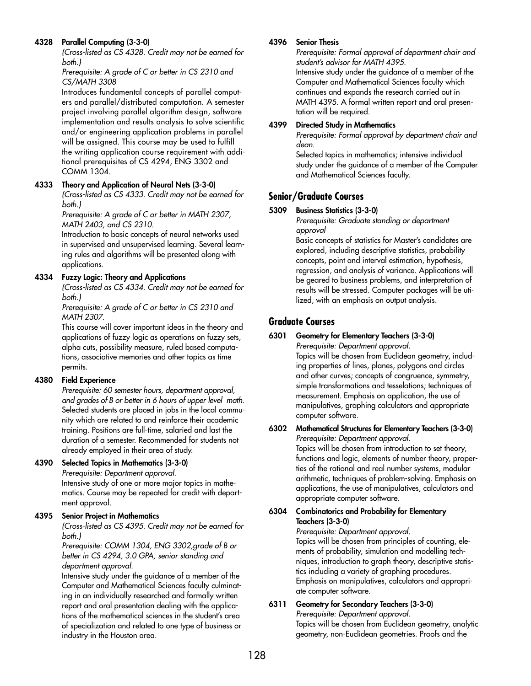### **4328 Parallel Computing (3-3-0)**

*(Cross-listed as CS 4328. Credit may not be earned for both.)*

*Prerequisite: A grade of C or better in CS 2310 and CS/MATH 3308*

Introduces fundamental concepts of parallel computers and parallel/distributed computation. A semester project involving parallel algorithm design, software implementation and results analysis to solve scientific and/or engineering application problems in parallel will be assigned. This course may be used to fulfill the writing application course requirement with additional prerequisites of CS 4294, ENG 3302 and COMM 1304.

### **4333 Theory and Application of Neural Nets (3-3-0)**

*(Cross-listed as CS 4333. Credit may not be earned for both.)*

*Prerequisite: A grade of C or better in MATH 2307, MATH 2403, and CS 2310.*

Introduction to basic concepts of neural networks used in supervised and unsupervised learning. Several learning rules and algorithms will be presented along with applications.

### **4334 Fuzzy Logic: Theory and Applications**

*(Cross-listed as CS 4334. Credit may not be earned for both.)*

*Prerequisite: A grade of C or better in CS 2310 and MATH 2307.*

This course will cover important ideas in the theory and applications of fuzzy logic as operations on fuzzy sets, alpha cuts, possibility measure, ruled based computations, associative memories and other topics as time permits.

### **4380 Field Experience**

*Prerequisite: 60 semester hours, department approval, and grades of B or better in 6 hours of upper level math.* Selected students are placed in jobs in the local community which are related to and reinforce their academic training. Positions are full-time, salaried and last the duration of a semester. Recommended for students not already employed in their area of study.

### **4390 Selected Topics in Mathematics (3-3-0)**

*Prerequisite: Department approval.*

Intensive study of one or more major topics in mathematics. Course may be repeated for credit with department approval.

### **4395 Senior Project in Mathematics**

*(Cross-listed as CS 4395. Credit may not be earned for both.)*

*Prerequisite: COMM 1304, ENG 3302,grade of B or better in CS 4294, 3.0 GPA, senior standing and department approval.*

Intensive study under the guidance of a member of the Computer and Mathematical Sciences faculty culminating in an individually researched and formally written report and oral presentation dealing with the applications of the mathematical sciences in the student's area of specialization and related to one type of business or industry in the Houston area.

### **4396 Senior Thesis**

*Prerequisite: Formal approval of department chair and student's advisor for MATH 4395.* Intensive study under the guidance of a member of the Computer and Mathematical Sciences faculty which continues and expands the research carried out in MATH 4395. A formal written report and oral presentation will be required.

#### **4399 Directed Study in Mathematics**

*Prerequisite: Formal approval by department chair and dean.*

Selected topics in mathematics; intensive individual study under the guidance of a member of the Computer and Mathematical Sciences faculty.

## **Senior/Graduate Courses**

#### **5309 Business Statistics (3-3-0)**

*Prerequisite: Graduate standing or department approval*

Basic concepts of statistics for Master's candidates are explored, including descriptive statistics, probability concepts, point and interval estimation, hypothesis, regression, and analysis of variance. Applications will be geared to business problems, and interpretation of results will be stressed. Computer packages will be utilized, with an emphasis on output analysis.

## **Graduate Courses**

### **6301 Geometry for Elementary Teachers (3-3-0)**

*Prerequisite: Department approval.* Topics will be chosen from Euclidean geometry, including properties of lines, planes, polygons and circles and other curves; concepts of congruence, symmetry, simple transformations and tesselations; techniques of measurement. Emphasis on application, the use of manipulatives, graphing calculators and appropriate computer software.

**6302 Mathematical Structures for Elementary Teachers (3-3-0)** *Prerequisite: Department approval.*

Topics will be chosen from introduction to set theory, functions and logic, elements of number theory, properties of the rational and real number systems, modular arithmetic, techniques of problem-solving. Emphasis on applications, the use of manipulatives, calculators and appropriate computer software.

#### **6304 Combinatorics and Probability for Elementary Teachers (3-3-0)**

*Prerequisite: Department approval.* Topics will be chosen from principles of counting, elements of probability, simulation and modelling techniques, introduction to graph theory, descriptive statistics including a variety of graphing procedures. Emphasis on manipulatives, calculators and appropriate computer software.

#### **6311 Geometry for Secondary Teachers (3-3-0)** *Prerequisite: Department approval.* Topics will be chosen from Euclidean geometry, analytic geometry, non-Euclidean geometries. Proofs and the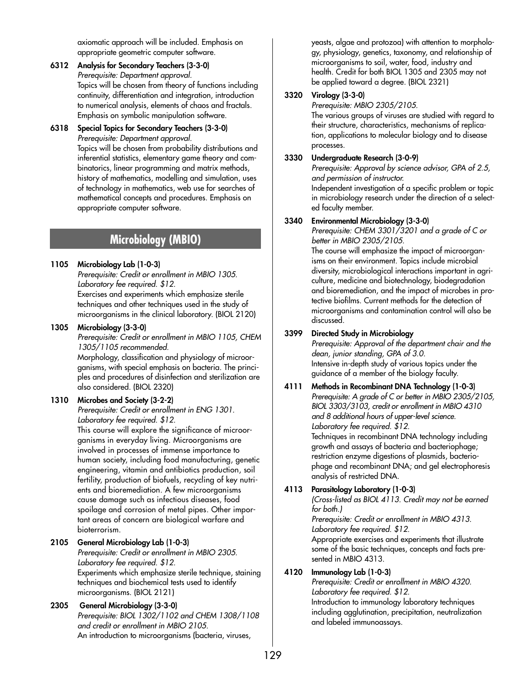axiomatic approach will be included. Emphasis on appropriate geometric computer software.

- **6312 Analysis for Secondary Teachers (3-3-0)** *Prerequisite: Department approval.* Topics will be chosen from theory of functions including continuity, differentiation and integration, introduction to numerical analysis, elements of chaos and fractals. Emphasis on symbolic manipulation software.
- **6318 Special Topics for Secondary Teachers (3-3-0)** *Prerequisite: Department approval.* Topics will be chosen from probability distributions and inferential statistics, elementary game theory and combinatorics, linear programming and matrix methods, history of mathematics, modelling and simulation, uses of technology in mathematics, web use for searches of mathematical concepts and procedures. Emphasis on appropriate computer software.

# **Microbiology (MBIO)**

### **1105 Microbiology Lab (1-0-3)**

*Prerequisite: Credit or enrollment in MBIO 1305. Laboratory fee required. \$12.* Exercises and experiments which emphasize sterile techniques and other techniques used in the study of microorganisms in the clinical laboratory. (BIOL 2120)

### **1305 Microbiology (3-3-0)**

*Prerequisite: Credit or enrollment in MBIO 1105, CHEM 1305/1105 recommended.*

Morphology, classification and physiology of microorganisms, with special emphasis on bacteria. The principles and procedures of disinfection and sterilization are also considered. (BIOL 2320)

### **1310 Microbes and Society (3-2-2)**

*Prerequisite: Credit or enrollment in ENG 1301. Laboratory fee required. \$12.* This course will explore the significance of microorganisms in everyday living. Microorganisms are involved in processes of immense importance to human society, including food manufacturing, genetic engineering, vitamin and antibiotics production, soil fertility, production of biofuels, recycling of key nutrients and bioremediation. A few microorganisms cause damage such as infectious diseases, food spoilage and corrosion of metal pipes. Other important areas of concern are biological warfare and bioterrorism.

#### **2105 General Microbiology Lab (1-0-3)** *Prerequisite: Credit or enrollment in MBIO 2305. Laboratory fee required. \$12.* Experiments which emphasize sterile technique, staining techniques and biochemical tests used to identify microorganisms. (BIOL 2121)

**2305 General Microbiology (3-3-0)** *Prerequisite: BIOL 1302/1102 and CHEM 1308/1108 and credit or enrollment in MBIO 2105.* An introduction to microorganisms (bacteria, viruses,

yeasts, algae and protozoa) with attention to morphology, physiology, genetics, taxonomy, and relationship of microorganisms to soil, water, food, industry and health. Credit for both BIOL 1305 and 2305 may not be applied toward a degree. (BIOL 2321)

### **3320 Virology (3-3-0)**

*Prerequisite: MBIO 2305/2105.*

The various groups of viruses are studied with regard to their structure, characteristics, mechanisms of replication, applications to molecular biology and to disease processes.

### **3330 Undergraduate Research (3-0-9)**

*Prerequisite: Approval by science advisor, GPA of 2.5, and permission of instructor.*

Independent investigation of a specific problem or topic in microbiology research under the direction of a selected faculty member.

### **3340 Environmental Microbiology (3-3-0)**

*Prerequisite: CHEM 3301/3201 and a grade of C or better in MBIO 2305/2105.*

The course will emphasize the impact of microorganisms on their environment. Topics include microbial diversity, microbiological interactions important in agriculture, medicine and biotechnology, biodegradation and bioremediation, and the impact of microbes in protective biofilms. Current methods for the detection of microorganisms and contamination control will also be discussed.

### **3399 Directed Study in Microbiology**

*Prerequisite: Approval of the department chair and the dean, junior standing, GPA of 3.0.* Intensive in-depth study of various topics under the guidance of a member of the biology faculty.

#### **4111 Methods in Recombinant DNA Technology (1-0-3)** *Prerequisite: A grade of C or better in MBIO 2305/2105, BIOL 3303/3103, credit or enrollment in MBIO 4310 and 8 additional hours of upper-level science. Laboratory fee required. \$12.* Techniques in recombinant DNA technology including growth and assays of bacteria and bacteriophage; restriction enzyme digestions of plasmids, bacterio-

phage and recombinant DNA; and gel electrophoresis analysis of restricted DNA.

### **4113 Parasitology Laboratory (1-0-3)**

*(Cross-listed as BIOL 4113. Credit may not be earned for both.)*

*Prerequisite: Credit or enrollment in MBIO 4313. Laboratory fee required. \$12.*

Appropriate exercises and experiments that illustrate some of the basic techniques, concepts and facts presented in MBIO 4313.

### **4120 Immunology Lab (1-0-3)**

*Prerequisite: Credit or enrollment in MBIO 4320. Laboratory fee required. \$12.* Introduction to immunology laboratory techniques including agglutination, precipitation, neutralization and labeled immunoassays.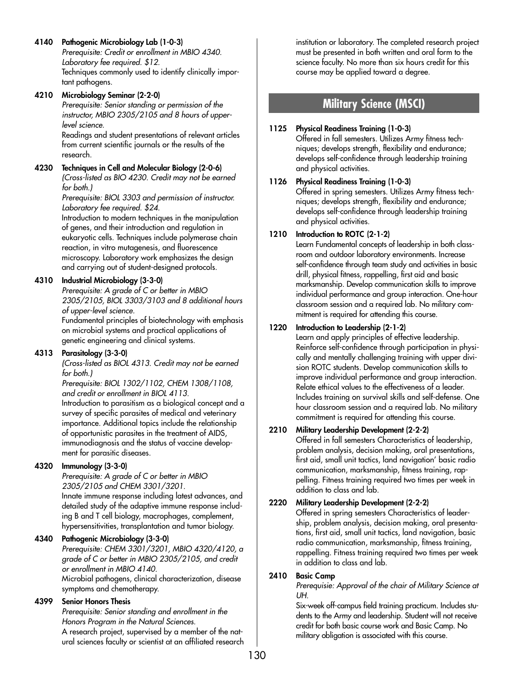### **4140 Pathogenic Microbiology Lab (1-0-3)**

*Prerequisite: Credit or enrollment in MBIO 4340. Laboratory fee required. \$12.* Techniques commonly used to identify clinically important pathogens.

### **4210 Microbiology Seminar (2-2-0)**

*Prerequisite: Senior standing or permission of the instructor, MBIO 2305/2105 and 8 hours of upperlevel science.*

Readings and student presentations of relevant articles from current scientific journals or the results of the research.

### **4230 Techniques in Cell and Molecular Biology (2-0-6)**

*(Cross-listed as BIO 4230. Credit may not be earned for both.)*

*Prerequisite: BIOL 3303 and permission of instructor. Laboratory fee required. \$24.*

Introduction to modern techniques in the manipulation of genes, and their introduction and regulation in eukaryotic cells. Techniques include polymerase chain reaction, in vitro mutagenesis, and fluorescence microscopy. Laboratory work emphasizes the design and carrying out of student-designed protocols.

### **4310 Industrial Microbiology (3-3-0)**

*Prerequisite: A grade of C or better in MBIO 2305/2105, BIOL 3303/3103 and 8 additional hours of upper-level science.*

Fundamental principles of biotechnology with emphasis on microbial systems and practical applications of genetic engineering and clinical systems.

### **4313 Parasitology (3-3-0)**

*(Cross-listed as BIOL 4313. Credit may not be earned for both.)*

*Prerequisite: BIOL 1302/1102, CHEM 1308/1108, and credit or enrollment in BIOL 4113.*

Introduction to parasitism as a biological concept and a survey of specific parasites of medical and veterinary importance. Additional topics include the relationship of opportunistic parasites in the treatment of AIDS, immunodiagnosis and the status of vaccine development for parasitic diseases.

### **4320 Immunology (3-3-0)**

*Prerequisite: A grade of C or better in MBIO 2305/2105 and CHEM 3301/3201.* Innate immune response including latest advances, and detailed study of the adaptive immune response including B and T cell biology, macrophages, complement, hypersensitivities, transplantation and tumor biology.

### **4340 Pathogenic Microbiology (3-3-0)**

*Prerequisite: CHEM 3301/3201, MBIO 4320/4120, a grade of C or better in MBIO 2305/2105, and credit or enrollment in MBIO 4140.* Microbial pathogens, clinical characterization, disease symptoms and chemotherapy.

### **4399 Senior Honors Thesis**

*Prerequisite: Senior standing and enrollment in the Honors Program in the Natural Sciences.* A research project, supervised by a member of the natural sciences faculty or scientist at an affiliated research institution or laboratory. The completed research project must be presented in both written and oral form to the science faculty. No more than six hours credit for this course may be applied toward a degree.

# **Military Science (MSCI)**

### **1125 Physical Readiness Training (1-0-3)**

Offered in fall semesters. Utilizes Army fitness techniques; develops strength, flexibility and endurance; develops self-confidence through leadership training and physical activities.

### **1126 Physical Readiness Training (1-0-3)**

Offered in spring semesters. Utilizes Army fitness techniques; develops strength, flexibility and endurance; develops self-confidence through leadership training and physical activities.

### **1210 Introduction to ROTC (2-1-2)**

Learn Fundamental concepts of leadership in both classroom and outdoor laboratory environments. Increase self-confidence through team study and activities in basic drill, physical fitness, rappelling, first aid and basic marksmanship. Develop communication skills to improve individual performance and group interaction. One-hour classroom session and a required lab. No military commitment is required for attending this course.

### **1220 Introduction to Leadership (2-1-2)**

Learn and apply principles of effective leadership. Reinforce self-confidence through participation in physically and mentally challenging training with upper division ROTC students. Develop communication skills to improve individual performance and group interaction. Relate ethical values to the effectiveness of a leader. Includes training on survival skills and self-defense. One hour classroom session and a required lab. No military commitment is required for attending this course.

### **2210 Military Leadership Development (2-2-2)**

Offered in fall semesters Characteristics of leadership, problem analysis, decision making, oral presentations, first aid, small unit tactics, land navigation' basic radio communication, marksmanship, fitness training, rappelling. Fitness training required two times per week in addition to class and lab.

### **2220 Military Leadership Development (2-2-2)**

Offered in spring semesters Characteristics of leadership, problem analysis, decision making, oral presentations, first aid, small unit tactics, land navigation, basic radio communication, marksmanship, fitness training, rappelling. Fitness training required two times per week in addition to class and lab.

### **2410 Basic Camp**

*Prerequisie: Approval of the chair of Military Science at UH.*

Six-week off-campus field training practicum. Includes students to the Army and leadership. Student will not receive credit for both basic course work and Basic Camp. No military obligation is associated with this course.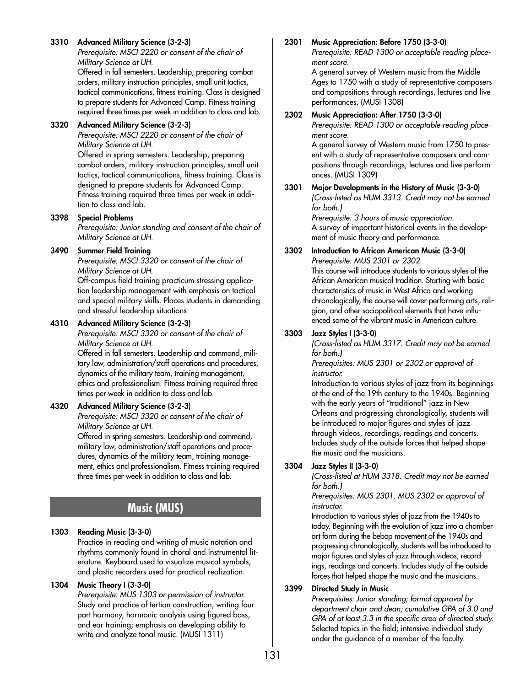### **3310 Advanced Military Science (3-2-3)**

*Prerequisite: MSCI 2220 or consent of the chair of Military Science at UH.*

Offered in fall semesters. Leadership, preparing combat orders, military instruction principles, small unit tactics, tactical communications, fitness training. Class is designed to prepare students for Advanced Camp. Fitness training required three times per week in addition to class and lab.

#### **3320 Advanced Military Science (3-2-3)**

*Prerequisite: MSCI 2220 or consent of the chair of Military Science at UH.*

Offered in spring semesters. Leadership, preparing combat orders, military instruction principles, small unit tactics, tactical communications, fitness training. Class is designed to prepare students for Advanced Camp. Fitness training required three times per week in addition to class and lab.

#### **3398 Special Problems**

*Prerequisite: Junior standing and consent of the chair of Military Science at UH.*

#### **3490 Summer Field Training**

*Prerequisite: MSCI 3320 or consent of the chair of Military Science at UH.*

Off-campus field training practicum stressing application leadership management with emphasis on tactical and special military skills. Places students in demanding and stressful leadership situations.

#### **4310 Advanced Military Science (3-2-3)**

*Prerequisite: MSCI 3320 or consent of the chair of Military Science at UH.*

Offered in fall semesters. Leadership and command, military law, administration/staff operations and procedures, dynamics of the military team, training management, ethics and professionalism. Fitness training required three times per week in addition to class and lab.

### **4320 Advanced Military Science (3-2-3)**

*Prerequisite: MSCI 3320 or consent of the chair of Military Science at UH.*

Offered in spring semesters. Leadership and command, military law, administration/staff operations and procedures, dynamics of the military team, training management, ethics and professionalism. Fitness training required three times per week in addition to class and lab.

# **Music (MUS)**

### **1303 Reading Music (3-3-0)**

Practice in reading and writing of music notation and rhythms commonly found in choral and instrumental literature. Keyboard used to visualize musical symbols, and plastic recorders used for practical realization.

### **1304 Music Theory I (3-3-0)**

*Prerequisite: MUS 1303 or permission of instructor.* Study and practice of tertian construction, writing four part harmony, harmonic analysis using figured bass, and ear training; emphasis on developing ability to write and analyze tonal music. (MUSI 1311)

#### **2301 Music Appreciation: Before 1750 (3-3-0)**

*Prerequisite: READ 1300 or acceptable reading placement score.*

A general survey of Western music from the Middle Ages to 1750 with a study of representative composers and compositions through recordings, lectures and live performances. (MUSI 1308)

#### **2302 Music Appreciation: After 1750 (3-3-0)**

*Prerequisite: READ 1300 or acceptable reading placement score.*

A general survey of Western music from 1750 to present with a study of representative composers and compositions through recordings, lectures and live performances. (MUSI 1309)

#### **3301 Major Developments in the History of Music (3-3-0)**

*(Cross-listed as HUM 3313. Credit may not be earned for both.)*

*Prerequisite: 3 hours of music appreciation.* A survey of important historical events in the development of music theory and performance.

**3302 Introduction to African American Music (3-3-0)** *Prerequisite: MUS 2301 or 2302*

This course will introduce students to various styles of the African American musical tradition. Starting with basic characteristics of music in West Africa and working chronologically, the course will cover performing arts, religion, and other sociopolitical elements that have influenced some of the vibrant music in American culture.

#### **3303 Jazz Styles I (3-3-0)**

*(Cross-listed as HUM 3317. Credit may not be earned for both.)*

*Prerequisites: MUS 2301 or 2302 or approval of instructor.*

Introduction to various styles of jazz from its beginnings at the end of the 19th century to the 1940s. Beginning with the early years of "traditional" jazz in New Orleans and progressing chronologically, students will be introduced to major figures and styles of jazz through videos, recordings, readings and concerts. Includes study of the outside forces that helped shape the music and the musicians.

### **3304 Jazz Styles II (3-3-0)**

*(Cross-listed at HUM 3318. Credit may not be earned for both.)*

*Prerequisites: MUS 2301, MUS 2302 or approval of instructor.*

Introduction to various styles of jazz from the 1940s to today. Beginning with the evolution of jazz into a chamber art form during the bebop movement of the 1940s and progressing chronologically, students will be introduced to major figures and styles of jazz through videos, recordings, readings and concerts. Includes study of the outside forces that helped shape the music and the musicians.

### **3399 Directed Study in Music**

*Prerequisites: Junior standing; formal approval by* department chair and dean; cumulative GPA of 3.0 and *G PA of at least 3.3 in the specific area of directed study.* Selected topics in the field; intensive individual study under the guidance of a member of the faculty.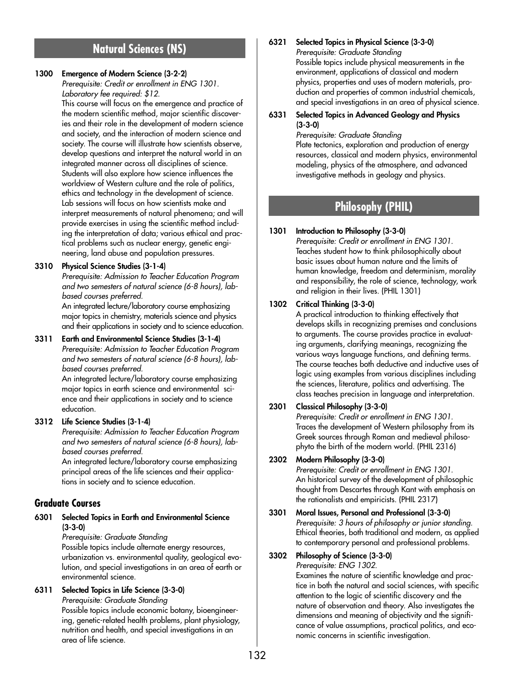# **Natural Sciences (NS)**

### **1300 Emergence of Modern Science (3-2-2)**

*Prerequisite: Credit or enrollment in ENG 1301. Laboratory fee required: \$12.*

This course will focus on the emergence and practice of the modern scientific method, major scientific discoveries and their role in the development of modern science and society, and the interaction of modern science and society. The course will illustrate how scientists observe, develop questions and interpret the natural world in an integrated manner across all disciplines of science. Students will also explore how science influences the worldview of Western culture and the role of politics, ethics and technology in the development of science. Lab sessions will focus on how scientists make and interpret measurements of natural phenomena; and will provide exercises in using the scientific method including the interpretation of data; various ethical and practical problems such as nuclear energy, genetic engineering, land abuse and population pressures.

### **3310 Physical Science Studies (3-1-4)**

*Prerequisite: Admission to Teacher Education Program and two semesters of natural science (6-8 hours), labbased courses preferred.*

An integrated lecture/laboratory course emphasizing major topics in chemistry, materials science and physics and their applications in society and to science education.

### **3311 Earth and Environmental Science Studies (3-1-4)**

*Prerequisite: Admission to Teacher Education Program and two semesters of natural science (6-8 hours), labbased courses preferred.*

An integrated lecture/laboratory course emphasizing major topics in earth science and environmental science and their applications in society and to science education.

### **3312 Life Science Studies (3-1-4)**

*Prerequisite: Admission to Teacher Education Program and two semesters of natural science (6-8 hours), labbased courses preferred.*

An integrated lecture/laboratory course emphasizing principal areas of the life sciences and their applications in society and to science education.

## **Graduate Courses**

**6301 Selected Topics in Earth and Environmental Science (3-3-0)**

*Prerequisite: Graduate Standing*

Possible topics include alternate energy resources, urbanization vs. environmental quality, geological evolution, and special investigations in an area of earth or environmental science.

# **6311 Selected Topics in Life Science (3-3-0)**

*Prerequisite: Graduate Standing*

Possible topics include economic botany, bioengineering, genetic-related health problems, plant physiology, nutrition and health, and special investigations in an area of life science.

## **6321 Selected Topics in Physical Science (3-3-0)**

*Prerequisite: Graduate Standing* Possible topics include physical measurements in the environment, applications of classical and modern physics, properties and uses of modern materials, production and properties of common industrial chemicals, and special investigations in an area of physical science.

### **6331 Selected Topics in Advanced Geology and Physics (3-3-0)**

*Prerequisite: Graduate Standing* Plate tectonics, exploration and production of energy resources, classical and modern physics, environmental modeling, physics of the atmosphere, and advanced investigative methods in geology and physics.

# **Philosophy (PHIL)**

### **1301 Introduction to Philosophy (3-3-0)**

*Prerequisite: Credit or enrollment in ENG 1301.* Teaches student how to think philosophically about basic issues about human nature and the limits of human knowledge, freedom and determinism, morality and responsibility, the role of science, technology, work and religion in their lives. (PHIL 1301)

### **1302 Critical Thinking (3-3-0)**

A practical introduction to thinking effectively that develops skills in recognizing premises and conclusions to arguments. The course provides practice in evaluating arguments, clarifying meanings, recognizing the various ways language functions, and defining terms. The course teaches both deductive and inductive uses of logic using examples from various disciplines including the sciences, literature, politics and advertising. The class teaches precision in language and interpretation.

### **2301 Classical Philosophy (3-3-0)**

*Prerequisite: Credit or enrollment in ENG 1301.* Traces the development of Western philosophy from its Greek sources through Roman and medieval philosophyto the birth of the modern world. (PHIL 2316)

### **2302 Modern Philosophy (3-3-0)**

*Prerequisite: Credit or enrollment in ENG 1301.* An historical survey of the development of philosophic thought from Descartes through Kant with emphasis on the rationalists and empiricists. (PHIL 2317)

#### **3301 Moral Issues, Personal and Professional (3-3-0)** *Prerequisite: 3 hours of philosophy or junior standing.* Ethical theories, both traditional and modern, as applied to contemporary personal and professional problems.

#### **3302 Philosophy of Science (3-3-0)** *Prerequisite: ENG 1302.*

Examines the nature of scientific knowledge and practice in both the natural and social sciences, with specific attention to the logic of scientific discovery and the nature of observation and theory. Also investigates the dimensions and meaning of objectivity and the significance of value assumptions, practical politics, and economic concerns in scientific investigation.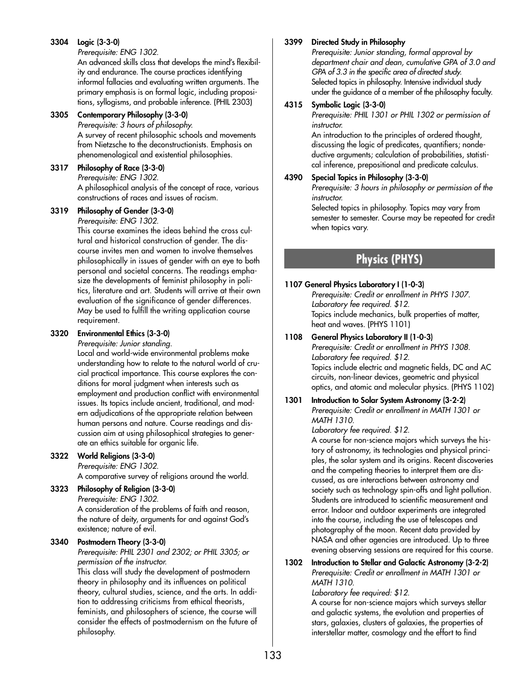### **3304 Logic (3-3-0)**

*Prerequisite: ENG 1302.*

An advanced skills class that develops the mind's flexibility and endurance. The course practices identifying informal fallacies and evaluating written arguments. The primary emphasis is on formal logic, including propositions, syllogisms, and probable inference. (PHIL 2303)

### **3305 Contemporary Philosophy (3-3-0)**

*Prerequisite: 3 hours of philosophy.* A survey of recent philosophic schools and movements from Nietzsche to the deconstructionists. Emphasis on phenomenological and existential philosophies.

**3317 Philosophy of Race (3-3-0)**  *Prerequisite: ENG 1302.* A philosophical analysis of the concept of race, various constructions of races and issues of racism.

#### **3319 Philosophy of Gender (3-3-0)** *Prerequisite: ENG 1302.*

This course examines the ideas behind the cross cultural and historical construction of gender. The discourse invites men and women to involve themselves philosophically in issues of gender with an eye to both personal and societal concerns. The readings emphasize the developments of feminist philosophy in politics, literature and art. Students will arrive at their own evaluation of the significance of gender differences. May be used to fulfill the writing application course requirement.

### **3320 Environmental Ethics (3-3-0)**

*Prerequisite: Junior standing.*

Local and world-wide environmental problems make understanding how to relate to the natural world of crucial practical importance. This course explores the conditions for moral judgment when interests such as employment and production conflict with environmental issues. Its topics include ancient, traditional, and modern adjudications of the appropriate relation between human persons and nature. Course readings and discussion aim at using philosophical strategies to generate an ethics suitable for organic life.

**3322 World Religions (3-3-0)**

*Prerequisite: ENG 1302.*

A comparative survey of religions around the world.

**3323 Philosophy of Religion (3-3-0)**

*Prerequisite: ENG 1302.* A consideration of the problems of faith and reason, the nature of deity, arguments for and against God's existence; nature of evil.

### **3340 Postmodern Theory (3-3-0)**

*Prerequisite: PHIL 2301 and 2302; or PHIL 3305; or permission of the instructor.*

This class will study the development of postmodern theory in philosophy and its influences on political theory, cultural studies, science, and the arts. In addition to addressing criticisms from ethical theorists, feminists, and philosophers of science, the course will consider the effects of postmodernism on the future of philosophy.

### **3399 Directed Study in Philosophy**

*Prerequisite: Junior standing, formal approval by department chair and dean, cumulative GPA of 3.0 and G PA of 3.3 in the specific area of directed study.* Selected topics in philosophy. Intensive individual study under the guidance of a member of the philosophy faculty.

### **4315 Symbolic Logic (3-3-0)**

*Prerequisite: PHIL 1301 or PHIL 1302 or permission of instructor.*

An introduction to the principles of ordered thought, discussing the logic of predicates, quantifiers; nondeductive arguments; calculation of probabilities, statistical inference, prepositional and predicate calculus.

### **4390 Special Topics in Philosophy (3-3-0)**

*Prerequisite: 3 hours in philosophy or permission of the instructor.*

Selected topics in philosophy. Topics may vary from semester to semester. Course may be repeated for credit when topics vary.

# **Physics (PHYS)**

### **1107 General Physics Laboratory I (1-0-3)**

*Prerequisite: Credit or enrollment in PHYS 1307. Laboratory fee required. \$12.* Topics include mechanics, bulk properties of matter, heat and waves. (PHYS 1101)

### **1108 General Physics Laboratory II (1-0-3)**

*Prerequisite: Credit or enrollment in PHYS 1308. Laboratory fee required. \$12.* Topics include electric and magnetic fields, DC and AC circuits, non-linear devices, geometric and physical optics, and atomic and molecular physics. (PHYS 1102)

#### **1301 Introduction to Solar System Astronomy (3-2-2)** *Prerequisite: Credit or enrollment in MATH 1301 or MATH 1310.*

#### *Laboratory fee required. \$12.*

A course for non-science majors which surveys the history of astronomy, its technologies and physical principles, the solar system and its origins. Recent discoveries and the competing theories to interpret them are discussed, as are interactions between astronomy and society such as technology spin-offs and light pollution. Students are introduced to scientific measurement and error. Indoor and outdoor experiments are integrated into the course, including the use of telescopes and photography of the moon. Recent data provided by NASA and other agencies are introduced. Up to three evening observing sessions are required for this course.

#### **1302 Introduction to Stellar and Galactic Astronomy (3-2-2)** *Prerequisite: Credit or enrollment in MATH 1301 or MATH 1310.*

*Laboratory fee required: \$12.*

A course for non-science majors which surveys stellar and galactic systems, the evolution and properties of stars, galaxies, clusters of galaxies, the properties of interstellar matter, cosmology and the effort to find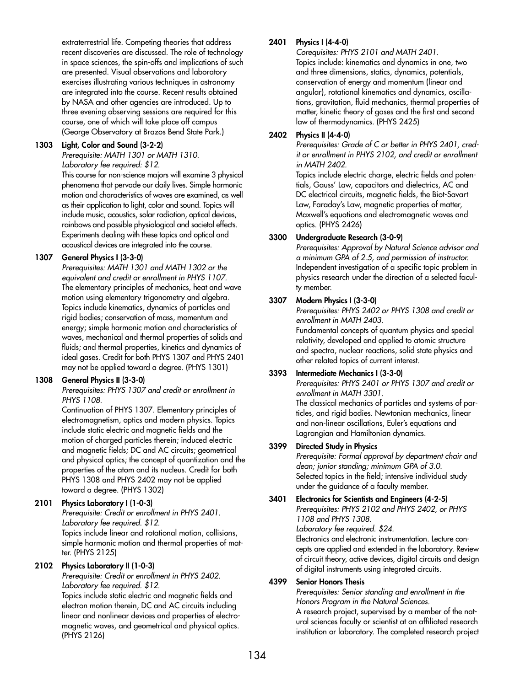extraterrestrial life. Competing theories that address recent discoveries are discussed. The role of technology in space sciences, the spin-offs and implications of such are presented. Visual observations and laboratory exercises illustrating various techniques in astronomy are integrated into the course. Recent results obtained by NASA and other agencies are introduced. Up to three evening observing sessions are required for this course, one of which will take place off campus (George Observatory at Brazos Bend State Park.)

### **1303 Light, Color and Sound (3-2-2)**

*Prerequisite: MATH 1301 or MATH 1310. Laboratory fee required: \$12.*

This course for non-science majors will examine 3 physical phenomena that pervade our daily lives. Simple harmonic motion and characteristics of waves are examined, as well as their application to light, color and sound. Topics will include music, acoustics, solar radiation, optical devices, rainbows and possible physiological and societal effects. Experiments dealing with these topics and optical and acoustical devices are integrated into the course.

### **1307 General Physics I (3-3-0)**

*Prerequisites: MATH 1301 and MATH 1302 or the equivalent and credit or enrollment in PHYS 1107.* The elementary principles of mechanics, heat and wave motion using elementary trigonometry and algebra. Topics include kinematics, dynamics of particles and rigid bodies; conservation of mass, momentum and energy; simple harmonic motion and characteristics of waves, mechanical and thermal properties of solids and fluids; and thermal properties, kinetics and dynamics of ideal gases. Credit for both PHYS 1307 and PHYS 2401 may not be applied toward a degree. (PHYS 1301)

### **1308 General Physics II (3-3-0)**

*Prerequisites: PHYS 1307 and credit or enrollment in PHYS 1108.*

Continuation of PHYS 1307. Elementary principles of electromagnetism, optics and modern physics. Topics include static electric and magnetic fields and the motion of charged particles therein; induced electric and magnetic fields; DC and AC circuits; geometrical and physical optics; the concept of quantization and the properties of the atom and its nucleus. Credit for both PHYS 1308 and PHYS 2402 may not be applied toward a degree. (PHYS 1302)

### **2101 Physics Laboratory I (1-0-3)**

*Prerequisite: Credit or enrollment in PHYS 2401. Laboratory fee required. \$12.* Topics include linear and rotational motion, collisions, simple harmonic motion and thermal properties of matter. (PHYS 2125)

### **2102 Physics Laboratory II (1-0-3)**

*Prerequisite: Credit or enrollment in PHYS 2402. Laboratory fee required. \$12.*

Topics include static electric and magnetic fields and electron motion therein, DC and AC circuits including linear and nonlinear devices and properties of electromagnetic waves, and geometrical and physical optics. (PHYS 2126)

### **2401 Physics I (4-4-0)**

*Corequisites: PHYS 2101 and MATH 2401.* Topics include: kinematics and dynamics in one, two and three dimensions, statics, dynamics, potentials, conservation of energy and momentum (linear and angular), rotational kinematics and dynamics, oscillations, gravitation, fluid mechanics, thermal properties of matter, kinetic theory of gases and the first and second law of thermodynamics. (PHYS 2425)

#### **2402 Physics II (4-4-0)**

*Prerequisites: Grade of C or better in PHYS 2401, credit or enrollment in PHYS 2102, and credit or enrollment in MATH 2402.*

Topics include electric charge, electric fields and potentials, Gauss' Law, capacitors and dielectrics, AC and DC electrical circuits, magnetic fields, the Biot-Savart Law, Faraday's Law, magnetic properties of matter, Maxwell's equations and electromagnetic waves and optics. (PHYS 2426)

#### **3300 Undergraduate Research (3-0-9)**

*Prerequisites: Approval by Natural Science advisor and a minimum GPA of 2.5, and permission of instructor.* Independent investigation of a specific topic problem in physics research under the direction of a selected faculty member.

#### **3307 Modern Physics I (3-3-0)**

*Prerequisites: PHYS 2402 or PHYS 1308 and credit or enrollment in MATH 2403.*

Fundamental concepts of quantum physics and special relativity, developed and applied to atomic structure and spectra, nuclear reactions, solid state physics and other related topics of current interest.

#### **3393 Intermediate Mechanics I (3-3-0)**

*Prerequisites: PHYS 2401 or PHYS 1307 and credit or enrollment in MATH 3301.*

The classical mechanics of particles and systems of particles, and rigid bodies. Newtonian mechanics, linear and non-linear oscillations, Euler's equations and Lagrangian and Hamiltonian dynamics.

### **3399 Directed Study in Physics**

*Prerequisite: Formal approval by department chair and dean; junior standing; minimum GPA of 3.0.* Selected topics in the field; intensive individual study under the guidance of a faculty member.

#### **3401 Electronics for Scientists and Engineers (4-2-5)** *Prerequisites: PHYS 2102 and PHYS 2402, or PHYS 1108 and PHYS 1308.*

*Laboratory fee required. \$24.*

Electronics and electronic instrumentation. Lecture concepts are applied and extended in the laboratory. Review of circuit theory, active devices, digital circuits and design of digital instruments using integrated circuits.

#### **4399 Senior Honors Thesis**

*Prerequisites: Senior standing and enrollment in the Honors Program in the Natural Sciences.*

A research project, supervised by a member of the natural sciences faculty or scientist at an affiliated research institution or laboratory. The completed research project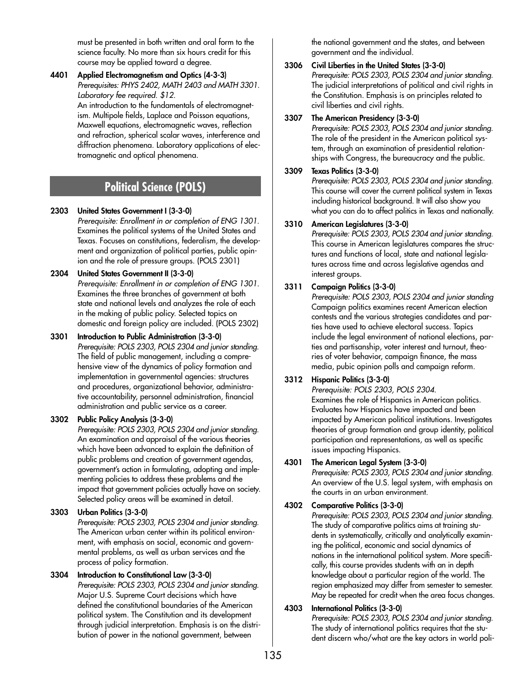must be presented in both written and oral form to the science faculty. No more than six hours credit for this course may be applied toward a degree.

**4401 Applied Electromagnetism and Optics (4-3-3)** *Prerequisites: PHYS 2402, MATH 2403 and MATH 3301. Laboratory fee required. \$12.* An introduction to the fundamentals of electromagnetism. Multipole fields, Laplace and Poisson equations, Maxwell equations, electromagnetic waves, reflection and refraction, spherical scalar waves, interference and diffraction phenomena. Laboratory applications of electromagnetic and optical phenomena.

# **Political Science (POLS)**

- **2303 United States Government I (3-3-0)**
	- *Prerequisite: Enrollment in or completion of ENG 1301.* Examines the political systems of the United States and Texas. Focuses on constitutions, federalism, the development and organization of political parties, public opinion and the role of pressure groups. (POLS 2301)

**2304 United States Government II (3-3-0)**

*Prerequisite: Enrollment in or completion of ENG 1301.* Examines the three branches of government at both state and national levels and analyzes the role of each in the making of public policy. Selected topics on domestic and foreign policy are included. (POLS 2302)

#### **3301 Introduction to Public Administration (3-3-0)** *Prerequisite: POLS 2303, POLS 2304 and junior standing.* The field of public management, including a comprehensive view of the dynamics of policy formation and implementation in governmental agencies: structures and procedures, organizational behavior, administrative accountability, personnel administration, financial administration and public service as a career.

### **3302 Public Policy Analysis (3-3-0)**

*Prerequisite: POLS 2303, POLS 2304 and junior standing.* An examination and appraisal of the various theories which have been advanced to explain the definition of public problems and creation of government agendas, government's action in formulating, adopting and implementing policies to address these problems and the impact that government policies actually have on society. Selected policy areas will be examined in detail.

- **3303 Urban Politics (3-3-0)** *Prerequisite: POLS 2303, POLS 2304 and junior standing.* The American urban center within its political environment, with emphasis on social, economic and governmental problems, as well as urban services and the process of policy formation.
- **3304 Introduction to Constitutional Law (3-3-0)** *Prerequisite: POLS 2303, POLS 2304 and junior standing.* Major U.S. Supreme Court decisions which have defined the constitutional boundaries of the American political system. The Constitution and its development through judicial interpretation. Emphasis is on the distribution of power in the national government, between

the national government and the states, and between government and the individual.

### **3306 Civil Liberties in the United States (3-3-0)**

*Prerequisite: POLS 2303, POLS 2304 and junior standing.* The judicial interpretations of political and civil rights in the Constitution. Emphasis is on principles related to civil liberties and civil rights.

### **3307 The American Presidency (3-3-0)**

*Prerequisite: POLS 2303, POLS 2304 and junior standing.* The role of the president in the American political system, through an examination of presidential relationships with Congress, the bureaucracy and the public.

### **3309 Texas Politics (3-3-0)**

*Prerequisite: POLS 2303, POLS 2304 and junior standing.* This course will cover the current political system in Texas including historical background. It will also show you what you can do to affect politics in Texas and nationally.

### **3310 American Legislatures (3-3-0)**

*Prerequisite: POLS 2303, POLS 2304 and junior standing.* This course in American legislatures compares the structures and functions of local, state and national legislatures across time and across legislative agendas and interest groups.

### **3311 Campaign Politics (3-3-0)**

*Prerequisite: POLS 2303, POLS 2304 and junior standing* Campaign politics examines recent American election contests and the various strategies candidates and parties have used to achieve electoral success. Topics include the legal environment of national elections, parties and partisanship, voter interest and turnout, theories of voter behavior, campaign finance, the mass media, pubic opinion polls and campaign reform.

### **3312 Hispanic Politics (3-3-0)**

*Prerequisite: POLS 2303, POLS 2304.* Examines the role of Hispanics in American politics. Evaluates how Hispanics have impacted and been impacted by American political institutions. Investigates theories of group formation and group identity, political participation and representations, as well as specific issues impacting Hispanics.

### **4301 The American Legal System (3-3-0)**

*Prerequisite: POLS 2303, POLS 2304 and junior standing.* An overview of the U.S. legal system, with emphasis on the courts in an urban environment.

### **4302 Comparative Politics (3-3-0)**

*Prerequisite: POLS 2303, POLS 2304 and junior standing.* The study of comparative politics aims at training students in systematically, critically and analytically examining the political, economic and social dynamics of nations in the international political system. More specifically, this course provides students with an in depth knowledge about a particular region of the world. The region emphasized may differ from semester to semester. May be repeated for credit when the area focus changes.

## **4303 International Politics (3-3-0)**

*Prerequisite: POLS 2303, POLS 2304 and junior standing.* The study of international politics requires that the student discern who/what are the key actors in world poli-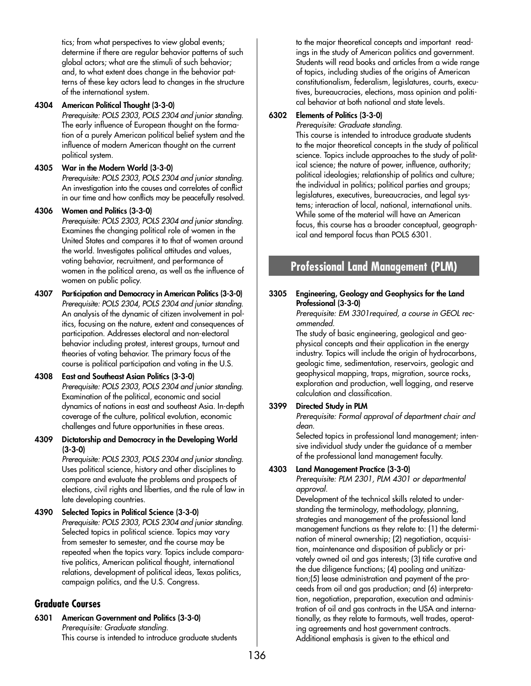tics; from what perspectives to view global events; determine if there are regular behavior patterns of such global actors; what are the stimuli of such behavior; and, to what extent does change in the behavior patterns of these key actors lead to changes in the structure of the international system.

### **4304 American Political Thought (3-3-0)**

*Prerequisite: POLS 2303, POLS 2304 and junior standing.* The early influence of European thought on the formation of a purely American political belief system and the influence of modern American thought on the current political system.

### **4305 War in the Modern World (3-3-0)**

*Prerequisite: POLS 2303, POLS 2304 and junior standing.* An investigation into the causes and correlates of conflict in our time and how conflicts may be peacefully resolved.

### **4306 Women and Politics (3-3-0)**

*Prerequisite: POLS 2303, POLS 2304 and junior standing.* Examines the changing political role of women in the United States and compares it to that of women around the world. Investigates political attitudes and values, voting behavior, recruitment, and performance of women in the political arena, as well as the influence of women on public policy.

**4307** Participation and Democracy in American Politics (3-3-0) *Prerequisite: POLS 2304, POLS 2304 and junior standing.* An analysis of the dynamic of citizen involvement in politics, focusing on the nature, extent and consequences of participation. Addresses electoral and non-electoral behavior including protest, interest groups, turnout and theories of voting behavior. The primary focus of the course is political participation and voting in the U.S.

#### **4308 East and Southeast Asian Politics (3-3-0)** *Prerequisite: POLS 2303, POLS 2304 and junior standing.* Examination of the political, economic and social dynamics of nations in east and southeast Asia. In-depth coverage of the culture, political evolution, economic challenges and future opportunities in these areas.

**4309 Dictatorship and Democracy in the Developing World (3-3-0)** 

*Prerequisite: POLS 2303, POLS 2304 and junior standing.* Uses political science, history and other disciplines to compare and evaluate the problems and prospects of elections, civil rights and liberties, and the rule of law in late developing countries.

#### **4390 Selected Topics in Political Science (3-3-0)** *Prerequisite: POLS 2303, POLS 2304 and junior standing.* Selected topics in political science. Topics may vary from semester to semester, and the course may be repeated when the topics vary. Topics include comparative politics, American political thought, international relations, development of political ideas, Texas politics, campaign politics, and the U.S. Congress.

## **Graduate Courses**

**6301 American Government and Politics (3-3-0)** *Prerequisite: Graduate standing.* This course is intended to introduce graduate students to the major theoretical concepts and important readings in the study of American politics and government. Students will read books and articles from a wide range of topics, including studies of the origins of American constitutionalism, federalism, legislatures, courts, executives, bureaucracies, elections, mass opinion and political behavior at both national and state levels.

## **6302 Elements of Politics (3-3-0)**

*Prerequisite: Graduate standing.* This course is intended to introduce graduate students to the major theoretical concepts in the study of political science. Topics include approaches to the study of political science; the nature of power, influence, authority; political ideologies; relationship of politics and culture; the individual in politics; political parties and groups; legislatures, executives, bureaucracies, and legal systems; interaction of local, national, international units. While some of the material will have an American focus, this course has a broader conceptual, geographical and temporal focus than POLS 6301.

# **Professional Land Management (PLM)**

### **3305 Engineering, Geology and Geophysics for the Land Professional (3-3-0)**

*Prerequisite: EM 3301required, a course in GEOL recommended.*

The study of basic engineering, geological and geophysical concepts and their application in the energy industry. Topics will include the origin of hydrocarbons, geologic time, sedimentation, reservoirs, geologic and geophysical mapping, traps, migration, source rocks, exploration and production, well logging, and reserve calculation and classification.

## **3399 Directed Study in PLM**

*Prerequisite: Formal approval of department chair and dean.*

Selected topics in professional land management; intensive individual study under the guidance of a member of the professional land management faculty.

## **4303 Land Management Practice (3-3-0)**

*Prerequisite: PLM 2301, PLM 4301 or departmental approval.*

Development of the technical skills related to understanding the terminology, methodology, planning, strategies and management of the professional land management functions as they relate to: (1) the determination of mineral ownership; (2) negotiation, acquisition, maintenance and disposition of publicly or privately owned oil and gas interests; (3) title curative and the due diligence functions; (4) pooling and unitization;(5) lease administration and payment of the proceeds from oil and gas production; and (6) interpretation, negotiation, preparation, execution and administration of oil and gas contracts in the USA and internationally, as they relate to farmouts, well trades, operating agreements and host government contracts. Additional emphasis is given to the ethical and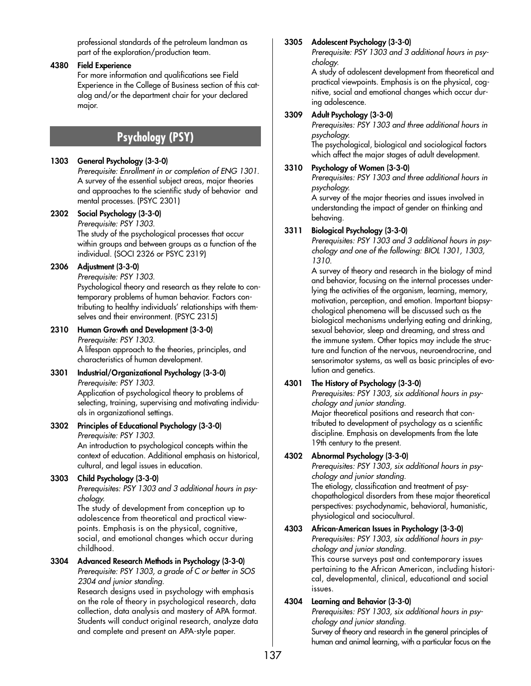professional standards of the petroleum landman as part of the exploration/production team.

### **4380 Field Experience**

For more information and qualifications see Field Experience in the College of Business section of this catalog and/or the department chair for your declared major.

# **Psychology (PSY)**

### **1303 General Psychology (3-3-0)**

*Prerequisite: Enrollment in or completion of ENG 1301.* A survey of the essential subject areas, major theories and approaches to the scientific study of behavior and mental processes. (PSYC 2301)

### **2302 Social Psychology (3-3-0)**

*Prerequisite: PSY 1303.* The study of the psychological processes that occur within groups and between groups as a function of the individual. (SOCI 2326 or PSYC 2319)

#### **2306 Adjustment (3-3-0)**

*Prerequisite: PSY 1303.*

Psychological theory and research as they relate to contemporary problems of human behavior. Factors contributing to healthy individuals' relationships with themselves and their environment. (PSYC 2315)

#### **2310 Human Growth and Development (3-3-0)** *Prerequisite: PSY 1303.*

A lifespan approach to the theories, principles, and characteristics of human development.

#### **3301 Industrial/Organizational Psychology (3-3-0)** *Prerequisite: PSY 1303.*

Application of psychological theory to problems of selecting, training, supervising and motivating individuals in organizational settings.

#### **3302 Principles of Educational Psychology (3-3-0)** *Prerequisite: PSY 1303.*

An introduction to psychological concepts within the context of education. Additional emphasis on historical, cultural, and legal issues in education.

### **3303 Child Psychology (3-3-0)**

*Prerequisites: PSY 1303 and 3 additional hours in psychology.*

The study of development from conception up to adolescence from theoretical and practical viewpoints. Emphasis is on the physical, cognitive, social, and emotional changes which occur during childhood.

#### **3304 Advanced Research Methods in Psychology (3-3-0)**  *Prerequisite: PSY 1303, a grade of C or better in SOS 2304 and junior standing.*

Research designs used in psychology with emphasis on the role of theory in psychological research, data collection, data analysis and mastery of APA format. Students will conduct original research, analyze data and complete and present an APA-style paper.

### **3305 Adolescent Psychology (3-3-0)**

*Prerequisite: PSY 1303 and 3 additional hours in psychology.*

A study of adolescent development from theoretical and practical viewpoints. Emphasis is on the physical, cognitive, social and emotional changes which occur during adolescence.

#### **3309 Adult Psychology (3-3-0)**

*Prerequisites: PSY 1303 and three additional hours in psychology.*

The psychological, biological and sociological factors which affect the major stages of adult development.

### **3310 Psychology of Women (3-3-0)**

*Prerequisites: PSY 1303 and three additional hours in psychology.*

A survey of the major theories and issues involved in understanding the impact of gender on thinking and behaving.

### **3311 Biological Psychology (3-3-0)**

*Prerequisites: PSY 1303 and 3 additional hours in psychology and one of the following: BIOL 1301, 1303, 1310.*

A survey of theory and research in the biology of mind and behavior, focusing on the internal processes underlying the activities of the organism, learning, memory, motivation, perception, and emotion. Important biopsychological phenomena will be discussed such as the biological mechanisms underlying eating and drinking, sexual behavior, sleep and dreaming, and stress and the immune system. Other topics may include the structure and function of the nervous, neuroendrocrine, and sensorimotor systems, as well as basic principles of evolution and genetics.

### **4301 The History of Psychology (3-3-0)**

*Prerequisites: PSY 1303, six additional hours in psychology and junior standing.*

Major theoretical positions and research that contributed to development of psychology as a scientific discipline. Emphasis on developments from the late 19th century to the present.

### **4302 Abnormal Psychology (3-3-0)**

*Prerequisites: PSY 1303, six additional hours in psychology and junior standing.*

The etiology, classification and treatment of psychopathological disorders from these major theoretical perspectives: psychodynamic, behavioral, humanistic, physiological and sociocultural.

### **4303 African-American Issues in Psychology (3-3-0)**

*Prerequisites: PSY 1303, six additional hours in psychology and junior standing.*

This course surveys past and contemporary issues pertaining to the African American, including historical, developmental, clinical, educational and social is sues .

### **4304 Learning and Behavior (3-3-0)**

*Prerequisites: PSY 1303, six additional hours in psychology and junior standing.* Survey of theory and research in the general principles of

human and animal learning, with a particular focus on the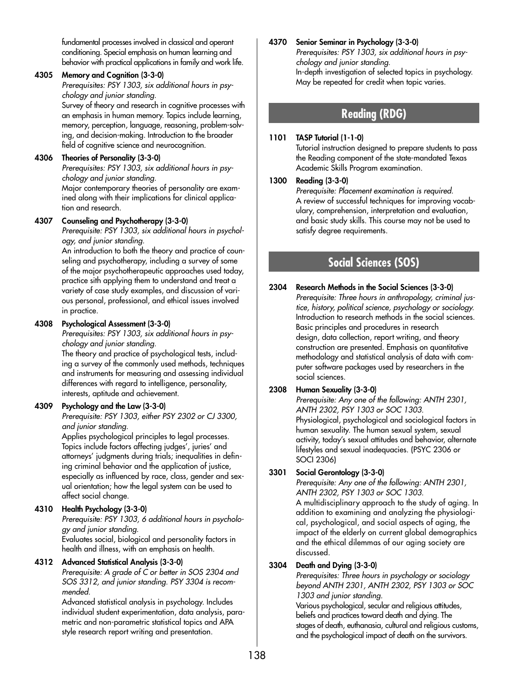fundamental processes involved in classical and operant conditioning. Special emphasis on human learning and behavior with practical applications in family and work life.

### **4305 Memory and Cognition (3-3-0)**

*Prerequisites: PSY 1303, six additional hours in psychology and junior standing.*

Survey of theory and research in cognitive processes with an emphasis in human memory. Topics include learning, memory, perception, language, reasoning, problem-solving, and decision-making. Introduction to the broader field of cognitive science and neurocognition.

### **4306 Theories of Personality (3-3-0)**

*Prerequisites: PSY 1303, six additional hours in psychology and junior standing.*

Major contemporary theories of personality are examined along with their implications for clinical application and research.

### **4307 Counseling and Psychotherapy (3-3-0)**

*Prerequisite: PSY 1303, six additional hours in psychology, and junior standing.*

An introduction to both the theory and practice of counseling and psychotherapy, including a survey of some of the major psychotherapeutic approaches used today, practice sith applying them to understand and treat a variety of case study examples, and discussion of various personal, professional, and ethical issues involved in practice.

### **4308 Psychological Assessment (3-3-0)**

*Prerequisites: PSY 1303, six additional hours in psychology and junior standing.*

The theory and practice of psychological tests, including a survey of the commonly used methods, techniques and instruments for measuring and assessing individual differences with regard to intelligence, personality, interests, aptitude and achievement.

### **4309 Psychology and the Law (3-3-0)**

*Prerequisite: PSY 1303, either PSY 2302 or CJ 3300, and junior standing.*

Applies psychological principles to legal processes. Topics include factors affecting judges', juries' and attorneys' judgments during trials; inequalities in defining criminal behavior and the application of justice, especially as influenced by race, class, gender and sexual orientation; how the legal system can be used to affect social change.

### **4310 Health Psychology (3-3-0)**

*Prerequisite: PSY 1303, 6 additional hours in psychology and junior standing.*

Evaluates social, biological and personality factors in health and illness, with an emphasis on health.

### **4312 Advanced Statistical Analysis (3-3-0)**

*Prerequisite: A grade of C or better in SOS 2304 and SOS 3312, and junior standing. PSY 3304 is recommended.*

Advanced statistical analysis in psychology. Includes individual student experimentation, data analysis, parametric and non-parametric statistical topics and APA style research report writing and presentation.

### **4370 Senior Seminar in Psychology (3-3-0)**

*Prerequisites: PSY 1303, six additional hours in psychology and junior standing.* In-depth investigation of selected topics in psychology. May be repeated for credit when topic varies.

# **Reading (RDG)**

### **1101 TASP Tutorial (1-1-0)**

Tutorial instruction designed to prepare students to pass the Reading component of the state-mandated Texas Academic Skills Program examination.

### **1300 Reading (3-3-0)**

*Prerequisite: Placement examination is required.* A review of successful techniques for improving vocabulary, comprehension, interpretation and evaluation, and basic study skills. This course may not be used to satisfy degree requirements.

# **Social Sciences (SOS)**

### **2304 Research Methods in the Social Sciences (3-3-0)**

*Prerequisite: Three hours in anthropology, criminal justice, history, political science, psychology or sociology.* Introduction to research methods in the social sciences. Basic principles and procedures in research design, data collection, report writing, and theory construction are presented. Emphasis on quantitative methodology and statistical analysis of data with computer software packages used by researchers in the social sciences.

### **2308 Human Sexuality (3-3-0)**

*Prerequisite: Any one of the following: ANTH 2301, ANTH 2302, PSY 1303 or SOC 1303.* Physiological, psychological and sociological factors in human sexuality. The human sexual system, sexual activity, today's sexual attitudes and behavior, alternate lifestyles and sexual inadequacies. (PSYC 2306 or SOCI 2306)

### **3301 Social Gerontology (3-3-0)**

*Prerequisite: Any one of the following: ANTH 2301, ANTH 2302, PSY 1303 or SOC 1303.* A multidisciplinary approach to the study of aging. In addition to examining and analyzing the physiological, psychological, and social aspects of aging, the impact of the elderly on current global demographics and the ethical dilemmas of our aging society are discussed.

### **3304 Death and Dying (3-3-0)**

*Prerequisites: Three hours in psychology or sociology beyond ANTH 2301, ANTH 2302, PSY 1303 or SOC 1303 and junior standing.*

Various psychological, secular and religious attitudes, beliefs and practices toward death and dying. The stages of death, euthanasia, cultural and religious customs, and the psychological impact of death on the survivors.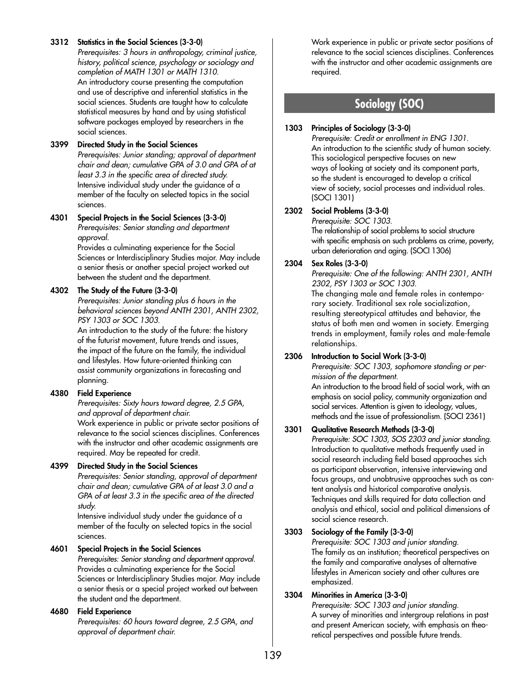### **3312 Statistics in the Social Sciences (3-3-0)**

*Prerequisites: 3 hours in anthropology, criminal justice, history, political science, psychology or sociology and completion of MATH 1301 or MATH 1310.*

An introductory course presenting the computation and use of descriptive and inferential statistics in the social sciences. Students are taught how to calculate statistical measures by hand and by using statistical software packages employed by researchers in the social sciences.

#### **3399 Directed Study in the Social Sciences**

*Prerequisites: Junior standing; approval of department chair and dean; cumulative GPA of 3.0 and GPA of at least 3.3 in the specific area of directed study.* Intensive individual study under the guidance of a member of the faculty on selected topics in the social sciences.

#### **4301 Special Projects in the Social Sciences (3-3-0)** *Prerequisites: Senior standing and department approval.*

Provides a culminating experience for the Social Sciences or Interdisciplinary Studies major. May include a senior thesis or another special project worked out between the student and the department.

### **4302 The Study of the Future (3-3-0)**

*Prerequisites: Junior standing plus 6 hours in the behavioral sciences beyond ANTH 2301, ANTH 2302, PSY 1303 or SOC 1303.*

An introduction to the study of the future: the history of the futurist movement, future trends and issues, the impact of the future on the family, the individual and lifestyles. How future-oriented thinking can assist community organizations in forecasting and planning.

### **4380 Field Experience**

*Prerequisites: Sixty hours toward degree, 2.5 GPA, and approval of department chair.*

Work experience in public or private sector positions of relevance to the social sciences disciplines. Conferences with the instructor and other academic assignments are required. May be repeated for credit.

### **4399 Directed Study in the Social Sciences**

*Prerequisites: Senior standing, approval of department chair and dean; cumulative GPA of at least 3.0 and a GPA of at least 3.3 in the specific area of the directed study.*

Intensive individual study under the guidance of a member of the faculty on selected topics in the social sciences.

### **4601 Special Projects in the Social Sciences**

*Prerequisites: Senior standing and department approval.* Provides a culminating experience for the Social Sciences or Interdisciplinary Studies major. May include a senior thesis or a special project worked out between the student and the department.

### **4680 Field Experience**

*Prerequisites: 60 hours toward degree, 2.5 GPA, and approval of department chair.*

Work experience in public or private sector positions of relevance to the social sciences disciplines. Conferences with the instructor and other academic assignments are required.

# **Sociology (SOC)**

### **1303 Principles of Sociology (3-3-0)**

*Prerequisite: Credit or enrollment in ENG 1301.* An introduction to the scientific study of human society. This sociological perspective focuses on new ways of looking at society and its component parts, so the student is encouraged to develop a critical view of society, social processes and individual roles. (SOCI 1301)

### **2302 Social Problems (3-3-0)**

*Prerequisite: SOC 1303.*

The relationship of social problems to social structure with specific emphasis on such problems as crime, poverty, urban deterioration and aging. (SOCI 1306)

### **2304 Sex Roles (3-3-0)**

*Prerequisite: One of the following: ANTH 2301, ANTH 2302, PSY 1303 or SOC 1303.* The changing male and female roles in contemporary society. Traditional sex role socialization, resulting stereotypical attitudes and behavior, the status of both men and women in society. Emerging trends in employment, family roles and male-female relationships.

### **2306 Introduction to Social Work (3-3-0)**

*Prerequisite: SOC 1303, sophomore standing or permission of the department.* An introduction to the broad field of social work, with an emphasis on social policy, community organization and social services. Attention is given to ideology, values, methods and the issue of professionalism. (SOCI 2361)

### **3301 Qualitative Research Methods (3-3-0)**

*Prerequisite: SOC 1303, SOS 2303 and junior standing.* Introduction to qualitative methods frequently used in social research including field based approaches sich as participant observation, intensive interviewing and focus groups, and unobtrusive approaches such as content analysis and historical comparative analysis. Techniques and skills required for data collection and analysis and ethical, social and political dimensions of social science research.

### **3303 Sociology of the Family (3-3-0)**

*Prerequisite: SOC 1303 and junior standing.* The family as an institution; theoretical perspectives on the family and comparative analyses of alternative lifestyles in American society and other cultures are emphasized.

### **3304 Minorities in America (3-3-0)**

*Prerequisite: SOC 1303 and junior standing.* A survey of minorities and intergroup relations in past and present American society, with emphasis on theoretical perspectives and possible future trends.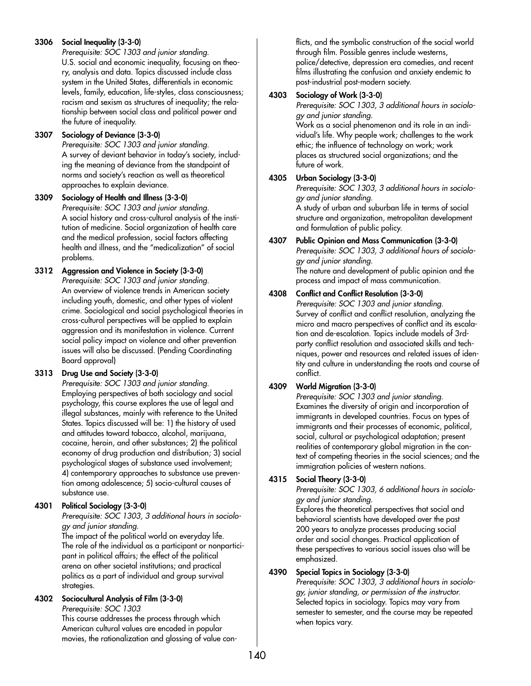### **3306 Social Inequality (3-3-0)**

*Prerequisite: SOC 1303 and junior standing.* U.S. social and economic inequality, focusing on theory, analysis and data. Topics discussed include class system in the United States, differentials in economic levels, family, education, life-styles, class consciousness; racism and sexism as structures of inequality; the relationship between social class and political power and the future of inequality.

### **3307 Sociology of Deviance (3-3-0)**

*Prerequisite: SOC 1303 and junior standing.* A survey of deviant behavior in today's society, including the meaning of deviance from the standpoint of norms and society's reaction as well as theoretical approaches to explain deviance.

- **3309 Sociology of Health and Illness (3-3-0)** *Prerequisite: SOC 1303 and junior standing.* A social history and cross-cultural analysis of the institution of medicine. Social organization of health care and the medical profession, social factors affecting health and illness, and the "medicalization" of social problems.
- **3312 Aggression and Violence in Society (3-3-0)** *Prerequisite: SOC 1303 and junior standing.* An overview of violence trends in American society including youth, domestic, and other types of violent crime. Sociological and social psychological theories in cross-cultural perspectives will be applied to explain aggression and its manifestation in violence. Current social policy impact on violence and other prevention issues will also be discussed. (Pending Coordinating Board approval)

### **3313 Drug Use and Society (3-3-0)**

*Prerequisite: SOC 1303 and junior standing.* Employing perspectives of both sociology and social psychology, this course explores the use of legal and illegal substances, mainly with reference to the United States. Topics discussed will be: 1) the history of used and attitudes toward tobacco, alcohol, marijuana, cocaine, heroin, and other substances; 2) the political economy of drug production and distribution; 3) social psychological stages of substance used involvement; 4) contemporary approaches to substance use prevention among adolescence; 5) socio-cultural causes of substance use.

### **4301 Political Sociology (3-3-0)**

*Prerequisite: SOC 1303, 3 additional hours in sociology and junior standing.*

The impact of the political world on everyday life. The role of the individual as a participant or nonparticipant in political affairs; the effect of the political arena on other societal institutions; and practical politics as a part of individual and group survival strategies.

#### **4302 Sociocultural Analysis of Film (3-3-0)** *Prerequisite: SOC 1303*

This course addresses the process through which American cultural values are encoded in popular movies, the rationalization and glossing of value conflicts, and the symbolic construction of the social world through film. Possible genres include westerns, police/detective, depression era comedies, and recent films illustrating the confusion and anxiety endemic to post-industrial post-modern society.

### **4303 Sociology of Work (3-3-0)**

*Prerequisite: SOC 1303, 3 additional hours in sociology and junior standing.*

Work as a social phenomenon and its role in an individual's life. Why people work; challenges to the work ethic; the influence of technology on work; work places as structured social organizations; and the future of work.

### **4305 Urban Sociology (3-3-0)**

*Prerequisite: SOC 1303, 3 additional hours in sociology and junior standing.* A study of urban and suburban life in terms of social structure and organization, metropolitan development and formulation of public policy.

**4307 Public Opinion and Mass Communication (3-3-0)** *Prerequisite: SOC 1303, 3 additional hours of sociology and junior standing.* The nature and development of public opinion and the process and impact of mass communication.

### **4308 Conflict and Conflict Resolution (3-3-0)**

*Prerequisite: SOC 1303 and junior standing.* Survey of conflict and conflict resolution, analyzing the micro and macro perspectives of conflict and its escalation and de-escalation. Topics include models of 3rdparty conflict resolution and associated skills and techniques, power and resources and related issues of identity and culture in understanding the roots and course of conflict.

### **4309 World Migration (3-3-0)**

*Prerequisite: SOC 1303 and junior standing.* Examines the diversity of origin and incorporation of immigrants in developed countries. Focus on types of immigrants and their processes of economic, political, social, cultural or psychological adaptation; present realities of contemporary global migration in the context of competing theories in the social sciences; and the immigration policies of western nations.

### **4315 Social Theory (3-3-0)**

*Prerequisite: SOC 1303, 6 additional hours in sociology and junior standing.*

Explores the theoretical perspectives that social and behavioral scientists have developed over the past 200 years to analyze processes producing social order and social changes. Practical application of these perspectives to various social issues also will be emphasized.

### **4390 Special Topics in Sociology (3-3-0)**

*Prerequisite: SOC 1303, 3 additional hours in sociology, junior standing, or permission of the instructor.* Selected topics in sociology. Topics may vary from semester to semester, and the course may be repeated when topics vary.

140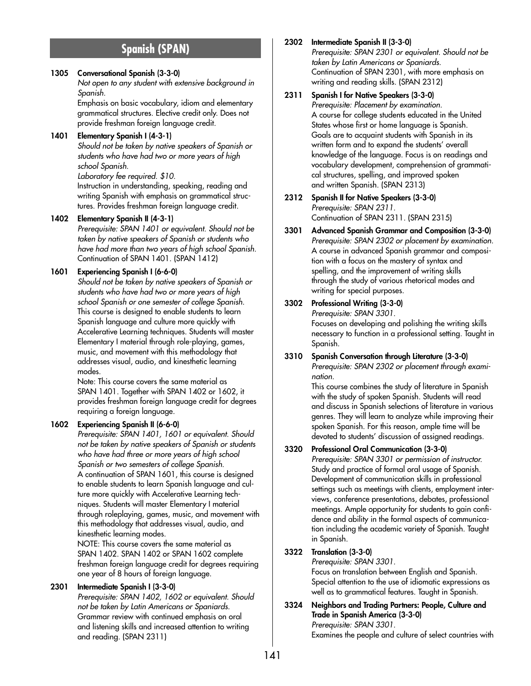# **Spanish (SPAN)**

### **1305 Conversational Spanish (3-3-0)**

*Not open to any student with extensive background in Spanish.*

Emphasis on basic vocabulary, idiom and elementary grammatical structures. Elective credit only. Does not provide freshman foreign language credit.

### **1401 Elementary Spanish I (4-3-1)**

*Should not be taken by native speakers of Spanish or students who have had two or more years of high school Spanish.*

*Laboratory fee required. \$10.*

Instruction in understanding, speaking, reading and writing Spanish with emphasis on grammatical structures. Provides freshman foreign language credit.

### **1402 Elementary Spanish II (4-3-1)**

*Prerequisite: SPAN 1401 or equivalent. Should not be taken by native speakers of Spanish or students who have had more than two years of high school Spanish.* Continuation of SPAN 1401. (SPAN 1412)

### **1601 Experiencing Spanish I (6-6-0)**

*Should not be taken by native speakers of Spanish or students who have had two or more years of high school Spanish or one semester of college Spanish.* This course is designed to enable students to learn Spanish language and culture more quickly with Accelerative Learning techniques. Students will master Elementary I material through role-playing, games, music, and movement with this methodology that addresses visual, audio, and kinesthetic learning modes.

Note: This course covers the same material as SPAN 1401. Together with SPAN 1402 or 1602, it provides freshman foreign language credit for degrees requiring a foreign language.

## **1602 Experiencing Spanish II (6-6-0)**

*Prerequisite: SPAN 1401, 1601 or equivalent. Should not be taken by native speakers of Spanish or students who have had three or more years of high school Spanish or two semesters of college Spanish.* A continuation of SPAN 1601, this course is designed to enable students to learn Spanish language and culture more quickly with Accelerative Learning techniques. Students will master Elementary I material through roleplaying, games, music, and movement with this methodology that addresses visual, audio, and kinesthetic learning modes.

NOTE: This course covers the same material as SPAN 1402. SPAN 1402 or SPAN 1602 complete freshman foreign language credit for degrees requiring one year of 8 hours of foreign language.

### **2301 Intermediate Spanish I (3-3-0)**

*Prerequisite: SPAN 1402, 1602 or equivalent. Should not be taken by Latin Americans or Spaniards.* Grammar review with continued emphasis on oral and listening skills and increased attention to writing and reading. (SPAN 2311)

### **2302 Intermediate Spanish II (3-3-0)**

*Prerequisite: SPAN 2301 or equivalent. Should not be taken by Latin Americans or Spaniards.* Continuation of SPAN 2301, with more emphasis on writing and reading skills. (SPAN 2312)

### **2311 Spanish I for Native Speakers (3-3-0)**

*Prerequisite: Placement by examination.* A course for college students educated in the United States whose first or home language is Spanish. Goals are to acquaint students with Spanish in its written form and to expand the students' overall knowledge of the language. Focus is on readings and vocabulary development, comprehension of grammatical structures, spelling, and improved spoken and written Spanish. (SPAN 2313)

#### **2312 Spanish II for Native Speakers (3-3-0)** *Prerequisite: SPAN 2311.* Continuation of SPAN 2311. (SPAN 2315)

**3301 Advanced Spanish Grammar and Composition (3-3-0)** *Prerequisite: SPAN 2302 or placement by examination.* A course in advanced Spanish grammar and composition with a focus on the mastery of syntax and spelling, and the improvement of writing skills through the study of various rhetorical modes and writing for special purposes.

### **3302 Professional Writing (3-3-0)**

*Prerequisite: SPAN 3301.* Focuses on developing and polishing the writing skills necessary to function in a professional setting. Taught in Spanish.

**3310 Spanish Conversation through Literature (3-3-0)** *Prerequisite: SPAN 2302 or placement through examination.*

This course combines the study of literature in Spanish with the study of spoken Spanish. Students will read and discuss in Spanish selections of literature in various genres. They will learn to analyze while improving their spoken Spanish. For this reason, ample time will be devoted to students' discussion of assigned readings.

### **3320 Professional Oral Communication (3-3-0)**

*Prerequisite: SPAN 3301 or permission of instructor.* Study and practice of formal oral usage of Spanish. Development of communication skills in professional settings such as meetings with clients, employment interviews, conference presentations, debates, professional meetings. Ample opportunity for students to gain confidence and ability in the formal aspects of communication including the academic variety of Spanish. Taught in Spanish.

## **3322 Translation (3-3-0)**

*Prerequisite: SPAN 3301.*

Focus on translation between English and Spanish. Special attention to the use of idiomatic expressions as well as to grammatical features. Taught in Spanish.

## **3324 Neighbors and Trading Partners: People, Culture and Trade in Spanish America (3-3-0)**  *Prerequisite: SPAN 3301.*

Examines the people and culture of select countries with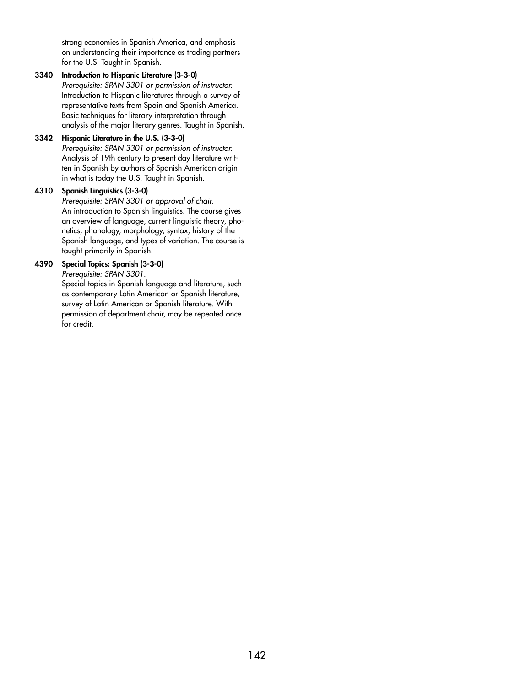strong economies in Spanish America, and emphasis on understanding their importance as trading partners for the U.S. Taught in Spanish.

### **3340 Introduction to Hispanic Literature (3-3-0)**

*Prerequisite: SPAN 3301 or permission of instructor.* Introduction to Hispanic literatures through a survey of representative texts from Spain and Spanish America. Basic techniques for literary interpretation through analysis of the major literary genres. Taught in Spanish.

### **3342 Hispanic Literature in the U.S. (3-3-0)**

*Prerequisite: SPAN 3301 or permission of instructor.* Analysis of 19th century to present day literature written in Spanish by authors of Spanish American origin in what is today the U.S. Taught in Spanish.

### **4310 Spanish Linguistics (3-3-0)**

*Prerequisite: SPAN 3301 or approval of chair.* An introduction to Spanish linguistics. The course gives an overview of language, current linguistic theory, phonetics, phonology, morphology, syntax, history of the Spanish language, and types of variation. The course is taught primarily in Spanish.

### **4390 Special Topics: Spanish (3-3-0)**

*Prerequisite: SPAN 3301.*

Special topics in Spanish language and literature, such as contemporary Latin American or Spanish literature, survey of Latin American or Spanish literature. With permission of department chair, may be repeated once for credit.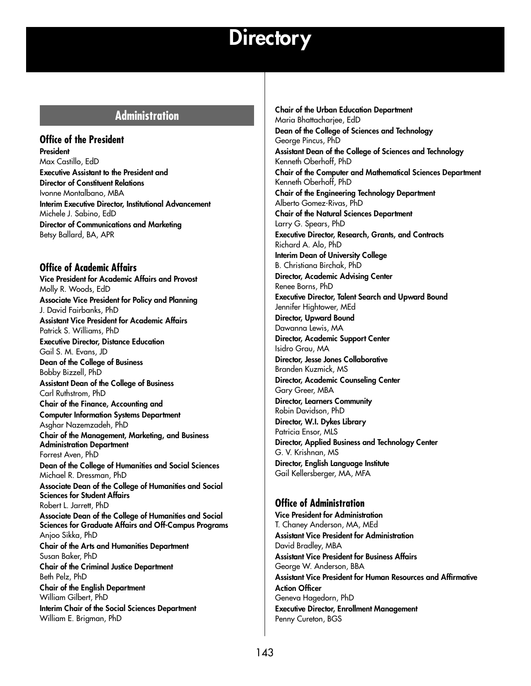# **Directory**

## **Administration**

### **Office of the President**

**President** Max Castillo, EdD **Executive Assistant to the President and Director of Constituent Relations** Ivonne Montalbano, MBA **Interim Executive Director, Institutional Advancement** Michele J. Sabino, EdD **Director of Communications and Marketing** Betsy Ballard, BA, APR

**Office of Academic Affairs Vice President for Academic Affairs and Provost** Molly R. Woods, EdD **Associate Vice President for Policy and Planning** J. David Fairbanks, PhD **Assistant Vice President for Academic Affairs** Patrick S. Williams, PhD **Executive Director, Distance Education** Gail S. M. Evans, JD **Dean of the College of Business** Bobby Bizzell, PhD **Assistant Dean of the College of Business** Carl Ruthstrom, PhD **Chair of the Finance, Accounting and Computer Information Systems Department** Asghar Nazemzadeh, PhD **Chair of the Management, Marketing, and Business Administration Department** Forrest Aven, PhD **Dean of the College of Humanities and Social Sciences** Michael R. Dressman, PhD **Associate Dean of the College of Humanities and Social Sciences for Student Affairs** Robert L. Jarrett, PhD **Associate Dean of the College of Humanities and Social Sciences for Graduate Affairs and Off-Campus Programs** Anjoo Sikka, PhD **Chair of the Arts and Humanities Department** Susan Baker, PhD **Chair of the Criminal Justice Department** Beth Pelz, PhD **Chair of the English Department** William Gilbert, PhD **Interim Chair of the Social Sciences Department** William E. Brigman, PhD

**Chair of the Urban Education Department** Maria Bhattacharjee, EdD **Dean of the College of Sciences and Technology** George Pincus, PhD **Assistant Dean of the College of Sciences and Technology** Kenneth Oberhoff, PhD **Chair of the Computer and Mathematical Sciences Department** Kenneth Oberhoff, PhD **Chair of the Engineering Technology Department** Alberto Gomez-Rivas, PhD **Chair of the Natural Sciences Department** Larry G. Spears, PhD **Executive Director, Research, Grants, and Contracts** Richard A. Alo, PhD **Interim Dean of University College** B. Christiana Birchak, PhD **Director, Academic Advising Center** Renee Borns, PhD **Executive Director, Talent Search and Upward Bound** Jennifer Hightower, MEd **Director, Upward Bound** Dawanna Lewis, MA **Director, Academic Support Center** Isidro Grau, MA **Director, Jesse Jones Collaborative** Branden Kuzmick, MS **Director, Academic Counseling Center** Gary Greer, MBA **Director, Learners Community** Robin Davidson, PhD **Director, W.I. Dykes Library** Patricia Ensor, MLS **Director, Applied Business and Technology Center** G. V. Krishnan, MS **Director, English Language Institute** Gail Kellersberger, MA, MFA **Office of Administration Vice President for Administration** T. Chaney Anderson, MA, MEd **Assistant Vice President for Administration** David Bradley, MBA **Assistant Vice President for Business Affairs**

George W. Anderson, BBA **Assistant Vice President for Human Resources and Affirmative Action Officer** Geneva Hagedorn, PhD **Executive Director, Enrollment Management** Penny Cureton, BGS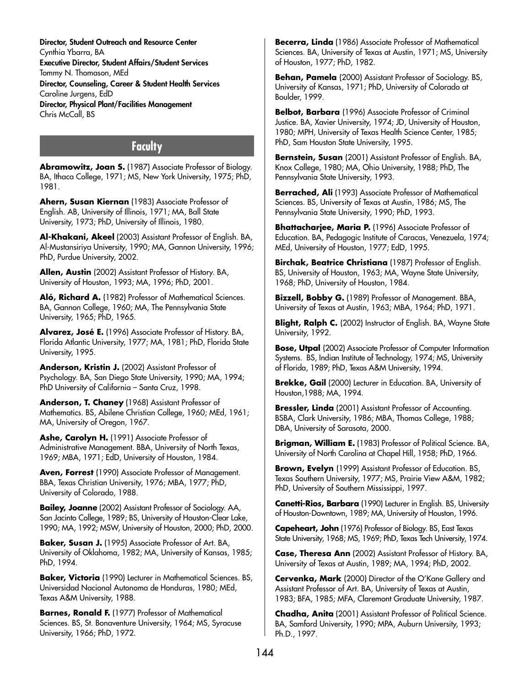**Director, Student Outreach and Resource Center** Cynthia Ybarra, BA **Executive Director, Student Affairs/Student Services** Tommy N. Thomason, MEd **Director, Counseling, Career & Student Health Services** Caroline Jurgens, EdD **Director, Physical Plant/Facilities Management** Chris McCall, BS

## **Faculty**

**Abramowitz, Joan S.** (1987) Associate Professor of Biology. BA, Ithaca College, 1971; MS, New York University, 1975; PhD, 1981.

**Ahern, Susan Kiernan** (1983) Associate Professor of English. AB, University of Illinois, 1971; MA, Ball State University, 1973; PhD, University of Illinois, 1980.

**Al-Khakani, Akeel** (2003) Assistant Professor of English. BA, Al-Mustansiriya University, 1990; MA, Gannon University, 1996; PhD, Purdue University, 2002.

**Allen, Austin** (2002) Assistant Professor of History. BA, University of Houston, 1993; MA, 1996; PhD, 2001.

**Aló, Richard A.** (1982) Professor of Mathematical Sciences. BA, Gannon College, 1960; MA, The Pennsylvania State University, 1965; PhD, 1965.

**Alvarez, José E.** (1996) Associate Professor of History. BA, Florida Atlantic University, 1977; MA, 1981; PhD, Florida State University, 1995.

**Anderson, Kristin J.** (2002) Assistant Professor of Psychology. BA, San Diego State University, 1990; MA, 1994; PhD University of California – Santa Cruz, 1998.

**Anderson, T. Chaney** (1968) Assistant Professor of Mathematics. BS, Abilene Christian College, 1960; MEd, 1961; MA, University of Oregon, 1967.

Ashe, Carolyn H. (1991) Associate Professor of Administrative Management. BBA, University of North Texas, 1969; MBA, 1971; EdD, University of Houston, 1984.

**Aven, Forrest** (1990) Associate Professor of Management. BBA, Texas Christian University, 1976; MBA, 1977; PhD, University of Colorado, 1988.

**Bailey, Joanne** (2002) Assistant Professor of Sociology. AA, San Jacinto College, 1989; BS, University of Houston-Clear Lake, 1990; MA, 1992; MSW, University of Houston, 2000; PhD, 2000.

**Baker, Susan J.** (1995) Associate Professor of Art. BA, University of Oklahoma, 1982; MA, University of Kansas, 1985; PhD, 1994.

**Baker, Victoria** (1990) Lecturer in Mathematical Sciences. BS, Universidad Nacional Autonoma de Honduras, 1980; MEd, Texas A&M University, 1988.

**Barnes, Ronald F.** (1977) Professor of Mathematical Sciences. BS, St. Bonaventure University, 1964; MS, Syracuse University, 1966; PhD, 1972.

**Becerra, Linda** (1986) Associate Professor of Mathematical Sciences. BA, University of Texas at Austin, 1971; MS, University of Houston, 1977; PhD, 1982.

**Behan, Pamela** (2000) Assistant Professor of Sociology. BS, University of Kansas, 1971; PhD, University of Colorado at Boulder, 1999.

**Belbot, Barbara** (1996) Associate Professor of Criminal Justice. BA, Xavier University, 1974; JD, University of Houston, 1980; MPH, University of Texas Health Science Center, 1985; PhD, Sam Houston State University, 1995.

**Bernstein, Susan** (2001) Assistant Professor of English. BA, Knox College, 1980; MA, Ohio University, 1988; PhD, The Pennsylvania State University, 1993.

**Berrached, Ali** (1993) Associate Professor of Mathematical Sciences. BS, University of Texas at Austin, 1986; MS, The Pennsylvania State University, 1990; PhD, 1993.

**Bhattacharjee, Maria P.** (1996) Associate Professor of Education. BA, Pedagogic Institute of Caracas, Venezuela, 1974; MEd, University of Houston, 1977; EdD, 1995.

**Birchak, Beatrice Christiana** (1987) Professor of English. BS, University of Houston, 1963; MA, Wayne State University, 1968; PhD, University of Houston, 1984.

**Bizzell, Bobby G.** (1989) Professor of Management. BBA, University of Texas at Austin, 1963; MBA, 1964; PhD, 1971.

**Blight, Ralph C.** (2002) Instructor of English. BA, Wayne State University, 1992.

**Bose, Utpal** (2002) Associate Professor of Computer Information Systems. BS, Indian Institute of Technology, 1974; MS, University of Florida, 1989; PhD, Texas A&M University, 1994.

**Brekke, Gail** (2000) Lecturer in Education. BA, University of Houston,1988; MA, 1994.

**Bressler, Linda** (2001) Assistant Professor of Accounting. BSBA, Clark University, 1986; MBA, Thomas College, 1988; DBA, University of Sarasota, 2000.

**Brigman, William E.** (1983) Professor of Political Science. BA, University of North Carolina at Chapel Hill, 1958; PhD, 1966.

**Brown, Evelyn** (1999) Assistant Professor of Education. BS, Texas Southern University, 1977; MS, Prairie View A&M, 1982; PhD, University of Southern Mississippi, 1997.

**Canetti-Rios, Barbara** (1990) Lecturer in English. BS, University of Houston-Downtown, 1989; MA, University of Houston, 1996.

**Capeheart, John** (1976) Professor of Biology. BS, East Texas State University, 1968; MS, 1969; PhD, Texas Tech University, 1974.

**Case, Theresa Ann** (2002) Assistant Professor of History. BA, University of Texas at Austin, 1989; MA, 1994; PhD, 2002.

**Cervenka, Mark** (2000) Director of the O'Kane Gallery and Assistant Professor of Art. BA, University of Texas at Austin, 1983; BFA, 1985; MFA, Claremont Graduate University, 1987.

**Chadha, Anita** (2001) Assistant Professor of Political Science. BA, Samford University, 1990; MPA, Auburn University, 1993; Ph.D., 1997.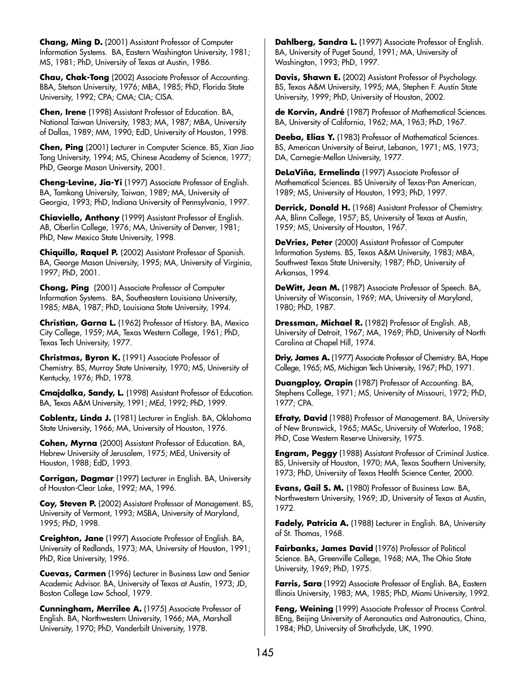**Chang, Ming D.** (2001) Assistant Professor of Computer Information Systems. BA, Eastern Washington University, 1981; MS, 1981; PhD, University of Texas at Austin, 1986.

**Chau, Chak-Tong** (2002) Associate Professor of Accounting. BBA, Stetson University, 1976; MBA, 1985; PhD, Florida State University, 1992; CPA; CMA; CIA; CISA.

**Chen, Irene** (1998) Assistant Professor of Education. BA, National Taiwan University, 1983; MA, 1987; MBA, University of Dallas, 1989; MM, 1990; EdD, University of Houston, 1998.

**Chen, Ping** (2001) Lecturer in Computer Science. BS, Xian Jiao Tong University, 1994; MS, Chinese Academy of Science, 1977; PhD, George Mason University, 2001.

**Cheng-Levine, Jia-Yi** (1997) Associate Professor of English. BA, Tamkang University, Taiwan, 1989; MA, University of Georgia, 1993; PhD, Indiana University of Pennsylvania, 1997.

**Chiaviello, Anthony** (1999) Assistant Professor of English. AB, Oberlin College, 1976; MA, University of Denver, 1981; PhD, New Mexico State University, 1998.

**Chiquillo, Raquel P.** (2002) Assistant Professor of Spanish. BA, George Mason University, 1995; MA, University of Virginia, 1997; PhD, 2001.

**Chong, Ping** (2001) Associate Professor of Computer Information Systems. BA, Southeastern Louisiana University, 1985; MBA, 1987; PhD, Louisiana State University, 1994.

**Christian, Garna L.** (1962) Professor of History. BA, Mexico City College, 1959; MA, Texas Western College, 1961; PhD, Texas Tech University, 1977.

**Christmas, Byron K.** (1991) Associate Professor of Chemistry. BS, Murray State University, 1970; MS, University of Kentucky, 1976; PhD, 1978.

**Cmajdalka, Sandy, L.** (1998) Assistant Professor of Education. BA, Texas A&M University, 1991; MEd, 1992; PhD, 1999.

**Coblentz, Linda J.** (1981) Lecturer in English. BA, Oklahoma State University, 1966; MA, University of Houston, 1976.

**Cohen, Myrna** (2000) Assistant Professor of Education. BA, Hebrew University of Jerusalem, 1975; MEd, University of Houston, 1988; EdD, 1993.

**Corrigan, Dagmar** (1997) Lecturer in English. BA, University of Houston-Clear Lake, 1992; MA, 1996.

**Coy, Steven P.** (2002) Assistant Professor of Management. BS, University of Vermont, 1993; MSBA, University of Maryland, 1995; PhD, 1998.

**Creighton, Jane** (1997) Associate Professor of English. BA, University of Redlands, 1973; MA, University of Houston, 1991; PhD, Rice University, 1996.

**Cuevas, Carmen** (1996) Lecturer in Business Law and Senior Academic Advisor. BA, University of Texas at Austin, 1973; JD, Boston College Law School, 1979.

**Cunningham, Merrilee A.** (1975) Associate Professor of English. BA, Northwestern University, 1966; MA, Marshall University, 1970; PhD, Vanderbilt University, 1978.

**Dahlberg, Sandra L.** (1997) Associate Professor of English. BA, University of Puget Sound, 1991; MA, University of Washington, 1993; PhD, 1997.

**Davis, Shawn E.** (2002) Assistant Professor of Psychology. BS, Texas A&M University, 1995; MA, Stephen F. Austin State University, 1999; PhD, University of Houston, 2002.

**de Korvin, André** (1987) Professor of Mathematical Sciences. BA, University of California, 1962; MA, 1963; PhD, 1967.

Deeba, Elias Y. (1983) Professor of Mathematical Sciences. BS, American University of Beirut, Lebanon, 1971; MS, 1973; DA, Carnegie-Mellon University, 1977.

**DeLaViña, Ermelinda** (1997) Associate Professor of Mathematical Sciences. BS University of Texas-Pan American, 1989; MS, University of Houston, 1993; PhD, 1997.

**Derrick, Donald H.** (1968) Assistant Professor of Chemistry. AA, Blinn College, 1957; BS, University of Texas at Austin, 1959; MS, University of Houston, 1967.

**DeVries, Peter** (2000) Assistant Professor of Computer Information Systems. BS, Texas A&M University, 1983; MBA, Southwest Texas State University, 1987; PhD, University of Arkansas, 1994.

**DeWitt, Jean M.** (1987) Associate Professor of Speech. BA, University of Wisconsin, 1969; MA, University of Maryland, 1980; PhD, 1987.

**Dressman, Michael R.** (1982) Professor of English. AB, University of Detroit, 1967; MA, 1969; PhD, University of North Carolina at Chapel Hill, 1974.

**Driy, James A.** (1977) Associate Professor of Chemistry. BA, Hope College, 1965; MS, Michigan Tech University, 1967; PhD, 1971.

**Duangploy, Orapin** (1987) Professor of Accounting. BA, Stephens College, 1971; MS, University of Missouri, 1972; PhD, 1977; CPA.

**Efraty, David** (1988) Professor of Management. BA, University of New Brunswick, 1965; MASc, University of Waterloo, 1968; PhD, Case Western Reserve University, 1975.

**Engram, Peggy** (1988) Assistant Professor of Criminal Justice. BS, University of Houston, 1970; MA, Texas Southern University, 1973; PhD, University of Texas Health Science Center, 2000.

**Evans, Gail S. M.** (1980) Professor of Business Law. BA, Northwestern University, 1969; JD, University of Texas at Austin, 1972.

Fadely, Patricia A. (1988) Lecturer in English. BA, University of St. Thomas, 1968.

**Fairbanks, James David** (1976) Professor of Political Science. BA, Greenville College, 1968; MA, The Ohio State University, 1969; PhD, 1975.

**Farris, Sara** (1992) Associate Professor of English. BA, Eastern Illinois University, 1983; MA, 1985; PhD, Miami University, 1992.

**Feng, Weining** (1999) Associate Professor of Process Control. BEng, Beijing University of Aeronautics and Astronautics, China, 1984; PhD, University of Strathclyde, UK, 1990.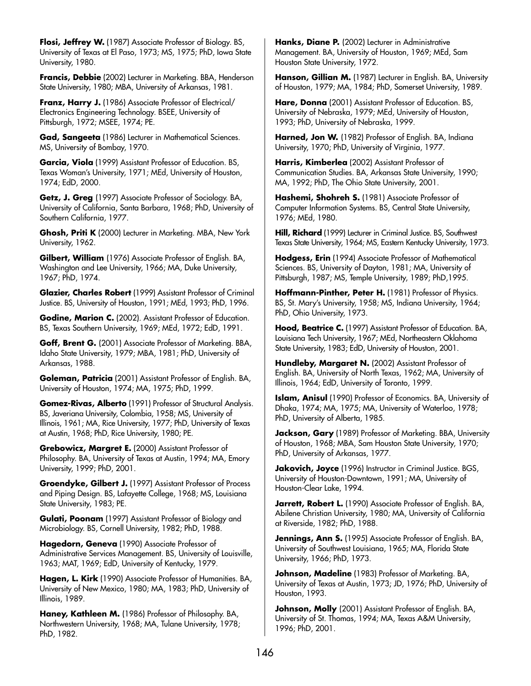Flosi, Jeffrey W. (1987) Associate Professor of Biology. BS, University of Texas at El Paso, 1973; MS, 1975; PhD, Iowa State University, 1980.

**Francis, Debbie** (2002) Lecturer in Marketing. BBA, Henderson State University, 1980; MBA, University of Arkansas, 1981.

**Franz, Harry J.** (1986) Associate Professor of Electrical/ Electronics Engineering Technology. BSEE, University of Pittsburgh, 1972; MSEE, 1974; PE.

**Gad, Sangeeta** (1986) Lecturer in Mathematical Sciences. MS, University of Bombay, 1970.

**Garcia, Viola** (1999) Assistant Professor of Education. BS, Texas Woman's University, 1971; MEd, University of Houston, 1974; EdD, 2000.

**Getz, J. Greg** (1997) Associate Professor of Sociology. BA, University of California, Santa Barbara, 1968; PhD, University of Southern California, 1977.

**Ghosh, Priti K** (2000) Lecturer in Marketing. MBA, New York University, 1962.

**Gilbert, William** (1976) Associate Professor of English. BA, Washington and Lee University, 1966; MA, Duke University, 1967; PhD, 1974.

**Glazier, Charles Robert** (1999) Assistant Professor of Criminal Justice. BS, University of Houston, 1991; MEd, 1993; PhD, 1996.

**Godine, Marion C.** (2002). Assistant Professor of Education. BS, Texas Southern University, 1969; MEd, 1972; EdD, 1991.

**Goff, Brent G.** (2001) Associate Professor of Marketing. BBA, Idaho State University, 1979; MBA, 1981; PhD, University of Arkansas, 1988.

**Goleman, Patricia** (2001) Assistant Professor of English. BA, University of Houston, 1974; MA, 1975; PhD, 1999.

Gomez-Rivas, Alberto (1991) Professor of Structural Analysis. BS, Javeriana University, Colombia, 1958; MS, University of Illinois, 1961; MA, Rice University, 1977; PhD, University of Texas at Austin, 1968; PhD, Rice University, 1980; PE.

**Grebowicz, Margret E.** (2000) Assistant Professor of Philosophy. BA, University of Texas at Austin, 1994; MA, Emory University, 1999; PhD, 2001.

**Groendyke, Gilbert J.** (1997) Assistant Professor of Process and Piping Design. BS, Lafayette College, 1968; MS, Louisiana State University, 1983; PE.

**Gulati, Poonam** (1997) Assistant Professor of Biology and Microbiology. BS, Cornell University, 1982; PhD, 1988.

**Hagedorn, Geneva** (1990) Associate Professor of Administrative Services Management. BS, University of Louisville, 1963; MAT, 1969; EdD, University of Kentucky, 1979.

**Hagen, L. Kirk** (1990) Associate Professor of Humanities. BA, University of New Mexico, 1980; MA, 1983; PhD, University of Illinois, 1989.

**Haney, Kathleen M.** (1986) Professor of Philosophy. BA, Northwestern University, 1968; MA, Tulane University, 1978; PhD, 1982.

Hanks, Diane P. (2002) Lecturer in Administrative Management. BA, University of Houston, 1969; MEd, Sam Houston State University, 1972.

**Hanson, Gillian M.** (1987) Lecturer in English. BA, University of Houston, 1979; MA, 1984; PhD, Somerset University, 1989.

**Hare, Donna** (2001) Assistant Professor of Education. BS, University of Nebraska, 1979; MEd, University of Houston, 1993; PhD, University of Nebraska, 1999.

Harned, Jon W. (1982) Professor of English. BA, Indiana University, 1970; PhD, University of Virginia, 1977.

**Harris, Kimberlea** (2002) Assistant Professor of Communication Studies. BA, Arkansas State University, 1990; MA, 1992; PhD, The Ohio State University, 2001.

**Hashemi, Shohreh S.** (1981) Associate Professor of Computer Information Systems. BS, Central State University, 1976; MEd, 1980.

**Hill, Richard** (1999) Lecturer in Criminal Justice. BS, Southwest Texas State University, 1964; MS, Eastern Kentucky University, 1973.

**Hodgess, Erin** (1994) Associate Professor of Mathematical Sciences. BS, University of Dayton, 1981; MA, University of Pittsburgh, 1987; MS, Temple University, 1989; PhD,1995.

**Hoffmann-Pinther, Peter H.** (1981) Professor of Physics. BS, St. Mary's University, 1958; MS, Indiana University, 1964; PhD, Ohio University, 1973.

Hood, Beatrice C. (1997) Assistant Professor of Education. BA, Louisiana Tech University, 1967; MEd, Northeastern Oklahoma State University, 1983; EdD, University of Houston, 2001.

**Hundleby, Margaret N.** (2002) Assistant Professor of English. BA, University of North Texas, 1962; MA, University of Illinois, 1964; EdD, University of Toronto, 1999.

**Islam, Anisul** (1990) Professor of Economics. BA, University of Dhaka, 1974; MA, 1975; MA, University of Waterloo, 1978; PhD, University of Alberta, 1985.

Jackson, Gary (1989) Professor of Marketing. BBA, University of Houston, 1968; MBA, Sam Houston State University, 1970; PhD, University of Arkansas, 1977.

Jakovich, Joyce (1996) Instructor in Criminal Justice. BGS, University of Houston-Downtown, 1991; MA, University of Houston-Clear Lake, 1994.

Jarrett, Robert L. (1990) Associate Professor of English. BA, Abilene Christian University, 1980; MA, University of California at Riverside, 1982; PhD, 1988.

Jennings, Ann S. (1995) Associate Professor of English. BA, University of Southwest Louisiana, 1965; MA, Florida State University, 1966; PhD, 1973.

**Johnson, Madeline** (1983) Professor of Marketing. BA, University of Texas at Austin, 1973; JD, 1976; PhD, University of Houston, 1993.

**Johnson, Molly** (2001) Assistant Professor of English. BA, University of St. Thomas, 1994; MA, Texas A&M University, 1996; PhD, 2001.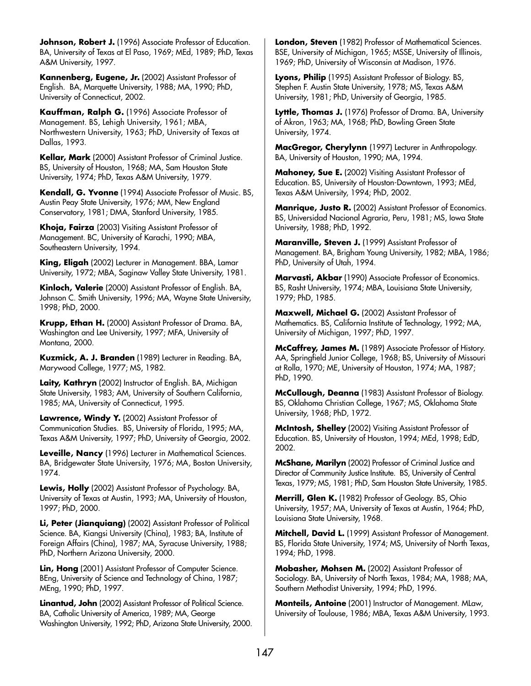Johnson, Robert J. (1996) Associate Professor of Education. BA, University of Texas at El Paso, 1969; MEd, 1989; PhD, Texas A&M University, 1997.

**Kannenberg, Eugene, Jr.** (2002) Assistant Professor of English. BA, Marquette University, 1988; MA, 1990; PhD, University of Connecticut, 2002.

**Kauffman, Ralph G.** (1996) Associate Professor of Management. BS, Lehigh University, 1961; MBA, Northwestern University, 1963; PhD, University of Texas at Dallas, 1993.

**Kellar, Mark** (2000) Assistant Professor of Criminal Justice. BS, University of Houston, 1968; MA, Sam Houston State University, 1974; PhD, Texas A&M University, 1979.

**Kendall, G. Yvonne** (1994) Associate Professor of Music. BS, Austin Peay State University, 1976; MM, New England Conservatory, 1981; DMA, Stanford University, 1985.

**Khoja, Fairza** (2003) Visiting Assistant Professor of Management. BC, University of Karachi, 1990; MBA, Southeastern University, 1994.

**King, Eligah** (2002) Lecturer in Management. BBA, Lamar University, 1972; MBA, Saginaw Valley State University, 1981.

**Kinloch, Valerie** (2000) Assistant Professor of English. BA, Johnson C. Smith University, 1996; MA, Wayne State University, 1998; PhD, 2000.

**Krupp, Ethan H.** (2000) Assistant Professor of Drama. BA, Washington and Lee University, 1997; MFA, University of Montana, 2000.

**Kuzmick, A. J. Branden** (1989) Lecturer in Reading. BA, Marywood College, 1977; MS, 1982.

**Laity, Kathryn** (2002) Instructor of English. BA, Michigan State University, 1983; AM, University of Southern California, 1985; MA, University of Connecticut, 1995.

**Lawrence, Windy Y.** (2002) Assistant Professor of Communication Studies. BS, University of Florida, 1995; MA, Texas A&M University, 1997; PhD, University of Georgia, 2002.

**Leveille, Nancy** (1996) Lecturer in Mathematical Sciences. BA, Bridgewater State University, 1976; MA, Boston University, 1974.

**Lewis, Holly** (2002) Assistant Professor of Psychology. BA, University of Texas at Austin, 1993; MA, University of Houston, 1997; PhD, 2000.

**Li, Peter (Jianquiang)** (2002) Assistant Professor of Political Science. BA, Kiangsi University (China), 1983; BA, Institute of Foreign Affairs (China), 1987; MA, Syracuse University, 1988; PhD, Northern Arizona University, 2000.

**Lin, Hong** (2001) Assistant Professor of Computer Science. BEng, University of Science and Technology of China, 1987; MEng, 1990; PhD, 1997.

**Linantud, John** (2002) Assistant Professor of Political Science. BA, Catholic University of America, 1989; MA, George Washington University, 1992; PhD, Arizona State University, 2000. **London, Steven** (1982) Professor of Mathematical Sciences. BSE, University of Michigan, 1965; MSSE, University of Illinois, 1969; PhD, University of Wisconsin at Madison, 1976.

**Lyons, Philip** (1995) Assistant Professor of Biology. BS, Stephen F. Austin State University, 1978; MS, Texas A&M University, 1981; PhD, University of Georgia, 1985.

Lyttle, Thomas J. (1976) Professor of Drama. BA, University of Akron, 1963; MA, 1968; PhD, Bowling Green State University, 1974.

**MacGregor, Cherylynn** (1997) Lecturer in Anthropology. BA, University of Houston, 1990; MA, 1994.

**Mahoney, Sue E.** (2002) Visiting Assistant Professor of Education. BS, University of Houston-Downtown, 1993; MEd, Texas A&M University, 1994; PhD, 2002.

**Manrique, Justo R.** (2002) Assistant Professor of Economics. BS, Universidad Nacional Agraria, Peru, 1981; MS, Iowa State University, 1988; PhD, 1992.

**Maranville, Steven J.** (1999) Assistant Professor of Management. BA, Brigham Young University, 1982; MBA, 1986; PhD, University of Utah, 1994.

**Marvasti, Akbar** (1990) Associate Professor of Economics. BS, Rasht University, 1974; MBA, Louisiana State University, 1979; PhD, 1985.

**Maxwell, Michael G.** (2002) Assistant Professor of Mathematics. BS, California Institute of Technology, 1992; MA, University of Michigan, 1997; PhD, 1997.

**McCaffrey, James M.** (1989) Associate Professor of History. AA, Springfield Junior College, 1968; BS, University of Missouri at Rolla, 1970; ME, University of Houston, 1974; MA, 1987; PhD, 1990.

**McCullough, Deanna** (1983) Assistant Professor of Biology. BS, Oklahoma Christian College, 1967; MS, Oklahoma State University, 1968; PhD, 1972.

**McIntosh, Shelley** (2002) Visiting Assistant Professor of Education. BS, University of Houston, 1994; MEd, 1998; EdD, 2002.

**McShane, Marilyn** (2002) Professor of Criminal Justice and Director of Community Justice Institute. BS, University of Central Texas, 1979; MS, 1981; PhD, Sam Houston State University, 1985.

**Merrill, Glen K.** (1982) Professor of Geology. BS, Ohio University, 1957; MA, University of Texas at Austin, 1964; PhD, Louisiana State University, 1968.

**Mitchell, David L.** (1999) Assistant Professor of Management. BS, Florida State University, 1974; MS, University of North Texas, 1994; PhD, 1998.

**Mobasher, Mohsen M.** (2002) Assistant Professor of Sociology. BA, University of North Texas, 1984; MA, 1988; MA, Southern Methodist University, 1994; PhD, 1996.

**Monteils, Antoine** (2001) Instructor of Management. MLaw, University of Toulouse, 1986; MBA, Texas A&M University, 1993.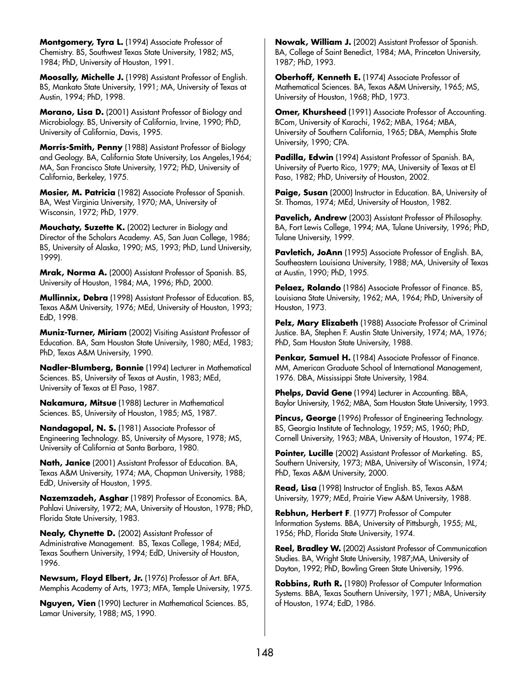**Montgomery, Tyra L.** (1994) Associate Professor of Chemistry. BS, Southwest Texas State University, 1982; MS, 1984; PhD, University of Houston, 1991.

**Moosally, Michelle J.** (1998) Assistant Professor of English. BS, Mankato State University, 1991; MA, University of Texas at Austin, 1994; PhD, 1998.

**Morano, Lisa D.** (2001) Assistant Professor of Biology and Microbiology. BS, University of California, Irvine, 1990; PhD, University of California, Davis, 1995.

**Morris-Smith, Penny** (1988) Assistant Professor of Biology and Geology. BA, California State University, Los Angeles,1964; MA, San Francisco State University, 1972; PhD, University of California, Berkeley, 1975.

**Mosier, M. Patricia** (1982) Associate Professor of Spanish. BA, West Virginia University, 1970; MA, University of Wisconsin, 1972; PhD, 1979.

**Mouchaty, Suzette K.** (2002) Lecturer in Biology and Director of the Scholars Academy. AS, San Juan College, 1986; BS, University of Alaska, 1990; MS, 1993; PhD, Lund University, 1999).

**Mrak, Norma A.** (2000) Assistant Professor of Spanish. BS, University of Houston, 1984; MA, 1996; PhD, 2000.

**Mullinnix, Debra** (1998) Assistant Professor of Education. BS, Texas A&M University, 1976; MEd, University of Houston, 1993; EdD, 1998.

**Muniz-Turner, Miriam** (2002) Visiting Assistant Professor of Education. BA, Sam Houston State University, 1980; MEd, 1983; PhD, Texas A&M University, 1990.

**Nadler-Blumberg, Bonnie** (1994) Lecturer in Mathematical Sciences. BS, University of Texas at Austin, 1983; MEd, University of Texas at El Paso, 1987.

**Nakamura, Mitsue** (1988) Lecturer in Mathematical Sciences. BS, University of Houston, 1985; MS, 1987.

**Nandagopal, N. S.** (1981) Associate Professor of Engineering Technology. BS, University of Mysore, 1978; MS, University of California at Santa Barbara, 1980.

**Nath, Janice** (2001) Assistant Professor of Education. BA, Texas A&M University, 1974; MA, Chapman University, 1988; EdD, University of Houston, 1995.

**Nazemzadeh, Asghar** (1989) Professor of Economics. BA, Pahlavi University, 1972; MA, University of Houston, 1978; PhD, Florida State University, 1983.

**Nealy, Chynette D.** (2002) Assistant Professor of Administrative Management. BS, Texas College, 1984; MEd, Texas Southern University, 1994; EdD, University of Houston, 1996.

**Newsum, Floyd Elbert, Jr.** (1976) Professor of Art. BFA , Memphis Academy of Arts, 1973; MFA, Temple University, 1975.

**Nguyen, Vien** (1990) Lecturer in Mathematical Sciences. BS, Lamar University, 1988; MS, 1990.

**Nowak, William J.** (2002) Assistant Professor of Spanish. BA, College of Saint Benedict, 1984; MA, Princeton University, 1987; PhD, 1993.

**Oberhoff, Kenneth E.** (1974) Associate Professor of Mathematical Sciences. BA, Texas A&M University, 1965; MS, University of Houston, 1968; PhD, 1973.

**Omer, Khursheed** (1991) Associate Professor of Accounting. BCom, University of Karachi, 1962; MBA, 1964; MBA, University of Southern California, 1965; DBA, Memphis State University, 1990; CPA.

**Padilla, Edwin** (1994) Assistant Professor of Spanish. BA, University of Puerto Rico, 1979; MA, University of Texas at El Paso, 1982; PhD, University of Houston, 2002.

**Paige, Susan** (2000) Instructor in Education. BA, University of St. Thomas, 1974; MEd, University of Houston, 1982.

**Pavelich, Andrew** (2003) Assistant Professor of Philosophy. BA, Fort Lewis College, 1994; MA, Tulane University, 1996; PhD, Tulane University, 1999.

**Pavletich, JoAnn** (1995) Associate Professor of English. BA, Southeastern Louisiana University, 1988; MA, University of Texas at Austin, 1990; PhD, 1995.

**Pelaez, Rolando** (1986) Associate Professor of Finance. BS, Louisiana State University, 1962; MA, 1964; PhD, University of Houston, 1973.

**Pelz, Mary Elizabeth** (1988) Associate Professor of Criminal Justice. BA, Stephen F. Austin State University, 1974; MA, 1976; PhD, Sam Houston State University, 1988.

Penkar, Samuel H. (1984) Associate Professor of Finance. MM, American Graduate School of International Management, 1976. DBA, Mississippi State University, 1984.

**Phelps, David Gene** (1994) Lecturer in Accounting. BBA, Baylor University, 1962; MBA, Sam Houston State University, 1993.

**Pincus, George** (1996) Professor of Engineering Technology. BS, Georgia Institute of Technology, 1959; MS, 1960; PhD, Cornell University, 1963; MBA, University of Houston, 1974; PE.

**Pointer, Lucille** (2002) Assistant Professor of Marketing. BS, Southern University, 1973; MBA, University of Wisconsin, 1974; PhD, Texas A&M University, 2000.

**Read, Lisa** (1998) Instructor of English. BS, Texas A&M University, 1979; MEd, Prairie View A&M University, 1988.

**Rebhun, Herbert F**. (1977) Professor of Computer Information Systems. BBA, University of Pittsburgh, 1955; ML, 1956; PhD, Florida State University, 1974.

**Reel, Bradley W.** (2002) Assistant Professor of Communication Studies. BA, Wright State University, 1987;MA, University of Dayton, 1992; PhD, Bowling Green State University, 1996.

**Robbins, Ruth R.** (1980) Professor of Computer Information Systems. BBA, Texas Southern University, 1971; MBA, University of Houston, 1974; EdD, 1986.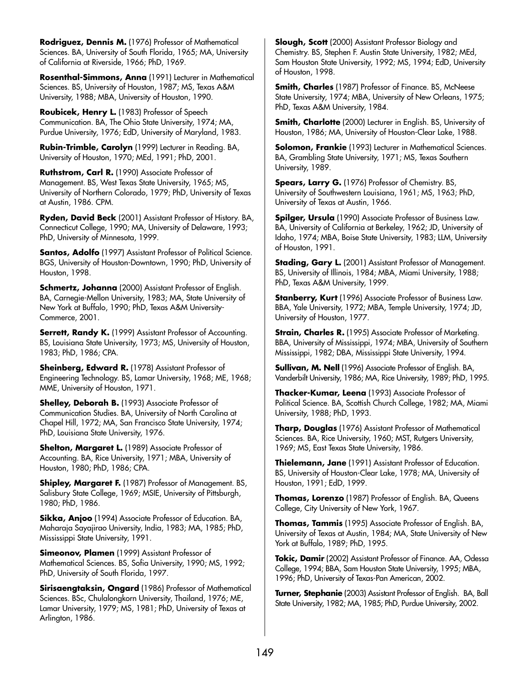**Rodriguez, Dennis M.** (1976) Professor of Mathematical Sciences. BA, University of South Florida, 1965; MA, University of California at Riverside, 1966; PhD, 1969.

**Rosenthal-Simmons, Anna** (1991) Lecturer in Mathematical Sciences. BS, University of Houston, 1987; MS, Texas A&M University, 1988; MBA, University of Houston, 1990.

**Roubicek, Henry L.** (1983) Professor of Speech Communication. BA, The Ohio State University, 1974; MA, Purdue University, 1976; EdD, University of Maryland, 1983.

**Rubin-Trimble, Carolyn** (1999) Lecturer in Reading. BA, University of Houston, 1970; MEd, 1991; PhD, 2001.

**Ruthstrom, Carl R.** (1990) Associate Professor of Management. BS, West Texas State University, 1965; MS, University of Northern Colorado, 1979; PhD, University of Texas at Austin, 1986. CPM.

**Ryden, David Beck** (2001) Assistant Professor of History. BA, Connecticut College, 1990; MA, University of Delaware, 1993; PhD, University of Minnesota, 1999.

**Santos, Adolfo** (1997) Assistant Professor of Political Science. BGS, University of Houston-Downtown, 1990; PhD, University of Houston, 1998.

**Schmertz, Johanna** (2000) Assistant Professor of English. BA, Carnegie-Mellon University, 1983; MA, State University of New York at Buffalo, 1990; PhD, Texas A&M University-Commerce, 2001.

**Serrett, Randy K.** (1999) Assistant Professor of Accounting. BS, Louisiana State University, 1973; MS, University of Houston, 1983; PhD, 1986; CPA.

**Sheinberg, Edward R.** (1978) Assistant Professor of Engineering Technology. BS, Lamar University, 1968; ME, 1968; MME, University of Houston, 1971.

**Shelley, Deborah B.** (1993) Associate Professor of Communication Studies. BA, University of North Carolina at Chapel Hill, 1972; MA, San Francisco State University, 1974; PhD, Louisiana State University, 1976.

**Shelton, Margaret L.** (1989) Associate Professor of Accounting. BA, Rice University, 1971; MBA, University of Houston, 1980; PhD, 1986; CPA.

**Shipley, Margaret F.** (1987) Professor of Management. BS, Salisbury State College, 1969; MSIE, University of Pittsburgh, 1980; PhD, 1986.

**Sikka, Anjoo** (1994) Associate Professor of Education. BA, Maharaja Sayajirao University, India, 1983; MA, 1985; PhD, Mississippi State University, 1991.

**Simeonov, Plamen** (1999) Assistant Professor of Mathematical Sciences. BS, Sofia University, 1990; MS, 1992; PhD, University of South Florida, 1997.

**Sirisaengtaksin, Ongard** (1986) Professor of Mathematical Sciences. BSc, Chulalongkorn University, Thailand, 1976; ME, Lamar University, 1979; MS, 1981; PhD, University of Texas at Arlington, 1986.

**Slough, Scott** (2000) Assistant Professor Biology and Chemistry. BS, Stephen F. Austin State University, 1982; MEd, Sam Houston State University, 1992; MS, 1994; EdD, University of Houston, 1998.

**Smith, Charles** (1987) Professor of Finance. BS, McNeese State University, 1974; MBA, University of New Orleans, 1975; PhD, Texas A&M University, 1984.

**Smith, Charlotte** (2000) Lecturer in English. BS, University of Houston, 1986; MA, University of Houston-Clear Lake, 1988.

**Solomon, Frankie** (1993) Lecturer in Mathematical Sciences. BA, Grambling State University, 1971; MS, Texas Southern University, 1989.

**Spears, Larry G.** (1976) Professor of Chemistry. BS, University of Southwestern Louisiana, 1961; MS, 1963; PhD, University of Texas at Austin, 1966.

**Spilger, Ursula** (1990) Associate Professor of Business Law. BA, University of California at Berkeley, 1962; JD, University of Idaho, 1974; MBA, Boise State University, 1983; LLM, University of Houston, 1991.

**Stading, Gary L.** (2001) Assistant Professor of Management. BS, University of Illinois, 1984; MBA, Miami University, 1988; PhD, Texas A&M University, 1999.

**Stanberry, Kurt** (1996) Associate Professor of Business Law. BBA, Yale University, 1972; MBA, Temple University, 1974; JD, University of Houston, 1977.

**Strain, Charles R.** (1995) Associate Professor of Marketing. BBA, University of Mississippi, 1974; MBA, University of Southern Mississippi, 1982; DBA, Mississippi State University, 1994.

**Sullivan, M. Nell** (1996) Associate Professor of English. BA, Vanderbilt University, 1986; MA, Rice University, 1989; PhD, 1995.

**Thacker-Kumar, Leena** (1993) Associate Professor of Political Science. BA, Scottish Church College, 1982; MA, Miami University, 1988; PhD, 1993.

**Tharp, Douglas** (1976) Assistant Professor of Mathematical Sciences. BA, Rice University, 1960; MST, Rutgers University, 1969; MS, East Texas State University, 1986.

**Thielemann, Jane** (1991) Assistant Professor of Education. BS, University of Houston-Clear Lake, 1978; MA, University of Houston, 1991; EdD, 1999.

**Thomas, Lorenzo** (1987) Professor of English. BA, Queens College, City University of New York, 1967.

**Thomas, Tammis** (1995) Associate Professor of English. BA, University of Texas at Austin, 1984; MA, State University of New York at Buffalo, 1989; PhD, 1995.

**Tokic, Damir** (2002) Assistant Professor of Finance. AA, Odessa College, 1994; BBA, Sam Houston State University, 1995; MBA, 1996; PhD, University of Texas-Pan American, 2002.

**Turner, Stephanie** (2003) Assistant Professor of English. BA, Ball State University, 1982; MA, 1985; PhD, Purdue University, 2002.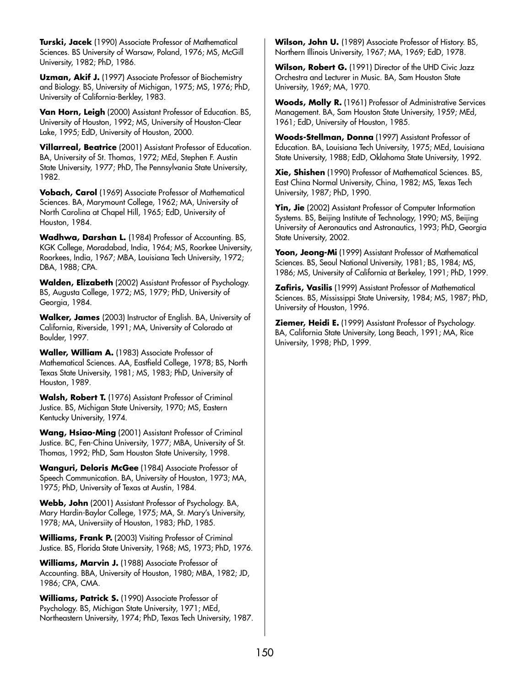**Turski, Jacek** (1990) Associate Professor of Mathematical Sciences. BS University of Warsaw, Poland, 1976; MS, McGill University, 1982; PhD, 1986.

**Uzman, Akif J.** (1997) Associate Professor of Biochemistry and Biology. BS, University of Michigan, 1975; MS, 1976; PhD, University of California-Berkley, 1983.

**Van Horn, Leigh** (2000) Assistant Professor of Education. BS, University of Houston, 1992; MS, University of Houston-Clear Lake, 1995; EdD, University of Houston, 2000.

**Villarreal, Beatrice** (2001) Assistant Professor of Education. BA, University of St. Thomas, 1972; MEd, Stephen F. Austin State University, 1977; PhD, The Pennsylvania State University, 1982.

**Vobach, Carol** (1969) Associate Professor of Mathematical Sciences. BA, Marymount College, 1962; MA, University of North Carolina at Chapel Hill, 1965; EdD, University of Houston, 1984.

**Wadhwa, Darshan L.** (1984) Professor of Accounting. BS, KGK College, Moradabad, India, 1964; MS, Roorkee University, Roorkees, India, 1967; MBA, Louisiana Tech University, 1972; DBA, 1988; CPA.

**Walden, Elizabeth** (2002) Assistant Professor of Psychology. BS, Augusta College, 1972; MS, 1979; PhD, University of Georgia, 1984.

**Walker, James** (2003) Instructor of English. BA, University of California, Riverside, 1991; MA, University of Colorado at Boulder, 1997.

**Waller, William A.** (1983) Associate Professor of Mathematical Sciences. AA, Eastfield College, 1978; BS, North Texas State University, 1981; MS, 1983; PhD, University of Houston, 1989.

**Walsh, Robert T.** (1976) Assistant Professor of Criminal Justice. BS, Michigan State University, 1970; MS, Eastern Kentucky University, 1974.

**Wang, Hsiao-Ming** (2001) Assistant Professor of Criminal Justice. BC, Fen-China University, 1977; MBA, University of St. Thomas, 1992; PhD, Sam Houston State University, 1998.

**Wanguri, Deloris McGee** (1984) Associate Professor of Speech Communication. BA, University of Houston, 1973; MA, 1975; PhD, University of Texas at Austin, 1984.

**Webb, John** (2001) Assistant Professor of Psychology. BA, Mary Hardin-Baylor College, 1975; MA, St. Mary's University, 1978; MA, Universiity of Houston, 1983; PhD, 1985.

**Williams, Frank P.** (2003) Visiting Professor of Criminal Justice. BS, Florida State University, 1968; MS, 1973; PhD, 1976.

**Williams, Marvin J.** (1988) Associate Professor of Accounting. BBA, University of Houston, 1980; MBA, 1982; JD, 1986; CPA, CMA.

**Williams, Patrick S.** (1990) Associate Professor of Psychology. BS, Michigan State University, 1971; MEd, Northeastern University, 1974; PhD, Texas Tech University, 1987.

**Wilson, John U.** (1989) Associate Professor of History. BS, Northern Illinois University, 1967; MA, 1969; EdD, 1978.

**Wilson, Robert G.** (1991) Director of the UHD Civic Jazz Orchestra and Lecturer in Music. BA, Sam Houston State University, 1969; MA, 1970.

**Woods, Molly R.** (1961) Professor of Administrative Services Management. BA, Sam Houston State University, 1959; MEd, 1961; EdD, University of Houston, 1985.

**Woods-Stellman, Donna** (1997) Assistant Professor of Education. BA, Louisiana Tech University, 1975; MEd, Louisiana State University, 1988; EdD, Oklahoma State University, 1992.

**Xie, Shishen** (1990) Professor of Mathematical Sciences. BS, East China Normal University, China, 1982; MS, Texas Tech University, 1987; PhD, 1990.

**Yin, Jie** (2002) Assistant Professor of Computer Information Systems. BS, Beijing Institute of Technology, 1990; MS, Beijing University of Aeronautics and Astronautics, 1993; PhD, Georgia State University, 2002.

Yoon, Jeong-Mi (1999) Assistant Professor of Mathematical Sciences. BS, Seoul National University, 1981; BS, 1984; MS, 1986; MS, University of California at Berkeley, 1991; PhD, 1999.

**Zafiris, Vasilis** (1999) Assistant Professor of Mathematical Sciences. BS, Mississippi State University, 1984; MS, 1987; PhD, University of Houston, 1996.

**Ziemer, Heidi E.** (1999) Assistant Professor of Psychology. BA, California State University, Long Beach, 1991; MA, Rice University, 1998; PhD, 1999.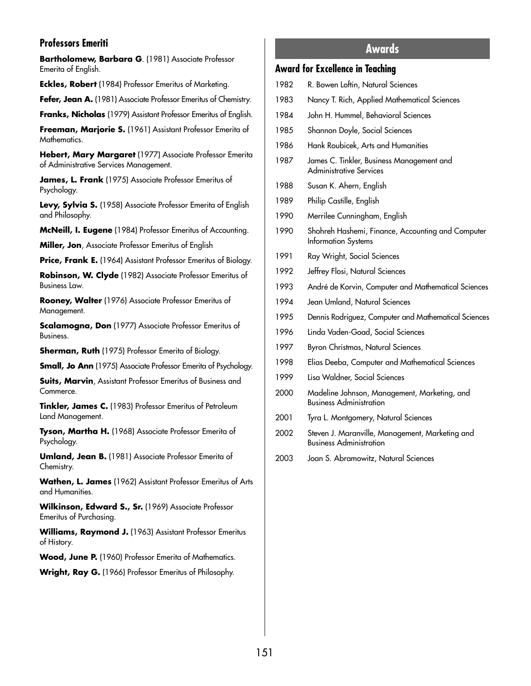## **Professors Emeriti**

**Bartholomew, Barbara G**. (1981) Associate Professor Emerita of English.

**Eckles, Robert** (1984) Professor Emeritus of Marketing.

Fefer, Jean A. (1981) Associate Professor Emeritus of Chemistry.

**Franks, Nicholas** (1979) Assistant Professor Emeritus of English.

**Freeman, Marjorie S.** (1961) Assistant Professor Emerita of Mathematics.

**Hebert, Mary Margaret** (1977) Associate Professor Emerita of Administrative Services Management.

James, L. Frank (1975) Associate Professor Emeritus of Psychology.

**Levy, Sylvia S.** (1958) Associate Professor Emerita of English and Philosophy.

**McNeill, I. Eugene** (1984) Professor Emeritus of Accounting.

**Miller, Jon**, Associate Professor Emeritus of English

**Price, Frank E.** (1964) Assistant Professor Emeritus of Biology.

**Robinson, W. Clyde** (1982) Associate Professor Emeritus of Business Law.

**Rooney, Walter** (1976) Associate Professor Emeritus of Management.

**Scalamogna, Don** (1977) Associate Professor Emeritus of Business.

**Sherman, Ruth** (1975) Professor Emerita of Biology.

**Small, Jo Ann** (1975) Associate Professor Emerita of Psychology.

**Suits, Marvin**, Assistant Professor Emeritus of Business and Commerce.

**Tinkler, James C.** (1983) Professor Emeritus of Petroleum Land Management.

**Tyson, Martha H.** (1968) Associate Professor Emerita of Psychology.

**Umland, Jean B.** (1981) Associate Professor Emerita of Chemistry.

**Wathen, L. James** (1962) Assistant Professor Emeritus of Arts and Humanities.

**Wilkinson, Edward S., Sr.** (1969) Associate Professor Emeritus of Purchasing.

**Williams, Raymond J.** (1963) Assistant Professor Emeritus of History.

**Wood, June P.** (1960) Professor Emerita of Mathematics.

**Wright, Ray G.** (1966) Professor Emeritus of Philosophy.

## **Awards**

### **Award for Excellence in Teaching**

- 1982 R. Bowen Loftin, Natural Sciences
- 1983 Nancy T. Rich, Applied Mathematical Sciences
- 1984 John H. Hummel, Behavioral Sciences
- 1985 Shannon Doyle, Social Sciences
- 1986 Hank Roubicek, Arts and Humanities
- 1987 James C. Tinkler, Business Management and Administrative Services
- 1988 Susan K. Ahern, English
- 1989 Philip Castille, English
- 1990 Merrilee Cunningham, English
- 1990 Shohreh Hashemi, Finance, Accounting and Computer Information Systems
- 1991 Ray Wright, Social Sciences
- 1992 Jeffrey Flosi, Natural Sciences
- 1993 André de Korvin, Computer and Mathematical Sciences
- 1994 Jean Umland, Natural Sciences
- 1995 Dennis Rodriguez, Computer and Mathematical Sciences
- 1996 Linda Vaden-Goad, Social Sciences
- 1997 Byron Christmas, Natural Sciences
- 1998 Elias Deeba, Computer and Mathematical Sciences
- 1999 Lisa Waldner, Social Sciences
- 2000 Madeline Johnson, Management, Marketing, and Business Administration
- 2001 Tyra L. Montgomery, Natural Sciences
- 2002 Steven J. Maranville, Management, Marketing and Business Administration
- 2003 Joan S. Abramowitz, Natural Sciences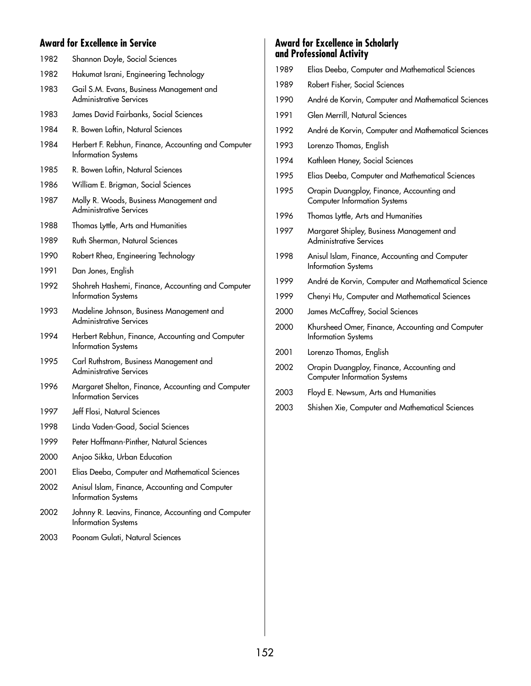## **Award for Excellence in Service**

| 1982 | Shannon Doyle, Social Sciences                                                    |
|------|-----------------------------------------------------------------------------------|
| 1982 | Hakumat Israni, Engineering Technology                                            |
| 1983 | Gail S.M. Evans, Business Management and<br><b>Administrative Services</b>        |
| 1983 | James David Fairbanks, Social Sciences                                            |
| 1984 | R. Bowen Loftin, Natural Sciences                                                 |
| 1984 |                                                                                   |
|      | Herbert F. Rebhun, Finance, Accounting and Computer<br>Information Systems        |
| 1985 | R. Bowen Loftin, Natural Sciences                                                 |
| 1986 | William E. Brigman, Social Sciences                                               |
| 1987 | Molly R. Woods, Business Management and<br><b>Administrative Services</b>         |
| 1988 | Thomas Lyttle, Arts and Humanities                                                |
| 1989 | Ruth Sherman, Natural Sciences                                                    |
| 1990 | Robert Rhea, Engineering Technology                                               |
| 1991 | Dan Jones, English                                                                |
| 1992 | Shohreh Hashemi, Finance, Accounting and Computer<br>Information Systems          |
| 1993 | Madeline Johnson, Business Management and<br>Administrative Services              |
| 1994 | Herbert Rebhun, Finance, Accounting and Computer<br><b>Information Systems</b>    |
| 1995 | Carl Ruthstrom, Business Management and<br><b>Administrative Services</b>         |
| 1996 | Margaret Shelton, Finance, Accounting and Computer<br><b>Information Services</b> |
| 1997 | Jeff Flosi, Natural Sciences                                                      |
| 1998 | Linda Vaden-Goad, Social Sciences                                                 |
| 1999 | Peter Hoffmann-Pinther, Natural Sciences                                          |
| 2000 | Anjoo Sikka, Urban Education                                                      |
| 2001 | Elias Deeba, Computer and Mathematical Sciences                                   |
| 2002 | Anisul Islam, Finance, Accounting and Computer<br>Information Systems             |
| 2002 | Johnny R. Leavins, Finance, Accounting and Computer                               |

- Information Systems
- 2003 Poonam Gulati, Natural Sciences

## **Award for Excellence in Scholarly and Professional Activity**

- 1989 Elias Deeba, Computer and Mathematical Sciences
- 1989 Robert Fisher, Social Sciences
- 1990 André de Korvin, Computer and Mathematical Sciences
- 1991 Glen Merrill, Natural Sciences
- 1992 André de Korvin, Computer and Mathematical Sciences
- 1993 Lorenzo Thomas, English
- 1994 Kathleen Haney, Social Sciences
- 1995 Elias Deeba, Computer and Mathematical Sciences
- 1995 Orapin Duangploy, Finance, Accounting and Computer Information Systems
- 1996 Thomas Lyttle, Arts and Humanities
- 1997 Margaret Shipley, Business Management and Administrative Services
- 1998 Anisul Islam, Finance, Accounting and Computer Information Systems
- 1999 André de Korvin, Computer and Mathematical Science
- 1999 Chenyi Hu, Computer and Mathematical Sciences
- 2000 James McCaffrey, Social Sciences
- 2000 Khursheed Omer, Finance, Accounting and Computer Information Systems
- 2001 Lorenzo Thomas, English
- 2002 Orapin Duangploy, Finance, Accounting and Computer Information Systems
- 2003 Floyd E. Newsum, Arts and Humanities
- 2003 Shishen Xie, Computer and Mathematical Sciences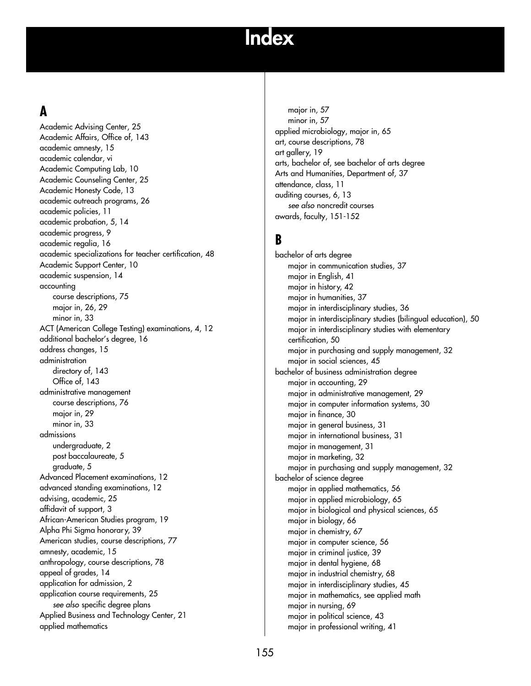# **Index**

# **A**

Academic Advising Center, 25 Academic Affairs, Office of, 143 academic amnesty, 15 academic calendar, vi Academic Computing Lab, 10 Academic Counseling Center, 25 Academic Honesty Code, 13 academic outreach programs, 26 academic policies, 11 academic probation, 5, 14 academic progress, 9 academic regalia, 16 academic specializations for teacher certification, 48 Academic Support Center, 10 academic suspension, 14 accounting course descriptions, 75 major in, 26, 29 minor in, 33 ACT (American College Testing) examinations, 4, 12 additional bachelor's degree, 16 address changes, 15 administration directory of, 143 Office of, 143 administrative management course descriptions, 76 major in, 29 minor in, 33 admissions undergraduate, 2 post baccalaureate, 5 graduate, 5 Advanced Placement examinations, 12 advanced standing examinations, 12 advising, academic, 25 affidavit of support, 3 African-American Studies program, 19 Alpha Phi Sigma honorar y, 39 American studies, course descriptions, 77 amnesty, academic, 15 anthropology, course descriptions, 78 appeal of grades, 14 application for admission, 2 application course requirements, 25 *see also* specific degree plans Applied Business and Technology Center, 21 applied mathematics

major in, 57 minor in, 57 applied microbiology, major in, 65 art, course descriptions, 78 art gallery, 19 arts, bachelor of, see bachelor of arts degree Arts and Humanities, Department of, 37 attendance, class, 11 auditing courses, 6, 13 *see also* noncredit courses awards, faculty, 151-152

# **B**

bachelor of arts degree major in communication studies, 37 major in English, 41 major in history, 42 major in humanities, 37 major in interdisciplinary studies, 36 major in interdisciplinary studies (bilingual education), 50 major in interdisciplinary studies with elementary certification, 50 major in purchasing and supply management, 32 major in social sciences, 45 bachelor of business administration degree major in accounting, 29 major in administrative management, 29 major in computer information systems, 30 major in finance, 30 major in general business, 31 major in international business, 31 major in management, 31 major in marketing, 32 major in purchasing and supply management, 32 bachelor of science degree major in applied mathematics, 56 major in applied microbiology, 65 major in biological and physical sciences, 65 major in biology, 66 major in chemistry, 67 major in computer science, 56 major in criminal justice, 39 major in dental hygiene, 68 major in industrial chemistry, 68 major in interdisciplinary studies, 45 major in mathematics, see applied math major in nursing, 69 major in political science, 43 major in professional writing, 41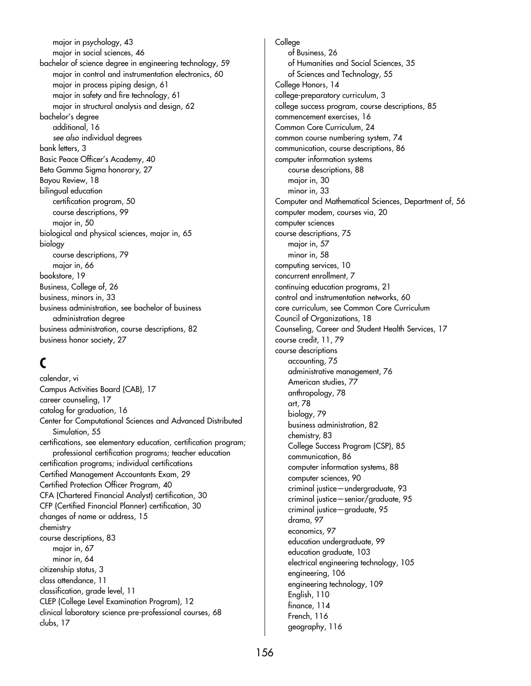major in psychology, 43 major in social sciences, 46 bachelor of science degree in engineering technology, 59 major in control and instrumentation electronics, 60 major in process piping design, 61 major in safety and fire technology, 61 major in structural analysis and design, 62 bachelor's degree additional, 16 *see also* individual degrees bank letters, 3 Basic Peace Officer's Academy, 40 Beta Gamma Sigma honorary, 27 Bayou Review, 18 bilingual education certification program, 50 course descriptions, 99 major in, 50 biological and physical sciences, major in, 65 biology course descriptions, 79 major in, 66 bookstore, 19 Business, College of, 26 business, minors in, 33 business administration, see bachelor of business administration degree business administration, course descriptions, 82 business honor society, 27

# **C**

calendar, vi Campus Activities Board (CAB), 17 career counseling, 17 catalog for graduation, 16 Center for Computational Sciences and Advanced Distributed Simulation, 55 certifications, see elementary education, certification program; professional certification programs; teacher education certification programs; individual certifications Certified Management Accountants Exam, 29 Certified Protection Officer Program, 40 CFA (Chartered Financial Analyst) certification, 30 CFP (Certified Financial Planner) certification, 30 changes of name or address, 15 chemistry course descriptions, 83 major in, 67 minor in, 64 citizenship status, 3 class attendance, 11 classification, grade level, 11 CLEP (College Level Examination Program), 12 clinical laboratory science pre-professional courses, 68 clubs, 17

College of Business, 26 of Humanities and Social Sciences, 35 of Sciences and Technology, 55 College Honors, 14 college-preparatory curriculum, 3 college success program, course descriptions, 85 commencement exercises, 16 Common Core Curriculum, 24 common course numbering system, 74 communication, course descriptions, 86 computer information systems course descriptions, 88 major in, 30 minor in, 33 Computer and Mathematical Sciences, Department of, 56 computer modem, courses via, 20 computer sciences course descriptions, 75 major in, 57 minor in, 58 computing services, 10 concurrent enrollment, 7 continuing education programs, 21 control and instrumentation networks, 60 core curriculum, see Common Core Curriculum Council of Organizations, 18 Counseling, Career and Student Health Services, 17 course credit, 11, 79 course descriptions accounting, 75 administrative management, 76 American studies, 77 anthropology, 78 art, 78 biology, 79 business administration, 82 chemistry, 83 College Success Program (CSP), 85 communication, 86 computer information systems, 88 computer sciences, 90 criminal justice—undergraduate, 93 criminal justice—senior/graduate, 95 criminal justice—graduate, 95 drama, 97 economics, 97 education undergraduate, 99 education graduate, 103 electrical engineering technology, 105 engineering, 106 engineering technology, 109 English, 110 finance, 114 French, 116 geography, 116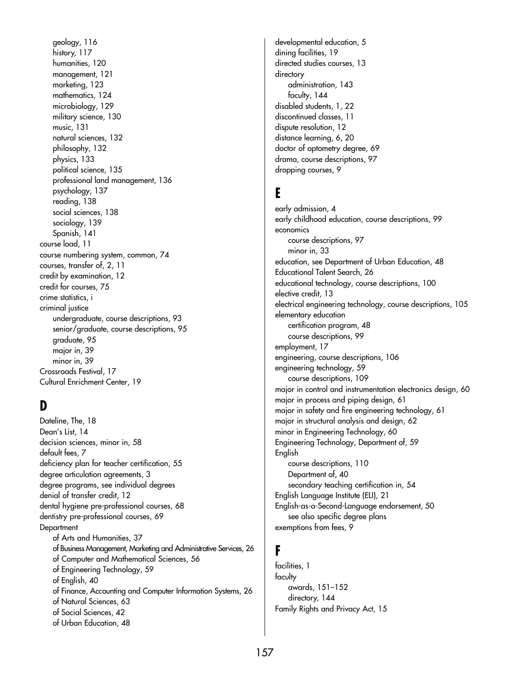geology, 116 history, 117 humanities, 120 management, 121 marketing, 123 mathematics, 124 microbiology, 129 military science, 130 music, 131 natural sciences, 132 philosophy, 132 physics, 133 political science, 135 professional land management, 136 psychology, 137 reading, 138 social sciences, 138 sociology, 139 Spanish, 141 course load, 11 course numbering system, common, 74 courses, transfer of, 2, 11 credit by examination, 12 credit for courses, 75 crime statistics, i criminal justice undergraduate, course descriptions, 93 senior/graduate, course descriptions, 95 graduate, 95 major in, 39 minor in, 39 Crossroads Festival, 17 Cultural Enrichment Center, 19

# **D**

Dateline, The, 18 Dean's List, 14 decision sciences, minor in, 58 default fees, 7 deficiency plan for teacher certification, 55 degree articulation agreements, 3 degree programs, see individual degrees denial of transfer credit, 12 dental hygiene pre-professional courses, 68 dentistry pre-professional courses, 69 **Department** of Arts and Humanities, 37 of Business Management, Marketing and Administrative Services, 26 of Computer and Mathematical Sciences, 56 of Engineering Technology, 59 of English, 40 of Finance, Accounting and Computer Information Systems, 26 of Natural Sciences, 63 of Social Sciences, 42 of Urban Education, 48

developmental education, 5 dining facilities, 19 directed studies courses, 13 directory administration, 143 faculty, 144 disabled students, 1, 22 discontinued classes, 11 dispute resolution, 12 distance learning, 6, 20 doctor of optometry degree, 69 drama, course descriptions, 97 dropping courses, 9

# **E**

early admission, 4 early childhood education, course descriptions, 99 economics course descriptions, 97 minor in, 33 education, see Department of Urban Education, 48 Educational Talent Search, 26 educational technology, course descriptions, 100 elective credit, 13 electrical engineering technology, course descriptions, 105 elementary education certification program, 48 course descriptions, 99 employment, 17 engineering, course descriptions, 106 engineering technology, 59 course descriptions, 109 major in control and instrumentation electronics design, 60 major in process and piping design, 61 major in safety and fire engineering technology, 61 major in structural analysis and design, 62 minor in Engineering Technology, 60 Engineering Technology, Department of, 59 English course descriptions, 110 Department of, 40 secondary teaching certification in, 54 English Language Institute (ELI), 21 English-as-a-Second-Language endorsement, 50 see also specific degree plans exemptions from fees, 9

# **F**

facilities, 1 faculty awards, 151–152 directory, 144 Family Rights and Privacy Act, 15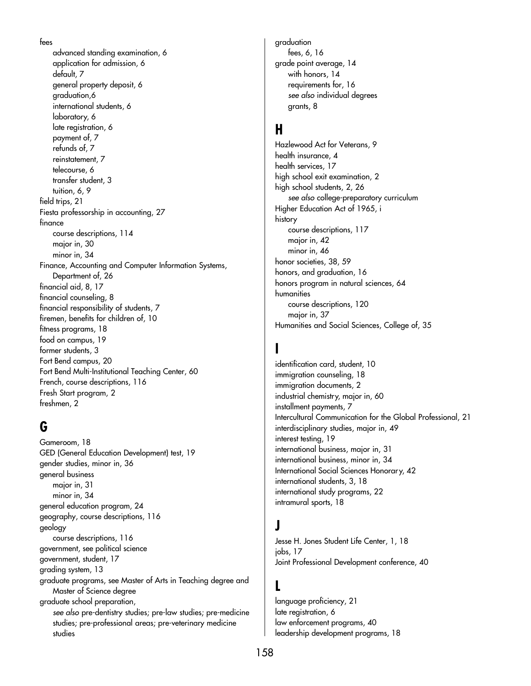### fees

advanced standing examination, 6 application for admission, 6 default, 7 general property deposit, 6 graduation,6 international students, 6 laboratory, 6 late registration, 6 payment of, 7 refunds of, 7 reinstatement, 7 telecourse, 6 transfer student, 3 tuition, 6, 9 field trips, 21 Fiesta professorship in accounting, 27 finance course descriptions, 114 major in, 30 minor in, 34 Finance, Accounting and Computer Information Systems, Department of, 26 financial aid, 8, 17 financial counseling, 8 financial responsibility of students, 7 firemen, benefits for children of, 10 fitness programs, 18 food on campus, 19 former students, 3 Fort Bend campus, 20 Fort Bend Multi-Institutional Teaching Center, 60 French, course descriptions, 116 Fresh Start program, 2 freshmen, 2

# **G**

Gameroom, 18 GED (General Education Development) test, 19 gender studies, minor in, 36 general business major in, 31 minor in, 34 general education program, 24 geography, course descriptions, 116 geology course descriptions, 116 government, see political science government, student, 17 grading system, 13 graduate programs, see Master of Arts in Teaching degree and Master of Science degree graduate school preparation, *see also* pre-dentistry studies; pre-law studies; pre-medicine studies; pre-professional areas; pre-veterinary medicine studies

graduation fees, 6, 16 grade point average, 14 with honors, 14 requirements for, 16 *see also* individual degrees grants, 8

# **H**

Hazlewood Act for Veterans, 9 health insurance, 4 health services, 17 high school exit examination, 2 high school students, 2, 26 *see also* college-preparatory curriculum Higher Education Act of 1965, i history course descriptions, 117 major in, 42 minor in, 46 honor societies, 38, 59 honors, and graduation, 16 honors program in natural sciences, 64 humanities course descriptions, 120 major in, 37 Humanities and Social Sciences, College of, 35

# **I**

identification card, student, 10 immigration counseling, 18 immigration documents, 2 industrial chemistry, major in, 60 installment payments, 7 Intercultural Communication for the Global Professional, 21 interdisciplinary studies, major in, 49 interest testing, 19 international business, major in, 31 international business, minor in, 34 International Social Sciences Honorar y, 42 international students, 3, 18 international study programs, 22 intramural sports, 18

# **J**

Jesse H. Jones Student Life Center, 1, 18 jobs, 17 Joint Professional Development conference, 40

# **L**

language proficiency, 21 late registration, 6 law enforcement programs, 40 leadership development programs, 18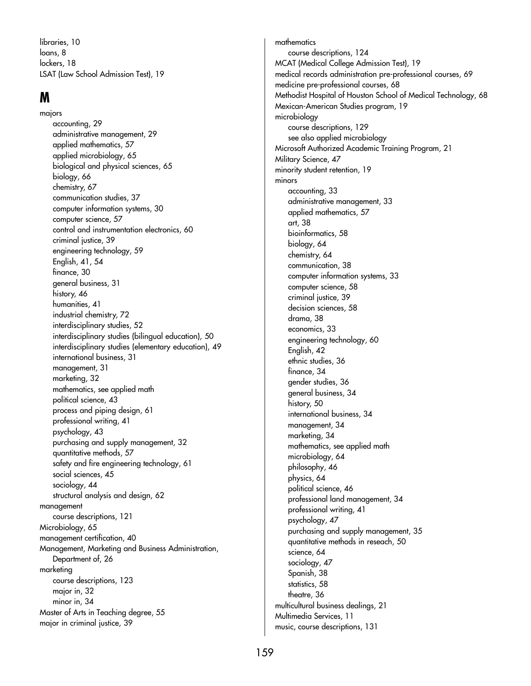libraries, 10 loans, 8 lockers, 18 LSAT (Law School Admission Test), 19

# **M**

majors accounting, 29 administrative management, 29 applied mathematics, 57 applied microbiology, 65 biological and physical sciences, 65 biology, 66 chemistry, 67 communication studies, 37 computer information systems, 30 computer science, 57 control and instrumentation electronics, 60 criminal justice, 39 engineering technology, 59 English, 41, 54 finance, 30 general business, 31 history, 46 humanities, 41 industrial chemistry, 72 interdisciplinary studies, 52 interdisciplinary studies (bilingual education), 50 interdisciplinary studies (elementary education), 49 international business, 31 management, 31 marketing, 32 mathematics, see applied math political science, 43 process and piping design, 61 professional writing, 41 psychology, 43 purchasing and supply management, 32 quantitative methods, 57 safety and fire engineering technology, 61 social sciences, 45 sociology, 44 structural analysis and design, 62 management course descriptions, 121 Microbiology, 65 management certification, 40 Management, Marketing and Business Administration, Department of, 26 marketing course descriptions, 123 major in, 32 minor in, 34 Master of Arts in Teaching degree, 55 major in criminal justice, 39

mathematics course descriptions, 124 MCAT (Medical College Admission Test), 19 medical records administration pre-professional courses, 69 medicine pre-professional courses, 68 Methodist Hospital of Houston School of Medical Technology, 68 Mexican-American Studies program, 19 microbiology course descriptions, 129 see also applied microbiology Microsoft Authorized Academic Training Program, 21 Military Science, 47 minority student retention, 19 minors accounting, 33 administrative management, 33 applied mathematics, 57 art, 38 bioinformatics, 58 biology, 64 chemistry, 64 communication, 38 computer information systems, 33 computer science, 58 criminal justice, 39 decision sciences, 58 drama, 38 economics, 33 engineering technology, 60 English, 42 ethnic studies, 36 finance, 34 gender studies, 36 general business, 34 history, 50 international business, 34 management, 34 marketing, 34 mathematics, see applied math microbiology, 64 philosophy, 46 physics, 64 political science, 46 professional land management, 34 professional writing, 41 psychology, 47 purchasing and supply management, 35 quantitative methods in reseach, 50 science, 64 sociology, 47 Spanish, 38 statistics, 58 theatre, 36 multicultural business dealings, 21 Multimedia Services, 11 music, course descriptions, 131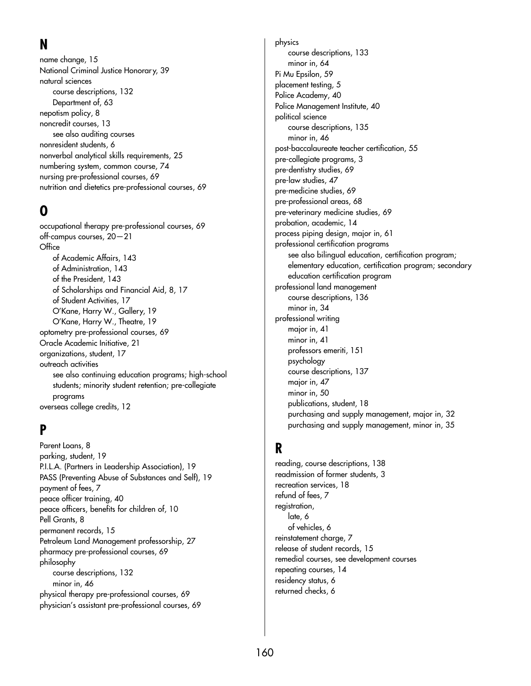# **N**

name change, 15 National Criminal Justice Honorar y, 39 natural sciences course descriptions, 132 Department of, 63 nepotism policy, 8 noncredit courses, 13 see also auditing courses nonresident students, 6 nonverbal analytical skills requirements, 25 numbering system, common course, 74 nursing pre-professional courses, 69 nutrition and dietetics pre-professional courses, 69

# **O**

occupational therapy pre-professional courses, 69 off-campus courses, 20—21 **Office** of Academic Affairs, 143 of Administration, 143 of the President, 143 of Scholarships and Financial Aid, 8, 17 of Student Activities, 17 O'Kane, Harry W., Gallery, 19 O'Kane, Harry W., Theatre, 19 optometry pre-professional courses, 69 Oracle Academic Initiative, 21 organizations, student, 17 outreach activities see also continuing education programs; high-school students; minority student retention; pre-collegiate programs overseas college credits, 12

# **P**

Parent Loans, 8 parking, student, 19 P.I.L.A. (Partners in Leadership Association), 19 PASS (Preventing Abuse of Substances and Self), 19 payment of fees, 7 peace officer training, 40 peace officers, benefits for children of, 10 Pell Grants, 8 permanent records, 15 Petroleum Land Management professorship, 27 pharmacy pre-professional courses, 69 philosophy course descriptions, 132 minor in, 46 physical therapy pre-professional courses, 69 physician's assistant pre-professional courses, 69

physics course descriptions, 133 minor in, 64 Pi Mu Epsilon, 59 placement testing, 5 Police Academy, 40 Police Management Institute, 40 political science course descriptions, 135 minor in, 46 post-baccalaureate teacher certification, 55 pre-collegiate programs, 3 pre-dentistry studies, 69 pre-law studies, 47 pre-medicine studies, 69 pre-professional areas, 68 pre-veterinary medicine studies, 69 probation, academic, 14 process piping design, major in, 61 professional certification programs see also bilingual education, certification program; elementary education, certification program; secondary education certification program professional land management course descriptions, 136 minor in, 34 professional writing major in, 41 minor in, 41 professors emeriti, 151 psychology course descriptions, 137 major in, 47 minor in, 50 publications, student, 18 purchasing and supply management, major in, 32 purchasing and supply management, minor in, 35

# **R**

reading, course descriptions, 138 readmission of former students, 3 recreation services, 18 refund of fees, 7 registration, late, 6 of vehicles, 6 reinstatement charge, 7 release of student records, 15 remedial courses, see development courses repeating courses, 14 residency status, 6 returned checks, 6